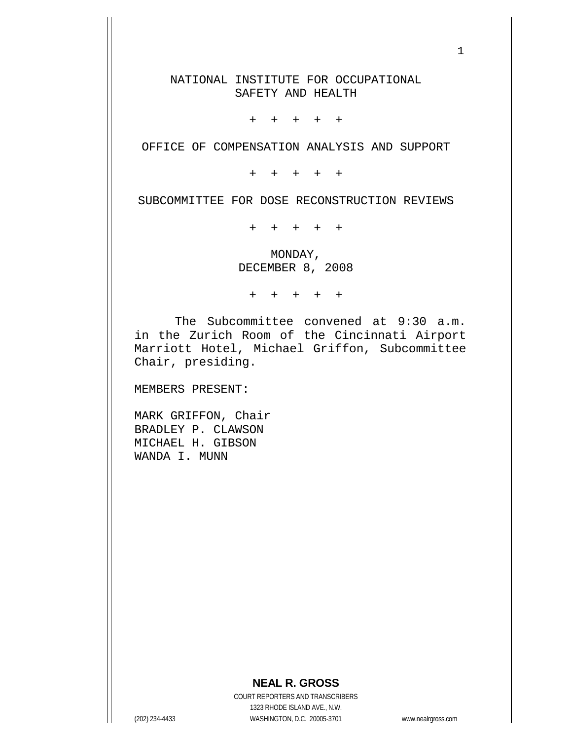NATIONAL INSTITUTE FOR OCCUPATIONAL SAFETY AND HEALTH

+ + + + +

OFFICE OF COMPENSATION ANALYSIS AND SUPPORT

+ + + + +

SUBCOMMITTEE FOR DOSE RECONSTRUCTION REVIEWS

+ + + + +

MONDAY, DECEMBER 8, 2008

+ + + + +

The Subcommittee convened at 9:30 a.m. in the Zurich Room of the Cincinnati Airport Marriott Hotel, Michael Griffon, Subcommittee Chair, presiding.

MEMBERS PRESENT:

MARK GRIFFON, Chair BRADLEY P. CLAWSON MICHAEL H. GIBSON WANDA I. MUNN

### **NEAL R. GROSS**

COURT REPORTERS AND TRANSCRIBERS 1323 RHODE ISLAND AVE., N.W. (202) 234-4433 WASHINGTON, D.C. 20005-3701 www.nealrgross.com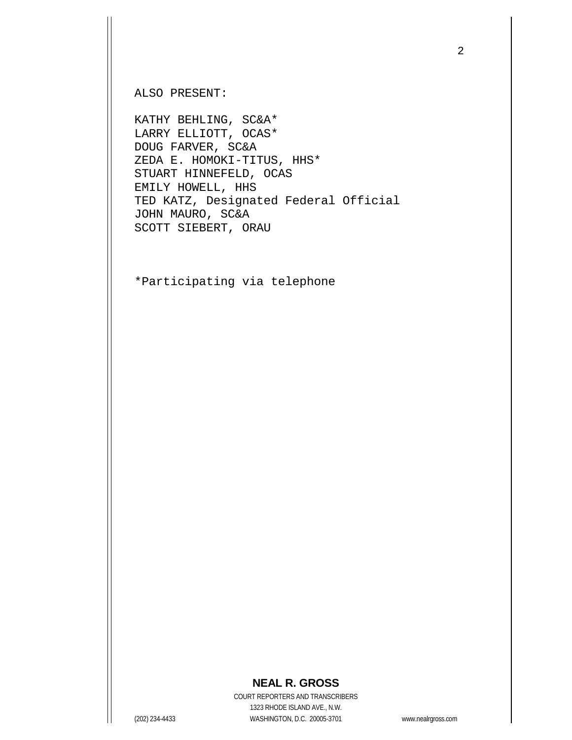ALSO PRESENT:

KATHY BEHLING, SC&A\* LARRY ELLIOTT, OCAS\* DOUG FARVER, SC&A ZEDA E. HOMOKI-TITUS, HHS\* STUART HINNEFELD, OCAS EMILY HOWELL, HHS TED KATZ, Designated Federal Official JOHN MAURO, SC&A SCOTT SIEBERT, ORAU

\*Participating via telephone

## **NEAL R. GROSS**

COURT REPORTERS AND TRANSCRIBERS 1323 RHODE ISLAND AVE., N.W. (202) 234-4433 WASHINGTON, D.C. 20005-3701 www.nealrgross.com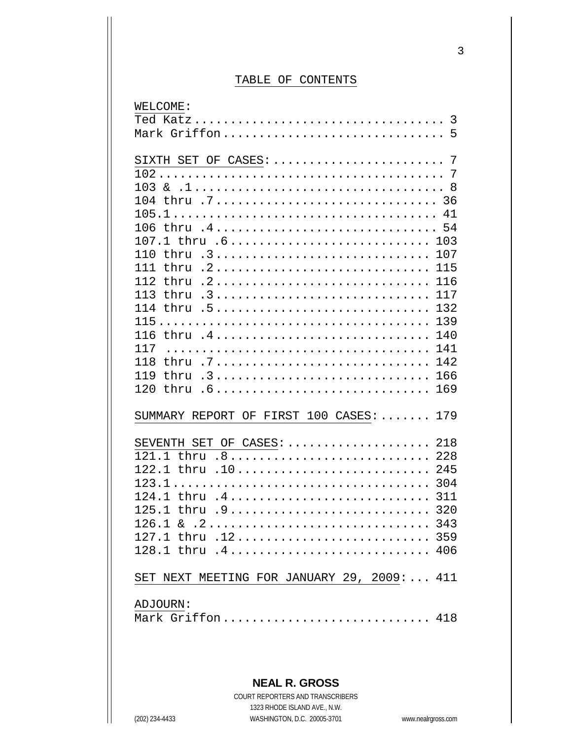# TABLE OF CONTENTS

| WELCOME:                                                                                      |     |
|-----------------------------------------------------------------------------------------------|-----|
|                                                                                               |     |
| Mark Griffon 5                                                                                |     |
|                                                                                               |     |
|                                                                                               |     |
|                                                                                               |     |
|                                                                                               |     |
|                                                                                               |     |
|                                                                                               |     |
| 106 thru .4 54                                                                                |     |
| 107.1 thru .6 103                                                                             |     |
| 110 thru .3 107                                                                               |     |
|                                                                                               |     |
| 116<br>112                                                                                    |     |
| 113 thru .3<br>117                                                                            |     |
| 114 thru .5<br>132                                                                            |     |
|                                                                                               |     |
| 116 thru .4<br>140                                                                            |     |
| 141<br>117                                                                                    |     |
| thru .7 142<br>118                                                                            |     |
| 166<br>119                                                                                    |     |
| thru .6 169<br>120                                                                            |     |
|                                                                                               |     |
| SUMMARY REPORT OF FIRST 100 CASES:  179                                                       |     |
|                                                                                               |     |
| SEVENTH SET OF CASES:  218                                                                    |     |
| 121.1 thru .8 228                                                                             |     |
| 122.1 thru .10                                                                                | 245 |
| 304                                                                                           |     |
| 124.1 thru .4 311                                                                             |     |
| 125.1 thru .9<br>320                                                                          |     |
| $126.1 \& .2 \ldots \ldots \ldots \ldots \ldots \ldots \ldots \ldots \ldots \ldots \quad 343$ |     |
| 127.1 thru .12 359                                                                            |     |
| 128.1 thru .4 406                                                                             |     |
|                                                                                               |     |
| SET NEXT MEETING FOR JANUARY 29, 2009:  411                                                   |     |
|                                                                                               |     |
| ADJOURN:                                                                                      |     |
| Mark Griffon 418                                                                              |     |
|                                                                                               |     |

# **NEAL R. GROSS**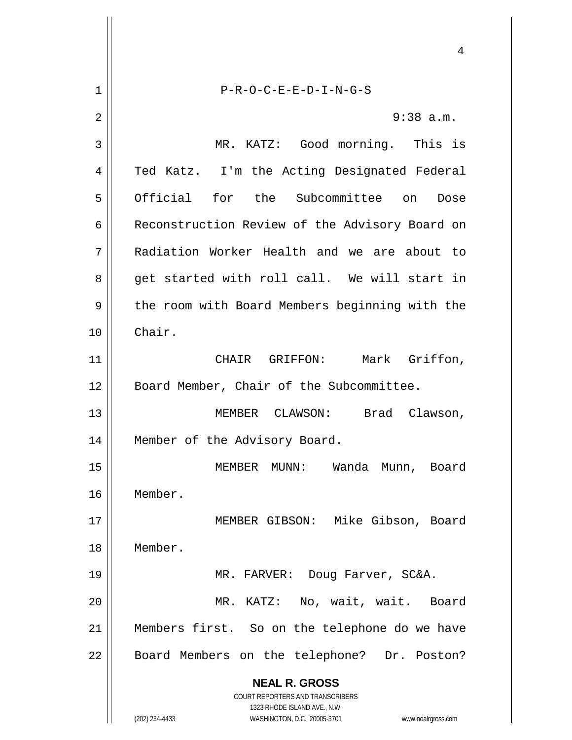**NEAL R. GROSS** COURT REPORTERS AND TRANSCRIBERS 1323 RHODE ISLAND AVE., N.W. (202) 234-4433 WASHINGTON, D.C. 20005-3701 www.nealrgross.com 4 1 P-R-O-C-E-E-D-I-N-G-S 2  $\parallel$  9:38 a.m. 3 MR. KATZ: Good morning. This is 4 || Ted Katz. I'm the Acting Designated Federal 5 Official for the Subcommittee on Dose 6 | Reconstruction Review of the Advisory Board on 7 Radiation Worker Health and we are about to 8 get started with roll call. We will start in 9 degee the room with Board Members beginning with the 10 Chair. 11 CHAIR GRIFFON: Mark Griffon, 12 || Board Member, Chair of the Subcommittee. 13 MEMBER CLAWSON: Brad Clawson, 14 || Member of the Advisory Board. 15 MEMBER MUNN: Wanda Munn, Board 16 Member. 17 MEMBER GIBSON: Mike Gibson, Board 18 Member. 19 MR. FARVER: Doug Farver, SC&A. 20 MR. KATZ: No, wait, wait. Board 21 Members first. So on the telephone do we have 22 | Board Members on the telephone? Dr. Poston?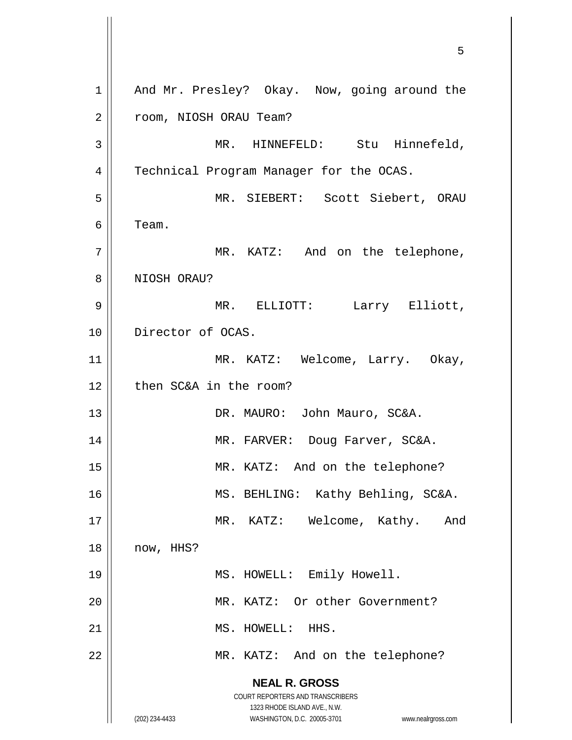**NEAL R. GROSS** COURT REPORTERS AND TRANSCRIBERS 1323 RHODE ISLAND AVE., N.W. (202) 234-4433 WASHINGTON, D.C. 20005-3701 www.nealrgross.com 5 1 || And Mr. Presley? Okay. Now, going around the 2 | room, NIOSH ORAU Team? 3 MR. HINNEFELD: Stu Hinnefeld, 4 | Technical Program Manager for the OCAS. 5 MR. SIEBERT: Scott Siebert, ORAU  $6 \parallel$  Team. 7 || MR. KATZ: And on the telephone, 8 || NIOSH ORAU? 9 MR. ELLIOTT: Larry Elliott, 10 || Director of OCAS. 11 || MR. KATZ: Welcome, Larry. Okay, 12 | then SC&A in the room? 13 || DR. MAURO: John Mauro, SC&A. 14 MR. FARVER: Doug Farver, SC&A. 15 || MR. KATZ: And on the telephone? 16 || MS. BEHLING: Kathy Behling, SC&A. 17 || MR. KATZ: Welcome, Kathy. And 18 now, HHS? 19 || MS. HOWELL: Emily Howell. 20 || MR. KATZ: Or other Government? 21 || MS. HOWELL: HHS. 22 | MR. KATZ: And on the telephone?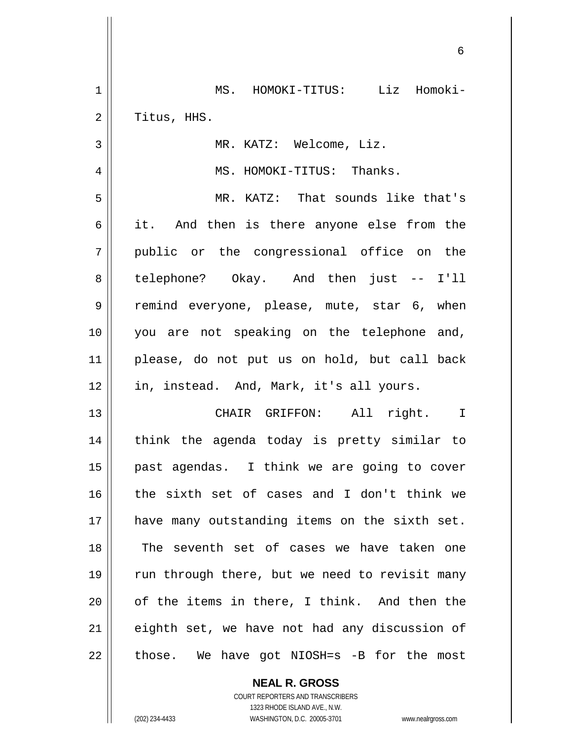| 1              | MS. HOMOKI-TITUS: Liz Homoki-                  |
|----------------|------------------------------------------------|
| $\overline{2}$ | Titus, HHS.                                    |
| 3              | MR. KATZ: Welcome, Liz.                        |
| 4              | MS. HOMOKI-TITUS: Thanks.                      |
| 5              | MR. KATZ: That sounds like that's              |
| 6              | it. And then is there anyone else from the     |
| 7              | public or the congressional office on the      |
| 8              | telephone? Okay. And then just -- I'll         |
| 9              | remind everyone, please, mute, star 6, when    |
| 10             | you are not speaking on the telephone and,     |
| 11             | please, do not put us on hold, but call back   |
| 12             | in, instead. And, Mark, it's all yours.        |
| 13             | CHAIR GRIFFON: All right. I                    |
| 14             | think the agenda today is pretty similar to    |
| 15             | past agendas. I think we are going to cover    |
| 16             | the sixth set of cases and I don't think we    |
| 17             | have many outstanding items on the sixth set.  |
| 18             | The seventh set of cases we have taken one     |
| 19             | run through there, but we need to revisit many |
| 20             | of the items in there, I think. And then the   |
| 21             | eighth set, we have not had any discussion of  |
| 22             | those. We have got NIOSH=s -B for the most     |

**NEAL R. GROSS** COURT REPORTERS AND TRANSCRIBERS

1323 RHODE ISLAND AVE., N.W.

(202) 234-4433 WASHINGTON, D.C. 20005-3701 www.nealrgross.com

 $\mathbf{I}$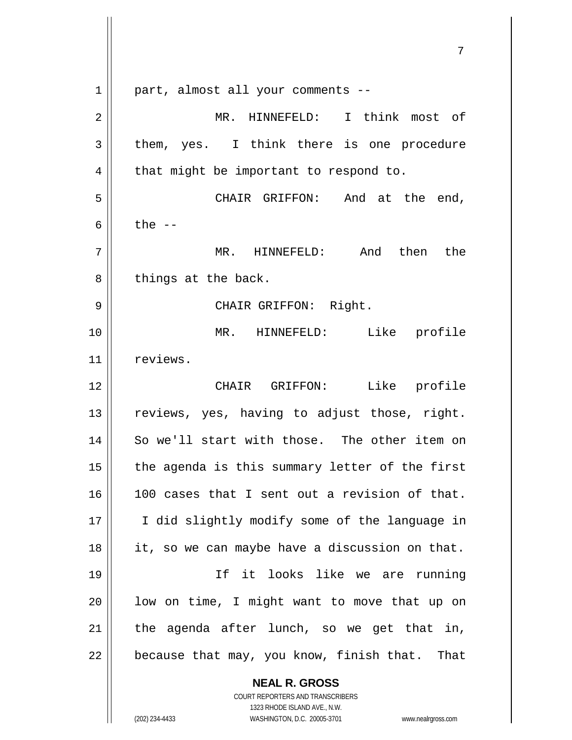|    | 7                                                                   |
|----|---------------------------------------------------------------------|
| 1  | part, almost all your comments --                                   |
| 2  | MR. HINNEFELD: I think most of                                      |
| 3  | them, yes. I think there is one procedure                           |
| 4  | that might be important to respond to.                              |
| 5  | CHAIR GRIFFON: And at the end,                                      |
| 6  | the $--$                                                            |
| 7  | MR. HINNEFELD: And then the                                         |
| 8  | things at the back.                                                 |
| 9  | CHAIR GRIFFON: Right.                                               |
| 10 | Like profile<br>MR. HINNEFELD:                                      |
| 11 | reviews.                                                            |
| 12 | Like profile<br>CHAIR GRIFFON:                                      |
| 13 | reviews, yes, having to adjust those, right.                        |
| 14 | So we'll start with those. The other item on                        |
| 15 | the agenda is this summary letter of the first                      |
| 16 | 100 cases that I sent out a revision of that.                       |
| 17 | I did slightly modify some of the language in                       |
| 18 | it, so we can maybe have a discussion on that.                      |
| 19 | If it looks like we are running                                     |
| 20 | low on time, I might want to move that up on                        |
| 21 | the agenda after lunch, so we get that in,                          |
| 22 | because that may, you know, finish that. That                       |
|    | <b>NEAL R. GROSS</b>                                                |
|    | COURT REPORTERS AND TRANSCRIBERS<br>1323 RHODE ISLAND AVE., N.W.    |
|    | (202) 234-4433<br>WASHINGTON, D.C. 20005-3701<br>www.nealrgross.com |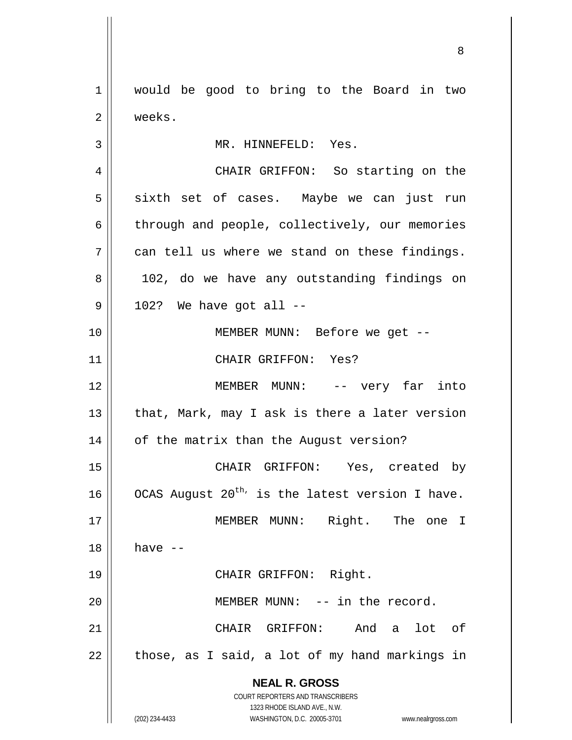**NEAL R. GROSS** COURT REPORTERS AND TRANSCRIBERS 1323 RHODE ISLAND AVE., N.W. (202) 234-4433 WASHINGTON, D.C. 20005-3701 www.nealrgross.com 1 would be good to bring to the Board in two 2 | weeks. 3 || MR. HINNEFELD: Yes. 4 CHAIR GRIFFON: So starting on the 5 sixth set of cases. Maybe we can just run  $6 \parallel$  through and people, collectively, our memories  $7 \parallel$  can tell us where we stand on these findings. 8 || 102, do we have any outstanding findings on  $9 \parallel$  102? We have got all --10 || MEMBER MUNN: Before we get --11 CHAIR GRIFFON: Yes? 12 MEMBER MUNN: -- very far into 13  $\parallel$  that, Mark, may I ask is there a later version 14 | of the matrix than the August version? 15 CHAIR GRIFFON: Yes, created by 16  $\parallel$  OCAS August 20<sup>th,</sup> is the latest version I have. 17 || MEMBER MUNN: Right. The one I  $18 \parallel$  have  $-$ 19 || CHAIR GRIFFON: Right. 20 || **MEMBER MUNN:** -- in the record. 21 CHAIR GRIFFON: And a lot of  $22 \parallel$  those, as I said, a lot of my hand markings in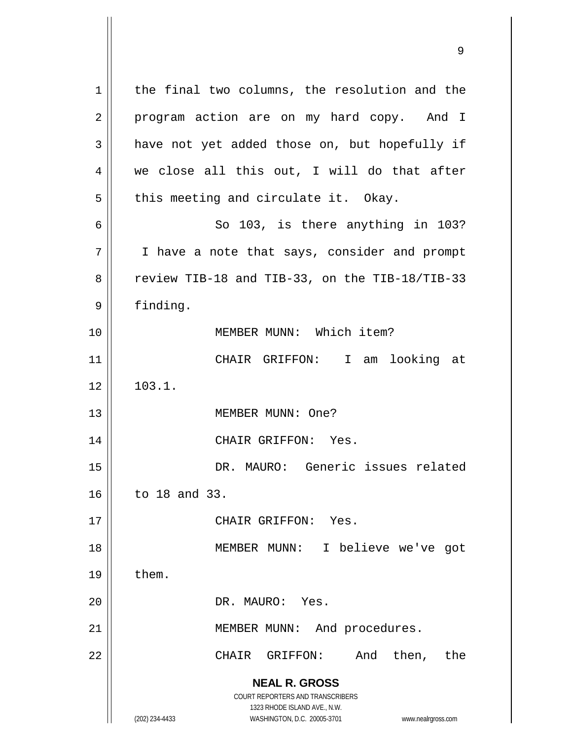**NEAL R. GROSS** COURT REPORTERS AND TRANSCRIBERS 1323 RHODE ISLAND AVE., N.W. (202) 234-4433 WASHINGTON, D.C. 20005-3701 www.nealrgross.com 1 | the final two columns, the resolution and the 2 || program action are on my hard copy. And I  $3 \parallel$  have not yet added those on, but hopefully if 4 we close all this out, I will do that after  $5 \parallel$  this meeting and circulate it. Okay.  $6 \parallel$  So 103, is there anything in 103? 7 | I have a note that says, consider and prompt 8  $\parallel$  review TIB-18 and TIB-33, on the TIB-18/TIB-33 9 | finding. 10 MEMBER MUNN: Which item? 11 CHAIR GRIFFON: I am looking at  $12 \parallel 103.1.$ 13 || MEMBER MUNN: One? 14 CHAIR GRIFFON: Yes. 15 DR. MAURO: Generic issues related 16 to 18 and 33. 17 || CHAIR GRIFFON: Yes. 18 MEMBER MUNN: I believe we've got  $19 \parallel$  them. 20 || DR. MAURO: Yes. 21 | MEMBER MUNN: And procedures. 22 || CHAIR GRIFFON: And then, the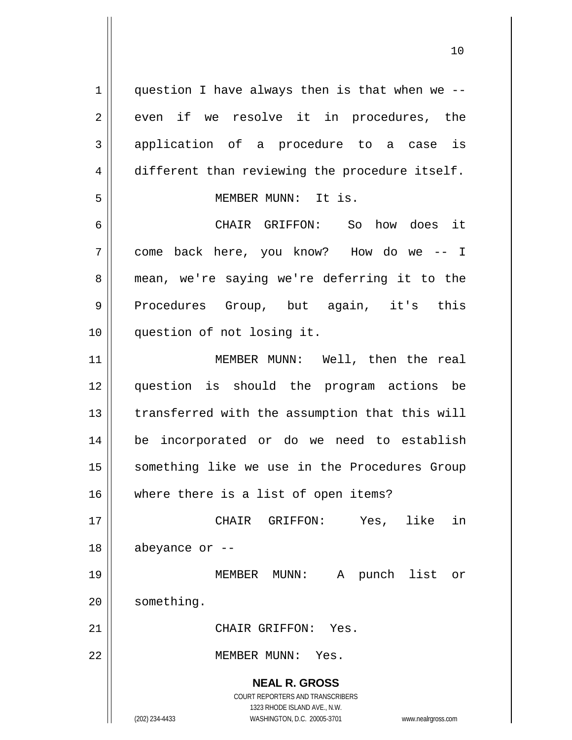**NEAL R. GROSS** COURT REPORTERS AND TRANSCRIBERS 1323 RHODE ISLAND AVE., N.W. (202) 234-4433 WASHINGTON, D.C. 20005-3701 www.nealrgross.com  $1$  | question I have always then is that when we -- $2 \parallel$  even if we resolve it in procedures, the 3 application of a procedure to a case is 4 different than reviewing the procedure itself. 5 MEMBER MUNN: It is. 6 CHAIR GRIFFON: So how does it 7 come back here, you know? How do we -- I 8 mean, we're saying we're deferring it to the 9 Procedures Group, but again, it's this 10 question of not losing it. 11 MEMBER MUNN: Well, then the real 12 question is should the program actions be 13 || transferred with the assumption that this will 14 be incorporated or do we need to establish 15 || something like we use in the Procedures Group 16 where there is a list of open items? 17 CHAIR GRIFFON: Yes, like in  $18$  || abeyance or  $-$ 19 MEMBER MUNN: A punch list or 20 | something. 21 CHAIR GRIFFON: Yes. 22 MEMBER MUNN: Yes.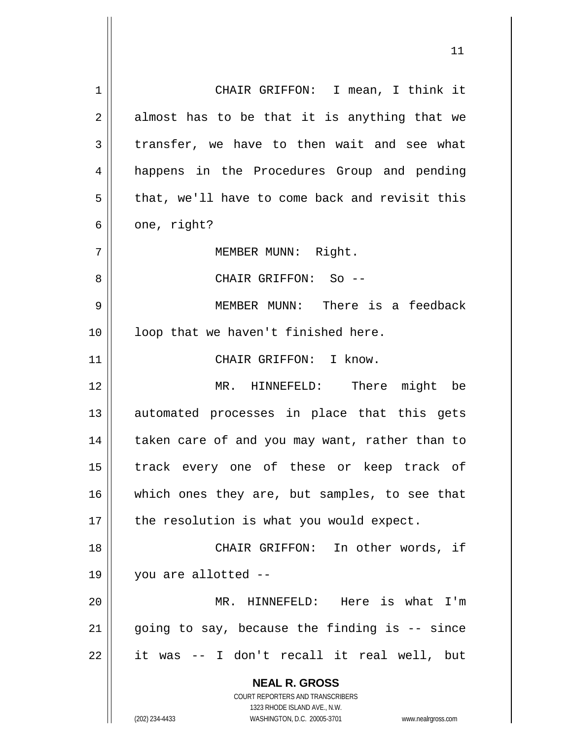**NEAL R. GROSS** COURT REPORTERS AND TRANSCRIBERS 1323 RHODE ISLAND AVE., N.W. 1 CHAIR GRIFFON: I mean, I think it  $2 \parallel$  almost has to be that it is anything that we  $3 \parallel$  transfer, we have to then wait and see what 4 || happens in the Procedures Group and pending  $5 \parallel$  that, we'll have to come back and revisit this  $6 \parallel$  one, right? 7 || MEMBER MUNN: Right. 8 CHAIR GRIFFON: So -- 9 MEMBER MUNN: There is a feedback 10 || loop that we haven't finished here. 11 || CHAIR GRIFFON: I know. 12 MR. HINNEFELD: There might be 13 || automated processes in place that this gets 14 || taken care of and you may want, rather than to 15 || track every one of these or keep track of 16 || which ones they are, but samples, to see that  $17$  | the resolution is what you would expect. 18 CHAIR GRIFFON: In other words, if 19 you are allotted -- 20 MR. HINNEFELD: Here is what I'm  $21$  | going to say, because the finding is  $-$  since  $22$  || it was -- I don't recall it real well, but

(202) 234-4433 WASHINGTON, D.C. 20005-3701 www.nealrgross.com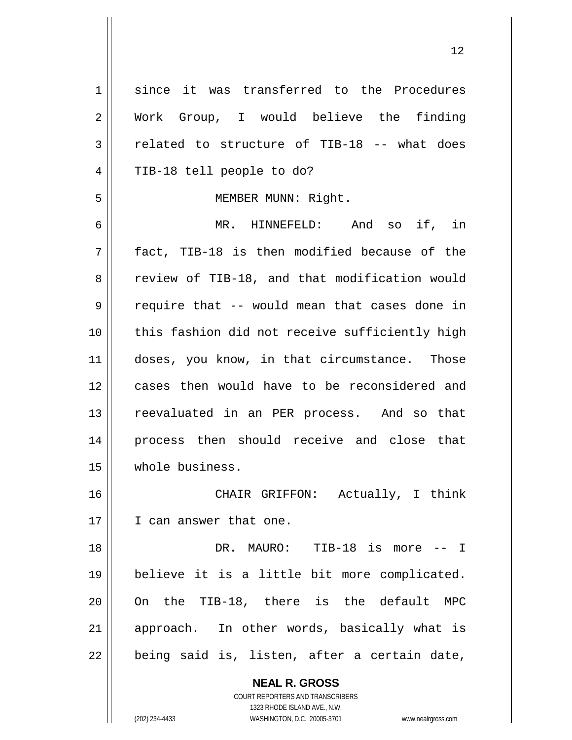**NEAL R. GROSS** 1 since it was transferred to the Procedures 2 Work Group, I would believe the finding  $3 \parallel$  related to structure of TIB-18 -- what does 4 || TIB-18 tell people to do? 5 | MEMBER MUNN: Right. 6 MR. HINNEFELD: And so if, in  $7$  || fact, TIB-18 is then modified because of the 8 Teview of TIB-18, and that modification would  $9 \parallel$  require that -- would mean that cases done in 10 || this fashion did not receive sufficiently high 11 || doses, you know, in that circumstance. Those 12 cases then would have to be reconsidered and 13 || reevaluated in an PER process. And so that 14 process then should receive and close that 15 whole business. 16 CHAIR GRIFFON: Actually, I think 17 I can answer that one. 18 DR. MAURO: TIB-18 is more -- I 19 believe it is a little bit more complicated. 20 On the TIB-18, there is the default MPC 21 || approach. In other words, basically what is  $22$  || being said is, listen, after a certain date,

> COURT REPORTERS AND TRANSCRIBERS 1323 RHODE ISLAND AVE., N.W.

(202) 234-4433 WASHINGTON, D.C. 20005-3701 www.nealrgross.com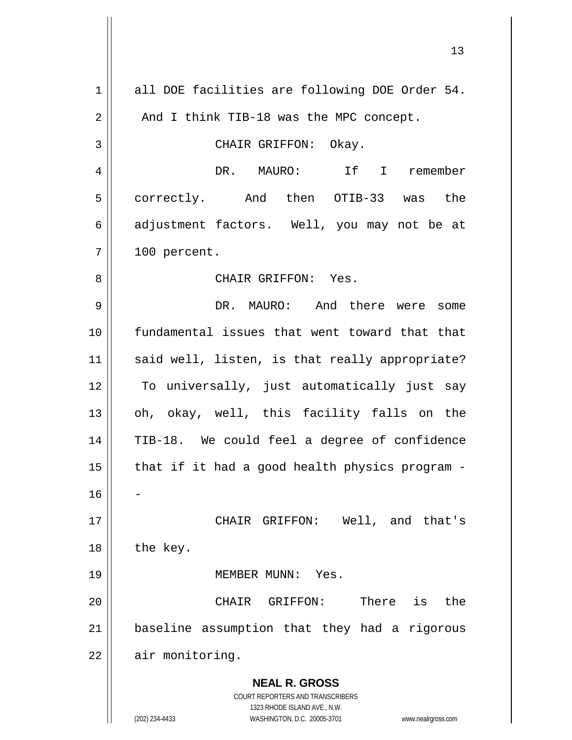| $\mathbf 1$    | all DOE facilities are following DOE Order 54.                                                      |
|----------------|-----------------------------------------------------------------------------------------------------|
| 2              | And I think TIB-18 was the MPC concept.                                                             |
| $\mathfrak{Z}$ | CHAIR GRIFFON: Okay.                                                                                |
| $\overline{4}$ | DR. MAURO: If I remember                                                                            |
| 5              | correctly. And then OTIB-33 was the                                                                 |
| 6              | adjustment factors. Well, you may not be at                                                         |
| 7              | 100 percent.                                                                                        |
| 8              | CHAIR GRIFFON: Yes.                                                                                 |
| 9              | DR. MAURO: And there were<br>some                                                                   |
| 10             | fundamental issues that went toward that that                                                       |
| 11             | said well, listen, is that really appropriate?                                                      |
| 12             | To universally, just automatically just say                                                         |
| 13             | oh, okay, well, this facility falls on the                                                          |
| 14             | TIB-18. We could feel a degree of confidence                                                        |
| 15             | that if it had a good health physics program -                                                      |
| 16             |                                                                                                     |
| 17             | CHAIR GRIFFON: Well, and that's                                                                     |
| 18             | the key.                                                                                            |
| 19             | MEMBER MUNN:<br>Yes.                                                                                |
| 20             | There is<br>the<br>CHAIR GRIFFON:                                                                   |
| 21             | baseline assumption that they had a rigorous                                                        |
| 22             | air monitoring.                                                                                     |
|                | <b>NEAL R. GROSS</b>                                                                                |
|                | COURT REPORTERS AND TRANSCRIBERS                                                                    |
|                | 1323 RHODE ISLAND AVE., N.W.<br>(202) 234-4433<br>WASHINGTON, D.C. 20005-3701<br>www.nealrgross.com |

Ħ

 $\mathsf{I}$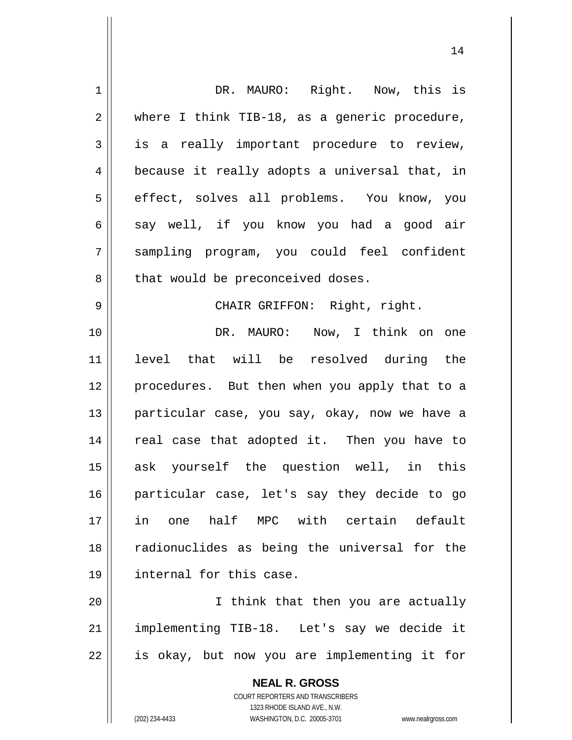| $\mathbf 1$    | DR. MAURO: Right. Now, this is                                      |
|----------------|---------------------------------------------------------------------|
| $\overline{2}$ | where I think TIB-18, as a generic procedure,                       |
| 3              | is a really important procedure to review,                          |
| 4              | because it really adopts a universal that, in                       |
| 5              | effect, solves all problems. You know, you                          |
| 6              | say well, if you know you had a good air                            |
| 7              | sampling program, you could feel confident                          |
| 8              | that would be preconceived doses.                                   |
| 9              | CHAIR GRIFFON: Right, right.                                        |
| 10             | DR. MAURO: Now, I think on one                                      |
| 11             | level that will be resolved during the                              |
| 12             | procedures. But then when you apply that to a                       |
| 13             | particular case, you say, okay, now we have a                       |
| 14             | real case that adopted it. Then you have to                         |
| 15             | ask yourself the question well, in this                             |
| 16             | particular case, let's say they decide to go                        |
| 17             | one half MPC with certain default<br>in                             |
| 18             | radionuclides as being the universal for the                        |
| 19             | internal for this case.                                             |
| 20             | I think that then you are actually                                  |
| 21             | implementing TIB-18. Let's say we decide it                         |
| 22             | is okay, but now you are implementing it for                        |
|                |                                                                     |
|                | <b>NEAL R. GROSS</b>                                                |
|                | COURT REPORTERS AND TRANSCRIBERS<br>1323 RHODE ISLAND AVE., N.W.    |
|                | (202) 234-4433<br>WASHINGTON, D.C. 20005-3701<br>www.nealrgross.com |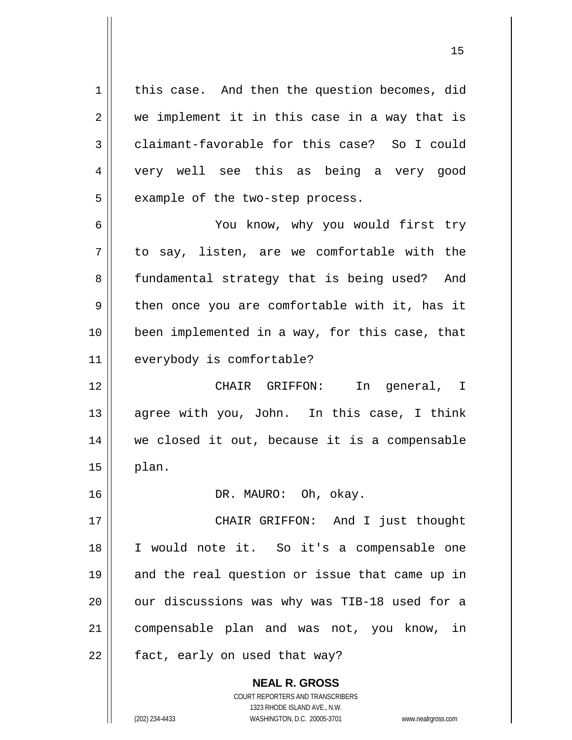$1 \parallel$  this case. And then the question becomes, did  $2 \parallel$  we implement it in this case in a way that is 3 claimant-favorable for this case? So I could 4 very well see this as being a very good  $5 \parallel$  example of the two-step process.

6 You know, why you would first try  $7 \parallel$  to say, listen, are we comfortable with the 8 || fundamental strategy that is being used? And  $9 \parallel$  then once you are comfortable with it, has it 10 been implemented in a way, for this case, that 11 | everybody is comfortable?

12 || CHAIR GRIFFON: In general, I 13 || agree with you, John. In this case, I think 14 we closed it out, because it is a compensable  $15$  || plan.

16 || DR. MAURO: Oh, okay.

17 || CHAIR GRIFFON: And I just thought 18 I would note it. So it's a compensable one 19 || and the real question or issue that came up in 20 || our discussions was why was TIB-18 used for a 21 compensable plan and was not, you know, in 22 || fact, early on used that way?

> **NEAL R. GROSS** COURT REPORTERS AND TRANSCRIBERS 1323 RHODE ISLAND AVE., N.W. (202) 234-4433 WASHINGTON, D.C. 20005-3701 www.nealrgross.com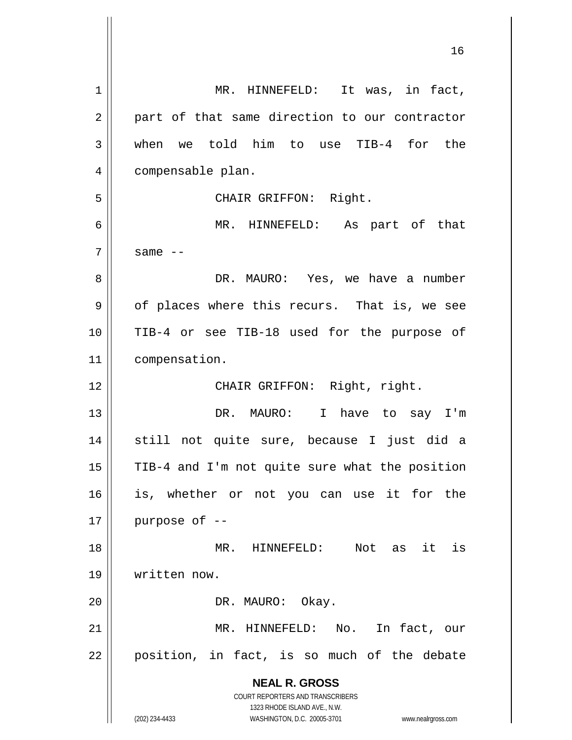**NEAL R. GROSS** COURT REPORTERS AND TRANSCRIBERS 1323 RHODE ISLAND AVE., N.W. (202) 234-4433 WASHINGTON, D.C. 20005-3701 www.nealrgross.com 1 || MR. HINNEFELD: It was, in fact,  $2 \parallel$  part of that same direction to our contractor 3 when we told him to use TIB-4 for the 4 | compensable plan. 5 CHAIR GRIFFON: Right. 6 MR. HINNEFELD: As part of that  $7 \parallel$  same  $-$ 8 DR. MAURO: Yes, we have a number  $9 \parallel$  of places where this recurs. That is, we see 10 TIB-4 or see TIB-18 used for the purpose of 11 compensation. 12 || CHAIR GRIFFON: Right, right. 13 || DR. MAURO: I have to say I'm 14 still not quite sure, because I just did a 15 | TIB-4 and I'm not quite sure what the position 16 is, whether or not you can use it for the  $17$  || purpose of  $-$ 18 MR. HINNEFELD: Not as it is 19 written now. 20 | DR. MAURO: Okay. 21 MR. HINNEFELD: No. In fact, our  $22$  || position, in fact, is so much of the debate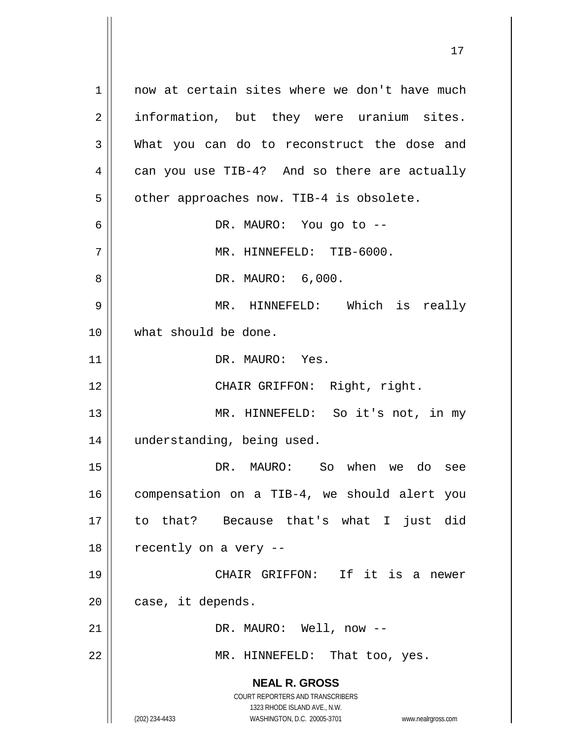**NEAL R. GROSS** COURT REPORTERS AND TRANSCRIBERS 1323 RHODE ISLAND AVE., N.W. (202) 234-4433 WASHINGTON, D.C. 20005-3701 www.nealrgross.com 1 || now at certain sites where we don't have much 2 || information, but they were uranium sites. 3 What you can do to reconstruct the dose and  $4 \parallel$  can you use TIB-4? And so there are actually  $5 \parallel$  other approaches now. TIB-4 is obsolete. 6 DR. MAURO: You go to --  $7 \parallel$  MR. HINNEFELD: TIB-6000. 8 DR. MAURO: 6,000. 9 MR. HINNEFELD: Which is really 10 what should be done. 11 || DR. MAURO: Yes. 12 || CHAIR GRIFFON: Right, right. 13 || MR. HINNEFELD: So it's not, in my 14 | understanding, being used. 15 DR. MAURO: So when we do see 16 | compensation on a TIB-4, we should alert you 17 to that? Because that's what I just did  $18$  | recently on a very --19 CHAIR GRIFFON: If it is a newer  $20$  | case, it depends. 21 DR. MAURO: Well, now -- 22 || MR. HINNEFELD: That too, yes.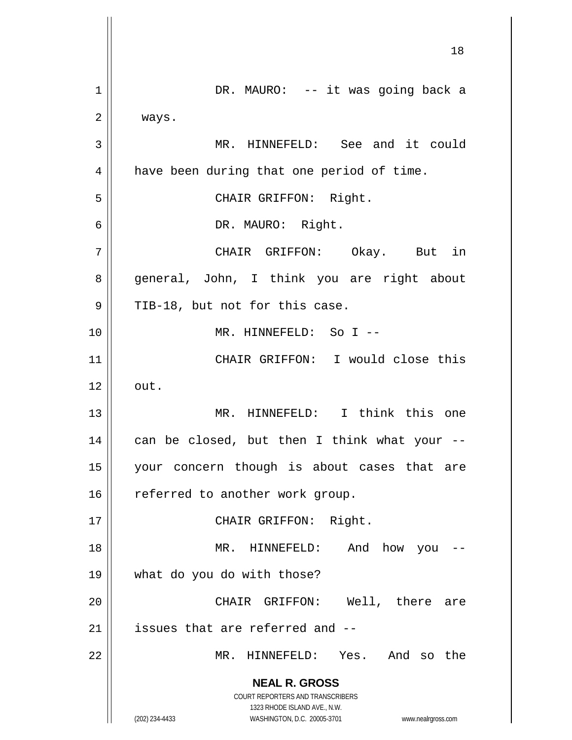**NEAL R. GROSS** COURT REPORTERS AND TRANSCRIBERS 1323 RHODE ISLAND AVE., N.W. (202) 234-4433 WASHINGTON, D.C. 20005-3701 www.nealrgross.com 18 1 || DR. MAURO: -- it was going back a 2 | ways. 3 || MR. HINNEFELD: See and it could 4 | have been during that one period of time. 5 || CHAIR GRIFFON: Right. 6 DR. MAURO: Right. 7 CHAIR GRIFFON: Okay. But in 8 || general, John, I think you are right about  $9 \parallel$  TIB-18, but not for this case. 10 MR. HINNEFELD: So I -- 11 CHAIR GRIFFON: I would close this  $12 \parallel \quad \text{out.}$ 13 MR. HINNEFELD: I think this one  $14$  | can be closed, but then I think what your --15 your concern though is about cases that are  $16$  referred to another work group. 17 || CHAIR GRIFFON: Right. 18 MR. HINNEFELD: And how you -- 19 what do you do with those? 20 CHAIR GRIFFON: Well, there are  $21$  | issues that are referred and  $-$ 22 MR. HINNEFELD: Yes. And so the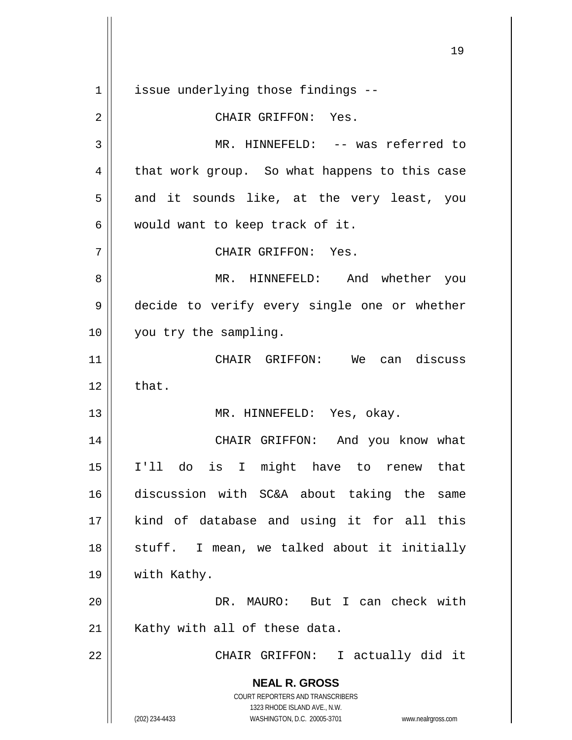**NEAL R. GROSS** COURT REPORTERS AND TRANSCRIBERS 1323 RHODE ISLAND AVE., N.W. (202) 234-4433 WASHINGTON, D.C. 20005-3701 www.nealrgross.com 1 | issue underlying those findings --2 CHAIR GRIFFON: Yes. 3 MR. HINNEFELD: -- was referred to  $4 \parallel$  that work group. So what happens to this case  $5 \parallel$  and it sounds like, at the very least, you  $6 \parallel$  would want to keep track of it. 7 CHAIR GRIFFON: Yes. 8 MR. HINNEFELD: And whether you 9 decide to verify every single one or whether 10 || you try the sampling. 11 CHAIR GRIFFON: We can discuss  $12 \parallel$  that. 13 || MR. HINNEFELD: Yes, okay. 14 || CHAIR GRIFFON: And you know what 15 I'll do is I might have to renew that 16 discussion with SC&A about taking the same 17 || kind of database and using it for all this 18 || stuff. I mean, we talked about it initially 19 | with Kathy. 20 DR. MAURO: But I can check with  $21$  | Kathy with all of these data. 22 || CHAIR GRIFFON: I actually did it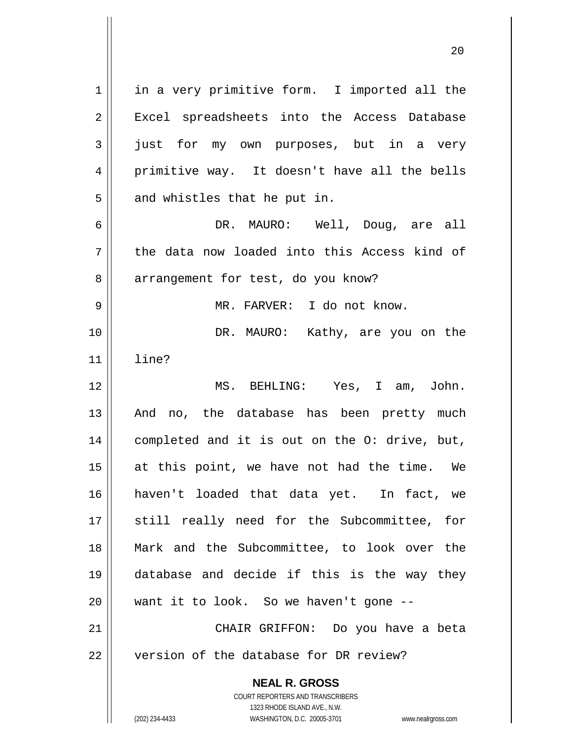| $\mathbf 1$ | in a very primitive form. I imported all the                        |
|-------------|---------------------------------------------------------------------|
| 2           | Excel spreadsheets into the Access Database                         |
| 3           | just for my own purposes, but in a very                             |
| 4           | primitive way. It doesn't have all the bells                        |
| 5           | and whistles that he put in.                                        |
| 6           | DR. MAURO: Well, Doug, are all                                      |
| 7           | the data now loaded into this Access kind of                        |
| 8           | arrangement for test, do you know?                                  |
| 9           | MR. FARVER: I do not know.                                          |
| 10          | DR. MAURO: Kathy, are you on the                                    |
| 11          | line?                                                               |
| 12          | MS. BEHLING: Yes, I am, John.                                       |
| 13          | And no, the database has been pretty much                           |
| 14          | completed and it is out on the O: drive, but,                       |
| 15          | at this point, we have not had the time. We                         |
| 16          | haven't loaded that data yet. In fact, we                           |
| 17          | still really need for the Subcommittee, for                         |
| 18          | Mark and the Subcommittee, to look over the                         |
| 19          | database and decide if this is the way they                         |
| 20          | want it to look. So we haven't gone --                              |
| 21          | CHAIR GRIFFON: Do you have a beta                                   |
| 22          | version of the database for DR review?                              |
|             | <b>NEAL R. GROSS</b>                                                |
|             | COURT REPORTERS AND TRANSCRIBERS                                    |
|             | 1323 RHODE ISLAND AVE., N.W.                                        |
|             | (202) 234-4433<br>WASHINGTON, D.C. 20005-3701<br>www.nealrgross.com |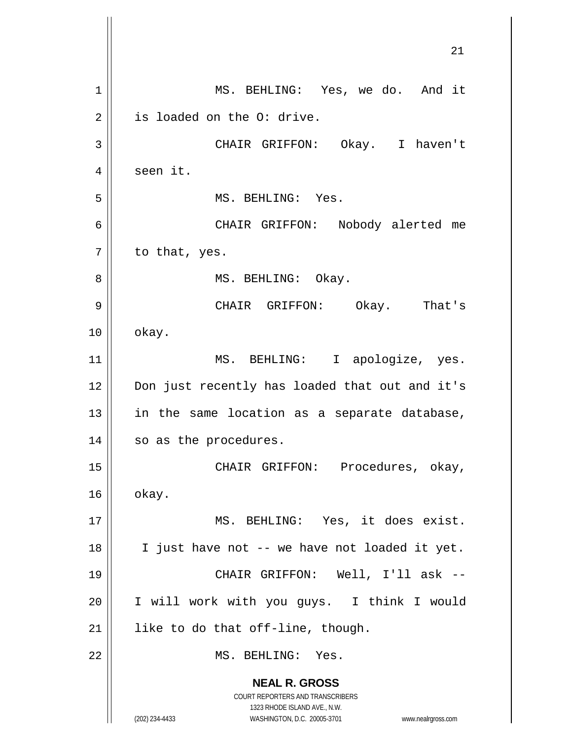**NEAL R. GROSS** COURT REPORTERS AND TRANSCRIBERS 1323 RHODE ISLAND AVE., N.W. (202) 234-4433 WASHINGTON, D.C. 20005-3701 www.nealrgross.com 21 1 || MS. BEHLING: Yes, we do. And it 2 | is loaded on the 0: drive. 3 CHAIR GRIFFON: Okay. I haven't 4 | seen it. 5 || MS. BEHLING: Yes. 6 CHAIR GRIFFON: Nobody alerted me  $7 \parallel$  to that, yes. 8 || MS. BEHLING: Okay. 9 CHAIR GRIFFON: Okay. That's  $10 \parallel$  okay. 11 || MS. BEHLING: I apologize, yes. 12 || Don just recently has loaded that out and it's  $13$  in the same location as a separate database, 14 || so as the procedures. 15 CHAIR GRIFFON: Procedures, okay,  $16 \parallel$  okay. 17 || MS. BEHLING: Yes, it does exist. 18 || I just have not -- we have not loaded it yet. 19 CHAIR GRIFFON: Well, I'll ask -- 20 I will work with you guys. I think I would  $21$  | like to do that off-line, though. 22 MS. BEHLING: Yes.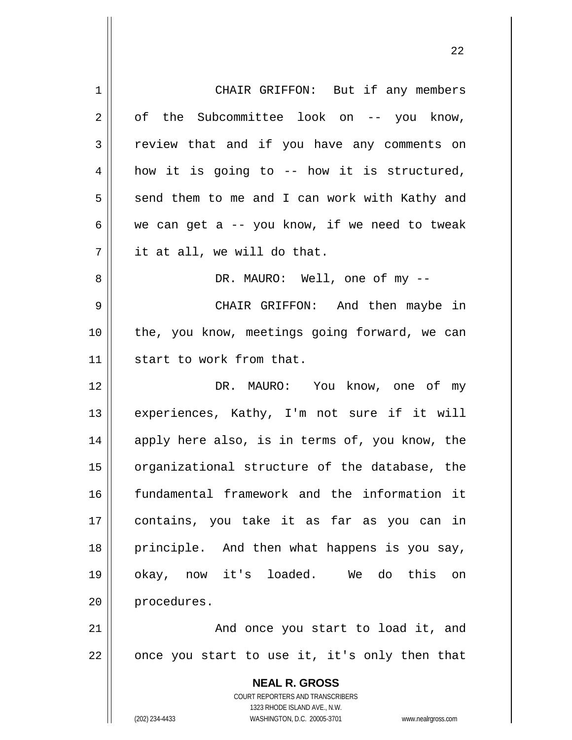| 1  | CHAIR GRIFFON: But if any members                                   |
|----|---------------------------------------------------------------------|
| 2  | of the Subcommittee look on -- you know,                            |
| 3  | review that and if you have any comments on                         |
| 4  | how it is going to -- how it is structured,                         |
| 5  | send them to me and I can work with Kathy and                       |
| 6  | we can get a $-$ you know, if we need to tweak                      |
| 7  | it at all, we will do that.                                         |
| 8  | DR. MAURO: Well, one of my --                                       |
| 9  | CHAIR GRIFFON: And then maybe in                                    |
| 10 | the, you know, meetings going forward, we can                       |
| 11 | start to work from that.                                            |
| 12 | DR. MAURO: You know, one of my                                      |
| 13 | experiences, Kathy, I'm not sure if it will                         |
| 14 | apply here also, is in terms of, you know, the                      |
| 15 | organizational structure of the database, the                       |
| 16 | fundamental framework and the information it                        |
| 17 | contains, you take it as far as you can in                          |
| 18 | principle. And then what happens is you say,                        |
| 19 | okay, now it's loaded. We do this on                                |
| 20 | procedures.                                                         |
| 21 | And once you start to load it, and                                  |
| 22 | once you start to use it, it's only then that                       |
|    |                                                                     |
|    | <b>NEAL R. GROSS</b><br>COURT REPORTERS AND TRANSCRIBERS            |
|    | 1323 RHODE ISLAND AVE., N.W.                                        |
|    | (202) 234-4433<br>WASHINGTON, D.C. 20005-3701<br>www.nealrgross.com |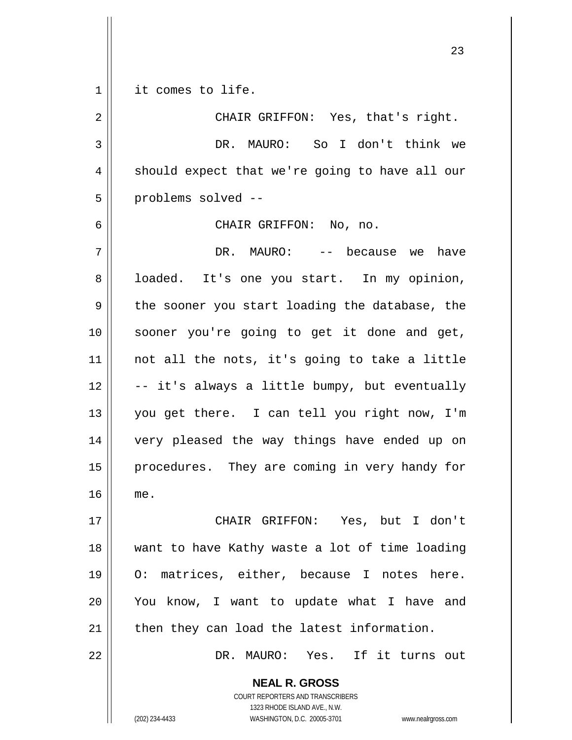1 || it comes to life.

2 || CHAIR GRIFFON: Yes, that's right. DR. MAURO: So I don't think we  $4 \parallel$  should expect that we're going to have all our problems solved --

CHAIR GRIFFON: No, no.

 DR. MAURO: -- because we have 8 || loaded. It's one you start. In my opinion,  $9 \parallel$  the sooner you start loading the database, the sooner you're going to get it done and get, not all the nots, it's going to take a little  $\vert$  -- it's always a little bumpy, but eventually you get there. I can tell you right now, I'm very pleased the way things have ended up on 15 || procedures. They are coming in very handy for me.

 CHAIR GRIFFON: Yes, but I don't want to have Kathy waste a lot of time loading O: matrices, either, because I notes here. You know, I want to update what I have and | then they can load the latest information.

DR. MAURO: Yes. If it turns out

**NEAL R. GROSS** COURT REPORTERS AND TRANSCRIBERS

1323 RHODE ISLAND AVE., N.W.

(202) 234-4433 WASHINGTON, D.C. 20005-3701 www.nealrgross.com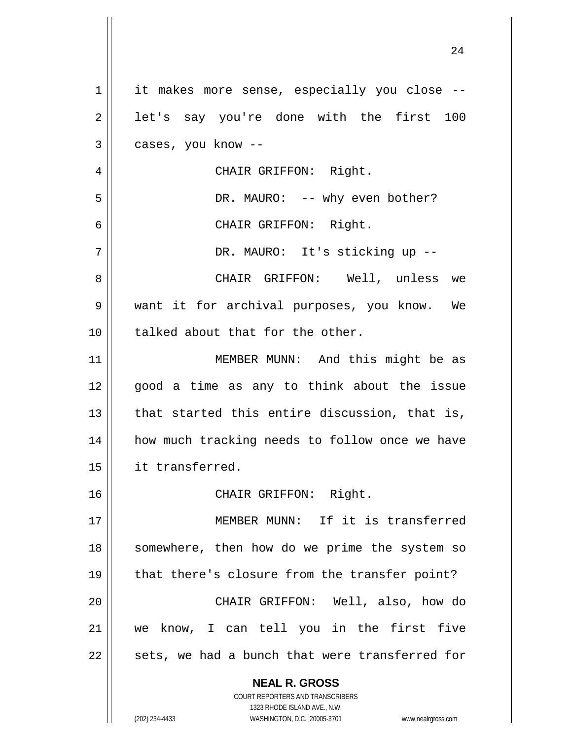**NEAL R. GROSS** COURT REPORTERS AND TRANSCRIBERS 1323 RHODE ISLAND AVE., N.W. (202) 234-4433 WASHINGTON, D.C. 20005-3701 www.nealrgross.com 1 || it makes more sense, especially you close -- $2 \parallel$  let's say you're done with the first 100  $3 \parallel$  cases, you know --4 || CHAIR GRIFFON: Right. 5 DR. MAURO: -- why even bother? 6 CHAIR GRIFFON: Right. 7 || DR. MAURO: It's sticking up --8 CHAIR GRIFFON: Well, unless we 9 || want it for archival purposes, you know. We 10 || talked about that for the other. 11 || MEMBER MUNN: And this might be as 12 good a time as any to think about the issue  $13$  || that started this entire discussion, that is, 14 || how much tracking needs to follow once we have 15 it transferred. 16 CHAIR GRIFFON: Right. 17 MEMBER MUNN: If it is transferred 18 || somewhere, then how do we prime the system so 19 || that there's closure from the transfer point? 20 CHAIR GRIFFON: Well, also, how do 21 we know, I can tell you in the first five  $22$  || sets, we had a bunch that were transferred for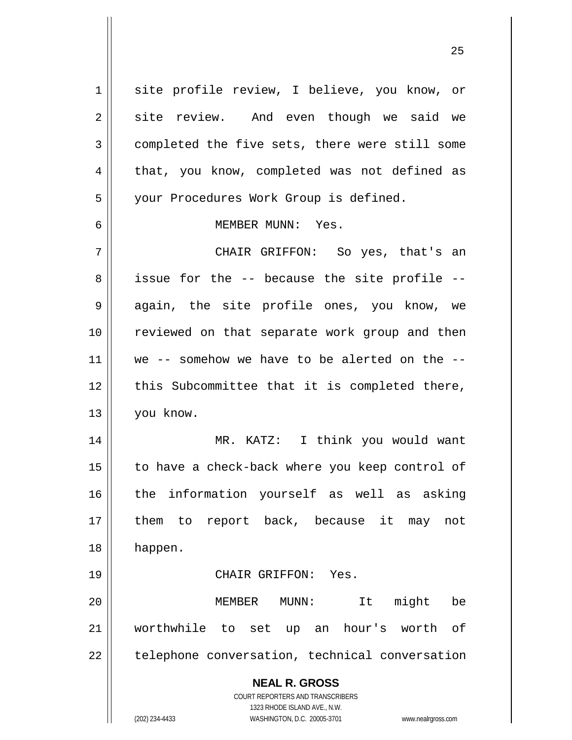**NEAL R. GROSS** COURT REPORTERS AND TRANSCRIBERS 1323 RHODE ISLAND AVE., N.W. (202) 234-4433 WASHINGTON, D.C. 20005-3701 www.nealrgross.com 1 || site profile review, I believe, you know, or  $2 \parallel$  site review. And even though we said we 3 completed the five sets, there were still some  $4 \parallel$  that, you know, completed was not defined as 5 your Procedures Work Group is defined. 6 MEMBER MUNN: Yes. 7 CHAIR GRIFFON: So yes, that's an 8 || issue for the -- because the site profile --9 || again, the site profile ones, you know, we 10 reviewed on that separate work group and then 11 || we -- somehow we have to be alerted on the  $-$ -12 || this Subcommittee that it is completed there, 13 you know. 14 MR. KATZ: I think you would want 15 || to have a check-back where you keep control of 16 || the information yourself as well as asking 17 || them to report back, because it may not 18 happen. 19 CHAIR GRIFFON: Yes. 20 MEMBER MUNN: It might be 21 worthwhile to set up an hour's worth of  $22$  | telephone conversation, technical conversation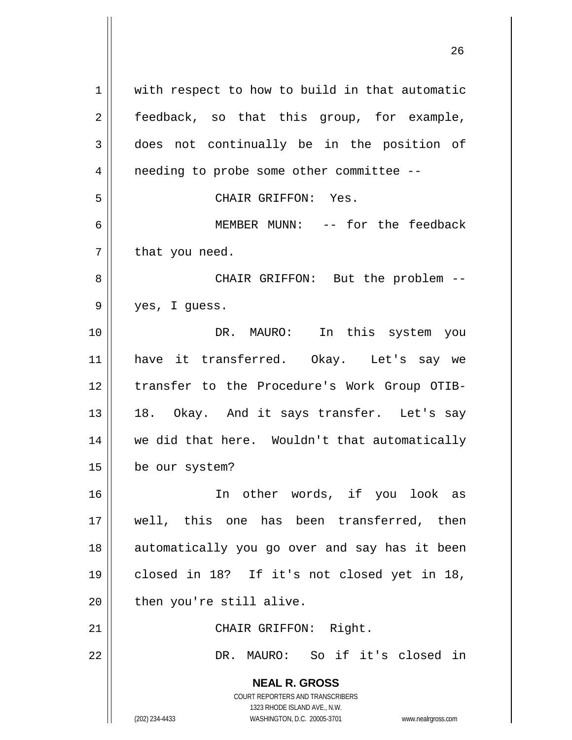**NEAL R. GROSS** COURT REPORTERS AND TRANSCRIBERS 1323 RHODE ISLAND AVE., N.W. (202) 234-4433 WASHINGTON, D.C. 20005-3701 www.nealrgross.com 1 || with respect to how to build in that automatic 2 || feedback, so that this group, for example, 3 does not continually be in the position of 4 || needing to probe some other committee --5 CHAIR GRIFFON: Yes. 6 MEMBER MUNN: -- for the feedback  $7 \parallel$  that you need. 8 CHAIR GRIFFON: But the problem -- 9 yes, I guess. 10 || The U.S. MAURO: In this system you 11 have it transferred. Okay. Let's say we 12 || transfer to the Procedure's Work Group OTIB-13 || 18. Okay. And it says transfer. Let's say 14 || we did that here. Wouldn't that automatically 15 be our system? 16 In other words, if you look as 17 well, this one has been transferred, then 18 || automatically you go over and say has it been 19 closed in 18? If it's not closed yet in 18,  $20$  | then you're still alive. 21 || CHAIR GRIFFON: Right. 22 DR. MAURO: So if it's closed in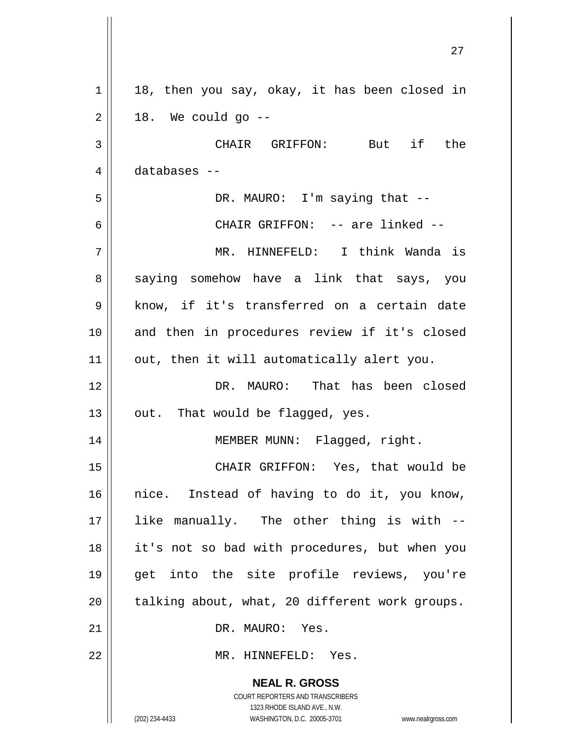|    | 27                                                                  |
|----|---------------------------------------------------------------------|
| 1  | 18, then you say, okay, it has been closed in                       |
| 2  | 18. We could go --                                                  |
| 3  | CHAIR GRIFFON: But if the                                           |
| 4  | databases --                                                        |
| 5  | DR. MAURO: I'm saying that --                                       |
| 6  | CHAIR GRIFFON: -- are linked --                                     |
| 7  | MR. HINNEFELD: I think Wanda is                                     |
| 8  | saying somehow have a link that says, you                           |
| 9  | know, if it's transferred on a certain date                         |
| 10 | and then in procedures review if it's closed                        |
| 11 | out, then it will automatically alert you.                          |
| 12 | DR. MAURO: That has been closed                                     |
| 13 | out. That would be flagged, yes.                                    |
| 14 | MEMBER MUNN: Flagged, right.                                        |
| 15 | CHAIR GRIFFON: Yes, that would be                                   |
| 16 | nice. Instead of having to do it, you know,                         |
| 17 | like manually. The other thing is with --                           |
| 18 | it's not so bad with procedures, but when you                       |
| 19 | get into the site profile reviews, you're                           |
| 20 | talking about, what, 20 different work groups.                      |
| 21 | DR. MAURO: Yes.                                                     |
| 22 | MR. HINNEFELD: Yes.                                                 |
|    | <b>NEAL R. GROSS</b><br>COURT REPORTERS AND TRANSCRIBERS            |
|    | 1323 RHODE ISLAND AVE., N.W.                                        |
|    | (202) 234-4433<br>WASHINGTON, D.C. 20005-3701<br>www.nealrgross.com |

 $\mathsf{l}$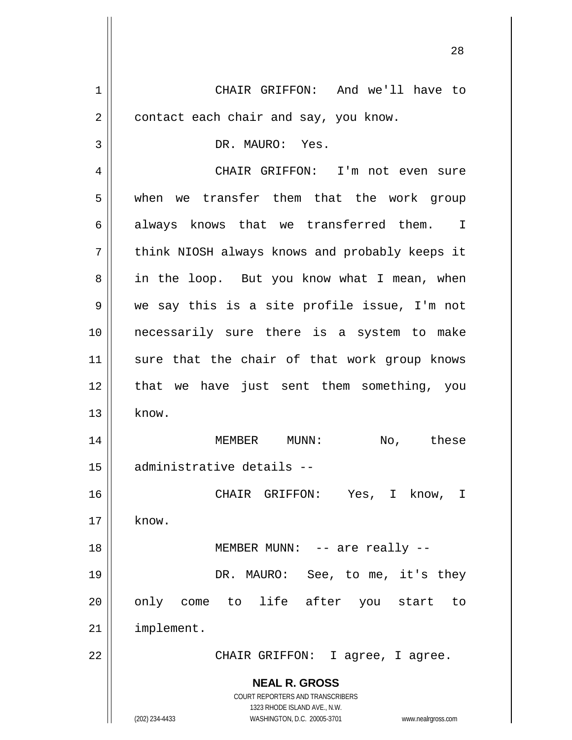**NEAL R. GROSS** COURT REPORTERS AND TRANSCRIBERS 1323 RHODE ISLAND AVE., N.W. (202) 234-4433 WASHINGTON, D.C. 20005-3701 www.nealrgross.com 1 CHAIR GRIFFON: And we'll have to  $2 \parallel$  contact each chair and say, you know. 3 || DR. MAURO: Yes. 4 CHAIR GRIFFON: I'm not even sure 5 when we transfer them that the work group  $6 \parallel$  always knows that we transferred them. I 7 || think NIOSH always knows and probably keeps it 8 || in the loop. But you know what I mean, when 9 we say this is a site profile issue, I'm not 10 necessarily sure there is a system to make 11 || sure that the chair of that work group knows 12 || that we have just sent them something, you  $13 \parallel$  know. 14 MEMBER MUNN: No, these 15 administrative details -- 16 CHAIR GRIFFON: Yes, I know, I  $17 \parallel$  know. 18 || MEMBER MUNN: -- are really --19 DR. MAURO: See, to me, it's they 20 || only come to life after you start to 21 implement. 22 || CHAIR GRIFFON: I agree, I agree.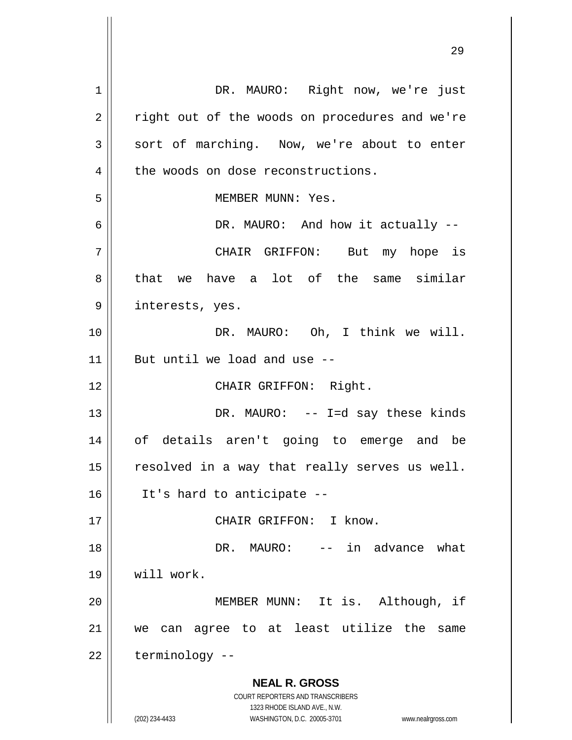**NEAL R. GROSS** COURT REPORTERS AND TRANSCRIBERS 1323 RHODE ISLAND AVE., N.W. (202) 234-4433 WASHINGTON, D.C. 20005-3701 www.nealrgross.com 1 || DR. MAURO: Right now, we're just  $2 \parallel$  right out of the woods on procedures and we're  $3 \parallel$  sort of marching. Now, we're about to enter 4 the woods on dose reconstructions. 5 || MEMBER MUNN: Yes. 6 DR. MAURO: And how it actually -- 7 CHAIR GRIFFON: But my hope is 8 that we have a lot of the same similar 9 || interests, yes. 10 || DR. MAURO: Oh, I think we will.  $11$  | But until we load and use  $-$ 12 || CHAIR GRIFFON: Right. 13 || DR. MAURO: -- I=d say these kinds 14 of details aren't going to emerge and be  $15$  resolved in a way that really serves us well.  $16$  || It's hard to anticipate --17 || CHAIR GRIFFON: I know. 18 DR. MAURO: -- in advance what 19 will work. 20 MEMBER MUNN: It is. Although, if 21 we can agree to at least utilize the same  $22$  | terminology --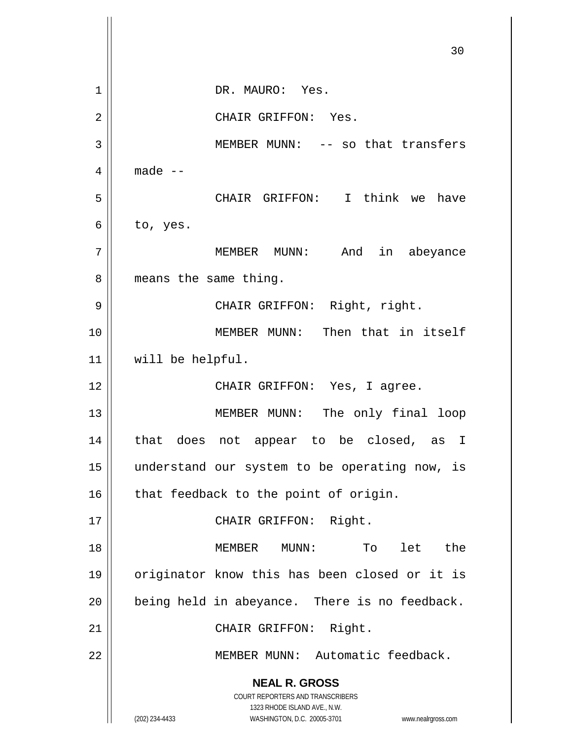**NEAL R. GROSS** COURT REPORTERS AND TRANSCRIBERS 1323 RHODE ISLAND AVE., N.W. (202) 234-4433 WASHINGTON, D.C. 20005-3701 www.nealrgross.com 30 1 || DR. MAURO: Yes. 2 || CHAIR GRIFFON: Yes. 3 || MEMBER MUNN: -- so that transfers  $4 \parallel$  made  $-$ 5 CHAIR GRIFFON: I think we have  $6 \parallel$  to, yes. 7 MEMBER MUNN: And in abeyance 8 | means the same thing. 9 CHAIR GRIFFON: Right, right. 10 MEMBER MUNN: Then that in itself 11 will be helpful. 12 || CHAIR GRIFFON: Yes, I agree. 13 || MEMBER MUNN: The only final loop 14 that does not appear to be closed, as I 15 understand our system to be operating now, is  $16$  that feedback to the point of origin. 17 || CHAIR GRIFFON: Right. 18 MEMBER MUNN: To let the 19 originator know this has been closed or it is  $20$  | being held in abeyance. There is no feedback. 21 || CHAIR GRIFFON: Right. 22 MEMBER MUNN: Automatic feedback.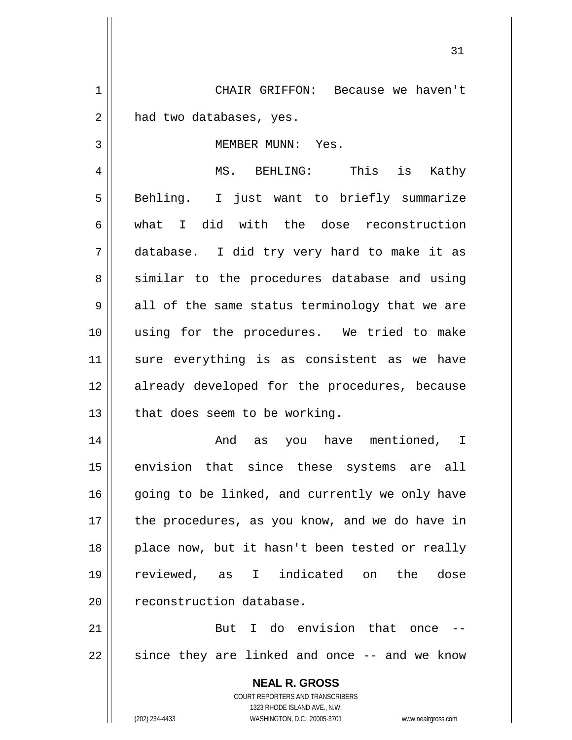1 CHAIR GRIFFON: Because we haven't  $2 \parallel$  had two databases, yes.

#### 3 || MEMBER MUNN: Yes.

4 MS. BEHLING: This is Kathy 5 || Behling. I just want to briefly summarize 6 what I did with the dose reconstruction 7 database. I did try very hard to make it as 8 || similar to the procedures database and using  $9 \parallel$  all of the same status terminology that we are 10 using for the procedures. We tried to make 11 sure everything is as consistent as we have 12 || already developed for the procedures, because  $13$  | that does seem to be working.

14 And as you have mentioned, I 15 || envision that since these systems are all 16 || going to be linked, and currently we only have 17 || the procedures, as you know, and we do have in 18 || place now, but it hasn't been tested or really 19 reviewed, as I indicated on the dose 20 | reconstruction database.

21  $\parallel$  But I do envision that once  $22 \parallel$  since they are linked and once -- and we know

> **NEAL R. GROSS** COURT REPORTERS AND TRANSCRIBERS 1323 RHODE ISLAND AVE., N.W. (202) 234-4433 WASHINGTON, D.C. 20005-3701 www.nealrgross.com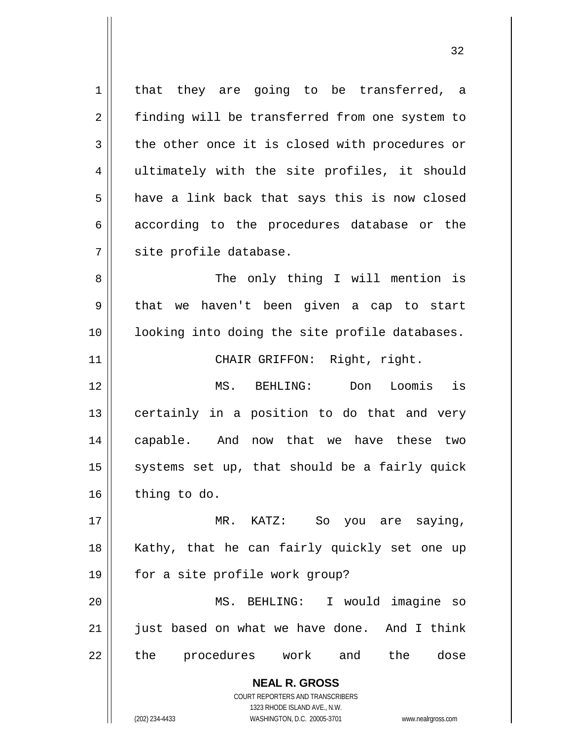$1 \parallel$  that they are going to be transferred, a 2 | finding will be transferred from one system to  $3 \parallel$  the other once it is closed with procedures or 4 ultimately with the site profiles, it should  $5 \parallel$  have a link back that says this is now closed  $6 \parallel$  according to the procedures database or the 7 || site profile database.

8 || The only thing I will mention is  $9 \parallel$  that we haven't been given a cap to start 10 looking into doing the site profile databases.

11 || CHAIR GRIFFON: Right, right.

 MS. BEHLING: Don Loomis is certainly in a position to do that and very capable. And now that we have these two  $\parallel$  systems set up, that should be a fairly quick thing to do.

17 MR. KATZ: So you are saying, 18 || Kathy, that he can fairly quickly set one up 19 for a site profile work group? 20 MS. BEHLING: I would imagine so 21 || just based on what we have done. And I think 22 || the procedures work and the dose

> **NEAL R. GROSS** COURT REPORTERS AND TRANSCRIBERS

> > 1323 RHODE ISLAND AVE., N.W.

(202) 234-4433 WASHINGTON, D.C. 20005-3701 www.nealrgross.com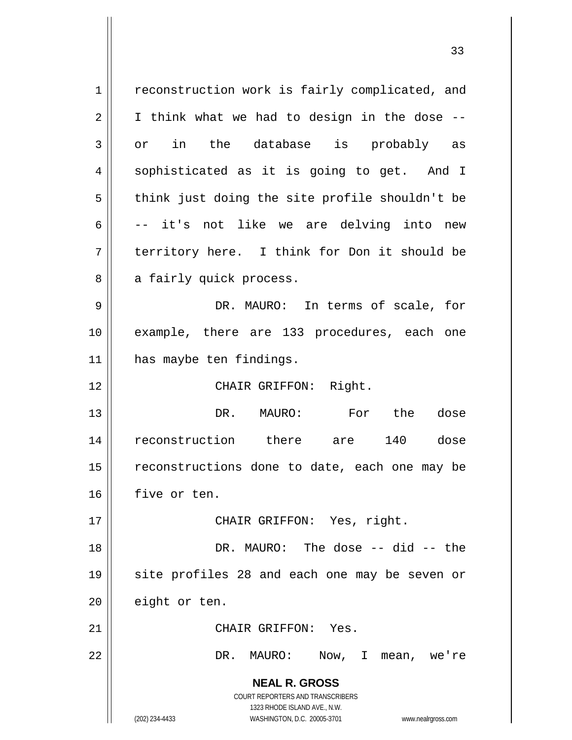**NEAL R. GROSS** COURT REPORTERS AND TRANSCRIBERS 1323 RHODE ISLAND AVE., N.W. (202) 234-4433 WASHINGTON, D.C. 20005-3701 www.nealrgross.com 1 | reconstruction work is fairly complicated, and  $2 \parallel$  I think what we had to design in the dose -- $3 \parallel$  or in the database is probably as 4 || sophisticated as it is going to get. And I  $5$  || think just doing the site profile shouldn't be  $6 \parallel$  -- it's not like we are delving into new 7 || territory here. I think for Don it should be 8 || a fairly quick process. 9 DR. MAURO: In terms of scale, for 10 || example, there are 133 procedures, each one 11 | has maybe ten findings. 12 || CHAIR GRIFFON: Right. 13 DR. MAURO: For the dose 14 reconstruction there are 140 dose 15 || reconstructions done to date, each one may be 16 | five or ten. 17 || CHAIR GRIFFON: Yes, right. 18 DR. MAURO: The dose -- did -- the 19 || site profiles 28 and each one may be seven or 20 | eight or ten. 21 | CHAIR GRIFFON: Yes. 22 DR. MAURO: Now, I mean, we're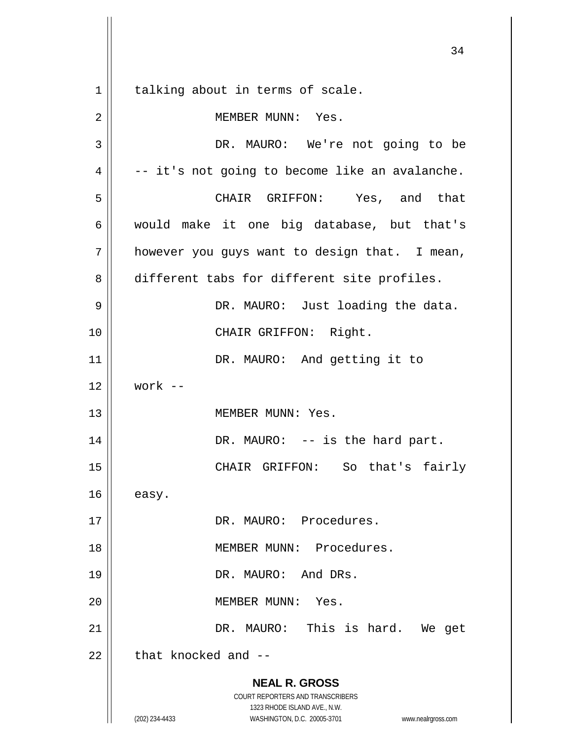**NEAL R. GROSS** COURT REPORTERS AND TRANSCRIBERS 1323 RHODE ISLAND AVE., N.W. (202) 234-4433 WASHINGTON, D.C. 20005-3701 www.nealrgross.com 1 || talking about in terms of scale. 2 || MEMBER MUNN: Yes. 3 || DR. MAURO: We're not going to be  $4 \parallel$  -- it's not going to become like an avalanche. 5 CHAIR GRIFFON: Yes, and that 6 would make it one big database, but that's  $7 \parallel$  however you guys want to design that. I mean, 8 different tabs for different site profiles. 9 DR. MAURO: Just loading the data. 10 || CHAIR GRIFFON: Right. 11 | DR. MAURO: And getting it to  $12 \parallel$  work --13 || MEMBER MUNN: Yes. 14 || DR. MAURO: -- is the hard part. 15 CHAIR GRIFFON: So that's fairly  $16$  easy. 17 || DR. MAURO: Procedures. 18 MEMBER MUNN: Procedures. 19 || DR. MAURO: And DRs. 20 MEMBER MUNN: Yes. 21 DR. MAURO: This is hard. We get  $22$  | that knocked and  $-$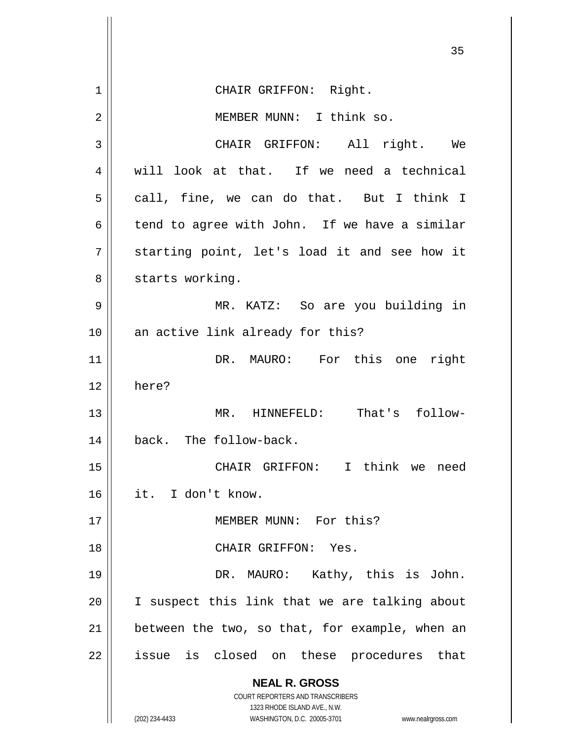**NEAL R. GROSS** COURT REPORTERS AND TRANSCRIBERS 1323 RHODE ISLAND AVE., N.W. (202) 234-4433 WASHINGTON, D.C. 20005-3701 www.nealrgross.com 35 1 || CHAIR GRIFFON: Right. 2 || MEMBER MUNN: I think so. 3 CHAIR GRIFFON: All right. We 4 || will look at that. If we need a technical  $5 \parallel$  call, fine, we can do that. But I think I 6  $\parallel$  tend to agree with John. If we have a similar 7 || starting point, let's load it and see how it 8 | starts working. 9 MR. KATZ: So are you building in 10 || an active link already for this? 11 DR. MAURO: For this one right 12 here? 13 MR. HINNEFELD: That's follow-14 | back. The follow-back. 15 CHAIR GRIFFON: I think we need 16 it. I don't know. 17 MEMBER MUNN: For this? 18 CHAIR GRIFFON: Yes. 19 DR. MAURO: Kathy, this is John. 20 || I suspect this link that we are talking about  $21$  | between the two, so that, for example, when an 22 || issue is closed on these procedures that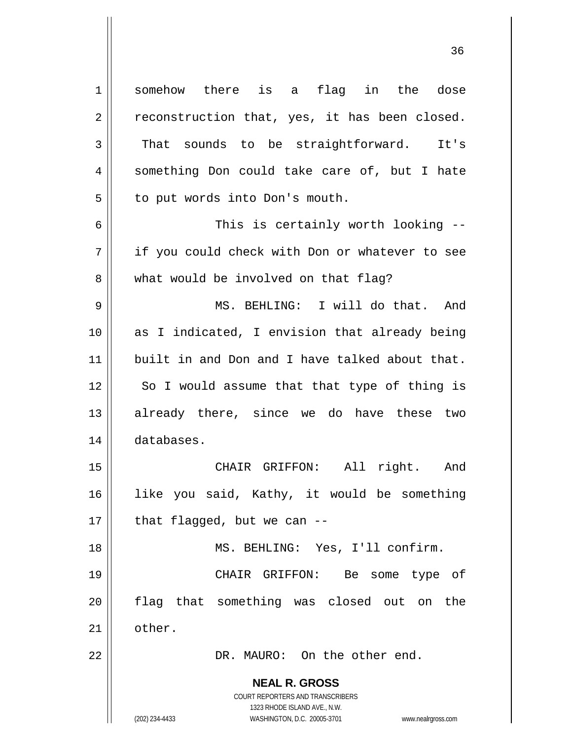**NEAL R. GROSS** COURT REPORTERS AND TRANSCRIBERS 1323 RHODE ISLAND AVE., N.W. (202) 234-4433 WASHINGTON, D.C. 20005-3701 www.nealrgross.com 1 || somehow there is a flag in the dose  $2 \parallel$  reconstruction that, yes, it has been closed.  $3 \parallel$  That sounds to be straightforward. It's 4 || something Don could take care of, but I hate 5 | to put words into Don's mouth. 6 This is certainly worth looking -- 7 || if you could check with Don or whatever to see 8 what would be involved on that flag? 9 MS. BEHLING: I will do that. And 10 || as I indicated, I envision that already being 11 built in and Don and I have talked about that.  $12$  || So I would assume that that type of thing is 13 already there, since we do have these two 14 databases. 15 || CHAIR GRIFFON: All right. And 16 like you said, Kathy, it would be something  $17$  | that flagged, but we can --18 || MS. BEHLING: Yes, I'll confirm. 19 CHAIR GRIFFON: Be some type of 20 flag that something was closed out on the 21 | other. 22 DR. MAURO: On the other end.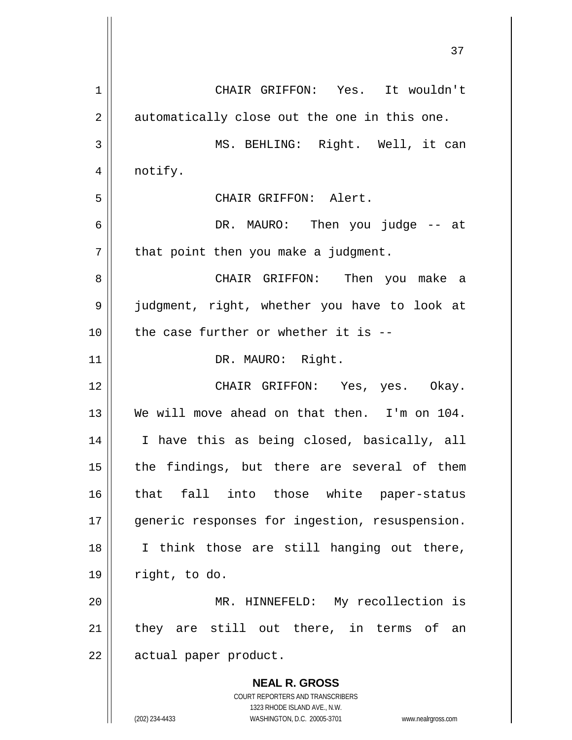**NEAL R. GROSS** COURT REPORTERS AND TRANSCRIBERS 1 CHAIR GRIFFON: Yes. It wouldn't  $2 \parallel$  automatically close out the one in this one. 3 MS. BEHLING: Right. Well, it can 4 | notify. 5 CHAIR GRIFFON: Alert. 6 DR. MAURO: Then you judge -- at  $7 \parallel$  that point then you make a judgment. 8 CHAIR GRIFFON: Then you make a 9 || judgment, right, whether you have to look at  $10$  | the case further or whether it is --11 || DR. MAURO: Right. 12 CHAIR GRIFFON: Yes, yes. Okay. 13 We will move ahead on that then. I'm on 104. 14 I have this as being closed, basically, all  $15$  the findings, but there are several of them 16 that fall into those white paper-status 17 || generic responses for ingestion, resuspension. 18 || I think those are still hanging out there,  $19 \parallel$  right, to do. 20 MR. HINNEFELD: My recollection is 21 || they are still out there, in terms of an 22 | actual paper product.

1323 RHODE ISLAND AVE., N.W.

(202) 234-4433 WASHINGTON, D.C. 20005-3701 www.nealrgross.com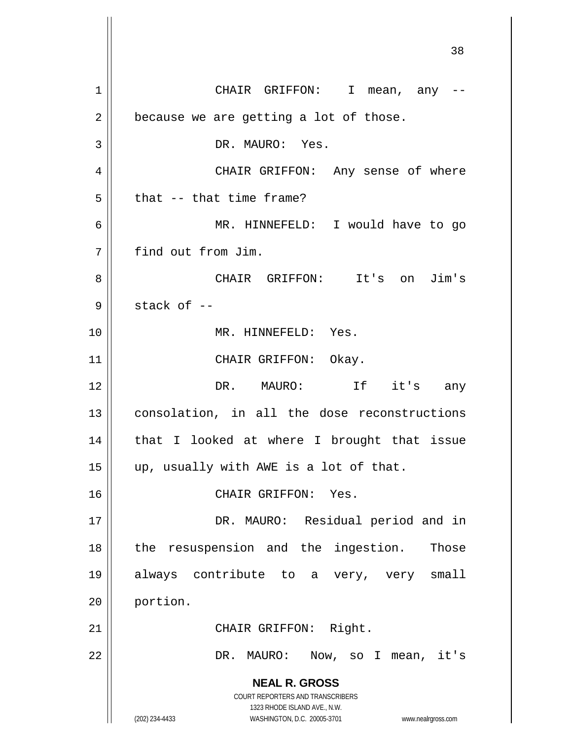**NEAL R. GROSS** COURT REPORTERS AND TRANSCRIBERS 1323 RHODE ISLAND AVE., N.W. (202) 234-4433 WASHINGTON, D.C. 20005-3701 www.nealrgross.com 38 1 CHAIR GRIFFON: I mean, any --  $2 \parallel$  because we are getting a lot of those. 3 || DR. MAURO: Yes. 4 CHAIR GRIFFON: Any sense of where  $5$  || that -- that time frame? 6 MR. HINNEFELD: I would have to go 7 find out from Jim. 8 CHAIR GRIFFON: It's on Jim's  $9 \parallel$  stack of  $-$ 10 MR. HINNEFELD: Yes. 11 || CHAIR GRIFFON: Okay. 12 || DR. MAURO: If it's any 13 || consolation, in all the dose reconstructions  $14$  | that I looked at where I brought that issue 15  $\parallel$  up, usually with AWE is a lot of that. 16 || CHAIR GRIFFON: Yes. 17 || DR. MAURO: Residual period and in 18 || the resuspension and the ingestion. Those 19 always contribute to a very, very small 20 portion. 21 || CHAIR GRIFFON: Right. 22 DR. MAURO: Now, so I mean, it's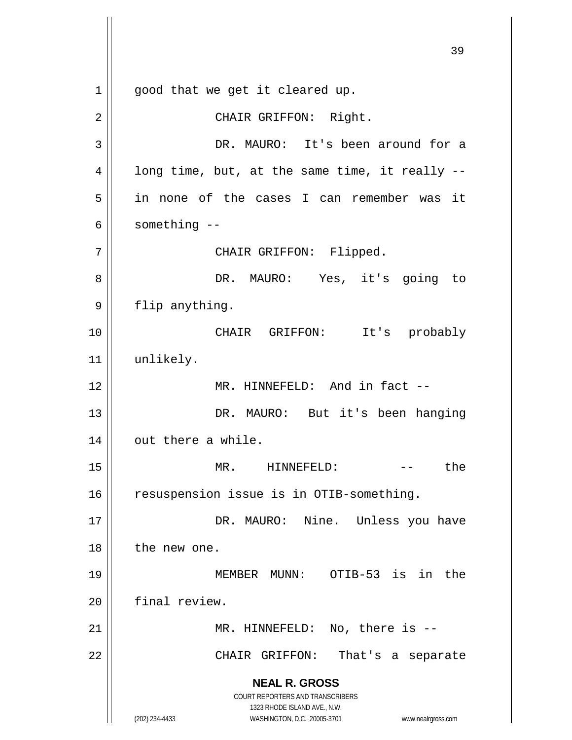**NEAL R. GROSS** COURT REPORTERS AND TRANSCRIBERS 1323 RHODE ISLAND AVE., N.W. (202) 234-4433 WASHINGTON, D.C. 20005-3701 www.nealrgross.com 39  $1 \parallel$  good that we get it cleared up. 2 || CHAIR GRIFFON: Right. 3 DR. MAURO: It's been around for a  $4 \parallel$  long time, but, at the same time, it really --5 in none of the cases I can remember was it  $6 \parallel$  something  $-$ 7 || CHAIR GRIFFON: Flipped. 8 DR. MAURO: Yes, it's going to 9 || flip anything. 10 CHAIR GRIFFON: It's probably 11 || unlikely. 12 || MR. HINNEFELD: And in fact --13 || DR. MAURO: But it's been hanging  $14$  || out there a while. 15 || MR. HINNEFELD: -- the 16 | resuspension issue is in OTIB-something. 17 DR. MAURO: Nine. Unless you have 18 || the new one. 19 MEMBER MUNN: OTIB-53 is in the 20 final review. 21 || MR. HINNEFELD: No, there is --22 CHAIR GRIFFON: That's a separate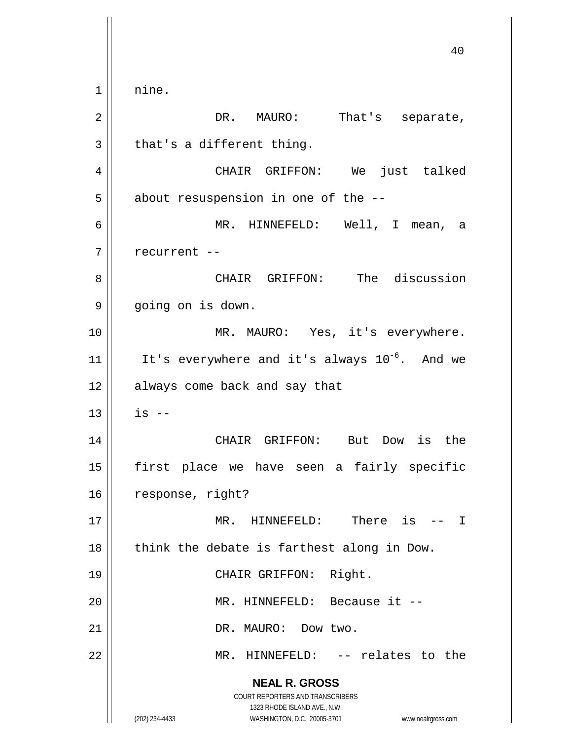**NEAL R. GROSS** COURT REPORTERS AND TRANSCRIBERS 1323 RHODE ISLAND AVE., N.W. (202) 234-4433 WASHINGTON, D.C. 20005-3701 www.nealrgross.com 40 1 || nine. 2 || DR. MAURO: That's separate,  $3 \parallel$  that's a different thing. 4 CHAIR GRIFFON: We just talked  $5 \parallel$  about resuspension in one of the  $-$ -6 MR. HINNEFELD: Well, I mean, a  $7$  | recurrent --8 CHAIR GRIFFON: The discussion 9 || going on is down. 10 || MR. MAURO: Yes, it's everywhere. 11  $\parallel$  It's everywhere and it's always 10<sup>-6</sup>. And we 12 || always come back and say that  $13$  || is --14 CHAIR GRIFFON: But Dow is the 15 first place we have seen a fairly specific 16 | response, right? 17 MR. HINNEFELD: There is -- I  $18$  | think the debate is farthest along in Dow. 19 || CHAIR GRIFFON: Right. 20 MR. HINNEFELD: Because it -- 21 | DR. MAURO: Dow two. 22 || MR. HINNEFELD: -- relates to the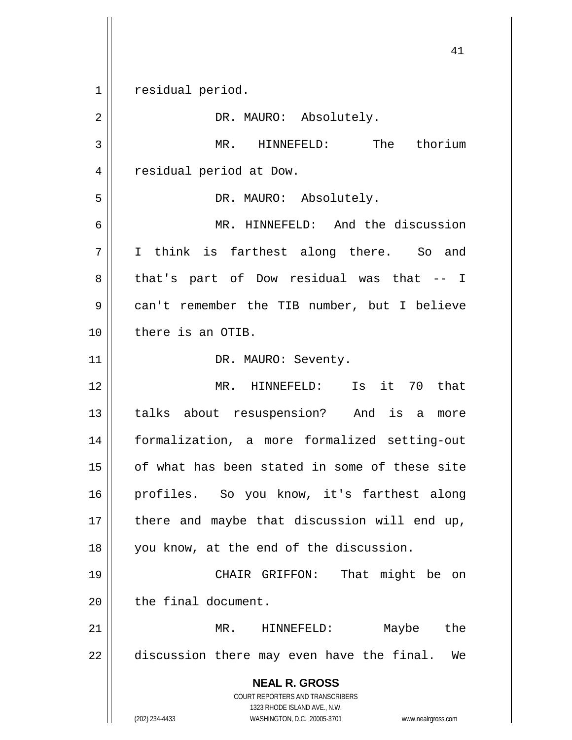1 | residual period.

**NEAL R. GROSS** COURT REPORTERS AND TRANSCRIBERS 1323 RHODE ISLAND AVE., N.W. (202) 234-4433 WASHINGTON, D.C. 20005-3701 www.nealrgross.com 2 | DR. MAURO: Absolutely. 3 || MR. HINNEFELD: The thorium 4 | residual period at Dow. 5 || DR. MAURO: Absolutely. 6 MR. HINNEFELD: And the discussion 7 I think is farthest along there. So and 8 that's part of Dow residual was that -- I 9 | can't remember the TIB number, but I believe 10 || there is an OTIB. 11 || DR. MAURO: Seventy. 12 MR. HINNEFELD: Is it 70 that 13 || talks about resuspension? And is a more 14 formalization, a more formalized setting-out 15 of what has been stated in some of these site 16 profiles. So you know, it's farthest along 17 || there and maybe that discussion will end up, 18 || you know, at the end of the discussion. 19 CHAIR GRIFFON: That might be on 20 l the final document. 21 || MR. HINNEFELD: Maybe the  $22$  || discussion there may even have the final. We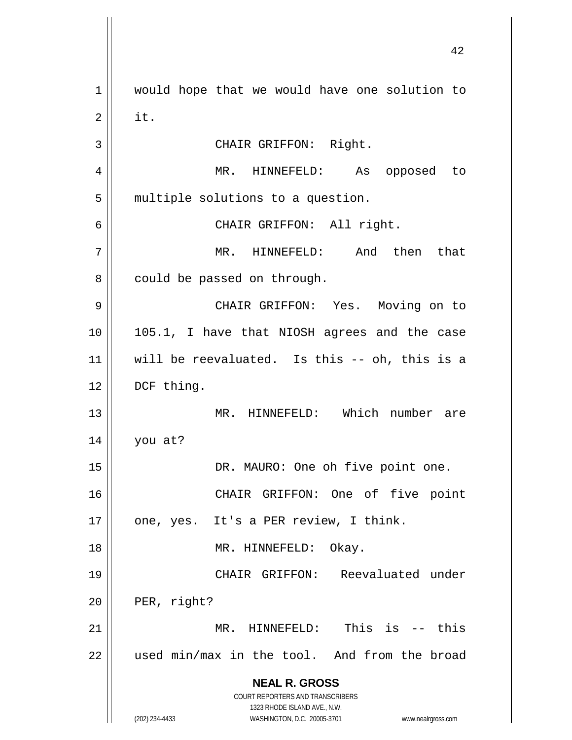**NEAL R. GROSS** COURT REPORTERS AND TRANSCRIBERS 1323 RHODE ISLAND AVE., N.W. (202) 234-4433 WASHINGTON, D.C. 20005-3701 www.nealrgross.com 1 | would hope that we would have one solution to  $2 \parallel$  it. 3 || CHAIR GRIFFON: Right. 4 MR. HINNEFELD: As opposed to  $5$  || multiple solutions to a question. 6 CHAIR GRIFFON: All right. 7 MR. HINNEFELD: And then that  $8 \parallel$  could be passed on through. 9 CHAIR GRIFFON: Yes. Moving on to 10 || 105.1, I have that NIOSH agrees and the case 11 will be reevaluated. Is this -- oh, this is a 12 | DCF thing. 13 || MR. HINNEFELD: Which number are 14 you at? 15 || DR. MAURO: One oh five point one. 16 CHAIR GRIFFON: One of five point 17 || one, yes. It's a PER review, I think. 18 || MR. HINNEFELD: Okay. 19 CHAIR GRIFFON: Reevaluated under  $20$  | PER, right? 21 MR. HINNEFELD: This is -- this  $22$  || used min/max in the tool. And from the broad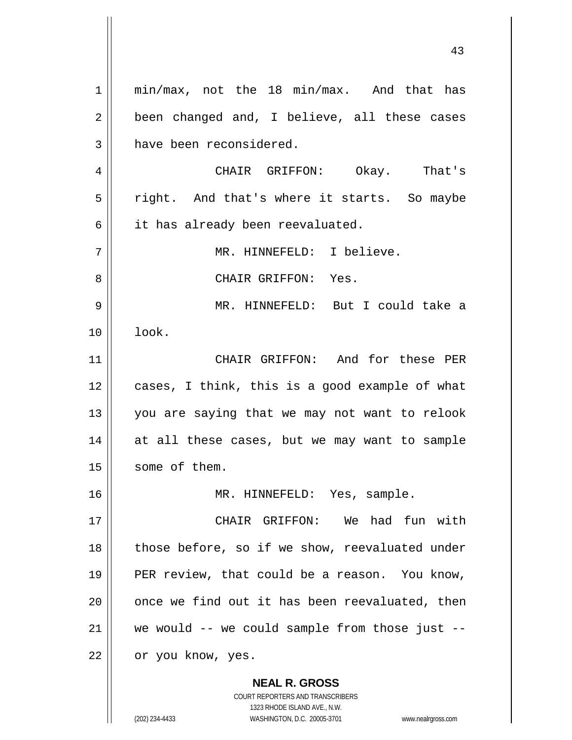**NEAL R. GROSS** 1 || min/max, not the 18 min/max. And that has  $2 \parallel$  been changed and, I believe, all these cases 3 | have been reconsidered. 4 CHAIR GRIFFON: Okay. That's 5 || right. And that's where it starts. So maybe  $6 \parallel$  it has already been reevaluated. 7 || MR. HINNEFELD: I believe. 8 CHAIR GRIFFON: Yes. 9 MR. HINNEFELD: But I could take a 10 look. 11 || CHAIR GRIFFON: And for these PER  $12$  | cases, I think, this is a good example of what 13 || you are saying that we may not want to relook 14 || at all these cases, but we may want to sample 15 | some of them. 16 MR. HINNEFELD: Yes, sample. 17 CHAIR GRIFFON: We had fun with  $18$  || those before, so if we show, reevaluated under 19 || PER review, that could be a reason. You know,  $20$  || once we find out it has been reevaluated, then  $21$  we would -- we could sample from those just --22 | or you know, yes.

> COURT REPORTERS AND TRANSCRIBERS 1323 RHODE ISLAND AVE., N.W.

(202) 234-4433 WASHINGTON, D.C. 20005-3701 www.nealrgross.com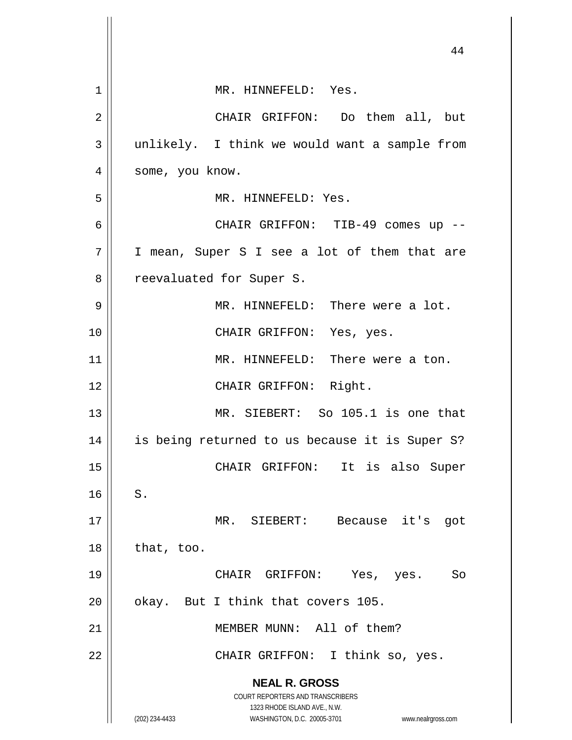|                | 44                                                                  |
|----------------|---------------------------------------------------------------------|
| $\mathbf 1$    | MR. HINNEFELD: Yes.                                                 |
| $\overline{2}$ | CHAIR GRIFFON: Do them all, but                                     |
| 3              | unlikely. I think we would want a sample from                       |
| 4              | some, you know.                                                     |
| 5              | MR. HINNEFELD: Yes.                                                 |
| 6              | CHAIR GRIFFON: TIB-49 comes up --                                   |
| 7              | I mean, Super S I see a lot of them that are                        |
| 8              | reevaluated for Super S.                                            |
| 9              | MR. HINNEFELD: There were a lot.                                    |
| 10             | CHAIR GRIFFON: Yes, yes.                                            |
| 11             | MR. HINNEFELD: There were a ton.                                    |
| 12             | CHAIR GRIFFON: Right.                                               |
| 13             | MR. SIEBERT: So 105.1 is one that                                   |
| 14             | is being returned to us because it is Super S?                      |
| 15             | CHAIR GRIFFON: It is also Super                                     |
| 16             | S.                                                                  |
| 17             | MR. SIEBERT: Because it's got                                       |
| 18             | that, too.                                                          |
| 19             | CHAIR GRIFFON: Yes, yes.<br>So                                      |
| 20             | okay. But I think that covers 105.                                  |
| 21             | MEMBER MUNN: All of them?                                           |
| 22             | CHAIR GRIFFON: I think so, yes.                                     |
|                | <b>NEAL R. GROSS</b>                                                |
|                | COURT REPORTERS AND TRANSCRIBERS<br>1323 RHODE ISLAND AVE., N.W.    |
|                | (202) 234-4433<br>WASHINGTON, D.C. 20005-3701<br>www.nealrgross.com |

 $\mathbb{I}$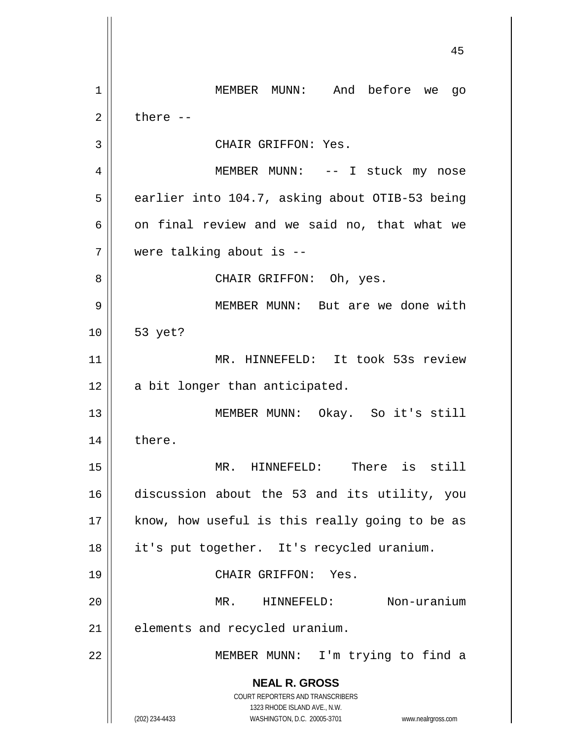**NEAL R. GROSS** COURT REPORTERS AND TRANSCRIBERS 1323 RHODE ISLAND AVE., N.W. (202) 234-4433 WASHINGTON, D.C. 20005-3701 www.nealrgross.com MEMBER MUNN: And before we go  $2 \parallel$  there  $-$ 3 | CHAIR GRIFFON: Yes. MEMBER MUNN: -- I stuck my nose  $5 \parallel$  earlier into 104.7, asking about OTIB-53 being  $\vert$  on final review and we said no, that what we were talking about is -- CHAIR GRIFFON: Oh, yes. MEMBER MUNN: But are we done with 53 yet? MR. HINNEFELD: It took 53s review  $12 \parallel$  a bit longer than anticipated. 13 || MEMBER MUNN: Okay. So it's still 14 | there. MR. HINNEFELD: There is still discussion about the 53 and its utility, you | know, how useful is this really going to be as it's put together. It's recycled uranium. CHAIR GRIFFON: Yes. MR. HINNEFELD: Non-uranium | elements and recycled uranium. MEMBER MUNN: I'm trying to find a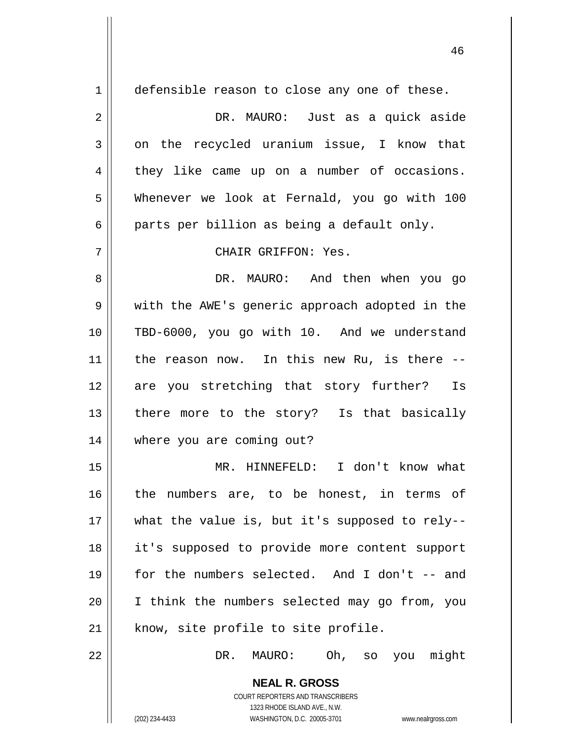**NEAL R. GROSS** 1 defensible reason to close any one of these. DR. MAURO: Just as a quick aside  $3 \parallel$  on the recycled uranium issue, I know that  $4 \parallel$  they like came up on a number of occasions. Whenever we look at Fernald, you go with 100  $6 \parallel$  parts per billion as being a default only. CHAIR GRIFFON: Yes. DR. MAURO: And then when you go 9 || with the AWE's generic approach adopted in the TBD-6000, you go with 10. And we understand || the reason now. In this new Ru, is there  $-$ -12 are you stretching that story further? Is 13 || there more to the story? Is that basically where you are coming out? MR. HINNEFELD: I don't know what 16 || the numbers are, to be honest, in terms of || what the value is, but it's supposed to rely-- it's supposed to provide more content support for the numbers selected. And I don't -- and I think the numbers selected may go from, you | know, site profile to site profile. DR. MAURO: Oh, so you might

> COURT REPORTERS AND TRANSCRIBERS 1323 RHODE ISLAND AVE., N.W.

(202) 234-4433 WASHINGTON, D.C. 20005-3701 www.nealrgross.com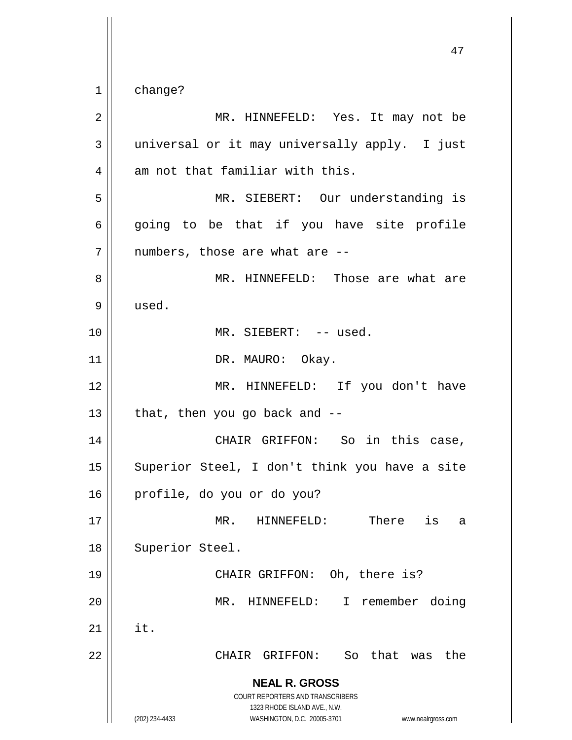1 change?

**NEAL R. GROSS** COURT REPORTERS AND TRANSCRIBERS 1323 RHODE ISLAND AVE., N.W. (202) 234-4433 WASHINGTON, D.C. 20005-3701 www.nealrgross.com 2 MR. HINNEFELD: Yes. It may not be  $3 \parallel$  universal or it may universally apply. I just  $4$  || am not that familiar with this. 5 MR. SIEBERT: Our understanding is  $6 \parallel$  going to be that if you have site profile  $7$  || numbers, those are what are  $-$ 8 MR. HINNEFELD: Those are what are  $9 \parallel$  used. 10 MR. SIEBERT: -- used. 11 || DR. MAURO: Okay. 12 || MR. HINNEFELD: If you don't have  $13$  | that, then you go back and  $-$ 14 CHAIR GRIFFON: So in this case, 15 || Superior Steel, I don't think you have a site 16 profile, do you or do you? 17 MR. HINNEFELD: There is a 18 | Superior Steel. 19 || CHAIR GRIFFON: Oh, there is? 20 MR. HINNEFELD: I remember doing  $21$   $\parallel$  it. 22 CHAIR GRIFFON: So that was the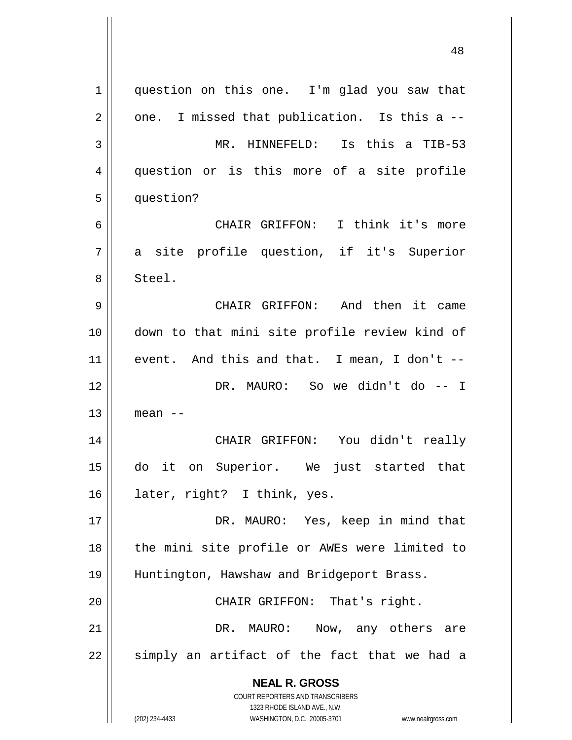**NEAL R. GROSS** COURT REPORTERS AND TRANSCRIBERS 1323 RHODE ISLAND AVE., N.W. 1 || question on this one. I'm glad you saw that  $2 \parallel$  one. I missed that publication. Is this a -- MR. HINNEFELD: Is this a TIB-53 4 question or is this more of a site profile 5 | question? CHAIR GRIFFON: I think it's more a site profile question, if it's Superior 8 || Steel. CHAIR GRIFFON: And then it came down to that mini site profile review kind of event. And this and that. I mean, I don't -- DR. MAURO: So we didn't do -- I mean  $-$  CHAIR GRIFFON: You didn't really do it on Superior. We just started that later, right? I think, yes. DR. MAURO: Yes, keep in mind that 18 || the mini site profile or AWEs were limited to Huntington, Hawshaw and Bridgeport Brass. CHAIR GRIFFON: That's right. DR. MAURO: Now, any others are simply an artifact of the fact that we had a

(202) 234-4433 WASHINGTON, D.C. 20005-3701 www.nealrgross.com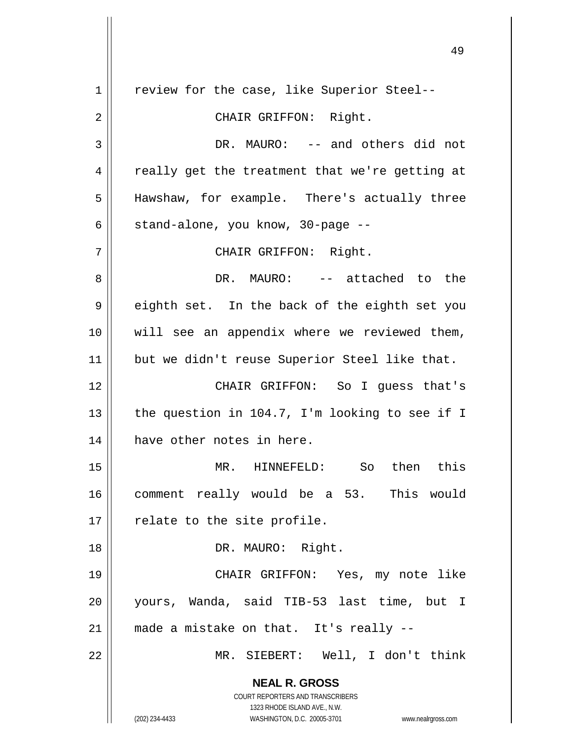**NEAL R. GROSS** COURT REPORTERS AND TRANSCRIBERS 1323 RHODE ISLAND AVE., N.W. (202) 234-4433 WASHINGTON, D.C. 20005-3701 www.nealrgross.com 1 || review for the case, like Superior Steel--2 || CHAIR GRIFFON: Right. 3 DR. MAURO: -- and others did not  $4 \parallel$  really get the treatment that we're getting at 5 || Hawshaw, for example. There's actually three  $6 \parallel$  stand-alone, you know, 30-page --7 CHAIR GRIFFON: Right. 8 DR. MAURO: -- attached to the  $9 \parallel$  eighth set. In the back of the eighth set you 10 || will see an appendix where we reviewed them, 11 || but we didn't reuse Superior Steel like that. 12 CHAIR GRIFFON: So I guess that's 13  $\parallel$  the question in 104.7, I'm looking to see if I 14 || have other notes in here. 15 MR. HINNEFELD: So then this 16 comment really would be a 53. This would  $17 \parallel$  relate to the site profile. 18 || DR. MAURO: Right. 19 CHAIR GRIFFON: Yes, my note like 20 yours, Wanda, said TIB-53 last time, but I  $21$  | made a mistake on that. It's really --22 MR. SIEBERT: Well, I don't think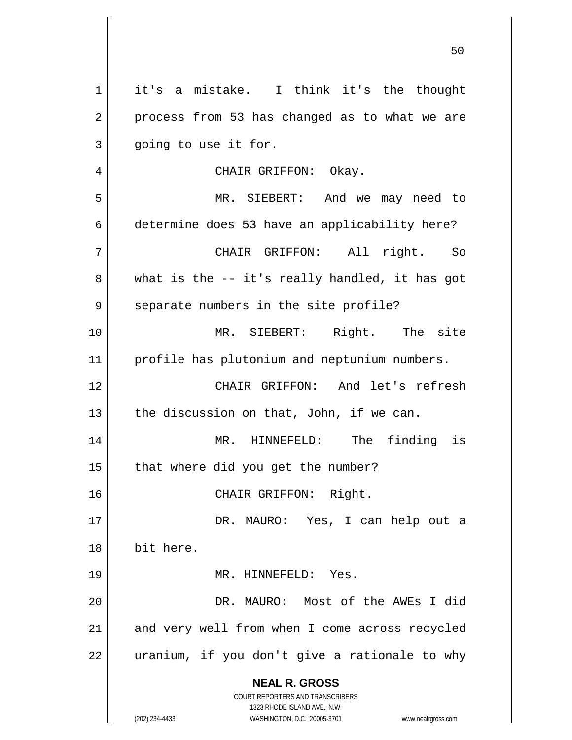**NEAL R. GROSS** COURT REPORTERS AND TRANSCRIBERS 1323 RHODE ISLAND AVE., N.W. (202) 234-4433 WASHINGTON, D.C. 20005-3701 www.nealrgross.com 1 || it's a mistake. I think it's the thought  $2 \parallel$  process from 53 has changed as to what we are  $3 \parallel$  going to use it for. 4 CHAIR GRIFFON: Okay. 5 MR. SIEBERT: And we may need to 6 determine does 53 have an applicability here? 7 CHAIR GRIFFON: All right. So  $8 \parallel$  what is the -- it's really handled, it has got 9 || separate numbers in the site profile? 10 MR. SIEBERT: Right. The site 11 || profile has plutonium and neptunium numbers. 12 CHAIR GRIFFON: And let's refresh 13  $\parallel$  the discussion on that, John, if we can. 14 MR. HINNEFELD: The finding is  $15$  | that where did you get the number? 16 CHAIR GRIFFON: Right. 17 DR. MAURO: Yes, I can help out a 18 bit here. 19 MR. HINNEFELD: Yes. 20 DR. MAURO: Most of the AWEs I did 21 || and very well from when I come across recycled  $22$  || uranium, if you don't give a rationale to why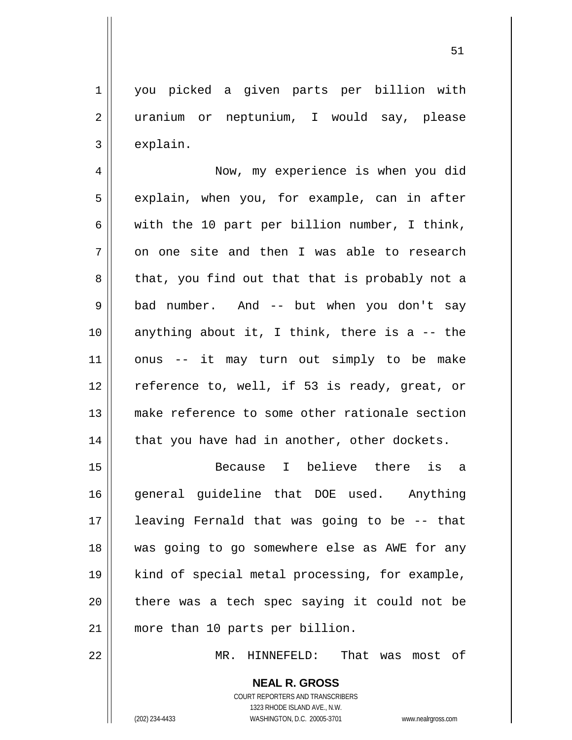1 | you picked a given parts per billion with 2 || uranium or neptunium, I would say, please  $3 \parallel$  explain.

4 Now, my experience is when you did  $5 \parallel$  explain, when you, for example, can in after 6 with the 10 part per billion number, I think,  $7 \parallel$  on one site and then I was able to research  $8 \parallel$  that, you find out that that is probably not a 9 || bad number. And -- but when you don't say 10  $\parallel$  anything about it, I think, there is a -- the 11 onus -- it may turn out simply to be make 12 || reference to, well, if 53 is ready, great, or 13 make reference to some other rationale section  $14$  | that you have had in another, other dockets.

 Because I believe there is a general guideline that DOE used. Anything leaving Fernald that was going to be -- that was going to go somewhere else as AWE for any kind of special metal processing, for example, || there was a tech spec saying it could not be more than 10 parts per billion.

22 MR. HINNEFELD: That was most of

**NEAL R. GROSS** COURT REPORTERS AND TRANSCRIBERS

1323 RHODE ISLAND AVE., N.W.

(202) 234-4433 WASHINGTON, D.C. 20005-3701 www.nealrgross.com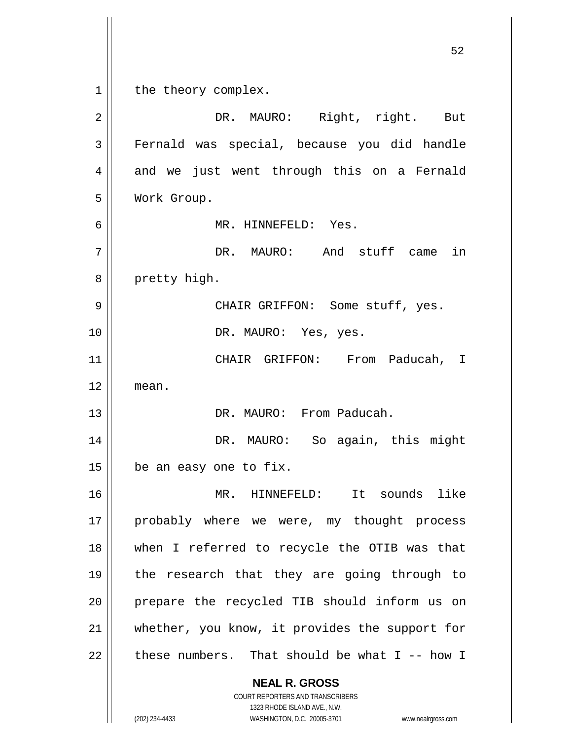**NEAL R. GROSS** COURT REPORTERS AND TRANSCRIBERS 1323 RHODE ISLAND AVE., N.W. 52 1 | the theory complex. 2 DR. MAURO: Right, right. But 3 Fernald was special, because you did handle 4 and we just went through this on a Fernald 5 Work Group. 6 MR. HINNEFELD: Yes. 7 DR. MAURO: And stuff came in 8 || pretty high. 9 CHAIR GRIFFON: Some stuff, yes. 10 || DR. MAURO: Yes, yes. 11 CHAIR GRIFFON: From Paducah, I 12 mean. 13 DR. MAURO: From Paducah. 14 DR. MAURO: So again, this might  $15$  | be an easy one to fix. 16 MR. HINNEFELD: It sounds like 17 || probably where we were, my thought process 18 when I referred to recycle the OTIB was that 19 || the research that they are going through to 20 || prepare the recycled TIB should inform us on 21 Whether, you know, it provides the support for 22  $\parallel$  these numbers. That should be what I -- how I

(202) 234-4433 WASHINGTON, D.C. 20005-3701 www.nealrgross.com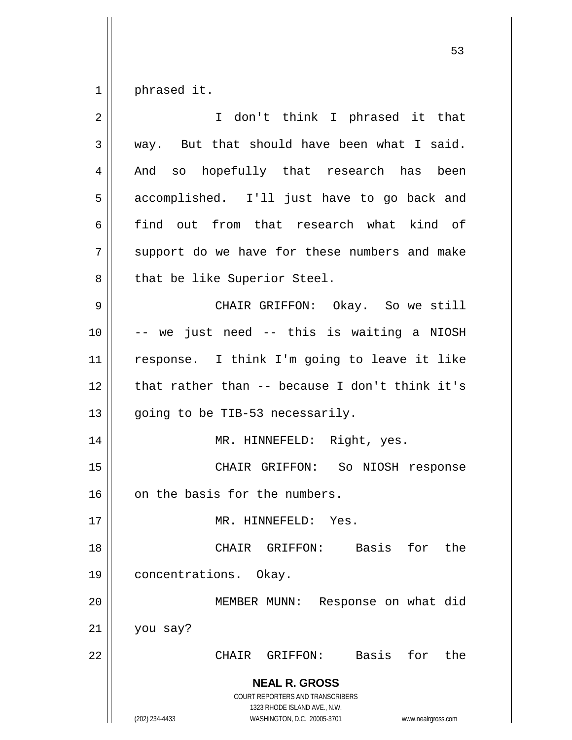$1 \parallel$  phrased it.

| 2  | I don't think I phrased it that                                                                                                                                 |
|----|-----------------------------------------------------------------------------------------------------------------------------------------------------------------|
| 3  | way. But that should have been what I said.                                                                                                                     |
| 4  | And so hopefully that research has been                                                                                                                         |
| 5  | accomplished. I'll just have to go back and                                                                                                                     |
| 6  | find out from that research what kind of                                                                                                                        |
| 7  | support do we have for these numbers and make                                                                                                                   |
| 8  | that be like Superior Steel.                                                                                                                                    |
| 9  | CHAIR GRIFFON: Okay. So we still                                                                                                                                |
| 10 | -- we just need -- this is waiting a NIOSH                                                                                                                      |
| 11 | response. I think I'm going to leave it like                                                                                                                    |
| 12 | that rather than $-$ because I don't think it's                                                                                                                 |
| 13 | going to be TIB-53 necessarily.                                                                                                                                 |
| 14 | MR. HINNEFELD: Right, yes.                                                                                                                                      |
| 15 | CHAIR GRIFFON: So NIOSH response                                                                                                                                |
| 16 | on the basis for the numbers.                                                                                                                                   |
| 17 | MR. HINNEFELD: Yes.                                                                                                                                             |
| 18 | CHAIR GRIFFON: Basis for<br>the                                                                                                                                 |
| 19 | concentrations. Okay.                                                                                                                                           |
| 20 | Response on what did<br>MEMBER MUNN:                                                                                                                            |
| 21 | you say?                                                                                                                                                        |
| 22 | Basis for<br>CHAIR GRIFFON:<br>the                                                                                                                              |
|    | <b>NEAL R. GROSS</b><br>COURT REPORTERS AND TRANSCRIBERS<br>1323 RHODE ISLAND AVE., N.W.<br>(202) 234-4433<br>WASHINGTON, D.C. 20005-3701<br>www.nealrgross.com |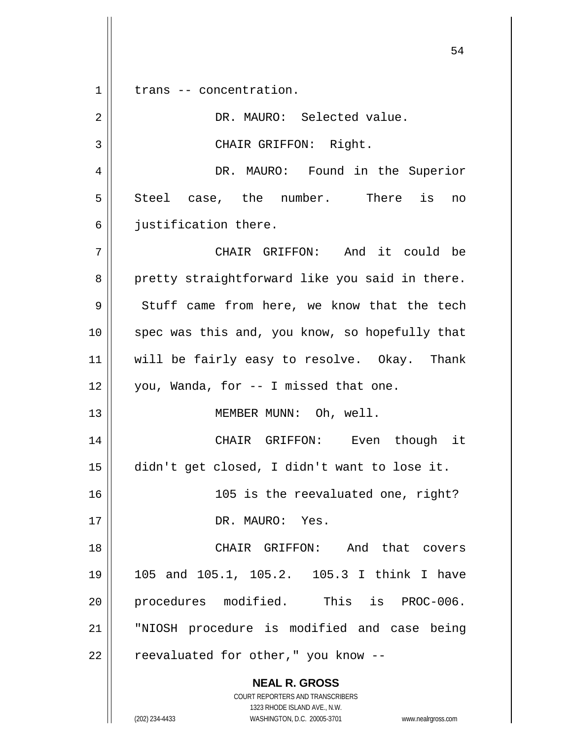**NEAL R. GROSS** COURT REPORTERS AND TRANSCRIBERS 1323 RHODE ISLAND AVE., N.W. 1 || trans -- concentration. 2 DR. MAURO: Selected value. 3 || CHAIR GRIFFON: Right. 4 DR. MAURO: Found in the Superior  $5 \parallel$  Steel case, the number. There is no  $6$  || iustification there. 7 CHAIR GRIFFON: And it could be 8 pretty straightforward like you said in there.  $9 \parallel$  Stuff came from here, we know that the tech 10 || spec was this and, you know, so hopefully that 11 || will be fairly easy to resolve. Okay. Thank  $12$  | you, Wanda, for  $-$  I missed that one. 13 || MEMBER MUNN: Oh, well. 14 CHAIR GRIFFON: Even though it 15 didn't get closed, I didn't want to lose it. 16 105 is the reevaluated one, right? 17 || DR. MAURO: Yes. 18 CHAIR GRIFFON: And that covers 19 105 and 105.1, 105.2. 105.3 I think I have 20 || procedures modified. This is PROC-006. 21 "NIOSH procedure is modified and case being  $22$  | reevaluated for other," you know --

(202) 234-4433 WASHINGTON, D.C. 20005-3701 www.nealrgross.com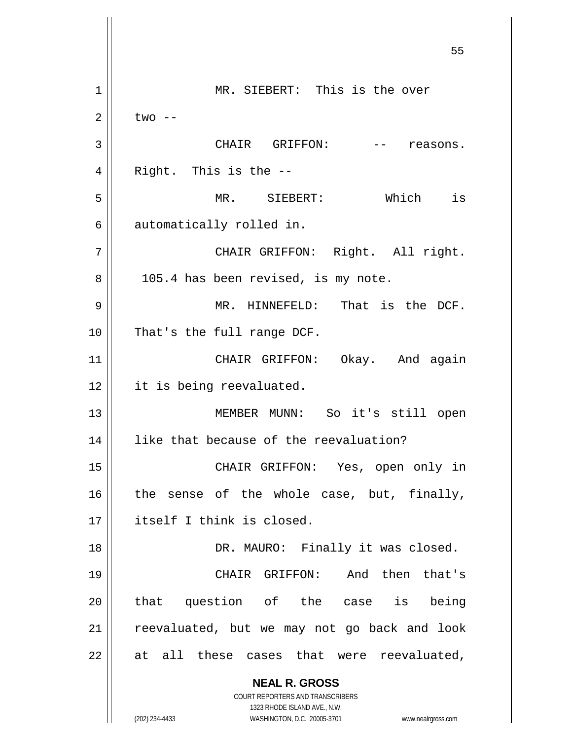**NEAL R. GROSS** COURT REPORTERS AND TRANSCRIBERS 1323 RHODE ISLAND AVE., N.W. (202) 234-4433 WASHINGTON, D.C. 20005-3701 www.nealrgross.com 55 1 || MR. SIEBERT: This is the over  $2 \parallel$  two  $-$ 3 CHAIR GRIFFON: -- reasons.  $4 \parallel$  Right. This is the  $-$ 5 MR. SIEBERT: Which is 6 automatically rolled in. 7 || CHAIR GRIFFON: Right. All right.  $8 \parallel$  105.4 has been revised, is my note. 9 MR. HINNEFELD: That is the DCF. 10 || That's the full range DCF. 11 || CHAIR GRIFFON: Okay. And again 12 || it is being reevaluated. 13 || MEMBER MUNN: So it's still open 14 || like that because of the reevaluation? 15 CHAIR GRIFFON: Yes, open only in  $16$  the sense of the whole case, but, finally, 17 || itself I think is closed. 18 DR. MAURO: Finally it was closed. 19 CHAIR GRIFFON: And then that's 20 || that question of the case is being 21 || reevaluated, but we may not go back and look  $22$  || at all these cases that were reevaluated,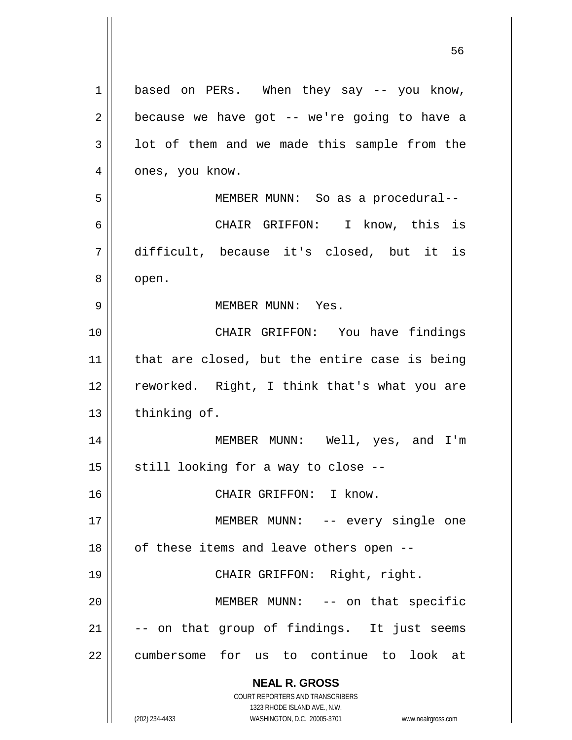| 1  | based on PERs. When they say -- you know,                           |
|----|---------------------------------------------------------------------|
| 2  | because we have got -- we're going to have a                        |
| 3  | lot of them and we made this sample from the                        |
| 4  | ones, you know.                                                     |
| 5  | MEMBER MUNN: So as a procedural--                                   |
| 6  | CHAIR GRIFFON: I know, this is                                      |
| 7  | difficult, because it's closed, but it is                           |
| 8  | open.                                                               |
| 9  | MEMBER MUNN: Yes.                                                   |
| 10 | CHAIR GRIFFON: You have findings                                    |
| 11 | that are closed, but the entire case is being                       |
|    |                                                                     |
| 12 | reworked. Right, I think that's what you are                        |
| 13 | thinking of.                                                        |
| 14 | MEMBER MUNN: Well, yes, and I'm                                     |
| 15 | still looking for a way to close --                                 |
| 16 | CHAIR GRIFFON: I know.                                              |
| 17 | MEMBER MUNN: -- every single one                                    |
| 18 | of these items and leave others open --                             |
| 19 | CHAIR GRIFFON: Right, right.                                        |
| 20 | MEMBER MUNN: -- on that specific                                    |
| 21 | -- on that group of findings. It just seems                         |
| 22 | cumbersome for us to continue to look at                            |
|    |                                                                     |
|    | <b>NEAL R. GROSS</b>                                                |
|    | COURT REPORTERS AND TRANSCRIBERS<br>1323 RHODE ISLAND AVE., N.W.    |
|    | (202) 234-4433<br>WASHINGTON, D.C. 20005-3701<br>www.nealrgross.com |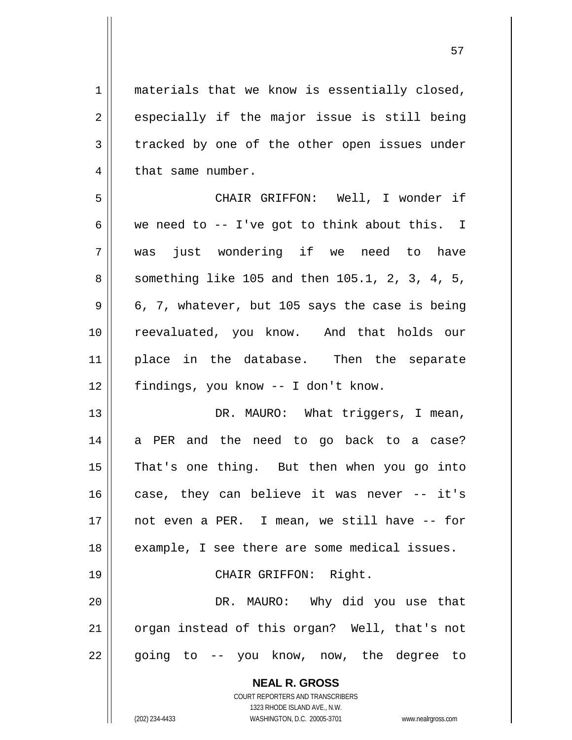$1 \parallel$  materials that we know is essentially closed,  $2 \parallel$  especially if the major issue is still being 3 tracked by one of the other open issues under  $4$  | that same number.

5 CHAIR GRIFFON: Well, I wonder if 6 we need to -- I've got to think about this. I 7 was just wondering if we need to have 8 | something like 105 and then 105.1, 2, 3, 4, 5,  $9 \parallel 6, 7$ , whatever, but 105 says the case is being 10 || reevaluated, you know. And that holds our 11 || place in the database. Then the separate 12 | findings, you know -- I don't know.

13 || DR. MAURO: What triggers, I mean, 14 a PER and the need to go back to a case? 15 || That's one thing. But then when you go into 16 case, they can believe it was never -- it's 17 not even a PER. I mean, we still have -- for 18 || example, I see there are some medical issues. 19 || CHAIR GRIFFON: Right.

20 DR. MAURO: Why did you use that 21 || organ instead of this organ? Well, that's not 22 || going to -- you know, now, the degree to

**NEAL R. GROSS**

COURT REPORTERS AND TRANSCRIBERS 1323 RHODE ISLAND AVE., N.W. (202) 234-4433 WASHINGTON, D.C. 20005-3701 www.nealrgross.com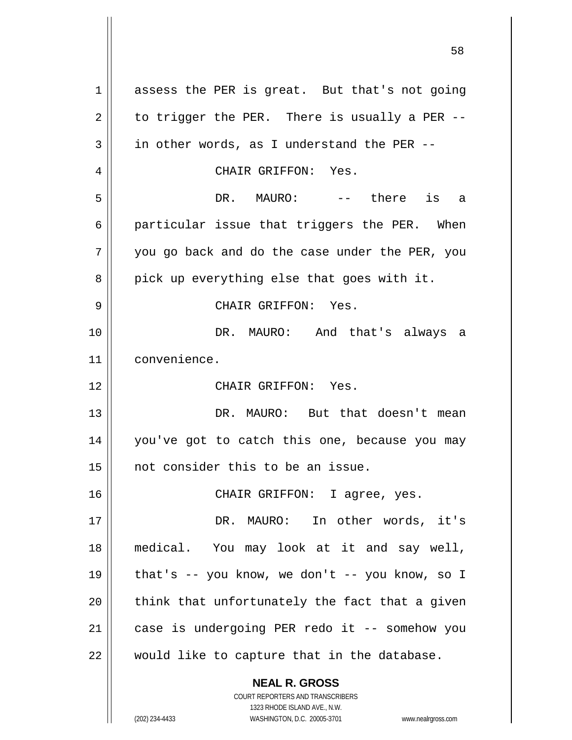**NEAL R. GROSS** COURT REPORTERS AND TRANSCRIBERS 1 assess the PER is great. But that's not going  $2 \parallel$  to trigger the PER. There is usually a PER -- $3 \parallel$  in other words, as I understand the PER --4 CHAIR GRIFFON: Yes. 5 DR. MAURO: -- there is a 6 | particular issue that triggers the PER. When  $7 \parallel$  you go back and do the case under the PER, you  $8 \parallel$  pick up everything else that goes with it. 9 CHAIR GRIFFON: Yes. 10 DR. MAURO: And that's always a 11 convenience. 12 CHAIR GRIFFON: Yes. 13 DR. MAURO: But that doesn't mean 14 you've got to catch this one, because you may 15 not consider this to be an issue. 16 || CHAIR GRIFFON: I agree, yes. 17 DR. MAURO: In other words, it's 18 medical. You may look at it and say well, 19  $\parallel$  that's -- you know, we don't -- you know, so I  $20$  || think that unfortunately the fact that a given 21 || case is undergoing PER redo it -- somehow you  $22$  | would like to capture that in the database.

1323 RHODE ISLAND AVE., N.W. (202) 234-4433 WASHINGTON, D.C. 20005-3701 www.nealrgross.com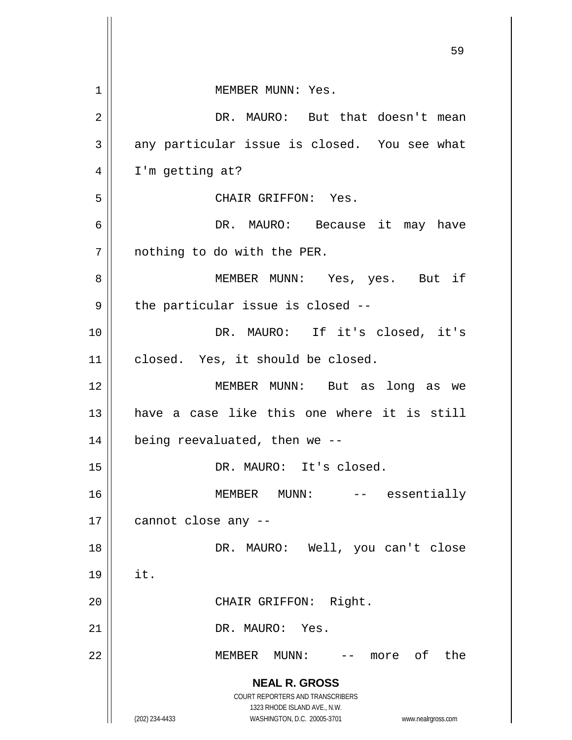|    | 59                                                                                                                                                                     |
|----|------------------------------------------------------------------------------------------------------------------------------------------------------------------------|
| 1  | MEMBER MUNN: Yes.                                                                                                                                                      |
| 2  | DR. MAURO: But that doesn't mean                                                                                                                                       |
| 3  | any particular issue is closed. You see what                                                                                                                           |
| 4  | I'm getting at?                                                                                                                                                        |
| 5  | CHAIR GRIFFON: Yes.                                                                                                                                                    |
| 6  | DR. MAURO: Because it may have                                                                                                                                         |
| 7  | nothing to do with the PER.                                                                                                                                            |
| 8  | MEMBER MUNN: Yes, yes. But if                                                                                                                                          |
| 9  | the particular issue is closed --                                                                                                                                      |
| 10 | DR. MAURO: If it's closed, it's                                                                                                                                        |
| 11 | closed. Yes, it should be closed.                                                                                                                                      |
| 12 | MEMBER MUNN: But as long as we                                                                                                                                         |
| 13 | have a case like this one where it is still                                                                                                                            |
| 14 | being reevaluated, then we --                                                                                                                                          |
| 15 | DR. MAURO: It's closed.                                                                                                                                                |
| 16 | MUNN: -- essentially<br>MEMBER                                                                                                                                         |
| 17 | cannot close any --                                                                                                                                                    |
| 18 | DR. MAURO: Well, you can't close                                                                                                                                       |
| 19 | it.                                                                                                                                                                    |
| 20 | CHAIR GRIFFON: Right.                                                                                                                                                  |
| 21 | DR. MAURO: Yes.                                                                                                                                                        |
| 22 | -- more of the<br>MEMBER MUNN:                                                                                                                                         |
|    | <b>NEAL R. GROSS</b><br><b>COURT REPORTERS AND TRANSCRIBERS</b><br>1323 RHODE ISLAND AVE., N.W.<br>(202) 234-4433<br>WASHINGTON, D.C. 20005-3701<br>www.nealrgross.com |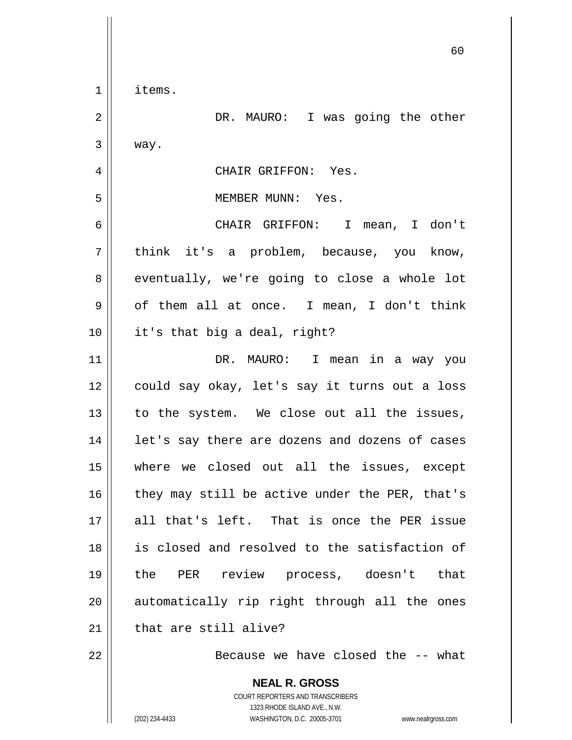|              | 60                                                                                                  |
|--------------|-----------------------------------------------------------------------------------------------------|
| $\mathbf 1$  | items.                                                                                              |
| $\sqrt{2}$   | DR. MAURO: I was going the other                                                                    |
| $\mathbf{3}$ | way.                                                                                                |
| 4            | CHAIR GRIFFON: Yes.                                                                                 |
| 5            | MEMBER MUNN: Yes.                                                                                   |
| 6            | CHAIR GRIFFON: I mean, I don't                                                                      |
| 7            | think it's a problem, because, you know,                                                            |
| 8            | eventually, we're going to close a whole lot                                                        |
| 9            | of them all at once. I mean, I don't think                                                          |
| 10           | it's that big a deal, right?                                                                        |
| 11           | DR. MAURO: I mean in a way you                                                                      |
| 12           | could say okay, let's say it turns out a loss                                                       |
| 13           | to the system. We close out all the issues,                                                         |
| 14           | let's say there are dozens and dozens of cases                                                      |
| 15           | where we closed out all the issues, except                                                          |
| 16           | they may still be active under the PER, that's                                                      |
| 17           | all that's left. That is once the PER issue                                                         |
| 18           | is closed and resolved to the satisfaction of                                                       |
| 19           | the PER review process, doesn't that                                                                |
| 20           | automatically rip right through all the ones                                                        |
| 21           | that are still alive?                                                                               |
| 22           | Because we have closed the -- what                                                                  |
|              | <b>NEAL R. GROSS</b><br>COURT REPORTERS AND TRANSCRIBERS                                            |
|              | 1323 RHODE ISLAND AVE., N.W.<br>(202) 234-4433<br>WASHINGTON, D.C. 20005-3701<br>www.nealrgross.com |

 $\mathsf{l}$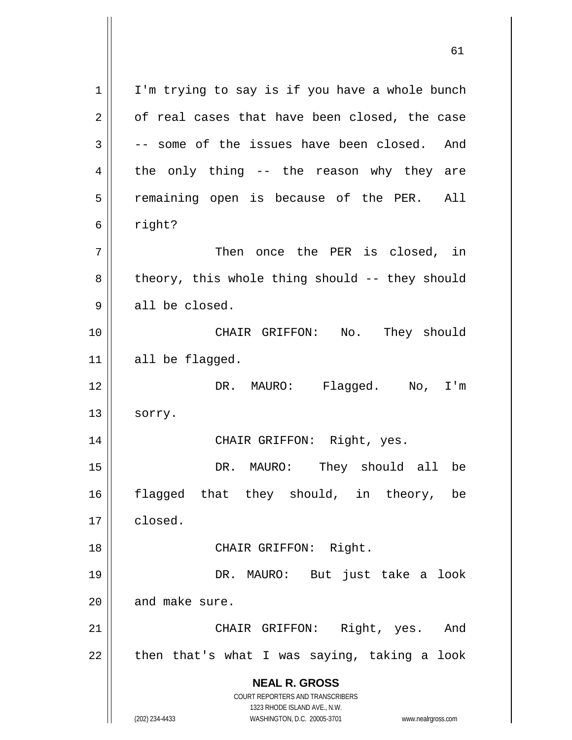| 1  | I'm trying to say is if you have a whole bunch                                                      |
|----|-----------------------------------------------------------------------------------------------------|
| 2  | of real cases that have been closed, the case                                                       |
| 3  | -- some of the issues have been closed. And                                                         |
| 4  | the only thing -- the reason why they are                                                           |
| 5  | remaining open is because of the PER. All                                                           |
| 6  | right?                                                                                              |
| 7  | Then once the PER is closed, in                                                                     |
| 8  | theory, this whole thing should -- they should                                                      |
| 9  | all be closed.                                                                                      |
| 10 | CHAIR GRIFFON: No. They should                                                                      |
| 11 | all be flagged.                                                                                     |
| 12 | DR. MAURO: Flagged. No, I'm                                                                         |
| 13 | sorry.                                                                                              |
| 14 | CHAIR GRIFFON: Right, yes.                                                                          |
| 15 | DR. MAURO: They should all be                                                                       |
| 16 | flagged that they should, in theory,<br>be                                                          |
| 17 | closed.                                                                                             |
| 18 | CHAIR GRIFFON: Right.                                                                               |
| 19 | DR. MAURO: But just take a look                                                                     |
| 20 | and make sure.                                                                                      |
| 21 | Right, yes. And<br>CHAIR GRIFFON:                                                                   |
| 22 | then that's what I was saying, taking a look                                                        |
|    | <b>NEAL R. GROSS</b>                                                                                |
|    | COURT REPORTERS AND TRANSCRIBERS                                                                    |
|    | 1323 RHODE ISLAND AVE., N.W.<br>(202) 234-4433<br>WASHINGTON, D.C. 20005-3701<br>www.nealrgross.com |
|    |                                                                                                     |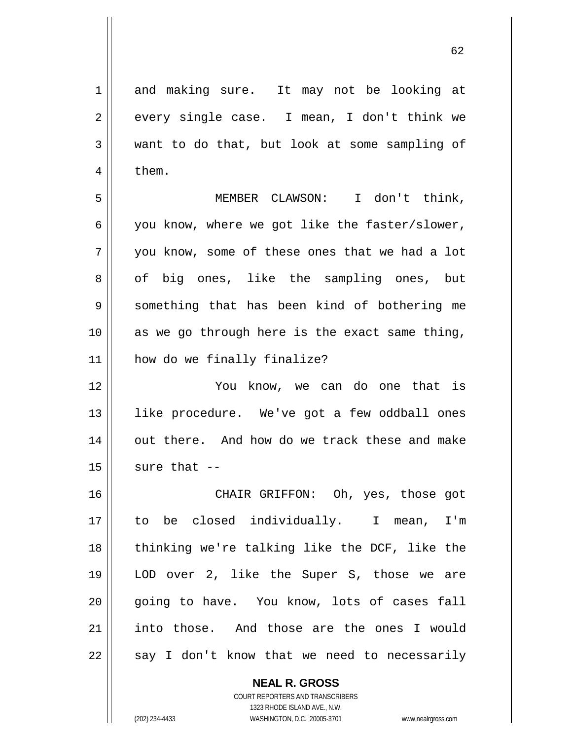1 and making sure. It may not be looking at  $2 \parallel$  every single case. I mean, I don't think we 3 want to do that, but look at some sampling of  $4 \mid$  them.

5 MEMBER CLAWSON: I don't think,  $6 \parallel$  you know, where we got like the faster/slower,  $7 \parallel$  you know, some of these ones that we had a lot 8 || of big ones, like the sampling ones, but 9 Something that has been kind of bothering me 10 as we go through here is the exact same thing, 11 how do we finally finalize?

12 || Tou know, we can do one that is 13 || like procedure. We've got a few oddball ones 14 || out there. And how do we track these and make  $15$  sure that  $-$ 

16 CHAIR GRIFFON: Oh, yes, those got 17 to be closed individually. I mean, I'm 18 || thinking we're talking like the DCF, like the 19 LOD over 2, like the Super S, those we are 20 || qoing to have. You know, lots of cases fall 21 into those. And those are the ones I would  $22 \parallel$  say I don't know that we need to necessarily

> **NEAL R. GROSS** COURT REPORTERS AND TRANSCRIBERS 1323 RHODE ISLAND AVE., N.W. (202) 234-4433 WASHINGTON, D.C. 20005-3701 www.nealrgross.com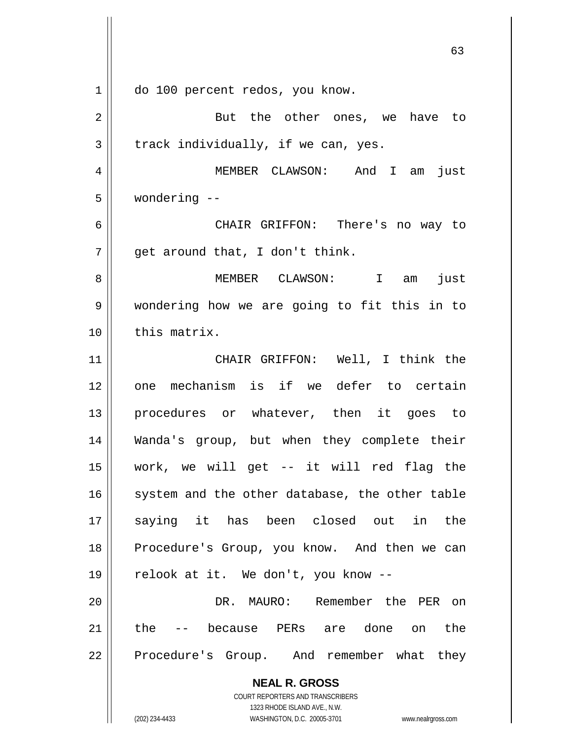**NEAL R. GROSS** COURT REPORTERS AND TRANSCRIBERS 1323 RHODE ISLAND AVE., N.W. (202) 234-4433 WASHINGTON, D.C. 20005-3701 www.nealrgross.com 1 | do 100 percent redos, you know. 2 || But the other ones, we have to  $3 \parallel$  track individually, if we can, yes. 4 MEMBER CLAWSON: And I am just 5 wondering -- 6 CHAIR GRIFFON: There's no way to  $7 \parallel$  qet around that, I don't think. 8 MEMBER CLAWSON: I am just 9 wondering how we are going to fit this in to 10 | this matrix. 11 CHAIR GRIFFON: Well, I think the 12 || one mechanism is if we defer to certain 13 || procedures or whatever, then it goes to 14 Wanda's group, but when they complete their 15 work, we will get -- it will red flag the  $16$  system and the other database, the other table 17 saying it has been closed out in the 18 || Procedure's Group, you know. And then we can 19  $\parallel$  relook at it. We don't, you know --20 DR. MAURO: Remember the PER on 21 the -- because PERs are done on the  $22$  | Procedure's Group. And remember what they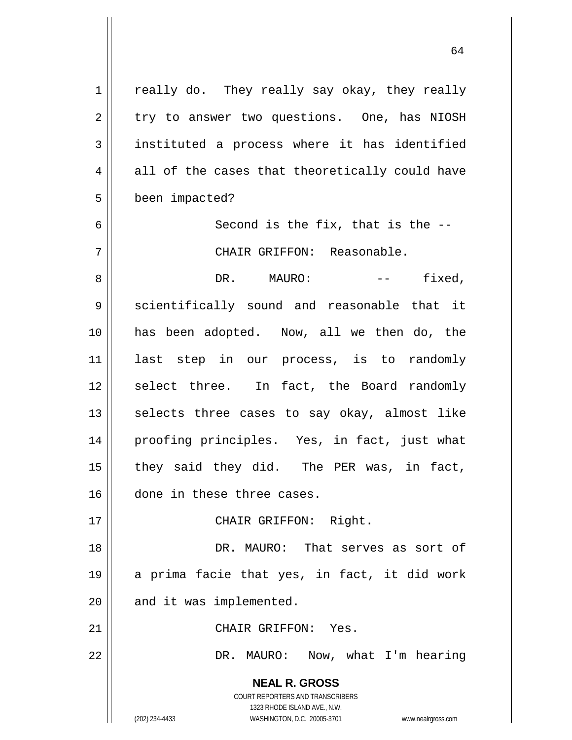**NEAL R. GROSS** COURT REPORTERS AND TRANSCRIBERS 1323 RHODE ISLAND AVE., N.W. (202) 234-4433 WASHINGTON, D.C. 20005-3701 www.nealrgross.com 1 | really do. They really say okay, they really  $2 \parallel$  try to answer two questions. One, has NIOSH 3 instituted a process where it has identified  $4 \parallel$  all of the cases that theoretically could have 5 | been impacted?  $6 \parallel$  Second is the fix, that is the  $-$ 7 CHAIR GRIFFON: Reasonable. 8 DR. MAURO: -- fixed, 9 Scientifically sound and reasonable that it 10 has been adopted. Now, all we then do, the 11 last step in our process, is to randomly 12 || select three. In fact, the Board randomly  $13$  selects three cases to say okay, almost like 14 || proofing principles. Yes, in fact, just what 15  $\parallel$  they said they did. The PER was, in fact, 16 done in these three cases. 17 || CHAIR GRIFFON: Right. 18 DR. MAURO: That serves as sort of 19 a prima facie that yes, in fact, it did work  $20$  || and it was implemented. 21 CHAIR GRIFFON: Yes. 22 DR. MAURO: Now, what I'm hearing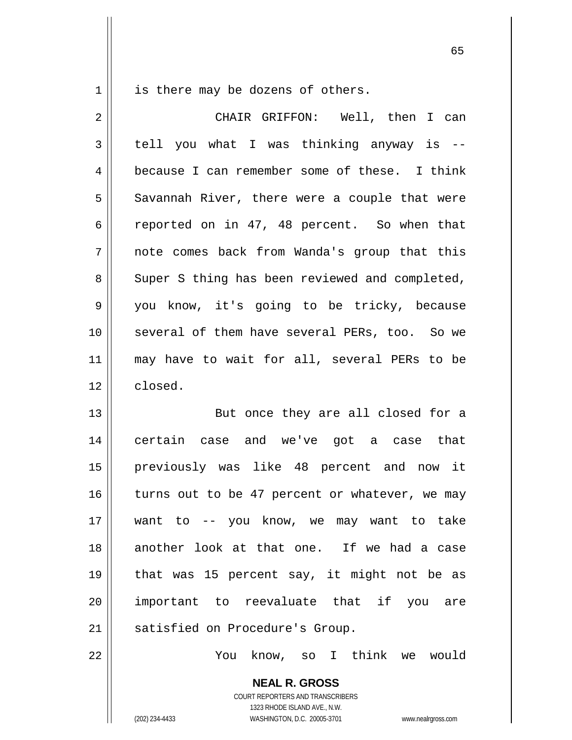$1 \parallel$  is there may be dozens of others.

| 2  | CHAIR GRIFFON: Well, then I can                |
|----|------------------------------------------------|
| 3  | tell you what I was thinking anyway is --      |
| 4  | because I can remember some of these. I think  |
| 5  | Savannah River, there were a couple that were  |
| 6  | reported on in 47, 48 percent. So when that    |
| 7  | note comes back from Wanda's group that this   |
| 8  | Super S thing has been reviewed and completed, |
| 9  | you know, it's going to be tricky, because     |
| 10 | several of them have several PERs, too. So we  |
| 11 | may have to wait for all, several PERs to be   |
| 12 | closed.                                        |
| 13 | But once they are all closed for a             |
| 14 | certain case and we've got a case that         |
| 15 | previously was like 48 percent and now it      |
| 16 | turns out to be 47 percent or whatever, we may |
| 17 | want to -- you know, we may want to take       |
| 18 | another look at that one. If we had a case     |
| 19 | that was 15 percent say, it might not be as    |
| 20 | important to reevaluate that if you are        |
| 21 | satisfied on Procedure's Group.                |
| 22 | You know, so I think<br>we would               |

**NEAL R. GROSS** COURT REPORTERS AND TRANSCRIBERS 1323 RHODE ISLAND AVE., N.W. (202) 234-4433 WASHINGTON, D.C. 20005-3701 www.nealrgross.com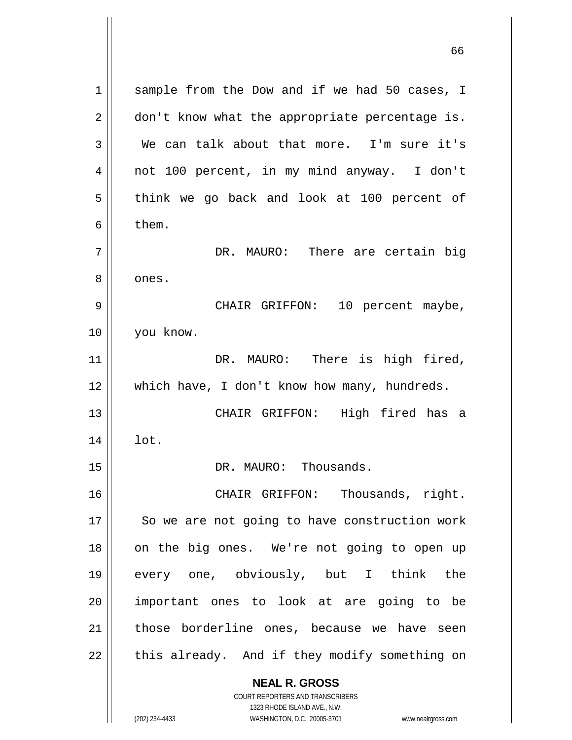**NEAL R. GROSS** COURT REPORTERS AND TRANSCRIBERS 1323 RHODE ISLAND AVE., N.W. 1 || sample from the Dow and if we had 50 cases, I  $2 \parallel$  don't know what the appropriate percentage is. 3 We can talk about that more. I'm sure it's 4 not 100 percent, in my mind anyway. I don't  $5 \parallel$  think we go back and look at 100 percent of  $6 \parallel$  them. 7 DR. MAURO: There are certain big 8 | ones. 9 CHAIR GRIFFON: 10 percent maybe, 10 you know. 11 || DR. MAURO: There is high fired, 12 || which have, I don't know how many, hundreds. 13 CHAIR GRIFFON: High fired has a  $14 \parallel$  lot. 15 DR. MAURO: Thousands. 16 CHAIR GRIFFON: Thousands, right. 17 || So we are not going to have construction work 18 || on the big ones. We're not going to open up 19 every one, obviously, but I think the 20 || important ones to look at are going to be 21 || those borderline ones, because we have seen  $22$  | this already. And if they modify something on

(202) 234-4433 WASHINGTON, D.C. 20005-3701 www.nealrgross.com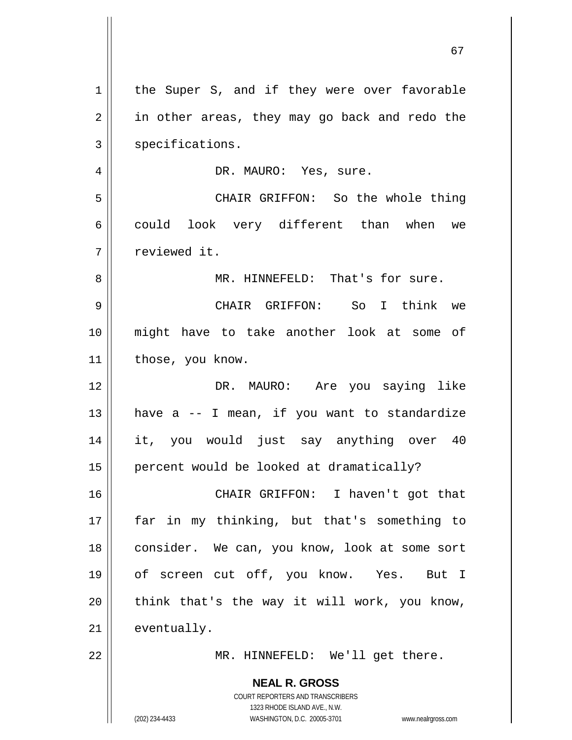| $\mathbf 1$    | the Super S, and if they were over favorable                        |
|----------------|---------------------------------------------------------------------|
| $\overline{2}$ | in other areas, they may go back and redo the                       |
| 3              | specifications.                                                     |
| 4              | DR. MAURO: Yes, sure.                                               |
| 5              | CHAIR GRIFFON: So the whole thing                                   |
| 6              | could look very different than when we                              |
| 7              | reviewed it.                                                        |
| 8              | MR. HINNEFELD: That's for sure.                                     |
| 9              | CHAIR GRIFFON: So I think we                                        |
| 10             | might have to take another look at some of                          |
| 11             | those, you know.                                                    |
| 12             | DR. MAURO: Are you saying like                                      |
| 13             | have a -- I mean, if you want to standardize                        |
| 14             | it, you would just say anything over 40                             |
| 15             | percent would be looked at dramatically?                            |
| 16             | CHAIR GRIFFON: I haven't got that                                   |
| 17             | far in my thinking, but that's something to                         |
| 18             | consider. We can, you know, look at some sort                       |
| 19             | of screen cut off, you know. Yes. But I                             |
| 20             | think that's the way it will work, you know,                        |
| 21             | eventually.                                                         |
| 22             |                                                                     |
|                | MR. HINNEFELD: We'll get there.                                     |
|                | <b>NEAL R. GROSS</b>                                                |
|                | COURT REPORTERS AND TRANSCRIBERS<br>1323 RHODE ISLAND AVE., N.W.    |
|                | WASHINGTON, D.C. 20005-3701<br>(202) 234-4433<br>www.nealrgross.com |

 $\mathsf{I}$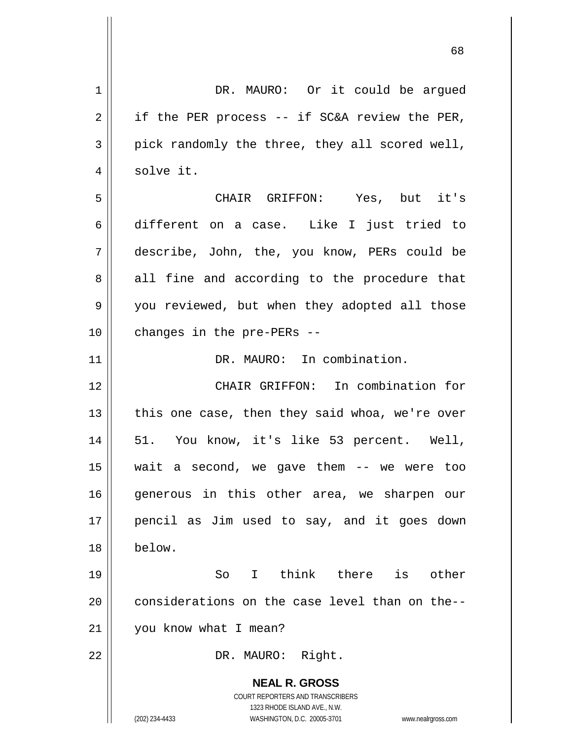| 1              | DR. MAURO: Or it could be argued                                                                    |
|----------------|-----------------------------------------------------------------------------------------------------|
| $\overline{2}$ | if the PER process -- if SC&A review the PER,                                                       |
| 3              | pick randomly the three, they all scored well,                                                      |
| 4              | solve it.                                                                                           |
| 5              | CHAIR GRIFFON: Yes, but it's                                                                        |
| 6              | different on a case. Like I just tried to                                                           |
| 7              | describe, John, the, you know, PERs could be                                                        |
| 8              | all fine and according to the procedure that                                                        |
| 9              | you reviewed, but when they adopted all those                                                       |
| 10             | changes in the pre-PERs --                                                                          |
| 11             | DR. MAURO: In combination.                                                                          |
| 12             | CHAIR GRIFFON: In combination for                                                                   |
| 13             | this one case, then they said whoa, we're over                                                      |
| 14             | 51. You know, it's like 53 percent. Well,                                                           |
| 15             | a second, we gave them -- we were too<br>wait                                                       |
| 16             | generous in this other area, we sharpen our                                                         |
| 17             | pencil as Jim used to say, and it goes down                                                         |
| 18             | below.                                                                                              |
| 19             | I think there is other<br>So                                                                        |
| 20             | considerations on the case level than on the--                                                      |
| 21             | you know what I mean?                                                                               |
| 22             | DR. MAURO: Right.                                                                                   |
|                | <b>NEAL R. GROSS</b>                                                                                |
|                | COURT REPORTERS AND TRANSCRIBERS                                                                    |
|                | 1323 RHODE ISLAND AVE., N.W.<br>(202) 234-4433<br>WASHINGTON, D.C. 20005-3701<br>www.nealrgross.com |
|                |                                                                                                     |

 $\overline{\mathbf{1}}$ 

 $\mathbf{\mathsf{H}}$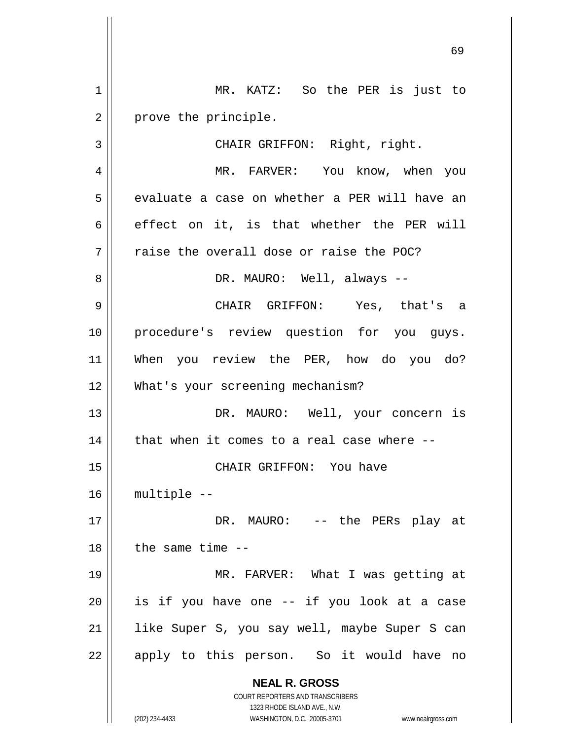**NEAL R. GROSS** COURT REPORTERS AND TRANSCRIBERS 1323 RHODE ISLAND AVE., N.W. (202) 234-4433 WASHINGTON, D.C. 20005-3701 www.nealrgross.com 1 || MR. KATZ: So the PER is just to  $2 \parallel$  prove the principle. 3 || CHAIR GRIFFON: Right, right. 4 MR. FARVER: You know, when you 5 || evaluate a case on whether a PER will have an 6 effect on it, is that whether the PER will  $7$   $\parallel$  raise the overall dose or raise the POC? 8 DR. MAURO: Well, always -- 9 CHAIR GRIFFON: Yes, that's a 10 || procedure's review question for you guys. 11 When you review the PER, how do you do? 12 || What's your screening mechanism? 13 DR. MAURO: Well, your concern is  $14$  | that when it comes to a real case where  $-$ 15 CHAIR GRIFFON: You have 16 multiple -- 17 DR. MAURO: -- the PERs play at  $18$   $\parallel$  the same time  $-$ 19 MR. FARVER: What I was getting at  $20$  is if you have one -- if you look at a case 21 || like Super S, you say well, maybe Super S can 22 || apply to this person. So it would have no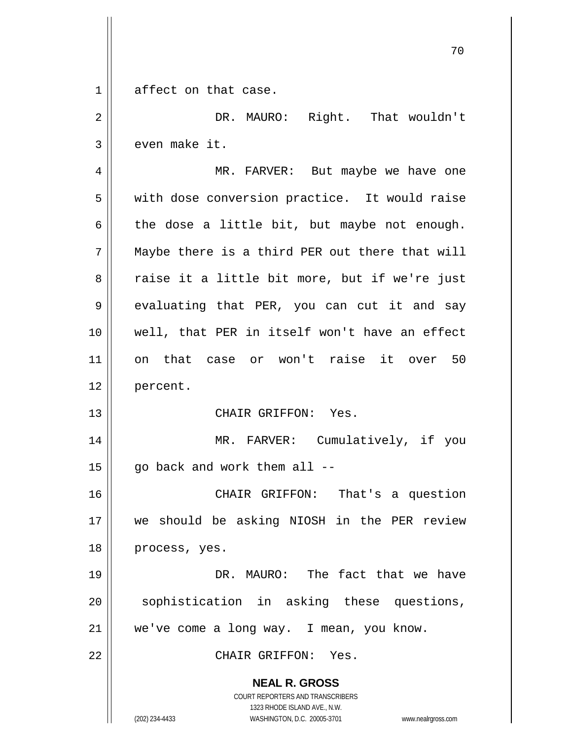**NEAL R. GROSS** COURT REPORTERS AND TRANSCRIBERS 1323 RHODE ISLAND AVE., N.W. (202) 234-4433 WASHINGTON, D.C. 20005-3701 www.nealrgross.com 1 affect on that case. 2 DR. MAURO: Right. That wouldn't  $3 \parallel$  even make it. 4 MR. FARVER: But maybe we have one 5 | with dose conversion practice. It would raise  $6 \parallel$  the dose a little bit, but maybe not enough.  $7$  || Maybe there is a third PER out there that will 8 || raise it a little bit more, but if we're just  $9 \parallel$  evaluating that PER, you can cut it and say 10 well, that PER in itself won't have an effect 11 on that case or won't raise it over 50 12 percent. 13 CHAIR GRIFFON: Yes. 14 || MR. FARVER: Cumulatively, if you  $15$  | qo back and work them all  $-$ 16 CHAIR GRIFFON: That's a question 17 we should be asking NIOSH in the PER review 18 | process, yes. 19 DR. MAURO: The fact that we have 20 || sophistication in asking these questions, 21 | we've come a long way. I mean, you know. 22 CHAIR GRIFFON: Yes.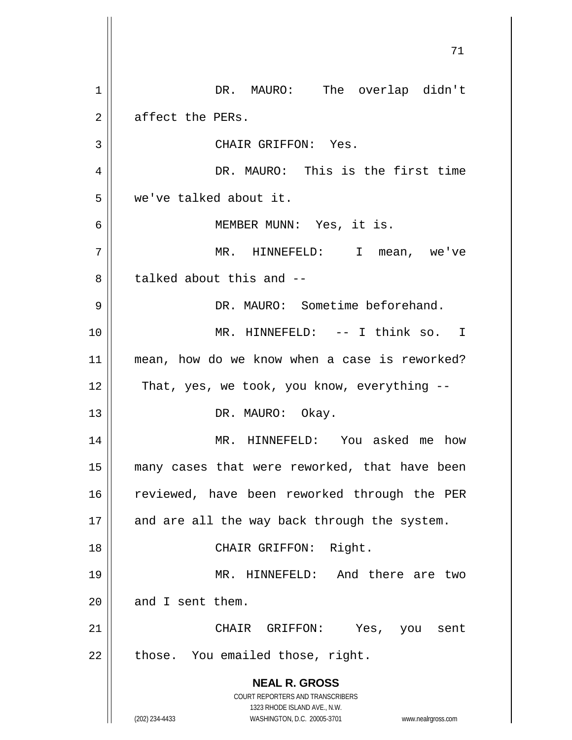**NEAL R. GROSS** COURT REPORTERS AND TRANSCRIBERS 1323 RHODE ISLAND AVE., N.W. (202) 234-4433 WASHINGTON, D.C. 20005-3701 www.nealrgross.com 1 || DR. MAURO: The overlap didn't  $2 \parallel$  affect the PERs. 3 || CHAIR GRIFFON: Yes. 4 DR. MAURO: This is the first time 5 we've talked about it. 6 MEMBER MUNN: Yes, it is. 7 MR. HINNEFELD: I mean, we've 8 degree about this and  $-$ 9 DR. MAURO: Sometime beforehand. 10 MR. HINNEFELD: -- I think so. I 11 mean, how do we know when a case is reworked?  $12$  | That, yes, we took, you know, everything  $-$ 13 || DR. MAURO: Okay. 14 || MR. HINNEFELD: You asked me how 15 many cases that were reworked, that have been 16 || reviewed, have been reworked through the PER  $17$  || and are all the way back through the system. 18 || CHAIR GRIFFON: Right. 19 MR. HINNEFELD: And there are two  $20$  | and I sent them. 21 CHAIR GRIFFON: Yes, you sent  $22$  || those. You emailed those, right.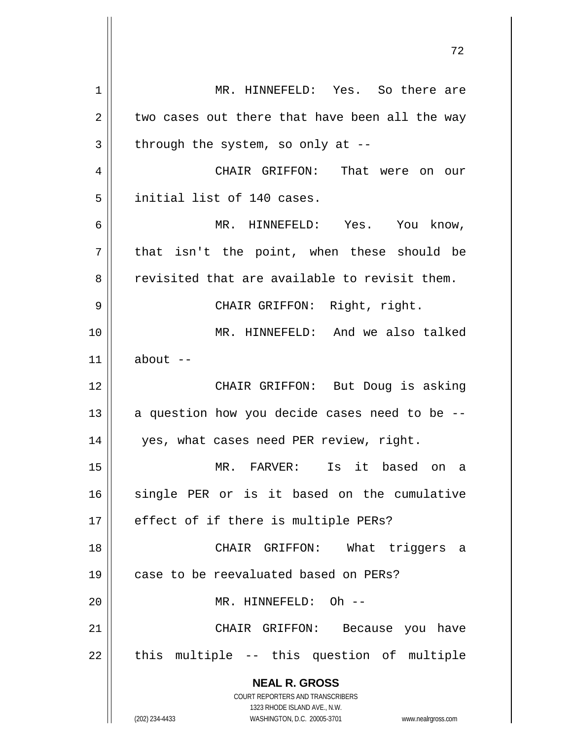**NEAL R. GROSS** COURT REPORTERS AND TRANSCRIBERS 1323 RHODE ISLAND AVE., N.W. (202) 234-4433 WASHINGTON, D.C. 20005-3701 www.nealrgross.com 1 || MR. HINNEFELD: Yes. So there are  $2 \parallel$  two cases out there that have been all the way  $3 \parallel$  through the system, so only at --4 CHAIR GRIFFON: That were on our 5 | initial list of 140 cases. 6 MR. HINNEFELD: Yes. You know,  $7 \parallel$  that isn't the point, when these should be  $8 \parallel$  revisited that are available to revisit them. 9 CHAIR GRIFFON: Right, right. 10 MR. HINNEFELD: And we also talked  $11$  about  $-$ 12 || CHAIR GRIFFON: But Doug is asking 13  $\parallel$  a question how you decide cases need to be --14 yes, what cases need PER review, right. 15 MR. FARVER: Is it based on a 16 single PER or is it based on the cumulative  $17$  || effect of if there is multiple PERs? 18 CHAIR GRIFFON: What triggers a 19 || case to be reevaluated based on PERs? 20 MR. HINNEFELD: Oh -- 21 CHAIR GRIFFON: Because you have  $22$  || this multiple -- this question of multiple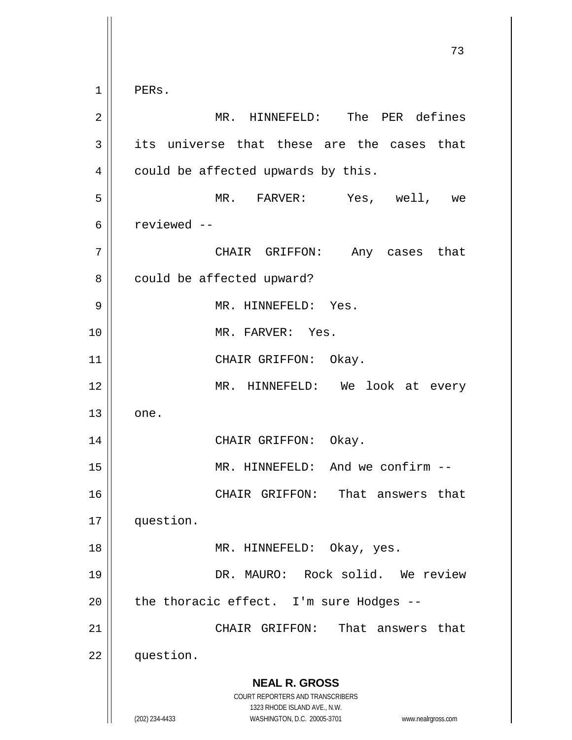**NEAL R. GROSS** COURT REPORTERS AND TRANSCRIBERS 1323 RHODE ISLAND AVE., N.W. (202) 234-4433 WASHINGTON, D.C. 20005-3701 www.nealrgross.com  $1 \parallel$  PERs. MR. HINNEFELD: The PER defines its universe that these are the cases that  $4 \parallel$  could be affected upwards by this. MR. FARVER: Yes, well, we reviewed -- CHAIR GRIFFON: Any cases that 8 | could be affected upward? MR. HINNEFELD: Yes. MR. FARVER: Yes. 11 || CHAIR GRIFFON: Okay. MR. HINNEFELD: We look at every  $13 \parallel$  one. CHAIR GRIFFON: Okay. MR. HINNEFELD: And we confirm -- CHAIR GRIFFON: That answers that question. MR. HINNEFELD: Okay, yes. DR. MAURO: Rock solid. We review | the thoracic effect. I'm sure Hodges -- CHAIR GRIFFON: That answers that 22 | question.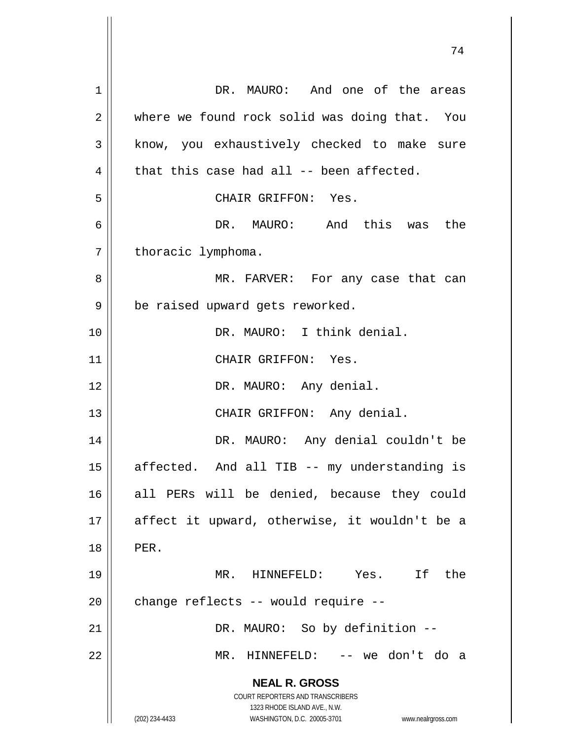**NEAL R. GROSS** COURT REPORTERS AND TRANSCRIBERS 1323 RHODE ISLAND AVE., N.W. (202) 234-4433 WASHINGTON, D.C. 20005-3701 www.nealrgross.com 1 DR. MAURO: And one of the areas 2 where we found rock solid was doing that. You 3 || know, you exhaustively checked to make sure  $4 \parallel$  that this case had all -- been affected. 5 CHAIR GRIFFON: Yes. 6 DR. MAURO: And this was the  $7 \parallel$  thoracic lymphoma. 8 MR. FARVER: For any case that can  $9 \parallel$  be raised upward gets reworked. 10 DR. MAURO: I think denial. 11 || CHAIR GRIFFON: Yes. 12 || DR. MAURO: Any denial. 13 || CHAIR GRIFFON: Any denial. 14 DR. MAURO: Any denial couldn't be  $15$  || affected. And all TIB -- my understanding is 16 all PERs will be denied, because they could 17 affect it upward, otherwise, it wouldn't be a 18 PER. 19 MR. HINNEFELD: Yes. If the  $20$  | change reflects -- would require --21 || DR. MAURO: So by definition --22 MR. HINNEFELD: -- we don't do a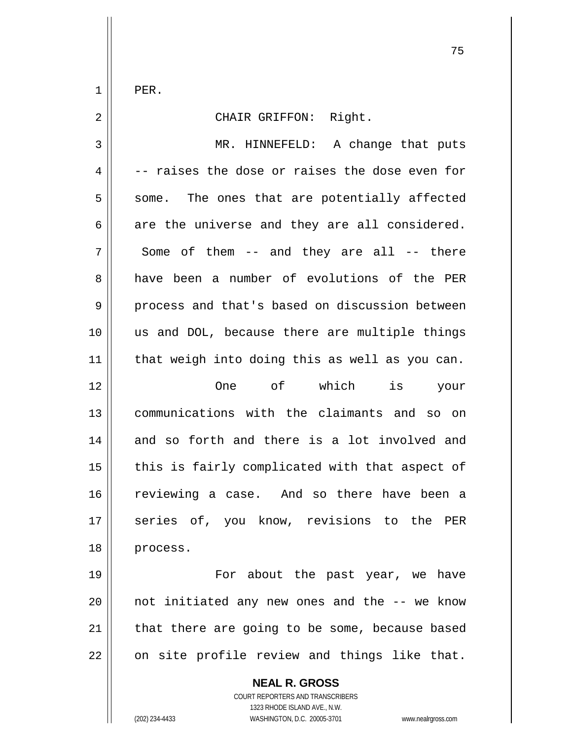$1 \parallel$  PER.

| $\overline{2}$ | CHAIR GRIFFON: Right.                          |
|----------------|------------------------------------------------|
| 3              | MR. HINNEFELD: A change that puts              |
| 4              | -- raises the dose or raises the dose even for |
| 5              | some. The ones that are potentially affected   |
| 6              | are the universe and they are all considered.  |
| 7              | Some of them -- and they are all -- there      |
| 8              | have been a number of evolutions of the PER    |
| 9              | process and that's based on discussion between |
| 10             | us and DOL, because there are multiple things  |
| 11             | that weigh into doing this as well as you can. |
| 12             | of which<br><b>One</b><br>is<br>your           |
| 13             | communications with the claimants and<br>so on |
| 14             | and so forth and there is a lot involved and   |
| 15             | this is fairly complicated with that aspect of |
| 16             | reviewing a case. And so there have been a     |
| 17             | series of, you know, revisions to the PER      |
| 18             | process.                                       |
| 19             | For about the past year, we have               |

 | not initiated any new ones and the  $-$ - we know  $\parallel$  that there are going to be some, because based on site profile review and things like that.

> **NEAL R. GROSS** COURT REPORTERS AND TRANSCRIBERS 1323 RHODE ISLAND AVE., N.W. (202) 234-4433 WASHINGTON, D.C. 20005-3701 www.nealrgross.com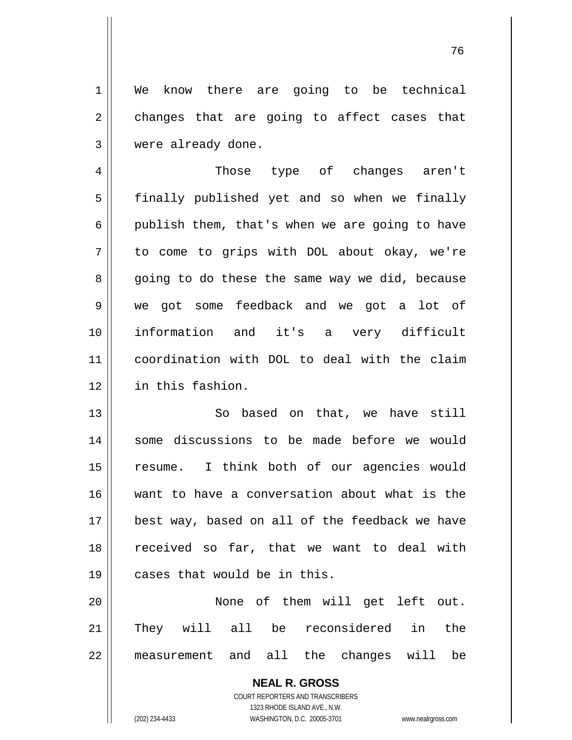1 || We know there are going to be technical  $2 \parallel$  changes that are going to affect cases that 3 were already done.

 Those type of changes aren't 5 | finally published yet and so when we finally 6 | publish them, that's when we are going to have to come to grips with DOL about okay, we're 8 || going to do these the same way we did, because we got some feedback and we got a lot of information and it's a very difficult coordination with DOL to deal with the claim in this fashion.

13 || So based on that, we have still 14 || some discussions to be made before we would 15 || resume. I think both of our agencies would 16 want to have a conversation about what is the 17 || best way, based on all of the feedback we have 18 || received so far, that we want to deal with 19 cases that would be in this.

20 None of them will get left out. 21 || They will all be reconsidered in the 22 measurement and all the changes will be

> **NEAL R. GROSS** COURT REPORTERS AND TRANSCRIBERS 1323 RHODE ISLAND AVE., N.W. (202) 234-4433 WASHINGTON, D.C. 20005-3701 www.nealrgross.com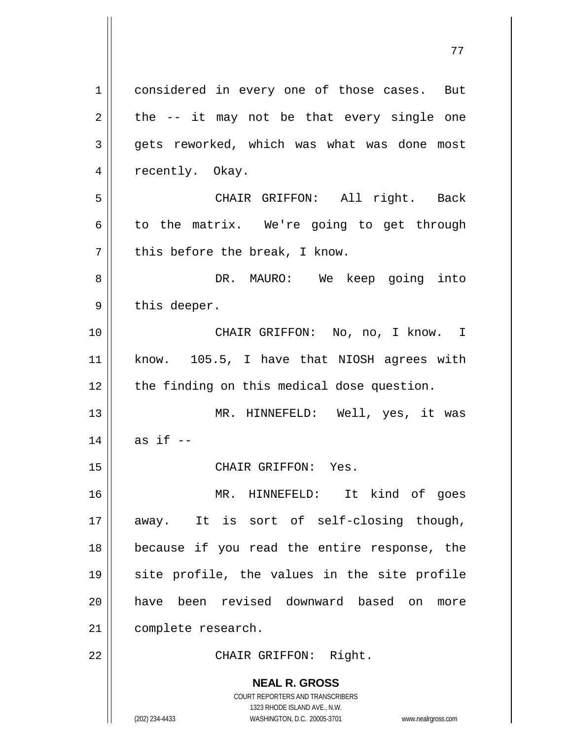**NEAL R. GROSS** COURT REPORTERS AND TRANSCRIBERS 1323 RHODE ISLAND AVE., N.W. (202) 234-4433 WASHINGTON, D.C. 20005-3701 www.nealrgross.com 1 | considered in every one of those cases. But  $2 \parallel$  the -- it may not be that every single one  $3 \parallel$  gets reworked, which was what was done most 4 || recently. Okay. 5 CHAIR GRIFFON: All right. Back  $6 \parallel$  to the matrix. We're going to get through  $7$  | this before the break, I know. 8 DR. MAURO: We keep going into  $9 \parallel$  this deeper. 10 || CHAIR GRIFFON: No, no, I know. I 11 know. 105.5, I have that NIOSH agrees with 12 || the finding on this medical dose question. 13 MR. HINNEFELD: Well, yes, it was  $14$  | as if  $-$ 15 || CHAIR GRIFFON: Yes. 16 MR. HINNEFELD: It kind of goes 17 away. It is sort of self-closing though, 18 because if you read the entire response, the 19 site profile, the values in the site profile 20 have been revised downward based on more 21 | complete research. 22 || CHAIR GRIFFON: Right.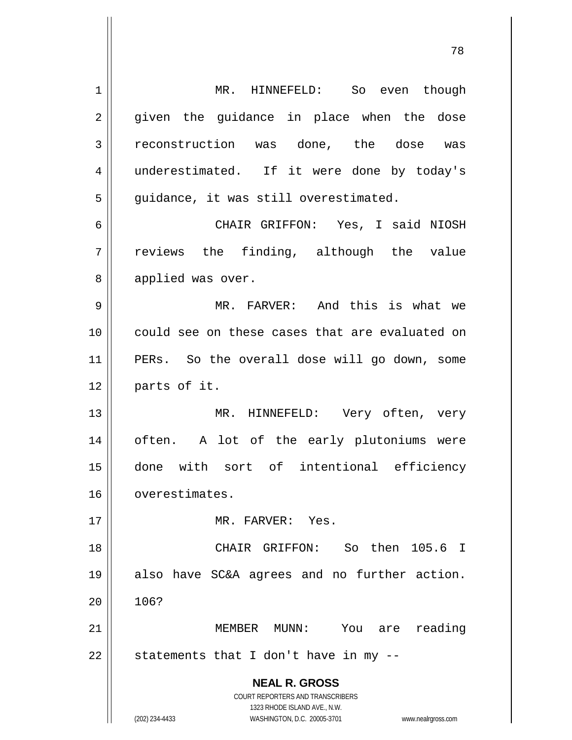**NEAL R. GROSS** COURT REPORTERS AND TRANSCRIBERS 1323 RHODE ISLAND AVE., N.W. (202) 234-4433 WASHINGTON, D.C. 20005-3701 www.nealrgross.com 1 MR. HINNEFELD: So even though 2 given the guidance in place when the dose 3 reconstruction was done, the dose was 4 underestimated. If it were done by today's  $5 \parallel$  guidance, it was still overestimated. 6 CHAIR GRIFFON: Yes, I said NIOSH  $7 \parallel$  reviews the finding, although the value 8 || applied was over. 9 MR. FARVER: And this is what we 10 could see on these cases that are evaluated on 11 PERs. So the overall dose will go down, some 12 | parts of it. 13 || MR. HINNEFELD: Very often, very 14 || often. A lot of the early plutoniums were 15 done with sort of intentional efficiency 16 overestimates. 17 MR. FARVER: Yes. 18 CHAIR GRIFFON: So then 105.6 I 19 also have SC&A agrees and no further action.  $20 \parallel 106?$ 21 MEMBER MUNN: You are reading  $22$  || statements that I don't have in my --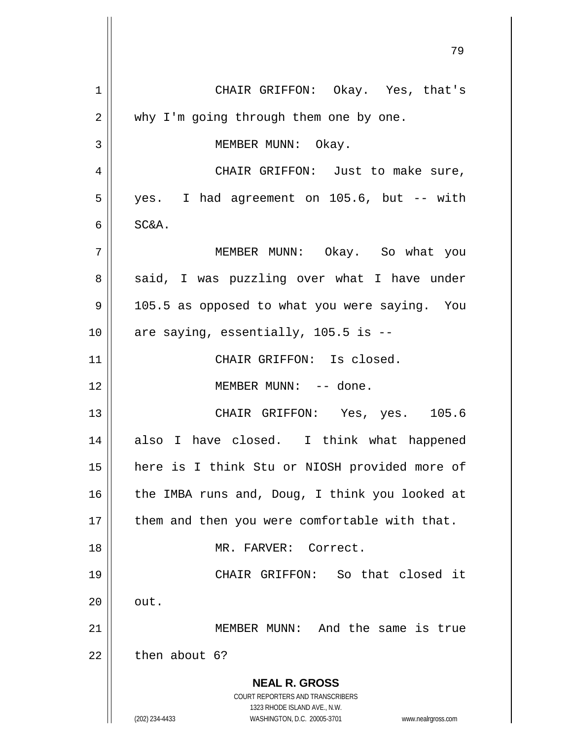**NEAL R. GROSS** COURT REPORTERS AND TRANSCRIBERS 1323 RHODE ISLAND AVE., N.W. (202) 234-4433 WASHINGTON, D.C. 20005-3701 www.nealrgross.com 1 CHAIR GRIFFON: Okay. Yes, that's 2 || why I'm going through them one by one. 3 | MEMBER MUNN: Okay. 4 CHAIR GRIFFON: Just to make sure, 5 yes. I had agreement on 105.6, but -- with  $6 \mid$  SC&A. 7 MEMBER MUNN: Okay. So what you 8 || said, I was puzzling over what I have under 9 | 105.5 as opposed to what you were saying. You  $10$  || are saying, essentially, 105.5 is  $-$ -11 CHAIR GRIFFON: Is closed. 12 || MEMBER MUNN: -- done. 13 CHAIR GRIFFON: Yes, yes. 105.6 14 also I have closed. I think what happened 15 here is I think Stu or NIOSH provided more of 16  $\parallel$  the IMBA runs and, Doug, I think you looked at  $17$  | them and then you were comfortable with that. 18 MR. FARVER: Correct. 19 CHAIR GRIFFON: So that closed it  $20 \parallel \quad out.$ 21 MEMBER MUNN: And the same is true  $22$   $\parallel$  then about 6?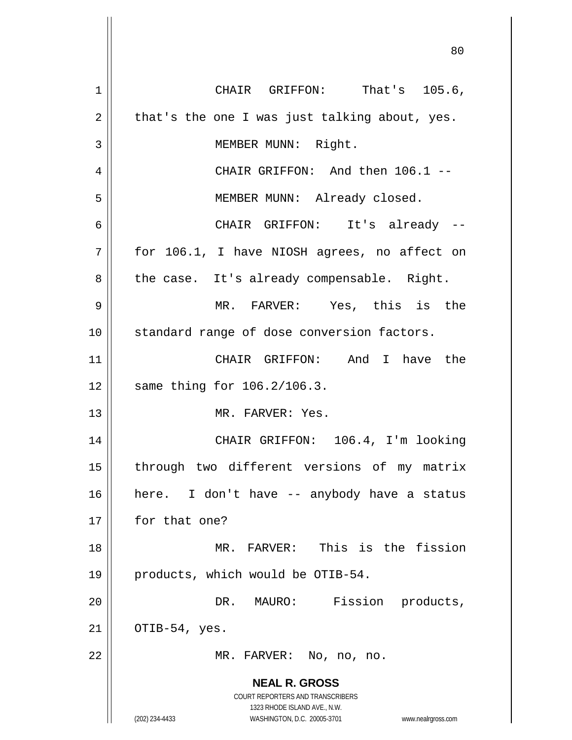|             | 80                                                                  |
|-------------|---------------------------------------------------------------------|
| $\mathbf 1$ | CHAIR GRIFFON: That's 105.6,                                        |
| 2           | that's the one I was just talking about, yes.                       |
| 3           | MEMBER MUNN: Right.                                                 |
| 4           | CHAIR GRIFFON: And then 106.1 --                                    |
| 5           | MEMBER MUNN: Already closed.                                        |
| 6           | CHAIR GRIFFON: It's already --                                      |
| 7           | for 106.1, I have NIOSH agrees, no affect on                        |
| 8           | the case. It's already compensable. Right.                          |
| 9           | MR. FARVER: Yes, this is the                                        |
| 10          | standard range of dose conversion factors.                          |
| 11          | CHAIR GRIFFON: And I have the                                       |
| 12          | same thing for 106.2/106.3.                                         |
| 13          | MR. FARVER: Yes.                                                    |
| 14          | CHAIR GRIFFON: 106.4, I'm looking                                   |
| 15          | through two different versions of my matrix                         |
| 16          | here. I don't have -- anybody have a status                         |
| 17          | for that one?                                                       |
| 18          | MR. FARVER: This is the fission                                     |
| 19          | products, which would be OTIB-54.                                   |
| 20          | DR. MAURO: Fission products,                                        |
| 21          | OTIB-54, yes.                                                       |
| 22          | MR. FARVER: No, no, no.                                             |
|             | <b>NEAL R. GROSS</b>                                                |
|             | COURT REPORTERS AND TRANSCRIBERS<br>1323 RHODE ISLAND AVE., N.W.    |
|             | (202) 234-4433<br>WASHINGTON, D.C. 20005-3701<br>www.nealrgross.com |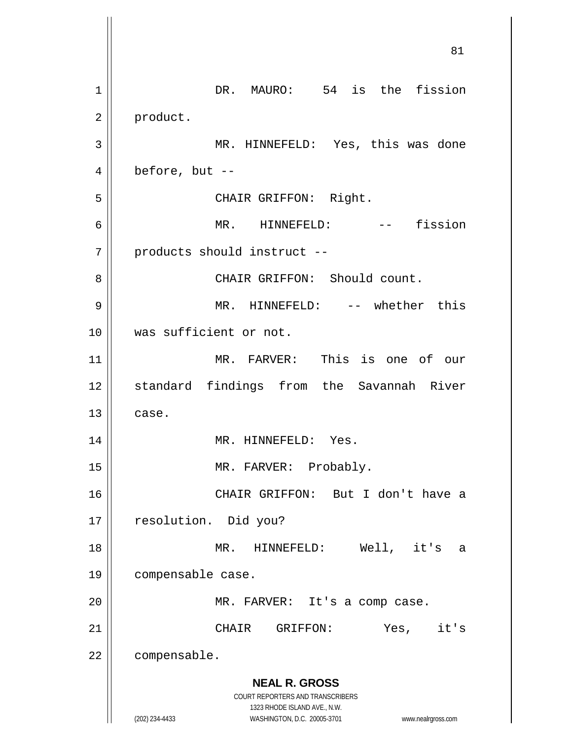**NEAL R. GROSS** COURT REPORTERS AND TRANSCRIBERS 1323 RHODE ISLAND AVE., N.W. (202) 234-4433 WASHINGTON, D.C. 20005-3701 www.nealrgross.com 81 1 DR. MAURO: 54 is the fission 2 | product. 3 MR. HINNEFELD: Yes, this was done  $4 \parallel$  before, but --5 || CHAIR GRIFFON: Right. 6 || MR. HINNEFELD: -- fission 7 | products should instruct --8 | CHAIR GRIFFON: Should count. 9 MR. HINNEFELD: -- whether this 10 was sufficient or not. 11 MR. FARVER: This is one of our 12 || standard findings from the Savannah River  $13$   $\parallel$  case. 14 || MR. HINNEFELD: Yes. 15 || MR. FARVER: Probably. 16 CHAIR GRIFFON: But I don't have a 17 | resolution. Did you? 18 MR. HINNEFELD: Well, it's a 19 compensable case. 20 || MR. FARVER: It's a comp case. 21 CHAIR GRIFFON: Yes, it's 22 | compensable.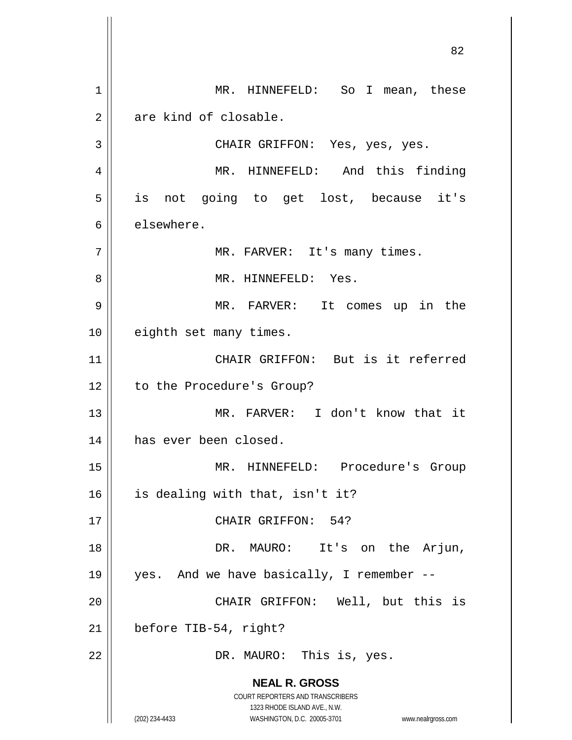**NEAL R. GROSS** COURT REPORTERS AND TRANSCRIBERS 1323 RHODE ISLAND AVE., N.W. (202) 234-4433 WASHINGTON, D.C. 20005-3701 www.nealrgross.com 1 MR. HINNEFELD: So I mean, these  $2 \parallel$  are kind of closable. 3 CHAIR GRIFFON: Yes, yes, yes. 4 MR. HINNEFELD: And this finding 5 || is not going to get lost, because it's 6 let elsewhere. 7 || MR. FARVER: It's many times. 8 MR. HINNEFELD: Yes. 9 MR. FARVER: It comes up in the 10 || eighth set many times. 11 CHAIR GRIFFON: But is it referred 12 | to the Procedure's Group? 13 MR. FARVER: I don't know that it 14 || has ever been closed. 15 MR. HINNEFELD: Procedure's Group  $16$  | is dealing with that, isn't it? 17 || CHAIR GRIFFON: 54? 18 DR. MAURO: It's on the Arjun, 19 yes. And we have basically, I remember -- 20 CHAIR GRIFFON: Well, but this is  $21$  | before TIB-54, right? 22 || DR. MAURO: This is, yes.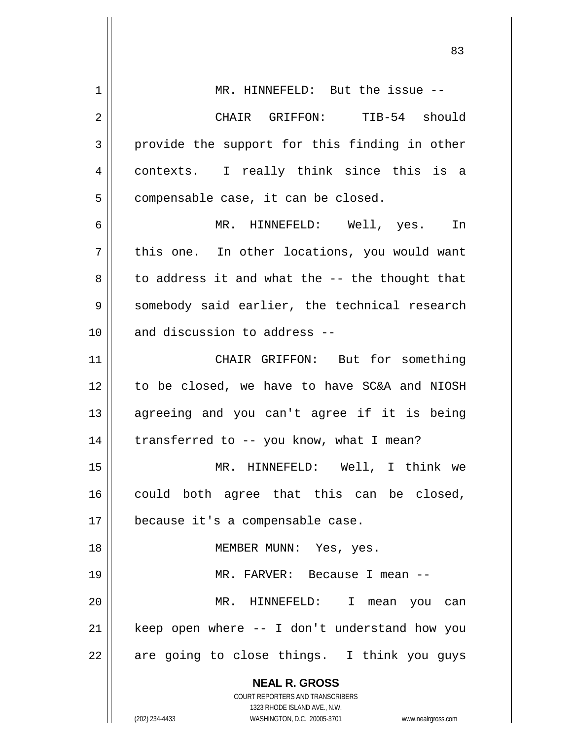**NEAL R. GROSS** COURT REPORTERS AND TRANSCRIBERS 1323 RHODE ISLAND AVE., N.W. (202) 234-4433 WASHINGTON, D.C. 20005-3701 www.nealrgross.com 1 || MR. HINNEFELD: But the issue --2 CHAIR GRIFFON: TIB-54 should  $3 \parallel$  provide the support for this finding in other 4 contexts. I really think since this is a  $5 \parallel$  compensable case, it can be closed. 6 MR. HINNEFELD: Well, yes. In  $7 \parallel$  this one. In other locations, you would want  $8 \parallel$  to address it and what the -- the thought that 9 Somebody said earlier, the technical research  $10$  || and discussion to address  $-$ -11 CHAIR GRIFFON: But for something 12 to be closed, we have to have SC&A and NIOSH 13 || agreeing and you can't agree if it is being 14  $\parallel$  transferred to -- you know, what I mean? 15 MR. HINNEFELD: Well, I think we  $16$  could both agree that this can be closed, 17 | because it's a compensable case. 18 MEMBER MUNN: Yes, yes. 19 MR. FARVER: Because I mean -- 20 MR. HINNEFELD: I mean you can 21 || keep open where -- I don't understand how you  $22$  || are going to close things. I think you guys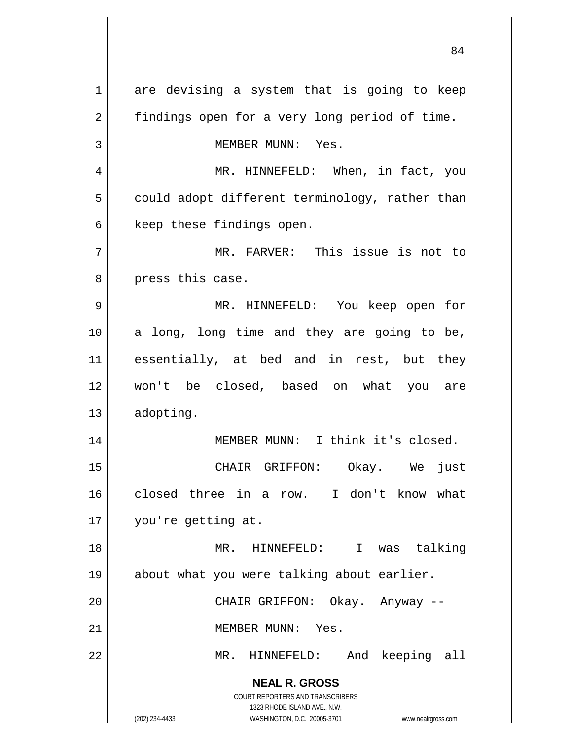**NEAL R. GROSS** COURT REPORTERS AND TRANSCRIBERS 1323 RHODE ISLAND AVE., N.W. (202) 234-4433 WASHINGTON, D.C. 20005-3701 www.nealrgross.com 1 are devising a system that is going to keep 2 | findings open for a very long period of time. 3 || MEMBER MUNN: Yes. 4 MR. HINNEFELD: When, in fact, you  $5 \parallel$  could adopt different terminology, rather than  $6$  | keep these findings open. 7 MR. FARVER: This issue is not to 8 || press this case. 9 MR. HINNEFELD: You keep open for 10 a long, long time and they are going to be, 11 essentially, at bed and in rest, but they 12 won't be closed, based on what you are 13 | adopting. 14 || MEMBER MUNN: I think it's closed. 15 CHAIR GRIFFON: Okay. We just 16 closed three in a row. I don't know what 17 || you're getting at. 18 MR. HINNEFELD: I was talking 19 about what you were talking about earlier. 20 CHAIR GRIFFON: Okay. Anyway -- 21 | MEMBER MUNN: Yes. 22 || MR. HINNEFELD: And keeping all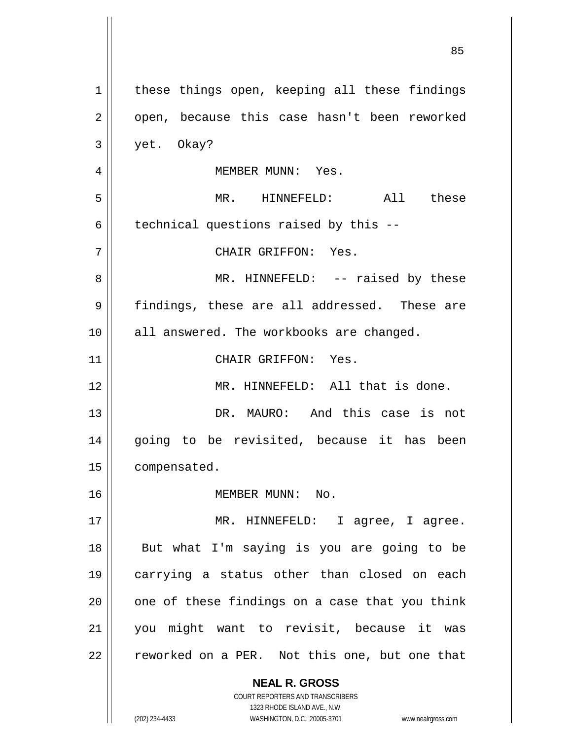**NEAL R. GROSS** COURT REPORTERS AND TRANSCRIBERS 1323 RHODE ISLAND AVE., N.W.  $1$  these things open, keeping all these findings 2 || open, because this case hasn't been reworked 3 yet. Okay? 4 MEMBER MUNN: Yes. 5 MR. HINNEFELD: All these  $6 \parallel$  technical questions raised by this --7 CHAIR GRIFFON: Yes. 8 MR. HINNEFELD: -- raised by these 9 || findings, these are all addressed. These are 10 || all answered. The workbooks are changed. 11 || CHAIR GRIFFON: Yes. 12 MR. HINNEFELD: All that is done. 13 DR. MAURO: And this case is not 14 || going to be revisited, because it has been 15 | compensated. 16 MEMBER MUNN: No. 17 MR. HINNEFELD: I agree, I agree. 18 But what I'm saying is you are going to be 19 carrying a status other than closed on each  $20$  || one of these findings on a case that you think 21 you might want to revisit, because it was  $22$  | reworked on a PER. Not this one, but one that

(202) 234-4433 WASHINGTON, D.C. 20005-3701 www.nealrgross.com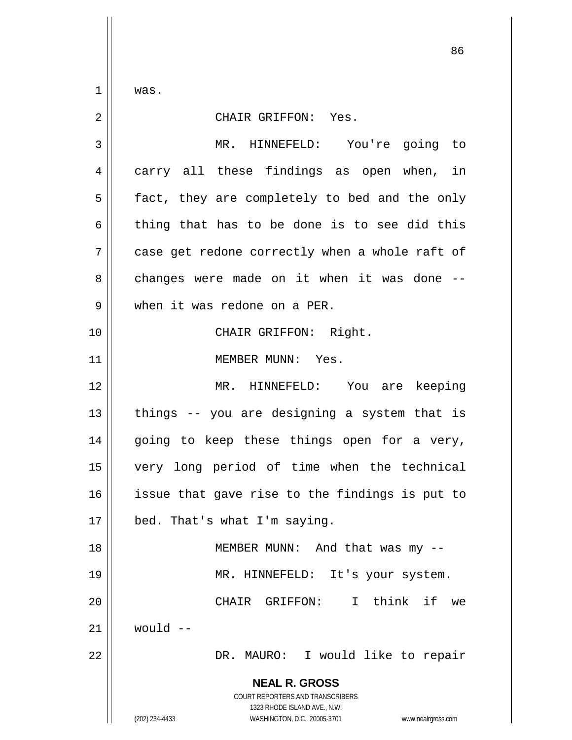$1 \parallel$  was.

| $\overline{2}$ | CHAIR GRIFFON: Yes.                                                                                                                                             |
|----------------|-----------------------------------------------------------------------------------------------------------------------------------------------------------------|
| 3              | MR. HINNEFELD: You're going to                                                                                                                                  |
| 4              | carry all these findings as open when, in                                                                                                                       |
| 5              | fact, they are completely to bed and the only                                                                                                                   |
| 6              | thing that has to be done is to see did this                                                                                                                    |
| 7              | case get redone correctly when a whole raft of                                                                                                                  |
| 8              | changes were made on it when it was done --                                                                                                                     |
| 9              | when it was redone on a PER.                                                                                                                                    |
| 10             | CHAIR GRIFFON: Right.                                                                                                                                           |
| 11             | MEMBER MUNN: Yes.                                                                                                                                               |
| 12             | MR. HINNEFELD: You are keeping                                                                                                                                  |
| 13             | things -- you are designing a system that is                                                                                                                    |
| 14             | going to keep these things open for a very,                                                                                                                     |
| 15             | very long period of time when the technical                                                                                                                     |
| 16             | issue that gave rise to the findings is put to                                                                                                                  |
| 17             | bed. That's what I'm saying.                                                                                                                                    |
| 18             | MEMBER MUNN: And that was my --                                                                                                                                 |
| 19             | MR. HINNEFELD: It's your system.                                                                                                                                |
| 20             | CHAIR GRIFFON: I think if<br>we                                                                                                                                 |
| 21             | would $--$                                                                                                                                                      |
| 22             | DR. MAURO: I would like to repair                                                                                                                               |
|                | <b>NEAL R. GROSS</b><br>COURT REPORTERS AND TRANSCRIBERS<br>1323 RHODE ISLAND AVE., N.W.<br>WASHINGTON, D.C. 20005-3701<br>(202) 234-4433<br>www.nealrgross.com |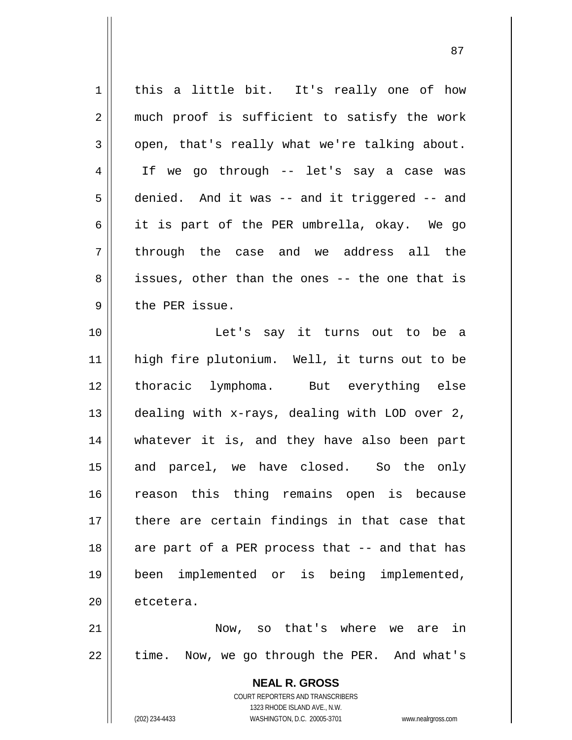| 1              | this a little bit. It's really one of how                                                           |
|----------------|-----------------------------------------------------------------------------------------------------|
| 2              | much proof is sufficient to satisfy the work                                                        |
| $\mathfrak{Z}$ | open, that's really what we're talking about.                                                       |
| 4              | If we go through -- let's say a case was                                                            |
| 5              | denied. And it was -- and it triggered -- and                                                       |
| 6              | it is part of the PER umbrella, okay. We go                                                         |
| 7              | through the case and we address all the                                                             |
| 8              | issues, other than the ones -- the one that is                                                      |
| 9              | the PER issue.                                                                                      |
| 10             | Let's say it turns out to be a                                                                      |
| 11             | high fire plutonium. Well, it turns out to be                                                       |
| 12             | thoracic lymphoma. But everything else                                                              |
| 13             | dealing with x-rays, dealing with LOD over 2,                                                       |
| 14             | whatever it is, and they have also been part                                                        |
| 15             | and parcel, we have closed. So the only                                                             |
| 16             | reason this thing remains open is because                                                           |
| 17             | there are certain findings in that case that                                                        |
| 18             | are part of a PER process that -- and that has                                                      |
| 19             | implemented or is being implemented,<br>been                                                        |
| 20             | etcetera.                                                                                           |
| 21             | Now, so that's where we are in                                                                      |
| 22             | time. Now, we go through the PER. And what's                                                        |
|                |                                                                                                     |
|                | <b>NEAL R. GROSS</b>                                                                                |
|                | <b>COURT REPORTERS AND TRANSCRIBERS</b>                                                             |
|                | 1323 RHODE ISLAND AVE., N.W.<br>(202) 234-4433<br>WASHINGTON, D.C. 20005-3701<br>www.nealrgross.com |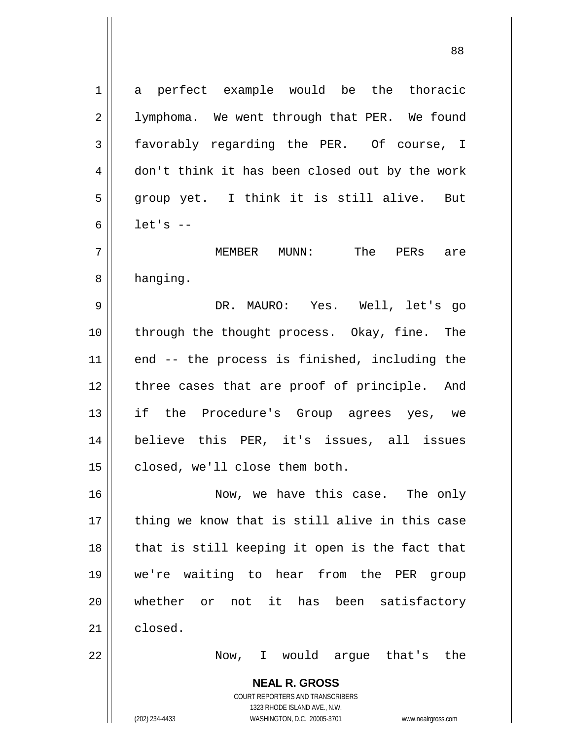**NEAL R. GROSS** COURT REPORTERS AND TRANSCRIBERS 1 a perfect example would be the thoracic 2 | lymphoma. We went through that PER. We found 3 favorably regarding the PER. Of course, I 4 don't think it has been closed out by the work 5 group yet. I think it is still alive. But  $6 \parallel$  let's  $-$ 7 MEMBER MUNN: The PERs are 8 | hanging. 9 DR. MAURO: Yes. Well, let's go 10 through the thought process. Okay, fine. The 11 || end -- the process is finished, including the 12 || three cases that are proof of principle. And 13 || if the Procedure's Group agrees yes, we 14 believe this PER, it's issues, all issues 15 | closed, we'll close them both. 16 Now, we have this case. The only  $17$  thing we know that is still alive in this case  $18$  || that is still keeping it open is the fact that 19 we're waiting to hear from the PER group 20 Whether or not it has been satisfactory  $21$   $\parallel$  closed. 22 Now, I would argue that's the

1323 RHODE ISLAND AVE., N.W.

(202) 234-4433 WASHINGTON, D.C. 20005-3701 www.nealrgross.com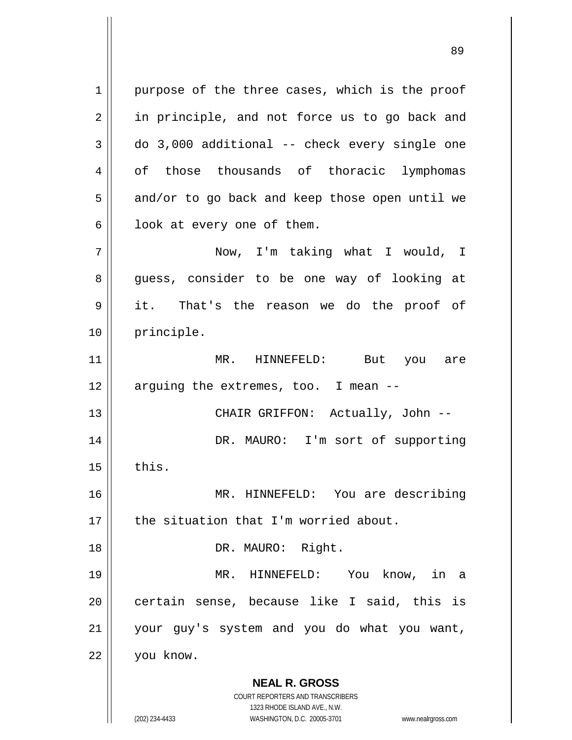**NEAL R. GROSS** COURT REPORTERS AND TRANSCRIBERS 1323 RHODE ISLAND AVE., N.W. (202) 234-4433 WASHINGTON, D.C. 20005-3701 www.nealrgross.com 1 || purpose of the three cases, which is the proof 2 || in principle, and not force us to go back and  $3 \parallel$  do 3,000 additional -- check every single one 4 of those thousands of thoracic lymphomas  $5 \parallel$  and/or to go back and keep those open until we  $6 \parallel$  look at every one of them. 7 Now, I'm taking what I would, I 8 || guess, consider to be one way of looking at 9 it. That's the reason we do the proof of 10 || principle. 11 MR. HINNEFELD: But you are  $12$  || arguing the extremes, too. I mean  $-$ 13 || CHAIR GRIFFON: Actually, John --14 || DR. MAURO: I'm sort of supporting  $15$  | this. 16 MR. HINNEFELD: You are describing  $17$   $\parallel$  the situation that I'm worried about. 18 || DR. MAURO: Right. 19 MR. HINNEFELD: You know, in a 20 || certain sense, because like I said, this is 21 your guy's system and you do what you want, 22 you know.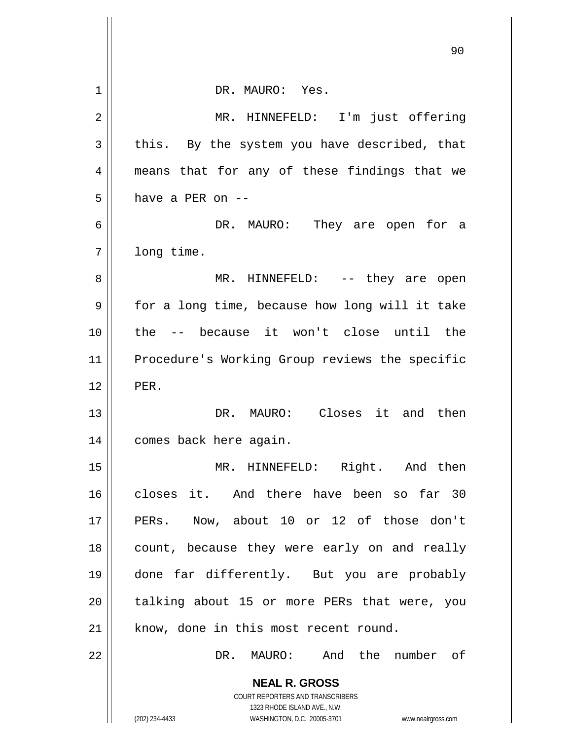|    | ッヮ                                                                                                  |
|----|-----------------------------------------------------------------------------------------------------|
| 1  | DR. MAURO: Yes.                                                                                     |
| 2  | MR. HINNEFELD: I'm just offering                                                                    |
| 3  | this. By the system you have described, that                                                        |
| 4  | means that for any of these findings that we                                                        |
| 5  | have a PER on --                                                                                    |
| 6  | DR. MAURO: They are open for a                                                                      |
| 7  | long time.                                                                                          |
| 8  | MR. HINNEFELD: -- they are open                                                                     |
| 9  | for a long time, because how long will it take                                                      |
| 10 | the -- because it won't close until the                                                             |
| 11 | Procedure's Working Group reviews the specific                                                      |
| 12 | PER.                                                                                                |
| 13 | DR. MAURO: Closes it and then                                                                       |
| 14 | comes back here again.                                                                              |
| 15 | Right.<br>then<br>HINNEFELD:<br>And<br>$MR$ .                                                       |
| 16 | closes it. And there have been so far 30                                                            |
| 17 | PERs. Now, about 10 or 12 of those don't                                                            |
| 18 | count, because they were early on and really                                                        |
| 19 | done far differently. But you are probably                                                          |
| 20 | talking about 15 or more PERs that were, you                                                        |
| 21 | know, done in this most recent round.                                                               |
| 22 | And the number of<br>DR.<br>MAURO:                                                                  |
|    | <b>NEAL R. GROSS</b>                                                                                |
|    | COURT REPORTERS AND TRANSCRIBERS                                                                    |
|    | 1323 RHODE ISLAND AVE., N.W.<br>(202) 234-4433<br>WASHINGTON, D.C. 20005-3701<br>www.nealrgross.com |

Ħ

 $\parallel$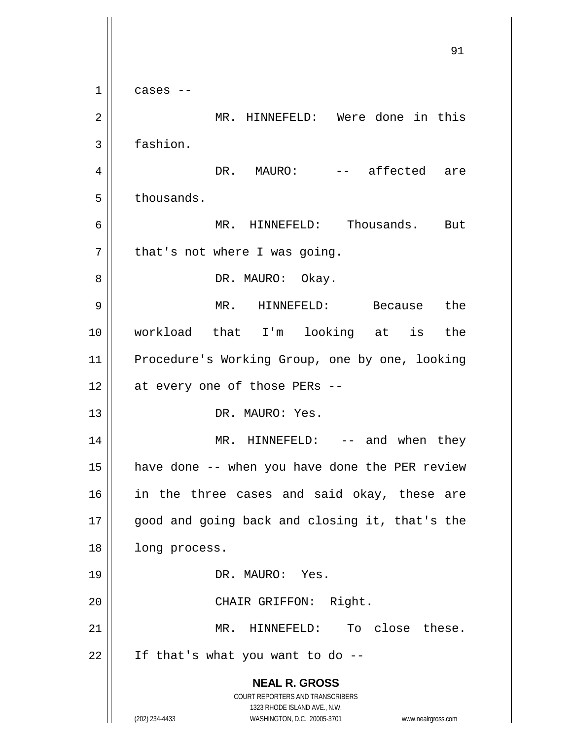**NEAL R. GROSS** COURT REPORTERS AND TRANSCRIBERS 1323 RHODE ISLAND AVE., N.W. (202) 234-4433 WASHINGTON, D.C. 20005-3701 www.nealrgross.com 91  $1 \parallel$  cases --2 MR. HINNEFELD: Were done in this 3 fashion. 4 DR. MAURO: -- affected are  $5 \parallel$  thousands. 6 MR. HINNEFELD: Thousands. But  $7 \parallel$  that's not where I was going. 8 DR. MAURO: Okay. 9 MR. HINNEFELD: Because the 10 workload that I'm looking at is the 11 Procedure's Working Group, one by one, looking  $12 \parallel$  at every one of those PERs --13 DR. MAURO: Yes. 14 MR. HINNEFELD: -- and when they 15 have done -- when you have done the PER review 16 || in the three cases and said okay, these are 17 good and going back and closing it, that's the 18 | long process. 19 DR. MAURO: Yes. 20 || CHAIR GRIFFON: Right. 21 || MR. HINNEFELD: To close these.  $22$  | If that's what you want to do --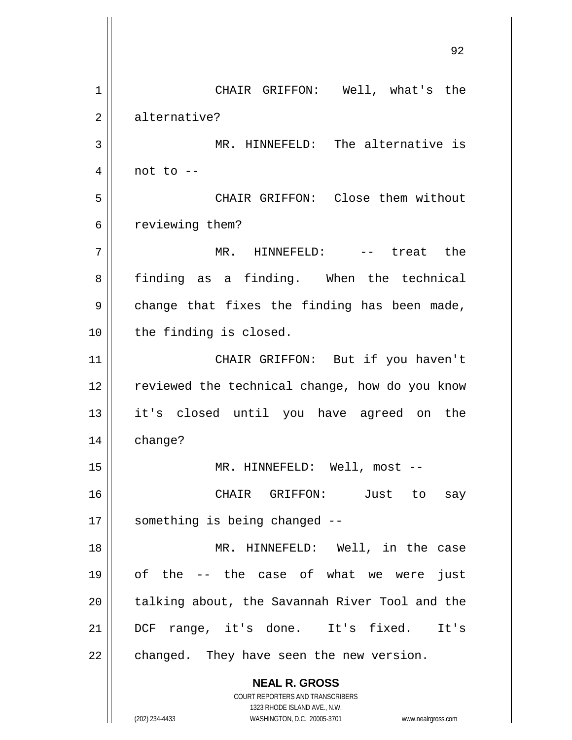**NEAL R. GROSS** COURT REPORTERS AND TRANSCRIBERS 1323 RHODE ISLAND AVE., N.W. (202) 234-4433 WASHINGTON, D.C. 20005-3701 www.nealrgross.com 1 || CHAIR GRIFFON: Well, what's the 2 || alternative? 3 MR. HINNEFELD: The alternative is  $4 \parallel$  not to  $-$ 5 CHAIR GRIFFON: Close them without 6 | reviewing them? 7 MR. HINNEFELD: -- treat the 8 || finding as a finding. When the technical  $9 \parallel$  change that fixes the finding has been made, 10 || the finding is closed. 11 || CHAIR GRIFFON: But if you haven't 12 || reviewed the technical change, how do you know 13 it's closed until you have agreed on the 14 change? 15 || MR. HINNEFELD: Well, most --16 CHAIR GRIFFON: Just to say  $17 \parallel$  something is being changed --18 MR. HINNEFELD: Well, in the case 19 of the -- the case of what we were just 20 || talking about, the Savannah River Tool and the 21 DCF range, it's done. It's fixed. It's  $22$  | changed. They have seen the new version.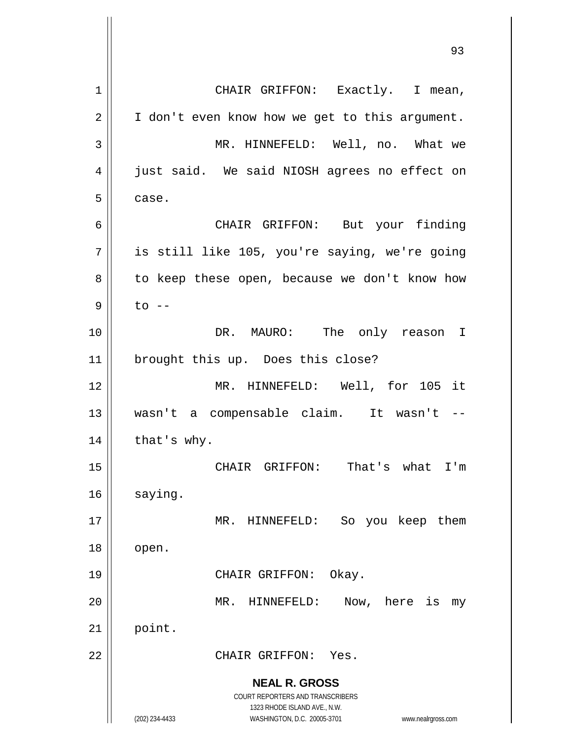**NEAL R. GROSS** COURT REPORTERS AND TRANSCRIBERS 1323 RHODE ISLAND AVE., N.W. (202) 234-4433 WASHINGTON, D.C. 20005-3701 www.nealrgross.com 1 || CHAIR GRIFFON: Exactly. I mean,  $2 \parallel$  I don't even know how we get to this argument. 3 MR. HINNEFELD: Well, no. What we 4 || just said. We said NIOSH agrees no effect on  $5 \mid$  case. 6 CHAIR GRIFFON: But your finding  $7 \parallel$  is still like 105, you're saying, we're going 8 || to keep these open, because we don't know how  $9 \parallel$  to  $-$ 10 DR. MAURO: The only reason I 11 || brought this up. Does this close? 12 || MR. HINNEFELD: Well, for 105 it 13 wasn't a compensable claim. It wasn't --  $14$  | that's why. 15 CHAIR GRIFFON: That's what I'm  $16$  saying. 17 || MR. HINNEFELD: So you keep them  $18 \parallel$  open. 19 || CHAIR GRIFFON: Okay. 20 MR. HINNEFELD: Now, here is my  $21$  point. 22 CHAIR GRIFFON: Yes.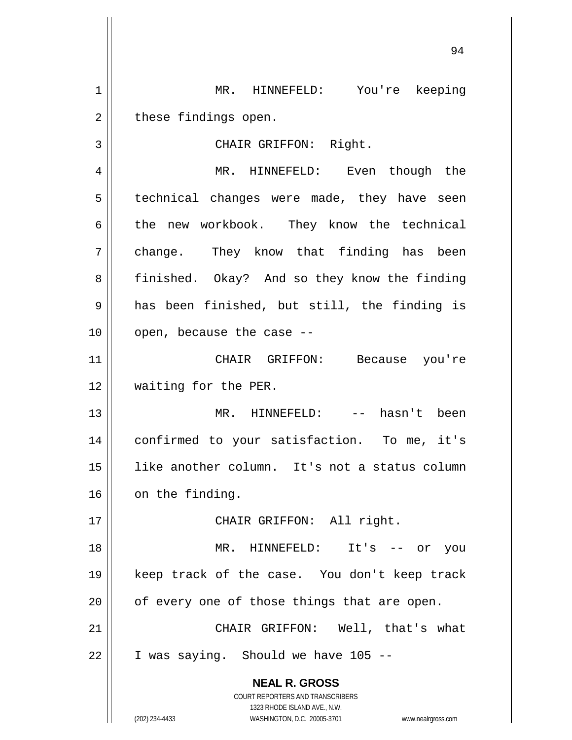1 MR. HINNEFELD: You're keeping  $2 \parallel$  these findings open. 3 || CHAIR GRIFFON: Right. 4 MR. HINNEFELD: Even though the

5 | technical changes were made, they have seen 6 the new workbook. They know the technical 7 change. They know that finding has been 8 | finished. Okay? And so they know the finding  $9 \parallel$  has been finished, but still, the finding is  $10$  | open, because the case  $-$ 

11 CHAIR GRIFFON: Because you're 12 || waiting for the PER.

 MR. HINNEFELD: -- hasn't been confirmed to your satisfaction. To me, it's like another column. It's not a status column 16 | on the finding.

17 || CHAIR GRIFFON: All right.

 MR. HINNEFELD: It's -- or you keep track of the case. You don't keep track | of every one of those things that are open. 21 || CHAIR GRIFFON: Well, that's what

 $22$  | I was saying. Should we have 105 --

**NEAL R. GROSS** COURT REPORTERS AND TRANSCRIBERS

1323 RHODE ISLAND AVE., N.W.

(202) 234-4433 WASHINGTON, D.C. 20005-3701 www.nealrgross.com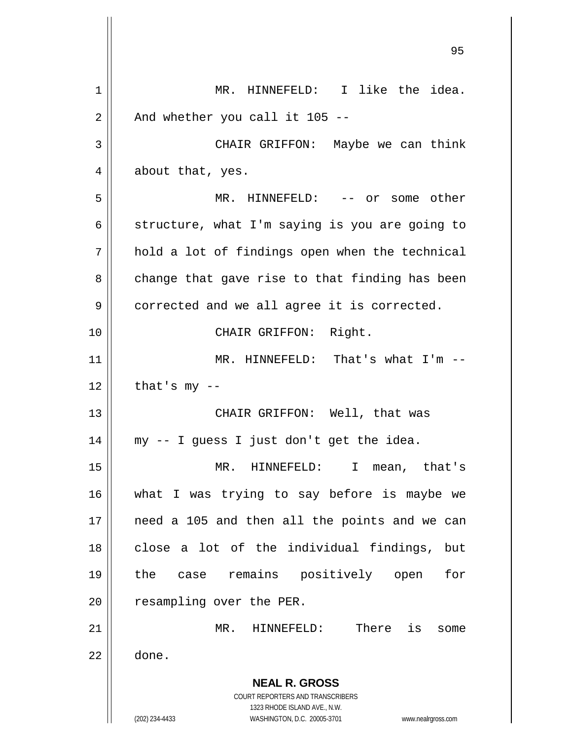**NEAL R. GROSS** COURT REPORTERS AND TRANSCRIBERS 1323 RHODE ISLAND AVE., N.W. (202) 234-4433 WASHINGTON, D.C. 20005-3701 www.nealrgross.com 1 || MR. HINNEFELD: I like the idea.  $2 \parallel$  And whether you call it 105 --3 CHAIR GRIFFON: Maybe we can think 4 about that, yes. 5 || MR. HINNEFELD: -- or some other 6  $\parallel$  structure, what I'm saying is you are going to  $7 \parallel$  hold a lot of findings open when the technical  $8 \parallel$  change that gave rise to that finding has been  $9 \parallel$  corrected and we all agree it is corrected. 10 || CHAIR GRIFFON: Right. 11 || MR. HINNEFELD: That's what I'm -- $12$  | that's my --13 CHAIR GRIFFON: Well, that was 14 my -- I guess I just don't get the idea. 15 MR. HINNEFELD: I mean, that's 16 what I was trying to say before is maybe we 17 || need a 105 and then all the points and we can 18 || close a lot of the individual findings, but 19 the case remains positively open for 20 | resampling over the PER. 21 MR. HINNEFELD: There is some  $22 \parallel$  done.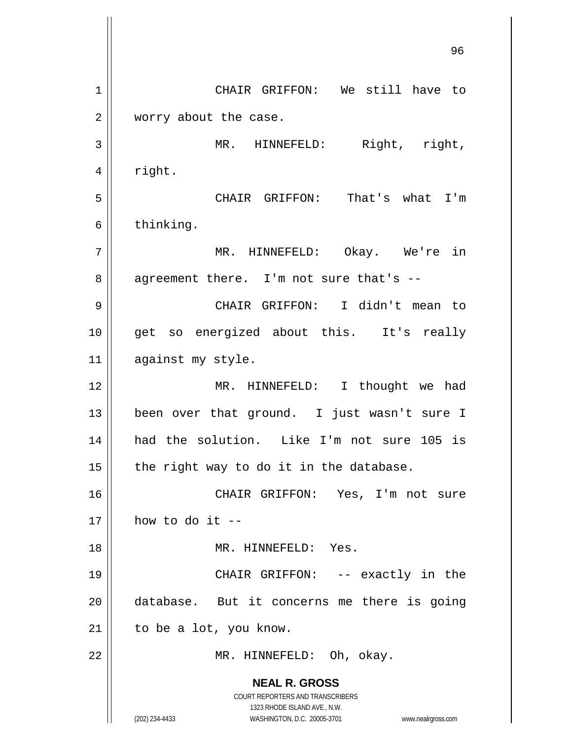**NEAL R. GROSS** COURT REPORTERS AND TRANSCRIBERS 1323 RHODE ISLAND AVE., N.W. (202) 234-4433 WASHINGTON, D.C. 20005-3701 www.nealrgross.com 96 1 CHAIR GRIFFON: We still have to 2 | worry about the case. 3 || MR. HINNEFELD: Right, right,  $4 \parallel$  right. 5 CHAIR GRIFFON: That's what I'm  $6 \parallel$  thinking. 7 MR. HINNEFELD: Okay. We're in 8 || agreement there. I'm not sure that's --9 CHAIR GRIFFON: I didn't mean to 10 || get so energized about this. It's really 11 || against my style. 12 || MR. HINNEFELD: I thought we had 13 been over that ground. I just wasn't sure I 14 had the solution. Like I'm not sure 105 is 15  $\parallel$  the right way to do it in the database. 16 CHAIR GRIFFON: Yes, I'm not sure  $17 \parallel$  how to do it --18 MR. HINNEFELD: Yes. 19 CHAIR GRIFFON: -- exactly in the 20 || database. But it concerns me there is going  $21$  | to be a lot, you know. 22 || MR. HINNEFELD: Oh, okay.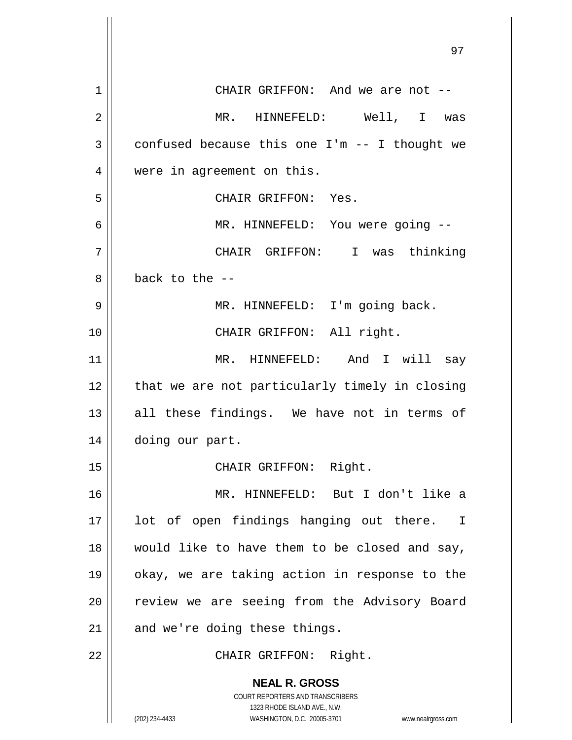|                | <i>וכ</i>                                                                                        |
|----------------|--------------------------------------------------------------------------------------------------|
| $\mathbf 1$    | CHAIR GRIFFON: And we are not --                                                                 |
| $\overline{2}$ | MR. HINNEFELD: Well, I was                                                                       |
| 3              | confused because this one $I'm -- I$ thought we                                                  |
| 4              | were in agreement on this.                                                                       |
| 5              | CHAIR GRIFFON: Yes.                                                                              |
| 6              | MR. HINNEFELD: You were going --                                                                 |
| 7              | CHAIR GRIFFON: I was thinking                                                                    |
| 8              | back to the $-$ -                                                                                |
| 9              | MR. HINNEFELD: I'm going back.                                                                   |
| 10             | CHAIR GRIFFON: All right.                                                                        |
| 11             | MR. HINNEFELD: And I will say                                                                    |
| 12             | that we are not particularly timely in closing                                                   |
| 13             | all these findings. We have not in terms of                                                      |
| 14             | doing our part.                                                                                  |
| 15             | CHAIR GRIFFON: Right.                                                                            |
| 16             | MR. HINNEFELD: But I don't like a                                                                |
| 17             | lot of open findings hanging out there. I                                                        |
| 18             | would like to have them to be closed and say,                                                    |
| 19             | okay, we are taking action in response to the                                                    |
| 20             | review we are seeing from the Advisory Board                                                     |
| 21             | and we're doing these things.                                                                    |
| 22             | CHAIR GRIFFON: Right.                                                                            |
|                | <b>NEAL R. GROSS</b>                                                                             |
|                | COURT REPORTERS AND TRANSCRIBERS                                                                 |
|                | 1323 RHODE ISLAND AVE., N.W.<br>(202) 234-4433<br>WASHINGTON, D.C. 20005-3701 www.nealrgross.com |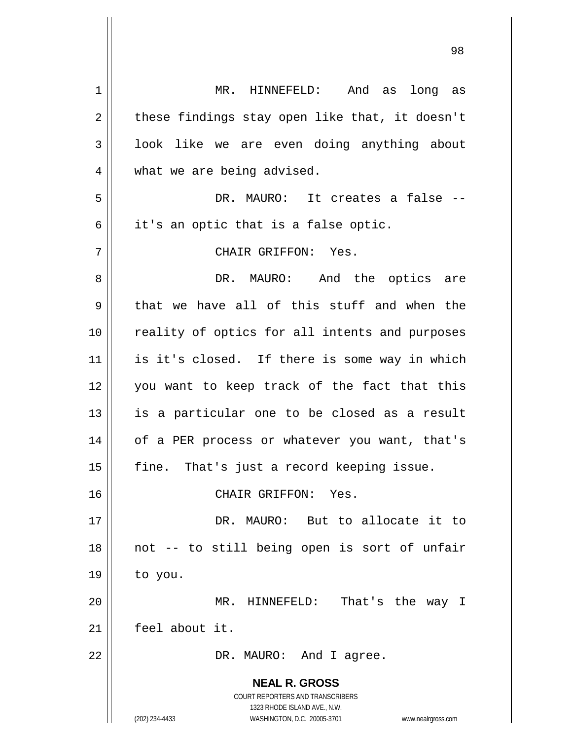| 1  | MR. HINNEFELD: And as long as                                       |
|----|---------------------------------------------------------------------|
| 2  | these findings stay open like that, it doesn't                      |
| 3  | look like we are even doing anything about                          |
| 4  | what we are being advised.                                          |
| 5  | DR. MAURO: It creates a false --                                    |
| 6  | it's an optic that is a false optic.                                |
| 7  | CHAIR GRIFFON: Yes.                                                 |
| 8  | DR. MAURO: And the optics are                                       |
| 9  | that we have all of this stuff and when the                         |
| 10 | reality of optics for all intents and purposes                      |
| 11 | is it's closed. If there is some way in which                       |
| 12 | you want to keep track of the fact that this                        |
| 13 | is a particular one to be closed as a result                        |
| 14 | of a PER process or whatever you want, that's                       |
| 15 | fine. That's just a record keeping issue.                           |
| 16 | CHAIR GRIFFON: Yes.                                                 |
| 17 | DR. MAURO: But to allocate it to                                    |
| 18 | not -- to still being open is sort of unfair                        |
| 19 | to you.                                                             |
| 20 | MR. HINNEFELD: That's the way I                                     |
| 21 | feel about it.                                                      |
| 22 | DR. MAURO: And I agree.                                             |
|    |                                                                     |
|    | <b>NEAL R. GROSS</b>                                                |
|    | COURT REPORTERS AND TRANSCRIBERS<br>1323 RHODE ISLAND AVE., N.W.    |
|    | (202) 234-4433<br>WASHINGTON, D.C. 20005-3701<br>www.nealrgross.com |

 $\overline{1}$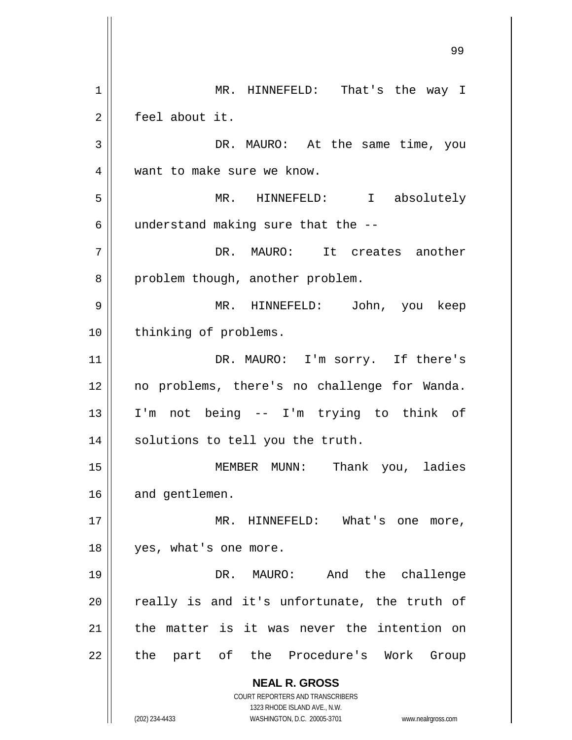**NEAL R. GROSS** COURT REPORTERS AND TRANSCRIBERS 1323 RHODE ISLAND AVE., N.W. (202) 234-4433 WASHINGTON, D.C. 20005-3701 www.nealrgross.com 1 | MR. HINNEFELD: That's the way I 2 feel about it. 3 DR. MAURO: At the same time, you 4 || want to make sure we know. 5 MR. HINNEFELD: I absolutely  $6$  || understand making sure that the  $-$ -7 DR. MAURO: It creates another 8 || problem though, another problem. 9 MR. HINNEFELD: John, you keep 10 || thinking of problems. 11 || DR. MAURO: I'm sorry. If there's 12 no problems, there's no challenge for Wanda. 13 I'm not being -- I'm trying to think of 14 || solutions to tell you the truth. 15 MEMBER MUNN: Thank you, ladies 16 and gentlemen. 17 || MR. HINNEFELD: What's one more, 18 || yes, what's one more. 19 DR. MAURO: And the challenge  $20$  really is and it's unfortunate, the truth of  $21$  the matter is it was never the intention on 22 || the part of the Procedure's Work Group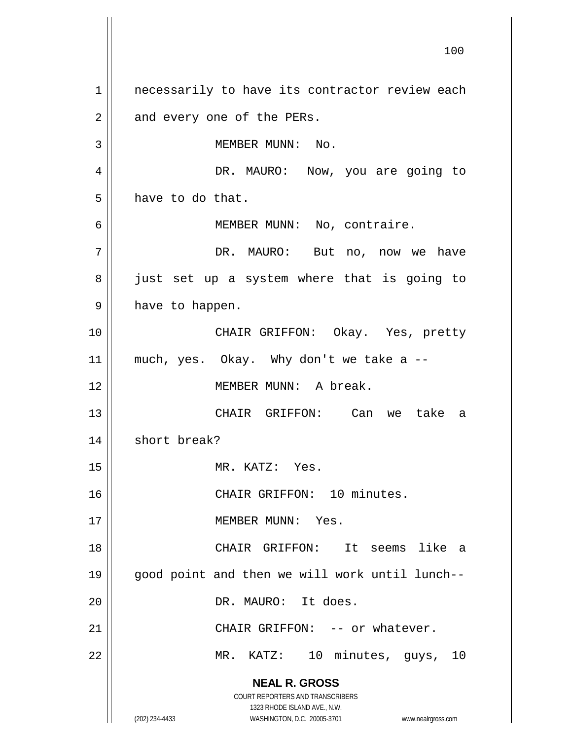**NEAL R. GROSS** COURT REPORTERS AND TRANSCRIBERS 1323 RHODE ISLAND AVE., N.W. (202) 234-4433 WASHINGTON, D.C. 20005-3701 www.nealrgross.com 100 1 || necessarily to have its contractor review each  $2 \parallel$  and every one of the PERs. 3 || MEMBER MUNN: No. 4 DR. MAURO: Now, you are going to  $5 \parallel$  have to do that. 6 || MEMBER MUNN: No, contraire. 7 | DR. MAURO: But no, now we have 8 || just set up a system where that is going to 9 || have to happen. 10 CHAIR GRIFFON: Okay. Yes, pretty  $11$  much, yes. Okay. Why don't we take a  $-$ 12 MEMBER MUNN: A break. 13 CHAIR GRIFFON: Can we take a 14 | short break? 15 || MR. KATZ: Yes. 16 || CHAIR GRIFFON: 10 minutes. 17 MEMBER MUNN: Yes. 18 CHAIR GRIFFON: It seems like a 19 good point and then we will work until lunch-- 20 DR. MAURO: It does. 21 CHAIR GRIFFON: -- or whatever. 22 || MR. KATZ: 10 minutes, guys, 10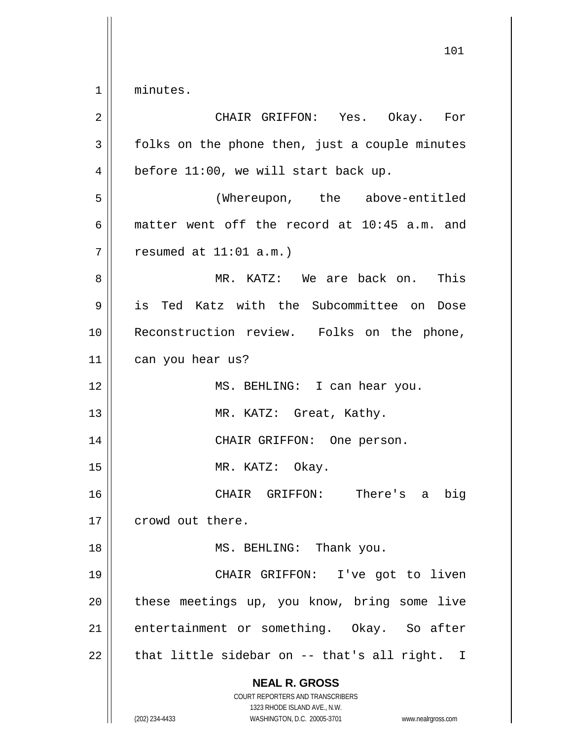1 minutes.

| $\overline{2}$ | CHAIR GRIFFON: Yes. Okay. For                                                                                                                                   |
|----------------|-----------------------------------------------------------------------------------------------------------------------------------------------------------------|
| 3              | folks on the phone then, just a couple minutes                                                                                                                  |
| 4              | before 11:00, we will start back up.                                                                                                                            |
| 5              | (Whereupon, the above-entitled                                                                                                                                  |
| 6              | matter went off the record at 10:45 a.m. and                                                                                                                    |
| 7              | resumed at $11:01$ a.m.)                                                                                                                                        |
| 8              | MR. KATZ: We are back on. This                                                                                                                                  |
| 9              | is Ted Katz with the Subcommittee on Dose                                                                                                                       |
| 10             | Reconstruction review. Folks on the phone,                                                                                                                      |
| 11             | can you hear us?                                                                                                                                                |
| 12             | MS. BEHLING: I can hear you.                                                                                                                                    |
| 13             | MR. KATZ: Great, Kathy.                                                                                                                                         |
| 14             | CHAIR GRIFFON: One person.                                                                                                                                      |
| 15             | MR. KATZ: Okay.                                                                                                                                                 |
| 16             | CHAIR GRIFFON: There's<br>big<br>a                                                                                                                              |
| 17             | crowd out there.                                                                                                                                                |
| 18             | MS. BEHLING: Thank you.                                                                                                                                         |
| 19             | CHAIR GRIFFON: I've got to liven                                                                                                                                |
| 20             | these meetings up, you know, bring some live                                                                                                                    |
| 21             | entertainment or something. Okay. So after                                                                                                                      |
| 22             | that little sidebar on -- that's all right. I                                                                                                                   |
|                | <b>NEAL R. GROSS</b><br>COURT REPORTERS AND TRANSCRIBERS<br>1323 RHODE ISLAND AVE., N.W.<br>(202) 234-4433<br>WASHINGTON, D.C. 20005-3701<br>www.nealrgross.com |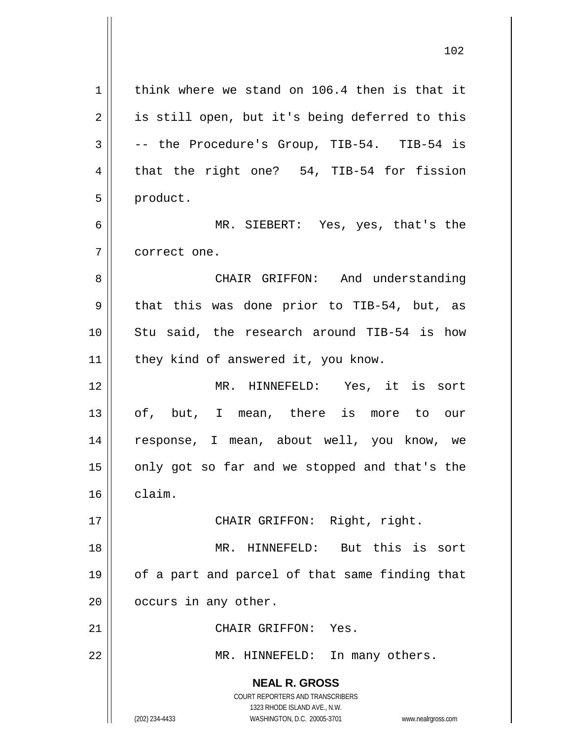**NEAL R. GROSS** COURT REPORTERS AND TRANSCRIBERS 1323 RHODE ISLAND AVE., N.W. (202) 234-4433 WASHINGTON, D.C. 20005-3701 www.nealrgross.com  $1$  think where we stand on 106.4 then is that it 2 || is still open, but it's being deferred to this  $3 \parallel$  -- the Procedure's Group, TIB-54. TIB-54 is  $4 \parallel$  that the right one? 54, TIB-54 for fission 5 | product. 6 MR. SIEBERT: Yes, yes, that's the 7 correct one. 8 CHAIR GRIFFON: And understanding  $9 \parallel$  that this was done prior to TIB-54, but, as 10 || Stu said, the research around TIB-54 is how 11 || they kind of answered it, you know. 12 MR. HINNEFELD: Yes, it is sort 13 || of, but, I mean, there is more to our 14 response, I mean, about well, you know, we  $15$  || only got so far and we stopped and that's the 16 claim. 17 || CHAIR GRIFFON: Right, right. 18 MR. HINNEFELD: But this is sort 19 || of a part and parcel of that same finding that  $20$  |  $\circ$  occurs in any other. 21 | CHAIR GRIFFON: Yes. 22 || MR. HINNEFELD: In many others.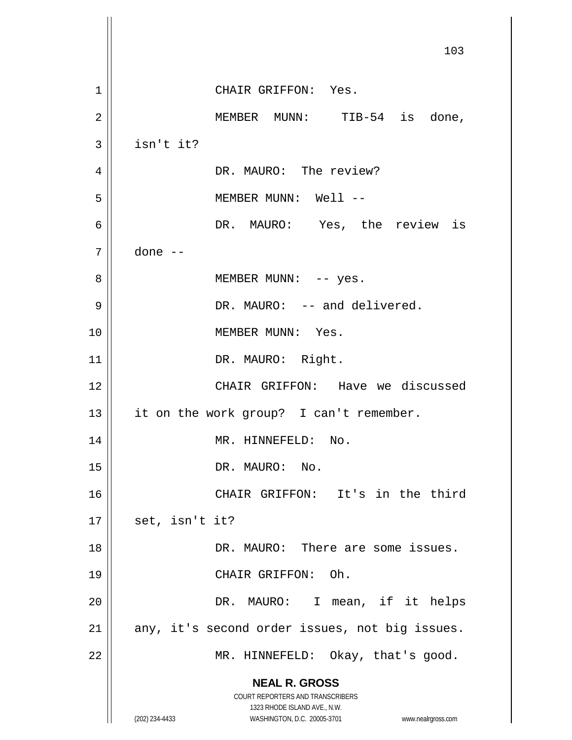**NEAL R. GROSS** COURT REPORTERS AND TRANSCRIBERS 1323 RHODE ISLAND AVE., N.W. (202) 234-4433 WASHINGTON, D.C. 20005-3701 www.nealrgross.com 103 1 CHAIR GRIFFON: Yes. 2 MEMBER MUNN: TIB-54 is done,  $3 \parallel$  isn't it? 4 | DR. MAURO: The review? 5 MEMBER MUNN: Well -- 6 DR. MAURO: Yes, the review is 7 done -- 8 || MEMBER MUNN: -- yes. 9 || DR. MAURO: -- and delivered. 10 || MEMBER MUNN: Yes. 11 || DR. MAURO: Right. 12 CHAIR GRIFFON: Have we discussed 13 || it on the work group? I can't remember. 14 || MR. HINNEFELD: No. 15 || DR. MAURO: No. 16 || CHAIR GRIFFON: It's in the third  $17 \parallel$  set, isn't it? 18 DR. MAURO: There are some issues. 19 || CHAIR GRIFFON: Oh. 20 || DR. MAURO: I mean, if it helps 21 || any, it's second order issues, not big issues. 22 || MR. HINNEFELD: Okay, that's good.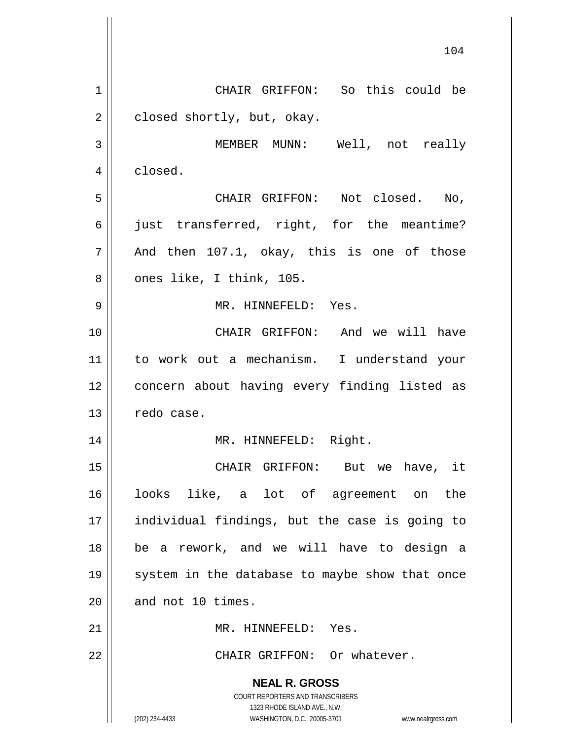**NEAL R. GROSS** COURT REPORTERS AND TRANSCRIBERS 1323 RHODE ISLAND AVE., N.W. (202) 234-4433 WASHINGTON, D.C. 20005-3701 www.nealrgross.com 1 | CHAIR GRIFFON: So this could be  $2 \parallel$  closed shortly, but, okay. 3 MEMBER MUNN: Well, not really 4 | closed. 5 CHAIR GRIFFON: Not closed. No,  $6 \parallel$  just transferred, right, for the meantime?  $7 \parallel$  And then 107.1, okay, this is one of those  $8 \parallel$  ones like, I think, 105. 9 MR. HINNEFELD: Yes. 10 || CHAIR GRIFFON: And we will have 11 to work out a mechanism. I understand your 12 || concern about having every finding listed as  $13$   $\parallel$  redo case. 14 || MR. HINNEFELD: Right. 15 CHAIR GRIFFON: But we have, it 16 looks like, a lot of agreement on the 17 individual findings, but the case is going to 18 be a rework, and we will have to design a 19 || system in the database to maybe show that once  $20$  | and not 10 times. 21 | MR. HINNEFELD: Yes. 22 CHAIR GRIFFON: Or whatever.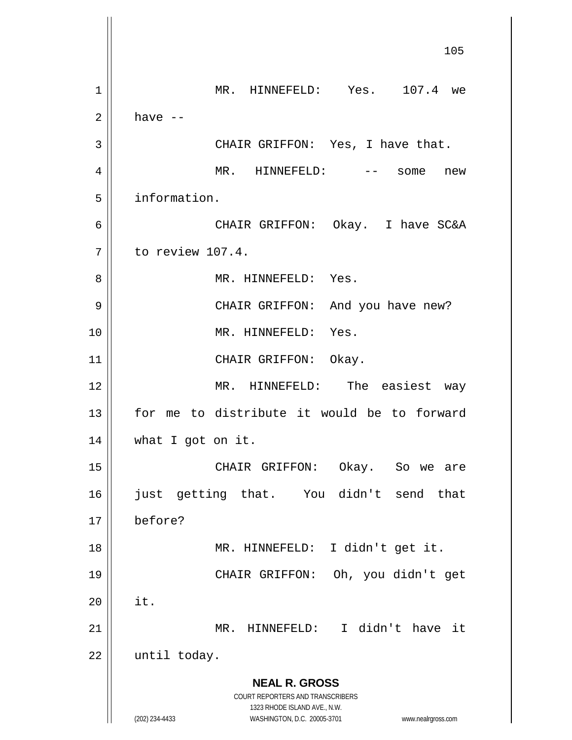**NEAL R. GROSS** COURT REPORTERS AND TRANSCRIBERS 1323 RHODE ISLAND AVE., N.W. (202) 234-4433 WASHINGTON, D.C. 20005-3701 www.nealrgross.com 1 || MR. HINNEFELD: Yes. 107.4 we  $2 \parallel$  have  $-$  CHAIR GRIFFON: Yes, I have that. MR. HINNEFELD: -- some new information. CHAIR GRIFFON: Okay. I have SC&A 7 l to review 107.4. MR. HINNEFELD: Yes. CHAIR GRIFFON: And you have new? 10 || MR. HINNEFELD: Yes. 11 || CHAIR GRIFFON: Okay. MR. HINNEFELD: The easiest way 13 || for me to distribute it would be to forward what I got on it. CHAIR GRIFFON: Okay. So we are just getting that. You didn't send that before? MR. HINNEFELD: I didn't get it. CHAIR GRIFFON: Oh, you didn't get | it. MR. HINNEFELD: I didn't have it | until today.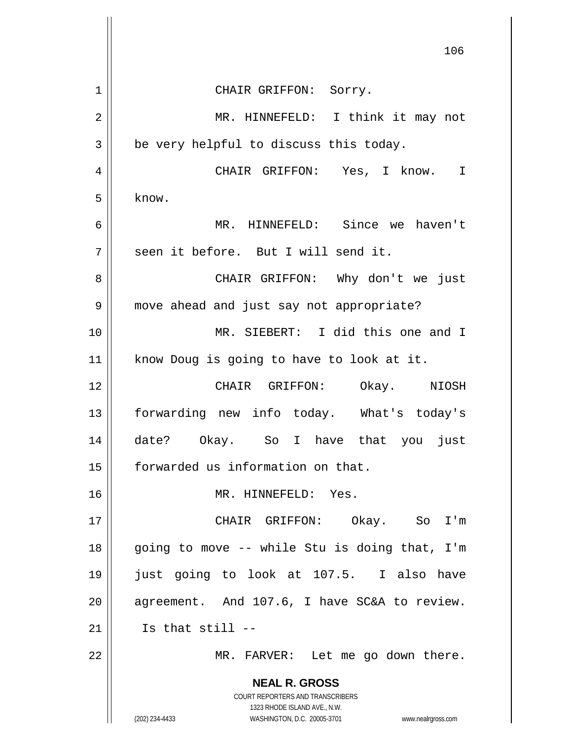|             | 106                                                              |
|-------------|------------------------------------------------------------------|
| $\mathbf 1$ | CHAIR GRIFFON: Sorry.                                            |
| 2           | MR. HINNEFELD: I think it may not                                |
| 3           | be very helpful to discuss this today.                           |
| 4           | CHAIR GRIFFON: Yes, I know. I                                    |
| 5           | know.                                                            |
| 6           | MR. HINNEFELD: Since we haven't                                  |
| 7           | seen it before. But I will send it.                              |
| 8           | CHAIR GRIFFON: Why don't we just                                 |
| 9           | move ahead and just say not appropriate?                         |
| 10          | MR. SIEBERT: I did this one and I                                |
| 11          | know Doug is going to have to look at it.                        |
| 12          | CHAIR GRIFFON: Okay. NIOSH                                       |
| 13          | forwarding new info today. What's today's                        |
| 14          | date? Okay. So I have that you just                              |
| 15          | forwarded us information on that.                                |
| 16          | MR. HINNEFELD: Yes.                                              |
| 17          | CHAIR GRIFFON: Okay. So I'm                                      |
| 18          | going to move -- while Stu is doing that, I'm                    |
| 19          | just going to look at 107.5. I also have                         |
| 20          | agreement. And 107.6, I have SC&A to review.                     |
| 21          | Is that still --                                                 |
| 22          | MR. FARVER: Let me go down there.                                |
|             | <b>NEAL R. GROSS</b><br>COURT REPORTERS AND TRANSCRIBERS         |
|             | 1323 RHODE ISLAND AVE., N.W.                                     |
|             | (202) 234-4433<br>WASHINGTON, D.C. 20005-3701 www.nealrgross.com |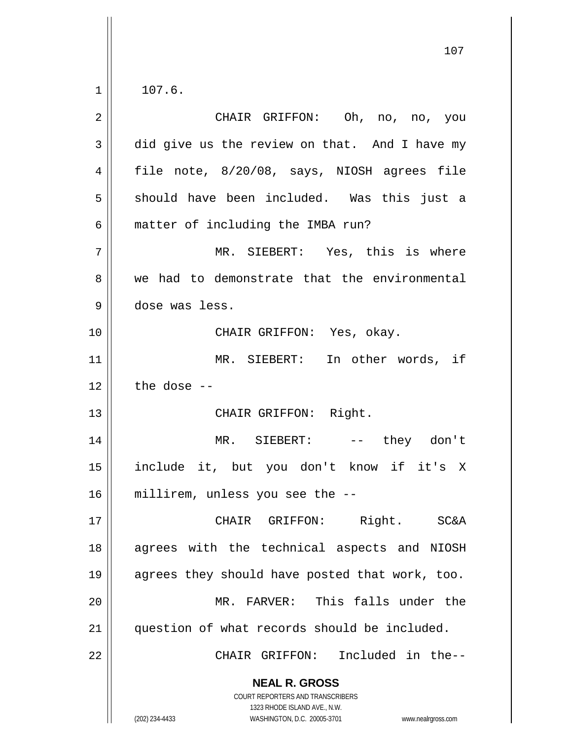$1 \parallel 107.6$ .

| $\overline{2}$ | CHAIR GRIFFON: Oh, no, no, you                                                                                                                                  |
|----------------|-----------------------------------------------------------------------------------------------------------------------------------------------------------------|
| 3              | did give us the review on that. And I have my                                                                                                                   |
| $\overline{4}$ | file note, 8/20/08, says, NIOSH agrees file                                                                                                                     |
| 5              | should have been included. Was this just a                                                                                                                      |
| 6              | matter of including the IMBA run?                                                                                                                               |
| 7              | MR. SIEBERT: Yes, this is where                                                                                                                                 |
| 8              | we had to demonstrate that the environmental                                                                                                                    |
| $\mathsf 9$    | dose was less.                                                                                                                                                  |
| 10             | CHAIR GRIFFON: Yes, okay.                                                                                                                                       |
| 11             | MR. SIEBERT: In other words, if                                                                                                                                 |
| 12             | the dose $-$                                                                                                                                                    |
| 13             | CHAIR GRIFFON: Right.                                                                                                                                           |
| 14             | MR. SIEBERT: -- they don't                                                                                                                                      |
| 15             | include it, but you don't know if it's X                                                                                                                        |
| 16             | millirem, unless you see the --                                                                                                                                 |
| 17             | CHAIR GRIFFON: Right. SC&A                                                                                                                                      |
| 18             | agrees with the technical aspects and NIOSH                                                                                                                     |
| 19             | agrees they should have posted that work, too.                                                                                                                  |
| 20             | MR. FARVER: This falls under the                                                                                                                                |
| 21             | question of what records should be included.                                                                                                                    |
| 22             | CHAIR GRIFFON: Included in the--                                                                                                                                |
|                | <b>NEAL R. GROSS</b><br>COURT REPORTERS AND TRANSCRIBERS<br>1323 RHODE ISLAND AVE., N.W.<br>WASHINGTON, D.C. 20005-3701<br>(202) 234-4433<br>www.nealrgross.com |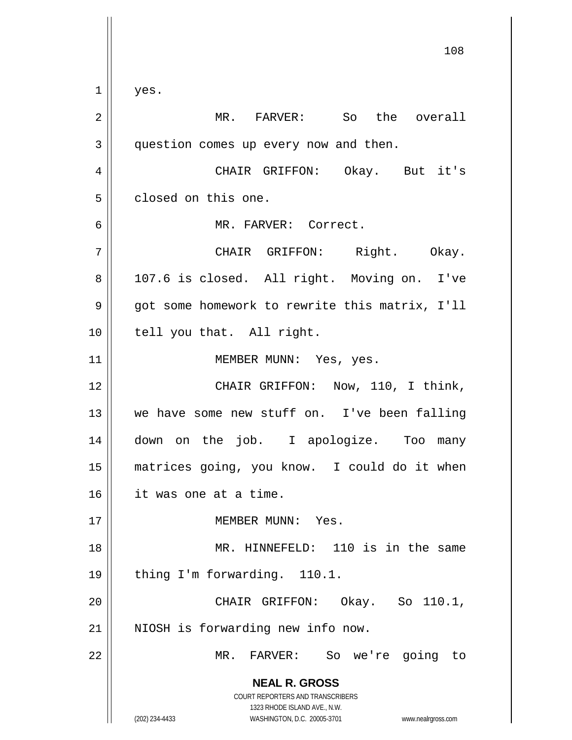**NEAL R. GROSS** COURT REPORTERS AND TRANSCRIBERS 1323 RHODE ISLAND AVE., N.W. (202) 234-4433 WASHINGTON, D.C. 20005-3701 www.nealrgross.com 108  $1 \parallel$  yes. 2 || MR. FARVER: So the overall 3 | question comes up every now and then. 4 CHAIR GRIFFON: Okay. But it's 5 closed on this one. 6 MR. FARVER: Correct. 7 CHAIR GRIFFON: Right. Okay. 8 || 107.6 is closed. All right. Moving on. I've 9 | got some homework to rewrite this matrix, I'll 10 || tell you that. All right. 11 || MEMBER MUNN: Yes, yes. 12 CHAIR GRIFFON: Now, 110, I think, 13 we have some new stuff on. I've been falling 14 down on the job. I apologize. Too many 15 matrices going, you know. I could do it when 16 it was one at a time. 17 MEMBER MUNN: Yes. 18 MR. HINNEFELD: 110 is in the same 19 || thing I'm forwarding. 110.1. 20 CHAIR GRIFFON: Okay. So 110.1, 21 || NIOSH is forwarding new info now. 22 || MR. FARVER: So we're going to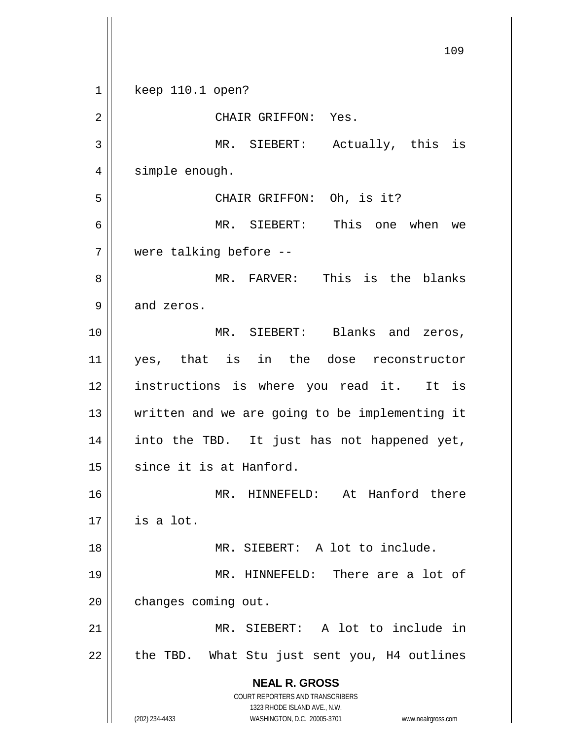**NEAL R. GROSS** COURT REPORTERS AND TRANSCRIBERS 1323 RHODE ISLAND AVE., N.W. (202) 234-4433 WASHINGTON, D.C. 20005-3701 www.nealrgross.com 109 1 || keep 110.1 open? 2 || CHAIR GRIFFON: Yes. 3 MR. SIEBERT: Actually, this is 4 | simple enough. 5 CHAIR GRIFFON: Oh, is it? 6 MR. SIEBERT: This one when we 7 were talking before -- 8 MR. FARVER: This is the blanks  $9 \parallel$  and zeros. 10 MR. SIEBERT: Blanks and zeros, 11 yes, that is in the dose reconstructor 12 instructions is where you read it. It is 13 written and we are going to be implementing it 14 into the TBD. It just has not happened yet, 15 || since it is at Hanford. 16 || MR. HINNEFELD: At Hanford there  $17 \parallel$  is a lot. 18 MR. SIEBERT: A lot to include. 19 MR. HINNEFELD: There are a lot of 20 | changes coming out. 21 MR. SIEBERT: A lot to include in  $22$  | the TBD. What Stu just sent you, H4 outlines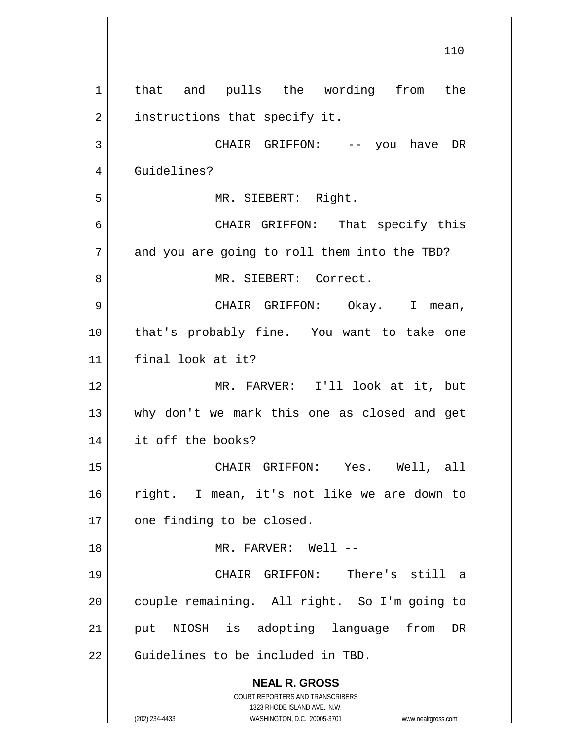**NEAL R. GROSS** COURT REPORTERS AND TRANSCRIBERS 1323 RHODE ISLAND AVE., N.W. (202) 234-4433 WASHINGTON, D.C. 20005-3701 www.nealrgross.com 1 || that and pulls the wording from the 2 || instructions that specify it. 3 CHAIR GRIFFON: -- you have DR 4 Guidelines? 5 MR. SIEBERT: Right. 6 CHAIR GRIFFON: That specify this  $7 \parallel$  and you are going to roll them into the TBD? 8 MR. SIEBERT: Correct. 9 CHAIR GRIFFON: Okay. I mean, 10 that's probably fine. You want to take one 11 final look at it? 12 MR. FARVER: I'll look at it, but 13 why don't we mark this one as closed and get 14 it off the books? 15 CHAIR GRIFFON: Yes. Well, all 16 right. I mean, it's not like we are down to  $17$  | one finding to be closed. 18 MR. FARVER: Well -- 19 CHAIR GRIFFON: There's still a 20 | couple remaining. All right. So I'm going to 21 || put NIOSH is adopting language from DR 22 || Guidelines to be included in TBD.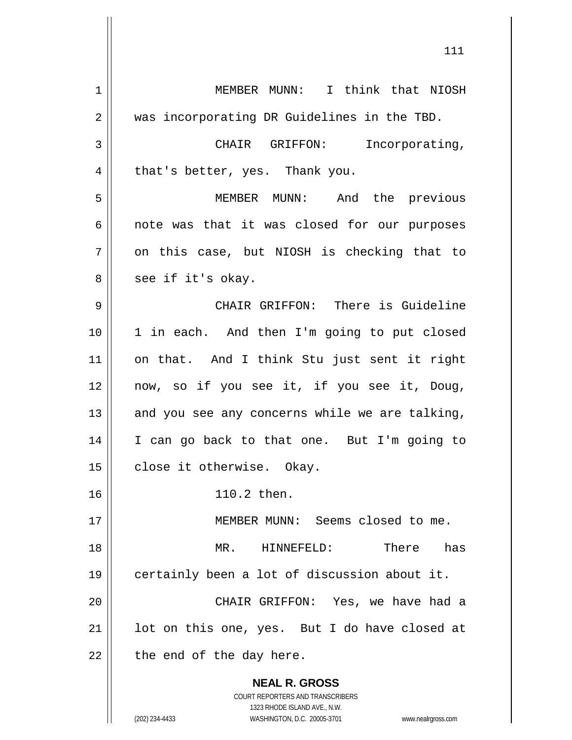**NEAL R. GROSS** COURT REPORTERS AND TRANSCRIBERS 1323 RHODE ISLAND AVE., N.W. (202) 234-4433 WASHINGTON, D.C. 20005-3701 www.nealrgross.com 1 | MEMBER MUNN: I think that NIOSH 2 || was incorporating DR Guidelines in the TBD. 3 | CHAIR GRIFFON: Incorporating,  $4 \parallel$  that's better, yes. Thank you. 5 MEMBER MUNN: And the previous  $6 \parallel$  note was that it was closed for our purposes  $7 \parallel$  on this case, but NIOSH is checking that to  $8 \parallel$  see if it's okay. 9 CHAIR GRIFFON: There is Guideline 10 1 in each. And then I'm going to put closed 11 on that. And I think Stu just sent it right 12 now, so if you see it, if you see it, Doug, 13 || and you see any concerns while we are talking, 14 I can go back to that one. But I'm going to 15 | close it otherwise. Okay. 16 110.2 then. 17 MEMBER MUNN: Seems closed to me. 18 MR. HINNEFELD: There has 19 certainly been a lot of discussion about it. 20 CHAIR GRIFFON: Yes, we have had a  $21$  || lot on this one, yes. But I do have closed at  $22$  | the end of the day here.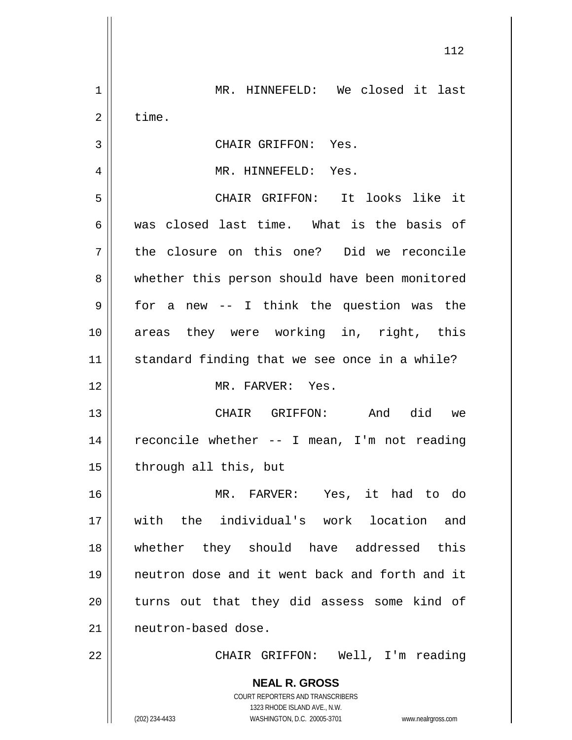**NEAL R. GROSS** COURT REPORTERS AND TRANSCRIBERS 1323 RHODE ISLAND AVE., N.W. (202) 234-4433 WASHINGTON, D.C. 20005-3701 www.nealrgross.com 112 1 || MR. HINNEFELD: We closed it last  $2 \parallel$  time. 3 || CHAIR GRIFFON: Yes. 4 MR. HINNEFELD: Yes. 5 CHAIR GRIFFON: It looks like it 6 was closed last time. What is the basis of 7 the closure on this one? Did we reconcile 8 || whether this person should have been monitored  $9 \parallel$  for a new -- I think the question was the 10 areas they were working in, right, this 11 || standard finding that we see once in a while? 12 MR. FARVER: Yes. 13 CHAIR GRIFFON: And did we 14 || reconcile whether -- I mean, I'm not reading  $15$  | through all this, but 16 MR. FARVER: Yes, it had to do 17 with the individual's work location and 18 whether they should have addressed this 19 neutron dose and it went back and forth and it 20 || turns out that they did assess some kind of 21 | neutron-based dose. 22 || CHAIR GRIFFON: Well, I'm reading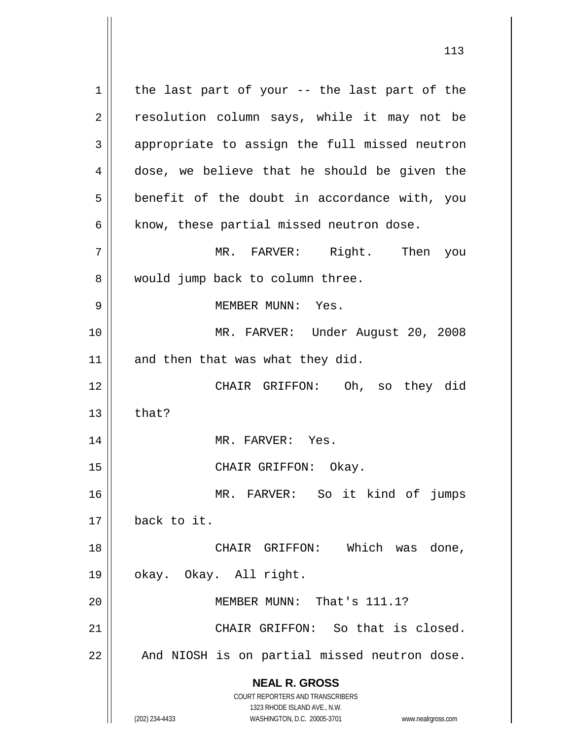**NEAL R. GROSS** COURT REPORTERS AND TRANSCRIBERS 1323 RHODE ISLAND AVE., N.W.  $1$  the last part of your -- the last part of the 2 || resolution column says, while it may not be 3 || appropriate to assign the full missed neutron 4 dose, we believe that he should be given the  $5 \parallel$  benefit of the doubt in accordance with, you  $6$  | know, these partial missed neutron dose. 7 MR. FARVER: Right. Then you 8 || would jump back to column three. 9 MEMBER MUNN: Yes. 10 MR. FARVER: Under August 20, 2008  $11$  and then that was what they did. 12 CHAIR GRIFFON: Oh, so they did  $13$   $\parallel$  that? 14 || MR. FARVER: Yes. 15 || CHAIR GRIFFON: Okay. 16 MR. FARVER: So it kind of jumps 17 back to it. 18 CHAIR GRIFFON: Which was done, 19 okay. Okay. All right. 20 MEMBER MUNN: That's 111.1? 21 | CHAIR GRIFFON: So that is closed.  $22$  |  $\blacksquare$  And NIOSH is on partial missed neutron dose.

(202) 234-4433 WASHINGTON, D.C. 20005-3701 www.nealrgross.com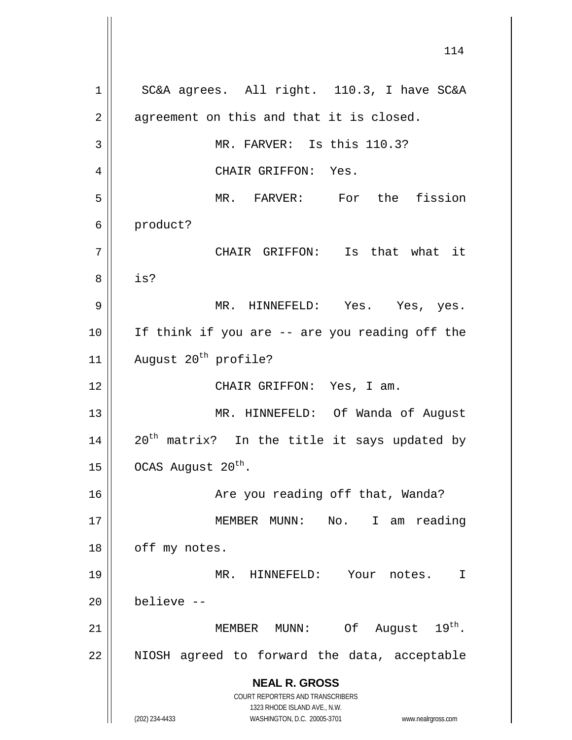**NEAL R. GROSS** COURT REPORTERS AND TRANSCRIBERS 1323 RHODE ISLAND AVE., N.W. (202) 234-4433 WASHINGTON, D.C. 20005-3701 www.nealrgross.com 1 | SC&A agrees. All right. 110.3, I have SC&A  $2 \parallel$  agreement on this and that it is closed. 3 || MR. FARVER: Is this 110.3? 4 CHAIR GRIFFON: Yes. 5 MR. FARVER: For the fission 6 product? 7 || CHAIR GRIFFON: Is that what it 8 is? 9 MR. HINNEFELD: Yes. Yes, yes. 10 || If think if you are -- are you reading off the 11 | August  $20^{th}$  profile? 12 || CHAIR GRIFFON: Yes, I am. 13 MR. HINNEFELD: Of Wanda of August 14  $\parallel$  20<sup>th</sup> matrix? In the title it says updated by 15  $\vert$  OCAS August 20<sup>th</sup>. 16 || Are you reading off that, Wanda? 17 MEMBER MUNN: No. I am reading  $18$  | off my notes. 19 MR. HINNEFELD: Your notes. I  $20$  | believe  $-$ 21  $\parallel$  MEMBER MUNN: Of August 19<sup>th</sup>.  $22$  || NIOSH agreed to forward the data, acceptable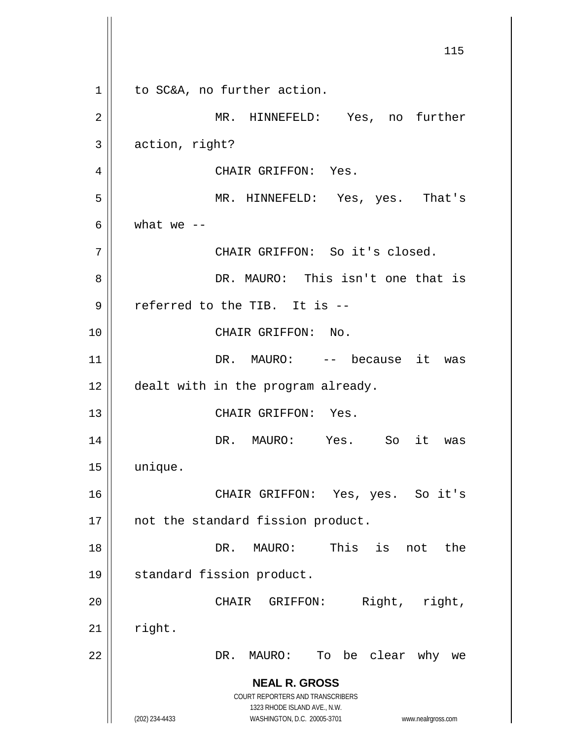**NEAL R. GROSS** COURT REPORTERS AND TRANSCRIBERS 1323 RHODE ISLAND AVE., N.W. (202) 234-4433 WASHINGTON, D.C. 20005-3701 www.nealrgross.com 115 1 | to SC&A, no further action. 2 || MR. HINNEFELD: Yes, no further 3 action, right? 4 | CHAIR GRIFFON: Yes. 5 MR. HINNEFELD: Yes, yes. That's 6  $\vert$  what we  $\vert$  -7 || CHAIR GRIFFON: So it's closed. 8 DR. MAURO: This isn't one that is 9 || referred to the TIB. It is --10 CHAIR GRIFFON: No. 11 || DR. MAURO: -- because it was 12 | dealt with in the program already. 13 CHAIR GRIFFON: Yes. 14 DR. MAURO: Yes. So it was 15 unique. 16 CHAIR GRIFFON: Yes, yes. So it's 17 || not the standard fission product. 18 DR. MAURO: This is not the 19 || standard fission product. 20 || CHAIR GRIFFON: Right, right,  $21$  right. 22 DR. MAURO: To be clear why we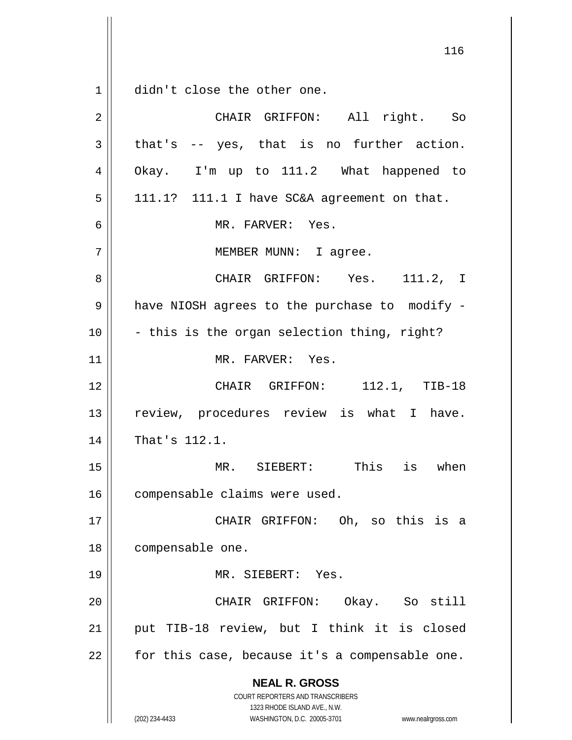$1 \parallel$  didn't close the other one.

| $\overline{2}$ | CHAIR GRIFFON: All right. So                                                                                                                                           |
|----------------|------------------------------------------------------------------------------------------------------------------------------------------------------------------------|
| 3              | that's -- yes, that is no further action.                                                                                                                              |
| 4              | Okay. I'm up to 111.2 What happened to                                                                                                                                 |
| 5              | 111.1? 111.1 I have SC&A agreement on that.                                                                                                                            |
| 6              | MR. FARVER: Yes.                                                                                                                                                       |
| 7              | MEMBER MUNN: I agree.                                                                                                                                                  |
| 8              | CHAIR GRIFFON: Yes. 111.2, I                                                                                                                                           |
| 9              | have NIOSH agrees to the purchase to modify -                                                                                                                          |
| 10             | - this is the organ selection thing, right?                                                                                                                            |
| 11             | MR. FARVER: Yes.                                                                                                                                                       |
| 12             | CHAIR GRIFFON: 112.1, TIB-18                                                                                                                                           |
| 13             | review, procedures review is what I have.                                                                                                                              |
| 14             | That's 112.1.                                                                                                                                                          |
| 15             | MR. SIEBERT: This is when                                                                                                                                              |
| 16             | compensable claims were used.                                                                                                                                          |
| 17             | CHAIR GRIFFON: Oh, so this is a                                                                                                                                        |
| 18             | compensable one.                                                                                                                                                       |
| 19             | MR. SIEBERT: Yes.                                                                                                                                                      |
| 20             | CHAIR GRIFFON: Okay. So still                                                                                                                                          |
| 21             | put TIB-18 review, but I think it is closed                                                                                                                            |
| 22             | for this case, because it's a compensable one.                                                                                                                         |
|                | <b>NEAL R. GROSS</b><br><b>COURT REPORTERS AND TRANSCRIBERS</b><br>1323 RHODE ISLAND AVE., N.W.<br>(202) 234-4433<br>WASHINGTON, D.C. 20005-3701<br>www.nealrgross.com |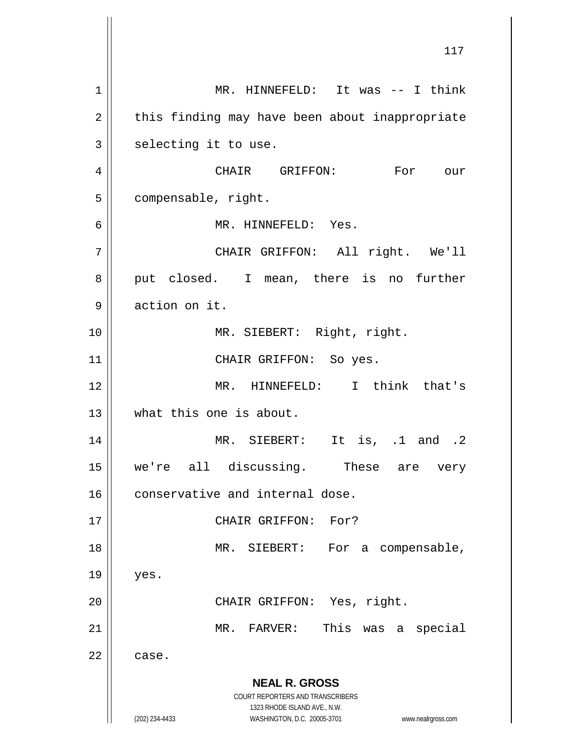**NEAL R. GROSS** COURT REPORTERS AND TRANSCRIBERS 1323 RHODE ISLAND AVE., N.W. (202) 234-4433 WASHINGTON, D.C. 20005-3701 www.nealrgross.com 1 || MR. HINNEFELD: It was -- I think  $2 \parallel$  this finding may have been about inappropriate  $3$  selecting it to use. 4 CHAIR GRIFFON: For our 5 | compensable, right. 6 MR. HINNEFELD: Yes. 7 || CHAIR GRIFFON: All right. We'll  $8 \parallel$  put closed. I mean, there is no further 9 action on it. 10 || MR. SIEBERT: Right, right. 11 || CHAIR GRIFFON: So yes. 12 MR. HINNEFELD: I think that's 13 what this one is about. 14 || MR. SIEBERT: It is, .1 and .2 15 we're all discussing. These are very 16 || conservative and internal dose. 17 || CHAIR GRIFFON: For? 18 || MR. SIEBERT: For a compensable,  $19$  | yes. 20 || CHAIR GRIFFON: Yes, right. 21 || MR. FARVER: This was a special  $22 \parallel$  case.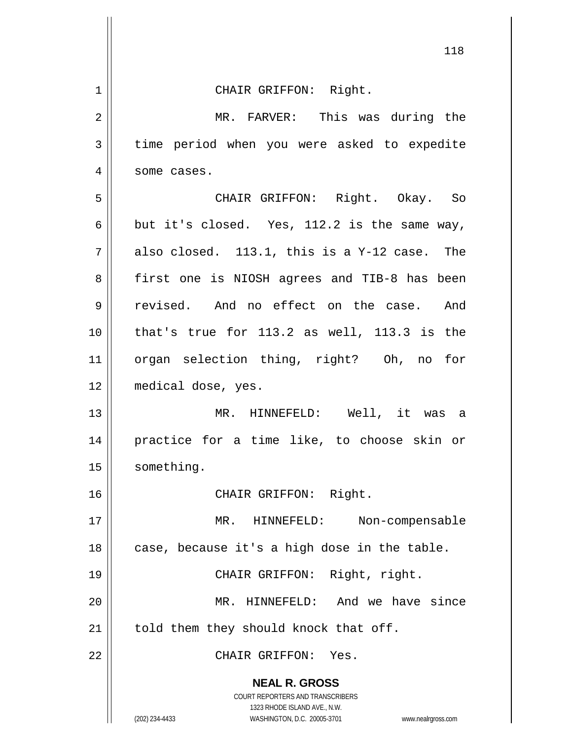|                | ᅩᅩᆼ                                                                                                                                                                    |
|----------------|------------------------------------------------------------------------------------------------------------------------------------------------------------------------|
| $\mathbf 1$    | CHAIR GRIFFON: Right.                                                                                                                                                  |
| $\overline{2}$ | MR. FARVER: This was during the                                                                                                                                        |
| 3              | time period when you were asked to expedite                                                                                                                            |
| 4              | some cases.                                                                                                                                                            |
| 5              | CHAIR GRIFFON: Right. Okay. So                                                                                                                                         |
| $\epsilon$     | but it's closed. Yes, 112.2 is the same way,                                                                                                                           |
| 7              | also closed. 113.1, this is a Y-12 case. The                                                                                                                           |
| 8              | first one is NIOSH agrees and TIB-8 has been                                                                                                                           |
| 9              | revised. And no effect on the case. And                                                                                                                                |
| 10             | that's true for 113.2 as well, 113.3 is the                                                                                                                            |
| 11             | organ selection thing, right? Oh, no for                                                                                                                               |
| 12             | medical dose, yes.                                                                                                                                                     |
| 13             | MR. HINNEFELD: Well, it was a                                                                                                                                          |
| 14             | practice for a time like, to choose skin or                                                                                                                            |
| 15             | something.                                                                                                                                                             |
| 16             | CHAIR GRIFFON: Right.                                                                                                                                                  |
| 17             | $MR$ .<br>HINNEFELD:<br>Non-compensable                                                                                                                                |
| 18             | case, because it's a high dose in the table.                                                                                                                           |
| 19             | CHAIR GRIFFON: Right, right.                                                                                                                                           |
| 20             | MR. HINNEFELD: And we have since                                                                                                                                       |
| 21             | told them they should knock that off.                                                                                                                                  |
| 22             | CHAIR GRIFFON: Yes.                                                                                                                                                    |
|                | <b>NEAL R. GROSS</b><br><b>COURT REPORTERS AND TRANSCRIBERS</b><br>1323 RHODE ISLAND AVE., N.W.<br>(202) 234-4433<br>WASHINGTON, D.C. 20005-3701<br>www.nealrgross.com |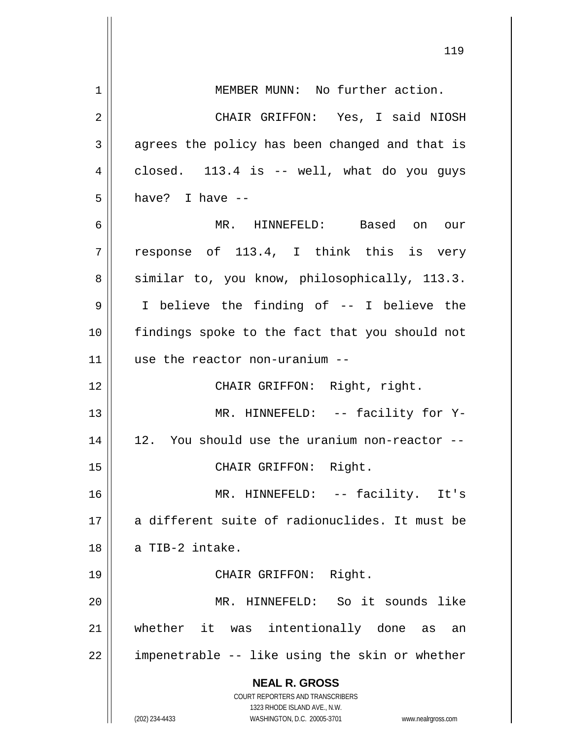|                | 119                                                                 |
|----------------|---------------------------------------------------------------------|
| $\mathbf 1$    | MEMBER MUNN: No further action.                                     |
| $\overline{2}$ | CHAIR GRIFFON: Yes, I said NIOSH                                    |
| $\mathbf{3}$   | agrees the policy has been changed and that is                      |
| 4              | closed. 113.4 is -- well, what do you guys                          |
| 5              | have? I have --                                                     |
| 6              | MR. HINNEFELD: Based on our                                         |
| 7              | response of 113.4, I think this is very                             |
| 8              | similar to, you know, philosophically, 113.3.                       |
| 9              | I believe the finding of -- I believe the                           |
| 10             | findings spoke to the fact that you should not                      |
| 11             | use the reactor non-uranium --                                      |
| 12             | CHAIR GRIFFON: Right, right.                                        |
| 13             | MR. HINNEFELD: -- facility for Y-                                   |
| 14             | 12. You should use the uranium non-reactor --                       |
| $15$           | CHAIR GRIFFON: Right.                                               |
| 16             | MR. HINNEFELD: -- facility. It's                                    |
| 17             | a different suite of radionuclides. It must be                      |
| 18             | a TIB-2 intake.                                                     |
| 19             | CHAIR GRIFFON: Right.                                               |
| 20             | MR. HINNEFELD: So it sounds like                                    |
| 21             | whether it was intentionally done as an                             |
| 22             | impenetrable -- like using the skin or whether                      |
|                | <b>NEAL R. GROSS</b><br>COURT REPORTERS AND TRANSCRIBERS            |
|                | 1323 RHODE ISLAND AVE., N.W.                                        |
|                | (202) 234-4433<br>WASHINGTON, D.C. 20005-3701<br>www.nealrgross.com |

 $\mathsf{I}$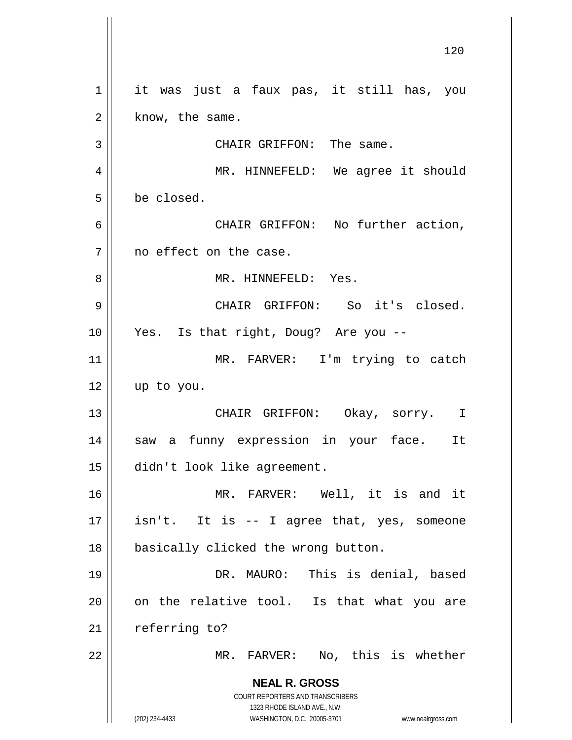**NEAL R. GROSS** COURT REPORTERS AND TRANSCRIBERS 1323 RHODE ISLAND AVE., N.W. (202) 234-4433 WASHINGTON, D.C. 20005-3701 www.nealrgross.com 1 || it was just a faux pas, it still has, you  $2 \parallel$  know, the same. 3 || CHAIR GRIFFON: The same. 4 MR. HINNEFELD: We agree it should 5 be closed. 6 CHAIR GRIFFON: No further action,  $7$  | no effect on the case. 8 MR. HINNEFELD: Yes. 9 CHAIR GRIFFON: So it's closed. 10 Yes. Is that right, Doug? Are you -- 11 || MR. FARVER: I'm trying to catch 12 up to you. 13 CHAIR GRIFFON: Okay, sorry. I 14 saw a funny expression in your face. It 15 didn't look like agreement. 16 MR. FARVER: Well, it is and it  $17 \parallel$  isn't. It is -- I agree that, yes, someone 18 || basically clicked the wrong button. 19 DR. MAURO: This is denial, based  $20$  | on the relative tool. Is that what you are  $21$  | referring to? 22 || MR. FARVER: No, this is whether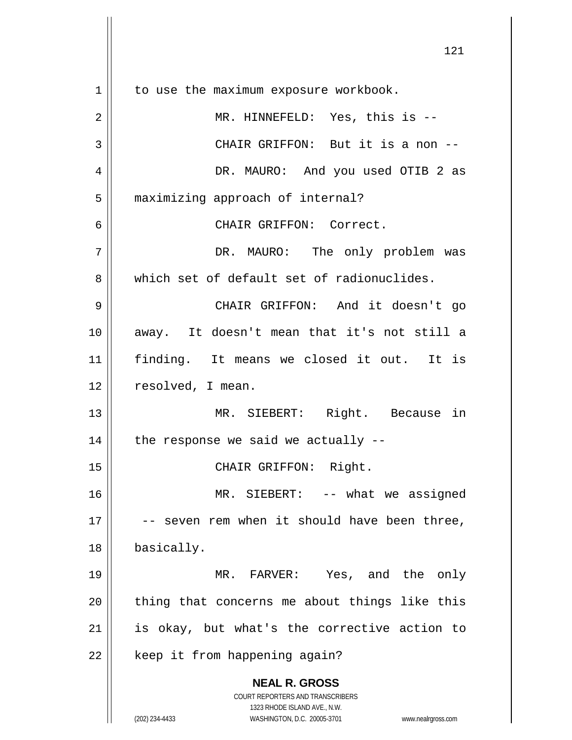**NEAL R. GROSS** COURT REPORTERS AND TRANSCRIBERS 1323 RHODE ISLAND AVE., N.W. (202) 234-4433 WASHINGTON, D.C. 20005-3701 www.nealrgross.com 1 | to use the maximum exposure workbook. 2 MR. HINNEFELD: Yes, this is -- 3 || CHAIR GRIFFON: But it is a non --4 DR. MAURO: And you used OTIB 2 as 5 | maximizing approach of internal? 6 CHAIR GRIFFON: Correct. 7 DR. MAURO: The only problem was 8 which set of default set of radionuclides. 9 CHAIR GRIFFON: And it doesn't go 10 away. It doesn't mean that it's not still a 11 finding. It means we closed it out. It is 12 | resolved, I mean. 13 MR. SIEBERT: Right. Because in 14  $\parallel$  the response we said we actually --15 || CHAIR GRIFFON: Right. 16 MR. SIEBERT: -- what we assigned 17 || -- seven rem when it should have been three, 18 | basically. 19 MR. FARVER: Yes, and the only  $20$  || thing that concerns me about things like this 21 || is okay, but what's the corrective action to  $22$  | keep it from happening again?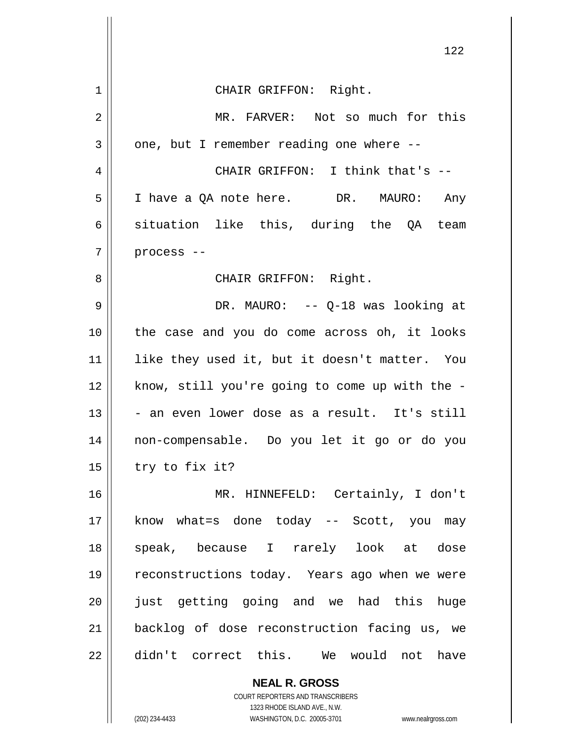|              | 122                                                      |
|--------------|----------------------------------------------------------|
| 1            | CHAIR GRIFFON: Right.                                    |
| $\mathbf{2}$ | MR. FARVER: Not so much for this                         |
| 3            | one, but I remember reading one where --                 |
| 4            | CHAIR GRIFFON: I think that's --                         |
| 5            | I have a QA note here. DR. MAURO: Any                    |
| 6            | situation like this, during the QA team                  |
| 7            | process --                                               |
| 8            | CHAIR GRIFFON: Right.                                    |
| 9            | DR. MAURO: $- -$ Q-18 was looking at                     |
| 10           | the case and you do come across oh, it looks             |
| 11           | like they used it, but it doesn't matter. You            |
| 12           | know, still you're going to come up with the -           |
| 13           | - an even lower dose as a result. It's still             |
| 14           | non-compensable. Do you let it go or do you              |
| 15           | try to fix it?                                           |
| 16           | MR. HINNEFELD: Certainly, I don't                        |
| 17           | know what=s done today -- Scott, you may                 |
| 18           | speak, because I rarely look at dose                     |
| 19           | reconstructions today. Years ago when we were            |
| 20           | just getting going and we had this huge                  |
| 21           | backlog of dose reconstruction facing us, we             |
| 22           | didn't correct this. We would not have                   |
|              | <b>NEAL R. GROSS</b><br>COURT REPORTERS AND TRANSCRIBERS |

 $\mathsf{II}$ 

1323 RHODE ISLAND AVE., N.W. (202) 234-4433 WASHINGTON, D.C. 20005-3701 www.nealrgross.com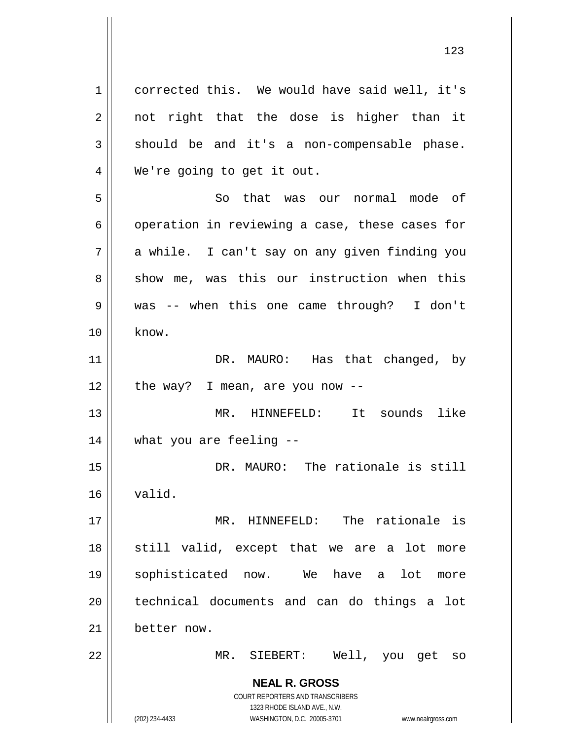**NEAL R. GROSS** COURT REPORTERS AND TRANSCRIBERS 1323 RHODE ISLAND AVE., N.W. (202) 234-4433 WASHINGTON, D.C. 20005-3701 www.nealrgross.com 1 corrected this. We would have said well, it's  $2 \parallel$  not right that the dose is higher than it  $3 \parallel$  should be and it's a non-compensable phase. 4 || We're going to get it out. 5 So that was our normal mode of 6 | operation in reviewing a case, these cases for 7 || a while. I can't say on any given finding you  $8 \parallel$  show me, was this our instruction when this 9 was -- when this one came through? I don't  $10 \parallel$  know. 11 || DR. MAURO: Has that changed, by  $12$  | the way? I mean, are you now  $-$ 13 MR. HINNEFELD: It sounds like 14 what you are feeling -- 15 DR. MAURO: The rationale is still 16 valid. 17 || MR. HINNEFELD: The rationale is  $18$  still valid, except that we are a lot more 19 sophisticated now. We have a lot more 20 technical documents and can do things a lot 21 better now. 22 || MR. SIEBERT: Well, you get so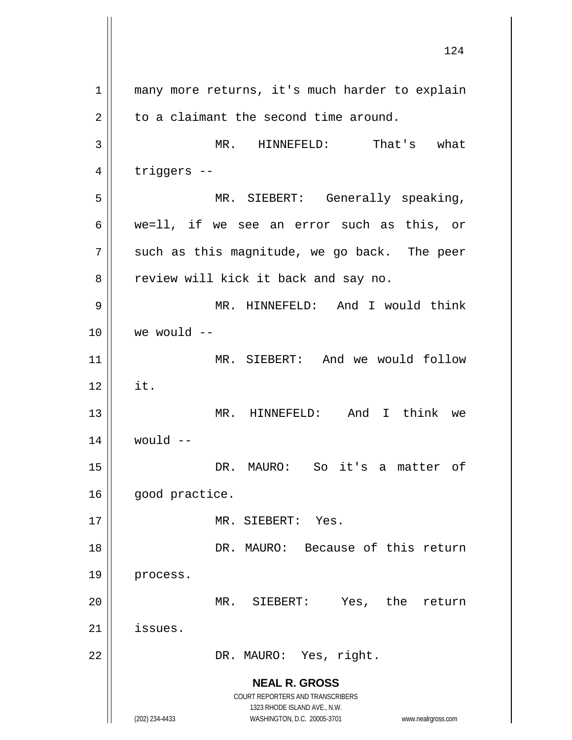**NEAL R. GROSS** COURT REPORTERS AND TRANSCRIBERS 1323 RHODE ISLAND AVE., N.W. (202) 234-4433 WASHINGTON, D.C. 20005-3701 www.nealrgross.com 1 || many more returns, it's much harder to explain  $2 \parallel$  to a claimant the second time around. 3 MR. HINNEFELD: That's what  $4 \parallel$  triggers --5 || MR. SIEBERT: Generally speaking, 6 we=ll, if we see an error such as this, or  $7 \parallel$  such as this magnitude, we go back. The peer 8 || review will kick it back and say no. 9 MR. HINNEFELD: And I would think  $10$  We would  $-$ 11 MR. SIEBERT: And we would follow  $12 \parallel$  it. 13 MR. HINNEFELD: And I think we  $14$  would  $-$ 15 DR. MAURO: So it's a matter of 16 | good practice. 17 || MR. SIEBERT: Yes. 18 || DR. MAURO: Because of this return 19 | process. 20 MR. SIEBERT: Yes, the return 21 issues. 22 || DR. MAURO: Yes, right.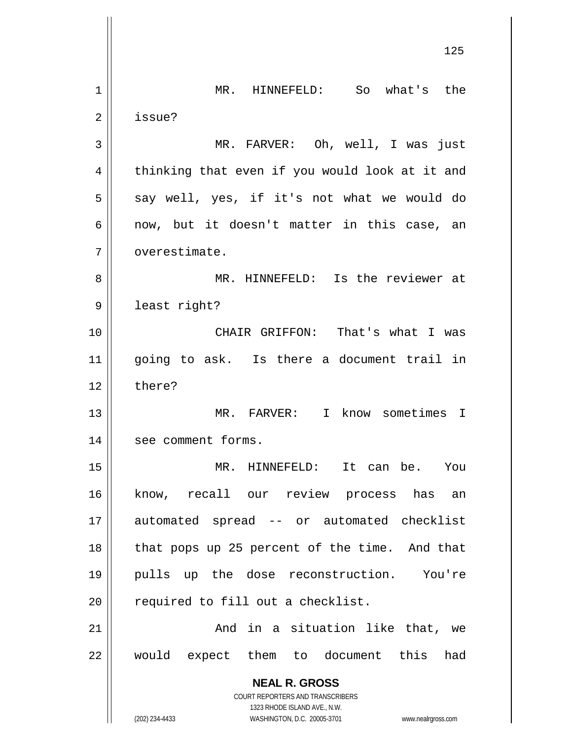**NEAL R. GROSS** COURT REPORTERS AND TRANSCRIBERS 1323 RHODE ISLAND AVE., N.W. (202) 234-4433 WASHINGTON, D.C. 20005-3701 www.nealrgross.com 125 1 MR. HINNEFELD: So what's the 2 | issue? 3 MR. FARVER: Oh, well, I was just  $4 \parallel$  thinking that even if you would look at it and  $5 \parallel$  say well, yes, if it's not what we would do  $6 \parallel$  now, but it doesn't matter in this case, an 7 | overestimate. 8 MR. HINNEFELD: Is the reviewer at 9 | least right? 10 CHAIR GRIFFON: That's what I was 11 going to ask. Is there a document trail in  $12 \parallel$  there? 13 MR. FARVER: I know sometimes I 14 || see comment forms. 15 MR. HINNEFELD: It can be. You 16 know, recall our review process has an 17 automated spread -- or automated checklist 18 || that pops up 25 percent of the time. And that 19 pulls up the dose reconstruction. You're 20 || required to fill out a checklist. 21 And in a situation like that, we 22 would expect them to document this had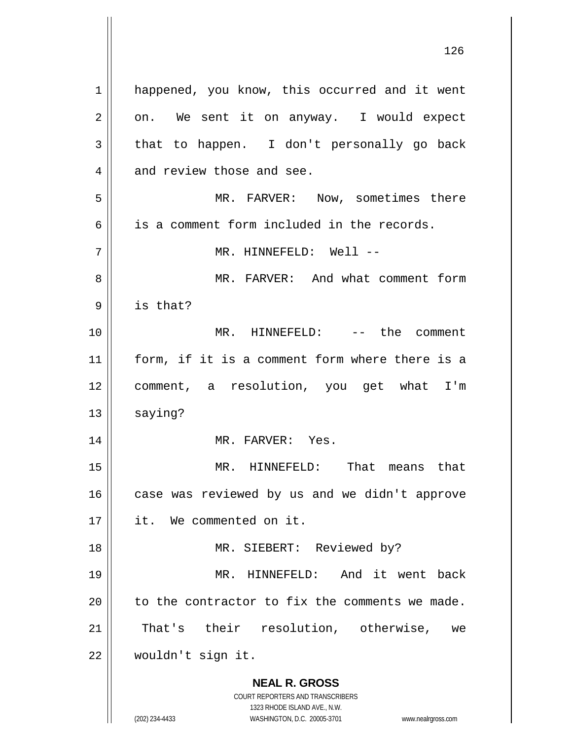**NEAL R. GROSS** COURT REPORTERS AND TRANSCRIBERS 1323 RHODE ISLAND AVE., N.W. 1 || happened, you know, this occurred and it went  $2 \parallel$  on. We sent it on anyway. I would expect  $3 \parallel$  that to happen. I don't personally go back  $4$  | and review those and see. 5 MR. FARVER: Now, sometimes there  $6 \parallel$  is a comment form included in the records. 7 MR. HINNEFELD: Well -- 8 MR. FARVER: And what comment form 9 is that? 10 MR. HINNEFELD: -- the comment 11 form, if it is a comment form where there is a 12 comment, a resolution, you get what I'm 13 | saying? 14 || MR. FARVER: Yes. 15 MR. HINNEFELD: That means that 16 | case was reviewed by us and we didn't approve 17 it. We commented on it. 18 || MR. SIEBERT: Reviewed by? 19 MR. HINNEFELD: And it went back  $20$  | to the contractor to fix the comments we made. 21 || That's their resolution, otherwise, we 22 wouldn't sign it.

(202) 234-4433 WASHINGTON, D.C. 20005-3701 www.nealrgross.com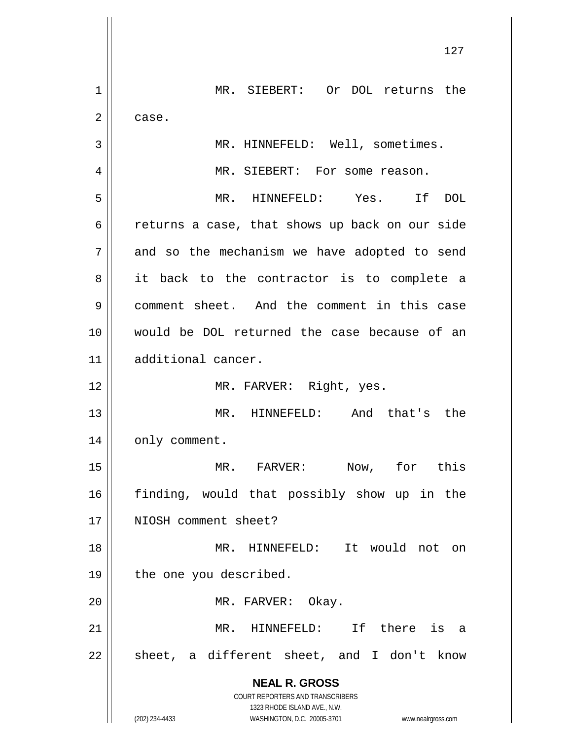**NEAL R. GROSS** COURT REPORTERS AND TRANSCRIBERS 1323 RHODE ISLAND AVE., N.W. (202) 234-4433 WASHINGTON, D.C. 20005-3701 www.nealrgross.com 127 1 MR. SIEBERT: Or DOL returns the  $2 \parallel$  case. 3 || MR. HINNEFELD: Well, sometimes. 4 || MR. SIEBERT: For some reason. 5 MR. HINNEFELD: Yes. If DOL 6 case, that shows up back on our side  $7 \parallel$  and so the mechanism we have adopted to send 8 it back to the contractor is to complete a 9 comment sheet. And the comment in this case 10 would be DOL returned the case because of an 11 additional cancer. 12 || MR. FARVER: Right, yes. 13 || MR. HINNEFELD: And that's the 14 | only comment. 15 MR. FARVER: Now, for this 16 finding, would that possibly show up in the 17 || NIOSH comment sheet? 18 MR. HINNEFELD: It would not on 19 || the one you described. 20 || MR. FARVER: Okay. 21 MR. HINNEFELD: If there is a  $22 \parallel$  sheet, a different sheet, and I don't know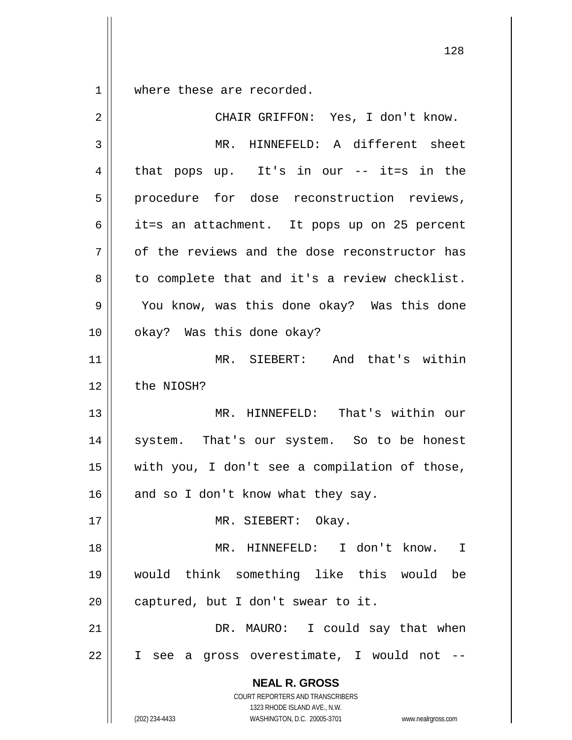$1 \parallel$  where these are recorded.

| $\overline{2}$ | CHAIR GRIFFON: Yes, I don't know.                                                                                                                               |
|----------------|-----------------------------------------------------------------------------------------------------------------------------------------------------------------|
| 3              | MR. HINNEFELD: A different sheet                                                                                                                                |
| 4              | that pops up. It's in our -- it=s in the                                                                                                                        |
| 5              | procedure for dose reconstruction reviews,                                                                                                                      |
| 6              | it=s an attachment. It pops up on 25 percent                                                                                                                    |
| 7              | of the reviews and the dose reconstructor has                                                                                                                   |
| 8              | to complete that and it's a review checklist.                                                                                                                   |
| 9              | You know, was this done okay? Was this done                                                                                                                     |
| 10             | okay? Was this done okay?                                                                                                                                       |
| 11             | MR. SIEBERT: And that's within                                                                                                                                  |
| 12             | the NIOSH?                                                                                                                                                      |
| 13             | MR. HINNEFELD: That's within our                                                                                                                                |
| 14             | system. That's our system. So to be honest                                                                                                                      |
| 15             | with you, I don't see a compilation of those,                                                                                                                   |
| 16             | and so I don't know what they say.                                                                                                                              |
| 17             | Okay.<br>MR. SIEBERT:                                                                                                                                           |
| 18             | MR. HINNEFELD: I don't know.<br>$\mathbf I$                                                                                                                     |
| 19             | would think something like this would<br>be                                                                                                                     |
| 20             | captured, but I don't swear to it.                                                                                                                              |
| 21             | DR. MAURO: I could say that when                                                                                                                                |
| 22             | I see a gross overestimate, I would not                                                                                                                         |
|                | <b>NEAL R. GROSS</b><br>COURT REPORTERS AND TRANSCRIBERS<br>1323 RHODE ISLAND AVE., N.W.<br>(202) 234-4433<br>WASHINGTON, D.C. 20005-3701<br>www.nealrgross.com |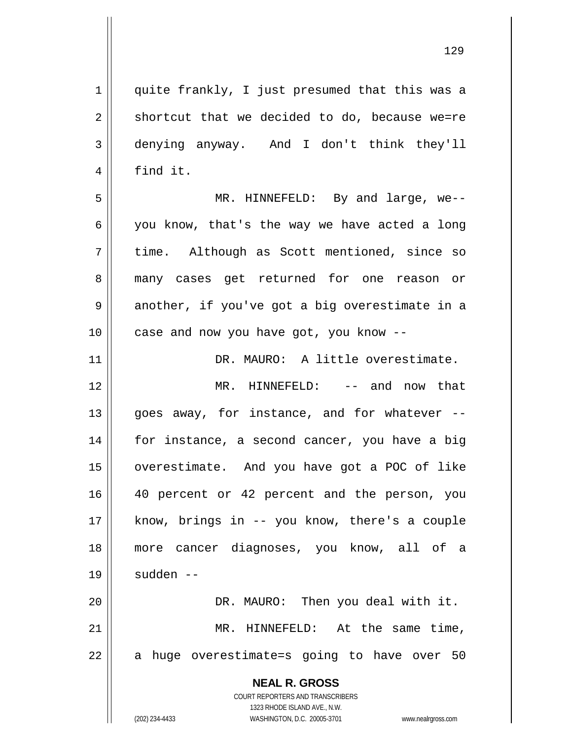**NEAL R. GROSS** COURT REPORTERS AND TRANSCRIBERS 1323 RHODE ISLAND AVE., N.W. 1 || quite frankly, I just presumed that this was a  $2 \parallel$  shortcut that we decided to do, because we=re 3 denying anyway. And I don't think they'll 4 | find it. 5 MR. HINNEFELD: By and large, we--  $6 \parallel$  you know, that's the way we have acted a long 7 || time. Although as Scott mentioned, since so 8 || many cases get returned for one reason or  $9 \parallel$  another, if you've got a big overestimate in a 10 || case and now you have got, you know --11 DR. MAURO: A little overestimate. 12 MR. HINNEFELD: -- and now that  $13$  || goes away, for instance, and for whatever  $-$ 14 for instance, a second cancer, you have a big 15 overestimate. And you have got a POC of like 16 40 percent or 42 percent and the person, you 17 know, brings in -- you know, there's a couple 18 more cancer diagnoses, you know, all of a 19 | sudden --20 DR. MAURO: Then you deal with it. 21 MR. HINNEFELD: At the same time,  $22 \parallel$  a huge overestimate=s going to have over 50

(202) 234-4433 WASHINGTON, D.C. 20005-3701 www.nealrgross.com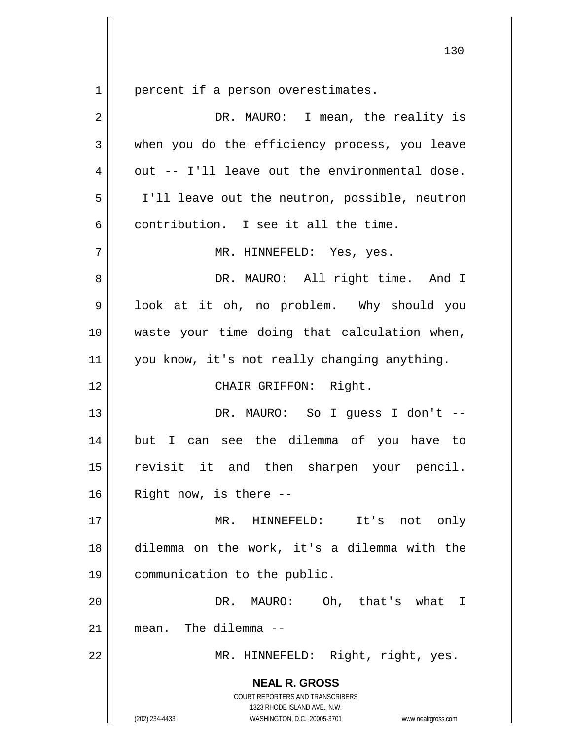percent if a person overestimates.

| 2  | DR. MAURO: I mean, the reality is                                                                                                                               |
|----|-----------------------------------------------------------------------------------------------------------------------------------------------------------------|
| 3  | when you do the efficiency process, you leave                                                                                                                   |
| 4  | out -- I'll leave out the environmental dose.                                                                                                                   |
| 5  | I'll leave out the neutron, possible, neutron                                                                                                                   |
| 6  | contribution. I see it all the time.                                                                                                                            |
| 7  | MR. HINNEFELD: Yes, yes.                                                                                                                                        |
| 8  | DR. MAURO: All right time. And I                                                                                                                                |
| 9  | look at it oh, no problem. Why should you                                                                                                                       |
| 10 | waste your time doing that calculation when,                                                                                                                    |
| 11 | you know, it's not really changing anything.                                                                                                                    |
| 12 | CHAIR GRIFFON: Right.                                                                                                                                           |
| 13 | DR. MAURO: So I guess I don't --                                                                                                                                |
| 14 | but I can see the dilemma of you have to                                                                                                                        |
| 15 | revisit it and then sharpen your pencil.                                                                                                                        |
| 16 | Right now, is there --                                                                                                                                          |
| 17 | MR.<br>HINNEFELD:<br>It's<br>not<br>only                                                                                                                        |
| 18 | dilemma on the work, it's a dilemma with the                                                                                                                    |
| 19 | communication to the public.                                                                                                                                    |
| 20 | Oh, that's what<br>DR.<br>MAURO:<br>$\mathbf I$                                                                                                                 |
| 21 | mean. The dilemma --                                                                                                                                            |
| 22 | MR. HINNEFELD: Right, right, yes.                                                                                                                               |
|    | <b>NEAL R. GROSS</b><br>COURT REPORTERS AND TRANSCRIBERS<br>1323 RHODE ISLAND AVE., N.W.<br>(202) 234-4433<br>WASHINGTON, D.C. 20005-3701<br>www.nealrgross.com |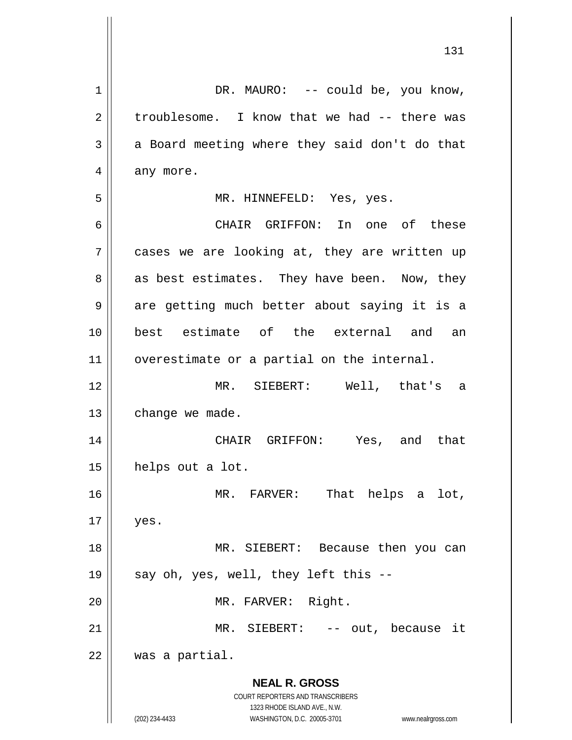**NEAL R. GROSS** COURT REPORTERS AND TRANSCRIBERS 1323 RHODE ISLAND AVE., N.W. (202) 234-4433 WASHINGTON, D.C. 20005-3701 www.nealrgross.com 1 || DR. MAURO: -- could be, you know,  $2 \parallel$  troublesome. I know that we had  $-$  there was  $3 \parallel$  a Board meeting where they said don't do that  $4 \parallel$  any more. 5 MR. HINNEFELD: Yes, yes. 6 CHAIR GRIFFON: In one of these 7 || cases we are looking at, they are written up  $8 \parallel$  as best estimates. They have been. Now, they 9 || are getting much better about saying it is a 10 best estimate of the external and an 11 | overestimate or a partial on the internal. 12 MR. SIEBERT: Well, that's a  $13$  | change we made. 14 CHAIR GRIFFON: Yes, and that 15 helps out a lot. 16 MR. FARVER: That helps a lot,  $17 \parallel$  yes. 18 MR. SIEBERT: Because then you can 19  $\parallel$  say oh, yes, well, they left this --20 || MR. FARVER: Right. 21 MR. SIEBERT: -- out, because it 22 was a partial.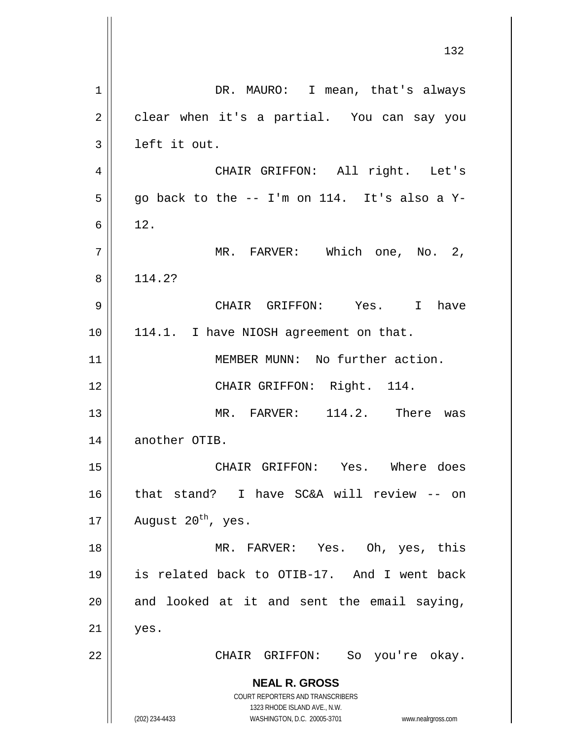**NEAL R. GROSS** COURT REPORTERS AND TRANSCRIBERS 1323 RHODE ISLAND AVE., N.W. (202) 234-4433 WASHINGTON, D.C. 20005-3701 www.nealrgross.com 1 || DR. MAURO: I mean, that's always 2 clear when it's a partial. You can say you  $3 \parallel$  left it out. 4 CHAIR GRIFFON: All right. Let's  $5 \parallel$  go back to the -- I'm on 114. It's also a Y- $6 \parallel 12.$ 7 || MR. FARVER: Which one, No. 2, 8 | 114.2? 9 CHAIR GRIFFON: Yes. I have 10 || 114.1. I have NIOSH agreement on that. 11 || MEMBER MUNN: No further action. 12 || CHAIR GRIFFON: Right. 114. 13 || MR. FARVER: 114.2. There was 14 | another OTIB. 15 CHAIR GRIFFON: Yes. Where does 16 || that stand? I have SC&A will review -- on 17 | August  $20^{th}$ , yes. 18 MR. FARVER: Yes. Oh, yes, this 19 is related back to OTIB-17. And I went back  $20$  || and looked at it and sent the email saying,  $21 \parallel$  yes. 22 CHAIR GRIFFON: So you're okay.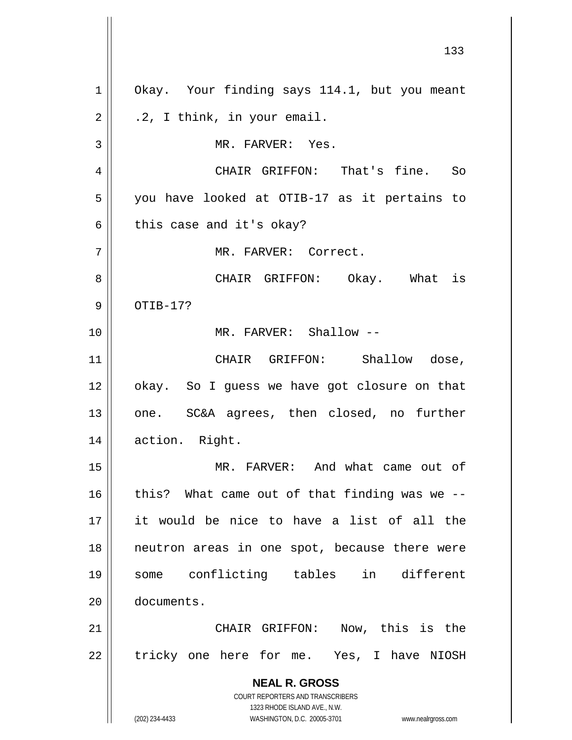**NEAL R. GROSS** COURT REPORTERS AND TRANSCRIBERS 1323 RHODE ISLAND AVE., N.W. (202) 234-4433 WASHINGTON, D.C. 20005-3701 www.nealrgross.com 1 || Okay. Your finding says 114.1, but you meant  $2 \parallel$  .2, I think, in your email. 3 || MR. FARVER: Yes. 4 CHAIR GRIFFON: That's fine. So 5 || you have looked at OTIB-17 as it pertains to  $6 \parallel$  this case and it's okay? 7 MR. FARVER: Correct. 8 CHAIR GRIFFON: Okay. What is  $9 \parallel$  OTIB-17? 10 MR. FARVER: Shallow -- 11 || CHAIR GRIFFON: Shallow dose, 12 | okay. So I guess we have got closure on that 13 || one. SC&A agrees, then closed, no further 14 || action. Right. 15 MR. FARVER: And what came out of  $16$  | this? What came out of that finding was we --17 it would be nice to have a list of all the 18 neutron areas in one spot, because there were 19 some conflicting tables in different 20 documents. 21 CHAIR GRIFFON: Now, this is the 22 | tricky one here for me. Yes, I have NIOSH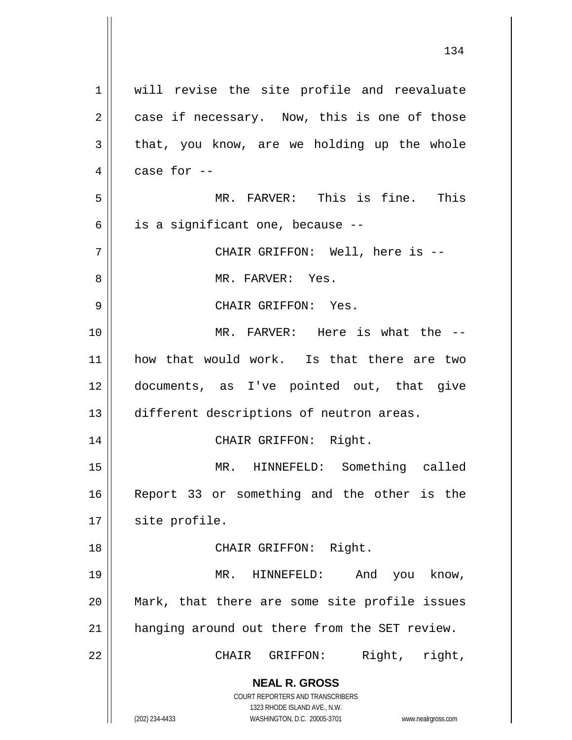| $\mathbf 1$    | will revise the site profile and reevaluate                                                         |
|----------------|-----------------------------------------------------------------------------------------------------|
| $\overline{2}$ | case if necessary. Now, this is one of those                                                        |
| 3              | that, you know, are we holding up the whole                                                         |
| 4              | case for --                                                                                         |
| 5              | MR. FARVER: This is fine. This                                                                      |
| 6              | is a significant one, because --                                                                    |
| 7              | CHAIR GRIFFON: Well, here is --                                                                     |
| 8              | MR. FARVER: Yes.                                                                                    |
| 9              | CHAIR GRIFFON: Yes.                                                                                 |
| 10             | MR. FARVER: Here is what the --                                                                     |
| 11             | how that would work. Is that there are two                                                          |
| 12             | documents, as I've pointed out, that give                                                           |
| 13             | different descriptions of neutron areas.                                                            |
| 14             | CHAIR GRIFFON: Right.                                                                               |
| 15             | MR. HINNEFELD: Something called                                                                     |
| 16             | Report 33 or something and the other is the                                                         |
| 17             | site profile.                                                                                       |
| 18             | CHAIR GRIFFON: Right.                                                                               |
| 19             | MR. HINNEFELD:<br>And you know,                                                                     |
| 20             | Mark, that there are some site profile issues                                                       |
| 21             | hanging around out there from the SET review.                                                       |
| 22             | Right, right,<br>CHAIR GRIFFON:                                                                     |
|                | <b>NEAL R. GROSS</b>                                                                                |
|                | COURT REPORTERS AND TRANSCRIBERS                                                                    |
|                | 1323 RHODE ISLAND AVE., N.W.<br>(202) 234-4433<br>WASHINGTON, D.C. 20005-3701<br>www.nealrgross.com |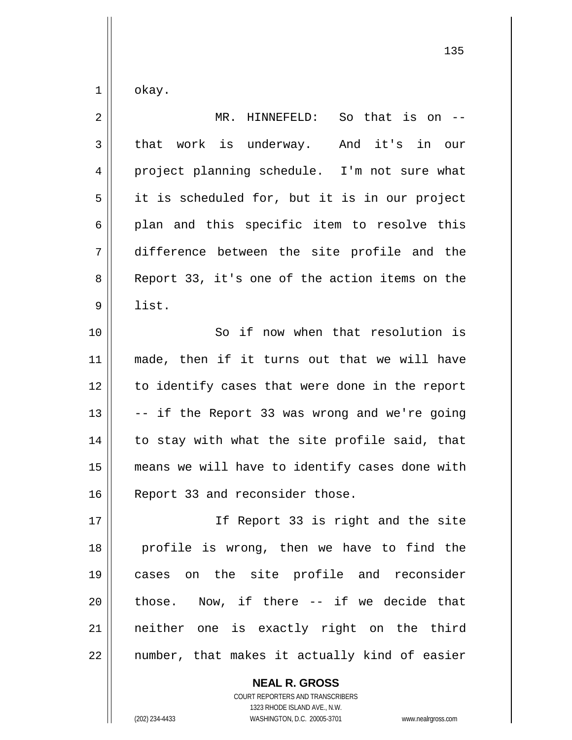$1 \parallel$  okay.

| $\overline{2}$ | So that is on $-$<br>MR. HINNEFELD:            |
|----------------|------------------------------------------------|
| $\mathfrak{Z}$ | that work is underway. And it's in our         |
| 4              | project planning schedule. I'm not sure what   |
| 5              | it is scheduled for, but it is in our project  |
| 6              | plan and this specific item to resolve this    |
| 7              | difference between the site profile and the    |
| 8              | Report 33, it's one of the action items on the |
| 9              | list.                                          |
| 10             | So if now when that resolution is              |
| 11             | made, then if it turns out that we will have   |
| 12             | to identify cases that were done in the report |
| 13             | -- if the Report 33 was wrong and we're going  |
| 14             | to stay with what the site profile said, that  |
| 15             | means we will have to identify cases done with |
| 16             | Report 33 and reconsider those.                |
| 17             | If Report 33 is right and the site             |
| 18             | profile is wrong, then we have to find the     |
| 19             | cases on the site profile and reconsider       |
| 20             | those. Now, if there -- if we decide that      |
| 21             | neither one is exactly right on the third      |
| 22             | number, that makes it actually kind of easier  |

**NEAL R. GROSS**

COURT REPORTERS AND TRANSCRIBERS 1323 RHODE ISLAND AVE., N.W. (202) 234-4433 WASHINGTON, D.C. 20005-3701 www.nealrgross.com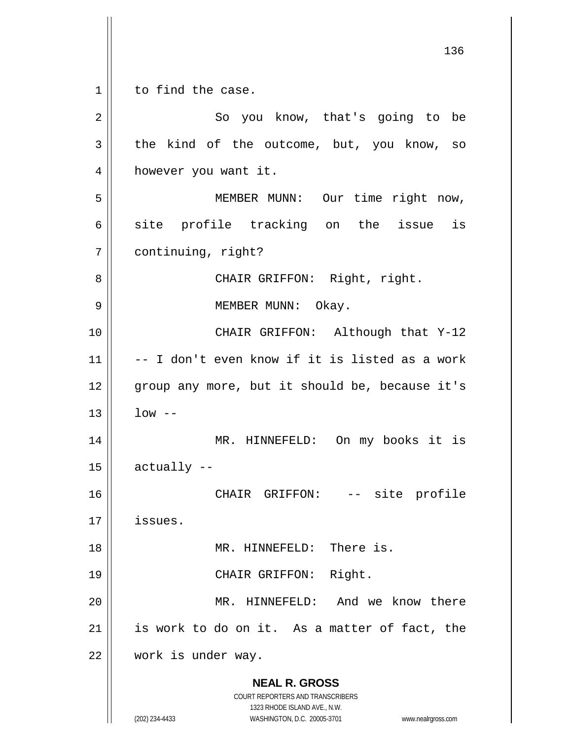**NEAL R. GROSS** COURT REPORTERS AND TRANSCRIBERS 1323 RHODE ISLAND AVE., N.W. (202) 234-4433 WASHINGTON, D.C. 20005-3701 www.nealrgross.com 1 || to find the case. 2 || So you know, that's going to be  $3 \parallel$  the kind of the outcome, but, you know, so 4 | however you want it. 5 MEMBER MUNN: Our time right now,  $6 \parallel$  site profile tracking on the issue is 7 | continuing, right? 8 || CHAIR GRIFFON: Right, right. 9 MEMBER MUNN: Okay. 10 || CHAIR GRIFFON: Although that Y-12  $11$   $\vert$  -- I don't even know if it is listed as a work 12 || group any more, but it should be, because it's  $13 \parallel$   $1$ ow --14 MR. HINNEFELD: On my books it is  $15$   $\parallel$  actually  $-$ 16 CHAIR GRIFFON: -- site profile 17 issues. 18 || MR. HINNEFELD: There is. 19 || CHAIR GRIFFON: Right. 20 MR. HINNEFELD: And we know there  $21$  is work to do on it. As a matter of fact, the 22 work is under way.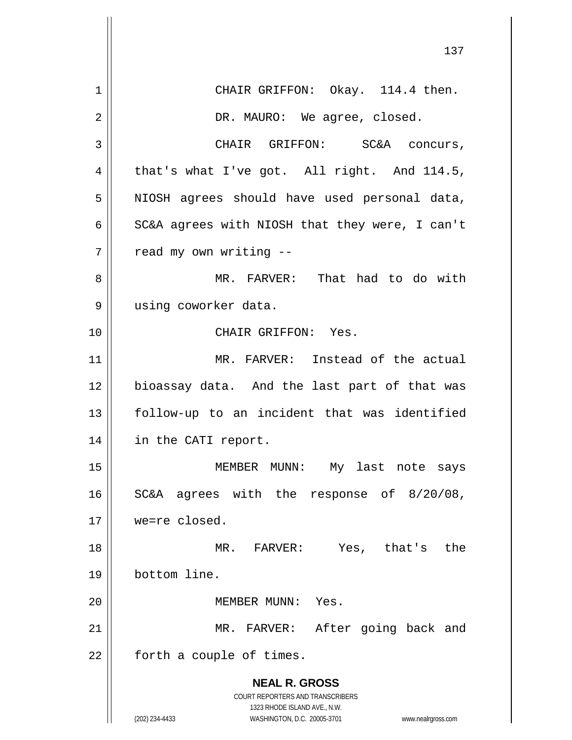**NEAL R. GROSS** COURT REPORTERS AND TRANSCRIBERS 1323 RHODE ISLAND AVE., N.W. (202) 234-4433 WASHINGTON, D.C. 20005-3701 www.nealrgross.com 1 || CHAIR GRIFFON: Okay. 114.4 then. 2 DR. MAURO: We agree, closed. 3 | CHAIR GRIFFON: SC&A concurs, 4 that's what I've got. All right. And  $114.5$ , 5 || NIOSH agrees should have used personal data, 6  $\parallel$  SC&A agrees with NIOSH that they were, I can't  $7$  | read my own writing  $-$ 8 MR. FARVER: That had to do with 9 | using coworker data. 10 CHAIR GRIFFON: Yes. 11 MR. FARVER: Instead of the actual 12 || bioassay data. And the last part of that was 13 follow-up to an incident that was identified 14 in the CATI report. 15 || MEMBER MUNN: My last note says 16 || SC&A agrees with the response of 8/20/08, 17 we=re closed. 18 MR. FARVER: Yes, that's the 19 bottom line. 20 MEMBER MUNN: Yes. 21 || MR. FARVER: After going back and  $22$  | forth a couple of times.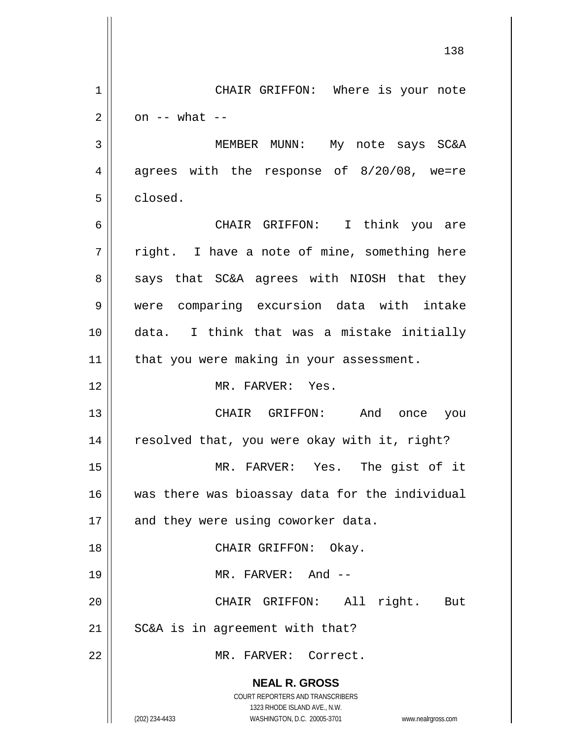|    | 138                                                                 |
|----|---------------------------------------------------------------------|
| 1  | CHAIR GRIFFON: Where is your note                                   |
| 2  | on $--$ what $--$                                                   |
| 3  | MEMBER MUNN: My note says SC&A                                      |
| 4  | agrees with the response of 8/20/08, we=re                          |
| 5  | closed.                                                             |
| 6  | CHAIR GRIFFON: I think you are                                      |
| 7  | right. I have a note of mine, something here                        |
| 8  | says that SC&A agrees with NIOSH that they                          |
| 9  | were comparing excursion data with intake                           |
| 10 | data. I think that was a mistake initially                          |
| 11 | that you were making in your assessment.                            |
| 12 | MR. FARVER: Yes.                                                    |
| 13 | CHAIR GRIFFON: And once<br>you                                      |
| 14 | resolved that, you were okay with it, right?                        |
| 15 | MR. FARVER: Yes. The gist of it                                     |
| 16 | was there was bioassay data for the individual                      |
| 17 | and they were using coworker data.                                  |
| 18 | CHAIR GRIFFON: Okay.                                                |
| 19 | MR. FARVER: And --                                                  |
| 20 | CHAIR GRIFFON: All right. But                                       |
| 21 | SC&A is in agreement with that?                                     |
| 22 | MR. FARVER: Correct.                                                |
|    | <b>NEAL R. GROSS</b>                                                |
|    | COURT REPORTERS AND TRANSCRIBERS<br>1323 RHODE ISLAND AVE., N.W.    |
|    | (202) 234-4433<br>WASHINGTON, D.C. 20005-3701<br>www.nealrgross.com |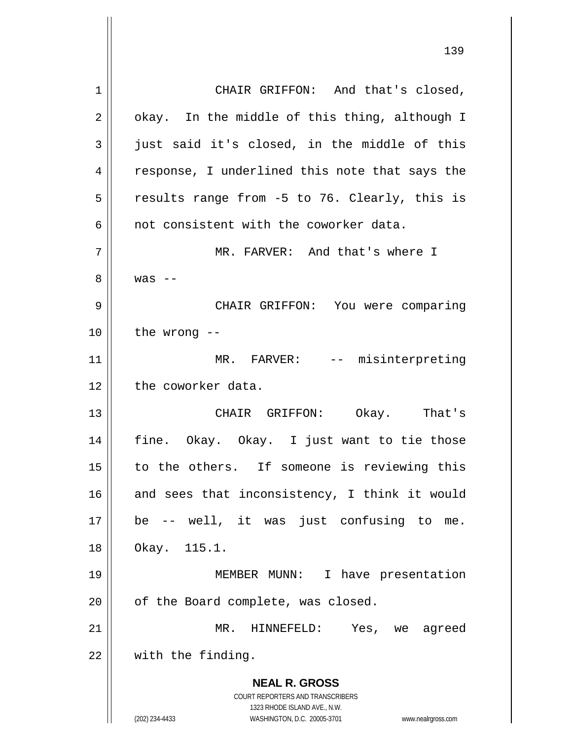**NEAL R. GROSS** COURT REPORTERS AND TRANSCRIBERS 1323 RHODE ISLAND AVE., N.W. (202) 234-4433 WASHINGTON, D.C. 20005-3701 www.nealrgross.com 1 || CHAIR GRIFFON: And that's closed,  $2 \parallel$  okay. In the middle of this thing, although I  $3 \parallel$  just said it's closed, in the middle of this 4 || response, I underlined this note that says the  $5 \parallel$  results range from -5 to 76. Clearly, this is 6  $\parallel$  not consistent with the coworker data. 7 MR. FARVER: And that's where I  $8 \parallel$  was  $-$ 9 CHAIR GRIFFON: You were comparing  $10$  | the wrong  $-$ 11 || MR. FARVER: -- misinterpreting 12 | the coworker data. 13 CHAIR GRIFFON: Okay. That's 14 fine. Okay. Okay. I just want to tie those 15 || to the others. If someone is reviewing this  $16$  and sees that inconsistency, I think it would 17 be -- well, it was just confusing to me. 18 Okay. 115.1. 19 MEMBER MUNN: I have presentation 20 | of the Board complete, was closed. 21 MR. HINNEFELD: Yes, we agreed  $22$  | with the finding.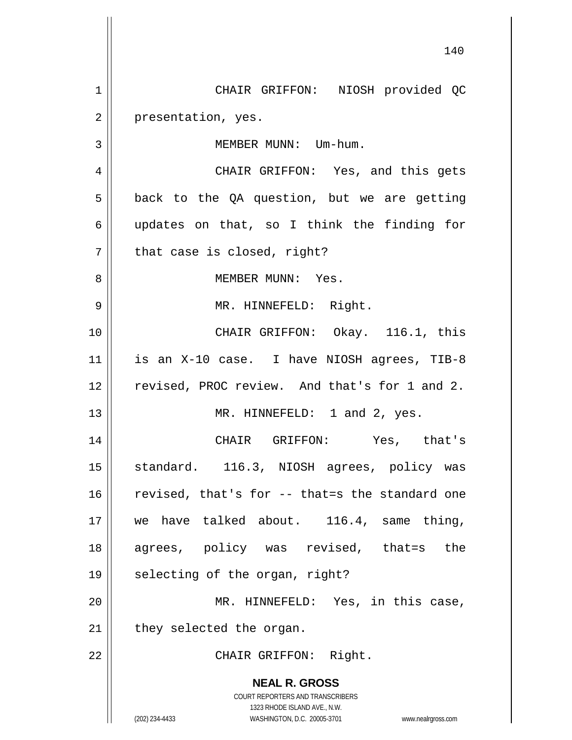**NEAL R. GROSS** COURT REPORTERS AND TRANSCRIBERS 1323 RHODE ISLAND AVE., N.W. (202) 234-4433 WASHINGTON, D.C. 20005-3701 www.nealrgross.com 140 1 CHAIR GRIFFON: NIOSH provided QC 2 | presentation, yes. 3 | MEMBER MUNN: Um-hum. 4 || CHAIR GRIFFON: Yes, and this gets  $5 \parallel$  back to the QA question, but we are getting 6 updates on that, so I think the finding for  $7 \parallel$  that case is closed, right? 8 MEMBER MUNN: Yes. 9 MR. HINNEFELD: Right. 10 CHAIR GRIFFON: Okay. 116.1, this  $11$  | is an X-10 case. I have NIOSH agrees, TIB-8 12 || revised, PROC review. And that's for 1 and 2. 13 || MR. HINNEFELD: 1 and 2, yes. 14 CHAIR GRIFFON: Yes, that's 15 || standard. 116.3, NIOSH agrees, policy was 16  $\parallel$  revised, that's for -- that=s the standard one 17 || we have talked about. 116.4, same thing, 18 agrees, policy was revised, that=s the  $19 \parallel$  selecting of the organ, right? 20 MR. HINNEFELD: Yes, in this case,  $21$  || they selected the organ. 22 || CHAIR GRIFFON: Right.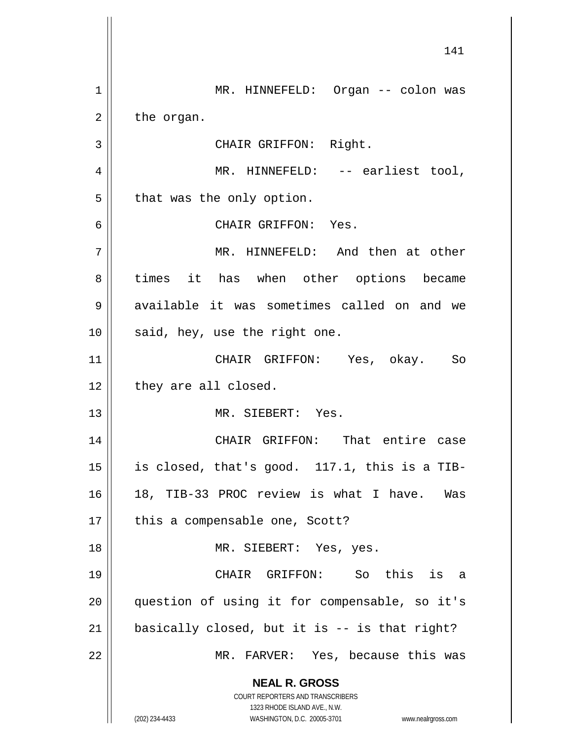**NEAL R. GROSS** COURT REPORTERS AND TRANSCRIBERS 1323 RHODE ISLAND AVE., N.W. (202) 234-4433 WASHINGTON, D.C. 20005-3701 www.nealrgross.com 1 MR. HINNEFELD: Organ -- colon was  $2 \parallel$  the organ. 3 || CHAIR GRIFFON: Right. 4 MR. HINNEFELD: -- earliest tool,  $5 \parallel$  that was the only option. 6 CHAIR GRIFFON: Yes. 7 MR. HINNEFELD: And then at other 8 times it has when other options became 9 available it was sometimes called on and we  $10$  | said, hey, use the right one. 11 CHAIR GRIFFON: Yes, okay. So  $12$  | they are all closed. 13 MR. SIEBERT: Yes. 14 || CHAIR GRIFFON: That entire case 15  $\parallel$  is closed, that's good. 117.1, this is a TIB-16 18, TIB-33 PROC review is what I have. Was  $17 \parallel$  this a compensable one, Scott? 18 || MR. SIEBERT: Yes, yes. 19 CHAIR GRIFFON: So this is a 20 question of using it for compensable, so it's  $21$  | basically closed, but it is  $-$  is that right? 22 MR. FARVER: Yes, because this was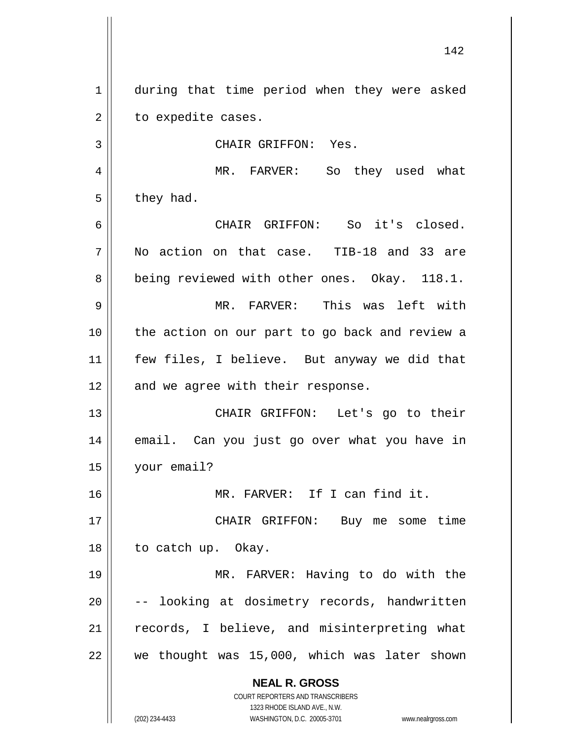1 during that time period when they were asked  $2 \parallel$  to expedite cases.

3 || CHAIR GRIFFON: Yes.

4 || MR. FARVER: So they used what  $5 \parallel$  they had.

 CHAIR GRIFFON: So it's closed. No action on that case. TIB-18 and 33 are 8 | being reviewed with other ones. Okay. 118.1. MR. FARVER: This was left with the action on our part to go back and review a

11 || few files, I believe. But anyway we did that  $12$  | and we agree with their response.

13 CHAIR GRIFFON: Let's go to their 14 email. Can you just go over what you have in 15 your email?

16 MR. FARVER: If I can find it.

17 CHAIR GRIFFON: Buy me some time 18 || to catch up. Okay.

 MR. FARVER: Having to do with the  $\vert$  -- looking at dosimetry records, handwritten 21 || records, I believe, and misinterpreting what | we thought was 15,000, which was later shown

> **NEAL R. GROSS** COURT REPORTERS AND TRANSCRIBERS

> > 1323 RHODE ISLAND AVE., N.W.

(202) 234-4433 WASHINGTON, D.C. 20005-3701 www.nealrgross.com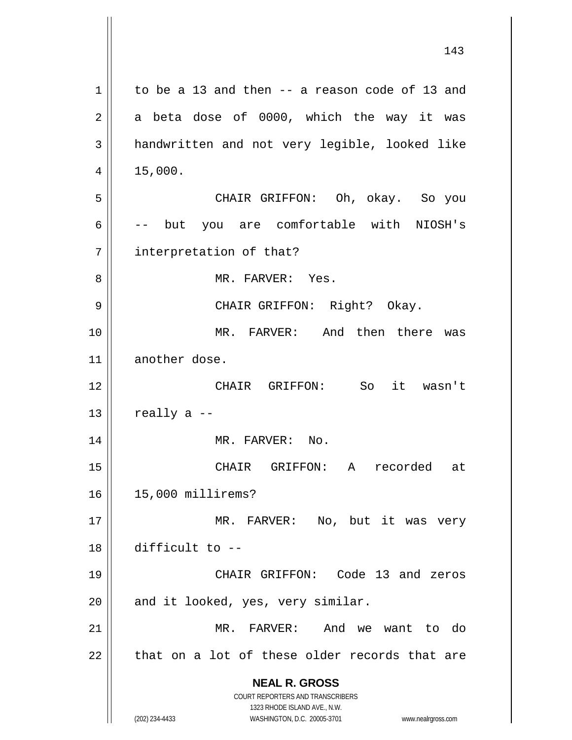|             | 143                                                                 |
|-------------|---------------------------------------------------------------------|
| $\mathbf 1$ | to be a 13 and then -- a reason code of 13 and                      |
| 2           | a beta dose of 0000, which the way it was                           |
| 3           | handwritten and not very legible, looked like                       |
| 4           | 15,000.                                                             |
| 5           | CHAIR GRIFFON: Oh, okay. So you                                     |
| 6           | you are comfortable with NIOSH's<br>$--$ but                        |
| 7           | interpretation of that?                                             |
| 8           | MR. FARVER: Yes.                                                    |
| 9           | CHAIR GRIFFON: Right? Okay.                                         |
| 10          | MR. FARVER: And then there was                                      |
| 11          | another dose.                                                       |
| 12          | CHAIR GRIFFON: So it wasn't                                         |
| 13          | really a --                                                         |
| 14          | MR. FARVER: No.                                                     |
| 15          | CHAIR<br>GRIFFON:<br>A<br>recorded<br>at                            |
| 16          | 15,000 millirems?                                                   |
| 17          | MR. FARVER:<br>No, but it was very                                  |
| 18          | difficult to --                                                     |
| 19          | CHAIR GRIFFON: Code 13 and zeros                                    |
| 20          | and it looked, yes, very similar.                                   |
| 21          | MR. FARVER:<br>And we want to do                                    |
| 22          | that on a lot of these older records that are                       |
|             | <b>NEAL R. GROSS</b>                                                |
|             | COURT REPORTERS AND TRANSCRIBERS<br>1323 RHODE ISLAND AVE., N.W.    |
|             | (202) 234-4433<br>WASHINGTON, D.C. 20005-3701<br>www.nealrgross.com |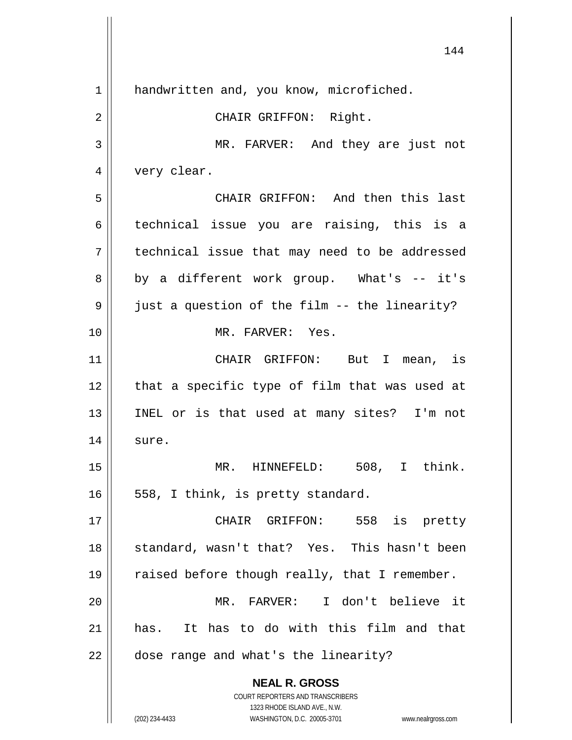**NEAL R. GROSS** COURT REPORTERS AND TRANSCRIBERS 1323 RHODE ISLAND AVE., N.W. (202) 234-4433 WASHINGTON, D.C. 20005-3701 www.nealrgross.com 1 | handwritten and, you know, microfiched. 2 || CHAIR GRIFFON: Right. 3 MR. FARVER: And they are just not 4 | very clear. 5 CHAIR GRIFFON: And then this last 6 technical issue you are raising, this is a 7 technical issue that may need to be addressed  $8 \parallel$  by a different work group. What's -- it's  $9 \parallel$  just a question of the film -- the linearity? 10 MR. FARVER: Yes. 11 CHAIR GRIFFON: But I mean, is  $12$  | that a specific type of film that was used at 13 INEL or is that used at many sites? I'm not  $14$  sure. 15 MR. HINNEFELD: 508, I think.  $16 \parallel 558$ , I think, is pretty standard. 17 CHAIR GRIFFON: 558 is pretty 18 || standard, wasn't that? Yes. This hasn't been 19  $\parallel$  raised before though really, that I remember. 20 MR. FARVER: I don't believe it 21 has. It has to do with this film and that 22 | dose range and what's the linearity?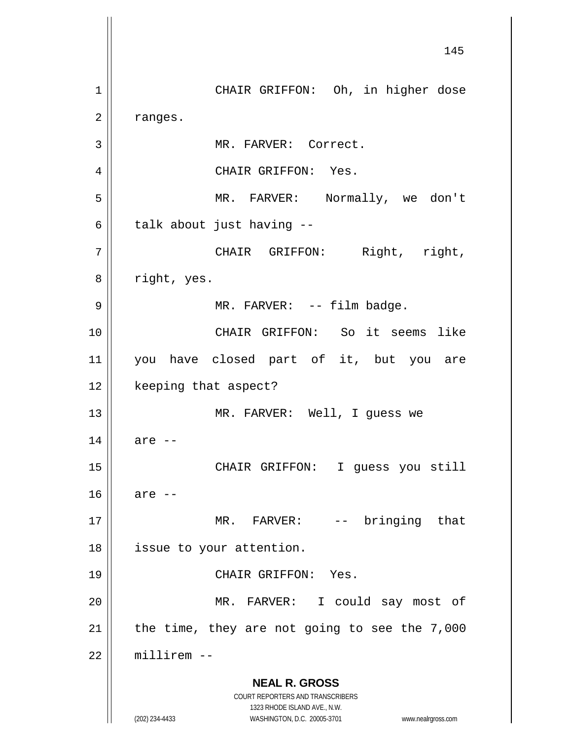**NEAL R. GROSS** COURT REPORTERS AND TRANSCRIBERS 1323 RHODE ISLAND AVE., N.W. (202) 234-4433 WASHINGTON, D.C. 20005-3701 www.nealrgross.com 145 1 || CHAIR GRIFFON: Oh, in higher dose  $2 \parallel$  ranges. 3 | MR. FARVER: Correct. 4 | CHAIR GRIFFON: Yes. 5 MR. FARVER: Normally, we don't  $6 \parallel$  talk about just having --7 || CHAIR GRIFFON: Right, right, 8 | right, yes. 9 || MR. FARVER: -- film badge. 10 CHAIR GRIFFON: So it seems like 11 you have closed part of it, but you are 12 | keeping that aspect? 13 || MR. FARVER: Well, I guess we  $14 \parallel$  are  $-$ 15 CHAIR GRIFFON: I guess you still  $16$  are  $-$ 17 || MR. FARVER: -- bringing that 18 | issue to your attention. 19 || CHAIR GRIFFON: Yes. 20 MR. FARVER: I could say most of 21  $\parallel$  the time, they are not going to see the 7,000  $22$   $\parallel$  millirem  $-$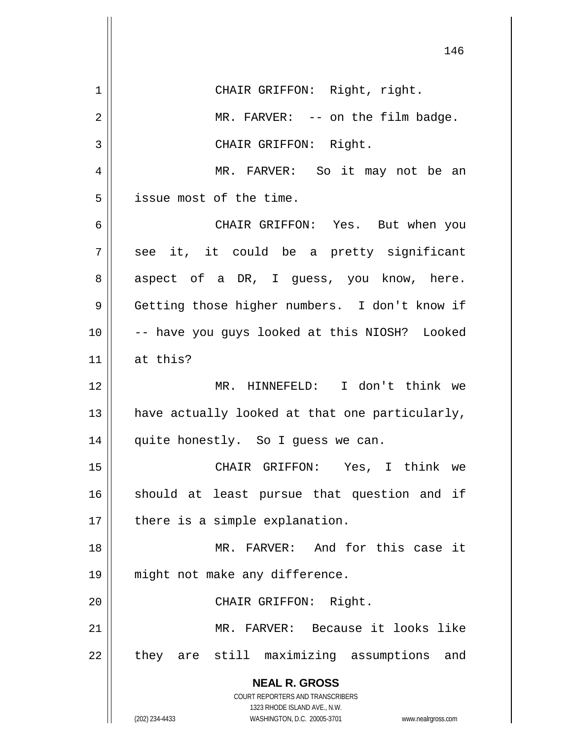|                | 146                                                                                             |
|----------------|-------------------------------------------------------------------------------------------------|
| 1              | CHAIR GRIFFON: Right, right.                                                                    |
| $\overline{2}$ | MR. FARVER: -- on the film badge.                                                               |
| 3              | CHAIR GRIFFON: Right.                                                                           |
| 4              | MR. FARVER: So it may not be an                                                                 |
| 5              | issue most of the time.                                                                         |
| 6              | CHAIR GRIFFON: Yes. But when you                                                                |
| 7              | see it, it could be a pretty significant                                                        |
| 8              | aspect of a DR, I guess, you know, here.                                                        |
| 9              | Getting those higher numbers. I don't know if                                                   |
| 10             | -- have you guys looked at this NIOSH? Looked                                                   |
| 11             | at this?                                                                                        |
| 12             | MR. HINNEFELD: I don't think we                                                                 |
| 13             | have actually looked at that one particularly,                                                  |
| 14             | quite honestly. So I guess we can.                                                              |
| 15             | CHAIR GRIFFON: Yes, I think we                                                                  |
| 16             | should at least pursue that question and if                                                     |
| 17             | there is a simple explanation.                                                                  |
| 18             | MR. FARVER: And for this case it                                                                |
| 19             | might not make any difference.                                                                  |
| 20             | CHAIR GRIFFON: Right.                                                                           |
| 21             | MR. FARVER: Because it looks like                                                               |
| 22             | they are still maximizing assumptions<br>and                                                    |
|                | <b>NEAL R. GROSS</b><br><b>COURT REPORTERS AND TRANSCRIBERS</b><br>1323 RHODE ISLAND AVE., N.W. |
|                | (202) 234-4433<br>WASHINGTON, D.C. 20005-3701<br>www.nealrgross.com                             |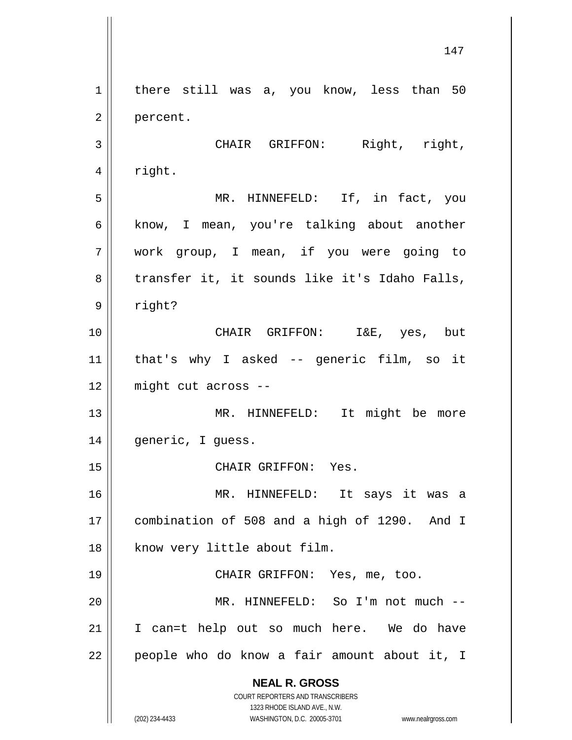**NEAL R. GROSS** COURT REPORTERS AND TRANSCRIBERS 1323 RHODE ISLAND AVE., N.W. (202) 234-4433 WASHINGTON, D.C. 20005-3701 www.nealrgross.com 1 | there still was a, you know, less than 50 2 | percent. 3 || CHAIR GRIFFON: Right, right,  $4 \parallel$  right. 5 MR. HINNEFELD: If, in fact, you 6 || know, I mean, you're talking about another 7 work group, I mean, if you were going to  $8 \parallel$  transfer it, it sounds like it's Idaho Falls, 9 right? 10 CHAIR GRIFFON: I&E, yes, but 11 that's why I asked -- generic film, so it 12 might cut across -- 13 || MR. HINNEFELD: It might be more 14 || generic, I guess. 15 || CHAIR GRIFFON: Yes. 16 MR. HINNEFELD: It says it was a 17 combination of 508 and a high of 1290. And I 18 | know very little about film. 19 || CHAIR GRIFFON: Yes, me, too. 20 MR. HINNEFELD: So I'm not much -- 21 || I can=t help out so much here. We do have  $22$  | people who do know a fair amount about it, I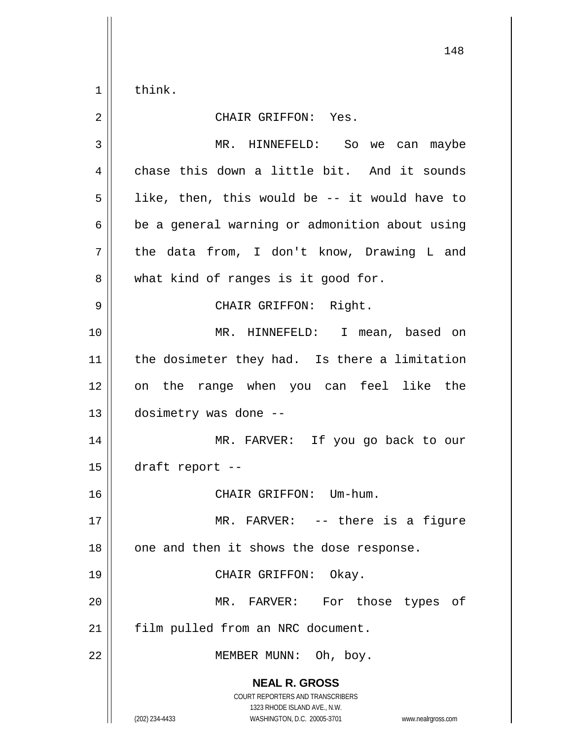$1 \parallel$  think.

| $\overline{2}$ | CHAIR GRIFFON: Yes.                                                                                                                                             |
|----------------|-----------------------------------------------------------------------------------------------------------------------------------------------------------------|
| 3              | MR. HINNEFELD: So we can maybe                                                                                                                                  |
| $\overline{4}$ | chase this down a little bit. And it sounds                                                                                                                     |
| 5              | like, then, this would be -- it would have to                                                                                                                   |
| 6              | be a general warning or admonition about using                                                                                                                  |
| 7              | the data from, I don't know, Drawing L and                                                                                                                      |
| 8              | what kind of ranges is it good for.                                                                                                                             |
| $\mathsf 9$    | CHAIR GRIFFON: Right.                                                                                                                                           |
| 10             | MR. HINNEFELD: I mean, based on                                                                                                                                 |
| 11             | the dosimeter they had. Is there a limitation                                                                                                                   |
| 12             | on the range when you can feel like the                                                                                                                         |
| 13             | dosimetry was done --                                                                                                                                           |
| 14             | MR. FARVER: If you go back to our                                                                                                                               |
| 15             | draft report --                                                                                                                                                 |
| 16             | CHAIR GRIFFON: Um-hum.                                                                                                                                          |
| 17             | MR. FARVER: -- there is a figure                                                                                                                                |
| 18             | one and then it shows the dose response.                                                                                                                        |
| 19             | CHAIR GRIFFON:<br>Okay.                                                                                                                                         |
| 20             | MR. FARVER: For those types<br>of                                                                                                                               |
| 21             | film pulled from an NRC document.                                                                                                                               |
| 22             | MEMBER MUNN: Oh, boy.                                                                                                                                           |
|                | <b>NEAL R. GROSS</b><br>COURT REPORTERS AND TRANSCRIBERS<br>1323 RHODE ISLAND AVE., N.W.<br>(202) 234-4433<br>WASHINGTON, D.C. 20005-3701<br>www.nealrgross.com |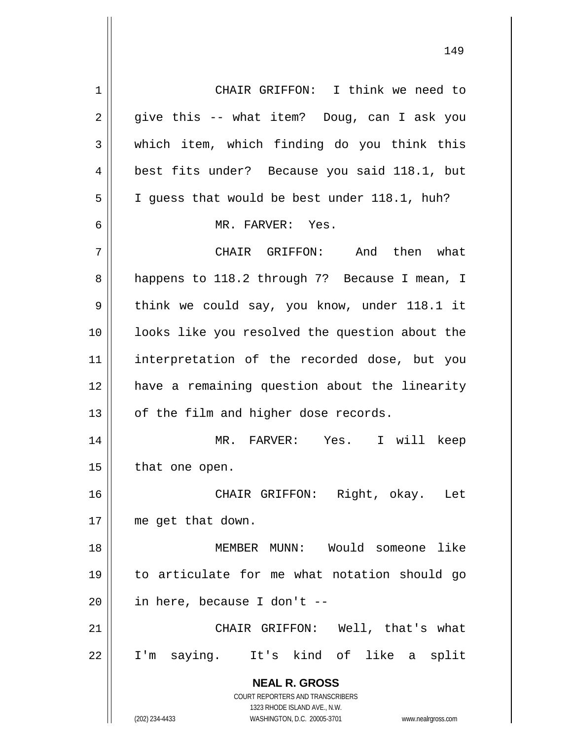**NEAL R. GROSS** COURT REPORTERS AND TRANSCRIBERS 1323 RHODE ISLAND AVE., N.W. (202) 234-4433 WASHINGTON, D.C. 20005-3701 www.nealrgross.com 1 || CHAIR GRIFFON: I think we need to  $2 \parallel$  give this -- what item? Doug, can I ask you  $3 \parallel$  which item, which finding do you think this 4 | best fits under? Because you said 118.1, but  $5 \parallel$  I guess that would be best under 118.1, huh? 6 MR. FARVER: Yes. 7 CHAIR GRIFFON: And then what 8 | happens to 118.2 through 7? Because I mean, I  $9 \parallel$  think we could say, you know, under 118.1 it 10 looks like you resolved the question about the 11 interpretation of the recorded dose, but you 12 have a remaining question about the linearity  $13$  | of the film and higher dose records. 14 MR. FARVER: Yes. I will keep  $15$  | that one open. 16 CHAIR GRIFFON: Right, okay. Let 17 me get that down. 18 MEMBER MUNN: Would someone like 19 to articulate for me what notation should go  $20$  | in here, because I don't --21 CHAIR GRIFFON: Well, that's what 22 I'm saying. It's kind of like a split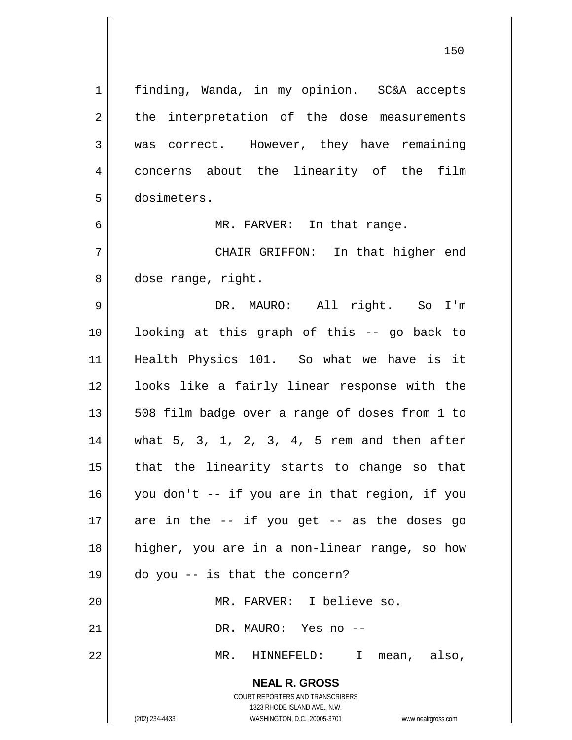**NEAL R. GROSS** COURT REPORTERS AND TRANSCRIBERS 1323 RHODE ISLAND AVE., N.W. 1 | finding, Wanda, in my opinion. SC&A accepts  $2 \parallel$  the interpretation of the dose measurements 3 was correct. However, they have remaining 4 concerns about the linearity of the film dosimeters. 6 || MR. FARVER: In that range. CHAIR GRIFFON: In that higher end 8 dose range, right. DR. MAURO: All right. So I'm looking at this graph of this -- go back to Health Physics 101. So what we have is it looks like a fairly linear response with the || 508 film badge over a range of doses from 1 to what 5, 3, 1, 2, 3, 4, 5 rem and then after || that the linearity starts to change so that you don't -- if you are in that region, if you || are in the  $-$  if you get  $-$  as the doses go higher, you are in a non-linear range, so how  $\parallel$  do you -- is that the concern? MR. FARVER: I believe so. DR. MAURO: Yes no -- MR. HINNEFELD: I mean, also,

(202) 234-4433 WASHINGTON, D.C. 20005-3701 www.nealrgross.com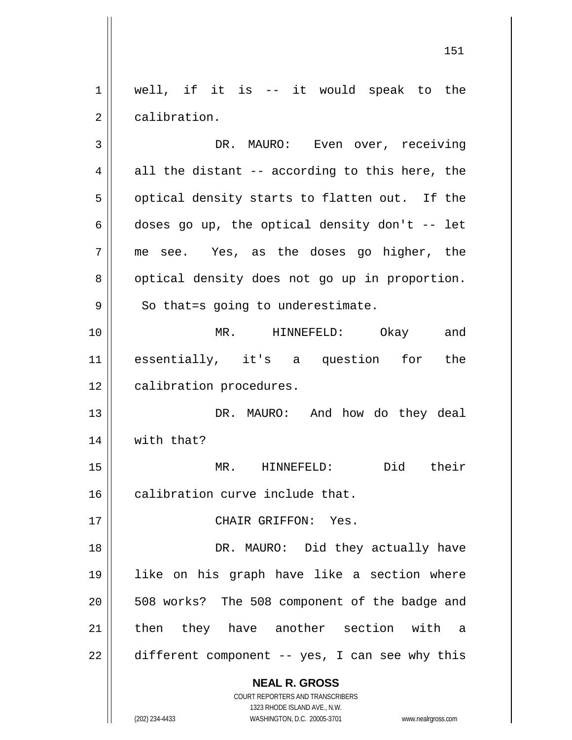$1 \parallel$  well, if it is -- it would speak to the 2 | calibration. 3 DR. MAURO: Even over, receiving

 $4 \parallel$  all the distant -- according to this here, the  $5 \parallel$  optical density starts to flatten out. If the 6 doses go up, the optical density don't  $-$  let 7 || me see. Yes, as the doses go higher, the 8 | optical density does not go up in proportion.  $9 \parallel$  So that=s going to underestimate. 10 MR. HINNEFELD: Okay and 11 essentially, it's a question for the 12 | calibration procedures. 13 DR. MAURO: And how do they deal 14 | with that? 15 MR. HINNEFELD: Did their  $16$  | calibration curve include that. 17 CHAIR GRIFFON: Yes. 18 DR. MAURO: Did they actually have

20 || 508 works? The 508 component of the badge and 21 || then they have another section with a  $22 \parallel$  different component -- yes, I can see why this

19 like on his graph have like a section where

**NEAL R. GROSS** COURT REPORTERS AND TRANSCRIBERS

1323 RHODE ISLAND AVE., N.W. (202) 234-4433 WASHINGTON, D.C. 20005-3701 www.nealrgross.com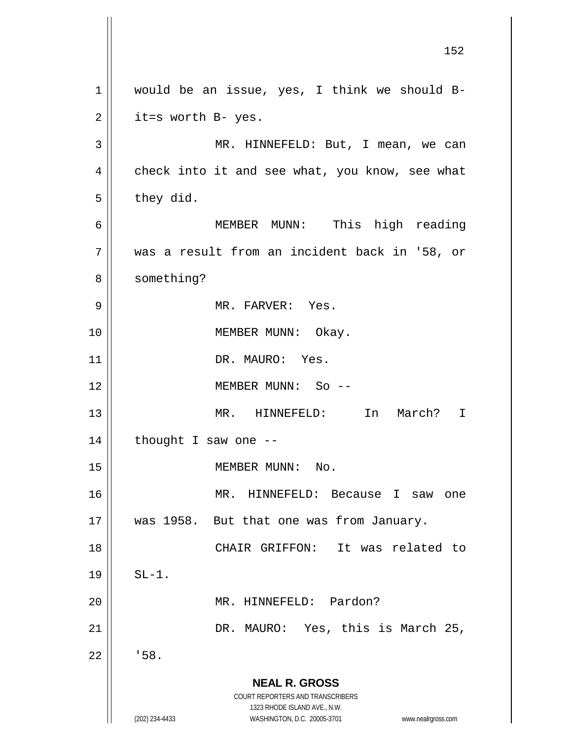**NEAL R. GROSS** COURT REPORTERS AND TRANSCRIBERS 1323 RHODE ISLAND AVE., N.W. (202) 234-4433 WASHINGTON, D.C. 20005-3701 www.nealrgross.com 152 1 || would be an issue, yes, I think we should B- $2 \parallel$  it=s worth B- yes. 3 MR. HINNEFELD: But, I mean, we can  $4 \parallel$  check into it and see what, you know, see what  $5 \parallel$  they did. 6 MEMBER MUNN: This high reading 7 was a result from an incident back in '58, or 8 | something? 9 MR. FARVER: Yes. 10 || MEMBER MUNN: Okay. 11 || DR. MAURO: Yes. 12 MEMBER MUNN: So -- 13 MR. HINNEFELD: In March? I  $14$  | thought I saw one --15 || MEMBER MUNN: No. 16 MR. HINNEFELD: Because I saw one 17 || was 1958. But that one was from January. 18 CHAIR GRIFFON: It was related to  $19 \parallel$  SL-1. 20 || MR. HINNEFELD: Pardon? 21 DR. MAURO: Yes, this is March 25,  $22$   $\parallel$   $\cdot$  58.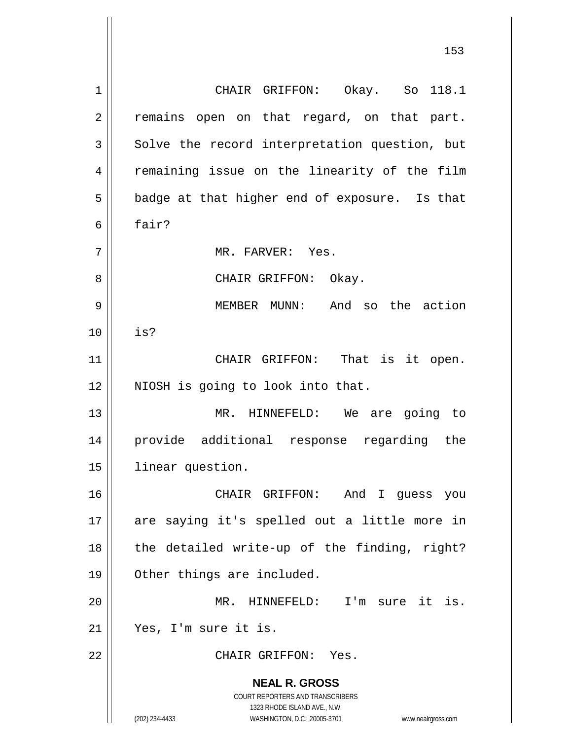**NEAL R. GROSS** COURT REPORTERS AND TRANSCRIBERS 1323 RHODE ISLAND AVE., N.W. (202) 234-4433 WASHINGTON, D.C. 20005-3701 www.nealrgross.com 1 CHAIR GRIFFON: Okay. So 118.1 2 || remains open on that regard, on that part.  $3 \parallel$  Solve the record interpretation question, but 4 || remaining issue on the linearity of the film  $5 \parallel$  badge at that higher end of exposure. Is that 6 fair? 7 MR. FARVER: Yes. 8 CHAIR GRIFFON: Okay. 9 MEMBER MUNN: And so the action 10 is? 11 || CHAIR GRIFFON: That is it open. 12 || NIOSH is going to look into that. 13 || MR. HINNEFELD: We are going to 14 provide additional response regarding the 15 | linear question. 16 CHAIR GRIFFON: And I guess you 17 || are saying it's spelled out a little more in  $18$  || the detailed write-up of the finding, right? 19 Other things are included. 20 MR. HINNEFELD: I'm sure it is. 21 Yes, I'm sure it is. 22 CHAIR GRIFFON: Yes.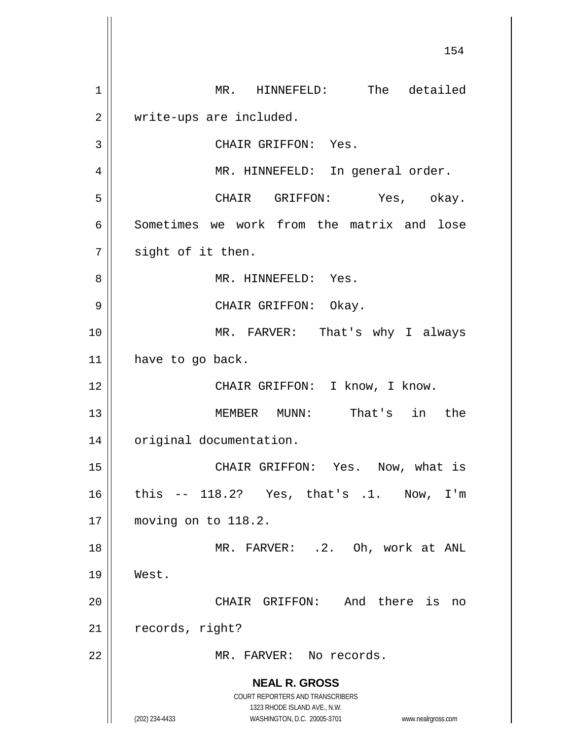**NEAL R. GROSS** COURT REPORTERS AND TRANSCRIBERS 1323 RHODE ISLAND AVE., N.W. (202) 234-4433 WASHINGTON, D.C. 20005-3701 www.nealrgross.com 154 1 || MR. HINNEFELD: The detailed 2 | write-ups are included. 3 || CHAIR GRIFFON: Yes. 4 MR. HINNEFELD: In general order. 5 CHAIR GRIFFON: Yes, okay. 6 Sometimes we work from the matrix and lose  $7 \parallel$  sight of it then. 8 MR. HINNEFELD: Yes. 9 CHAIR GRIFFON: Okay. 10 MR. FARVER: That's why I always 11 | have to go back. 12 || CHAIR GRIFFON: I know, I know. 13 MEMBER MUNN: That's in the 14 | original documentation. 15 || CHAIR GRIFFON: Yes. Now, what is 16 this -- 118.2? Yes, that's .1. Now, I'm 17 moving on to 118.2. 18 MR. FARVER: .2. Oh, work at ANL 19 West. 20 CHAIR GRIFFON: And there is no 21 | records, right? 22 MR. FARVER: No records.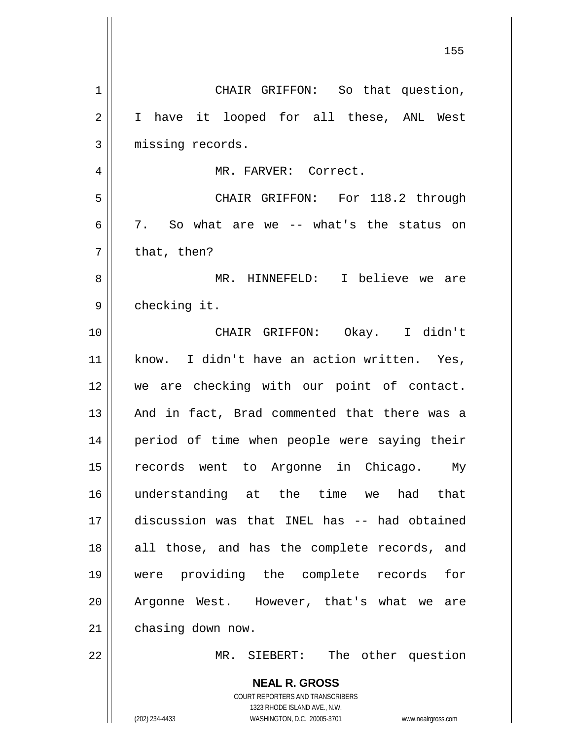|    | 155                                                                 |
|----|---------------------------------------------------------------------|
| 1  | CHAIR GRIFFON: So that question,                                    |
| 2  | have it looped for all these, ANL West<br>I.                        |
| 3  | missing records.                                                    |
| 4  | MR. FARVER: Correct.                                                |
| 5  | CHAIR GRIFFON: For 118.2 through                                    |
| 6  | 7. So what are we -- what's the status on                           |
| 7  | that, then?                                                         |
| 8  | MR. HINNEFELD: I believe we are                                     |
| 9  | checking it.                                                        |
| 10 | CHAIR GRIFFON: Okay. I didn't                                       |
| 11 | know. I didn't have an action written. Yes,                         |
| 12 | we are checking with our point of contact.                          |
| 13 | And in fact, Brad commented that there was a                        |
| 14 | period of time when people were saying their                        |
| 15 | records went to Argonne in Chicago.<br>Му                           |
| 16 | understanding at the time we had<br>that                            |
| 17 | discussion was that INEL has -- had obtained                        |
| 18 | all those, and has the complete records, and                        |
| 19 | were providing the complete records<br>for                          |
| 20 | Argonne West. However, that's what we are                           |
| 21 | chasing down now.                                                   |
| 22 | MR. SIEBERT: The other question                                     |
|    | <b>NEAL R. GROSS</b>                                                |
|    | COURT REPORTERS AND TRANSCRIBERS<br>1323 RHODE ISLAND AVE., N.W.    |
|    | (202) 234-4433<br>WASHINGTON, D.C. 20005-3701<br>www.nealrgross.com |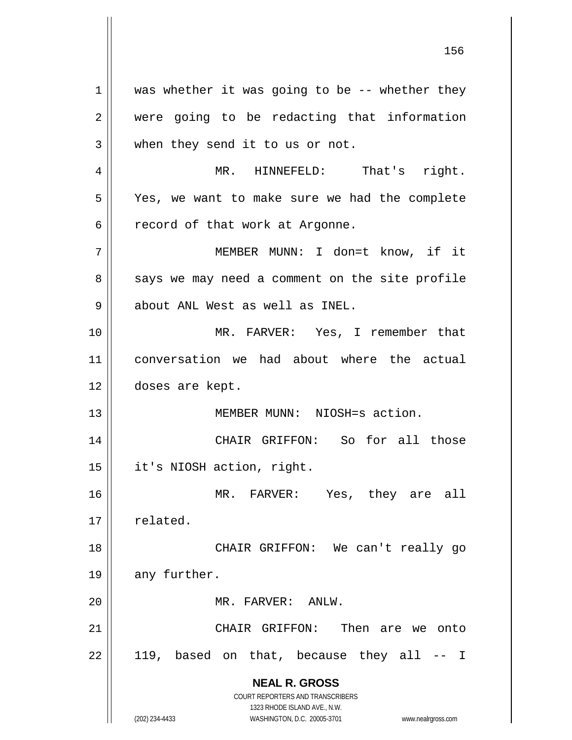**NEAL R. GROSS** COURT REPORTERS AND TRANSCRIBERS 1323 RHODE ISLAND AVE., N.W. (202) 234-4433 WASHINGTON, D.C. 20005-3701 www.nealrgross.com  $1 \parallel$  was whether it was going to be -- whether they 2 were going to be redacting that information 3 when they send it to us or not. 4 MR. HINNEFELD: That's right. 5 Yes, we want to make sure we had the complete  $6 \parallel$  record of that work at Argonne. 7 MEMBER MUNN: I don=t know, if it  $8 \parallel$  says we may need a comment on the site profile 9 | about ANL West as well as INEL. 10 MR. FARVER: Yes, I remember that 11 conversation we had about where the actual 12 doses are kept. 13 MEMBER MUNN: NIOSH=s action. 14 CHAIR GRIFFON: So for all those 15 | it's NIOSH action, right. 16 MR. FARVER: Yes, they are all  $17 \parallel$  related. 18 CHAIR GRIFFON: We can't really go 19 || any further. 20 MR. FARVER: ANLW. 21 CHAIR GRIFFON: Then are we onto  $22 \parallel$  119, based on that, because they all  $-$  I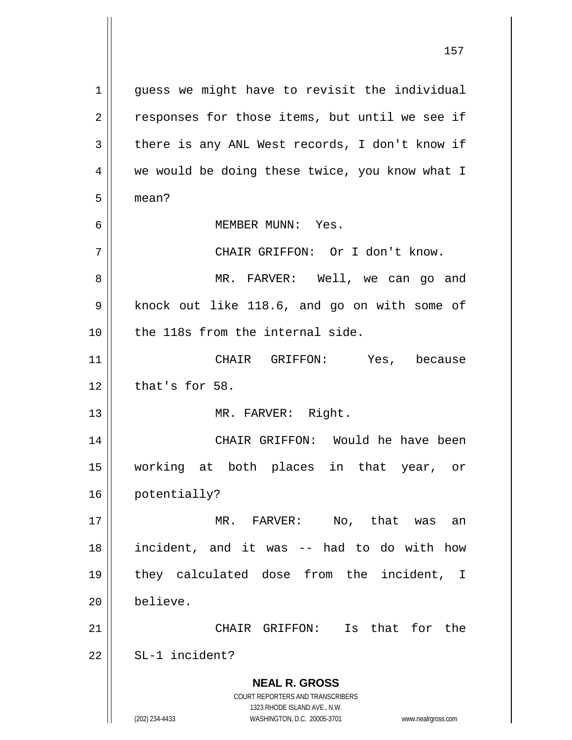**NEAL R. GROSS** COURT REPORTERS AND TRANSCRIBERS 1323 RHODE ISLAND AVE., N.W. (202) 234-4433 WASHINGTON, D.C. 20005-3701 www.nealrgross.com 1 || guess we might have to revisit the individual  $2 \parallel$  responses for those items, but until we see if  $3 \parallel$  there is any ANL West records, I don't know if 4 || we would be doing these twice, you know what I 5 mean? 6 MEMBER MUNN: Yes. 7 || CHAIR GRIFFON: Or I don't know. 8 MR. FARVER: Well, we can go and 9 | knock out like 118.6, and go on with some of 10 || the 118s from the internal side. 11 CHAIR GRIFFON: Yes, because  $12$  | that's for 58. 13 || MR. FARVER: Right. 14 CHAIR GRIFFON: Would he have been 15 working at both places in that year, or 16 potentially? 17 MR. FARVER: No, that was an 18 incident, and it was -- had to do with how 19 they calculated dose from the incident, I 20 believe. 21 CHAIR GRIFFON: Is that for the  $22$   $\parallel$  SL-1 incident?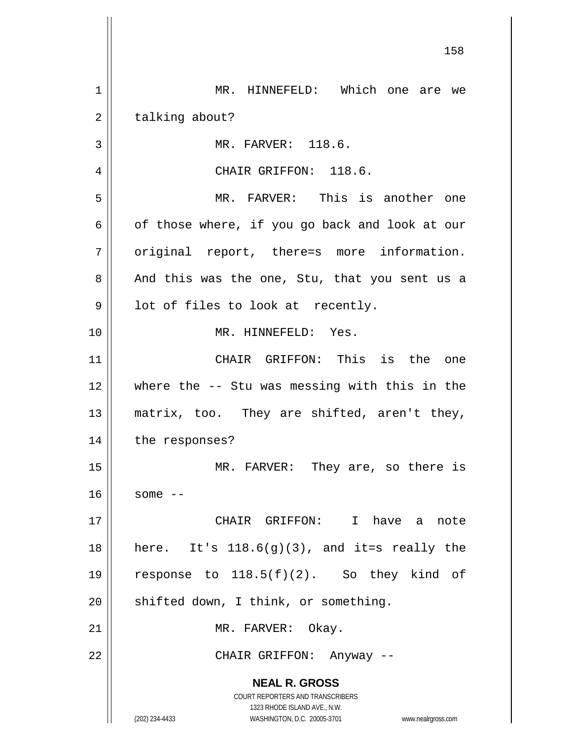**NEAL R. GROSS** COURT REPORTERS AND TRANSCRIBERS 1323 RHODE ISLAND AVE., N.W. (202) 234-4433 WASHINGTON, D.C. 20005-3701 www.nealrgross.com 1 | MR. HINNEFELD: Which one are we 2 | talking about? 3 || MR. FARVER: 118.6. 4 || CHAIR GRIFFON: 118.6. 5 MR. FARVER: This is another one  $6 \parallel$  of those where, if you go back and look at our  $7 \parallel$  original report, there=s more information. 8 || And this was the one, Stu, that you sent us a  $9 \parallel$  lot of files to look at recently. 10 MR. HINNEFELD: Yes. 11 CHAIR GRIFFON: This is the one 12 where the -- Stu was messing with this in the 13 matrix, too. They are shifted, aren't they, 14 | the responses? 15 || MR. FARVER: They are, so there is  $16$  some  $-$ 17 CHAIR GRIFFON: I have a note 18 || here. It's  $118.6(g)(3)$ , and it=s really the 19  $\parallel$  response to 118.5(f)(2). So they kind of  $20$  || shifted down, I think, or something. 21 | MR. FARVER: Okay. 22 CHAIR GRIFFON: Anyway --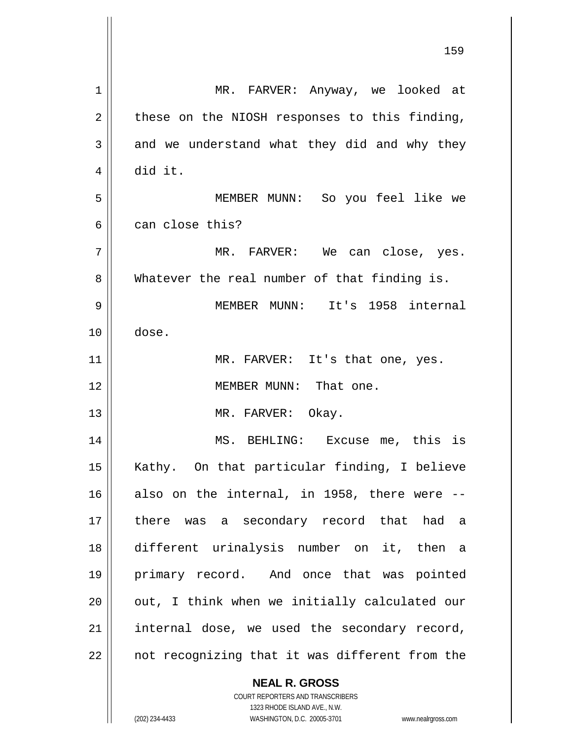| $\mathbf 1$ | MR. FARVER: Anyway, we looked at                                                                    |
|-------------|-----------------------------------------------------------------------------------------------------|
| 2           | these on the NIOSH responses to this finding,                                                       |
| 3           | and we understand what they did and why they                                                        |
| 4           | did it.                                                                                             |
| 5           | MEMBER MUNN: So you feel like we                                                                    |
| 6           | can close this?                                                                                     |
| 7           | MR. FARVER: We can close, yes.                                                                      |
| 8           | Whatever the real number of that finding is.                                                        |
| 9           | MEMBER MUNN: It's 1958 internal                                                                     |
| 10          | dose.                                                                                               |
| 11          | MR. FARVER: It's that one, yes.                                                                     |
| 12          | MEMBER MUNN: That one.                                                                              |
| 13          | MR. FARVER: Okay.                                                                                   |
| 14          | MS. BEHLING: Excuse me, this is                                                                     |
| 15          | Kathy. On that particular finding, I believe                                                        |
| 16          | also on the internal, in 1958, there were --                                                        |
| 17          | there was a secondary record that had a                                                             |
| 18          | different urinalysis number on it, then a                                                           |
| 19          | primary record. And once that was pointed                                                           |
| 20          | out, I think when we initially calculated our                                                       |
| 21          | internal dose, we used the secondary record,                                                        |
| 22          | not recognizing that it was different from the                                                      |
|             | <b>NEAL R. GROSS</b>                                                                                |
|             | COURT REPORTERS AND TRANSCRIBERS                                                                    |
|             | 1323 RHODE ISLAND AVE., N.W.<br>(202) 234-4433<br>WASHINGTON, D.C. 20005-3701<br>www.nealrgross.com |
|             |                                                                                                     |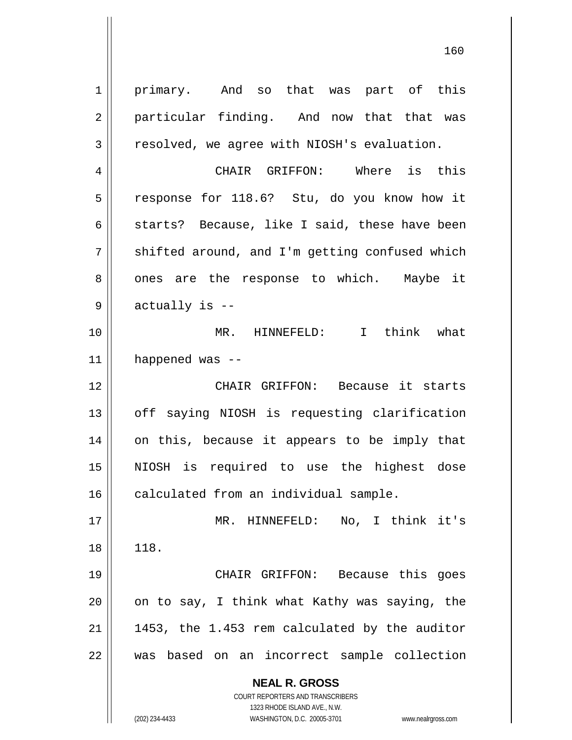**NEAL R. GROSS** COURT REPORTERS AND TRANSCRIBERS 1323 RHODE ISLAND AVE., N.W. 1 | primary. And so that was part of this 2 || particular finding. And now that that was  $3 \parallel$  resolved, we agree with NIOSH's evaluation. 4 CHAIR GRIFFON: Where is this 5 | response for 118.6? Stu, do you know how it  $6$  || starts? Because, like I said, these have been  $7 \parallel$  shifted around, and I'm getting confused which 8 || ones are the response to which. Maybe it  $9 \parallel$  actually is --10 MR. HINNEFELD: I think what  $11$  | happened was --12 CHAIR GRIFFON: Because it starts 13 || off saying NIOSH is requesting clarification 14 || on this, because it appears to be imply that 15 NIOSH is required to use the highest dose 16 | calculated from an individual sample. 17 MR. HINNEFELD: No, I think it's 18 | 118. 19 CHAIR GRIFFON: Because this goes  $20$  | on to say, I think what Kathy was saying, the  $21$  | 1453, the 1.453 rem calculated by the auditor 22 || was based on an incorrect sample collection

(202) 234-4433 WASHINGTON, D.C. 20005-3701 www.nealrgross.com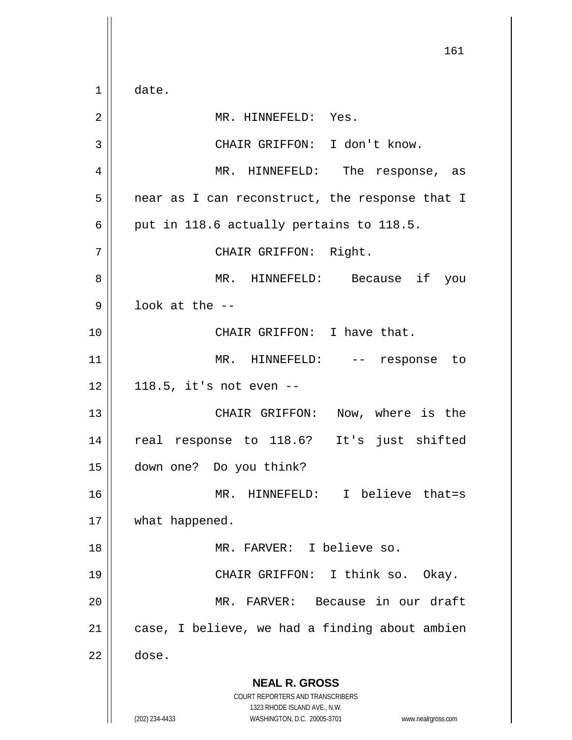**NEAL R. GROSS** COURT REPORTERS AND TRANSCRIBERS 1323 RHODE ISLAND AVE., N.W. (202) 234-4433 WASHINGTON, D.C. 20005-3701 www.nealrgross.com 161  $1 \parallel$  date. 2 | MR. HINNEFELD: Yes. 3 || CHAIR GRIFFON: I don't know. 4 MR. HINNEFELD: The response, as  $5 \parallel$  near as I can reconstruct, the response that I  $6 \parallel$  put in 118.6 actually pertains to 118.5. 7 || CHAIR GRIFFON: Right. 8 MR. HINNEFELD: Because if you  $9 \parallel$  look at the --10 CHAIR GRIFFON: I have that. 11 || MR. HINNEFELD: -- response to  $12 \parallel 118.5$ , it's not even --13 || CHAIR GRIFFON: Now, where is the 14 || real response to 118.6? It's just shifted 15 down one? Do you think? 16 || MR. HINNEFELD: I believe that=s 17 | what happened. 18 MR. FARVER: I believe so. 19 CHAIR GRIFFON: I think so. Okay. 20 MR. FARVER: Because in our draft  $21$  | case, I believe, we had a finding about ambien  $22 \parallel$  dose.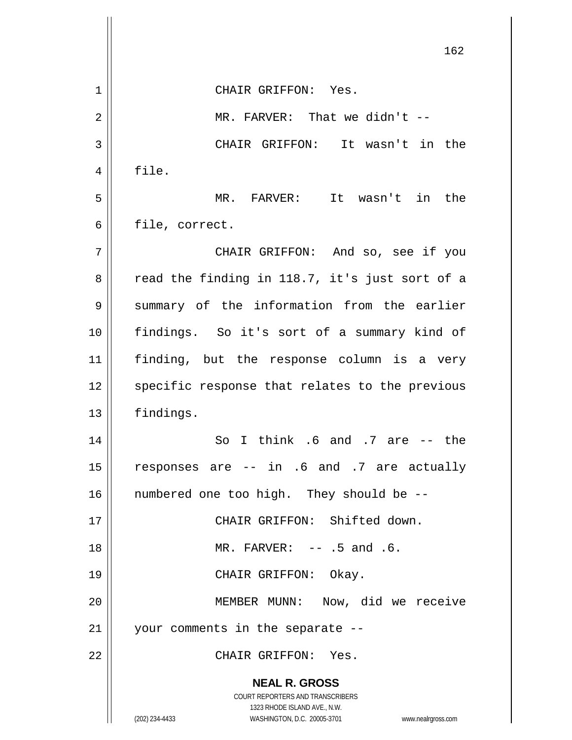**NEAL R. GROSS** COURT REPORTERS AND TRANSCRIBERS 1323 RHODE ISLAND AVE., N.W. (202) 234-4433 WASHINGTON, D.C. 20005-3701 www.nealrgross.com 162 1 CHAIR GRIFFON: Yes.  $2 \parallel$  MR. FARVER: That we didn't  $-$ 3 CHAIR GRIFFON: It wasn't in the  $4 \parallel$  file. 5 MR. FARVER: It wasn't in the  $6 \parallel$  file, correct. 7 CHAIR GRIFFON: And so, see if you  $8 \parallel$  read the finding in 118.7, it's just sort of a 9 Summary of the information from the earlier 10 findings. So it's sort of a summary kind of 11 finding, but the response column is a very 12 || specific response that relates to the previous 13 findings.  $14$  So I think .6 and .7 are  $-$  the 15  $\parallel$  responses are -- in .6 and .7 are actually 16 || numbered one too high. They should be --17 CHAIR GRIFFON: Shifted down. 18 || MR. FARVER: -- .5 and .6. 19 || CHAIR GRIFFON: Okay. 20 MEMBER MUNN: Now, did we receive 21 your comments in the separate -- 22 CHAIR GRIFFON: Yes.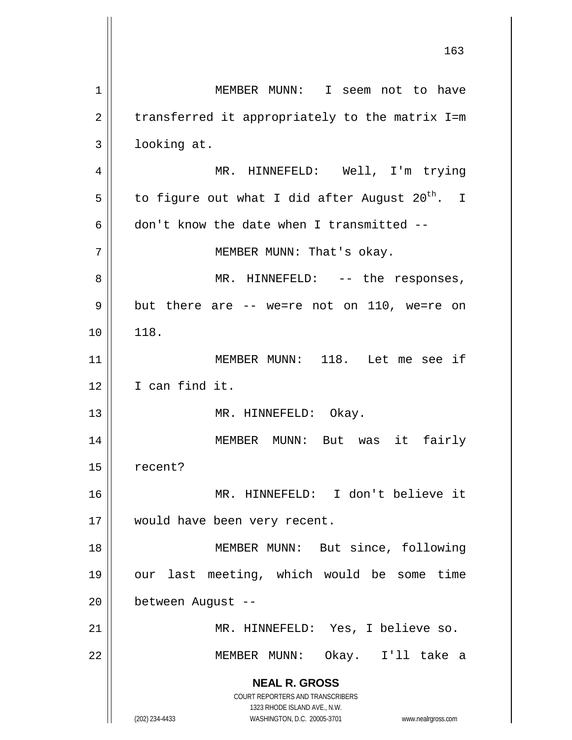**NEAL R. GROSS** COURT REPORTERS AND TRANSCRIBERS 1323 RHODE ISLAND AVE., N.W. (202) 234-4433 WASHINGTON, D.C. 20005-3701 www.nealrgross.com 1 | MEMBER MUNN: I seem not to have  $2 \parallel$  transferred it appropriately to the matrix I=m 3 looking at. 4 || MR. HINNEFELD: Well, I'm trying  $5$  | to figure out what I did after August 20<sup>th</sup>. I 6 don't know the date when I transmitted  $-$ 7 || MEMBER MUNN: That's okay. 8 || MR. HINNEFELD: -- the responses,  $9 \parallel$  but there are  $-$  we=re not on 110, we=re on 10 | 118. 11 MEMBER MUNN: 118. Let me see if 12 | I can find it. 13 || MR. HINNEFELD: Okay. 14 MEMBER MUNN: But was it fairly 15 | recent? 16 MR. HINNEFELD: I don't believe it 17 || would have been very recent. 18 || MEMBER MUNN: But since, following 19 our last meeting, which would be some time 20 between August -- 21 MR. HINNEFELD: Yes, I believe so. 22 MEMBER MUNN: Okay. I'll take a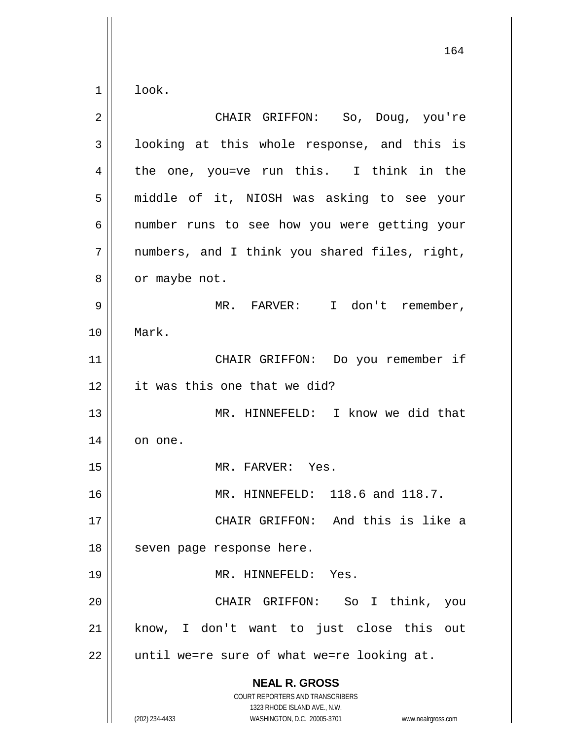$1 \parallel$  look.

| $\overline{2}$ | CHAIR GRIFFON: So, Doug, you're                                                                                                                                        |
|----------------|------------------------------------------------------------------------------------------------------------------------------------------------------------------------|
| 3              | looking at this whole response, and this is                                                                                                                            |
| 4              | the one, you=ve run this. I think in the                                                                                                                               |
| 5              | middle of it, NIOSH was asking to see your                                                                                                                             |
| 6              | number runs to see how you were getting your                                                                                                                           |
| 7              | numbers, and I think you shared files, right,                                                                                                                          |
| 8              | or maybe not.                                                                                                                                                          |
| 9              | MR. FARVER: I don't remember,                                                                                                                                          |
| 10             | Mark.                                                                                                                                                                  |
| 11             | CHAIR GRIFFON: Do you remember if                                                                                                                                      |
| 12             | it was this one that we did?                                                                                                                                           |
| 13             | MR. HINNEFELD: I know we did that                                                                                                                                      |
| 14             | on one.                                                                                                                                                                |
| 15             | MR. FARVER: Yes.                                                                                                                                                       |
| 16             | MR. HINNEFELD: 118.6 and 118.7.                                                                                                                                        |
| 17             | CHAIR GRIFFON: And this is like a                                                                                                                                      |
| 18             | seven page response here.                                                                                                                                              |
| 19             | MR. HINNEFELD: Yes.                                                                                                                                                    |
| 20             | CHAIR GRIFFON: So I think, you                                                                                                                                         |
| 21             | know, I don't want to just close this out                                                                                                                              |
| 22             | until we=re sure of what we=re looking at.                                                                                                                             |
|                | <b>NEAL R. GROSS</b><br><b>COURT REPORTERS AND TRANSCRIBERS</b><br>1323 RHODE ISLAND AVE., N.W.<br>(202) 234-4433<br>WASHINGTON, D.C. 20005-3701<br>www.nealrgross.com |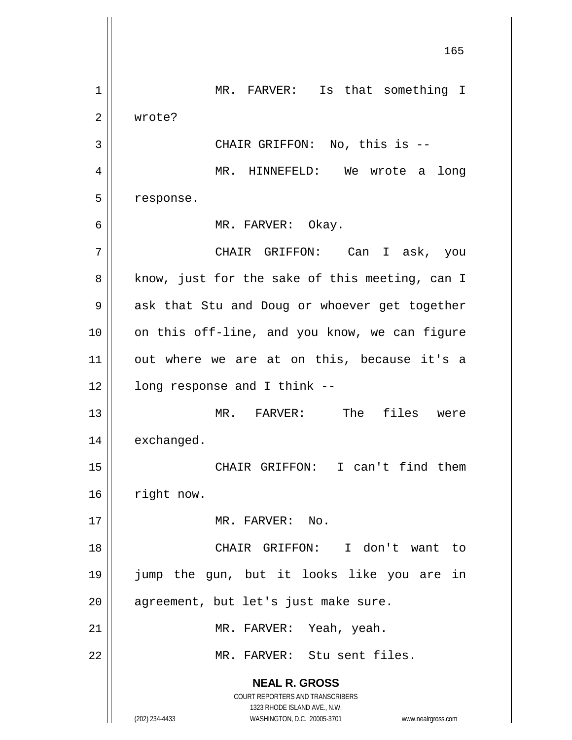**NEAL R. GROSS** COURT REPORTERS AND TRANSCRIBERS 1323 RHODE ISLAND AVE., N.W. (202) 234-4433 WASHINGTON, D.C. 20005-3701 www.nealrgross.com 165 1 | MR. FARVER: Is that something I 2 | wrote? 3 || CHAIR GRIFFON: No, this is --4 MR. HINNEFELD: We wrote a long 5 | response. 6 MR. FARVER: Okay. 7 CHAIR GRIFFON: Can I ask, you  $8 \parallel$  know, just for the sake of this meeting, can I 9 || ask that Stu and Doug or whoever get together 10 || on this off-line, and you know, we can figure  $11$  out where we are at on this, because it's a  $12$  |  $\blacksquare$  long response and I think --13 MR. FARVER: The files were 14 | exchanged. 15 CHAIR GRIFFON: I can't find them 16 | right now. 17 MR. FARVER: No. 18 CHAIR GRIFFON: I don't want to 19 jump the gun, but it looks like you are in  $20$  || agreement, but let's just make sure. 21 || MR. FARVER: Yeah, yeah. 22 MR. FARVER: Stu sent files.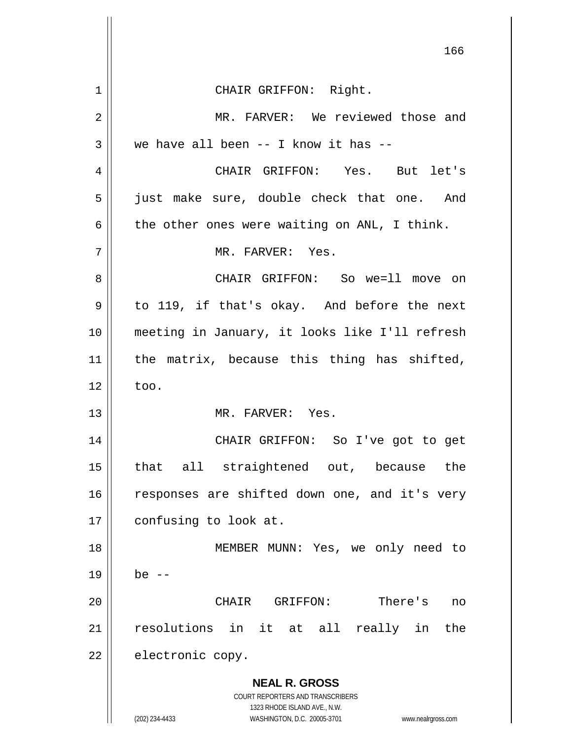**NEAL R. GROSS** COURT REPORTERS AND TRANSCRIBERS 1323 RHODE ISLAND AVE., N.W. (202) 234-4433 WASHINGTON, D.C. 20005-3701 www.nealrgross.com 166 1 || CHAIR GRIFFON: Right. 2 MR. FARVER: We reviewed those and  $3 \parallel$  we have all been -- I know it has --4 CHAIR GRIFFON: Yes. But let's 5 || just make sure, double check that one. And  $6 \parallel$  the other ones were waiting on ANL, I think. 7 MR. FARVER: Yes. 8 CHAIR GRIFFON: So we=ll move on  $9 \parallel$  to 119, if that's okay. And before the next 10 meeting in January, it looks like I'll refresh  $11$  the matrix, because this thing has shifted,  $12 \parallel$  too. 13 MR. FARVER: Yes. 14 CHAIR GRIFFON: So I've got to get 15 that all straightened out, because the 16 || responses are shifted down one, and it's very 17 | confusing to look at. 18 MEMBER MUNN: Yes, we only need to  $19 \parallel$  be  $-$ 20 CHAIR GRIFFON: There's no 21 resolutions in it at all really in the  $22$  | electronic copy.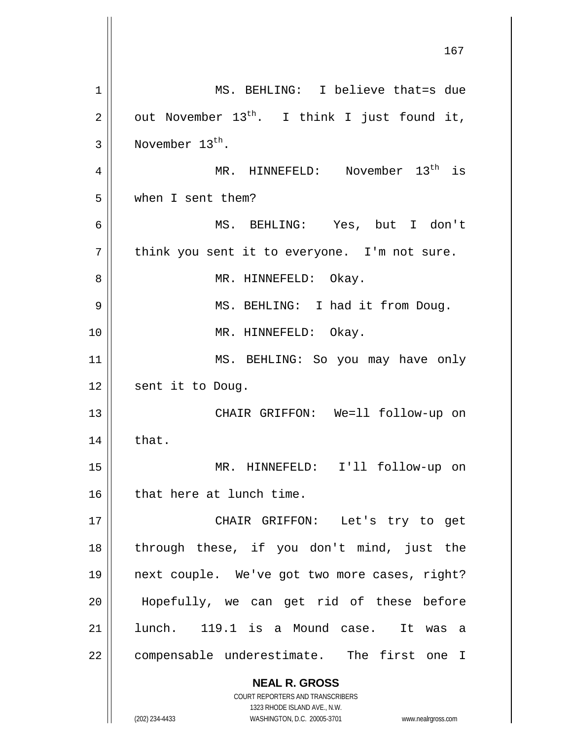**NEAL R. GROSS** COURT REPORTERS AND TRANSCRIBERS 1323 RHODE ISLAND AVE., N.W. (202) 234-4433 WASHINGTON, D.C. 20005-3701 www.nealrgross.com 1 MS. BEHLING: I believe that=s due 2  $\parallel$  out November 13<sup>th</sup>. I think I just found it,  $3 \parallel$  November 13<sup>th</sup>. 4 || MR. HINNEFELD: November 13<sup>th</sup> is 5 when I sent them? 6 MS. BEHLING: Yes, but I don't  $7 \parallel$  think you sent it to everyone. I'm not sure. 8 | MR. HINNEFELD: Okay. 9 || MS. BEHLING: I had it from Doug. 10 || MR. HINNEFELD: Okay. 11 || MS. BEHLING: So you may have only 12 || sent it to Doug. 13 CHAIR GRIFFON: We=ll follow-up on  $14 \parallel$  that. 15 MR. HINNEFELD: I'll follow-up on  $16$  | that here at lunch time. 17 || CHAIR GRIFFON: Let's try to get 18 through these, if you don't mind, just the 19 next couple. We've got two more cases, right? 20 Hopefully, we can get rid of these before 21 lunch. 119.1 is a Mound case. It was a 22 | compensable underestimate. The first one I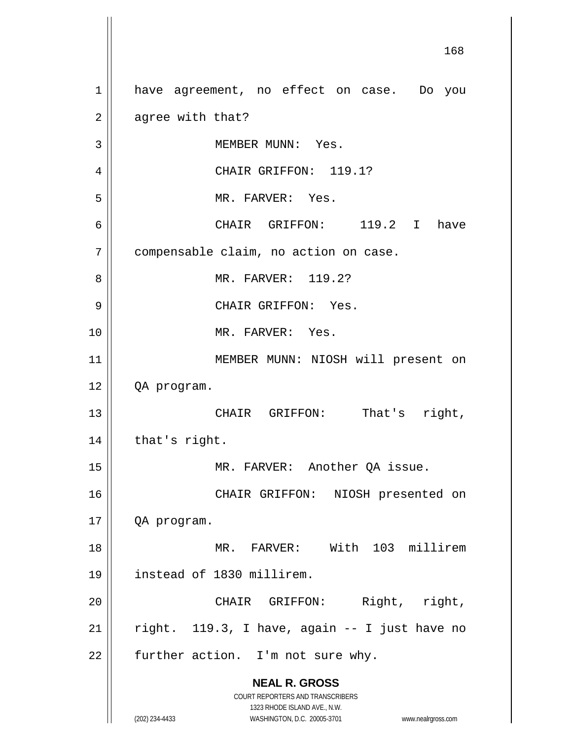**NEAL R. GROSS** COURT REPORTERS AND TRANSCRIBERS 1323 RHODE ISLAND AVE., N.W. (202) 234-4433 WASHINGTON, D.C. 20005-3701 www.nealrgross.com 168 1 || have agreement, no effect on case. Do you  $2 \parallel$  agree with that? 3 || MEMBER MUNN: Yes. 4 || CHAIR GRIFFON: 119.1? 5 MR. FARVER: Yes. 6 CHAIR GRIFFON: 119.2 I have 7 compensable claim, no action on case. 8 MR. FARVER: 119.2? 9 CHAIR GRIFFON: Yes. 10 MR. FARVER: Yes. 11 || MEMBER MUNN: NIOSH will present on 12 QA program. 13 CHAIR GRIFFON: That's right,  $14$  | that's right. 15 || MR. FARVER: Another QA issue. 16 || CHAIR GRIFFON: NIOSH presented on 17 QA program. 18 MR. FARVER: With 103 millirem 19 instead of 1830 millirem. 20 CHAIR GRIFFON: Right, right, 21 | right. 119.3, I have, again  $-$  I just have no  $22$  | further action. I'm not sure why.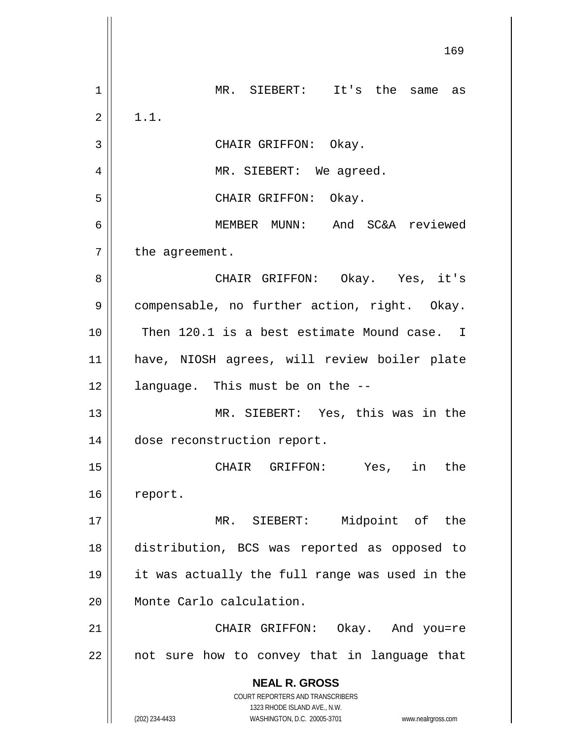**NEAL R. GROSS** COURT REPORTERS AND TRANSCRIBERS 1323 RHODE ISLAND AVE., N.W. (202) 234-4433 WASHINGTON, D.C. 20005-3701 www.nealrgross.com MR. SIEBERT: It's the same as  $2 \parallel 1.1.$ 3 || CHAIR GRIFFON: Okay. 4 || MR. SIEBERT: We agreed. CHAIR GRIFFON: Okay. MEMBER MUNN: And SC&A reviewed | the agreement. CHAIR GRIFFON: Okay. Yes, it's 9 | compensable, no further action, right. Okay. Then 120.1 is a best estimate Mound case. I have, NIOSH agrees, will review boiler plate | language. This must be on the  $-$  MR. SIEBERT: Yes, this was in the dose reconstruction report. CHAIR GRIFFON: Yes, in the 16 report. 17 || MR. SIEBERT: Midpoint of the distribution, BCS was reported as opposed to it was actually the full range was used in the Monte Carlo calculation. CHAIR GRIFFON: Okay. And you=re || not sure how to convey that in language that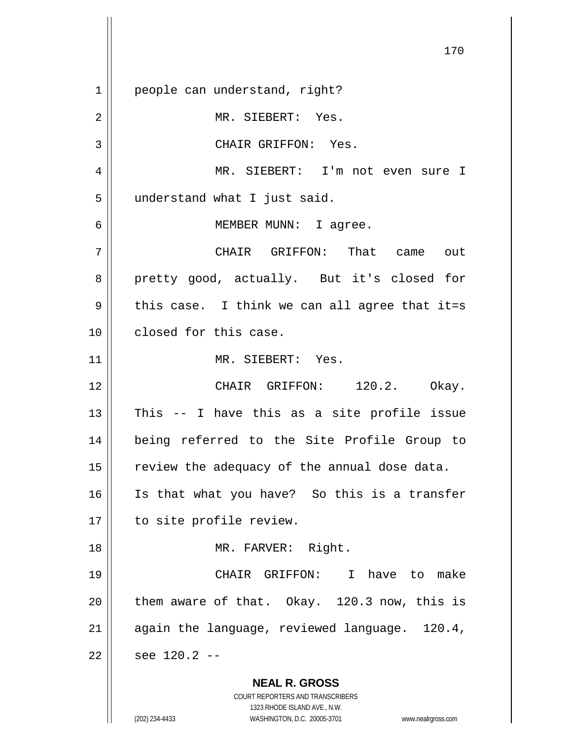**NEAL R. GROSS** COURT REPORTERS AND TRANSCRIBERS 1323 RHODE ISLAND AVE., N.W. 1 || people can understand, right? 2 || MR. SIEBERT: Yes. 3 || CHAIR GRIFFON: Yes. 4 MR. SIEBERT: I'm not even sure I 5 | understand what I just said. 6 || MEMBER MUNN: I agree. 7 CHAIR GRIFFON: That came out 8 pretty good, actually. But it's closed for  $9 \parallel$  this case. I think we can all agree that it=s 10 **closed** for this case. 11 || MR. SIEBERT: Yes. 12 || CHAIR GRIFFON: 120.2. Okay.  $13$  || This -- I have this as a site profile issue 14 being referred to the Site Profile Group to  $15$  review the adequacy of the annual dose data. 16 Is that what you have? So this is a transfer 17 || to site profile review. 18 || MR. FARVER: Right. 19 CHAIR GRIFFON: I have to make  $20$  | them aware of that. Okay. 120.3 now, this is 21  $\parallel$  again the language, reviewed language. 120.4,  $22 \parallel$  see 120.2 --

(202) 234-4433 WASHINGTON, D.C. 20005-3701 www.nealrgross.com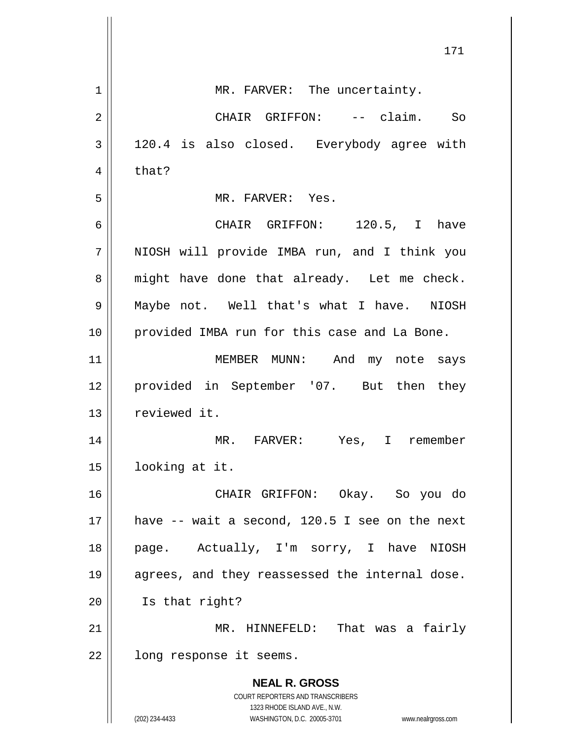|    | 171                                                                 |
|----|---------------------------------------------------------------------|
| 1  | MR. FARVER: The uncertainty.                                        |
| 2  | CHAIR GRIFFON: -- claim. So                                         |
| 3  | 120.4 is also closed. Everybody agree with                          |
| 4  | that?                                                               |
| 5  | MR. FARVER: Yes.                                                    |
| 6  | CHAIR GRIFFON: 120.5, I have                                        |
| 7  | NIOSH will provide IMBA run, and I think you                        |
| 8  | might have done that already. Let me check.                         |
| 9  | Maybe not. Well that's what I have. NIOSH                           |
| 10 | provided IMBA run for this case and La Bone.                        |
| 11 | MEMBER MUNN: And my note says                                       |
| 12 | provided in September '07. But then they                            |
| 13 | reviewed it.                                                        |
| 14 | Yes, I remember<br>MR. FARVER:                                      |
| 15 | looking at it.                                                      |
| 16 | CHAIR GRIFFON: Okay. So you do                                      |
| 17 | have -- wait a second, 120.5 I see on the next                      |
| 18 | page. Actually, I'm sorry, I have<br>NIOSH                          |
| 19 | agrees, and they reassessed the internal dose.                      |
| 20 | Is that right?                                                      |
| 21 | MR. HINNEFELD: That was a fairly                                    |
| 22 | long response it seems.                                             |
|    | <b>NEAL R. GROSS</b>                                                |
|    | COURT REPORTERS AND TRANSCRIBERS<br>1323 RHODE ISLAND AVE., N.W.    |
|    | (202) 234-4433<br>WASHINGTON, D.C. 20005-3701<br>www.nealrgross.com |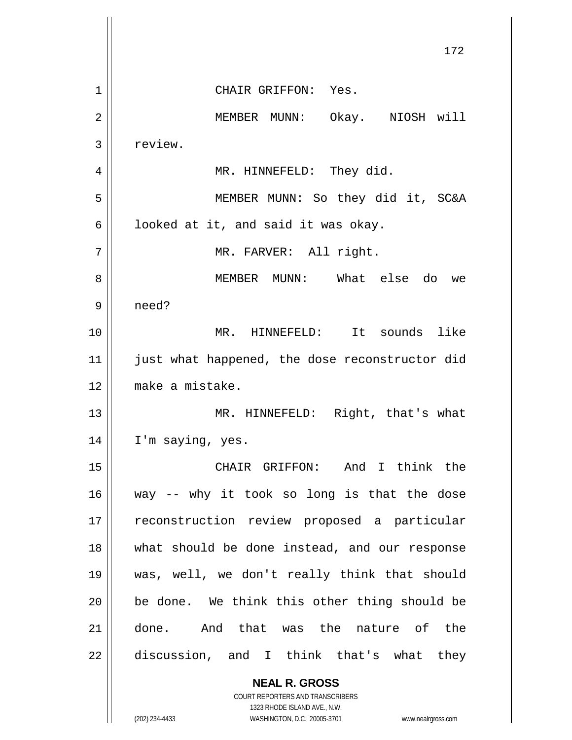|    | 172                                                                     |
|----|-------------------------------------------------------------------------|
| 1  | CHAIR GRIFFON: Yes.                                                     |
| 2  | MEMBER MUNN: Okay. NIOSH will                                           |
| 3  | review.                                                                 |
| 4  | MR. HINNEFELD: They did.                                                |
| 5  | MEMBER MUNN: So they did it, SC&A                                       |
| 6  | looked at it, and said it was okay.                                     |
| 7  | MR. FARVER: All right.                                                  |
| 8  | MEMBER MUNN: What else do<br>we                                         |
| 9  | need?                                                                   |
| 10 | MR. HINNEFELD: It sounds like                                           |
| 11 | just what happened, the dose reconstructor did                          |
| 12 | make a mistake.                                                         |
| 13 | MR. HINNEFELD: Right, that's what                                       |
| 14 | I'm saying, yes.                                                        |
| 15 | CHAIR GRIFFON: And I think the                                          |
| 16 | way -- why it took so long is that the dose                             |
| 17 | reconstruction review proposed a particular                             |
| 18 | what should be done instead, and our response                           |
| 19 | was, well, we don't really think that should                            |
| 20 | be done. We think this other thing should be                            |
| 21 | done. And that was the nature of the                                    |
| 22 | discussion, and I think that's what they                                |
|    | <b>NEAL R. GROSS</b>                                                    |
|    | <b>COURT REPORTERS AND TRANSCRIBERS</b><br>1323 RHODE ISLAND AVE., N.W. |
|    | (202) 234-4433<br>WASHINGTON, D.C. 20005-3701<br>www.nealrgross.com     |

 $\overline{\mathsf{I}}$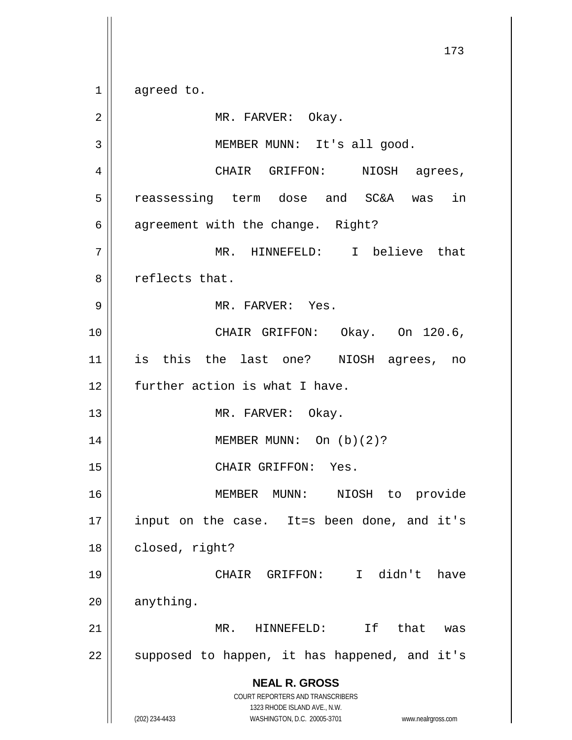1 agreed to.

**NEAL R. GROSS** COURT REPORTERS AND TRANSCRIBERS 1323 RHODE ISLAND AVE., N.W. (202) 234-4433 WASHINGTON, D.C. 20005-3701 www.nealrgross.com 2 | MR. FARVER: Okay. 3 || MEMBER MUNN: It's all good. 4 CHAIR GRIFFON: NIOSH agrees, 5 || reassessing term dose and SC&A was in  $6 \parallel$  agreement with the change. Right? 7 || MR. HINNEFELD: I believe that 8 || reflects that. 9 MR. FARVER: Yes. 10 || CHAIR GRIFFON: Okay. On 120.6, 11 is this the last one? NIOSH agrees, no 12 | further action is what I have. 13 || MR. FARVER: Okay. 14 || MEMBER MUNN: On (b)(2)? 15 || CHAIR GRIFFON: Yes. 16 MEMBER MUNN: NIOSH to provide 17 || input on the case. It=s been done, and it's 18 | closed, right? 19 CHAIR GRIFFON: I didn't have  $20$  | anything. 21 MR. HINNEFELD: If that was  $22$  || supposed to happen, it has happened, and it's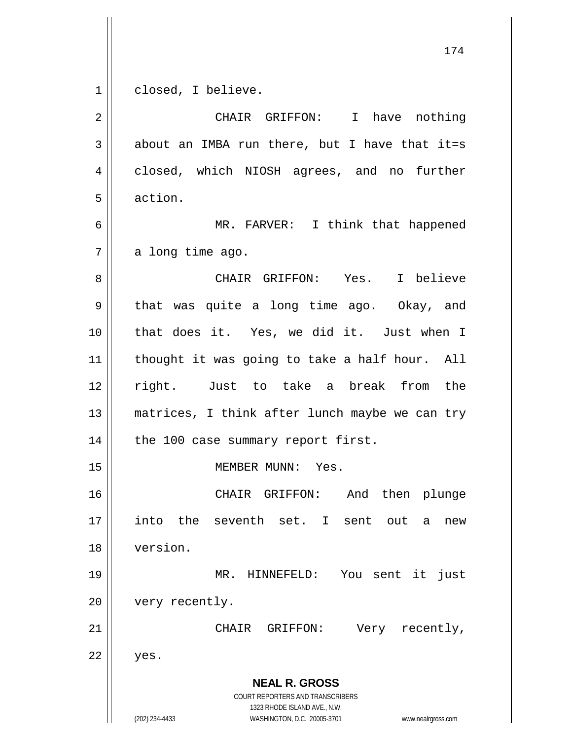1 | closed, I believe.

**NEAL R. GROSS** COURT REPORTERS AND TRANSCRIBERS 1323 RHODE ISLAND AVE., N.W. (202) 234-4433 WASHINGTON, D.C. 20005-3701 www.nealrgross.com 2 CHAIR GRIFFON: I have nothing  $3 \parallel$  about an IMBA run there, but I have that it=s 4 || closed, which NIOSH agrees, and no further 5 action. 6 || MR. FARVER: I think that happened  $7 \parallel$  a long time ago. 8 CHAIR GRIFFON: Yes. I believe  $9 \parallel$  that was quite a long time ago. Okay, and 10 that does it. Yes, we did it. Just when I 11 || thought it was going to take a half hour. All 12 right. Just to take a break from the 13 || matrices, I think after lunch maybe we can try  $14$  | the 100 case summary report first. 15 MEMBER MUNN: Yes. 16 CHAIR GRIFFON: And then plunge 17 || into the seventh set. I sent out a new 18 version. 19 MR. HINNEFELD: You sent it just 20 | very recently. 21 || CHAIR GRIFFON: Very recently,  $22 \parallel$  yes.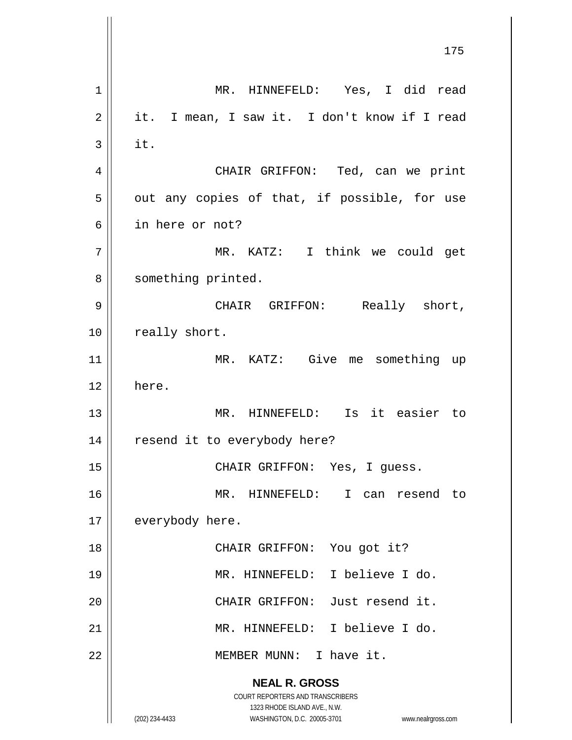**NEAL R. GROSS** COURT REPORTERS AND TRANSCRIBERS 1323 RHODE ISLAND AVE., N.W. (202) 234-4433 WASHINGTON, D.C. 20005-3701 www.nealrgross.com 175 1 MR. HINNEFELD: Yes, I did read  $2 \parallel$  it. I mean, I saw it. I don't know if I read  $3 \parallel$  it. 4 CHAIR GRIFFON: Ted, can we print  $5 \parallel$  out any copies of that, if possible, for use 6 in here or not? 7 || MR. KATZ: I think we could get 8 | something printed. 9 CHAIR GRIFFON: Really short, 10 | really short. 11 MR. KATZ: Give me something up 12 here. 13 || MR. HINNEFELD: Is it easier to 14 || resend it to everybody here? 15 || CHAIR GRIFFON: Yes, I guess. 16 MR. HINNEFELD: I can resend to 17 | everybody here. 18 || CHAIR GRIFFON: You got it? 19 MR. HINNEFELD: I believe I do. 20 || CHAIR GRIFFON: Just resend it. 21 MR. HINNEFELD: I believe I do. 22 || MEMBER MUNN: I have it.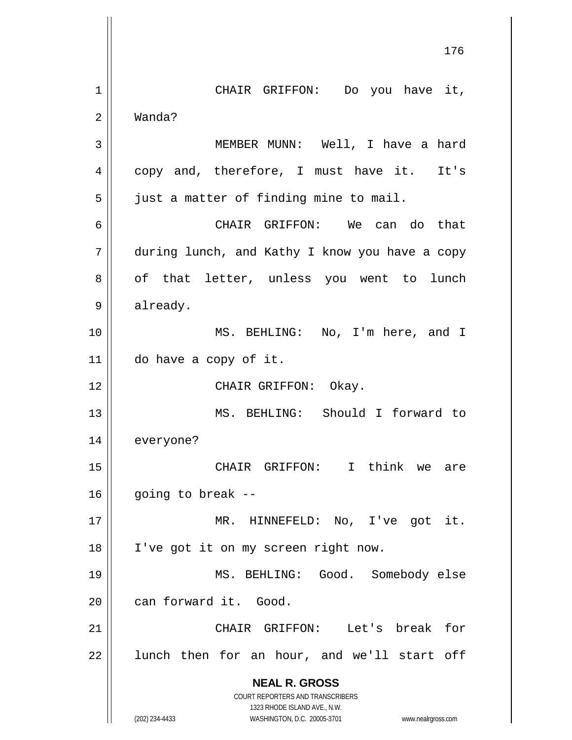**NEAL R. GROSS** COURT REPORTERS AND TRANSCRIBERS 1323 RHODE ISLAND AVE., N.W. (202) 234-4433 WASHINGTON, D.C. 20005-3701 www.nealrgross.com 176 1 || CHAIR GRIFFON: Do you have it, 2 Wanda? 3 || MEMBER MUNN: Well, I have a hard 4 copy and, therefore, I must have it. It's 5 | just a matter of finding mine to mail. 6 CHAIR GRIFFON: We can do that 7 during lunch, and Kathy I know you have a copy 8 || of that letter, unless you went to lunch 9 | already. 10 MS. BEHLING: No, I'm here, and I 11 do have a copy of it. 12 || CHAIR GRIFFON: Okay. 13 MS. BEHLING: Should I forward to 14 everyone? 15 CHAIR GRIFFON: I think we are  $16$  | going to break --17 MR. HINNEFELD: No, I've got it. 18 || I've got it on my screen right now. 19 MS. BEHLING: Good. Somebody else 20 can forward it. Good. 21 CHAIR GRIFFON: Let's break for  $22$  || lunch then for an hour, and we'll start off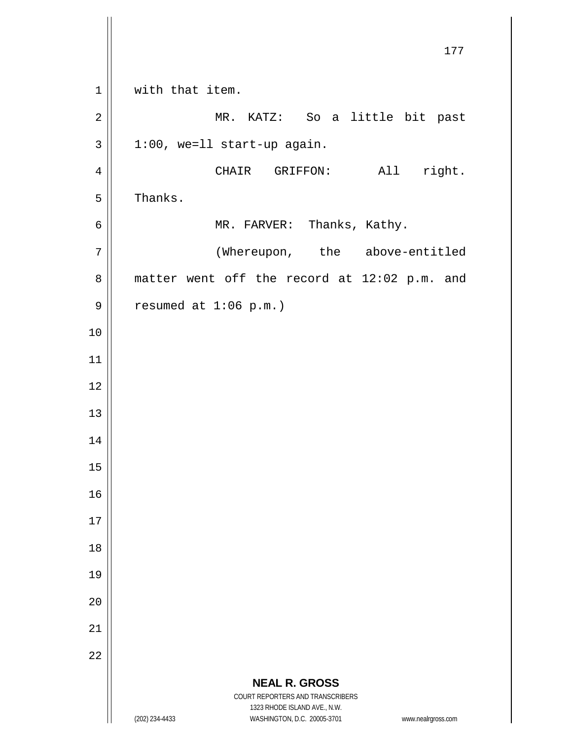**NEAL R. GROSS** COURT REPORTERS AND TRANSCRIBERS 1323 RHODE ISLAND AVE., N.W. (202) 234-4433 WASHINGTON, D.C. 20005-3701 www.nealrgross.com 177 1 || with that item. 2 || MR. KATZ: So a little bit past  $3 \parallel 1:00$ , we=11 start-up again. 4 || CHAIR GRIFFON: All right.  $5 \parallel$  Thanks. 6 | MR. FARVER: Thanks, Kathy. 7 | (Whereupon, the above-entitled  $8 \parallel$  matter went off the record at 12:02 p.m. and  $9 \parallel$  resumed at 1:06 p.m.) 10 11 12 13 14 15 16 17 18 19 20 21 22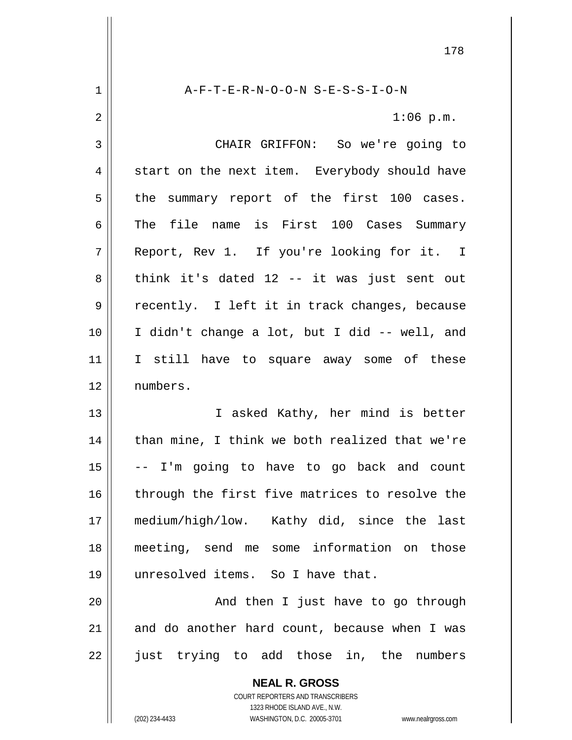**NEAL R. GROSS** COURT REPORTERS AND TRANSCRIBERS 1 A-F-T-E-R-N-O-O-N S-E-S-S-I-O-N  $2 \parallel$  1:06 p.m. 3 CHAIR GRIFFON: So we're going to  $4 \parallel$  start on the next item. Everybody should have  $5 \parallel$  the summary report of the first 100 cases.  $6$  The file name is First 100 Cases Summary 7 Report, Rev 1. If you're looking for it. I  $8 \parallel$  think it's dated 12 -- it was just sent out 9 || recently. I left it in track changes, because 10 I didn't change a lot, but I did -- well, and 11 || I still have to square away some of these 12 numbers. 13 || T asked Kathy, her mind is better  $14$  | than mine, I think we both realized that we're  $15$   $\vert$  -- I'm going to have to go back and count 16 || through the first five matrices to resolve the 17 medium/high/low. Kathy did, since the last 18 meeting, send me some information on those 19 unresolved items. So I have that. 20 || And then I just have to go through  $21$  and do another hard count, because when I was 22 just trying to add those in, the numbers

1323 RHODE ISLAND AVE., N.W.

(202) 234-4433 WASHINGTON, D.C. 20005-3701 www.nealrgross.com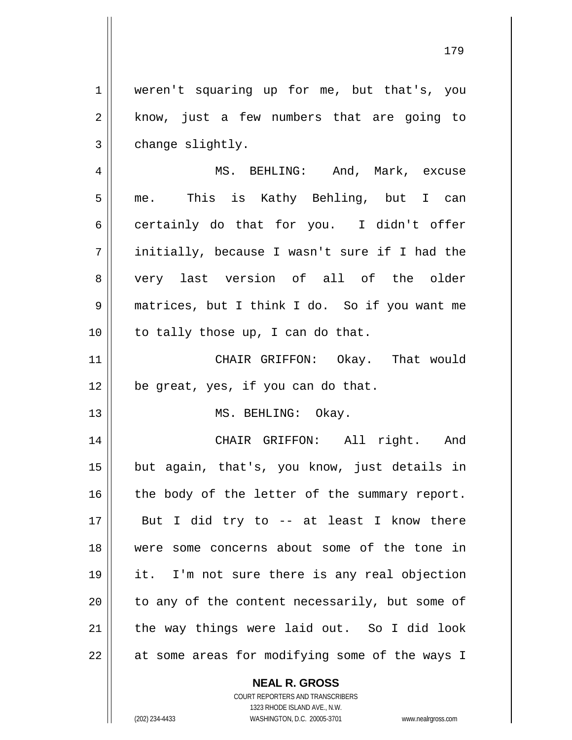179

**NEAL R. GROSS** weren't squaring up for me, but that's, you  $2 \parallel$  know, just a few numbers that are going to  $3 \parallel$  change slightly. 4 | MS. BEHLING: And, Mark, excuse 5 || me. This is Kathy Behling, but I can  $6 \parallel$  certainly do that for you. I didn't offer initially, because I wasn't sure if I had the 8 || very last version of all of the older matrices, but I think I do. So if you want me | to tally those up, I can do that. CHAIR GRIFFON: Okay. That would 12 || be great, yes, if you can do that. 13 || MS. BEHLING: Okay. CHAIR GRIFFON: All right. And but again, that's, you know, just details in | the body of the letter of the summary report. || But I did try to -- at least I know there were some concerns about some of the tone in it. I'm not sure there is any real objection | to any of the content necessarily, but some of the way things were laid out. So I did look || at some areas for modifying some of the ways I

(202) 234-4433 WASHINGTON, D.C. 20005-3701 www.nealrgross.com

COURT REPORTERS AND TRANSCRIBERS 1323 RHODE ISLAND AVE., N.W.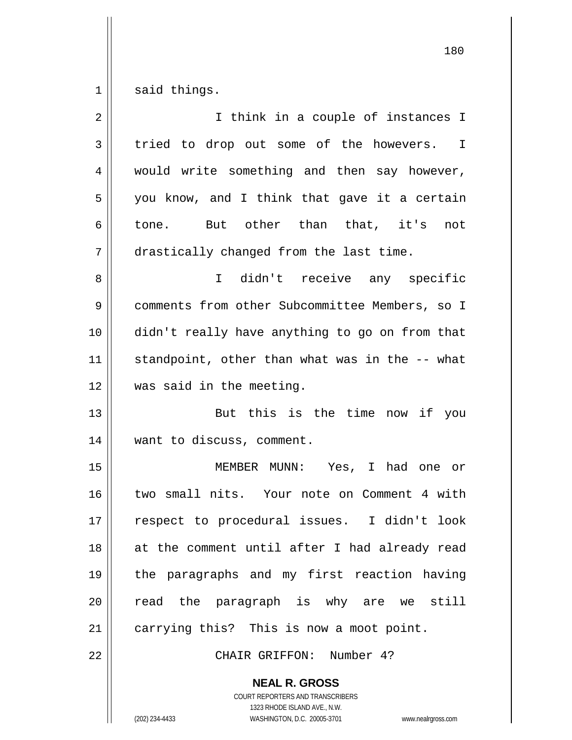$1 \parallel$  said things.

| $\overline{2}$ | I think in a couple of instances I             |
|----------------|------------------------------------------------|
| $\mathfrak{Z}$ | tried to drop out some of the howevers. I      |
| 4              | would write something and then say however,    |
| 5              | you know, and I think that gave it a certain   |
| 6              | tone. But other than that, it's<br>not         |
| 7              | drastically changed from the last time.        |
| 8              | I didn't receive any specific                  |
| $\mathsf 9$    | comments from other Subcommittee Members, so I |
| 10             | didn't really have anything to go on from that |
| 11             | standpoint, other than what was in the -- what |
| 12             | was said in the meeting.                       |
| 13             | But this is the time now if you                |
| 14             | want to discuss, comment.                      |
| 15             | MEMBER MUNN: Yes, I had one or                 |
| 16             | two small nits. Your note on Comment 4 with    |
| 17             | respect to procedural issues. I didn't look    |
| 18             | at the comment until after I had already read  |
| 19             | the paragraphs and my first reaction having    |
| 20             | read the paragraph is why are we still         |
| 21             | carrying this? This is now a moot point.       |
| 22             | CHAIR GRIFFON: Number 4?                       |

**NEAL R. GROSS** COURT REPORTERS AND TRANSCRIBERS

1323 RHODE ISLAND AVE., N.W.

(202) 234-4433 WASHINGTON, D.C. 20005-3701 www.nealrgross.com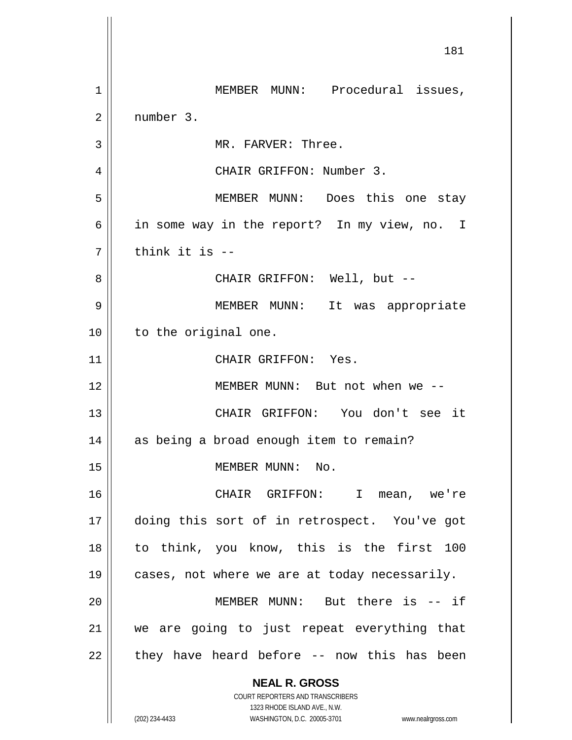**NEAL R. GROSS** COURT REPORTERS AND TRANSCRIBERS 1323 RHODE ISLAND AVE., N.W. (202) 234-4433 WASHINGTON, D.C. 20005-3701 www.nealrgross.com 181 1 || MEMBER MUNN: Procedural issues, 2 number 3. 3 || MR. FARVER: Three. 4 CHAIR GRIFFON: Number 3. 5 || MEMBER MUNN: Does this one stay 6 in some way in the report? In my view, no. I  $7$   $\parallel$  think it is --8 CHAIR GRIFFON: Well, but -- 9 MEMBER MUNN: It was appropriate 10 || to the original one. 11 || CHAIR GRIFFON: Yes. 12 MEMBER MUNN: But not when we -- 13 CHAIR GRIFFON: You don't see it 14 | as being a broad enough item to remain? 15 | MEMBER MUNN: No. 16 CHAIR GRIFFON: I mean, we're 17 doing this sort of in retrospect. You've got 18 to think, you know, this is the first 100 19  $\parallel$  cases, not where we are at today necessarily. 20 MEMBER MUNN: But there is -- if 21 we are going to just repeat everything that  $22$  || they have heard before -- now this has been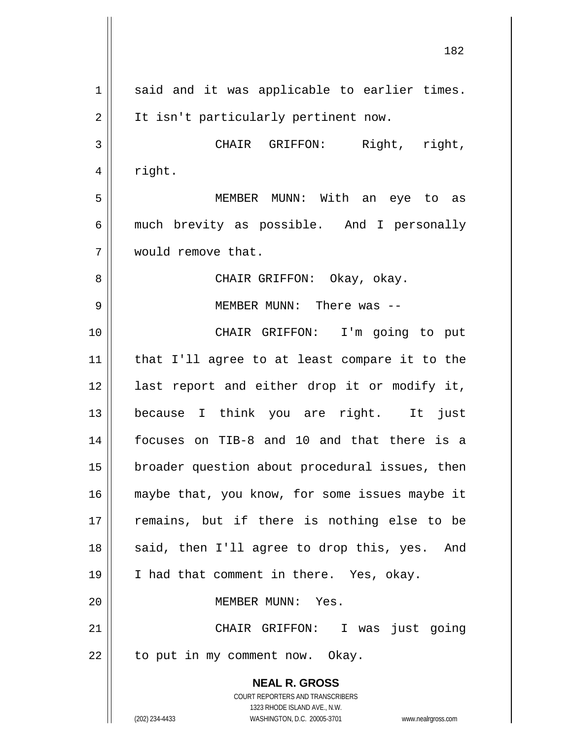**NEAL R. GROSS** COURT REPORTERS AND TRANSCRIBERS 1323 RHODE ISLAND AVE., N.W. (202) 234-4433 WASHINGTON, D.C. 20005-3701 www.nealrgross.com  $1$  said and it was applicable to earlier times. 2 || It isn't particularly pertinent now. 3 CHAIR GRIFFON: Right, right,  $4 \parallel$  right. 5 MEMBER MUNN: With an eye to as 6 || much brevity as possible. And I personally 7 would remove that. 8 CHAIR GRIFFON: Okay, okay. 9 MEMBER MUNN: There was -- 10 CHAIR GRIFFON: I'm going to put 11 that I'll agree to at least compare it to the 12 || last report and either drop it or modify it, 13 because I think you are right. It just 14 focuses on TIB-8 and 10 and that there is a 15 | broader question about procedural issues, then 16 || maybe that, you know, for some issues maybe it 17 || remains, but if there is nothing else to be 18 || said, then I'll agree to drop this, yes. And 19 || I had that comment in there. Yes, okay. 20 MEMBER MUNN: Yes. 21 CHAIR GRIFFON: I was just going  $22$  | to put in my comment now. Okay.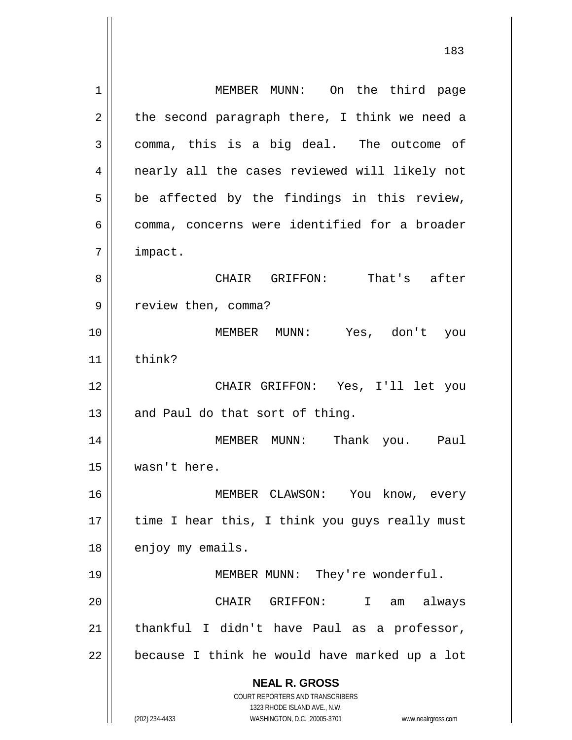**NEAL R. GROSS** COURT REPORTERS AND TRANSCRIBERS 1323 RHODE ISLAND AVE., N.W. 1 | MEMBER MUNN: On the third page  $2 \parallel$  the second paragraph there, I think we need a  $3 \parallel$  comma, this is a big deal. The outcome of 4 || nearly all the cases reviewed will likely not  $5 \parallel$  be affected by the findings in this review, 6 || comma, concerns were identified for a broader 7 impact. 8 CHAIR GRIFFON: That's after 9 | review then, comma? 10 MEMBER MUNN: Yes, don't you  $11$  think? 12 CHAIR GRIFFON: Yes, I'll let you  $13$  | and Paul do that sort of thing. 14 MEMBER MUNN: Thank you. Paul 15 wasn't here. 16 MEMBER CLAWSON: You know, every  $17$  | time I hear this, I think you guys really must 18 | enjoy my emails. 19 || MEMBER MUNN: They're wonderful. 20 CHAIR GRIFFON: I am always  $21$  | thankful I didn't have Paul as a professor,  $22$  | because I think he would have marked up a lot

(202) 234-4433 WASHINGTON, D.C. 20005-3701 www.nealrgross.com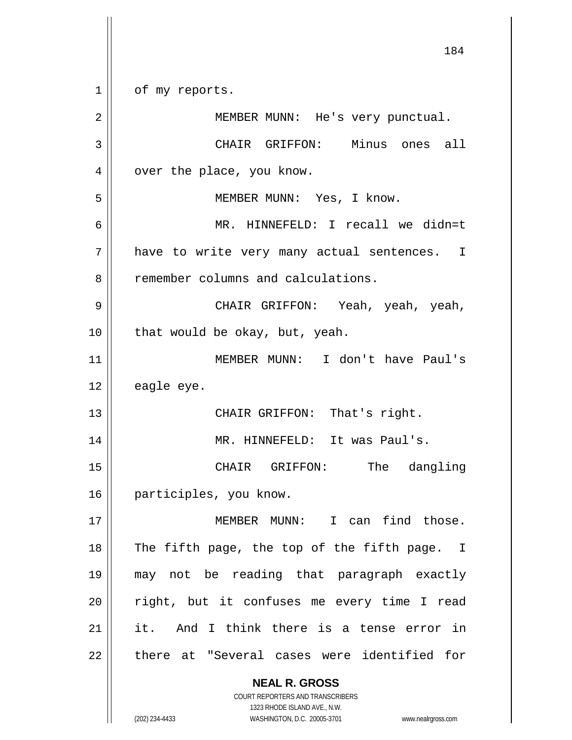**NEAL R. GROSS** COURT REPORTERS AND TRANSCRIBERS 1323 RHODE ISLAND AVE., N.W. 1 | of my reports. 2 || MEMBER MUNN: He's very punctual. 3 CHAIR GRIFFON: Minus ones all 4 | over the place, you know. 5 MEMBER MUNN: Yes, I know. 6 MR. HINNEFELD: I recall we didn=t 7 || have to write very many actual sentences. I 8 | remember columns and calculations. 9 CHAIR GRIFFON: Yeah, yeah, yeah,  $10$  | that would be okay, but, yeah. 11 MEMBER MUNN: I don't have Paul's  $12 \parallel$  eagle eye. 13 || CHAIR GRIFFON: That's right. 14 || MR. HINNEFELD: It was Paul's. 15 || CHAIR GRIFFON: The dangling 16 | participles, you know. 17 MEMBER MUNN: I can find those.  $18$  || The fifth page, the top of the fifth page. I 19 may not be reading that paragraph exactly  $20$  || right, but it confuses me every time I read 21 it. And I think there is a tense error in 22 || there at "Several cases were identified for

(202) 234-4433 WASHINGTON, D.C. 20005-3701 www.nealrgross.com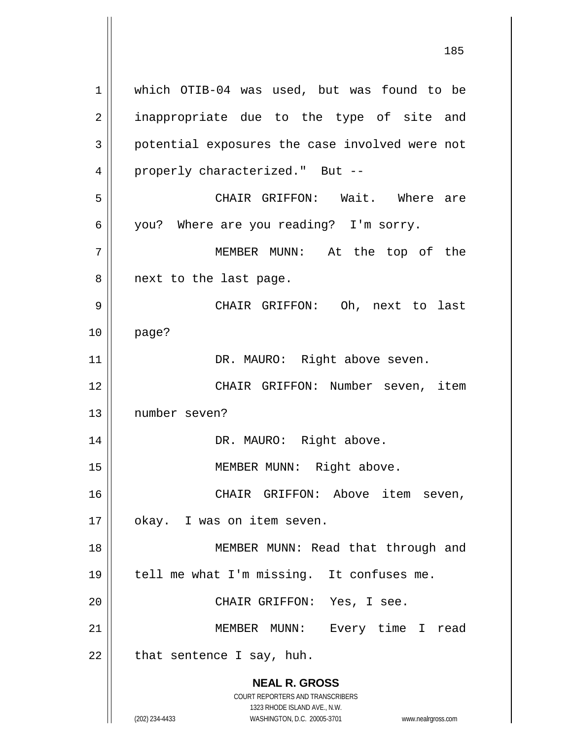**NEAL R. GROSS** COURT REPORTERS AND TRANSCRIBERS 1323 RHODE ISLAND AVE., N.W. (202) 234-4433 WASHINGTON, D.C. 20005-3701 www.nealrgross.com 1 which OTIB-04 was used, but was found to be 2 || inappropriate due to the type of site and 3 || potential exposures the case involved were not 4 || properly characterized." But --5 CHAIR GRIFFON: Wait. Where are 6 you? Where are you reading? I'm sorry. 7 MEMBER MUNN: At the top of the 8 || next to the last page. 9 CHAIR GRIFFON: Oh, next to last 10 page? 11 || DR. MAURO: Right above seven. 12 CHAIR GRIFFON: Number seven, item 13 number seven? 14 || DR. MAURO: Right above. 15 || MEMBER MUNN: Right above. 16 CHAIR GRIFFON: Above item seven, 17 || okay. I was on item seven. 18 || MEMBER MUNN: Read that through and 19 || tell me what I'm missing. It confuses me. 20 CHAIR GRIFFON: Yes, I see. 21 || MEMBER MUNN: Every time I read  $22$  | that sentence I say, huh.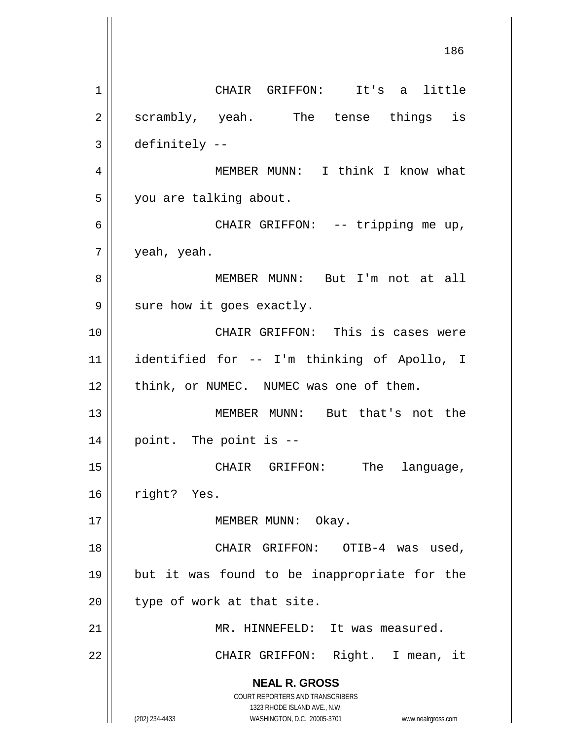**NEAL R. GROSS** COURT REPORTERS AND TRANSCRIBERS 1323 RHODE ISLAND AVE., N.W. (202) 234-4433 WASHINGTON, D.C. 20005-3701 www.nealrgross.com 1 || CHAIR GRIFFON: It's a little 2 || scrambly, yeah. The tense things is  $3 \parallel$  definitely --4 || MEMBER MUNN: I think I know what 5 | you are talking about. 6 || CHAIR GRIFFON: -- tripping me up, 7 yeah, yeah. 8 MEMBER MUNN: But I'm not at all  $9 \parallel$  sure how it goes exactly. 10 CHAIR GRIFFON: This is cases were 11 identified for -- I'm thinking of Apollo, I 12 || think, or NUMEC. NUMEC was one of them. 13 MEMBER MUNN: But that's not the  $14$  | point. The point is  $-$ 15 || CHAIR GRIFFON: The language, 16 | right? Yes. 17 | MEMBER MUNN: Okay. 18 CHAIR GRIFFON: OTIB-4 was used, 19 but it was found to be inappropriate for the  $20$  | type of work at that site. 21 MR. HINNEFELD: It was measured. 22 || CHAIR GRIFFON: Right. I mean, it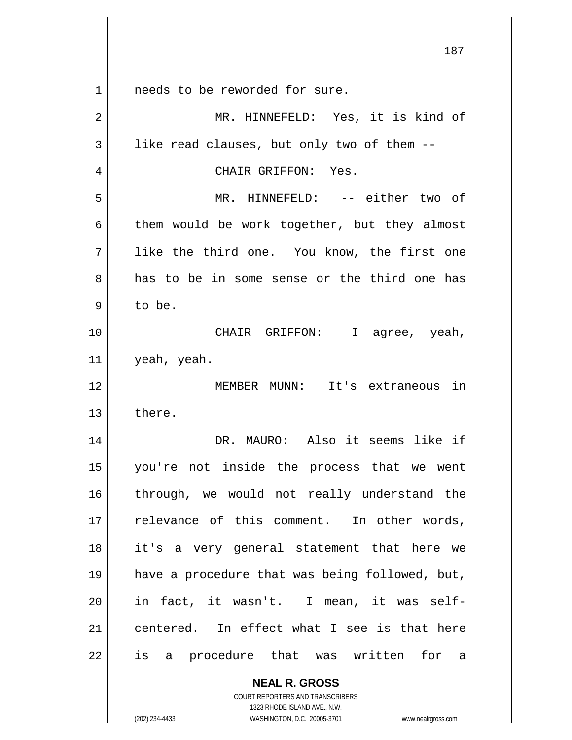**NEAL R. GROSS** COURT REPORTERS AND TRANSCRIBERS 1 || needs to be reworded for sure. 2 MR. HINNEFELD: Yes, it is kind of  $3 \parallel$  like read clauses, but only two of them --4 | CHAIR GRIFFON: Yes. 5 MR. HINNEFELD: -- either two of  $6 \parallel$  them would be work together, but they almost 7 || like the third one. You know, the first one 8 and has to be in some sense or the third one has  $9 \parallel$  to be. 10 CHAIR GRIFFON: I agree, yeah,  $11$  | yeah, yeah. 12 MEMBER MUNN: It's extraneous in  $13 \parallel$  there. 14 DR. MAURO: Also it seems like if 15 you're not inside the process that we went 16 || through, we would not really understand the  $17$   $\parallel$  relevance of this comment. In other words, 18 it's a very general statement that here we 19 have a procedure that was being followed, but, 20 || in fact, it wasn't. I mean, it was self-21 centered. In effect what I see is that here 22 || is a procedure that was written for a

1323 RHODE ISLAND AVE., N.W.

(202) 234-4433 WASHINGTON, D.C. 20005-3701 www.nealrgross.com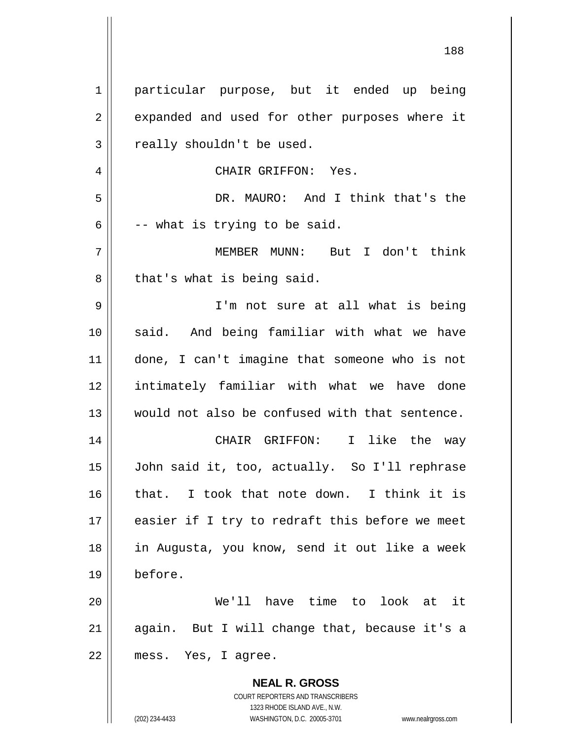| $\mathbf 1$ | particular purpose, but it ended up being                                                           |
|-------------|-----------------------------------------------------------------------------------------------------|
| 2           | expanded and used for other purposes where it                                                       |
| 3           | really shouldn't be used.                                                                           |
| 4           | CHAIR GRIFFON: Yes.                                                                                 |
| 5           | DR. MAURO: And I think that's the                                                                   |
| 6           | -- what is trying to be said.                                                                       |
| 7           | MEMBER MUNN: But I don't think                                                                      |
| 8           | that's what is being said.                                                                          |
| 9           | I'm not sure at all what is being                                                                   |
| 10          | said. And being familiar with what we have                                                          |
| 11          | done, I can't imagine that someone who is not                                                       |
| 12          | intimately familiar with what we have done                                                          |
| 13          | would not also be confused with that sentence.                                                      |
| 14          | CHAIR GRIFFON: I like the way                                                                       |
| 15          | John said it, too, actually. So I'll rephrase                                                       |
| 16          | that. I took that note down. I think it is                                                          |
| 17          | easier if I try to redraft this before we meet                                                      |
| 18          | in Augusta, you know, send it out like a week                                                       |
| 19          | before.                                                                                             |
| 20          | We'll have time to look at it                                                                       |
| 21          | again. But I will change that, because it's a                                                       |
| 22          | mess. Yes, I agree.                                                                                 |
|             | <b>NEAL R. GROSS</b>                                                                                |
|             | COURT REPORTERS AND TRANSCRIBERS                                                                    |
|             | 1323 RHODE ISLAND AVE., N.W.<br>(202) 234-4433<br>WASHINGTON, D.C. 20005-3701<br>www.nealrgross.com |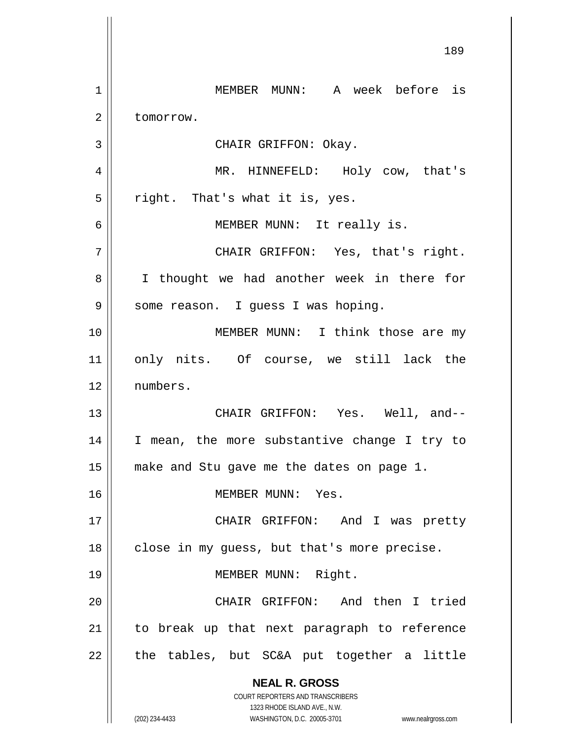**NEAL R. GROSS** COURT REPORTERS AND TRANSCRIBERS 1323 RHODE ISLAND AVE., N.W. (202) 234-4433 WASHINGTON, D.C. 20005-3701 www.nealrgross.com 1 MEMBER MUNN: A week before is 2 | tomorrow. 3 || CHAIR GRIFFON: Okay. 4 MR. HINNEFELD: Holy cow, that's  $5 \parallel$  right. That's what it is, yes. 6 || MEMBER MUNN: It really is. 7 CHAIR GRIFFON: Yes, that's right. 8 || I thought we had another week in there for 9 || some reason. I guess I was hoping. 10 || **MEMBER MUNN:** I think those are my 11 || only nits. Of course, we still lack the 12 numbers. 13 CHAIR GRIFFON: Yes. Well, and-- 14 || I mean, the more substantive change I try to 15 make and Stu gave me the dates on page 1. 16 MEMBER MUNN: Yes. 17 || CHAIR GRIFFON: And I was pretty 18 || close in my guess, but that's more precise. 19 || MEMBER MUNN: Right. 20 || CHAIR GRIFFON: And then I tried 21 || to break up that next paragraph to reference  $22$  || the tables, but SC&A put together a little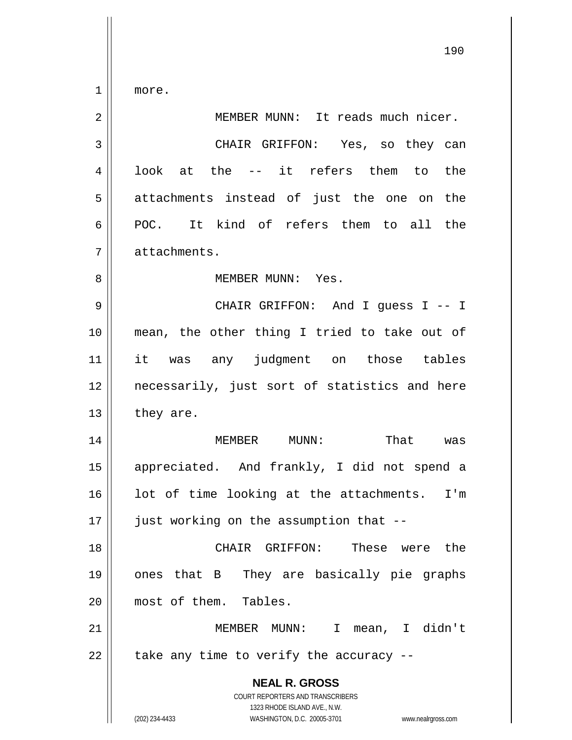$1 \parallel$  more.

| $\overline{2}$ | MEMBER MUNN: It reads much nicer.                                                                                                                               |
|----------------|-----------------------------------------------------------------------------------------------------------------------------------------------------------------|
| $\mathbf{3}$   | CHAIR GRIFFON: Yes, so they can                                                                                                                                 |
| 4              | look at the -- it refers them to the                                                                                                                            |
| 5              | attachments instead of just the one on the                                                                                                                      |
| 6              | POC. It kind of refers them to all the                                                                                                                          |
| 7              | attachments.                                                                                                                                                    |
| 8              | MEMBER MUNN: Yes.                                                                                                                                               |
| 9              | CHAIR GRIFFON: And I guess I -- I                                                                                                                               |
| 10             | mean, the other thing I tried to take out of                                                                                                                    |
| 11             | it was any judgment on those tables                                                                                                                             |
| 12             | necessarily, just sort of statistics and here                                                                                                                   |
| 13             | they are.                                                                                                                                                       |
| 14             | MEMBER MUNN:<br>That was                                                                                                                                        |
| 15             | appreciated. And frankly, I did not spend a                                                                                                                     |
| 16             | lot of time looking at the attachments. I'm                                                                                                                     |
| 17             | just working on the assumption that --                                                                                                                          |
| 18             | These were the<br>CHAIR GRIFFON:                                                                                                                                |
| 19             | They are basically pie graphs<br>ones that B                                                                                                                    |
| 20             | most of them. Tables.                                                                                                                                           |
| 21             | MEMBER MUNN:<br>mean, I didn't<br>$\mathsf{T}$                                                                                                                  |
| 22             | take any time to verify the accuracy --                                                                                                                         |
|                | <b>NEAL R. GROSS</b><br>COURT REPORTERS AND TRANSCRIBERS<br>1323 RHODE ISLAND AVE., N.W.<br>(202) 234-4433<br>WASHINGTON, D.C. 20005-3701<br>www.nealrgross.com |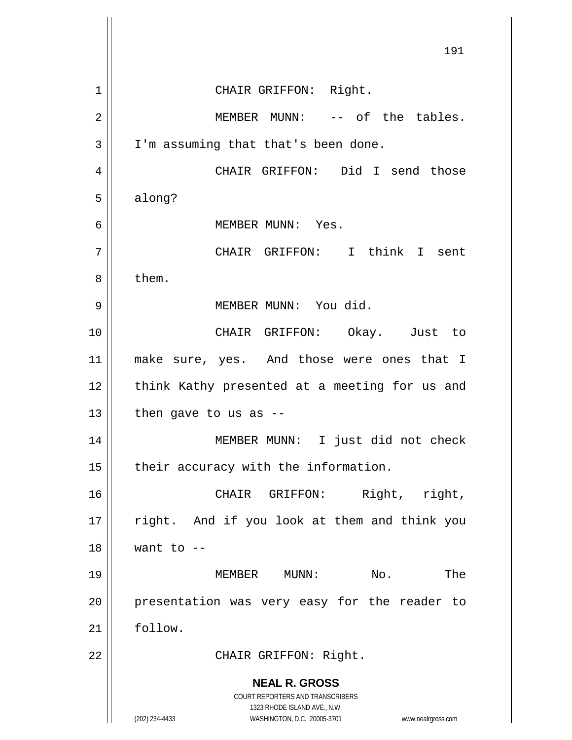**NEAL R. GROSS** COURT REPORTERS AND TRANSCRIBERS 1323 RHODE ISLAND AVE., N.W. (202) 234-4433 WASHINGTON, D.C. 20005-3701 www.nealrgross.com 191 1 || CHAIR GRIFFON: Right. 2 MEMBER MUNN: -- of the tables.  $3 \parallel$  I'm assuming that that's been done. 4 CHAIR GRIFFON: Did I send those  $5 \parallel$  along? 6 MEMBER MUNN: Yes. 7 CHAIR GRIFFON: I think I sent  $8 \parallel$  them. 9 || MEMBER MUNN: You did. 10 CHAIR GRIFFON: Okay. Just to 11 make sure, yes. And those were ones that I 12 || think Kathy presented at a meeting for us and  $13$  | then gave to us as --14 || MEMBER MUNN: I just did not check  $15$  | their accuracy with the information. 16 CHAIR GRIFFON: Right, right, 17 || right. And if you look at them and think you  $18$  | want to  $-$ 19 MEMBER MUNN: No. The 20 || presentation was very easy for the reader to 21 follow. 22 || CHAIR GRIFFON: Right.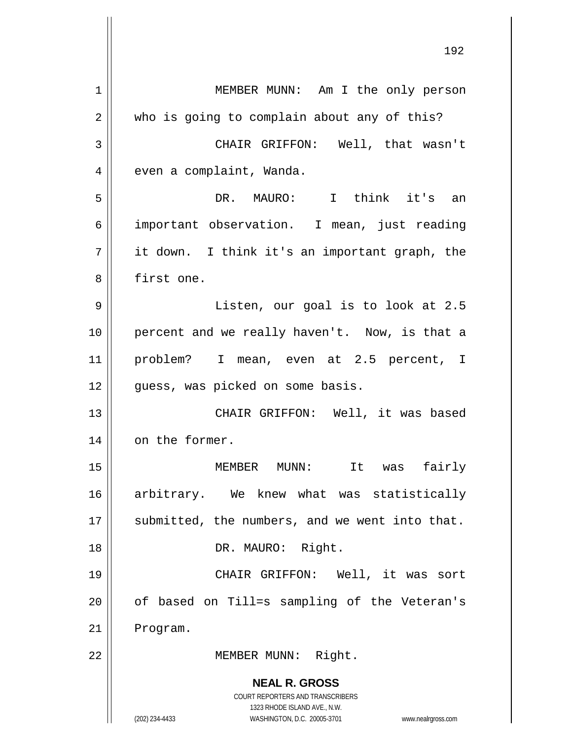**NEAL R. GROSS** COURT REPORTERS AND TRANSCRIBERS 1323 RHODE ISLAND AVE., N.W. (202) 234-4433 WASHINGTON, D.C. 20005-3701 www.nealrgross.com 1 | MEMBER MUNN: Am I the only person 2 who is going to complain about any of this? 3 CHAIR GRIFFON: Well, that wasn't 4 | even a complaint, Wanda. 5 DR. MAURO: I think it's an 6 important observation. I mean, just reading  $7 \parallel$  it down. I think it's an important graph, the 8 || first one. 9 Listen, our goal is to look at 2.5 10 || percent and we really haven't. Now, is that a 11 problem? I mean, even at 2.5 percent, I 12 || quess, was picked on some basis. 13 || CHAIR GRIFFON: Well, it was based 14 on the former. 15 MEMBER MUNN: It was fairly 16 arbitrary. We knew what was statistically  $17$  | submitted, the numbers, and we went into that. 18 || DR. MAURO: Right. 19 CHAIR GRIFFON: Well, it was sort 20 || of based on Till=s sampling of the Veteran's 21 | Program. 22 | MEMBER MUNN: Right.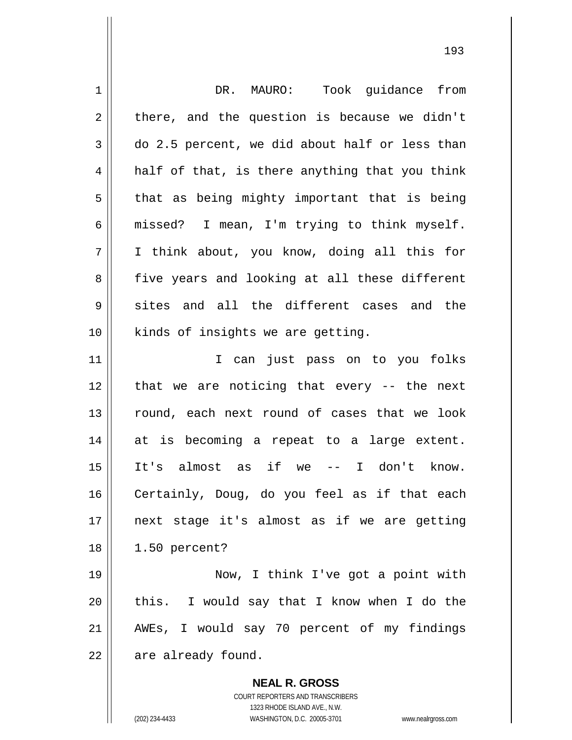| $\mathbf 1$ | DR. MAURO: Took guidance from                  |
|-------------|------------------------------------------------|
| 2           | there, and the question is because we didn't   |
| 3           | do 2.5 percent, we did about half or less than |
| 4           | half of that, is there anything that you think |
| 5           | that as being mighty important that is being   |
| 6           | missed? I mean, I'm trying to think myself.    |
| 7           | I think about, you know, doing all this for    |
| 8           | five years and looking at all these different  |
| 9           | sites and all the different cases and the      |
| 10          | kinds of insights we are getting.              |
| 11          | I can just pass on to you folks                |
| 12          | that we are noticing that every -- the next    |
| 13          | round, each next round of cases that we look   |
| 14          | at is becoming a repeat to a large extent.     |
| 15          | It's almost as if we -- I don't know.          |
| 16          | Certainly, Doug, do you feel as if that each   |
| 17          | next stage it's almost as if we are getting    |
| 18          | 1.50 percent?                                  |
| 19          | Now, I think I've got a point with             |
| 20          | this. I would say that I know when I do the    |
| 21          | AWEs, I would say 70 percent of my findings    |
| 22          | are already found.                             |
|             | <b>NEAL R. GROSS</b>                           |

COURT REPORTERS AND TRANSCRIBERS 1323 RHODE ISLAND AVE., N.W.

 $\prod$ 

(202) 234-4433 WASHINGTON, D.C. 20005-3701 www.nealrgross.com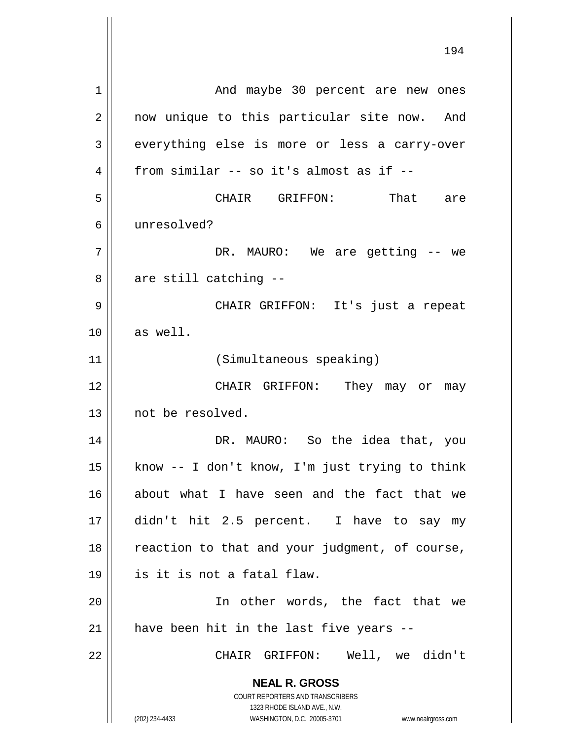**NEAL R. GROSS** COURT REPORTERS AND TRANSCRIBERS 1323 RHODE ISLAND AVE., N.W. (202) 234-4433 WASHINGTON, D.C. 20005-3701 www.nealrgross.com And maybe 30 percent are new ones 2 || now unique to this particular site now. And 3 everything else is more or less a carry-over  $4 \parallel$  from similar -- so it's almost as if -- CHAIR GRIFFON: That are unresolved? DR. MAURO: We are getting -- we  $8 \parallel$  are still catching -- CHAIR GRIFFON: It's just a repeat as well. (Simultaneous speaking) CHAIR GRIFFON: They may or may 13 || not be resolved. DR. MAURO: So the idea that, you  $\parallel$  know -- I don't know, I'm just trying to think about what I have seen and the fact that we didn't hit 2.5 percent. I have to say my reaction to that and your judgment, of course, is it is not a fatal flaw. In other words, the fact that we | have been hit in the last five years --CHAIR GRIFFON: Well, we didn't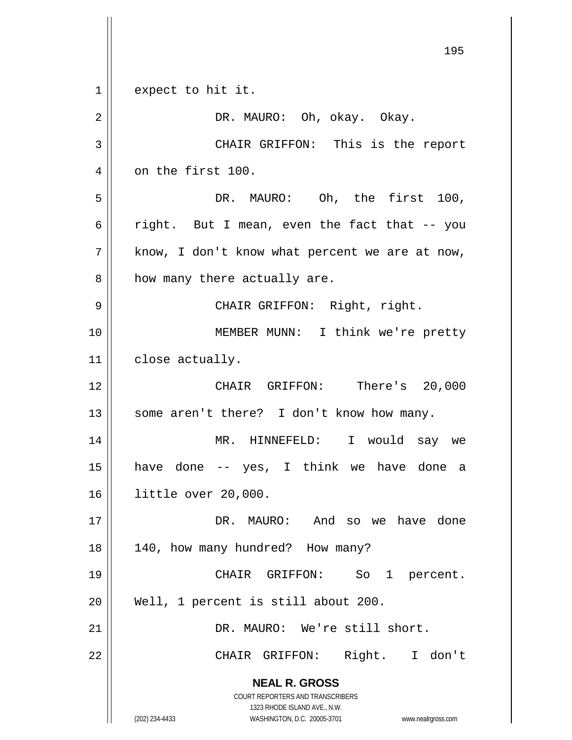**NEAL R. GROSS** COURT REPORTERS AND TRANSCRIBERS 1323 RHODE ISLAND AVE., N.W. (202) 234-4433 WASHINGTON, D.C. 20005-3701 www.nealrgross.com 195 1 expect to hit it. 2 DR. MAURO: Oh, okay. Okay. 3 CHAIR GRIFFON: This is the report 4 | on the first 100. 5 DR. MAURO: Oh, the first 100, 6 | right. But I mean, even the fact that  $-$ - you  $7 ||$  know, I don't know what percent we are at now,  $8$  | how many there actually are. 9 CHAIR GRIFFON: Right, right. 10 || **MEMBER MUNN:** I think we're pretty 11 | close actually. 12 CHAIR GRIFFON: There's 20,000 13 || some aren't there? I don't know how many. 14 MR. HINNEFELD: I would say we 15 have done -- yes, I think we have done a 16 little over 20,000. 17 DR. MAURO: And so we have done 18 || 140, how many hundred? How many? 19 || CHAIR GRIFFON: So 1 percent. 20 || Well, 1 percent is still about 200. 21 DR. MAURO: We're still short. 22 || CHAIR GRIFFON: Right. I don't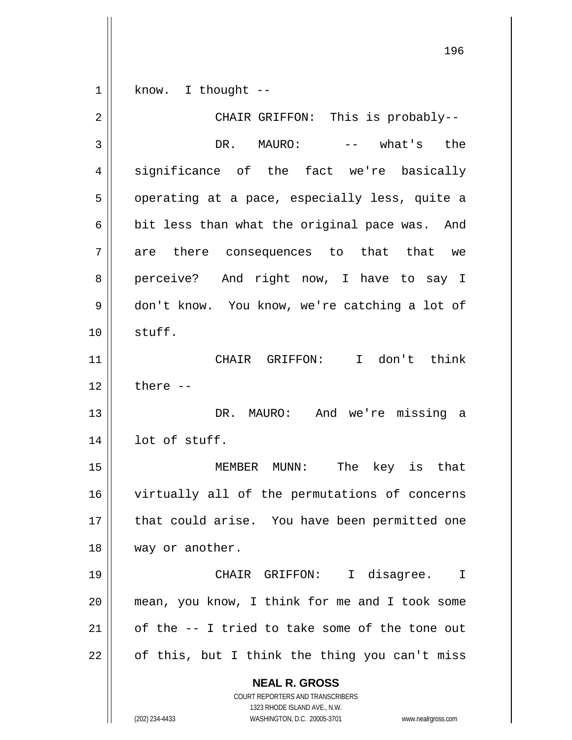**NEAL R. GROSS** COURT REPORTERS AND TRANSCRIBERS 1323 RHODE ISLAND AVE., N.W. (202) 234-4433 WASHINGTON, D.C. 20005-3701 www.nealrgross.com  $1 \parallel$  know. I thought --2 CHAIR GRIFFON: This is probably-- 3 DR. MAURO: -- what's the 4 significance of the fact we're basically 5 | operating at a pace, especially less, quite a 6  $\parallel$  bit less than what the original pace was. And  $7 \parallel$  are there consequences to that that we 8 perceive? And right now, I have to say I 9 don't know. You know, we're catching a lot of 10 stuff. 11 CHAIR GRIFFON: I don't think  $12 \parallel$  there  $-$ 13 DR. MAURO: And we're missing a  $14$  | lot of stuff. 15 MEMBER MUNN: The key is that 16 virtually all of the permutations of concerns 17 || that could arise. You have been permitted one 18 || way or another. 19 CHAIR GRIFFON: I disagree. I 20 mean, you know, I think for me and I took some 21  $\parallel$  of the  $-$ - I tried to take some of the tone out  $22 \parallel$  of this, but I think the thing you can't miss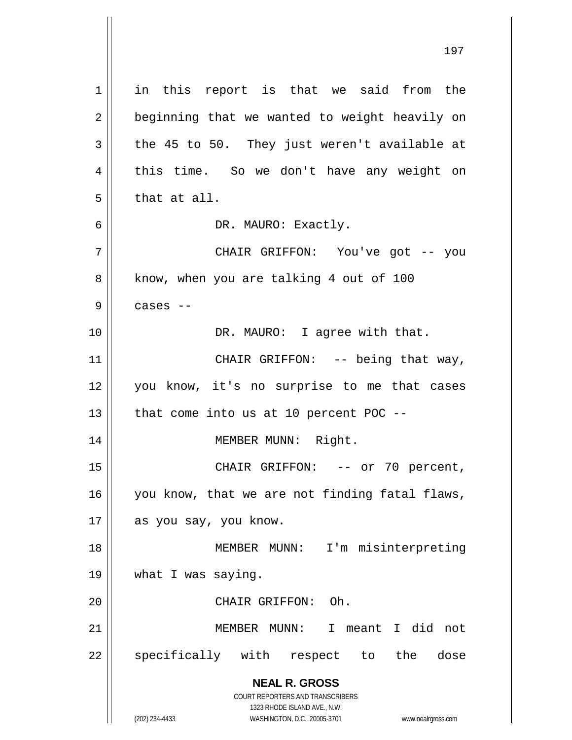**NEAL R. GROSS** COURT REPORTERS AND TRANSCRIBERS 1323 RHODE ISLAND AVE., N.W. 1 || in this report is that we said from the  $2 \parallel$  beginning that we wanted to weight heavily on  $3 \parallel$  the 45 to 50. They just weren't available at 4 this time. So we don't have any weight on  $5$  || that at all. 6 | DR. MAURO: Exactly. 7 CHAIR GRIFFON: You've got -- you 8 || know, when you are talking 4 out of 100  $9 \parallel$  cases  $-$ 10 || DR. MAURO: I agree with that. 11 || CHAIR GRIFFON: -- being that way, 12 || you know, it's no surprise to me that cases  $13$  || that come into us at 10 percent POC --14 || MEMBER MUNN: Right. 15 || CHAIR GRIFFON: -- or 70 percent, 16 || you know, that we are not finding fatal flaws, 17 || as you say, you know. 18 MEMBER MUNN: I'm misinterpreting 19 what I was saying. 20 CHAIR GRIFFON: Oh. 21 MEMBER MUNN: I meant I did not 22 || specifically with respect to the dose

(202) 234-4433 WASHINGTON, D.C. 20005-3701 www.nealrgross.com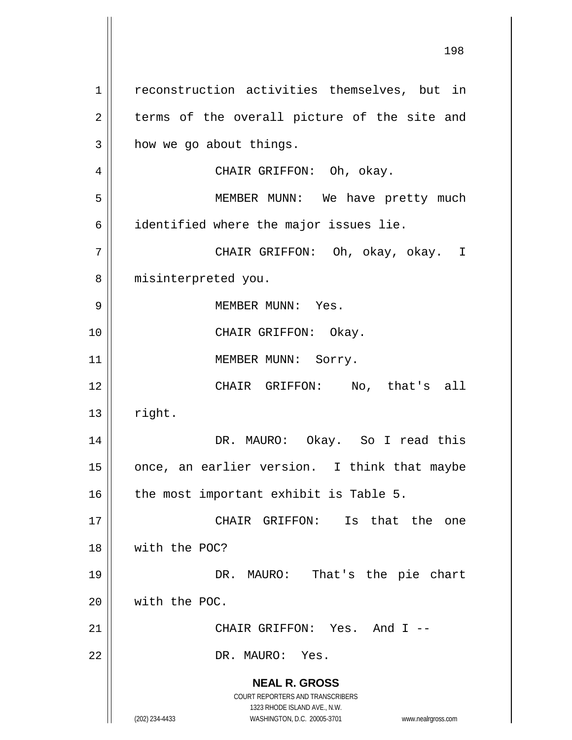**NEAL R. GROSS** COURT REPORTERS AND TRANSCRIBERS 1323 RHODE ISLAND AVE., N.W. (202) 234-4433 WASHINGTON, D.C. 20005-3701 www.nealrgross.com 1 || reconstruction activities themselves, but in  $2 \parallel$  terms of the overall picture of the site and  $3 \parallel$  how we go about things. 4 CHAIR GRIFFON: Oh, okay. 5 || MEMBER MUNN: We have pretty much  $6$  identified where the major issues lie. 7 CHAIR GRIFFON: Oh, okay, okay. I 8 || misinterpreted you. 9 MEMBER MUNN: Yes. 10 || CHAIR GRIFFON: Okay. 11 || MEMBER MUNN: Sorry. 12 || CHAIR GRIFFON: No, that's all  $13$  || right. 14 DR. MAURO: Okay. So I read this 15  $\parallel$  once, an earlier version. I think that maybe  $16$  | the most important exhibit is Table 5. 17 CHAIR GRIFFON: Is that the one 18 with the POC? 19 DR. MAURO: That's the pie chart 20 with the POC. 21 CHAIR GRIFFON: Yes. And I -- 22 || DR. MAURO: Yes.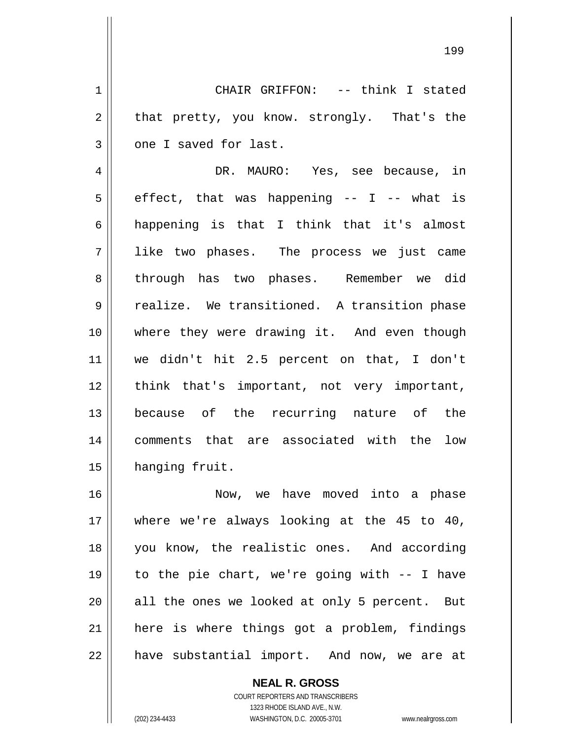1 || CHAIR GRIFFON: -- think I stated  $2 \parallel$  that pretty, you know. strongly. That's the  $3$  |  $\circ$  one I saved for last.

4 DR. MAURO: Yes, see because, in  $5 \parallel$  effect, that was happening -- I -- what is  $6 \parallel$  happening is that I think that it's almost 7 like two phases. The process we just came 8 through has two phases. Remember we did 9 || realize. We transitioned. A transition phase 10 where they were drawing it. And even though 11 we didn't hit 2.5 percent on that, I don't 12 || think that's important, not very important, 13 because of the recurring nature of the 14 comments that are associated with the low 15 | hanging fruit.

 Now, we have moved into a phase where we're always looking at the 45 to 40, you know, the realistic ones. And according to the pie chart, we're going with -- I have all the ones we looked at only 5 percent. But 21 || here is where things got a problem, findings 22 | have substantial import. And now, we are at

> COURT REPORTERS AND TRANSCRIBERS 1323 RHODE ISLAND AVE., N.W. (202) 234-4433 WASHINGTON, D.C. 20005-3701 www.nealrgross.com

**NEAL R. GROSS**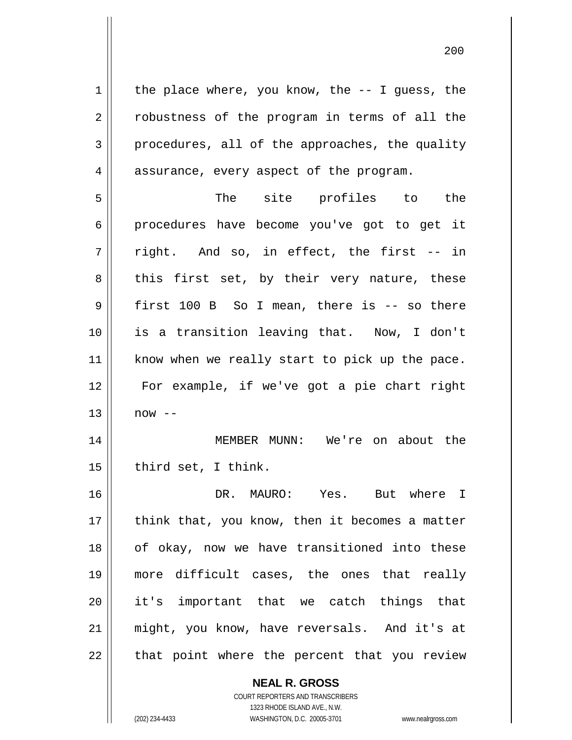$1 \parallel$  the place where, you know, the -- I guess, the 2 || robustness of the program in terms of all the  $3 \parallel$  procedures, all of the approaches, the quality 4 || assurance, every aspect of the program.

5 The site profiles to the 6 procedures have become you've got to get it  $7 \parallel$  right. And so, in effect, the first -- in  $8 \parallel$  this first set, by their very nature, these 9 || first 100 B So I mean, there is -- so there 10 is a transition leaving that. Now, I don't 11 || know when we really start to pick up the pace. 12 For example, if we've got a pie chart right  $13 \parallel$  now  $-$ 

14 MEMBER MUNN: We're on about the  $15$  | third set, I think.

 DR. MAURO: Yes. But where I || think that, you know, then it becomes a matter 18 || of okay, now we have transitioned into these more difficult cases, the ones that really it's important that we catch things that might, you know, have reversals. And it's at || that point where the percent that you review

> **NEAL R. GROSS** COURT REPORTERS AND TRANSCRIBERS

1323 RHODE ISLAND AVE., N.W. (202) 234-4433 WASHINGTON, D.C. 20005-3701 www.nealrgross.com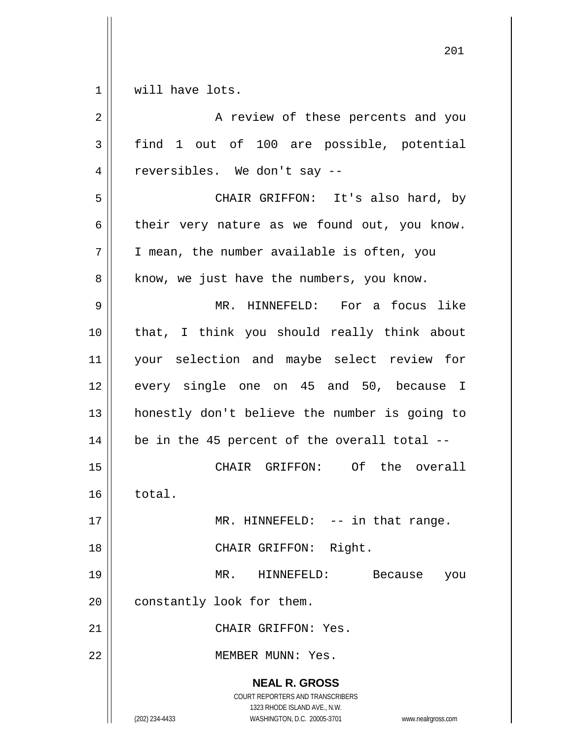$1 \parallel$  will have lots.

| $\overline{2}$ | A review of these percents and you                                                                                                                                     |
|----------------|------------------------------------------------------------------------------------------------------------------------------------------------------------------------|
| 3              | find 1 out of 100 are possible, potential                                                                                                                              |
| 4              | reversibles. We don't say --                                                                                                                                           |
| 5              | CHAIR GRIFFON: It's also hard, by                                                                                                                                      |
| 6              | their very nature as we found out, you know.                                                                                                                           |
| 7              | I mean, the number available is often, you                                                                                                                             |
| 8              | know, we just have the numbers, you know.                                                                                                                              |
| $\mathsf 9$    | MR. HINNEFELD: For a focus like                                                                                                                                        |
| 10             | that, I think you should really think about                                                                                                                            |
| 11             | your selection and maybe select review for                                                                                                                             |
| 12             | every single one on 45 and 50, because I                                                                                                                               |
| 13             | honestly don't believe the number is going to                                                                                                                          |
| 14             | be in the 45 percent of the overall total --                                                                                                                           |
| 15             | CHAIR GRIFFON: Of the overall                                                                                                                                          |
| 16             | total.                                                                                                                                                                 |
| 17             | MR. HINNEFELD: -- in that range.                                                                                                                                       |
| 18             | CHAIR GRIFFON: Right.                                                                                                                                                  |
| 19             | MR. HINNEFELD:<br>Because<br>you                                                                                                                                       |
| 20             | constantly look for them.                                                                                                                                              |
| 21             | CHAIR GRIFFON: Yes.                                                                                                                                                    |
| 22             | MEMBER MUNN: Yes.                                                                                                                                                      |
|                | <b>NEAL R. GROSS</b><br><b>COURT REPORTERS AND TRANSCRIBERS</b><br>1323 RHODE ISLAND AVE., N.W.<br>WASHINGTON, D.C. 20005-3701<br>(202) 234-4433<br>www.nealrgross.com |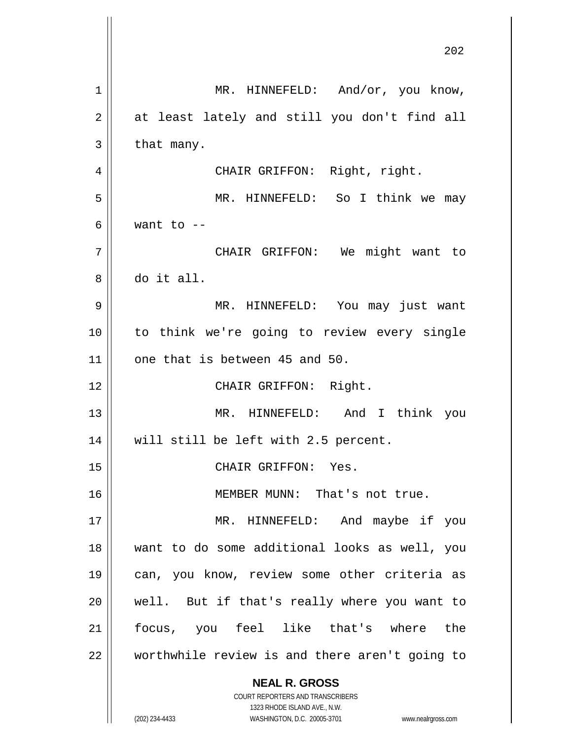**NEAL R. GROSS** COURT REPORTERS AND TRANSCRIBERS 1323 RHODE ISLAND AVE., N.W. (202) 234-4433 WASHINGTON, D.C. 20005-3701 www.nealrgross.com 1 || MR. HINNEFELD: And/or, you know,  $2 \parallel$  at least lately and still you don't find all  $3 \parallel$  that many. 4 CHAIR GRIFFON: Right, right. 5 MR. HINNEFELD: So I think we may 6  $\parallel$  want to  $-$ 7 CHAIR GRIFFON: We might want to 8 do it all. 9 MR. HINNEFELD: You may just want 10 to think we're going to review every single  $11$  | one that is between 45 and 50. 12 || CHAIR GRIFFON: Right. 13 MR. HINNEFELD: And I think you 14 || will still be left with 2.5 percent. 15 || CHAIR GRIFFON: Yes. 16 || MEMBER MUNN: That's not true. 17 || MR. HINNEFELD: And maybe if you 18 want to do some additional looks as well, you 19 can, you know, review some other criteria as 20 || well. But if that's really where you want to 21 focus, you feel like that's where the 22 || worthwhile review is and there aren't going to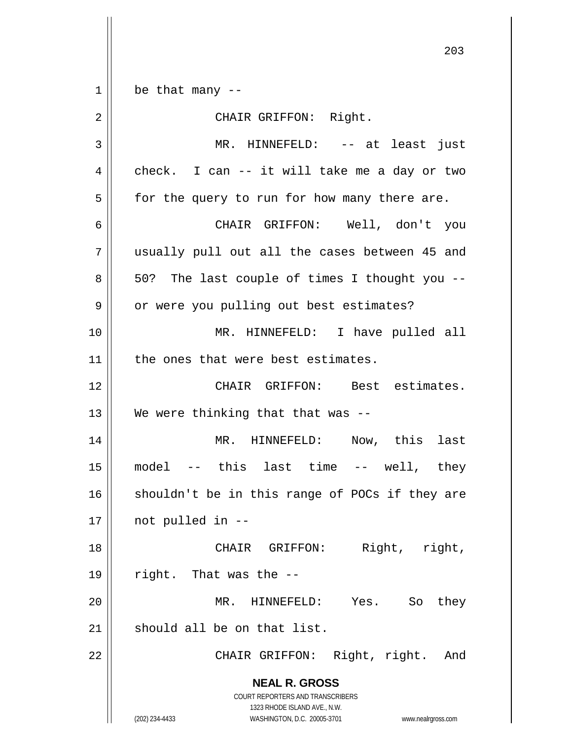$1 \parallel$  be that many --

**NEAL R. GROSS** COURT REPORTERS AND TRANSCRIBERS 1323 RHODE ISLAND AVE., N.W. 2 || CHAIR GRIFFON: Right. 3 MR. HINNEFELD: -- at least just  $4 \parallel$  check. I can -- it will take me a day or two  $5 \parallel$  for the query to run for how many there are. 6 CHAIR GRIFFON: Well, don't you 7 usually pull out all the cases between 45 and  $8 \parallel 50$ ? The last couple of times I thought you  $-$ 9 | or were you pulling out best estimates? 10 MR. HINNEFELD: I have pulled all 11 | the ones that were best estimates. 12 CHAIR GRIFFON: Best estimates. 13  $\parallel$  We were thinking that that was --14 || MR. HINNEFELD: Now, this last 15 model -- this last time -- well, they  $16$  shouldn't be in this range of POCs if they are  $17 \parallel$  not pulled in --18 || CHAIR GRIFFON: Right, right,  $19 \parallel$  right. That was the --20 MR. HINNEFELD: Yes. So they  $21$  should all be on that list. 22 || CHAIR GRIFFON: Right, right. And

(202) 234-4433 WASHINGTON, D.C. 20005-3701 www.nealrgross.com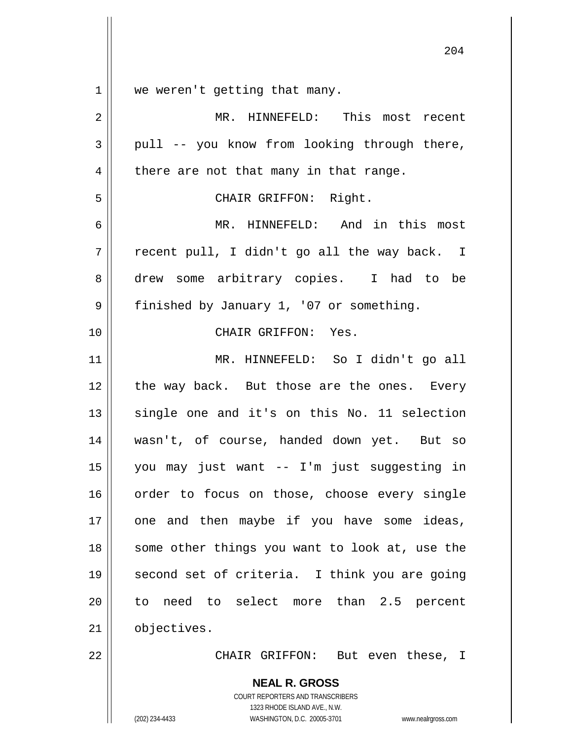1 || we weren't getting that many.

2 MR. HINNEFELD: This most recent  $3 \parallel$  pull -- you know from looking through there,  $4 \parallel$  there are not that many in that range. 5 CHAIR GRIFFON: Right. 6 MR. HINNEFELD: And in this most  $7 \parallel$  recent pull, I didn't go all the way back. I 8 drew some arbitrary copies. I had to be 9 | finished by January 1, '07 or something. 10 CHAIR GRIFFON: Yes. 11 MR. HINNEFELD: So I didn't go all 12 || the way back. But those are the ones. Every 13 || single one and it's on this No. 11 selection 14 wasn't, of course, handed down yet. But so 15 you may just want -- I'm just suggesting in 16 || order to focus on those, choose every single  $17$  | one and then maybe if you have some ideas, 18 || some other things you want to look at, use the 19 || second set of criteria. I think you are going 20 || to need to select more than 2.5 percent 21 | objectives. 22 CHAIR GRIFFON: But even these, I

> **NEAL R. GROSS** COURT REPORTERS AND TRANSCRIBERS 1323 RHODE ISLAND AVE., N.W.

(202) 234-4433 WASHINGTON, D.C. 20005-3701 www.nealrgross.com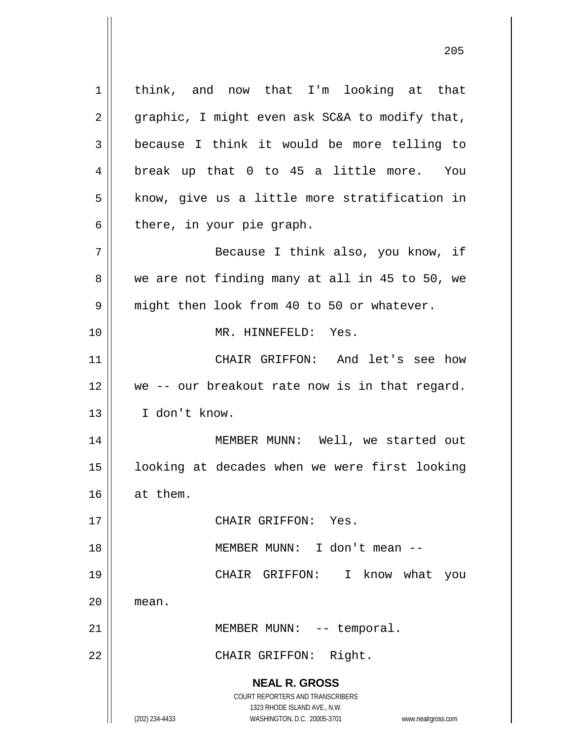**NEAL R. GROSS** COURT REPORTERS AND TRANSCRIBERS 1323 RHODE ISLAND AVE., N.W. (202) 234-4433 WASHINGTON, D.C. 20005-3701 www.nealrgross.com 1 || think, and now that I'm looking at that  $2 \parallel$  graphic, I might even ask SC&A to modify that,  $3 \parallel$  because I think it would be more telling to 4 || break up that 0 to 45 a little more. You  $5$  | know, give us a little more stratification in  $6 \parallel$  there, in your pie graph. 7 Because I think also, you know, if  $8 \parallel$  we are not finding many at all in 45 to 50, we 9 || might then look from 40 to 50 or whatever. 10 MR. HINNEFELD: Yes. 11 CHAIR GRIFFON: And let's see how 12 we -- our breakout rate now is in that regard. 13 I don't know. 14 || MEMBER MUNN: Well, we started out 15 || looking at decades when we were first looking 16 at them. 17 CHAIR GRIFFON: Yes. 18 MEMBER MUNN: I don't mean -- 19 CHAIR GRIFFON: I know what you 20 l mean. 21 || MEMBER MUNN: -- temporal. 22 || CHAIR GRIFFON: Right.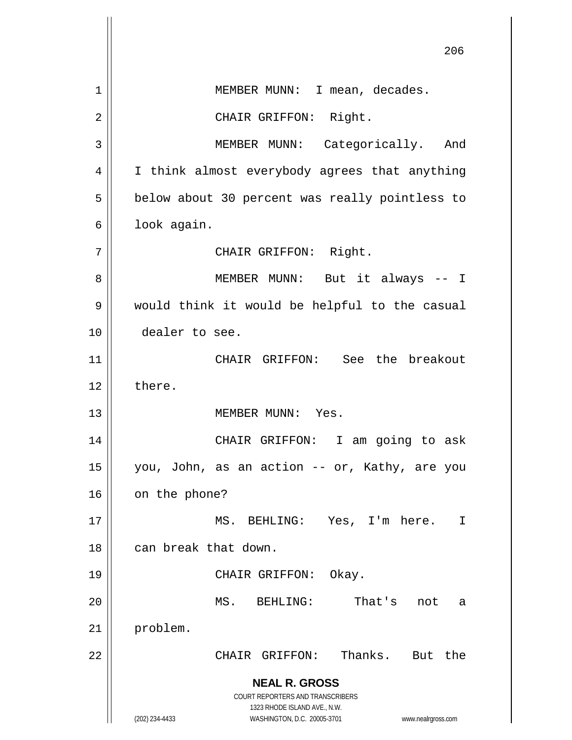**NEAL R. GROSS** COURT REPORTERS AND TRANSCRIBERS 1323 RHODE ISLAND AVE., N.W. (202) 234-4433 WASHINGTON, D.C. 20005-3701 www.nealrgross.com 206 1 | MEMBER MUNN: I mean, decades. 2 || CHAIR GRIFFON: Right. 3 | MEMBER MUNN: Categorically. And 4 || I think almost everybody agrees that anything 5 | below about 30 percent was really pointless to  $6 \parallel$  look again. 7 || CHAIR GRIFFON: Right. 8 MEMBER MUNN: But it always -- I 9 would think it would be helpful to the casual 10 dealer to see. 11 CHAIR GRIFFON: See the breakout  $12 \parallel$  there. 13 MEMBER MUNN: Yes. 14 CHAIR GRIFFON: I am going to ask 15 you, John, as an action -- or, Kathy, are you  $16$  | on the phone? 17 MS. BEHLING: Yes, I'm here. I 18 || can break that down. 19 || CHAIR GRIFFON: Okay. 20 MS. BEHLING: That's not a 21 | problem. 22 CHAIR GRIFFON: Thanks. But the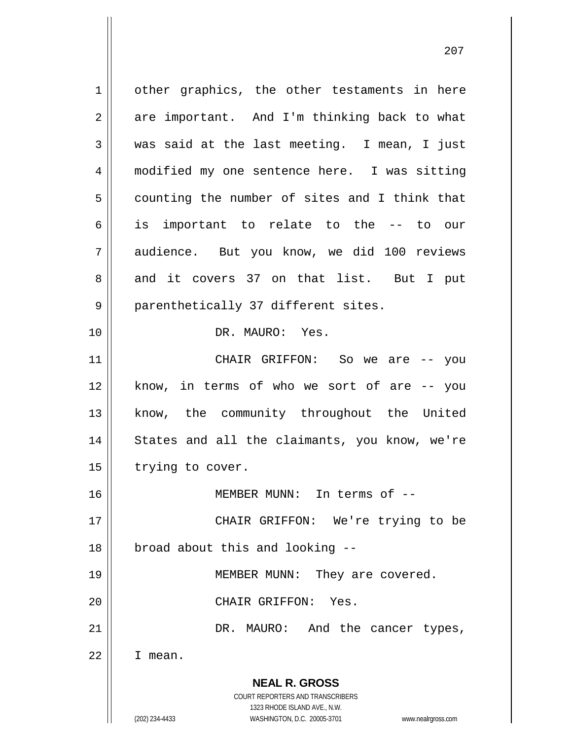**NEAL R. GROSS** COURT REPORTERS AND TRANSCRIBERS 1323 RHODE ISLAND AVE., N.W. (202) 234-4433 WASHINGTON, D.C. 20005-3701 www.nealrgross.com 1 | other graphics, the other testaments in here  $2 \parallel$  are important. And I'm thinking back to what 3 was said at the last meeting. I mean, I just 4 | modified my one sentence here. I was sitting  $5 \parallel$  counting the number of sites and I think that 6 is important to relate to the -- to our 7 audience. But you know, we did 100 reviews 8 and it covers 37 on that list. But I put 9 || parenthetically 37 different sites. 10 DR. MAURO: Yes. 11 CHAIR GRIFFON: So we are -- you 12 || know, in terms of who we sort of are -- you 13 || know, the community throughout the United 14 || States and all the claimants, you know, we're 15 | trying to cover. 16 MEMBER MUNN: In terms of -- 17 || CHAIR GRIFFON: We're trying to be 18 || broad about this and looking --19 || MEMBER MUNN: They are covered. 20 CHAIR GRIFFON: Yes. 21 || DR. MAURO: And the cancer types, 22 I mean.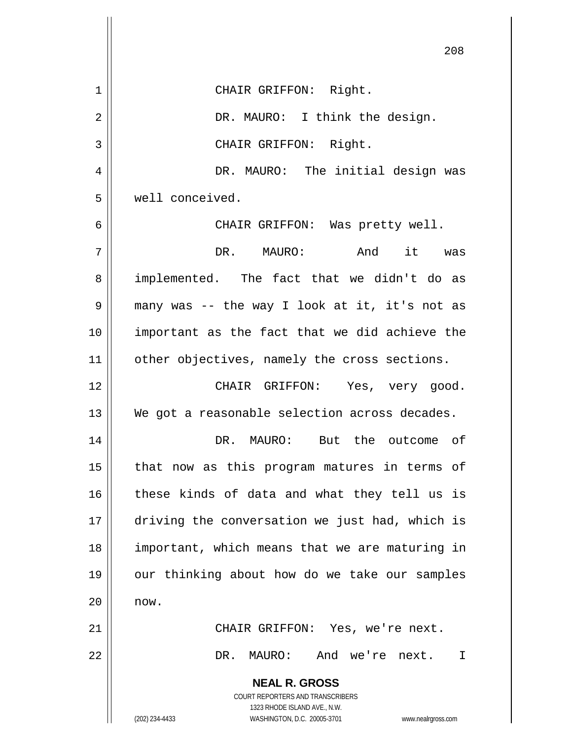|    | 208                                                                                      |
|----|------------------------------------------------------------------------------------------|
| 1  | CHAIR GRIFFON: Right.                                                                    |
| 2  | DR. MAURO: I think the design.                                                           |
| 3  | CHAIR GRIFFON: Right.                                                                    |
| 4  | DR. MAURO: The initial design was                                                        |
| 5  | well conceived.                                                                          |
| 6  | CHAIR GRIFFON: Was pretty well.                                                          |
| 7  | And<br>it was<br>DR. MAURO:                                                              |
| 8  | implemented. The fact that we didn't do as                                               |
| 9  | many was -- the way I look at it, it's not as                                            |
| 10 | important as the fact that we did achieve the                                            |
| 11 | other objectives, namely the cross sections.                                             |
| 12 | CHAIR GRIFFON: Yes, very good.                                                           |
| 13 | We got a reasonable selection across decades.                                            |
| 14 | DR. MAURO:<br>But the outcome of                                                         |
| 15 | that now as this program matures in terms of                                             |
| 16 | these kinds of data and what they tell us is                                             |
| 17 | driving the conversation we just had, which is                                           |
| 18 | important, which means that we are maturing in                                           |
| 19 | our thinking about how do we take our samples                                            |
| 20 | now.                                                                                     |
| 21 | CHAIR GRIFFON: Yes, we're next.                                                          |
| 22 | DR.<br>MAURO:<br>And we're next.<br>I                                                    |
|    | <b>NEAL R. GROSS</b><br>COURT REPORTERS AND TRANSCRIBERS<br>1323 RHODE ISLAND AVE., N.W. |
|    | (202) 234-4433<br>WASHINGTON, D.C. 20005-3701 www.nealrgross.com                         |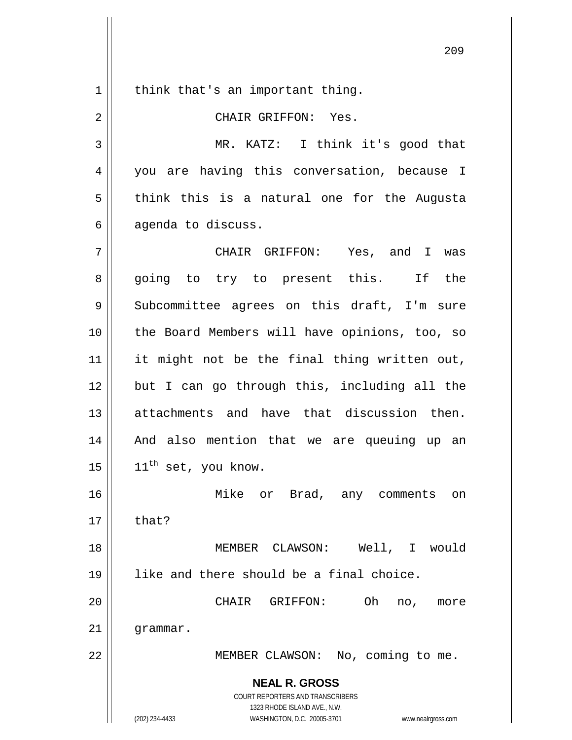$1 \parallel$  think that's an important thing.

2 CHAIR GRIFFON: Yes.

3 MR. KATZ: I think it's good that 4 || you are having this conversation, because I  $5 \parallel$  think this is a natural one for the Augusta  $6 \parallel$  agenda to discuss.

7 CHAIR GRIFFON: Yes, and I was 8 || going to try to present this. If the 9 || Subcommittee agrees on this draft, I'm sure 10 || the Board Members will have opinions, too, so 11 || it might not be the final thing written out,  $12$  || but I can go through this, including all the 13 dettachments and have that discussion then. 14 And also mention that we are queuing up an  $15$  |  $11<sup>th</sup>$  set, you know. 16 Mike or Brad, any comments on

 $17 \parallel$  that?

18 MEMBER CLAWSON: Well, I would 19 like and there should be a final choice.

20 CHAIR GRIFFON: Oh no, more  $21$  |  $q$ rammar.

22 | MEMBER CLAWSON: No, coming to me.

**NEAL R. GROSS** COURT REPORTERS AND TRANSCRIBERS

1323 RHODE ISLAND AVE., N.W.

(202) 234-4433 WASHINGTON, D.C. 20005-3701 www.nealrgross.com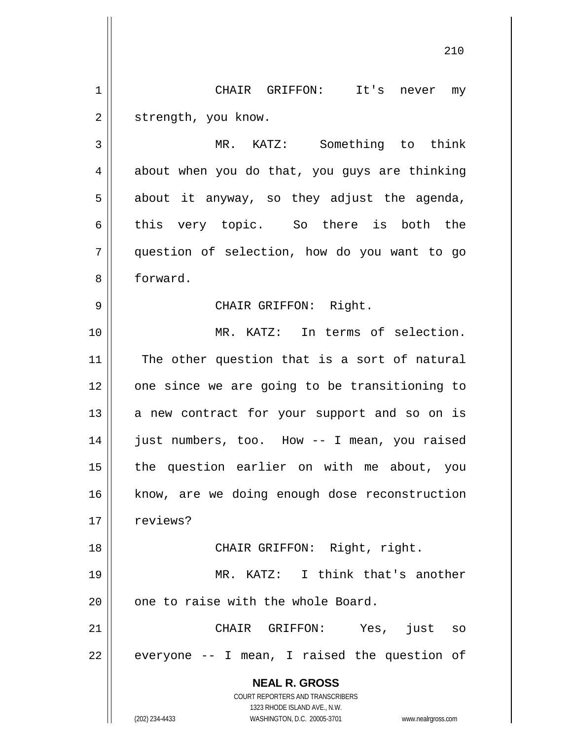1 CHAIR GRIFFON: It's never my 2 | strength, you know.

3 MR. KATZ: Something to think  $4 \parallel$  about when you do that, you guys are thinking  $5 \parallel$  about it anyway, so they adjust the agenda, 6 this very topic. So there is both the 7 question of selection, how do you want to go 8 forward.

9 CHAIR GRIFFON: Right.

10 MR. KATZ: In terms of selection.  $11$  The other question that is a sort of natural 12 || one since we are going to be transitioning to  $13$  a new contract for your support and so on is 14 || just numbers, too. How -- I mean, you raised 15 the question earlier on with me about, you 16 || know, are we doing enough dose reconstruction 17 || reviews?

18 || CHAIR GRIFFON: Right, right.

19 MR. KATZ: I think that's another  $20$  | one to raise with the whole Board.

21 || CHAIR GRIFFON: Yes, just so  $22 \parallel$  everyone -- I mean, I raised the question of

> **NEAL R. GROSS** COURT REPORTERS AND TRANSCRIBERS 1323 RHODE ISLAND AVE., N.W.

(202) 234-4433 WASHINGTON, D.C. 20005-3701 www.nealrgross.com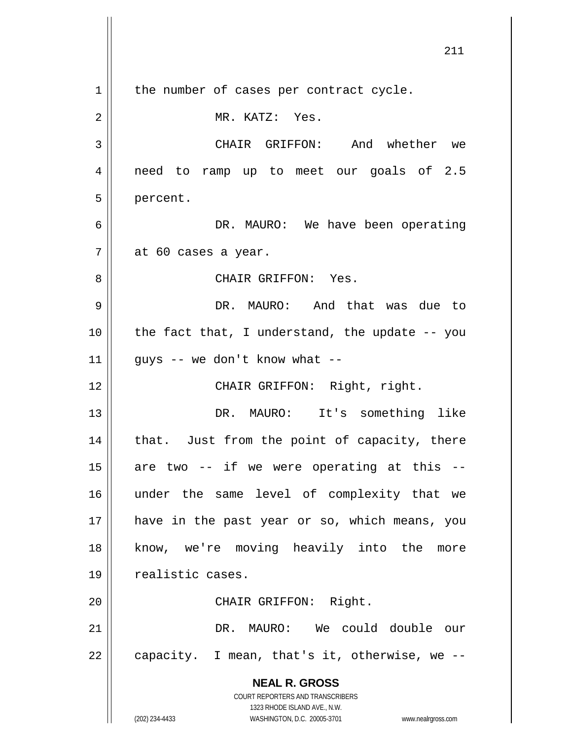**NEAL R. GROSS** COURT REPORTERS AND TRANSCRIBERS 1323 RHODE ISLAND AVE., N.W. (202) 234-4433 WASHINGTON, D.C. 20005-3701 www.nealrgross.com 211  $1 \parallel$  the number of cases per contract cycle. 2 || MR. KATZ: Yes. 3 CHAIR GRIFFON: And whether we 4 || need to ramp up to meet our goals of 2.5 5 | percent. 6 DR. MAURO: We have been operating  $7 \parallel$  at 60 cases a year. 8 CHAIR GRIFFON: Yes. 9 DR. MAURO: And that was due to 10 the fact that, I understand, the update -- you 11  $\parallel$  guys -- we don't know what --12 || CHAIR GRIFFON: Right, right. 13 DR. MAURO: It's something like  $14$  | that. Just from the point of capacity, there  $15$  are two -- if we were operating at this --16 under the same level of complexity that we 17 || have in the past year or so, which means, you 18 || know, we're moving heavily into the more 19 | realistic cases. 20 || CHAIR GRIFFON: Right. 21 DR. MAURO: We could double our  $22 \parallel$  capacity. I mean, that's it, otherwise, we --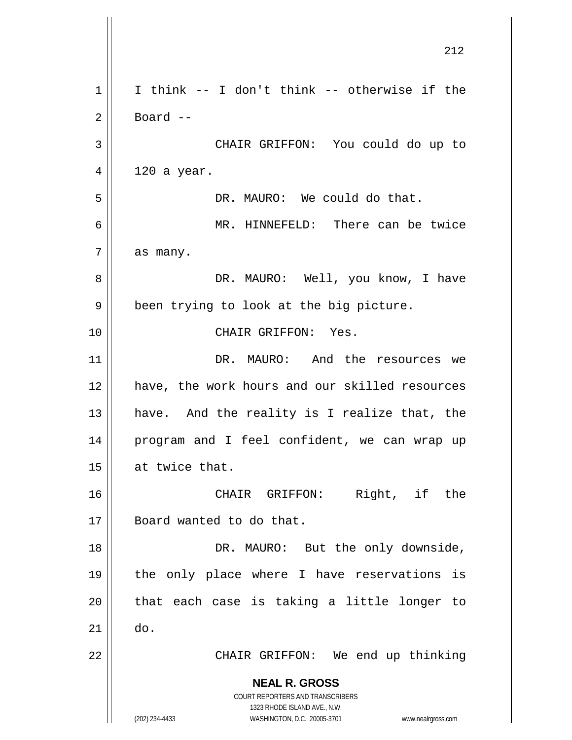**NEAL R. GROSS** COURT REPORTERS AND TRANSCRIBERS 1323 RHODE ISLAND AVE., N.W. (202) 234-4433 WASHINGTON, D.C. 20005-3701 www.nealrgross.com 212  $1 \parallel$  I think -- I don't think -- otherwise if the  $2 \parallel$  Board --3 CHAIR GRIFFON: You could do up to  $4 \parallel 120$  a year. 5 DR. MAURO: We could do that. 6 MR. HINNEFELD: There can be twice  $7 \parallel$  as many. 8 DR. MAURO: Well, you know, I have  $9 \parallel$  been trying to look at the big picture. 10 CHAIR GRIFFON: Yes. 11 DR. MAURO: And the resources we 12 have, the work hours and our skilled resources 13  $\parallel$  have. And the reality is I realize that, the 14 program and I feel confident, we can wrap up 15  $\parallel$  at twice that. 16 CHAIR GRIFFON: Right, if the 17 || Board wanted to do that. 18 || DR. MAURO: But the only downside, 19 the only place where I have reservations is  $20$  || that each case is taking a little longer to  $21$   $\parallel$  do. 22 || CHAIR GRIFFON: We end up thinking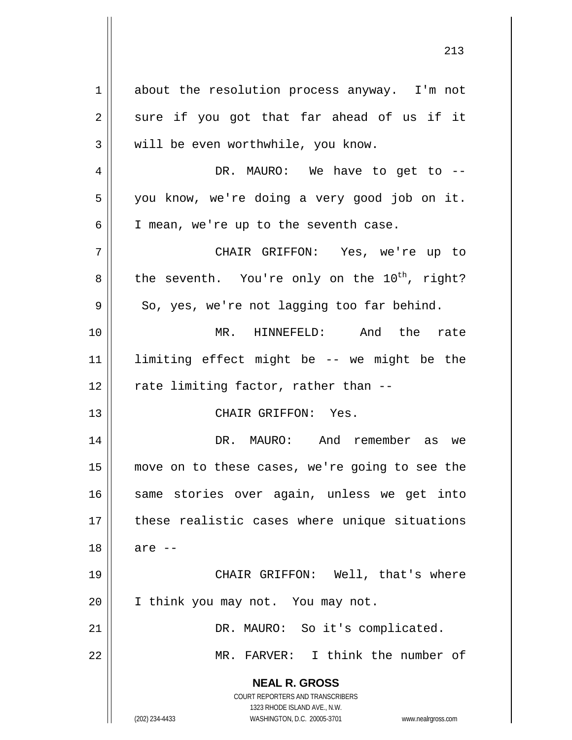**NEAL R. GROSS** COURT REPORTERS AND TRANSCRIBERS 1323 RHODE ISLAND AVE., N.W. 1 about the resolution process anyway. I'm not  $2 \parallel$  sure if you got that far ahead of us if it  $3 \parallel$  will be even worthwhile, you know. 4 DR. MAURO: We have to get to -- 5 you know, we're doing a very good job on it.  $6 \parallel$  I mean, we're up to the seventh case. 7 CHAIR GRIFFON: Yes, we're up to  $8 \parallel$  the seventh. You're only on the 10<sup>th</sup>, right?  $9 \parallel$  So, yes, we're not lagging too far behind. 10 MR. HINNEFELD: And the rate 11 limiting effect might be -- we might be the  $12$  | rate limiting factor, rather than  $-$ 13 CHAIR GRIFFON: Yes. 14 DR. MAURO: And remember as we 15 move on to these cases, we're going to see the 16 || same stories over again, unless we get into 17 || these realistic cases where unique situations  $18 \parallel$  are  $-$ 19 || CHAIR GRIFFON: Well, that's where 20 || I think you may not. You may not. 21 | DR. MAURO: So it's complicated. 22 MR. FARVER: I think the number of

(202) 234-4433 WASHINGTON, D.C. 20005-3701 www.nealrgross.com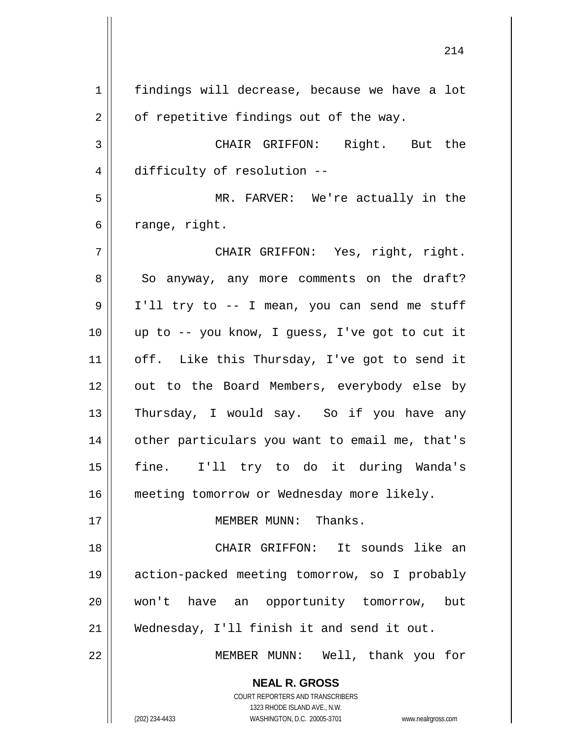**NEAL R. GROSS** COURT REPORTERS AND TRANSCRIBERS 1323 RHODE ISLAND AVE., N.W. 1 | findings will decrease, because we have a lot  $2 \parallel$  of repetitive findings out of the way. 3 CHAIR GRIFFON: Right. But the 4 difficulty of resolution --5 MR. FARVER: We're actually in the  $6 \parallel$  range, right. 7 CHAIR GRIFFON: Yes, right, right. 8 So anyway, any more comments on the draft? 9 || I'll try to -- I mean, you can send me stuff 10 up to -- you know, I guess, I've got to cut it 11 || off. Like this Thursday, I've got to send it 12 || out to the Board Members, everybody else by 13 || Thursday, I would say. So if you have any 14 other particulars you want to email me, that's 15 fine. I'll try to do it during Wanda's 16 | meeting tomorrow or Wednesday more likely. 17 || MEMBER MUNN: Thanks. 18 CHAIR GRIFFON: It sounds like an 19 action-packed meeting tomorrow, so I probably 20 won't have an opportunity tomorrow, but 21 Wednesday, I'll finish it and send it out. 22 MEMBER MUNN: Well, thank you for

(202) 234-4433 WASHINGTON, D.C. 20005-3701 www.nealrgross.com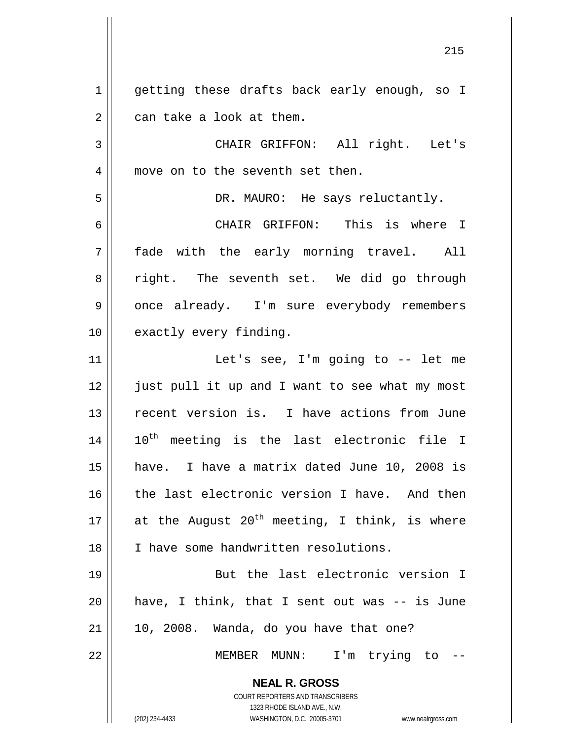1 || getting these drafts back early enough, so I  $2 \parallel$  can take a look at them.

3 || CHAIR GRIFFON: All right. Let's 4 || move on to the seventh set then.

5 DR. MAURO: He says reluctantly.

6 CHAIR GRIFFON: This is where I 7 fade with the early morning travel. All 8 || right. The seventh set. We did go through 9 || once already. I'm sure everybody remembers 10 || exactly every finding.

 Let's see, I'm going to -- let me 12 || just pull it up and I want to see what my most recent version is. I have actions from June ||  $10^{th}$  meeting is the last electronic file I have. I have a matrix dated June 10, 2008 is 16 || the last electronic version I have. And then  $\parallel$  at the August 20<sup>th</sup> meeting, I think, is where I have some handwritten resolutions.

19 || But the last electronic version I  $20$  || have, I think, that I sent out was  $-$  is June  $21$  | 10, 2008. Wanda, do you have that one?

22 || MEMBER MUNN: I'm trying to --

**NEAL R. GROSS** COURT REPORTERS AND TRANSCRIBERS

1323 RHODE ISLAND AVE., N.W.

(202) 234-4433 WASHINGTON, D.C. 20005-3701 www.nealrgross.com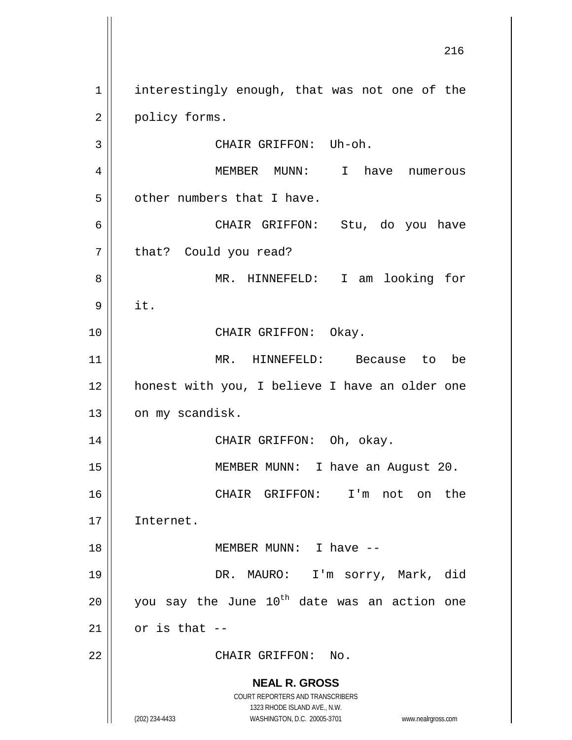**NEAL R. GROSS** COURT REPORTERS AND TRANSCRIBERS 1323 RHODE ISLAND AVE., N.W. (202) 234-4433 WASHINGTON, D.C. 20005-3701 www.nealrgross.com 1 | interestingly enough, that was not one of the 2 | policy forms. 3 || CHAIR GRIFFON: Uh-oh. 4 MEMBER MUNN: I have numerous  $5$  | other numbers that I have. 6 CHAIR GRIFFON: Stu, do you have 7 || that? Could you read? 8 MR. HINNEFELD: I am looking for  $9 \parallel \text{it.}$ 10 || CHAIR GRIFFON: Okay. 11 MR. HINNEFELD: Because to be 12 || honest with you, I believe I have an older one 13 | on my scandisk. 14 CHAIR GRIFFON: Oh, okay. 15 || MEMBER MUNN: I have an August 20. 16 CHAIR GRIFFON: I'm not on the 17 Internet. 18 || MEMBER MUNN: I have --19 DR. MAURO: I'm sorry, Mark, did 20  $\parallel$  you say the June 10<sup>th</sup> date was an action one  $21$  or is that  $-$ 22 || CHAIR GRIFFON: No.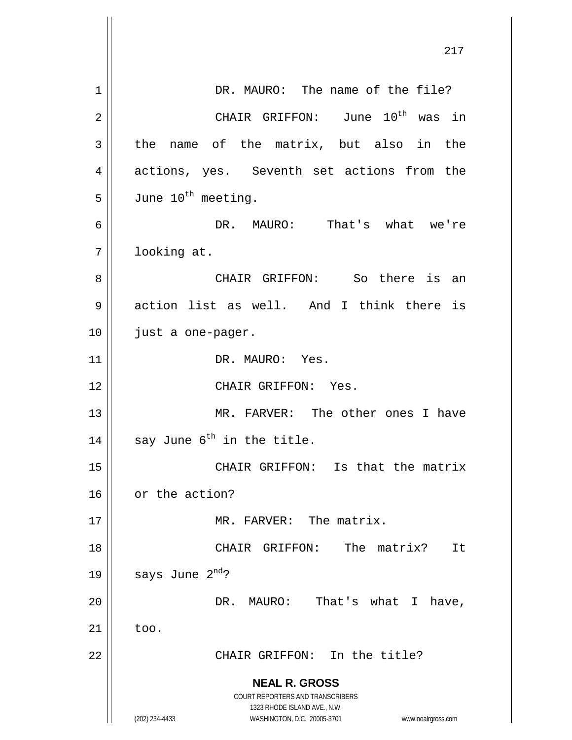|    | 217                                                                                                 |
|----|-----------------------------------------------------------------------------------------------------|
|    |                                                                                                     |
| 1  | DR. MAURO: The name of the file?                                                                    |
| 2  | CHAIR GRIFFON: June 10 <sup>th</sup> was in                                                         |
| 3  | the<br>name of the matrix, but also in the                                                          |
| 4  | actions, yes. Seventh set actions from the                                                          |
| 5  | June 10 <sup>th</sup> meeting.                                                                      |
| 6  | DR. MAURO: That's what we're                                                                        |
| 7  | looking at.                                                                                         |
| 8  | CHAIR GRIFFON: So there is an                                                                       |
| 9  | action list as well. And I think there is                                                           |
| 10 | just a one-pager.                                                                                   |
| 11 | DR. MAURO: Yes.                                                                                     |
| 12 | CHAIR GRIFFON: Yes.                                                                                 |
| 13 | MR. FARVER: The other ones I have                                                                   |
| 14 | say June 6 <sup>th</sup> in the title.                                                              |
| 15 | CHAIR GRIFFON: Is that the matrix                                                                   |
| 16 | or the action?                                                                                      |
| 17 | MR. FARVER: The matrix.                                                                             |
| 18 | CHAIR GRIFFON:<br>The<br>matrix?<br>It                                                              |
| 19 | says June 2 <sup>nd</sup> ?                                                                         |
| 20 | That's what I<br>MAURO:<br>DR.<br>have,                                                             |
| 21 | too.                                                                                                |
| 22 | CHAIR GRIFFON: In the title?                                                                        |
|    | <b>NEAL R. GROSS</b>                                                                                |
|    | COURT REPORTERS AND TRANSCRIBERS                                                                    |
|    | 1323 RHODE ISLAND AVE., N.W.<br>(202) 234-4433<br>WASHINGTON, D.C. 20005-3701<br>www.nealrgross.com |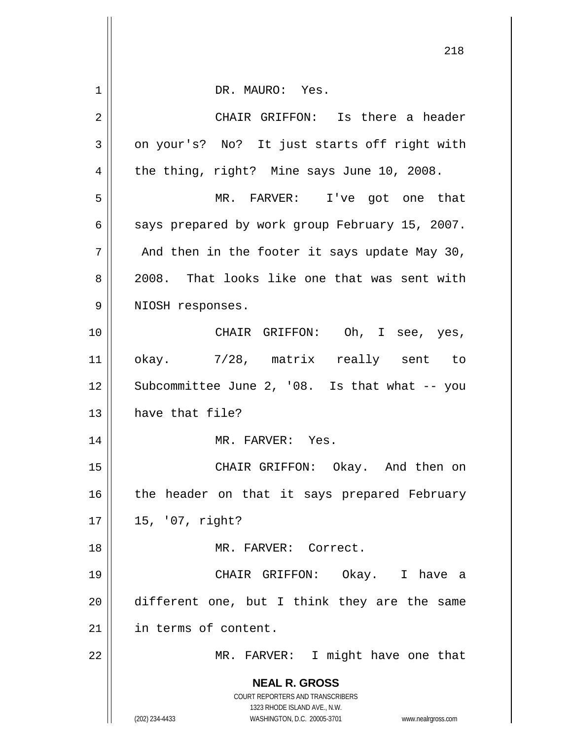| 1  | DR. MAURO: Yes.                                                                                     |
|----|-----------------------------------------------------------------------------------------------------|
| 2  | CHAIR GRIFFON: Is there a header                                                                    |
| 3  | on your's? No? It just starts off right with                                                        |
| 4  | the thing, right? Mine says June 10, 2008.                                                          |
| 5  | MR. FARVER: I've got one that                                                                       |
| 6  | says prepared by work group February 15, 2007.                                                      |
| 7  | And then in the footer it says update May 30,                                                       |
| 8  | 2008. That looks like one that was sent with                                                        |
| 9  | NIOSH responses.                                                                                    |
| 10 | CHAIR GRIFFON: Oh, I see, yes,                                                                      |
| 11 | okay. 7/28, matrix really sent to                                                                   |
| 12 | Subcommittee June 2, '08. Is that what -- you                                                       |
| 13 | have that file?                                                                                     |
| 14 | MR. FARVER: Yes.                                                                                    |
| 15 | CHAIR GRIFFON: Okay. And then on                                                                    |
| 16 | the header on that it says prepared February                                                        |
| 17 | 15, '07, right?                                                                                     |
| 18 | MR. FARVER: Correct.                                                                                |
| 19 | CHAIR GRIFFON: Okay. I have a                                                                       |
| 20 | different one, but I think they are the same                                                        |
| 21 | in terms of content.                                                                                |
| 22 | MR. FARVER: I might have one that                                                                   |
|    | <b>NEAL R. GROSS</b>                                                                                |
|    | COURT REPORTERS AND TRANSCRIBERS                                                                    |
|    | 1323 RHODE ISLAND AVE., N.W.<br>(202) 234-4433<br>WASHINGTON, D.C. 20005-3701<br>www.nealrgross.com |
|    |                                                                                                     |

 $\mathsf{I}$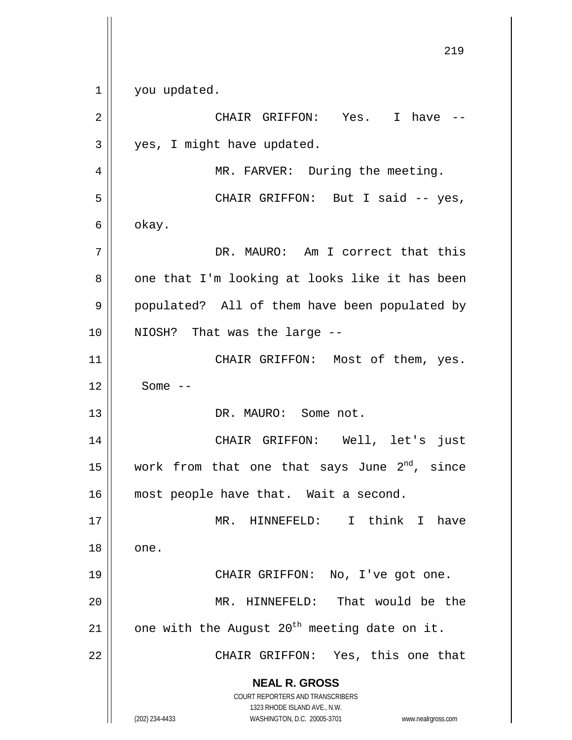**NEAL R. GROSS** COURT REPORTERS AND TRANSCRIBERS 1323 RHODE ISLAND AVE., N.W. (202) 234-4433 WASHINGTON, D.C. 20005-3701 www.nealrgross.com 219 1 | you updated. 2 CHAIR GRIFFON: Yes. I have -- 3 || yes, I might have updated. 4 || MR. FARVER: During the meeting. 5 CHAIR GRIFFON: But I said -- yes,  $6 \parallel$  okay. 7 DR. MAURO: Am I correct that this  $8 \parallel$  one that I'm looking at looks like it has been 9 || populated? All of them have been populated by 10 || NIOSH? That was the large --11 || CHAIR GRIFFON: Most of them, yes.  $12 \parallel$  Some  $-$ 13 DR. MAURO: Some not. 14 CHAIR GRIFFON: Well, let's just 15  $\parallel$  work from that one that says June  $2^{nd}$ , since 16 || most people have that. Wait a second. 17 MR. HINNEFELD: I think I have  $18 \parallel$  one. 19 || CHAIR GRIFFON: No, I've got one. 20 MR. HINNEFELD: That would be the 21  $\parallel$  one with the August 20<sup>th</sup> meeting date on it. 22 || CHAIR GRIFFON: Yes, this one that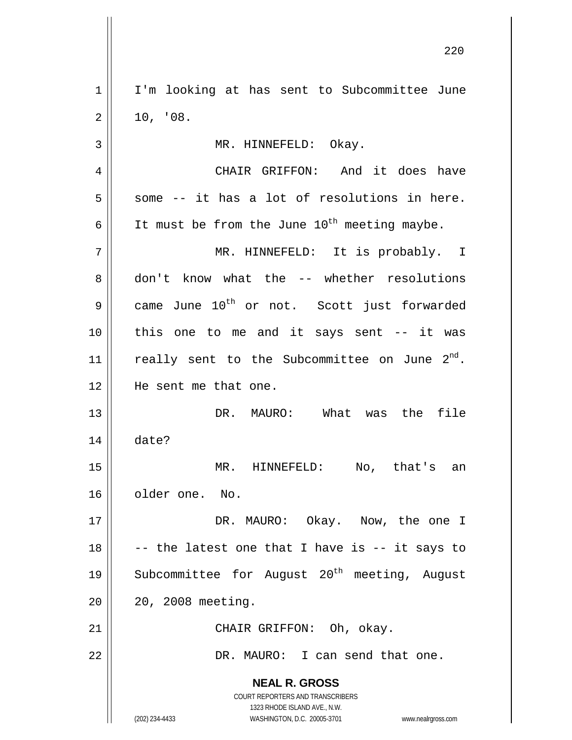1 || I'm looking at has sent to Subcommittee June  $2 \parallel 10, 98.$ 3 | MR. HINNEFELD: Okay. 4 CHAIR GRIFFON: And it does have  $5 \parallel$  some -- it has a lot of resolutions in here. 6  $\vert$  It must be from the June 10<sup>th</sup> meeting maybe. 7 MR. HINNEFELD: It is probably. I 8 don't know what the -- whether resolutions 9 came June  $10^{\text{th}}$  or not. Scott just forwarded 10 || this one to me and it says sent -- it was 11 || really sent to the Subcommittee on June  $2^{nd}$ . 12 He sent me that one. 13 DR. MAURO: What was the file 14 date? 15 MR. HINNEFELD: No, that's an 16 || older one. No. 17 DR. MAURO: Okay. Now, the one I 18  $\parallel$  -- the latest one that I have is -- it says to 19  $\parallel$  Subcommittee for August 20<sup>th</sup> meeting, August 20 20, 2008 meeting. 21 || CHAIR GRIFFON: Oh, okay. 22 | R. MAURO: I can send that one.

> **NEAL R. GROSS** COURT REPORTERS AND TRANSCRIBERS

> > 1323 RHODE ISLAND AVE., N.W.

(202) 234-4433 WASHINGTON, D.C. 20005-3701 www.nealrgross.com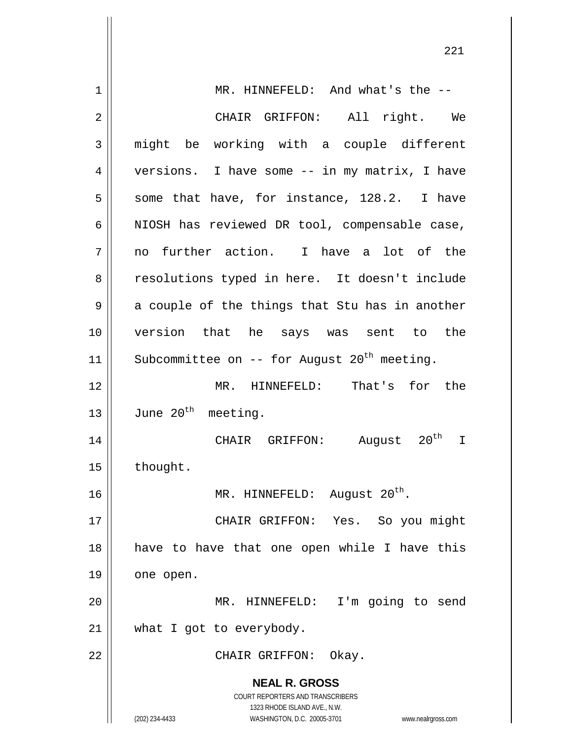**NEAL R. GROSS** COURT REPORTERS AND TRANSCRIBERS 1323 RHODE ISLAND AVE., N.W. (202) 234-4433 WASHINGTON, D.C. 20005-3701 www.nealrgross.com 1 || MR. HINNEFELD: And what's the --2 CHAIR GRIFFON: All right. We  $3 \parallel$  might be working with a couple different 4 | versions. I have some -- in my matrix, I have  $5 \parallel$  some that have, for instance, 128.2. I have  $6 \parallel$  NIOSH has reviewed DR tool, compensable case,  $7 \parallel$  no further action. I have a lot of the 8 || resolutions typed in here. It doesn't include  $9 \parallel$  a couple of the things that Stu has in another 10 version that he says was sent to the 11 | Subcommittee on -- for August  $20^{th}$  meeting. 12 MR. HINNEFELD: That's for the 13  $\parallel$  June 20<sup>th</sup> meeting. 14 || CHAIR GRIFFON: August 20<sup>th</sup> I  $15$  | thought. 16  $\parallel$  MR. HINNEFELD: August 20<sup>th</sup>. 17 CHAIR GRIFFON: Yes. So you might 18 || have to have that one open while I have this 19 | one open. 20 MR. HINNEFELD: I'm going to send  $21$  | what I got to everybody. 22 || CHAIR GRIFFON: Okay.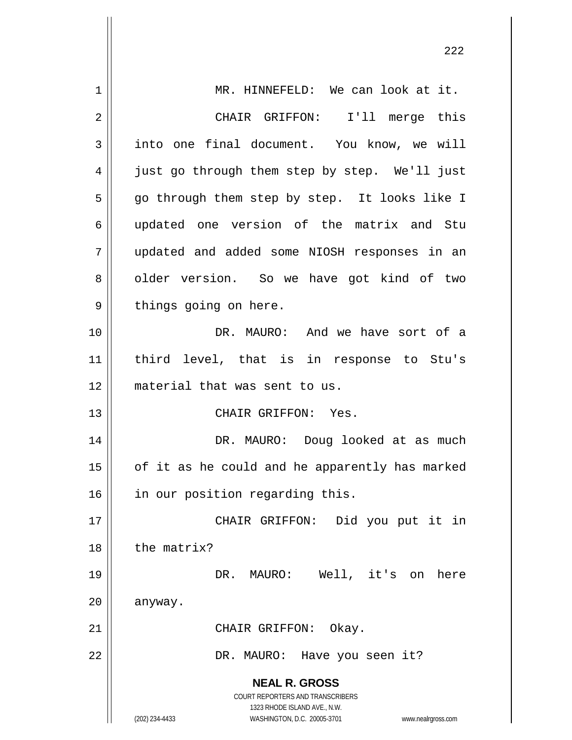| $\mathbf 1$ | MR. HINNEFELD: We can look at it.                  |
|-------------|----------------------------------------------------|
| 2           | I'll merge this<br>CHAIR GRIFFON:                  |
| 3           | into one final document. You know, we will         |
| 4           | just go through them step by step. We'll just      |
| 5           | go through them step by step. It looks like I      |
| 6           | updated one version of the matrix and Stu          |
| 7           | updated and added some NIOSH responses in an       |
| 8           | older version. So we have got kind of two          |
| 9           | things going on here.                              |
| 10          | DR. MAURO: And we have sort of a                   |
| 11          | third level, that is in response to Stu's          |
| 12          | material that was sent to us.                      |
| 13          | CHAIR GRIFFON: Yes.                                |
| 14          | DR. MAURO: Doug looked at as much                  |
| 15          | of it as he could and he apparently has marked     |
| 16          | in our position regarding this.                    |
| 17          | CHAIR GRIFFON: Did you put it in                   |
| 18          | the matrix?                                        |
| 19          | DR. MAURO: Well, it's on here                      |
| 20          | anyway.                                            |
| 21          | CHAIR GRIFFON: Okay.                               |
| 22          | DR. MAURO: Have you seen it?                       |
|             | <b>NEAL R. GROSS</b>                               |
|             | <b>COURT REPORTERS AND TRANSCRIBERS</b>            |
|             | 1323 RHODE ISLAND AVE., N.W.<br>www.nealrgross.com |
|             | (202) 234-4433<br>WASHINGTON, D.C. 20005-3701      |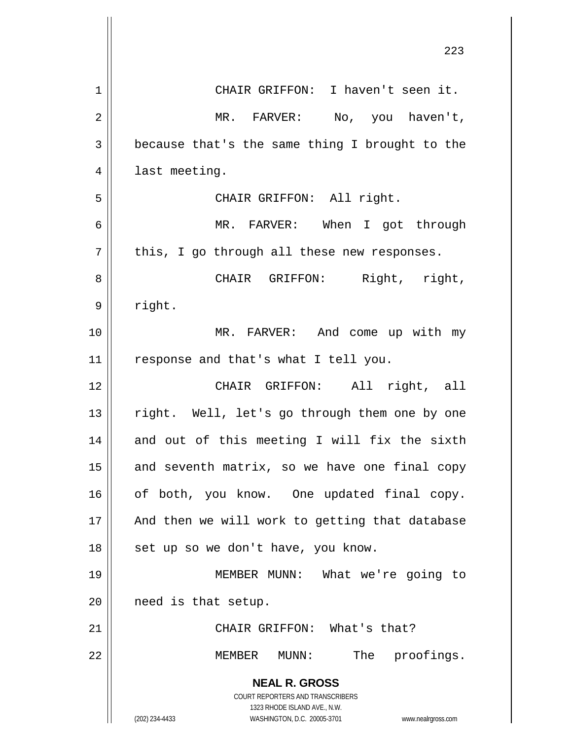|             | 223                                                                 |
|-------------|---------------------------------------------------------------------|
| $\mathbf 1$ | CHAIR GRIFFON: I haven't seen it.                                   |
| 2           | MR. FARVER:<br>No, you haven't,                                     |
| 3           | because that's the same thing I brought to the                      |
| 4           | last meeting.                                                       |
| 5           | CHAIR GRIFFON: All right.                                           |
| 6           | MR. FARVER: When I got through                                      |
| 7           | this, I go through all these new responses.                         |
| 8           | Right, right,<br>CHAIR GRIFFON:                                     |
| 9           | right.                                                              |
| 10          | MR. FARVER: And come up with my                                     |
| 11          | response and that's what I tell you.                                |
| 12          | CHAIR GRIFFON: All right, all                                       |
| 13          | right. Well, let's go through them one by one                       |
| 14          | and out of this meeting I will fix the sixth                        |
| 15          | and seventh matrix, so we have one final copy                       |
| 16          | of both, you know. One updated final copy.                          |
| 17          | And then we will work to getting that database                      |
| 18          | set up so we don't have, you know.                                  |
| 19          | MEMBER MUNN: What we're going to                                    |
| 20          | need is that setup.                                                 |
| 21          | CHAIR GRIFFON: What's that?                                         |
| 22          | The proofings.<br>MEMBER MUNN:                                      |
|             | <b>NEAL R. GROSS</b>                                                |
|             | COURT REPORTERS AND TRANSCRIBERS<br>1323 RHODE ISLAND AVE., N.W.    |
|             | (202) 234-4433<br>WASHINGTON, D.C. 20005-3701<br>www.nealrgross.com |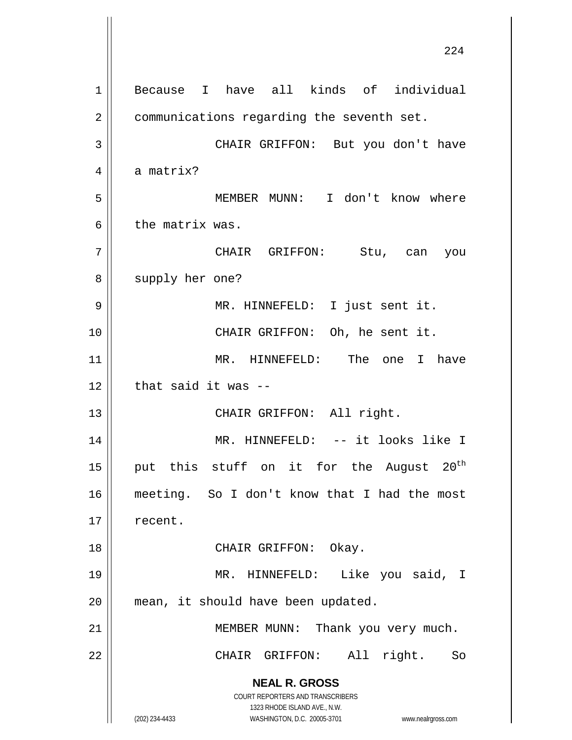**NEAL R. GROSS** COURT REPORTERS AND TRANSCRIBERS 1323 RHODE ISLAND AVE., N.W. (202) 234-4433 WASHINGTON, D.C. 20005-3701 www.nealrgross.com 1 Because I have all kinds of individual 2 | communications regarding the seventh set. 3 CHAIR GRIFFON: But you don't have  $4 \parallel$  a matrix? 5 MEMBER MUNN: I don't know where 6 l the matrix was. 7 CHAIR GRIFFON: Stu, can you 8 || supply her one? 9 || MR. HINNEFELD: I just sent it. 10 || CHAIR GRIFFON: Oh, he sent it. 11 MR. HINNEFELD: The one I have  $12$  | that said it was  $-$ 13 || CHAIR GRIFFON: All right. 14 MR. HINNEFELD: -- it looks like I 15 || put this stuff on it for the August  $20^{th}$ 16 meeting. So I don't know that I had the most 17 || recent. 18 || CHAIR GRIFFON: Okay. 19 MR. HINNEFELD: Like you said, I 20 || mean, it should have been updated. 21 | MEMBER MUNN: Thank you very much. 22 || CHAIR GRIFFON: All right. So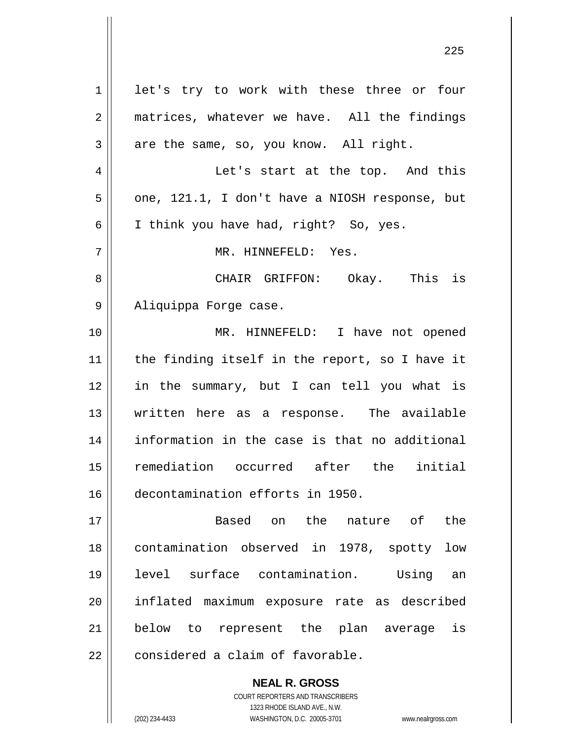1 let's try to work with these three or four 2 || matrices, whatever we have. All the findings  $3 \parallel$  are the same, so, you know. All right. Let's start at the top. And this  $5 \parallel$  one, 121.1, I don't have a NIOSH response, but  $6 \parallel$  I think you have had, right? So, yes. MR. HINNEFELD: Yes. CHAIR GRIFFON: Okay. This is Aliquippa Forge case. MR. HINNEFELD: I have not opened 11 || the finding itself in the report, so I have it in the summary, but I can tell you what is written here as a response. The available information in the case is that no additional remediation occurred after the initial decontamination efforts in 1950. Based on the nature of the contamination observed in 1978, spotty low level surface contamination. Using an inflated maximum exposure rate as described below to represent the plan average is  $\parallel$  considered a claim of favorable.

> COURT REPORTERS AND TRANSCRIBERS 1323 RHODE ISLAND AVE., N.W. (202) 234-4433 WASHINGTON, D.C. 20005-3701 www.nealrgross.com

**NEAL R. GROSS**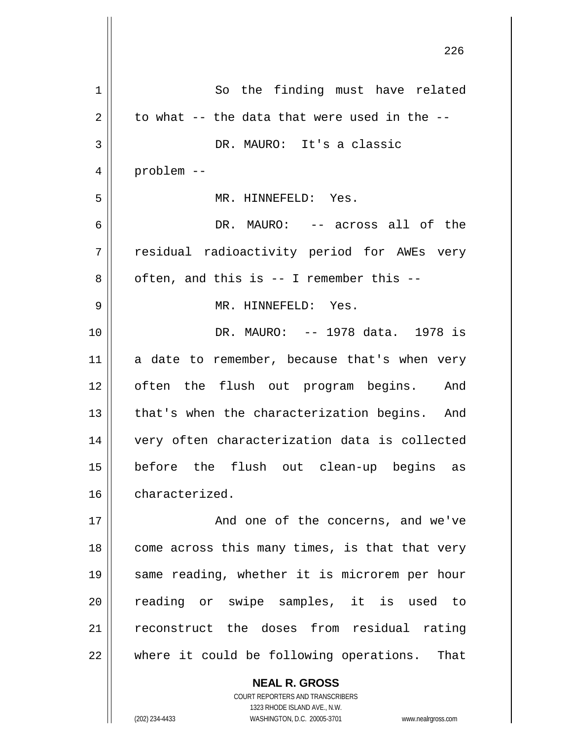|    | 226                                            |
|----|------------------------------------------------|
| 1  | So the finding must have related               |
| 2  | to what -- the data that were used in the --   |
| 3  | DR. MAURO: It's a classic                      |
| 4  | problem --                                     |
| 5  | MR. HINNEFELD: Yes.                            |
| 6  | DR. MAURO: -- across all of the                |
| 7  | residual radioactivity period for AWEs very    |
| 8  | often, and this is -- I remember this --       |
| 9  | MR. HINNEFELD: Yes.                            |
| 10 | DR. MAURO: -- 1978 data. 1978 is               |
| 11 | a date to remember, because that's when very   |
| 12 | often the flush out program begins. And        |
| 13 | that's when the characterization begins. And   |
| 14 | very often characterization data is collected  |
| 15 | before the flush out clean-up begins as        |
| 16 | characterized.                                 |
| 17 | And one of the concerns, and we've             |
| 18 | come across this many times, is that that very |
| 19 | same reading, whether it is microrem per hour  |
| 20 | reading or swipe samples, it is used to        |
| 21 | reconstruct the doses from residual rating     |
| 22 | where it could be following operations. That   |
|    | <b>NEAL R. GROSS</b>                           |

 $\mathsf{II}$ 

COURT REPORTERS AND TRANSCRIBERS 1323 RHODE ISLAND AVE., N.W. (202) 234-4433 WASHINGTON, D.C. 20005-3701 www.nealrgross.com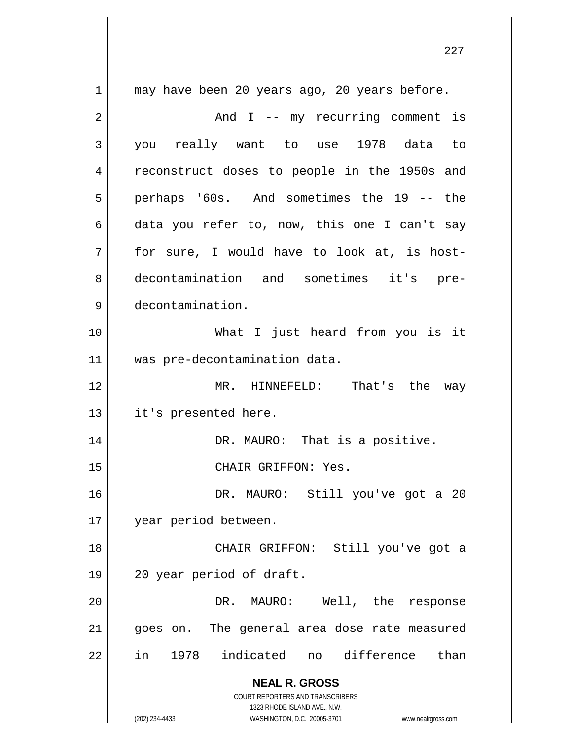**NEAL R. GROSS** COURT REPORTERS AND TRANSCRIBERS 1323 RHODE ISLAND AVE., N.W. (202) 234-4433 WASHINGTON, D.C. 20005-3701 www.nealrgross.com 1 || may have been 20 years ago, 20 years before. 2 And I -- my recurring comment is 3 you really want to use 1978 data to 4 || reconstruct doses to people in the 1950s and 5 perhaps '60s. And sometimes the 19 -- the 6 data you refer to, now, this one I can't say  $7 \parallel$  for sure, I would have to look at, is host-8 decontamination and sometimes it's pre-9 decontamination. 10 What I just heard from you is it 11 was pre-decontamination data. 12 MR. HINNEFELD: That's the way 13 || it's presented here. 14 || DR. MAURO: That is a positive. 15 || CHAIR GRIFFON: Yes. 16 DR. MAURO: Still you've got a 20 17 year period between. 18 CHAIR GRIFFON: Still you've got a 19 20 year period of draft. 20 DR. MAURO: Well, the response 21 || goes on. The general area dose rate measured 22 in 1978 indicated no difference than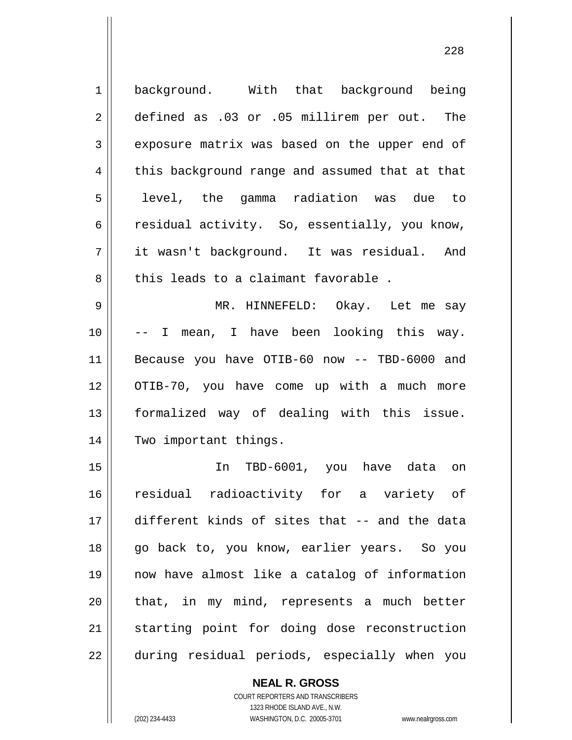| $\mathbf 1$    | background. With that background being         |
|----------------|------------------------------------------------|
| $\overline{2}$ | defined as .03 or .05 millirem per out. The    |
| 3              | exposure matrix was based on the upper end of  |
| 4              | this background range and assumed that at that |
| 5              | level, the gamma radiation was due to          |
| 6              | residual activity. So, essentially, you know,  |
| 7              | it wasn't background. It was residual. And     |
| 8              | this leads to a claimant favorable.            |
| 9              | MR. HINNEFELD: Okay. Let me say                |
| 10             | -- I mean, I have been looking this way.       |
| 11             | Because you have OTIB-60 now -- TBD-6000 and   |
| 12             | OTIB-70, you have come up with a much more     |
| 13             | formalized way of dealing with this issue.     |
| 14             | Two important things.                          |
| 15             | In TBD-6001, you have data<br>on               |
| 16             | residual radioactivity for a variety of        |
| 17             | different kinds of sites that -- and the data  |
| 18             | go back to, you know, earlier years. So you    |
| 19             | now have almost like a catalog of information  |
| 20             | that, in my mind, represents a much better     |
| 21             | starting point for doing dose reconstruction   |
| 22             | during residual periods, especially when you   |

## **NEAL R. GROSS**

COURT REPORTERS AND TRANSCRIBERS 1323 RHODE ISLAND AVE., N.W. (202) 234-4433 WASHINGTON, D.C. 20005-3701 www.nealrgross.com

 $\mathsf{II}$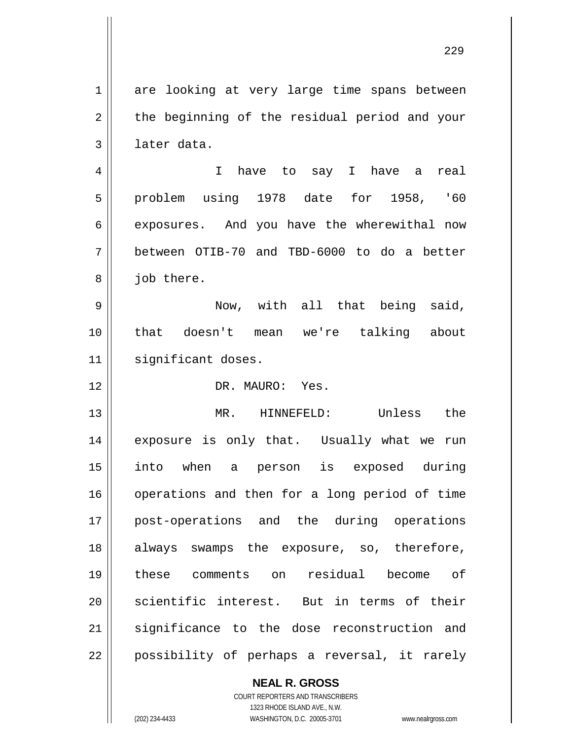1 are looking at very large time spans between  $2 \parallel$  the beginning of the residual period and your 3 | later data. 4 I have to say I have a real 5 problem using 1978 date for 1958, '60 6 exposures. And you have the wherewithal now 7 between OTIB-70 and TBD-6000 to do a better  $8 \parallel$  job there. 9 Now, with all that being said, 10 that doesn't mean we're talking about 11 || significant doses. 12 DR. MAURO: Yes. 13 MR. HINNEFELD: Unless the 14 || exposure is only that. Usually what we run 15 into when a person is exposed during 16 || operations and then for a long period of time 17 post-operations and the during operations 18 always swamps the exposure, so, therefore, 19 these comments on residual become of 20 || scientific interest. But in terms of their 21 significance to the dose reconstruction and 22 || possibility of perhaps a reversal, it rarely

> **NEAL R. GROSS** COURT REPORTERS AND TRANSCRIBERS 1323 RHODE ISLAND AVE., N.W.

(202) 234-4433 WASHINGTON, D.C. 20005-3701 www.nealrgross.com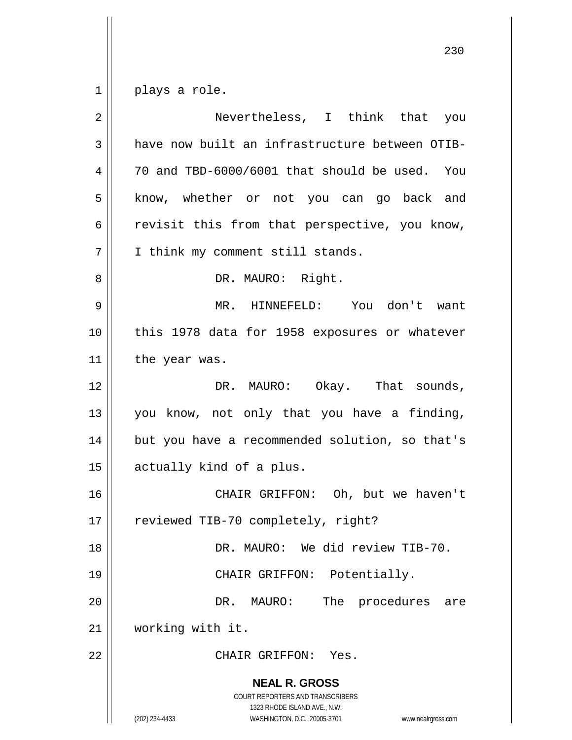$1 \parallel$  plays a role.

| $\overline{2}$ | Nevertheless, I think that you                                                                                                                                  |
|----------------|-----------------------------------------------------------------------------------------------------------------------------------------------------------------|
| 3              | have now built an infrastructure between OTIB-                                                                                                                  |
| 4              | 70 and TBD-6000/6001 that should be used. You                                                                                                                   |
| 5              | know, whether or not you can go back and                                                                                                                        |
| 6              | revisit this from that perspective, you know,                                                                                                                   |
| 7              | I think my comment still stands.                                                                                                                                |
| 8              | DR. MAURO: Right.                                                                                                                                               |
| 9              | MR. HINNEFELD: You don't want                                                                                                                                   |
| 10             | this 1978 data for 1958 exposures or whatever                                                                                                                   |
| 11             | the year was.                                                                                                                                                   |
| 12             | DR. MAURO: Okay. That sounds,                                                                                                                                   |
| 13             | you know, not only that you have a finding,                                                                                                                     |
| 14             | but you have a recommended solution, so that's                                                                                                                  |
| 15             | actually kind of a plus.                                                                                                                                        |
| 16             | CHAIR GRIFFON: Oh, but we haven't                                                                                                                               |
| 17             | reviewed TIB-70 completely, right?                                                                                                                              |
| 18             | DR. MAURO: We did review TIB-70.                                                                                                                                |
| 19             | CHAIR GRIFFON: Potentially.                                                                                                                                     |
| 20             | The procedures<br>DR.<br>MAURO:<br>are                                                                                                                          |
| 21             | working with it.                                                                                                                                                |
| 22             | CHAIR GRIFFON: Yes.                                                                                                                                             |
|                | <b>NEAL R. GROSS</b><br>COURT REPORTERS AND TRANSCRIBERS<br>1323 RHODE ISLAND AVE., N.W.<br>(202) 234-4433<br>WASHINGTON, D.C. 20005-3701<br>www.nealrgross.com |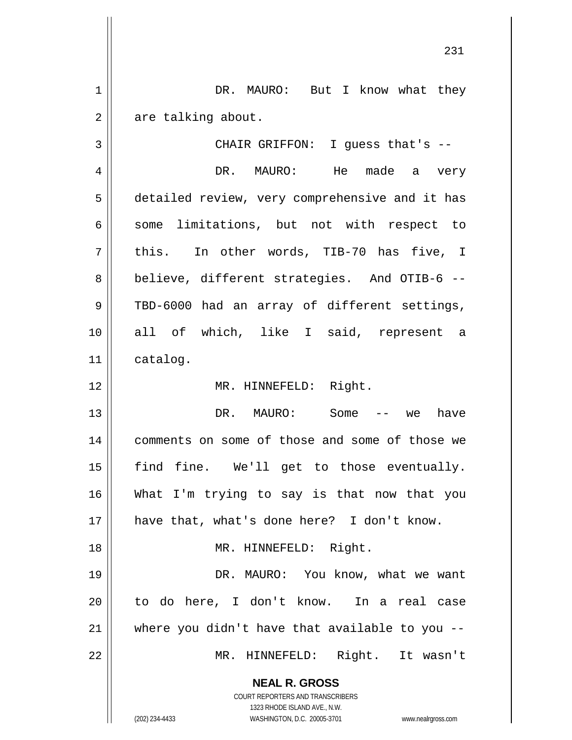1 DR. MAURO: But I know what they  $2 \parallel$  are talking about. 3 CHAIR GRIFFON: I guess that's --

4 DR. MAURO: He made a very 5 detailed review, very comprehensive and it has  $6 \parallel$  some limitations, but not with respect to  $7 \parallel$  this. In other words, TIB-70 has five, I 8 || believe, different strategies. And OTIB-6 --9 || TBD-6000 had an array of different settings, 10 all of which, like I said, represent a 11 catalog.

12 || MR. HINNEFELD: Right.

13 DR. MAURO: Some -- we have 14 || comments on some of those and some of those we 15 || find fine. We'll get to those eventually. 16 What I'm trying to say is that now that you 17 have that, what's done here? I don't know. 18 || MR. HINNEFELD: Right. 19 DR. MAURO: You know, what we want 20 || to do here, I don't know. In a real case  $21$  where you didn't have that available to you  $-$ 22 MR. HINNEFELD: Right. It wasn't

> **NEAL R. GROSS** COURT REPORTERS AND TRANSCRIBERS

> > 1323 RHODE ISLAND AVE., N.W.

(202) 234-4433 WASHINGTON, D.C. 20005-3701 www.nealrgross.com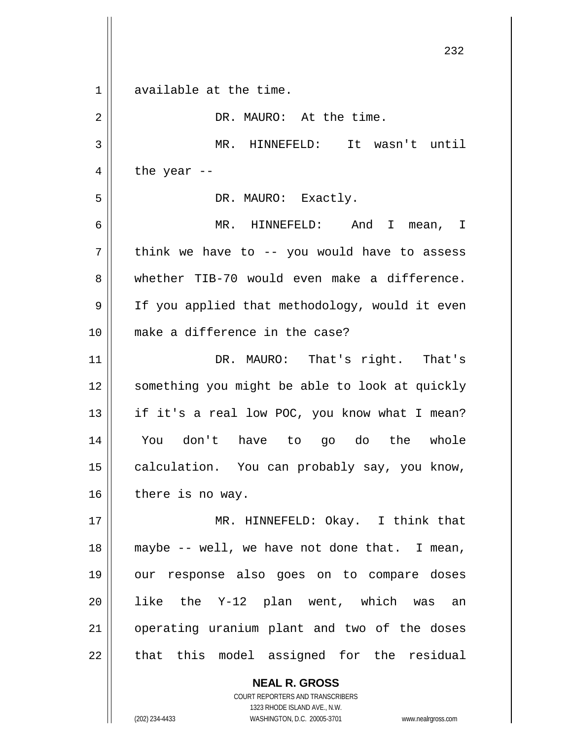**NEAL R. GROSS** COURT REPORTERS AND TRANSCRIBERS 232 1 available at the time. 2 | DR. MAURO: At the time. 3 MR. HINNEFELD: It wasn't until 4  $\parallel$  the year --5 | DR. MAURO: Exactly. 6 MR. HINNEFELD: And I mean, I  $7 \parallel$  think we have to -- you would have to assess 8 whether TIB-70 would even make a difference. 9 || If you applied that methodology, would it even 10 make a difference in the case? 11 || DR. MAURO: That's right. That's 12 || something you might be able to look at quickly 13  $\parallel$  if it's a real low POC, you know what I mean? 14 You don't have to go do the whole 15 | calculation. You can probably say, you know,  $16$  | there is no way. 17 MR. HINNEFELD: Okay. I think that  $18$  || maybe -- well, we have not done that. I mean, 19 our response also goes on to compare doses 20 || like the Y-12 plan went, which was an 21 || operating uranium plant and two of the doses  $22$  || that this model assigned for the residual

1323 RHODE ISLAND AVE., N.W.

(202) 234-4433 WASHINGTON, D.C. 20005-3701 www.nealrgross.com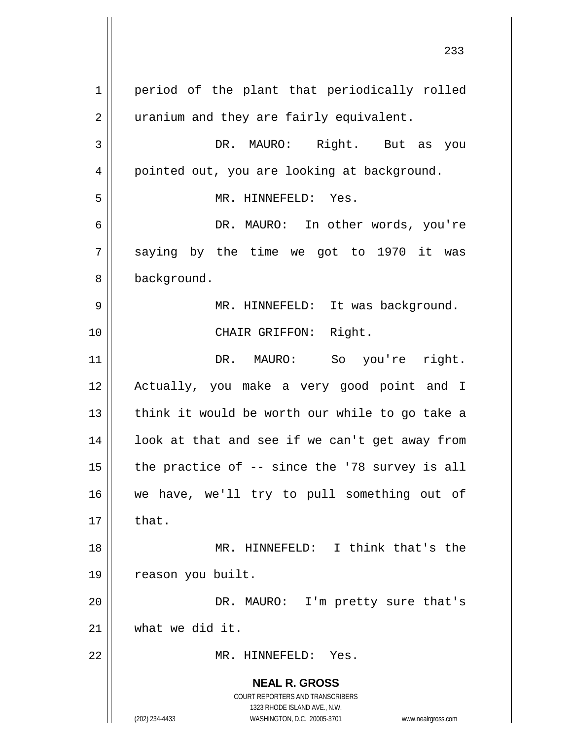**NEAL R. GROSS** COURT REPORTERS AND TRANSCRIBERS 1323 RHODE ISLAND AVE., N.W. (202) 234-4433 WASHINGTON, D.C. 20005-3701 www.nealrgross.com 1 | period of the plant that periodically rolled 2 | uranium and they are fairly equivalent. 3 DR. MAURO: Right. But as you 4 | pointed out, you are looking at background. 5 MR. HINNEFELD: Yes. 6 DR. MAURO: In other words, you're  $7 \parallel$  saying by the time we got to 1970 it was 8 | background. 9 MR. HINNEFELD: It was background. 10 || CHAIR GRIFFON: Right. 11 || DR. MAURO: So you're right. 12 Actually, you make a very good point and I  $13$  || think it would be worth our while to go take a  $14$  | look at that and see if we can't get away from 15  $\parallel$  the practice of -- since the '78 survey is all 16 we have, we'll try to pull something out of  $17 \parallel$  that. 18 MR. HINNEFELD: I think that's the 19 | reason you built. 20 DR. MAURO: I'm pretty sure that's 21 what we did it. 22 MR. HINNEFELD: Yes.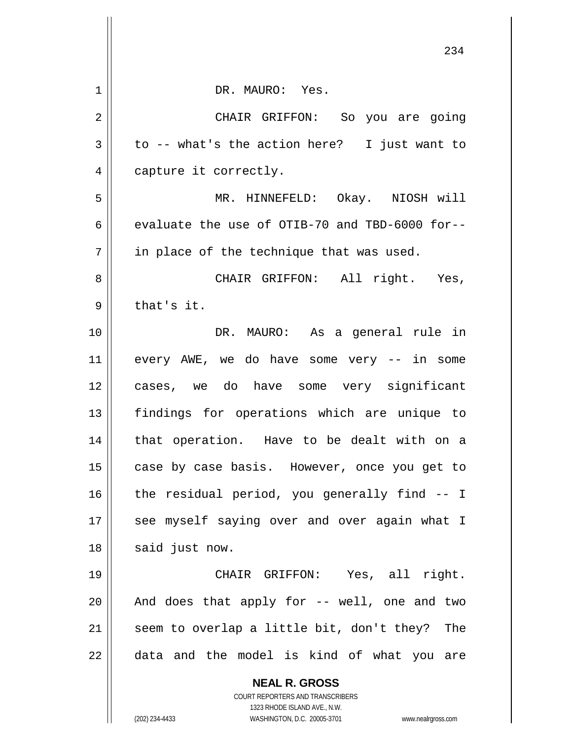|    | 234                                                                 |
|----|---------------------------------------------------------------------|
| 1  | DR. MAURO: Yes.                                                     |
| 2  | CHAIR GRIFFON: So you are going                                     |
| 3  | to -- what's the action here? I just want to                        |
| 4  | capture it correctly.                                               |
| 5  | MR. HINNEFELD: Okay. NIOSH will                                     |
| 6  | evaluate the use of OTIB-70 and TBD-6000 for--                      |
| 7  | in place of the technique that was used.                            |
| 8  | CHAIR GRIFFON: All right. Yes,                                      |
| 9  | that's it.                                                          |
| 10 | DR. MAURO: As a general rule in                                     |
| 11 | every AWE, we do have some very -- in some                          |
| 12 | cases, we do have some very significant                             |
| 13 | findings for operations which are unique to                         |
| 14 | that operation. Have to be dealt with on a                          |
| 15 | case by case basis. However, once you get to                        |
| 16 | the residual period, you generally find -- I                        |
| 17 | see myself saying over and over again what I                        |
| 18 | said just now.                                                      |
| 19 | CHAIR GRIFFON: Yes, all right.                                      |
| 20 | And does that apply for -- well, one and two                        |
| 21 | seem to overlap a little bit, don't they? The                       |
| 22 | data and the model is kind of what you are                          |
|    | <b>NEAL R. GROSS</b>                                                |
|    | COURT REPORTERS AND TRANSCRIBERS<br>1323 RHODE ISLAND AVE., N.W.    |
|    | (202) 234-4433<br>WASHINGTON, D.C. 20005-3701<br>www.nealrgross.com |

 $\mathop{\text{||}}$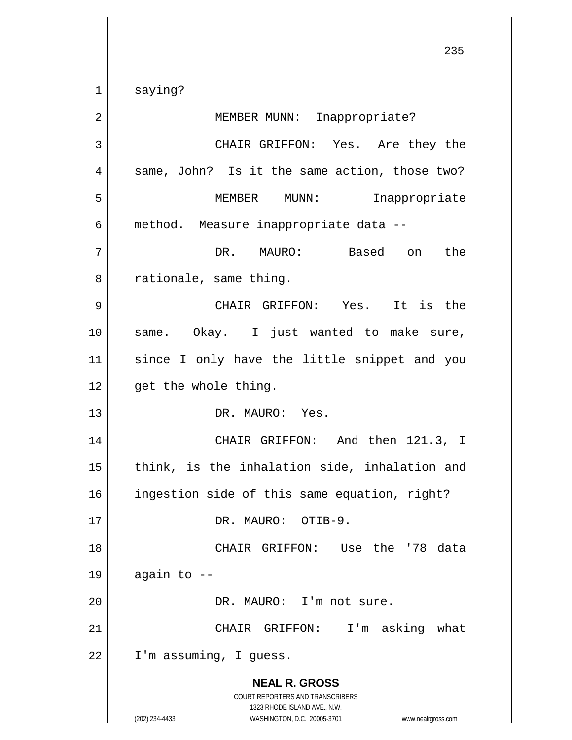1 || saying?

**NEAL R. GROSS** COURT REPORTERS AND TRANSCRIBERS 1323 RHODE ISLAND AVE., N.W. (202) 234-4433 WASHINGTON, D.C. 20005-3701 www.nealrgross.com 2 || MEMBER MUNN: Inappropriate? 3 CHAIR GRIFFON: Yes. Are they the  $4 \parallel$  same, John? Is it the same action, those two? 5 MEMBER MUNN: Inappropriate 6 method. Measure inappropriate data -- 7 DR. MAURO: Based on the  $8 \parallel$  rationale, same thing. 9 CHAIR GRIFFON: Yes. It is the 10 || same. Okay. I just wanted to make sure, 11 since I only have the little snippet and you  $12$  | qet the whole thing. 13 DR. MAURO: Yes. 14 CHAIR GRIFFON: And then 121.3, I  $15$  || think, is the inhalation side, inhalation and 16 ingestion side of this same equation, right? 17 DR. MAURO: OTIB-9. 18 || CHAIR GRIFFON: Use the '78 data  $19 \parallel$  again to --20 || DR. MAURO: I'm not sure. 21 || CHAIR GRIFFON: I'm asking what 22 I'm assuming, I guess.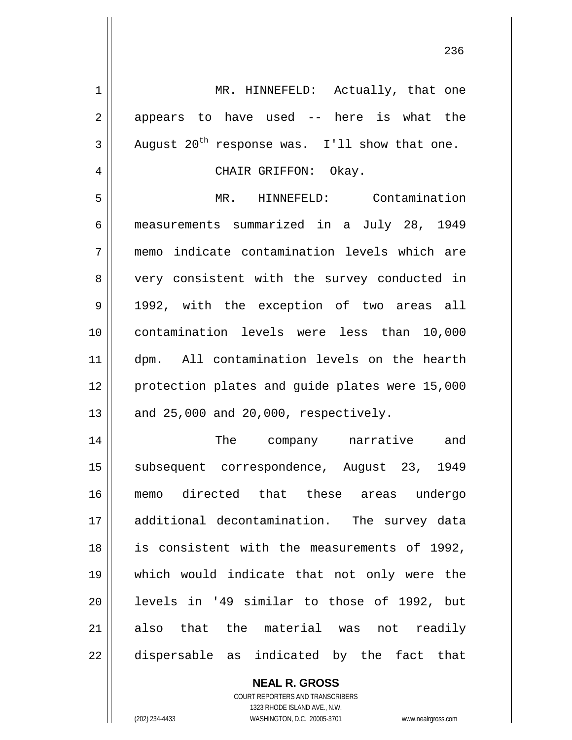1 || MR. HINNEFELD: Actually, that one  $2 \parallel$  appears to have used -- here is what the  $3 \parallel$  August  $20^{th}$  response was. I'll show that one. 4 CHAIR GRIFFON: Okay. 5 MR. HINNEFELD: Contamination 6 measurements summarized in a July 28, 1949 7 memo indicate contamination levels which are 8 || very consistent with the survey conducted in 9 || 1992, with the exception of two areas all 10 contamination levels were less than 10,000 11 dpm. All contamination levels on the hearth 12 || protection plates and quide plates were 15,000  $13$  || and 25,000 and 20,000, respectively. 14 || The company narrative and 15 || subsequent correspondence, August 23, 1949 16 memo directed that these areas undergo 17 additional decontamination. The survey data 18 || is consistent with the measurements of 1992, 19 which would indicate that not only were the 20 levels in '49 similar to those of 1992, but 21 also that the material was not readily 22 || dispersable as indicated by the fact that

> **NEAL R. GROSS** COURT REPORTERS AND TRANSCRIBERS

> > 1323 RHODE ISLAND AVE., N.W.

(202) 234-4433 WASHINGTON, D.C. 20005-3701 www.nealrgross.com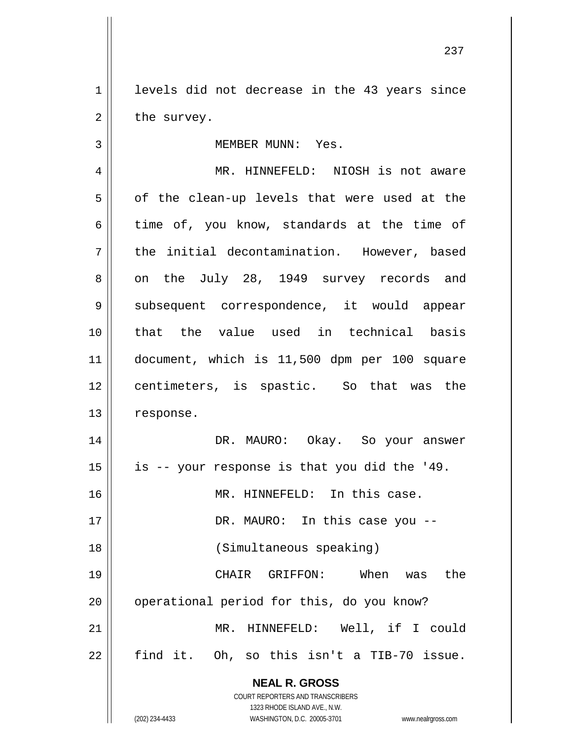1 || levels did not decrease in the 43 years since  $2 \parallel$  the survey.

## 3 || MEMBER MUNN: Yes. 4 MR. HINNEFELD: NIOSH is not aware  $5 \parallel$  of the clean-up levels that were used at the 6 time of, you know, standards at the time of  $7$  | the initial decontamination. However, based 8 || on the July 28, 1949 survey records and 9 Subsequent correspondence, it would appear 10 that the value used in technical basis 11 document, which is 11,500 dpm per 100 square

12 || centimeters, is spastic. So that was the

13 | response. DR. MAURO: Okay. So your answer | is -- your response is that you did the '49. MR. HINNEFELD: In this case. 17 || DR. MAURO: In this case you -- (Simultaneous speaking) CHAIR GRIFFON: When was the 20 || operational period for this, do you know? MR. HINNEFELD: Well, if I could find it. Oh, so this isn't a TIB-70 issue.

> **NEAL R. GROSS** COURT REPORTERS AND TRANSCRIBERS

> > 1323 RHODE ISLAND AVE., N.W.

(202) 234-4433 WASHINGTON, D.C. 20005-3701 www.nealrgross.com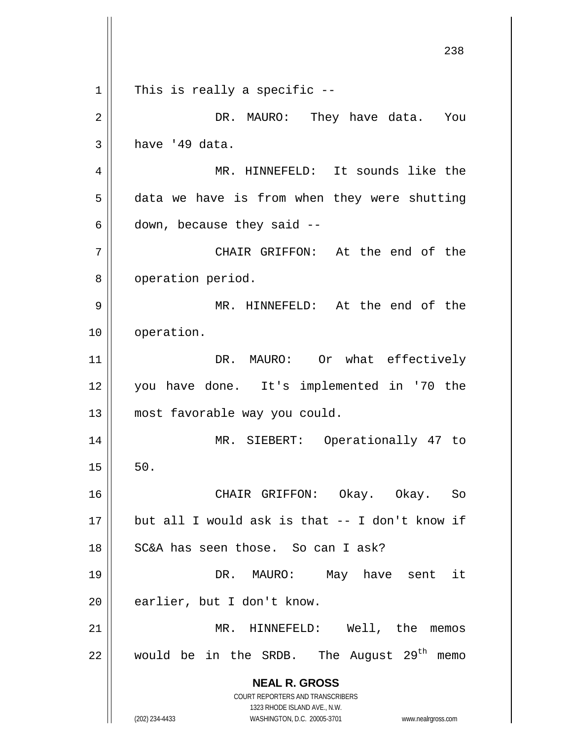|    | 238                                                                                                                                                                    |
|----|------------------------------------------------------------------------------------------------------------------------------------------------------------------------|
| 1  | This is really a specific --                                                                                                                                           |
| 2  | DR. MAURO: They have data.<br>You                                                                                                                                      |
| 3  | have '49 data.                                                                                                                                                         |
| 4  | MR. HINNEFELD: It sounds like the                                                                                                                                      |
| 5  | data we have is from when they were shutting                                                                                                                           |
| 6  | down, because they said --                                                                                                                                             |
| 7  | CHAIR GRIFFON: At the end of the                                                                                                                                       |
| 8  | operation period.                                                                                                                                                      |
| 9  | MR. HINNEFELD: At the end of the                                                                                                                                       |
| 10 | operation.                                                                                                                                                             |
| 11 | DR. MAURO: Or what effectively                                                                                                                                         |
| 12 | you have done. It's implemented in '70 the                                                                                                                             |
| 13 | most favorable way you could.                                                                                                                                          |
| 14 | MR.<br>SIEBERT:<br>Operationally 47 to                                                                                                                                 |
| 15 | 50.                                                                                                                                                                    |
| 16 | CHAIR GRIFFON: Okay. Okay. So                                                                                                                                          |
| 17 | but all I would ask is that -- I don't know if                                                                                                                         |
| 18 | SC&A has seen those. So can I ask?                                                                                                                                     |
| 19 | MAURO: May have sent it<br>DR.                                                                                                                                         |
| 20 | earlier, but I don't know.                                                                                                                                             |
| 21 | MR. HINNEFELD: Well, the<br>memos                                                                                                                                      |
| 22 | would be in the SRDB. The August 29 <sup>th</sup><br>memo                                                                                                              |
|    | <b>NEAL R. GROSS</b><br><b>COURT REPORTERS AND TRANSCRIBERS</b><br>1323 RHODE ISLAND AVE., N.W.<br>(202) 234-4433<br>WASHINGTON, D.C. 20005-3701<br>www.nealrgross.com |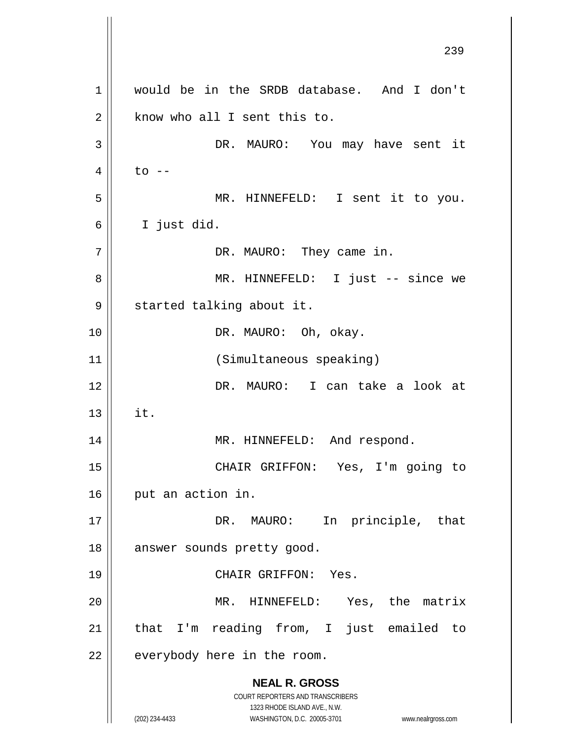**NEAL R. GROSS** COURT REPORTERS AND TRANSCRIBERS 1323 RHODE ISLAND AVE., N.W. (202) 234-4433 WASHINGTON, D.C. 20005-3701 www.nealrgross.com 239 1 would be in the SRDB database. And I don't  $2 \parallel$  know who all I sent this to. 3 DR. MAURO: You may have sent it  $4 \parallel$  to  $-$ 5 MR. HINNEFELD: I sent it to you. 6 I just did. 7 || DR. MAURO: They came in. 8 MR. HINNEFELD: I just -- since we 9 || started talking about it. 10 || DR. MAURO: Oh, okay. 11 (Simultaneous speaking) 12 DR. MAURO: I can take a look at  $13$   $\parallel$  it. 14 | MR. HINNEFELD: And respond. 15 CHAIR GRIFFON: Yes, I'm going to 16 | put an action in. 17 || DR. MAURO: In principle, that 18 || answer sounds pretty good. 19 CHAIR GRIFFON: Yes. 20 MR. HINNEFELD: Yes, the matrix 21 || that I'm reading from, I just emailed to  $22$  | everybody here in the room.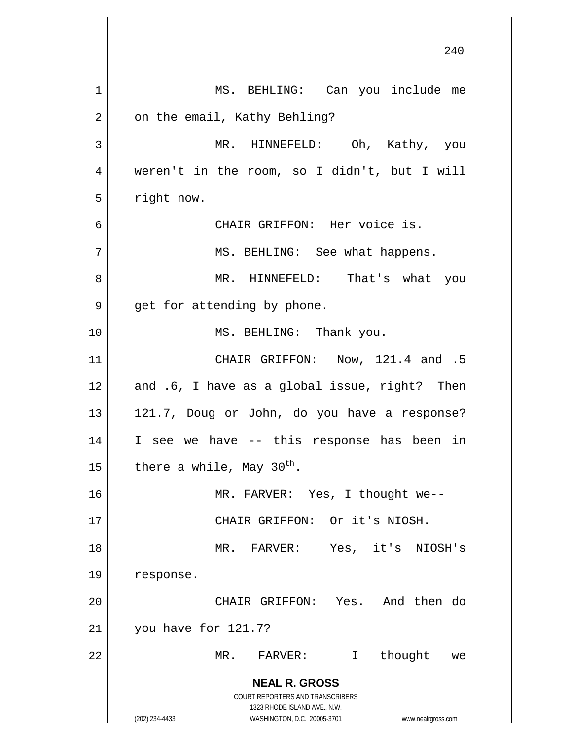|    | 240                                                                                                 |
|----|-----------------------------------------------------------------------------------------------------|
| 1  | MS. BEHLING: Can you include me                                                                     |
| 2  | on the email, Kathy Behling?                                                                        |
| 3  | MR. HINNEFELD: Oh, Kathy, you                                                                       |
| 4  | weren't in the room, so I didn't, but I will                                                        |
| 5  | right now.                                                                                          |
| 6  | CHAIR GRIFFON: Her voice is.                                                                        |
| 7  | MS. BEHLING: See what happens.                                                                      |
| 8  | MR. HINNEFELD: That's what you                                                                      |
| 9  | get for attending by phone.                                                                         |
| 10 | MS. BEHLING: Thank you.                                                                             |
| 11 | CHAIR GRIFFON: Now, 121.4 and .5                                                                    |
| 12 | and .6, I have as a global issue, right? Then                                                       |
| 13 | 121.7, Doug or John, do you have a response?                                                        |
| 14 | I see we have -- this response has been in                                                          |
| 15 | there a while, May 30 <sup>th</sup> .                                                               |
| 16 | MR. FARVER: Yes, I thought we--                                                                     |
| 17 | CHAIR GRIFFON: Or it's NIOSH.                                                                       |
| 18 | MR. FARVER: Yes, it's NIOSH's                                                                       |
| 19 | response.                                                                                           |
| 20 | CHAIR GRIFFON: Yes. And then do                                                                     |
| 21 | you have for 121.7?                                                                                 |
| 22 | thought<br>MR.<br>$\mathtt{FARVER}$ :<br>$\mathbf{I}$<br>we                                         |
|    | <b>NEAL R. GROSS</b><br>COURT REPORTERS AND TRANSCRIBERS                                            |
|    | 1323 RHODE ISLAND AVE., N.W.<br>(202) 234-4433<br>WASHINGTON, D.C. 20005-3701<br>www.nealrgross.com |

 $\mathop{\text{||}}$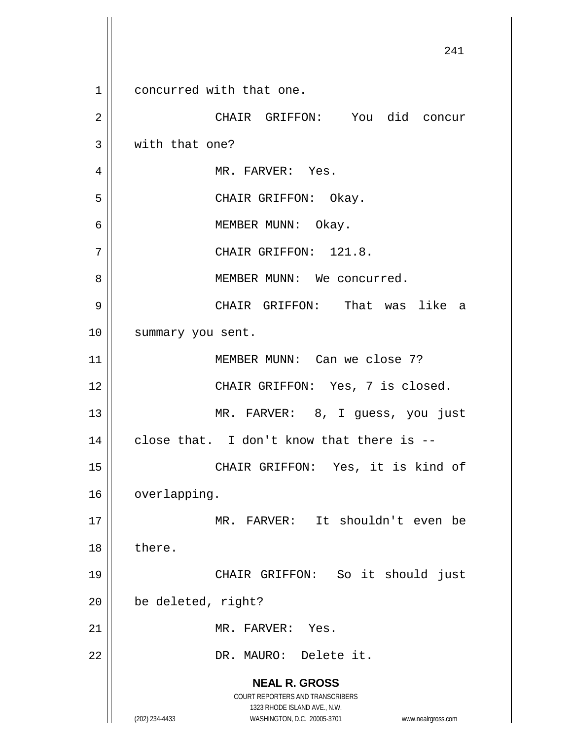**NEAL R. GROSS** COURT REPORTERS AND TRANSCRIBERS 1323 RHODE ISLAND AVE., N.W. (202) 234-4433 WASHINGTON, D.C. 20005-3701 www.nealrgross.com 241 1 concurred with that one. 2 CHAIR GRIFFON: You did concur 3 | with that one? 4 | MR. FARVER: Yes. 5 CHAIR GRIFFON: Okay. 6 MEMBER MUNN: Okay. 7 || CHAIR GRIFFON: 121.8. 8 | MEMBER MUNN: We concurred. 9 CHAIR GRIFFON: That was like a 10 || summary you sent. 11 MEMBER MUNN: Can we close 7? 12 || CHAIR GRIFFON: Yes, 7 is closed. 13 || MR. FARVER: 8, I guess, you just  $14$  | close that. I don't know that there is --15 || CHAIR GRIFFON: Yes, it is kind of 16 | overlapping. 17 MR. FARVER: It shouldn't even be 18 l there. 19 CHAIR GRIFFON: So it should just 20 | be deleted, right? 21 || MR. FARVER: Yes. 22 || DR. MAURO: Delete it.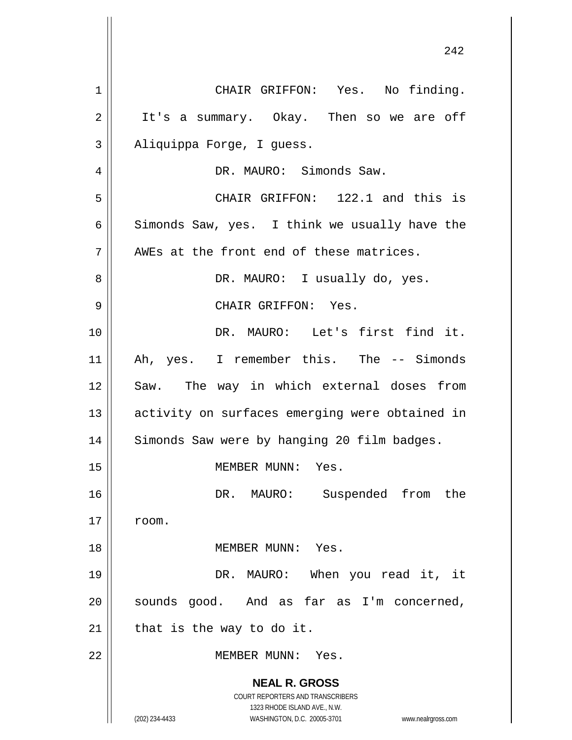**NEAL R. GROSS** COURT REPORTERS AND TRANSCRIBERS 1323 RHODE ISLAND AVE., N.W. (202) 234-4433 WASHINGTON, D.C. 20005-3701 www.nealrgross.com 1 || CHAIR GRIFFON: Yes. No finding. 2 | It's a summary. Okay. Then so we are off 3 || Aliquippa Forge, I guess. 4 | R. MAURO: Simonds Saw. 5 CHAIR GRIFFON: 122.1 and this is 6 Simonds Saw, yes. I think we usually have the  $7$  || AWEs at the front end of these matrices. 8 DR. MAURO: I usually do, yes. 9 CHAIR GRIFFON: Yes. 10 DR. MAURO: Let's first find it. 11 || Ah, yes. I remember this. The -- Simonds 12 Saw. The way in which external doses from 13 || activity on surfaces emerging were obtained in 14 | Simonds Saw were by hanging 20 film badges. 15 MEMBER MUNN: Yes. 16 DR. MAURO: Suspended from the  $17 \parallel$  room. 18 MEMBER MUNN: Yes. 19 DR. MAURO: When you read it, it 20 || sounds good. And as far as I'm concerned,  $21$  | that is the way to do it. 22 MEMBER MUNN: Yes.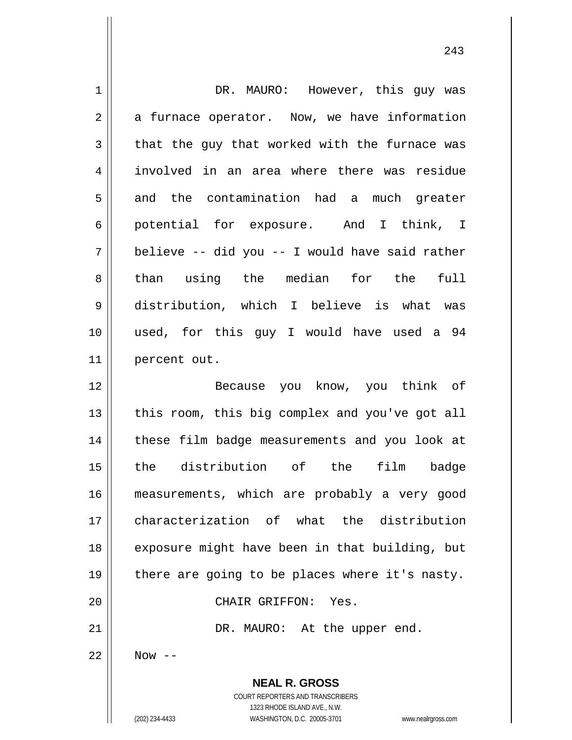| $\mathbf 1$    | DR. MAURO: However, this guy was                                                                                                                                |
|----------------|-----------------------------------------------------------------------------------------------------------------------------------------------------------------|
| $\overline{2}$ | a furnace operator. Now, we have information                                                                                                                    |
| $\mathfrak{Z}$ | that the guy that worked with the furnace was                                                                                                                   |
| $\overline{4}$ | involved in an area where there was residue                                                                                                                     |
| 5              | and the contamination had a much greater                                                                                                                        |
| 6              | potential for exposure. And I think, I                                                                                                                          |
| 7              | believe -- did you -- I would have said rather                                                                                                                  |
| 8              | than using the median for the full                                                                                                                              |
| $\mathsf 9$    | distribution, which I believe is what was                                                                                                                       |
| 10             | used, for this guy I would have used a 94                                                                                                                       |
| 11             | percent out.                                                                                                                                                    |
| 12             | Because you know, you think of                                                                                                                                  |
| 13             | this room, this big complex and you've got all                                                                                                                  |
| 14             | these film badge measurements and you look at                                                                                                                   |
| 15             | the distribution of the film<br>badge                                                                                                                           |
| 16             | measurements, which are probably a very good                                                                                                                    |
| 17             | characterization of what the distribution                                                                                                                       |
| 18             | exposure might have been in that building, but                                                                                                                  |
| 19             | there are going to be places where it's nasty.                                                                                                                  |
| 20             | CHAIR GRIFFON: Yes.                                                                                                                                             |
| 21             | DR. MAURO: At the upper end.                                                                                                                                    |
| 22             | Now $--$                                                                                                                                                        |
|                | <b>NEAL R. GROSS</b><br>COURT REPORTERS AND TRANSCRIBERS<br>1323 RHODE ISLAND AVE., N.W.<br>(202) 234-4433<br>WASHINGTON, D.C. 20005-3701<br>www.nealrgross.com |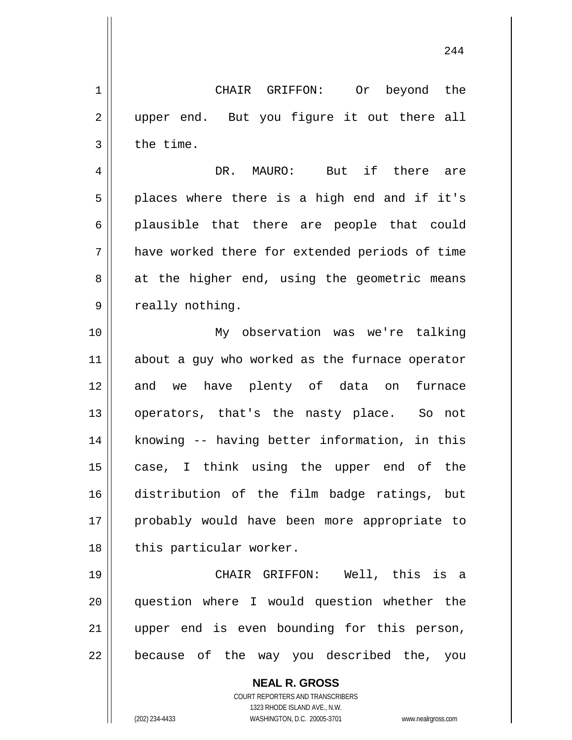244

**NEAL R. GROSS** COURT REPORTERS AND TRANSCRIBERS 1 CHAIR GRIFFON: Or beyond the 2 || upper end. But you figure it out there all  $3 \parallel$  the time. 4 DR. MAURO: But if there are  $5 \parallel$  places where there is a high end and if it's 6 || plausible that there are people that could 7 have worked there for extended periods of time  $8 \parallel$  at the higher end, using the geometric means 9 || really nothing. 10 My observation was we're talking 11 || about a guy who worked as the furnace operator 12 and we have plenty of data on furnace 13 operators, that's the nasty place. So not 14 || knowing -- having better information, in this 15 case, I think using the upper end of the 16 distribution of the film badge ratings, but 17 || probably would have been more appropriate to 18 || this particular worker. 19 CHAIR GRIFFON: Well, this is a 20 question where I would question whether the 21 upper end is even bounding for this person,  $22$  || because of the way you described the, you

1323 RHODE ISLAND AVE., N.W. (202) 234-4433 WASHINGTON, D.C. 20005-3701 www.nealrgross.com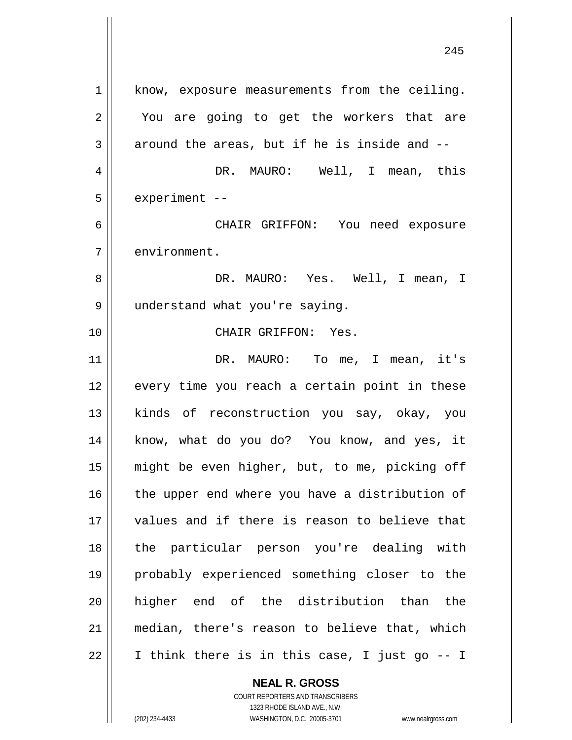1 || know, exposure measurements from the ceiling. 2 || You are going to get the workers that are  $3 \parallel$  around the areas, but if he is inside and  $-$ 4 DR. MAURO: Well, I mean, this  $5$  | experiment  $-$ 6 CHAIR GRIFFON: You need exposure 7 | environment. 8 DR. MAURO: Yes. Well, I mean, I 9 || understand what you're saying. 10 CHAIR GRIFFON: Yes. 11 DR. MAURO: To me, I mean, it's 12 || every time you reach a certain point in these 13 || kinds of reconstruction you say, okay, you 14 || know, what do you do? You know, and yes, it 15 might be even higher, but, to me, picking off 16 || the upper end where you have a distribution of 17 || values and if there is reason to believe that 18 the particular person you're dealing with 19 probably experienced something closer to the 20 higher end of the distribution than the 21 median, there's reason to believe that, which  $22 \parallel$  I think there is in this case, I just go -- I

> **NEAL R. GROSS** COURT REPORTERS AND TRANSCRIBERS

1323 RHODE ISLAND AVE., N.W. (202) 234-4433 WASHINGTON, D.C. 20005-3701 www.nealrgross.com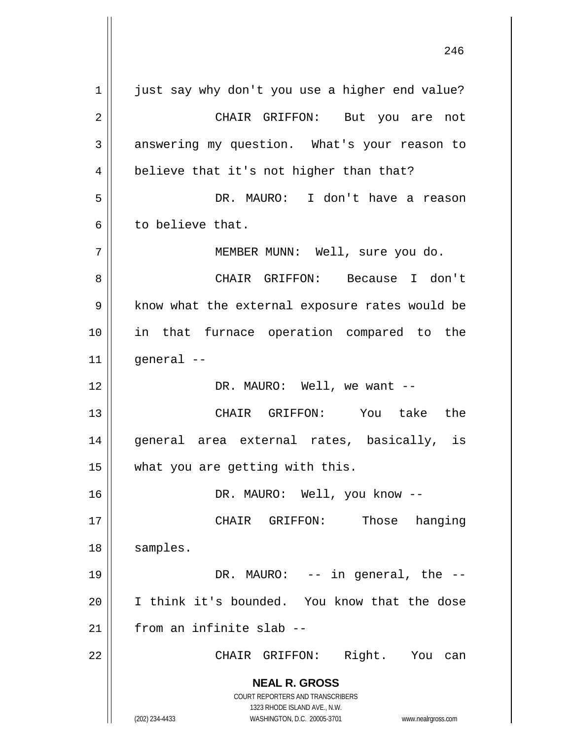**NEAL R. GROSS** COURT REPORTERS AND TRANSCRIBERS 1323 RHODE ISLAND AVE., N.W. (202) 234-4433 WASHINGTON, D.C. 20005-3701 www.nealrgross.com 1 || just say why don't you use a higher end value? 2 CHAIR GRIFFON: But you are not 3 answering my question. What's your reason to  $4 \parallel$  believe that it's not higher than that? 5 DR. MAURO: I don't have a reason 6 to believe that. 7 MEMBER MUNN: Well, sure you do. 8 CHAIR GRIFFON: Because I don't 9 | know what the external exposure rates would be 10 in that furnace operation compared to the  $11$  | qeneral --12 DR. MAURO: Well, we want -- 13 CHAIR GRIFFON: You take the 14 general area external rates, basically, is 15 || what you are getting with this. 16 DR. MAURO: Well, you know -- 17 || CHAIR GRIFFON: Those hanging 18 || samples. 19 DR. MAURO: -- in general, the -- 20 I think it's bounded. You know that the dose  $21$   $\parallel$  from an infinite slab --22 CHAIR GRIFFON: Right. You can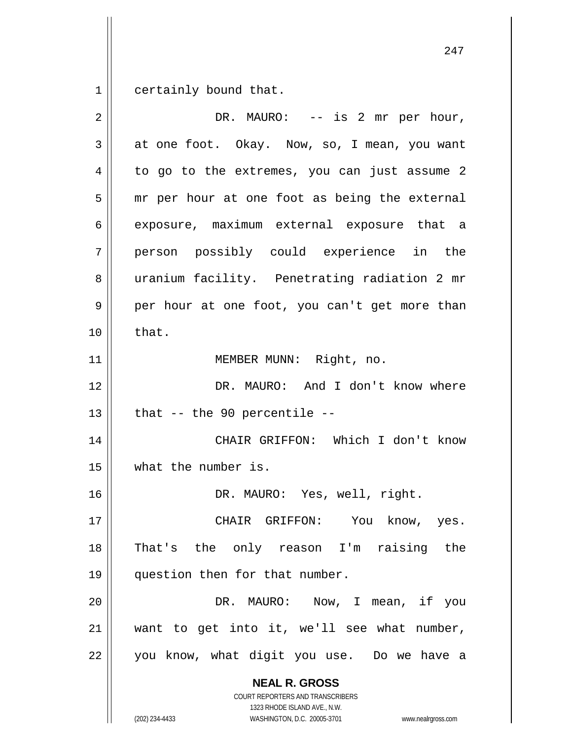$1 \parallel$  certainly bound that.

| $\overline{2}$ | DR. MAURO: $--$ is 2 mr per hour,                                                                                                                               |
|----------------|-----------------------------------------------------------------------------------------------------------------------------------------------------------------|
| 3              | at one foot. Okay. Now, so, I mean, you want                                                                                                                    |
| 4              | to go to the extremes, you can just assume 2                                                                                                                    |
| 5              | mr per hour at one foot as being the external                                                                                                                   |
| 6              | exposure, maximum external exposure that a                                                                                                                      |
| 7              | person possibly could experience in the                                                                                                                         |
| 8              | uranium facility. Penetrating radiation 2 mr                                                                                                                    |
| $\mathsf 9$    | per hour at one foot, you can't get more than                                                                                                                   |
| 10             | that.                                                                                                                                                           |
| 11             | MEMBER MUNN: Right, no.                                                                                                                                         |
| 12             | DR. MAURO: And I don't know where                                                                                                                               |
| 13             | that $--$ the 90 percentile $--$                                                                                                                                |
| 14             | CHAIR GRIFFON: Which I don't know                                                                                                                               |
| 15             | what the number is.                                                                                                                                             |
| 16             | DR. MAURO: Yes, well, right.                                                                                                                                    |
| 17             | CHAIR GRIFFON: You know, yes.                                                                                                                                   |
| 18             | That's the only reason I'm raising the                                                                                                                          |
| 19             | question then for that number.                                                                                                                                  |
| 20             | DR. MAURO: Now, I mean, if you                                                                                                                                  |
| 21             | want to get into it, we'll see what number,                                                                                                                     |
| 22             | you know, what digit you use. Do we have a                                                                                                                      |
|                | <b>NEAL R. GROSS</b><br>COURT REPORTERS AND TRANSCRIBERS<br>1323 RHODE ISLAND AVE., N.W.<br>(202) 234-4433<br>WASHINGTON, D.C. 20005-3701<br>www.nealrgross.com |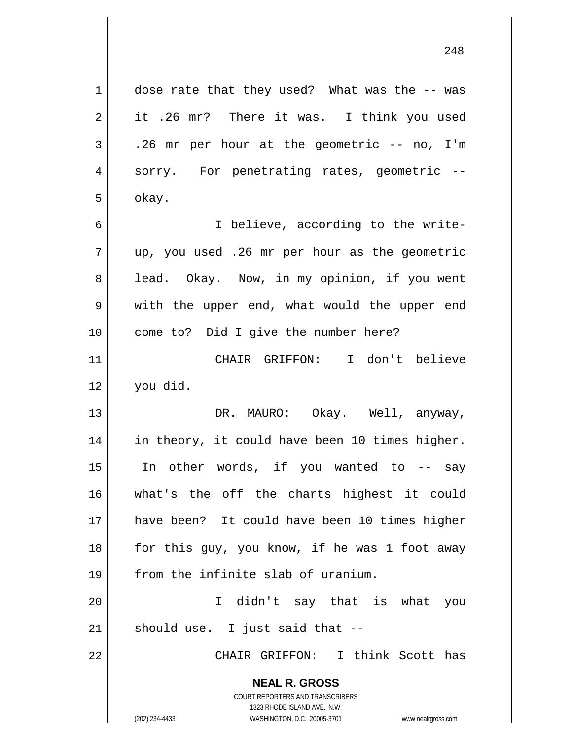**NEAL R. GROSS** COURT REPORTERS AND TRANSCRIBERS 1323 RHODE ISLAND AVE., N.W. (202) 234-4433 WASHINGTON, D.C. 20005-3701 www.nealrgross.com 1 | dose rate that they used? What was the -- was 2 | it .26 mr? There it was. I think you used  $3 \parallel$  .26 mr per hour at the geometric -- no, I'm 4 || sorry. For penetrating rates, geometric -- $5 \parallel$  okay. 6 || I believe, according to the write- $7 \parallel$  up, you used .26 mr per hour as the geometric 8 || lead. Okay. Now, in my opinion, if you went 9 || with the upper end, what would the upper end 10 || come to? Did I give the number here? 11 CHAIR GRIFFON: I don't believe 12 you did. 13 DR. MAURO: Okay. Well, anyway, 14 || in theory, it could have been 10 times higher. 15 In other words, if you wanted to -- say 16 what's the off the charts highest it could 17 have been? It could have been 10 times higher  $18$  || for this guy, you know, if he was 1 foot away 19 || from the infinite slab of uranium. 20 I didn't say that is what you  $21$  should use. I just said that  $-$ 22 CHAIR GRIFFON: I think Scott has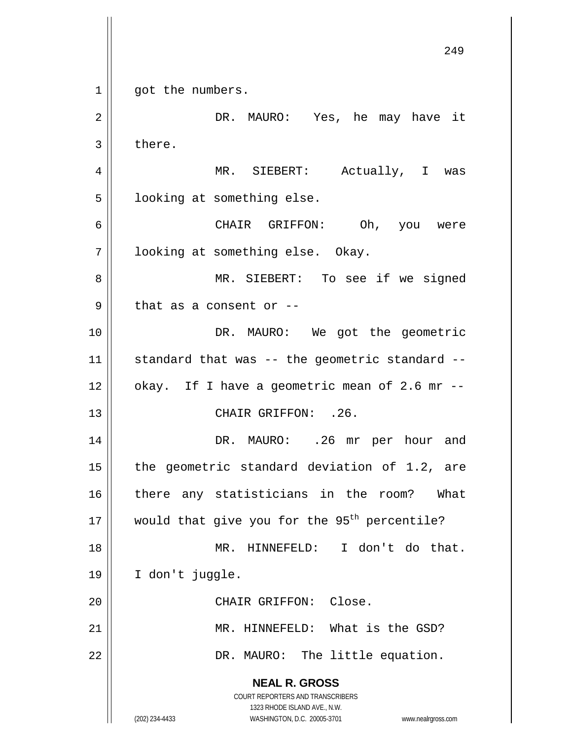**NEAL R. GROSS** COURT REPORTERS AND TRANSCRIBERS 1323 RHODE ISLAND AVE., N.W. (202) 234-4433 WASHINGTON, D.C. 20005-3701 www.nealrgross.com 1 || got the numbers. 2 DR. MAURO: Yes, he may have it  $3 \parallel$  there. 4 MR. SIEBERT: Actually, I was 5 | looking at something else. 6 CHAIR GRIFFON: Oh, you were 7 | looking at something else. Okay. 8 || MR. SIEBERT: To see if we signed  $9$  | that as a consent or  $-$ 10 || DR. MAURO: We got the geometric  $11$  standard that was -- the geometric standard -- $12$  | okay. If I have a geometric mean of 2.6 mr  $-$ 13 || CHAIR GRIFFON: .26. 14 DR. MAURO: .26 mr per hour and 15  $\parallel$  the geometric standard deviation of 1.2, are 16 || there any statisticians in the room? What 17 | would that give you for the 95<sup>th</sup> percentile? 18 MR. HINNEFELD: I don't do that. 19 I don't juggle. 20 || CHAIR GRIFFON: Close. 21 MR. HINNEFELD: What is the GSD? 22 | DR. MAURO: The little equation.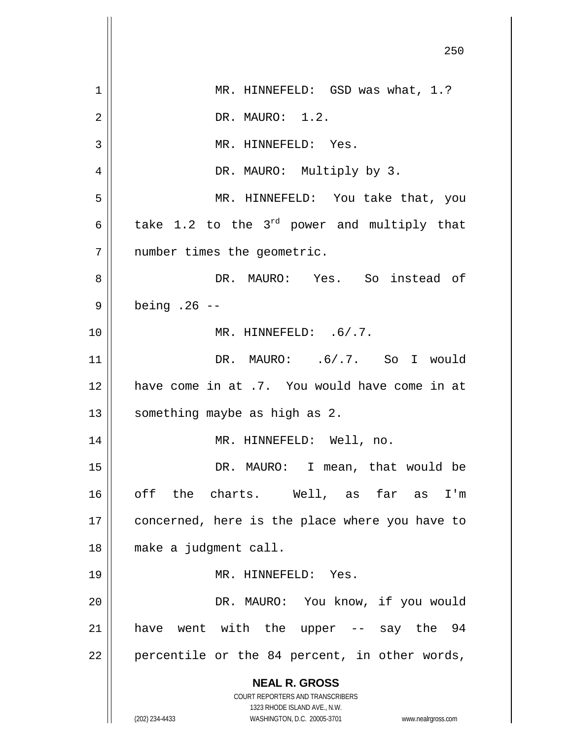|                | 250                                                                                                 |
|----------------|-----------------------------------------------------------------------------------------------------|
| 1              | MR. HINNEFELD: GSD was what, 1.?                                                                    |
| $\overline{2}$ | DR. MAURO: 1.2.                                                                                     |
| 3              | MR. HINNEFELD: Yes.                                                                                 |
| 4              | DR. MAURO: Multiply by 3.                                                                           |
| 5              | MR. HINNEFELD: You take that, you                                                                   |
| 6              | take 1.2 to the $3^{rd}$ power and multiply that                                                    |
| 7              | number times the geometric.                                                                         |
| 8              | DR. MAURO: Yes. So instead of                                                                       |
| 9              | being $.26 -$                                                                                       |
| 10             | MR. HINNEFELD: .6/.7.                                                                               |
| 11             | DR. MAURO: .6/.7. So I would                                                                        |
| 12             | have come in at .7. You would have come in at                                                       |
| 13             | something maybe as high as 2.                                                                       |
| 14             | MR. HINNEFELD: Well, no.                                                                            |
| 15             | DR. MAURO: I mean, that would be                                                                    |
| 16             | off the charts. Well, as far as I'm                                                                 |
| 17             | concerned, here is the place where you have to                                                      |
| 18             | make a judgment call.                                                                               |
| 19             | MR. HINNEFELD: Yes.                                                                                 |
| 20             | DR. MAURO: You know, if you would                                                                   |
| 21             | have went with the upper -- say the 94                                                              |
| 22             | percentile or the 84 percent, in other words,                                                       |
|                | <b>NEAL R. GROSS</b>                                                                                |
|                | <b>COURT REPORTERS AND TRANSCRIBERS</b>                                                             |
|                | 1323 RHODE ISLAND AVE., N.W.<br>(202) 234-4433<br>WASHINGTON, D.C. 20005-3701<br>www.nealrgross.com |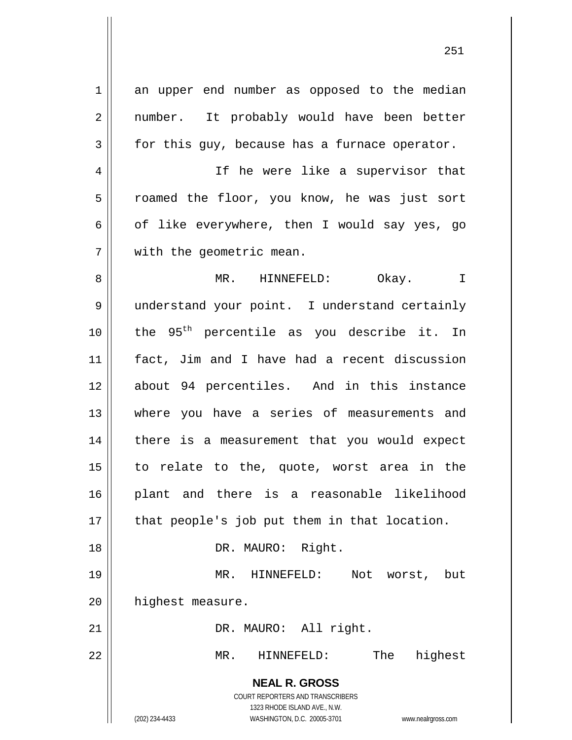**NEAL R. GROSS** COURT REPORTERS AND TRANSCRIBERS 1323 RHODE ISLAND AVE., N.W. (202) 234-4433 WASHINGTON, D.C. 20005-3701 www.nealrgross.com 1 an upper end number as opposed to the median 2 || number. It probably would have been better  $3 \parallel$  for this guy, because has a furnace operator. 4 || If he were like a supervisor that 5 || roamed the floor, you know, he was just sort 6 | of like everywhere, then I would say yes, go 7 | with the geometric mean. 8 MR. HINNEFELD: Okay. I 9 || understand your point. I understand certainly 10  $\parallel$  the 95<sup>th</sup> percentile as you describe it. In 11 fact, Jim and I have had a recent discussion 12 about 94 percentiles. And in this instance 13 where you have a series of measurements and 14 there is a measurement that you would expect 15 to relate to the, quote, worst area in the 16 plant and there is a reasonable likelihood  $17$  || that people's job put them in that location. 18 || DR. MAURO: Right. 19 MR. HINNEFELD: Not worst, but 20 | highest measure. 21 || DR. MAURO: All right. 22 MR. HINNEFELD: The highest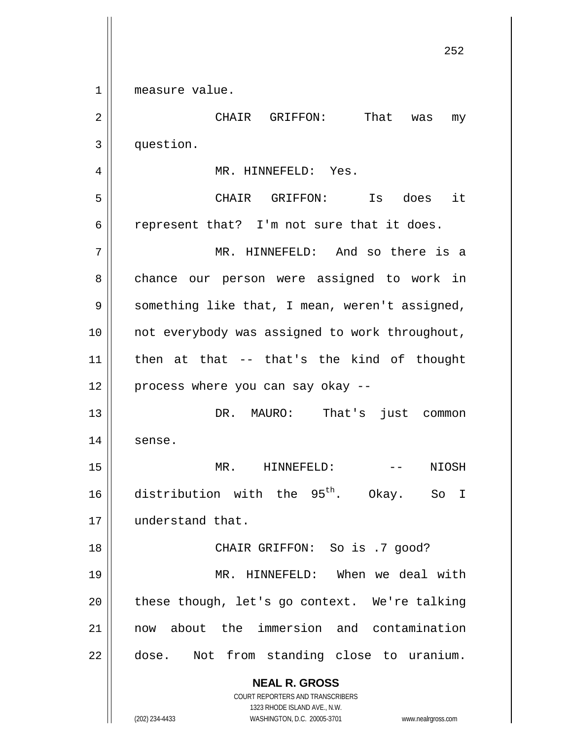1 || measure value.

**NEAL R. GROSS** COURT REPORTERS AND TRANSCRIBERS 1323 RHODE ISLAND AVE., N.W. (202) 234-4433 WASHINGTON, D.C. 20005-3701 www.nealrgross.com 2 CHAIR GRIFFON: That was my 3 | question. 4 MR. HINNEFELD: Yes. 5 CHAIR GRIFFON: Is does it  $6 \parallel$  represent that? I'm not sure that it does. 7 MR. HINNEFELD: And so there is a 8 chance our person were assigned to work in  $9 \parallel$  something like that, I mean, weren't assigned, 10 || not everybody was assigned to work throughout,  $11$  | then at that -- that's the kind of thought  $12$  | process where you can say okay --13 DR. MAURO: That's just common 14 || sense. 15 MR. HINNEFELD: -- NIOSH 16 distribution with the  $95<sup>th</sup>$ . Okay. So I 17 | understand that. 18 || CHAIR GRIFFON: So is .7 good? 19 MR. HINNEFELD: When we deal with  $20$  || these though, let's go context. We're talking 21 now about the immersion and contamination 22 | dose. Not from standing close to uranium.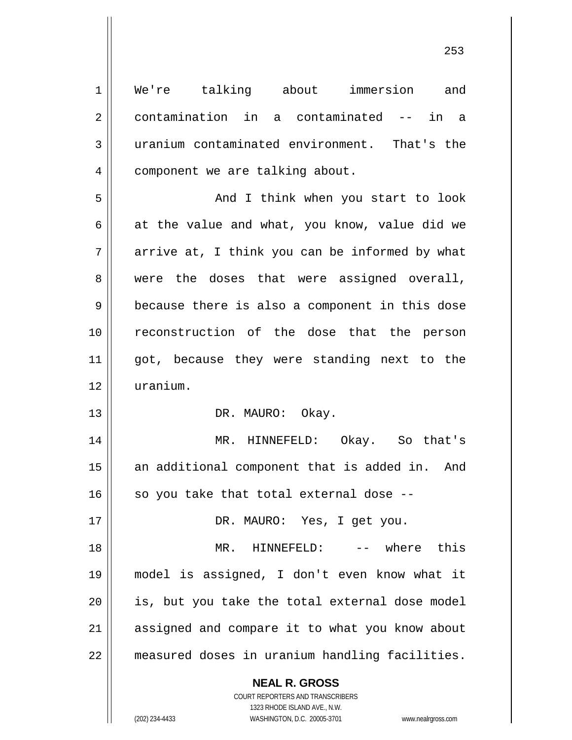**NEAL R. GROSS** COURT REPORTERS AND TRANSCRIBERS 1 We're talking about immersion and 2 contamination in a contaminated -- in a 3 uranium contaminated environment. That's the 4 | component we are talking about. 5 And I think when you start to look 6 at the value and what, you know, value did we  $7 \parallel$  arrive at, I think you can be informed by what 8 || were the doses that were assigned overall,  $9 \parallel$  because there is also a component in this dose 10 reconstruction of the dose that the person 11 || got, because they were standing next to the 12 uranium. 13 || DR. MAURO: Okay. 14 MR. HINNEFELD: Okay. So that's 15 || an additional component that is added in. And  $16$  so you take that total external dose --17 || DR. MAURO: Yes, I get you. 18 MR. HINNEFELD: -- where this 19 model is assigned, I don't even know what it 20 || is, but you take the total external dose model 21 assigned and compare it to what you know about 22 measured doses in uranium handling facilities.

1323 RHODE ISLAND AVE., N.W.

(202) 234-4433 WASHINGTON, D.C. 20005-3701 www.nealrgross.com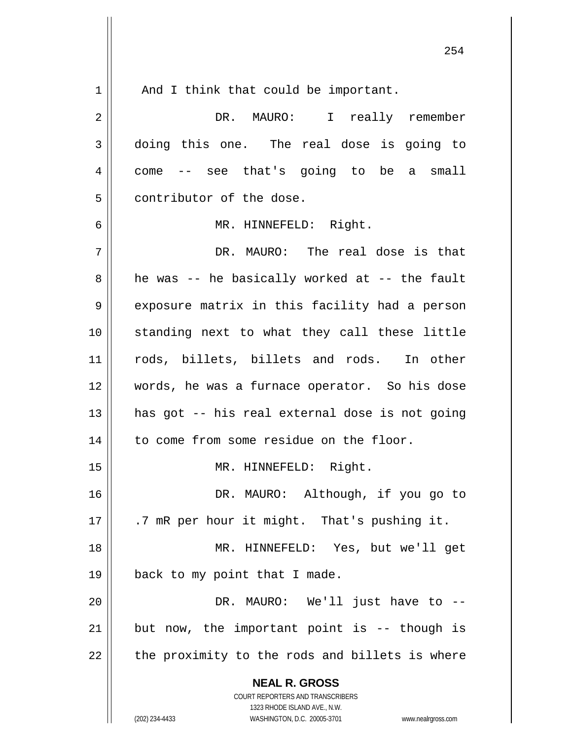|              | 254                                                                 |
|--------------|---------------------------------------------------------------------|
| $\mathbf 1$  | And I think that could be important.                                |
| 2            | DR. MAURO: I really remember                                        |
| $\mathbf{3}$ | doing this one. The real dose is going to                           |
| 4            | -- see that's going to be a small<br>come                           |
| 5            | contributor of the dose.                                            |
| 6            | MR. HINNEFELD: Right.                                               |
| 7            | DR. MAURO: The real dose is that                                    |
| 8            | he was -- he basically worked at -- the fault                       |
| 9            | exposure matrix in this facility had a person                       |
| 10           | standing next to what they call these little                        |
| 11           | rods, billets, billets and rods. In other                           |
| 12           | words, he was a furnace operator. So his dose                       |
| 13           | has got -- his real external dose is not going                      |
| 14           | to come from some residue on the floor.                             |
| 15           | MR. HINNEFELD: Right.                                               |
| 16           | DR. MAURO: Although, if you go to                                   |
| 17           | .7 mR per hour it might. That's pushing it.                         |
| 18           | MR. HINNEFELD: Yes, but we'll get                                   |
| 19           | back to my point that I made.                                       |
| 20           | DR. MAURO: We'll just have to --                                    |
| 21           | but now, the important point is -- though is                        |
| 22           | the proximity to the rods and billets is where                      |
|              | <b>NEAL R. GROSS</b>                                                |
|              | COURT REPORTERS AND TRANSCRIBERS<br>1323 RHODE ISLAND AVE., N.W.    |
|              | (202) 234-4433<br>WASHINGTON, D.C. 20005-3701<br>www.nealrgross.com |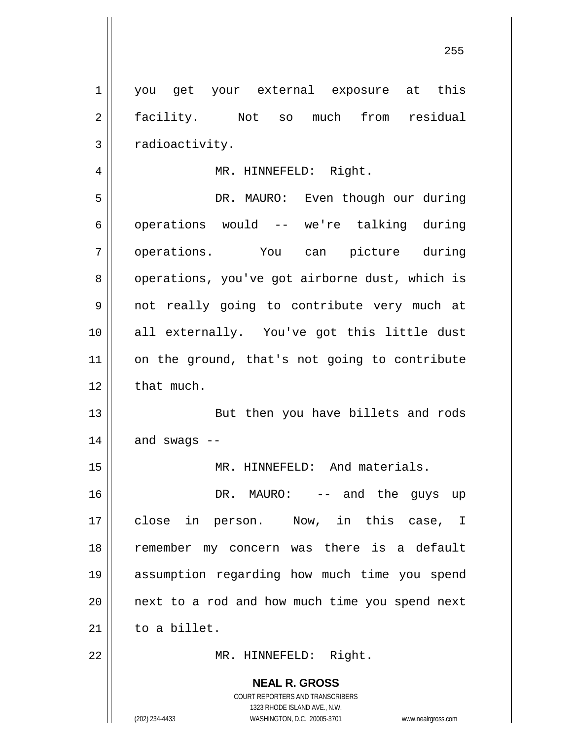**NEAL R. GROSS** COURT REPORTERS AND TRANSCRIBERS 1323 RHODE ISLAND AVE., N.W. 1 || you get your external exposure at this 2 facility. Not so much from residual  $3 \parallel$  radioactivity. 4 || MR. HINNEFELD: Right. 5 DR. MAURO: Even though our during 6 | operations would -- we're talking during 7 || operations. You can picture during 8 | operations, you've got airborne dust, which is 9 || not really going to contribute very much at 10 || all externally. You've got this little dust 11 || on the ground, that's not going to contribute  $12$  | that much. 13 || But then you have billets and rods  $14$  | and swags --15 || MR. HINNEFELD: And materials. 16 DR. MAURO: -- and the guys up 17 close in person. Now, in this case, I 18 || remember my concern was there is a default 19 assumption regarding how much time you spend  $20$  | next to a rod and how much time you spend next  $21$  to a billet. 22 || MR. HINNEFELD: Right.

(202) 234-4433 WASHINGTON, D.C. 20005-3701 www.nealrgross.com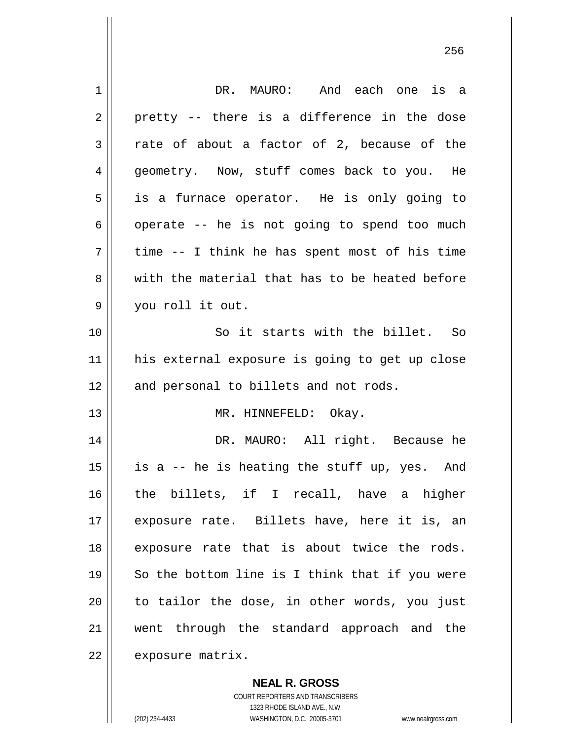| 1  | DR. MAURO: And each one is a                   |
|----|------------------------------------------------|
| 2  | pretty -- there is a difference in the dose    |
| 3  | rate of about a factor of 2, because of the    |
| 4  | geometry. Now, stuff comes back to you. He     |
| 5  | is a furnace operator. He is only going to     |
| 6  | operate -- he is not going to spend too much   |
| 7  | time -- I think he has spent most of his time  |
| 8  | with the material that has to be heated before |
| 9  | you roll it out.                               |
| 10 | So it starts with the billet. So               |
| 11 | his external exposure is going to get up close |
| 12 | and personal to billets and not rods.          |
| 13 |                                                |
|    | MR. HINNEFELD: Okay.                           |
| 14 | DR. MAURO: All right. Because he               |
| 15 | is a -- he is heating the stuff up, yes. And   |
| 16 | the billets, if I recall, have a higher        |
| 17 | exposure rate. Billets have, here it is, an    |
| 18 | exposure rate that is about twice the rods.    |
| 19 | So the bottom line is I think that if you were |
| 20 | to tailor the dose, in other words, you just   |
| 21 | went through the standard approach and the     |

**NEAL R. GROSS**

COURT REPORTERS AND TRANSCRIBERS 1323 RHODE ISLAND AVE., N.W. (202) 234-4433 WASHINGTON, D.C. 20005-3701 www.nealrgross.com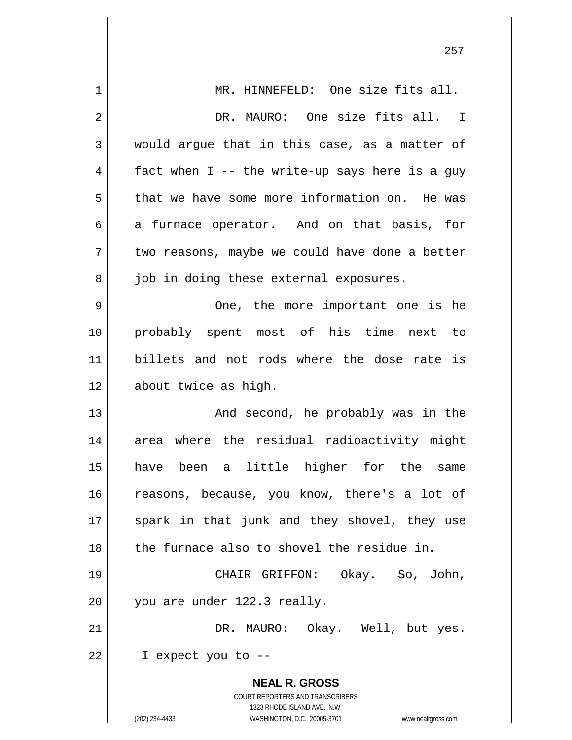| $\mathbf 1$    | MR. HINNEFELD: One size fits all.                                                                   |
|----------------|-----------------------------------------------------------------------------------------------------|
| $\overline{2}$ | DR. MAURO: One size fits all. I                                                                     |
| 3              | would argue that in this case, as a matter of                                                       |
| 4              | fact when I -- the write-up says here is a guy                                                      |
| 5              | that we have some more information on. He was                                                       |
| 6              | a furnace operator. And on that basis, for                                                          |
| 7              | two reasons, maybe we could have done a better                                                      |
| 8              | job in doing these external exposures.                                                              |
| 9              | One, the more important one is he                                                                   |
| 10             | probably spent most of his time<br>next to                                                          |
| 11             | billets and not rods where the dose rate is                                                         |
| 12             | about twice as high.                                                                                |
| 13             | And second, he probably was in the                                                                  |
| 14             | where the residual radioactivity might<br>area                                                      |
| 15             | little higher<br>have been<br>for the<br>a<br>same                                                  |
| 16             | reasons, because, you know, there's a lot of                                                        |
| 17             | spark in that junk and they shovel, they use                                                        |
| 18             | the furnace also to shovel the residue in.                                                          |
| 19             | CHAIR GRIFFON: Okay. So, John,                                                                      |
| 20             | you are under 122.3 really.                                                                         |
| 21             | DR. MAURO: Okay. Well, but yes.                                                                     |
| 22             | I expect you to --                                                                                  |
|                | <b>NEAL R. GROSS</b>                                                                                |
|                | COURT REPORTERS AND TRANSCRIBERS                                                                    |
|                | 1323 RHODE ISLAND AVE., N.W.<br>(202) 234-4433<br>WASHINGTON, D.C. 20005-3701<br>www.nealrgross.com |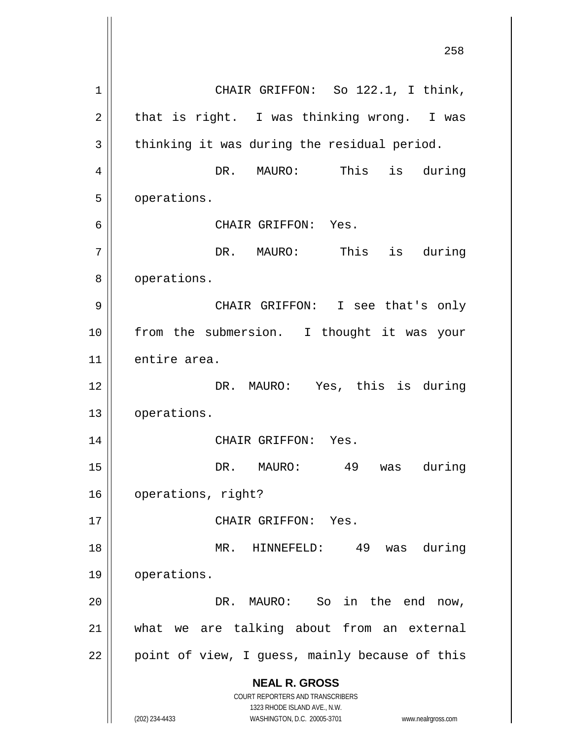**NEAL R. GROSS** COURT REPORTERS AND TRANSCRIBERS 1323 RHODE ISLAND AVE., N.W. (202) 234-4433 WASHINGTON, D.C. 20005-3701 www.nealrgross.com 1 || CHAIR GRIFFON: So 122.1, I think,  $2 \parallel$  that is right. I was thinking wrong. I was  $3 \parallel$  thinking it was during the residual period. 4 DR. MAURO: This is during 5 | operations. 6 CHAIR GRIFFON: Yes. 7 || DR. MAURO: This is during 8 | operations. 9 CHAIR GRIFFON: I see that's only 10 || from the submersion. I thought it was your 11 | entire area. 12 || DR. MAURO: Yes, this is during 13 | operations. 14 CHAIR GRIFFON: Yes. 15 || The Sole DR. MAURO: 49 was during 16 | operations, right? 17 || CHAIR GRIFFON: Yes. 18 MR. HINNEFELD: 49 was during 19 operations. 20 DR. MAURO: So in the end now, 21 what we are talking about from an external  $22$  || point of view, I guess, mainly because of this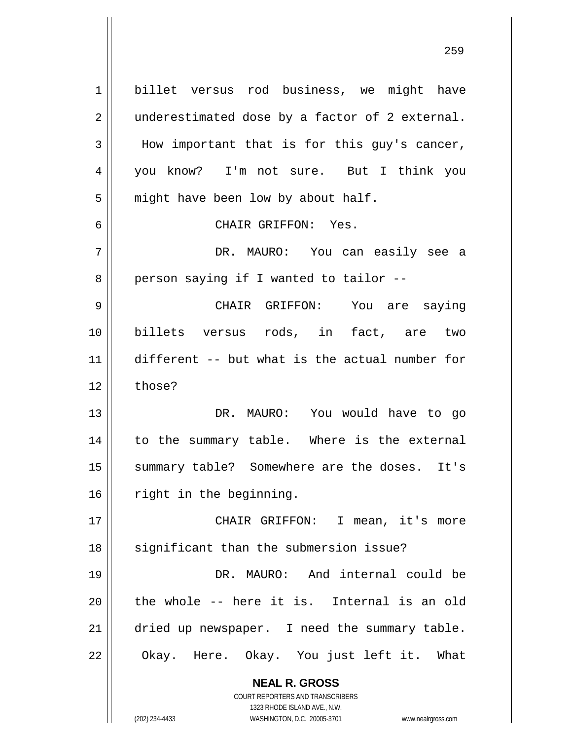**NEAL R. GROSS** COURT REPORTERS AND TRANSCRIBERS 1323 RHODE ISLAND AVE., N.W. 1 billet versus rod business, we might have  $2 \parallel$  underestimated dose by a factor of 2 external.  $3 \parallel$  How important that is for this guy's cancer, 4 you know? I'm not sure. But I think you  $5 \parallel$  might have been low by about half. 6 CHAIR GRIFFON: Yes. 7 DR. MAURO: You can easily see a  $8 \parallel$  person saying if I wanted to tailor --9 CHAIR GRIFFON: You are saying 10 billets versus rods, in fact, are two 11 different -- but what is the actual number for  $12 \parallel$  those? 13 DR. MAURO: You would have to go 14 || to the summary table. Where is the external 15 || summary table? Somewhere are the doses. It's 16 || right in the beginning. 17 CHAIR GRIFFON: I mean, it's more 18 || significant than the submersion issue? 19 DR. MAURO: And internal could be  $20$  || the whole -- here it is. Internal is an old 21 | dried up newspaper. I need the summary table. 22 || Okay. Here. Okay. You just left it. What

(202) 234-4433 WASHINGTON, D.C. 20005-3701 www.nealrgross.com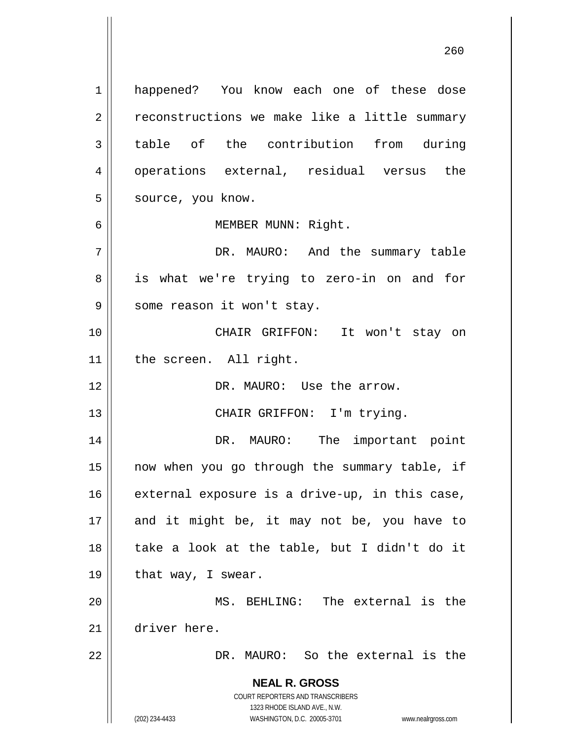**NEAL R. GROSS** COURT REPORTERS AND TRANSCRIBERS 1323 RHODE ISLAND AVE., N.W. (202) 234-4433 WASHINGTON, D.C. 20005-3701 www.nealrgross.com 1 happened? You know each one of these dose 2 | reconstructions we make like a little summary 3 table of the contribution from during 4 || operations external, residual versus the 5 || source, you know. 6 MEMBER MUNN: Right. 7 DR. MAURO: And the summary table 8 || is what we're trying to zero-in on and for 9 || some reason it won't stay. 10 CHAIR GRIFFON: It won't stay on 11 || the screen. All right. 12 DR. MAURO: Use the arrow. 13 || CHAIR GRIFFON: I'm trying. 14 DR. MAURO: The important point 15 now when you go through the summary table, if  $16$  external exposure is a drive-up, in this case,  $17$  and it might be, it may not be, you have to 18 || take a look at the table, but I didn't do it 19  $\parallel$  that way, I swear. 20 MS. BEHLING: The external is the 21 driver here. 22 DR. MAURO: So the external is the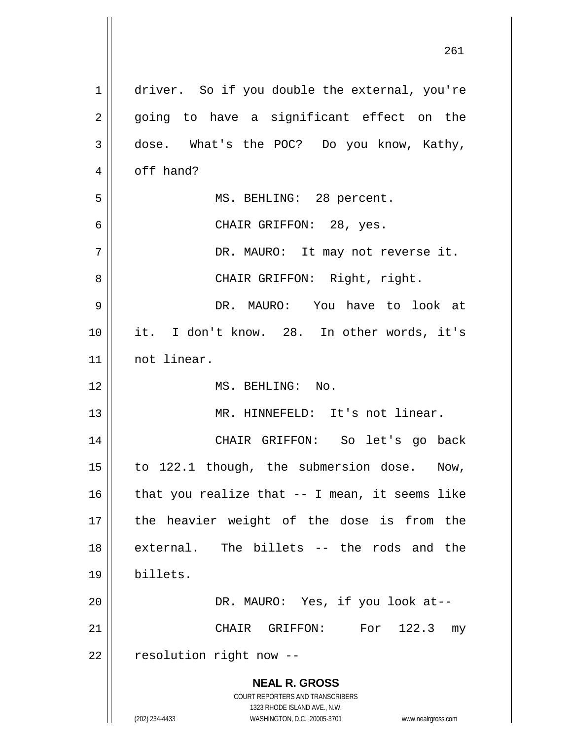| $\mathbf{1}$   | driver. So if you double the external, you're                                                       |
|----------------|-----------------------------------------------------------------------------------------------------|
| 2              | going to have a significant effect on the                                                           |
| 3              | dose. What's the POC? Do you know, Kathy,                                                           |
| $\overline{4}$ | off hand?                                                                                           |
| 5              | MS. BEHLING: 28 percent.                                                                            |
| 6              | CHAIR GRIFFON: 28, yes.                                                                             |
| 7              | DR. MAURO: It may not reverse it.                                                                   |
| 8              | CHAIR GRIFFON: Right, right.                                                                        |
| 9              | DR. MAURO: You have to look at                                                                      |
| 10             | it. I don't know. 28. In other words, it's                                                          |
| 11             | not linear.                                                                                         |
| 12             | MS. BEHLING: No.                                                                                    |
| 13             | MR. HINNEFELD: It's not linear.                                                                     |
| 14             | CHAIR GRIFFON: So let's go back                                                                     |
| 15             | to 122.1 though, the submersion dose. Now,                                                          |
| 16             | that you realize that $-$ - I mean, it seems like                                                   |
| 17             | the heavier weight of the dose is from the                                                          |
| 18             | external. The billets -- the rods and the                                                           |
| 19             | billets.                                                                                            |
| 20             | DR. MAURO: Yes, if you look at--                                                                    |
| 21             | CHAIR GRIFFON: For 122.3<br>my                                                                      |
| 22             | resolution right now --                                                                             |
|                | <b>NEAL R. GROSS</b>                                                                                |
|                | <b>COURT REPORTERS AND TRANSCRIBERS</b>                                                             |
|                | 1323 RHODE ISLAND AVE., N.W.<br>(202) 234-4433<br>WASHINGTON, D.C. 20005-3701<br>www.nealrgross.com |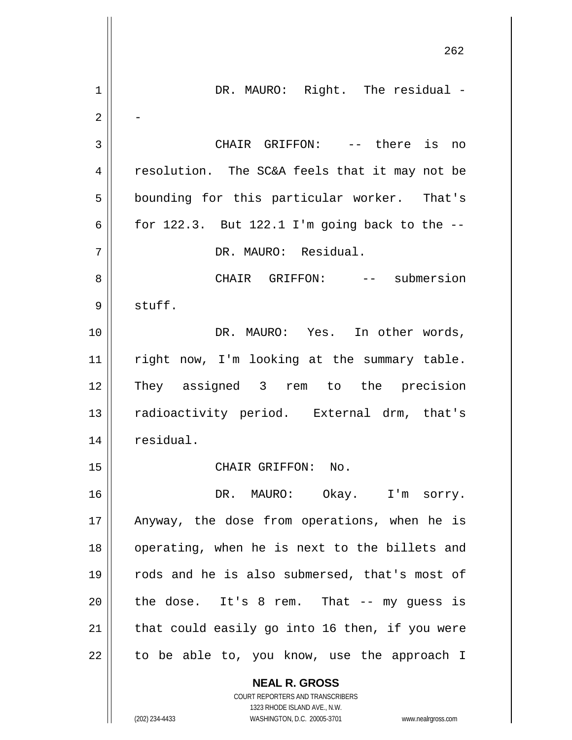**NEAL R. GROSS** 262 1 || DR. MAURO: Right. The residual -2 - 3 || CHAIR GRIFFON: -- there is no 4 || resolution. The SC&A feels that it may not be 5 || bounding for this particular worker. That's 6  $\vert$  for 122.3. But 122.1 I'm going back to the  $-$ 7 DR. MAURO: Residual. 8 CHAIR GRIFFON: -- submersion 9 stuff. 10 DR. MAURO: Yes. In other words, 11 || right now, I'm looking at the summary table. 12 They assigned 3 rem to the precision 13 || radioactivity period. External drm, that's 14 | residual. 15 || CHAIR GRIFFON: No. 16 DR. MAURO: Okay. I'm sorry. 17 || Anyway, the dose from operations, when he is 18 || operating, when he is next to the billets and 19 || rods and he is also submersed, that's most of  $20$  | the dose. It's 8 rem. That  $-$  my quess is  $21$  | that could easily go into 16 then, if you were  $22$  | to be able to, you know, use the approach I

> COURT REPORTERS AND TRANSCRIBERS 1323 RHODE ISLAND AVE., N.W.

(202) 234-4433 WASHINGTON, D.C. 20005-3701 www.nealrgross.com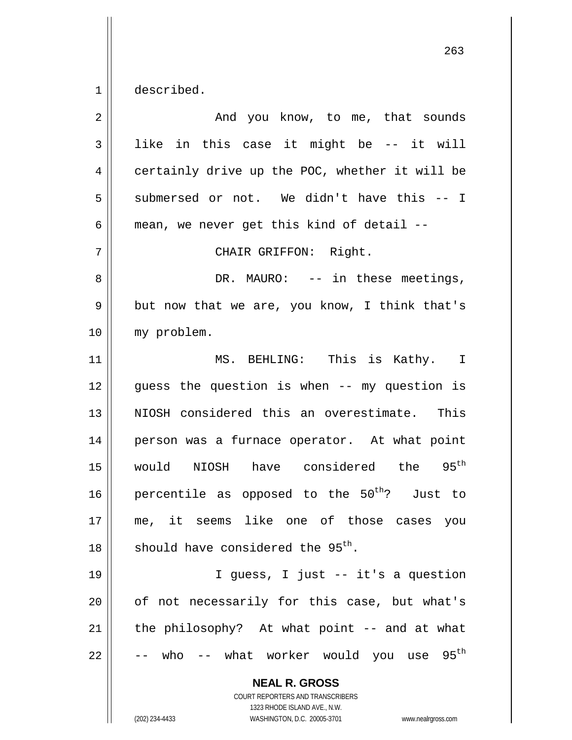$1 \parallel$  described.

| $\overline{2}$ | And you know, to me, that sounds                                                                                                                                |
|----------------|-----------------------------------------------------------------------------------------------------------------------------------------------------------------|
| 3              | like in this case it might be -- it will                                                                                                                        |
| 4              | certainly drive up the POC, whether it will be                                                                                                                  |
| 5              | submersed or not. We didn't have this -- I                                                                                                                      |
| 6              | mean, we never get this kind of detail --                                                                                                                       |
| 7              | CHAIR GRIFFON: Right.                                                                                                                                           |
| 8              | DR. MAURO: -- in these meetings,                                                                                                                                |
| 9              | but now that we are, you know, I think that's                                                                                                                   |
| 10             | my problem.                                                                                                                                                     |
| 11             | MS. BEHLING: This is Kathy. I                                                                                                                                   |
| 12             | guess the question is when -- my question is                                                                                                                    |
| 13             | NIOSH considered this an overestimate. This                                                                                                                     |
| 14             | person was a furnace operator. At what point                                                                                                                    |
| 15             | would NIOSH have considered the 95 <sup>th</sup>                                                                                                                |
| 16             | percentile as opposed to the 50 <sup>th</sup> ? Just to                                                                                                         |
| 17             | me, it seems like one of those cases you                                                                                                                        |
| 18             | should have considered the 95 <sup>th</sup> .                                                                                                                   |
| 19             | I guess, I just -- it's a question                                                                                                                              |
| 20             | of not necessarily for this case, but what's                                                                                                                    |
| 21             | the philosophy? At what point -- and at what                                                                                                                    |
| 22             | who -- what worker would you use 95 <sup>th</sup>                                                                                                               |
|                | <b>NEAL R. GROSS</b><br>COURT REPORTERS AND TRANSCRIBERS<br>1323 RHODE ISLAND AVE., N.W.<br>(202) 234-4433<br>WASHINGTON, D.C. 20005-3701<br>www.nealrgross.com |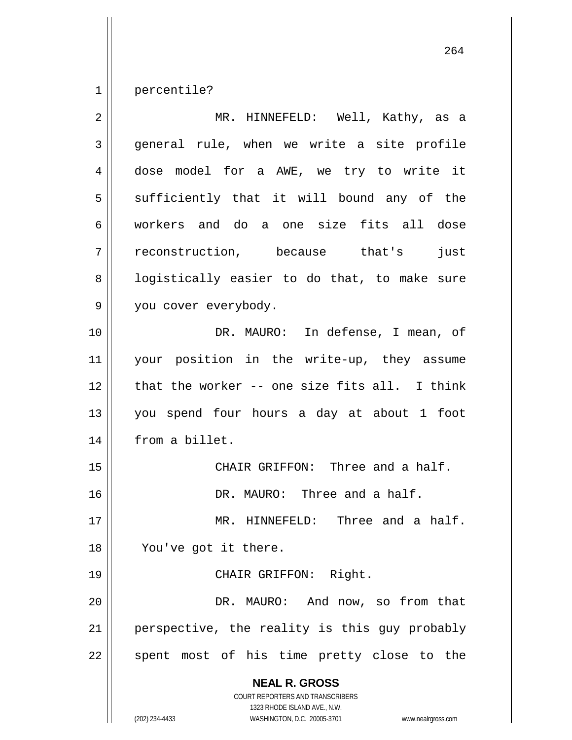1 | percentile?

| $\overline{2}$ | MR. HINNEFELD: Well, Kathy, as a                                                                                                                                       |
|----------------|------------------------------------------------------------------------------------------------------------------------------------------------------------------------|
| $\mathfrak{Z}$ | general rule, when we write a site profile                                                                                                                             |
| 4              | dose model for a AWE, we try to write it                                                                                                                               |
| 5              | sufficiently that it will bound any of the                                                                                                                             |
| 6              | workers and do a one size fits all dose                                                                                                                                |
| 7              | reconstruction, because that's<br>just                                                                                                                                 |
| 8              | logistically easier to do that, to make sure                                                                                                                           |
| $\mathsf 9$    | you cover everybody.                                                                                                                                                   |
| 10             | DR. MAURO: In defense, I mean, of                                                                                                                                      |
| 11             | your position in the write-up, they assume                                                                                                                             |
| 12             | that the worker -- one size fits all. I think                                                                                                                          |
| 13             | you spend four hours a day at about 1 foot                                                                                                                             |
| 14             | from a billet.                                                                                                                                                         |
| 15             | CHAIR GRIFFON: Three and a half.                                                                                                                                       |
| 16             | DR. MAURO: Three and a half.                                                                                                                                           |
| 17             | MR. HINNEFELD: Three and a half.                                                                                                                                       |
| 18             | You've got it there.                                                                                                                                                   |
| 19             | CHAIR GRIFFON: Right.                                                                                                                                                  |
| 20             | DR. MAURO: And now, so from that                                                                                                                                       |
| 21             | perspective, the reality is this guy probably                                                                                                                          |
| 22             | spent most of his time pretty close to the                                                                                                                             |
|                | <b>NEAL R. GROSS</b><br><b>COURT REPORTERS AND TRANSCRIBERS</b><br>1323 RHODE ISLAND AVE., N.W.<br>(202) 234-4433<br>WASHINGTON, D.C. 20005-3701<br>www.nealrgross.com |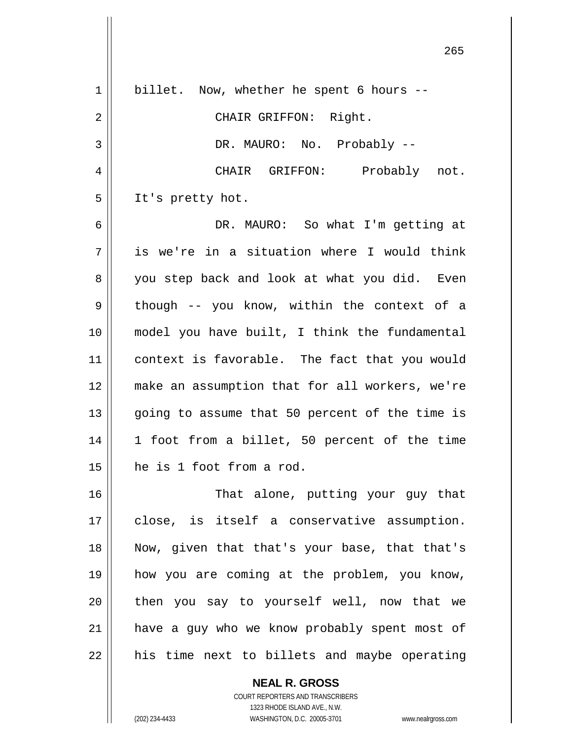| 1  | billet. Now, whether he spent 6 hours --       |
|----|------------------------------------------------|
| 2  | CHAIR GRIFFON: Right.                          |
| 3  | DR. MAURO: No. Probably --                     |
| 4  | CHAIR GRIFFON: Probably not.                   |
| 5  | It's pretty hot.                               |
| 6  | DR. MAURO: So what I'm getting at              |
| 7  | is we're in a situation where I would think    |
| 8  | you step back and look at what you did. Even   |
| 9  | though -- you know, within the context of a    |
| 10 | model you have built, I think the fundamental  |
| 11 | context is favorable. The fact that you would  |
| 12 | make an assumption that for all workers, we're |
| 13 | going to assume that 50 percent of the time is |
| 14 | 1 foot from a billet, 50 percent of the time   |
| 15 | he is 1 foot from a rod.                       |
| 16 | That alone, putting your guy that              |
| 17 | close, is itself a conservative assumption.    |
| 18 | Now, given that that's your base, that that's  |
| 19 | how you are coming at the problem, you know,   |
| 20 | then you say to yourself well, now that we     |
| 21 | have a guy who we know probably spent most of  |
| 22 | his time next to billets and maybe operating   |
|    | <b>NEAL R. GROSS</b>                           |

COURT REPORTERS AND TRANSCRIBERS 1323 RHODE ISLAND AVE., N.W.

 $\mathsf{II}$ 

(202) 234-4433 WASHINGTON, D.C. 20005-3701 www.nealrgross.com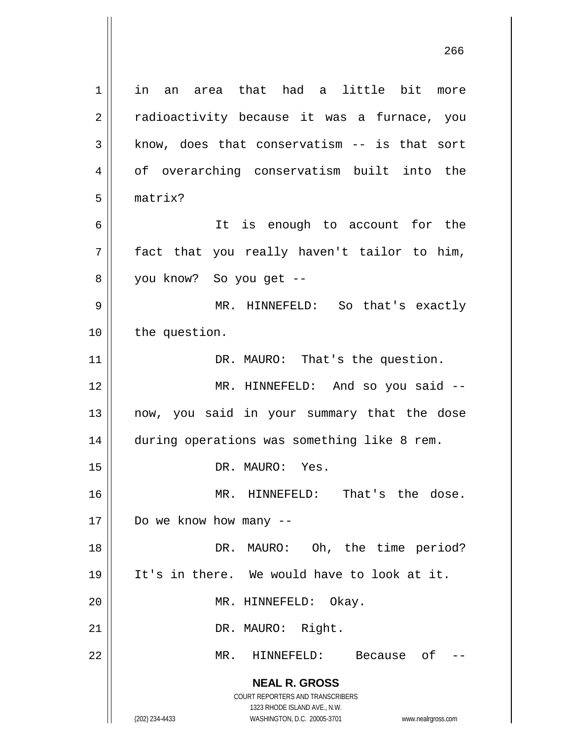**NEAL R. GROSS** COURT REPORTERS AND TRANSCRIBERS 1323 RHODE ISLAND AVE., N.W. 1 in an area that had a little bit more 2 || radioactivity because it was a furnace, you  $3 \parallel$  know, does that conservatism -- is that sort 4 of overarching conservatism built into the 5 matrix? 6 It is enough to account for the  $7 \parallel$  fact that you really haven't tailor to him, 8 || you know? So you get --9 MR. HINNEFELD: So that's exactly 10 | the question. 11 | DR. MAURO: That's the question. 12 || MR. HINNEFELD: And so you said --13 now, you said in your summary that the dose 14 | during operations was something like 8 rem. 15 || DR. MAURO: Yes. 16 MR. HINNEFELD: That's the dose.  $17$  | Do we know how many  $-$ 18 || DR. MAURO: Oh, the time period? 19 It's in there. We would have to look at it. 20 || MR. HINNEFELD: Okay. 21 || DR. MAURO: Right. 22 MR. HINNEFELD: Because of --

(202) 234-4433 WASHINGTON, D.C. 20005-3701 www.nealrgross.com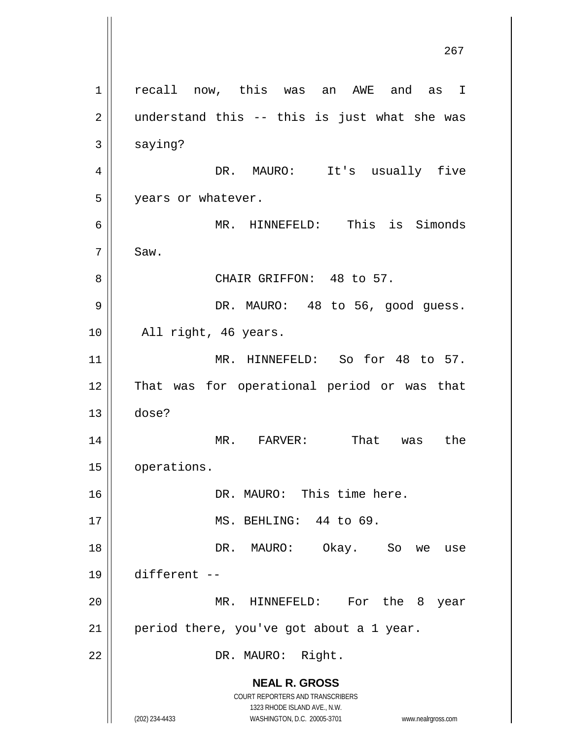**NEAL R. GROSS** COURT REPORTERS AND TRANSCRIBERS 1323 RHODE ISLAND AVE., N.W. (202) 234-4433 WASHINGTON, D.C. 20005-3701 www.nealrgross.com 267 1 recall now, this was an AWE and as I  $2 \parallel$  understand this -- this is just what she was  $3 \parallel$  saying? 4 DR. MAURO: It's usually five 5 | years or whatever. 6 MR. HINNEFELD: This is Simonds  $7 \parallel$  Saw. 8 || CHAIR GRIFFON: 48 to 57. 9 || DR. MAURO: 48 to 56, good guess. 10 || All right, 46 years. 11 || MR. HINNEFELD: So for 48 to 57. 12 That was for operational period or was that 13 dose? 14 MR. FARVER: That was the 15 | operations. 16 || DR. MAURO: This time here. 17 || MS. BEHLING: 44 to 69. 18 DR. MAURO: Okay. So we use 19 different -- 20 MR. HINNEFELD: For the 8 year  $21$  | period there, you've got about a 1 year. 22 || DR. MAURO: Right.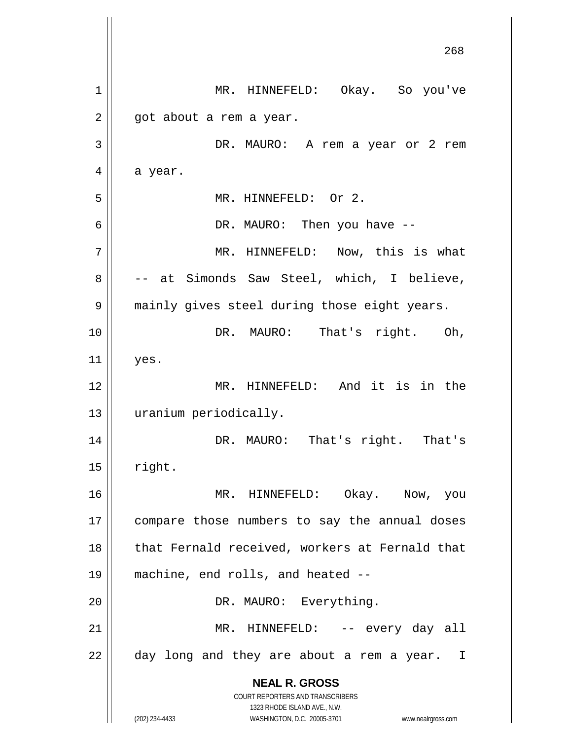**NEAL R. GROSS** COURT REPORTERS AND TRANSCRIBERS 1323 RHODE ISLAND AVE., N.W. (202) 234-4433 WASHINGTON, D.C. 20005-3701 www.nealrgross.com 268 1 MR. HINNEFELD: Okay. So you've  $2 \parallel$  got about a rem a year. 3 DR. MAURO: A rem a year or 2 rem  $4 \parallel$  a year. 5 || MR. HINNEFELD: Or 2. 6 DR. MAURO: Then you have -- 7 MR. HINNEFELD: Now, this is what 8 -- at Simonds Saw Steel, which, I believe, 9 || mainly gives steel during those eight years. 10 || DR. MAURO: That's right. Oh,  $11$  yes. 12 MR. HINNEFELD: And it is in the 13 uranium periodically. 14 DR. MAURO: That's right. That's  $15$  | right. 16 MR. HINNEFELD: Okay. Now, you 17 || compare those numbers to say the annual doses 18 || that Fernald received, workers at Fernald that 19 machine, end rolls, and heated -- 20 || DR. MAURO: Everything. 21 MR. HINNEFELD: -- every day all  $22$  || day long and they are about a rem a year. I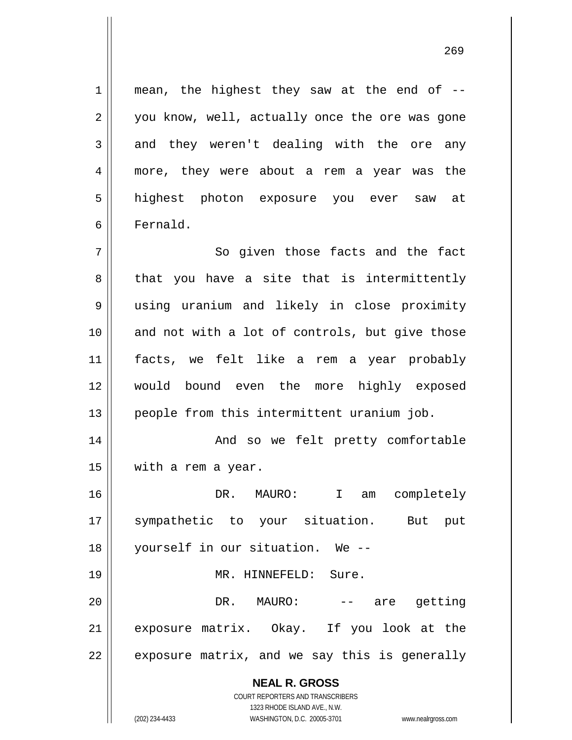$1$  mean, the highest they saw at the end of  $-$ 2 || you know, well, actually once the ore was gone  $3 \parallel$  and they weren't dealing with the ore any 4 || more, they were about a rem a year was the 5 highest photon exposure you ever saw at 6 Fernald.

7 || So given those facts and the fact  $8 \parallel$  that you have a site that is intermittently using uranium and likely in close proximity and not with a lot of controls, but give those facts, we felt like a rem a year probably would bound even the more highly exposed people from this intermittent uranium job.

14 And so we felt pretty comfortable 15 | with a rem a year.

16 DR. MAURO: I am completely 17 sympathetic to your situation. But put 18 yourself in our situation. We --

## 19 || MR. HINNEFELD: Sure.

20 DR. MAURO: -- are getting 21 exposure matrix. Okay. If you look at the  $22 \parallel$  exposure matrix, and we say this is generally

> **NEAL R. GROSS** COURT REPORTERS AND TRANSCRIBERS

> > 1323 RHODE ISLAND AVE., N.W.

(202) 234-4433 WASHINGTON, D.C. 20005-3701 www.nealrgross.com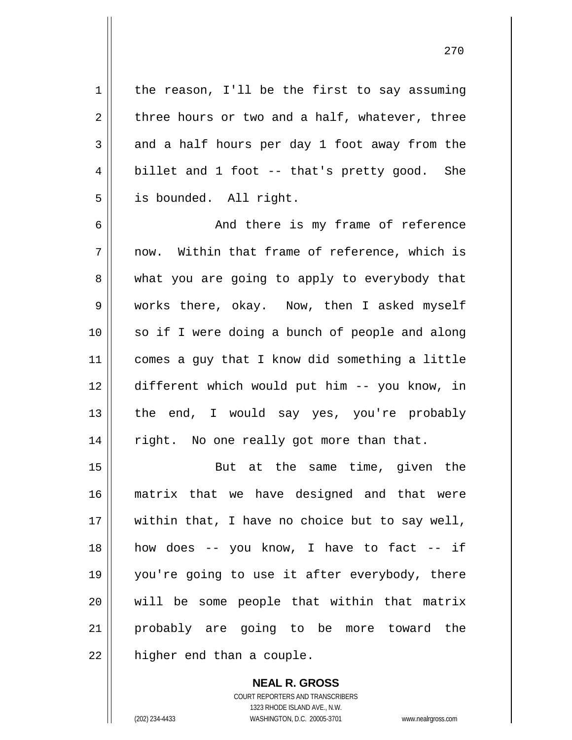$1 \parallel$  the reason, I'll be the first to say assuming  $2 \parallel$  three hours or two and a half, whatever, three  $3 \parallel$  and a half hours per day 1 foot away from the  $4 \parallel$  billet and 1 foot -- that's pretty good. She 5 | is bounded. All right.

6 And there is my frame of reference  $7$  || now. Within that frame of reference, which is  $8 \parallel$  what you are going to apply to everybody that 9 works there, okay. Now, then I asked myself 10 || so if I were doing a bunch of people and along 11 | comes a guy that I know did something a little 12 different which would put him -- you know, in 13 || the end, I would say yes, you're probably 14 || right. No one really got more than that.

15 || But at the same time, given the matrix that we have designed and that were within that, I have no choice but to say well, how does -- you know, I have to fact -- if you're going to use it after everybody, there will be some people that within that matrix probably are going to be more toward the | higher end than a couple.

> **NEAL R. GROSS** COURT REPORTERS AND TRANSCRIBERS 1323 RHODE ISLAND AVE., N.W. (202) 234-4433 WASHINGTON, D.C. 20005-3701 www.nealrgross.com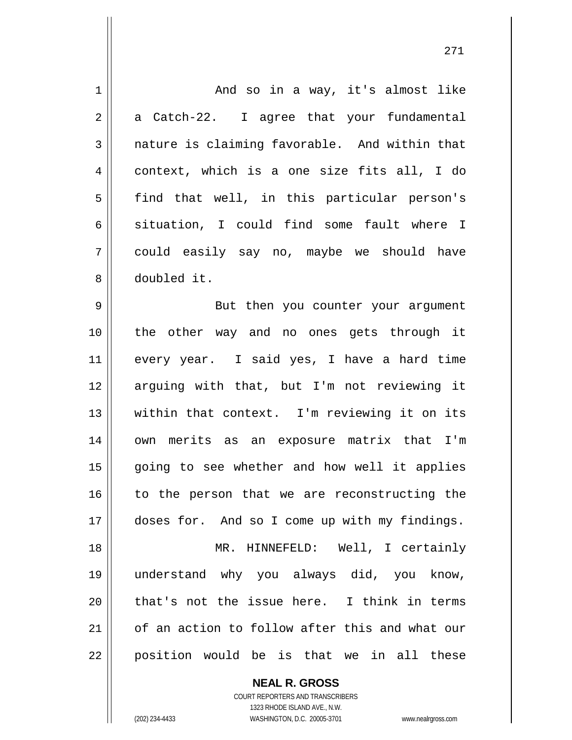And so in a way, it's almost like  $2 \parallel$  a Catch-22. I agree that your fundamental  $3 \parallel$  nature is claiming favorable. And within that context, which is a one size fits all, I do 5 || find that well, in this particular person's 6 situation, I could find some fault where I could easily say no, maybe we should have doubled it. 9 || But then you counter your argument the other way and no ones gets through it every year. I said yes, I have a hard time arguing with that, but I'm not reviewing it within that context. I'm reviewing it on its 14 || own merits as an exposure matrix that I'm 15 || going to see whether and how well it applies to the person that we are reconstructing the 17 | doses for. And so I come up with my findings. MR. HINNEFELD: Well, I certainly understand why you always did, you know, || that's not the issue here. I think in terms of an action to follow after this and what our position would be is that we in all these

> **NEAL R. GROSS** COURT REPORTERS AND TRANSCRIBERS 1323 RHODE ISLAND AVE., N.W.

(202) 234-4433 WASHINGTON, D.C. 20005-3701 www.nealrgross.com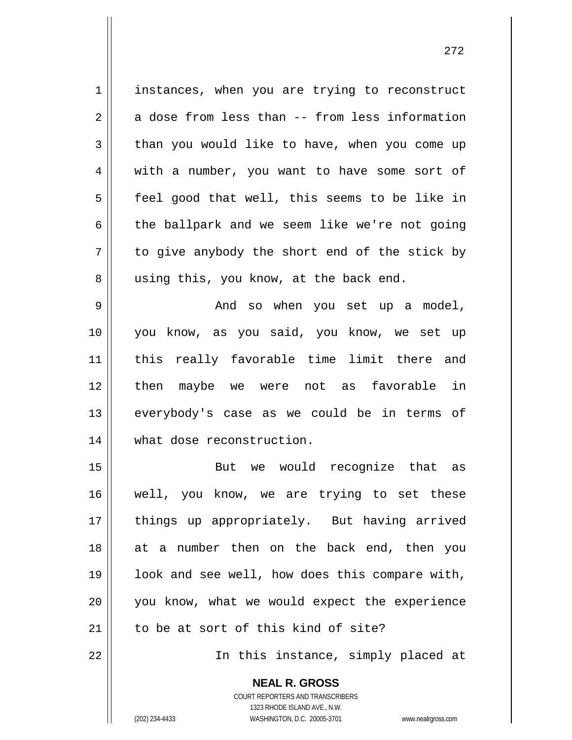1 instances, when you are trying to reconstruct  $2 \parallel$  a dose from less than -- from less information  $3 \parallel$  than you would like to have, when you come up 4 with a number, you want to have some sort of  $5 \parallel$  feel good that well, this seems to be like in  $6 \parallel$  the ballpark and we seem like we're not going  $7 \parallel$  to give anybody the short end of the stick by 8 || using this, you know, at the back end. 9 And so when you set up a model, 10 you know, as you said, you know, we set up 11 this really favorable time limit there and 12 then maybe we were not as favorable in 13 everybody's case as we could be in terms of 14 what dose reconstruction. 15 But we would recognize that as 16 well, you know, we are trying to set these 17 || things up appropriately. But having arrived 18 at a number then on the back end, then you  $19$  || look and see well, how does this compare with, 20 you know, what we would expect the experience 21 || to be at sort of this kind of site? 22 In this instance, simply placed at

> **NEAL R. GROSS** COURT REPORTERS AND TRANSCRIBERS

> > 1323 RHODE ISLAND AVE., N.W.

(202) 234-4433 WASHINGTON, D.C. 20005-3701 www.nealrgross.com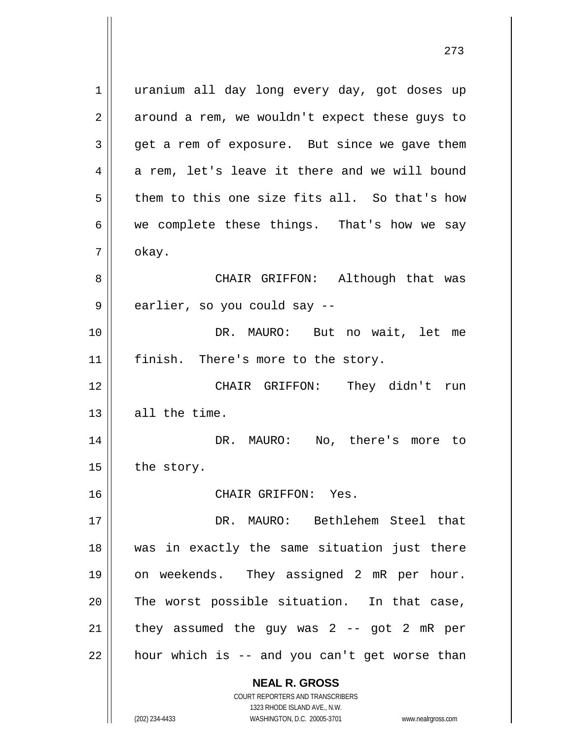**NEAL R. GROSS** COURT REPORTERS AND TRANSCRIBERS 1 || uranium all day long every day, got doses up  $2 \parallel$  around a rem, we wouldn't expect these guys to  $3 \parallel$  get a rem of exposure. But since we gave them  $4 \parallel$  a rem, let's leave it there and we will bound  $5 \parallel$  them to this one size fits all. So that's how  $6 \parallel$  we complete these things. That's how we say  $7 \parallel$  okay. 8 CHAIR GRIFFON: Although that was 9 || earlier, so you could say --10 DR. MAURO: But no wait, let me 11 || finish. There's more to the story. 12 CHAIR GRIFFON: They didn't run  $13$  all the time. 14 DR. MAURO: No, there's more to  $15$  | the story. 16 CHAIR GRIFFON: Yes. 17 DR. MAURO: Bethlehem Steel that 18 was in exactly the same situation just there 19 on weekends. They assigned 2 mR per hour.  $20$  The worst possible situation. In that case,  $21$  | they assumed the guy was 2 -- got 2 mR per  $22$  | hour which is -- and you can't get worse than

1323 RHODE ISLAND AVE., N.W. (202) 234-4433 WASHINGTON, D.C. 20005-3701 www.nealrgross.com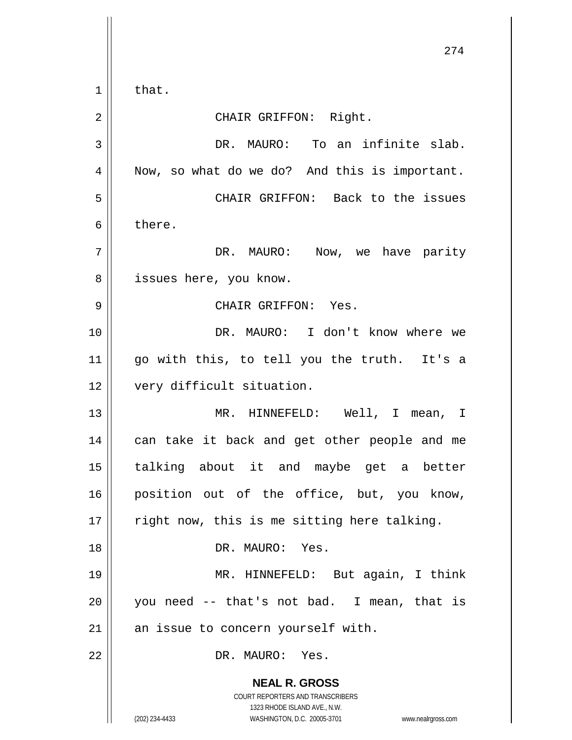**NEAL R. GROSS** COURT REPORTERS AND TRANSCRIBERS 1323 RHODE ISLAND AVE., N.W. (202) 234-4433 WASHINGTON, D.C. 20005-3701 www.nealrgross.com 274  $1 \parallel$  that. 2 || CHAIR GRIFFON: Right. 3 || DR. MAURO: To an infinite slab. 4 || Now, so what do we do? And this is important. 5 CHAIR GRIFFON: Back to the issues 6 bere. 7 DR. MAURO: Now, we have parity 8 || issues here, you know. 9 CHAIR GRIFFON: Yes. 10 DR. MAURO: I don't know where we  $11$  go with this, to tell you the truth. It's a 12 | very difficult situation. 13 MR. HINNEFELD: Well, I mean, I 14 || can take it back and get other people and me 15 talking about it and maybe get a better 16 position out of the office, but, you know, 17  $\parallel$  right now, this is me sitting here talking. 18 DR. MAURO: Yes. 19 MR. HINNEFELD: But again, I think  $20$  || you need -- that's not bad. I mean, that is  $21$  an issue to concern yourself with. 22 DR. MAURO: Yes.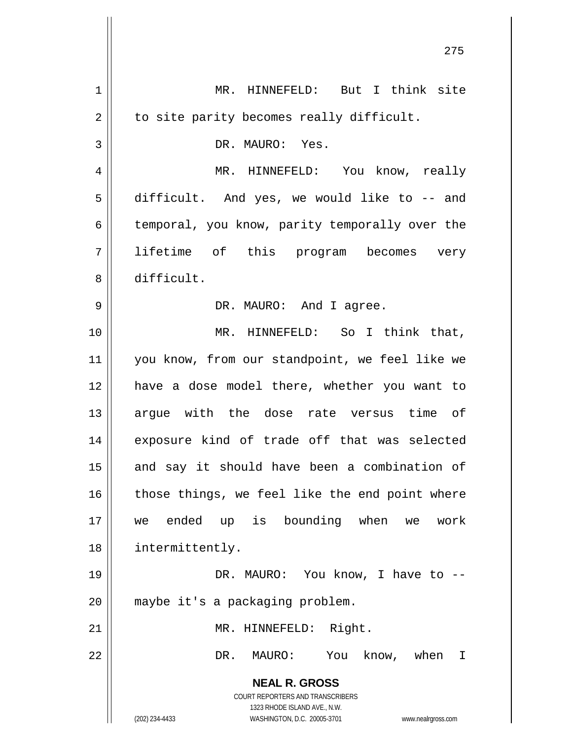| 1  | MR. HINNEFELD: But I think site                                                                     |
|----|-----------------------------------------------------------------------------------------------------|
| 2  | to site parity becomes really difficult.                                                            |
| 3  | DR. MAURO: Yes.                                                                                     |
| 4  | MR. HINNEFELD: You know, really                                                                     |
| 5  | difficult. And yes, we would like to -- and                                                         |
| 6  | temporal, you know, parity temporally over the                                                      |
| 7  | lifetime of this program becomes very                                                               |
| 8  | difficult.                                                                                          |
| 9  | DR. MAURO: And I agree.                                                                             |
| 10 | MR. HINNEFELD: So I think that,                                                                     |
| 11 | you know, from our standpoint, we feel like we                                                      |
| 12 | have a dose model there, whether you want to                                                        |
| 13 | argue with the dose rate versus time of                                                             |
| 14 | exposure kind of trade off that was selected                                                        |
| 15 | and say it should have been a combination of                                                        |
| 16 | those things, we feel like the end point where                                                      |
| 17 | we ended up is bounding when we work                                                                |
| 18 | intermittently.                                                                                     |
| 19 | DR. MAURO: You know, I have to --                                                                   |
| 20 | maybe it's a packaging problem.                                                                     |
| 21 | MR. HINNEFELD: Right.                                                                               |
| 22 | DR. MAURO: You know, when I                                                                         |
|    | <b>NEAL R. GROSS</b>                                                                                |
|    | COURT REPORTERS AND TRANSCRIBERS                                                                    |
|    | 1323 RHODE ISLAND AVE., N.W.<br>(202) 234-4433<br>WASHINGTON, D.C. 20005-3701<br>www.nealrgross.com |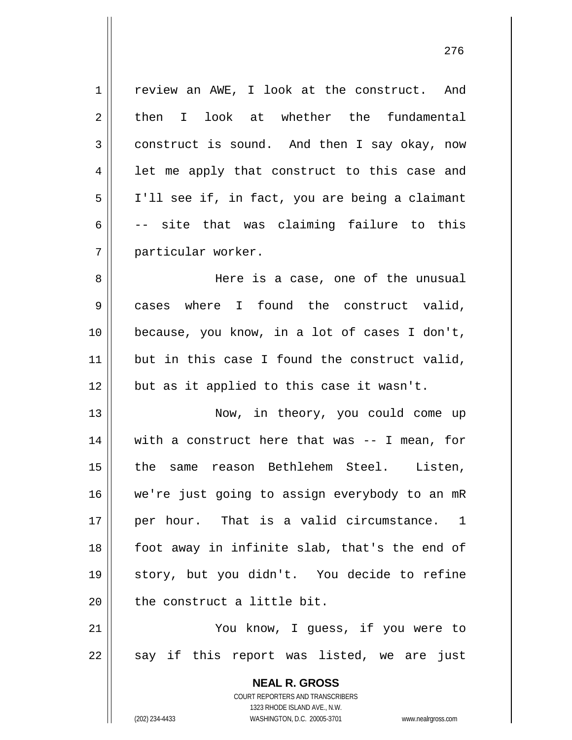1 | review an AWE, I look at the construct. And 2 then I look at whether the fundamental 3 construct is sound. And then I say okay, now 4 || let me apply that construct to this case and 5 | I'll see if, in fact, you are being a claimant 6  $\vert$  -- site that was claiming failure to this 7 particular worker. 8 Here is a case, one of the unusual 9 cases where I found the construct valid,

10 || because, you know, in a lot of cases I don't,  $11$  but in this case I found the construct valid,  $12$  || but as it applied to this case it wasn't.

13 || Now, in theory, you could come up 14 with a construct here that was -- I mean, for 15 the same reason Bethlehem Steel. Listen, 16 || we're just going to assign everybody to an mR 17 || per hour. That is a valid circumstance. 1 18 || foot away in infinite slab, that's the end of 19 story, but you didn't. You decide to refine  $20$  || the construct a little bit.

21 || You know, I quess, if you were to  $22 \parallel$  say if this report was listed, we are just

> **NEAL R. GROSS** COURT REPORTERS AND TRANSCRIBERS 1323 RHODE ISLAND AVE., N.W. (202) 234-4433 WASHINGTON, D.C. 20005-3701 www.nealrgross.com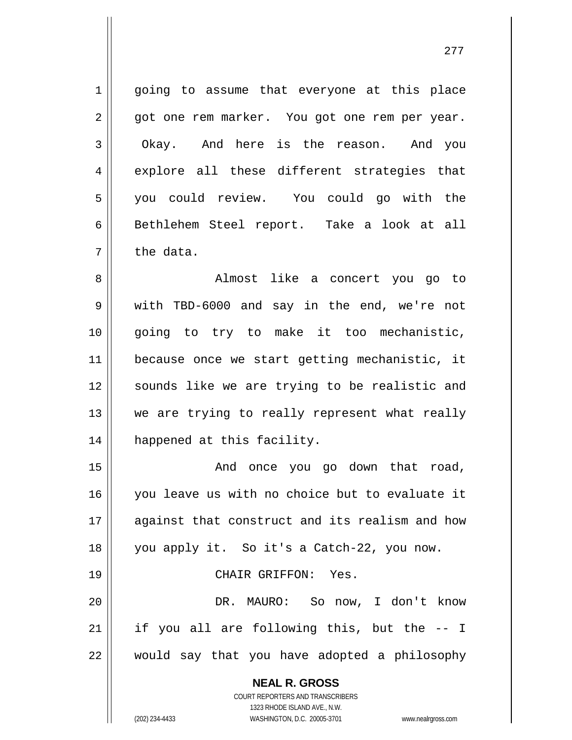1 || going to assume that everyone at this place 2 | | qot one rem marker. You got one rem per year. 3 | Okay. And here is the reason. And you 4 explore all these different strategies that 5 you could review. You could go with the 6 || Bethlehem Steel report. Take a look at all  $7 \parallel$  the data. 8 || Almost like a concert you go to 9 Wendow TBD-6000 and say in the end, we're not 10 going to try to make it too mechanistic,

11 because once we start getting mechanistic, it 12 || sounds like we are trying to be realistic and 13 || we are trying to really represent what really 14 || happened at this facility.

15 || The Conce you go down that road, you leave us with no choice but to evaluate it against that construct and its realism and how 18 || you apply it. So it's a Catch-22, you now. CHAIR GRIFFON: Yes. DR. MAURO: So now, I don't know

21 || if you all are following this, but the -- I 22 would say that you have adopted a philosophy

> **NEAL R. GROSS** COURT REPORTERS AND TRANSCRIBERS

> > 1323 RHODE ISLAND AVE., N.W.

(202) 234-4433 WASHINGTON, D.C. 20005-3701 www.nealrgross.com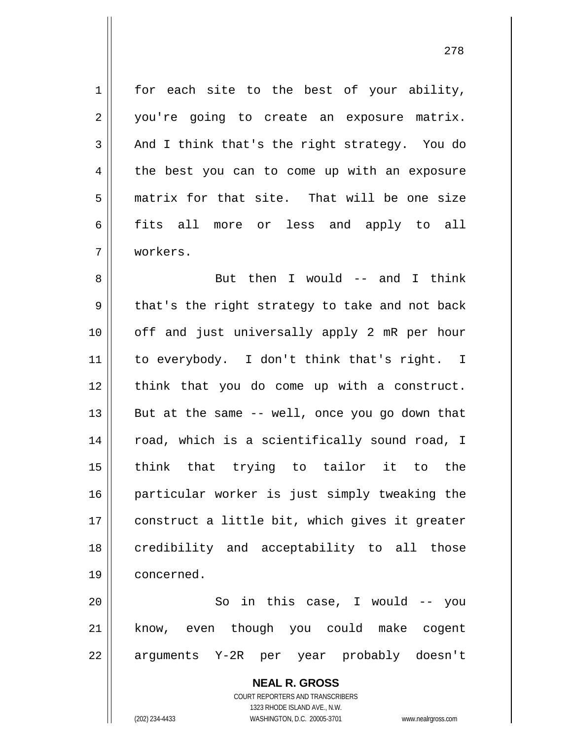$1 \parallel$  for each site to the best of your ability, 2 || you're going to create an exposure matrix.  $3 \parallel$  And I think that's the right strategy. You do 4 the best you can to come up with an exposure 5 matrix for that site. That will be one size 6 fits all more or less and apply to all 7 workers.

8 || But then I would -- and I think  $9 \parallel$  that's the right strategy to take and not back 10 || off and just universally apply 2 mR per hour 11 to everybody. I don't think that's right. I 12 think that you do come up with a construct.  $13$  || But at the same -- well, once you go down that 14 || road, which is a scientifically sound road, I 15 think that trying to tailor it to the 16 particular worker is just simply tweaking the 17 || construct a little bit, which gives it greater 18 || credibility and acceptability to all those 19 concerned.

20 So in this case, I would -- you 21 know, even though you could make cogent 22 || arguments Y-2R per year probably doesn't

> **NEAL R. GROSS** COURT REPORTERS AND TRANSCRIBERS 1323 RHODE ISLAND AVE., N.W. (202) 234-4433 WASHINGTON, D.C. 20005-3701 www.nealrgross.com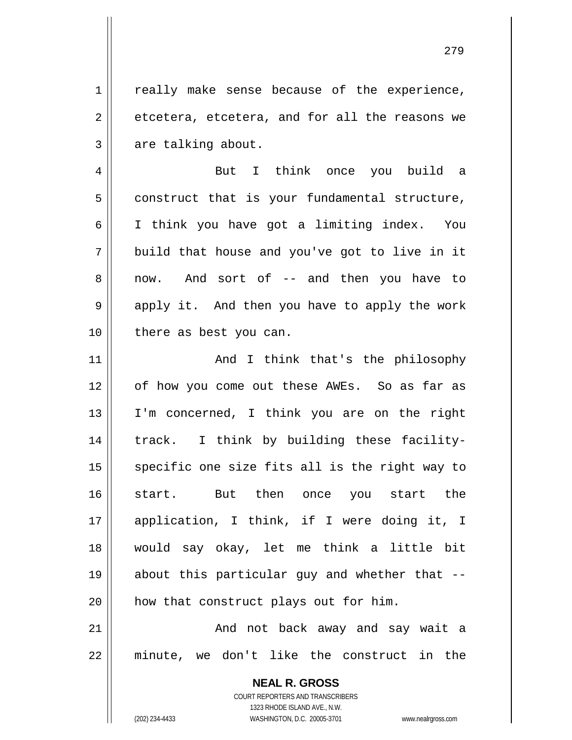1 || really make sense because of the experience,  $2 \parallel$  etcetera, etcetera, and for all the reasons we  $3 \parallel$  are talking about.

4 But I think once you build a  $5 \parallel$  construct that is your fundamental structure, 6 I think you have got a limiting index. You  $7 \parallel$  build that house and you've got to live in it 8 || now. And sort of -- and then you have to 9 || apply it. And then you have to apply the work 10 || there as best you can.

11 || And I think that's the philosophy 12 || of how you come out these AWEs. So as far as 13 I'm concerned, I think you are on the right 14 || track. I think by building these facility- $15$  specific one size fits all is the right way to 16 start. But then once you start the 17 application, I think, if I were doing it, I 18 would say okay, let me think a little bit 19 about this particular guy and whether that -- 20 || how that construct plays out for him.

21 And not back away and say wait a 22 minute, we don't like the construct in the

> **NEAL R. GROSS** COURT REPORTERS AND TRANSCRIBERS 1323 RHODE ISLAND AVE., N.W. (202) 234-4433 WASHINGTON, D.C. 20005-3701 www.nealrgross.com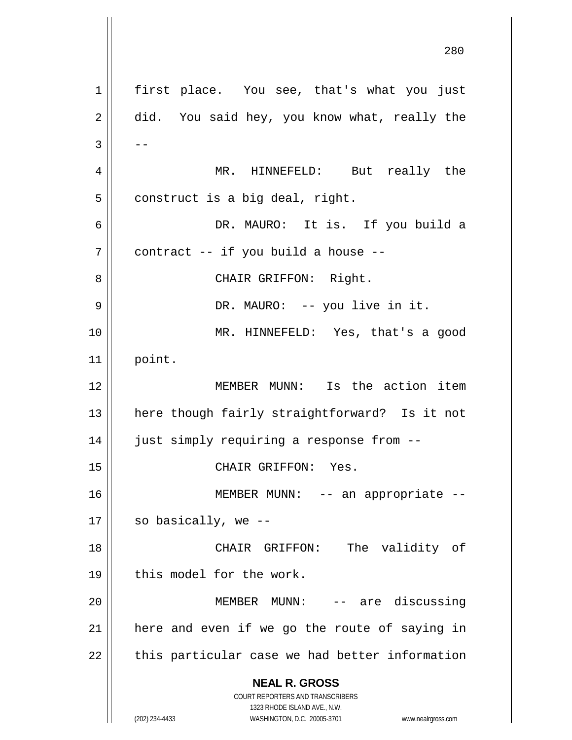**NEAL R. GROSS** COURT REPORTERS AND TRANSCRIBERS 1323 RHODE ISLAND AVE., N.W. (202) 234-4433 WASHINGTON, D.C. 20005-3701 www.nealrgross.com 1 || first place. You see, that's what you just  $2 \parallel$  did. You said hey, you know what, really the  $3 \parallel - -$ 4 MR. HINNEFELD: But really the  $5 \parallel$  construct is a big deal, right. 6 DR. MAURO: It is. If you build a  $7 \parallel$  contract -- if you build a house --8 || CHAIR GRIFFON: Right. 9 DR. MAURO: -- you live in it. 10 MR. HINNEFELD: Yes, that's a good  $11$  point. 12 MEMBER MUNN: Is the action item 13 || here though fairly straightforward? Is it not 14 || just simply requiring a response from --15 || CHAIR GRIFFON: Yes. 16 || MEMBER MUNN: -- an appropriate -- $17 \parallel$  so basically, we --18 CHAIR GRIFFON: The validity of 19 || this model for the work. 20 MEMBER MUNN: -- are discussing  $21$  | here and even if we go the route of saying in 22 || this particular case we had better information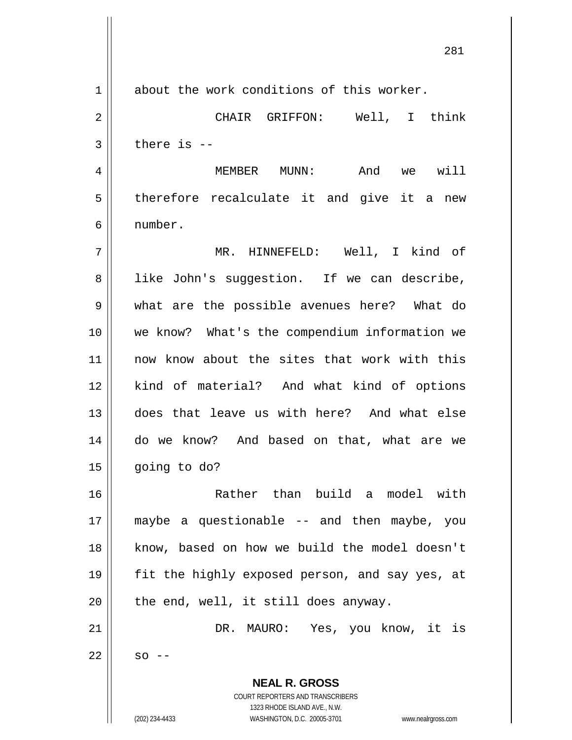**NEAL R. GROSS** COURT REPORTERS AND TRANSCRIBERS 1 about the work conditions of this worker. 2 CHAIR GRIFFON: Well, I think  $3 \parallel$  there is  $-$ 4 MEMBER MUNN: And we will  $5 \parallel$  therefore recalculate it and give it a new 6 number. 7 MR. HINNEFELD: Well, I kind of 8 | like John's suggestion. If we can describe, 9 what are the possible avenues here? What do 10 we know? What's the compendium information we 11 || now know about the sites that work with this 12 || kind of material? And what kind of options 13 does that leave us with here? And what else 14 do we know? And based on that, what are we  $15 \parallel$  going to do? 16 Rather than build a model with 17 maybe a questionable -- and then maybe, you 18 know, based on how we build the model doesn't 19 || fit the highly exposed person, and say yes, at  $20$  | the end, well, it still does anyway. 21 DR. MAURO: Yes, you know, it is  $22 \parallel$  so --

1323 RHODE ISLAND AVE., N.W.

281

(202) 234-4433 WASHINGTON, D.C. 20005-3701 www.nealrgross.com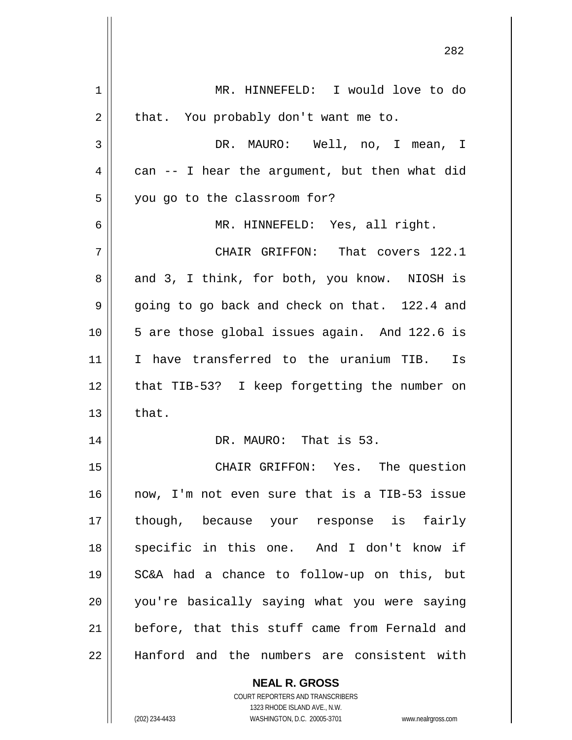| 1  | MR. HINNEFELD: I would love to do                        |
|----|----------------------------------------------------------|
| 2  | that. You probably don't want me to.                     |
| 3  | DR. MAURO: Well, no, I mean, I                           |
| 4  | can -- I hear the argument, but then what did            |
| 5  | you go to the classroom for?                             |
| 6  | MR. HINNEFELD: Yes, all right.                           |
| 7  | CHAIR GRIFFON: That covers 122.1                         |
| 8  | and 3, I think, for both, you know. NIOSH is             |
| 9  | going to go back and check on that. 122.4 and            |
| 10 | 5 are those global issues again. And 122.6 is            |
| 11 | I have transferred to the uranium TIB. Is                |
| 12 | that TIB-53? I keep forgetting the number on             |
| 13 | that.                                                    |
| 14 | DR. MAURO: That is 53.                                   |
| 15 | CHAIR GRIFFON: Yes. The question                         |
| 16 | now, I'm not even sure that is a TIB-53 issue            |
| 17 | though, because your response is fairly                  |
| 18 | specific in this one. And I don't know if                |
| 19 | SC&A had a chance to follow-up on this, but              |
| 20 | you're basically saying what you were saying             |
| 21 | before, that this stuff came from Fernald and            |
| 22 | Hanford and the numbers are consistent with              |
|    | <b>NEAL R. GROSS</b><br>COURT REPORTERS AND TRANSCRIBERS |

1323 RHODE ISLAND AVE., N.W.

 $\mathsf{II}$ 

(202) 234-4433 WASHINGTON, D.C. 20005-3701 www.nealrgross.com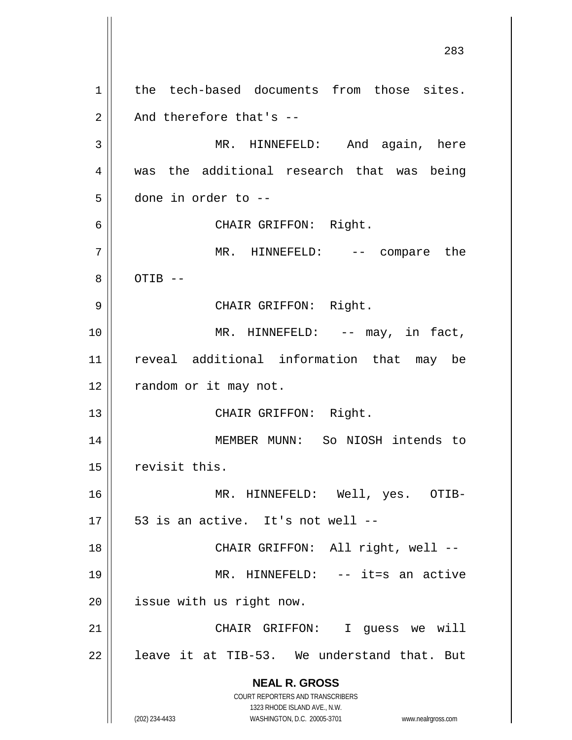**NEAL R. GROSS** COURT REPORTERS AND TRANSCRIBERS 1323 RHODE ISLAND AVE., N.W. (202) 234-4433 WASHINGTON, D.C. 20005-3701 www.nealrgross.com 1 || the tech-based documents from those sites.  $2 \parallel$  And therefore that's --3 MR. HINNEFELD: And again, here 4 Was the additional research that was being 5 done in order to -- 6 CHAIR GRIFFON: Right. 7 MR. HINNEFELD: -- compare the  $8 \parallel$  OTIB  $-$ 9 || CHAIR GRIFFON: Right. 10 || MR. HINNEFELD: -- may, in fact, 11 reveal additional information that may be 12 | random or it may not. 13 || CHAIR GRIFFON: Right. 14 MEMBER MUNN: So NIOSH intends to 15 | revisit this. 16 MR. HINNEFELD: Well, yes. OTIB- $17 \parallel 53$  is an active. It's not well --18 || CHAIR GRIFFON: All right, well --19 || MR. HINNEFELD: -- it=s an active 20 | issue with us right now. 21 || CHAIR GRIFFON: I guess we will  $22$  | leave it at TIB-53. We understand that. But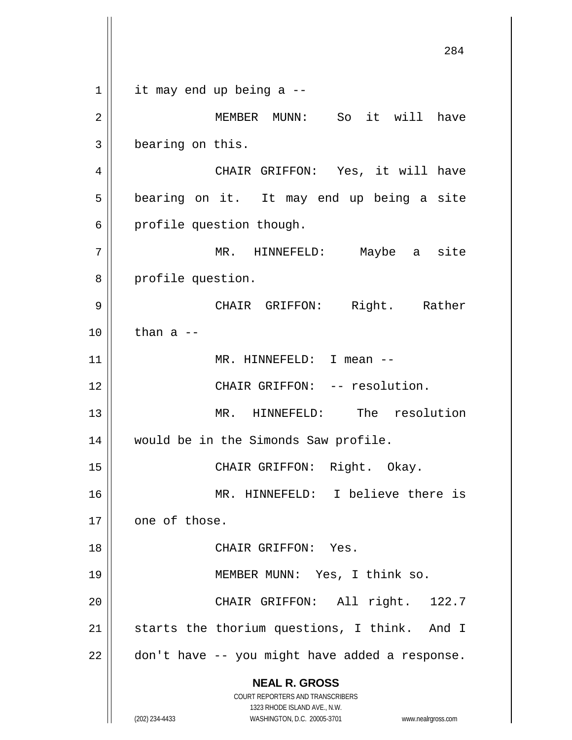**NEAL R. GROSS** COURT REPORTERS AND TRANSCRIBERS 1323 RHODE ISLAND AVE., N.W. (202) 234-4433 WASHINGTON, D.C. 20005-3701 www.nealrgross.com 284  $1 \parallel$  it may end up being a --2 MEMBER MUNN: So it will have 3 | bearing on this. 4 CHAIR GRIFFON: Yes, it will have 5 | bearing on it. It may end up being a site 6 | profile question though. 7 MR. HINNEFELD: Maybe a site 8 || profile question. 9 CHAIR GRIFFON: Right. Rather  $10$  | than a --11 || MR. HINNEFELD: I mean --12 CHAIR GRIFFON: -- resolution. 13 MR. HINNEFELD: The resolution 14 would be in the Simonds Saw profile. 15 || CHAIR GRIFFON: Right. Okay. 16 MR. HINNEFELD: I believe there is  $17$  | one of those. 18 CHAIR GRIFFON: Yes. 19 MEMBER MUNN: Yes, I think so. 20 CHAIR GRIFFON: All right. 122.7 21 || starts the thorium questions, I think. And I  $22$  | don't have -- you might have added a response.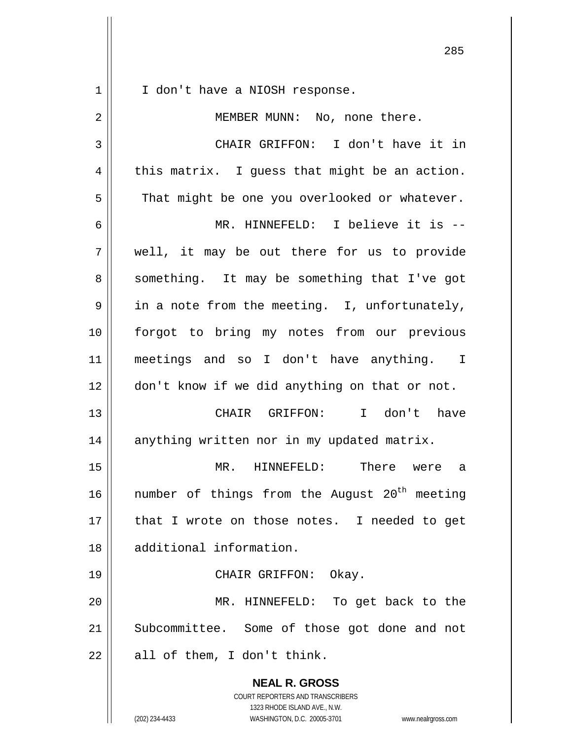**NEAL R. GROSS** COURT REPORTERS AND TRANSCRIBERS 1323 RHODE ISLAND AVE., N.W. 1 || I don't have a NIOSH response. 2 || MEMBER MUNN: No, none there. 3 CHAIR GRIFFON: I don't have it in  $4 \parallel$  this matrix. I guess that might be an action.  $5 \parallel$  That might be one you overlooked or whatever. 6 MR. HINNEFELD: I believe it is -- 7 well, it may be out there for us to provide 8 || something. It may be something that I've got  $9 \parallel$  in a note from the meeting. I, unfortunately, 10 forgot to bring my notes from our previous 11 meetings and so I don't have anything. I 12 don't know if we did anything on that or not. 13 CHAIR GRIFFON: I don't have 14 | anything written nor in my updated matrix. 15 MR. HINNEFELD: There were a 16  $\parallel$  number of things from the August 20<sup>th</sup> meeting 17 || that I wrote on those notes. I needed to get 18 additional information. 19 || CHAIR GRIFFON: Okay. 20 MR. HINNEFELD: To get back to the 21 || Subcommittee. Some of those got done and not  $22 \parallel$  all of them, I don't think.

(202) 234-4433 WASHINGTON, D.C. 20005-3701 www.nealrgross.com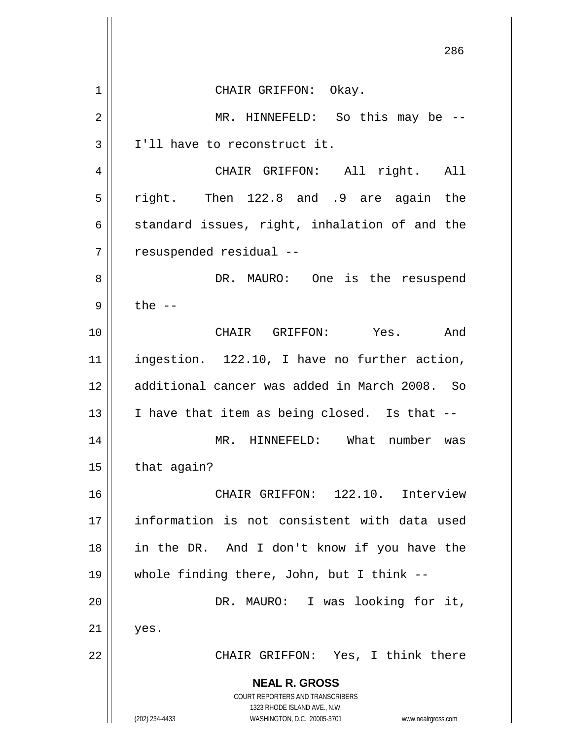**NEAL R. GROSS** COURT REPORTERS AND TRANSCRIBERS 1323 RHODE ISLAND AVE., N.W. (202) 234-4433 WASHINGTON, D.C. 20005-3701 www.nealrgross.com 286 1 CHAIR GRIFFON: Okay. 2 || MR. HINNEFELD: So this may be --3 | I'll have to reconstruct it. 4 || CHAIR GRIFFON: All right. All 5 right. Then 122.8 and .9 are again the 6 standard issues, right, inhalation of and the 7 | resuspended residual --8 DR. MAURO: One is the resuspend  $9 \parallel$  the  $-$ 10 CHAIR GRIFFON: Yes. And 11 ingestion. 122.10, I have no further action, 12 additional cancer was added in March 2008. So 13  $\parallel$  I have that item as being closed. Is that  $-$ 14 MR. HINNEFELD: What number was  $15$  | that again? 16 || CHAIR GRIFFON: 122.10. Interview 17 information is not consistent with data used 18 in the DR. And I don't know if you have the 19 whole finding there, John, but I think -- 20 DR. MAURO: I was looking for it,  $21 \parallel$  yes. 22 || CHAIR GRIFFON: Yes, I think there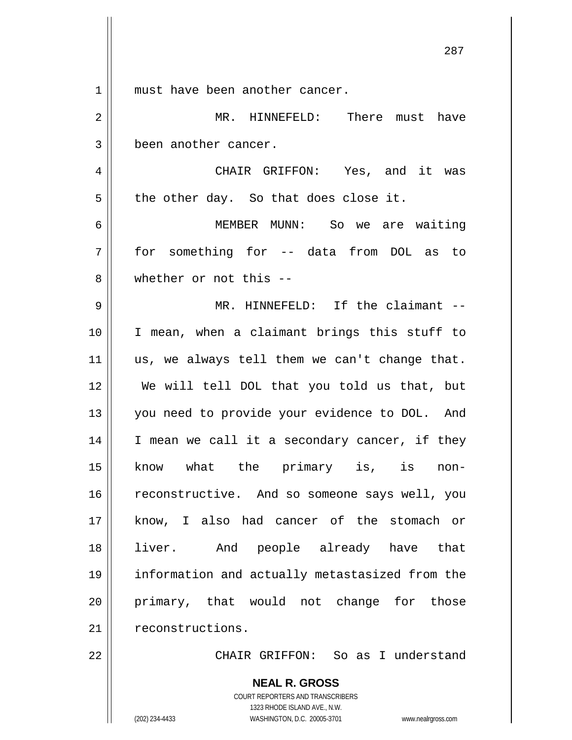**NEAL R. GROSS** COURT REPORTERS AND TRANSCRIBERS 1 || must have been another cancer. 2 MR. HINNEFELD: There must have 3 | been another cancer. 4 CHAIR GRIFFON: Yes, and it was  $5 \parallel$  the other day. So that does close it. 6 MEMBER MUNN: So we are waiting 7 for something for -- data from DOL as to 8 whether or not this -- 9 MR. HINNEFELD: If the claimant -- 10 I mean, when a claimant brings this stuff to  $11$  us, we always tell them we can't change that. 12 We will tell DOL that you told us that, but 13 || you need to provide your evidence to DOL. And 14 || I mean we call it a secondary cancer, if they 15 know what the primary is, is non-16 | reconstructive. And so someone says well, you 17 || know, I also had cancer of the stomach or 18 liver. And people already have that 19 information and actually metastasized from the 20 || primary, that would not change for those 21 | reconstructions. 22 CHAIR GRIFFON: So as I understand

1323 RHODE ISLAND AVE., N.W.

287

(202) 234-4433 WASHINGTON, D.C. 20005-3701 www.nealrgross.com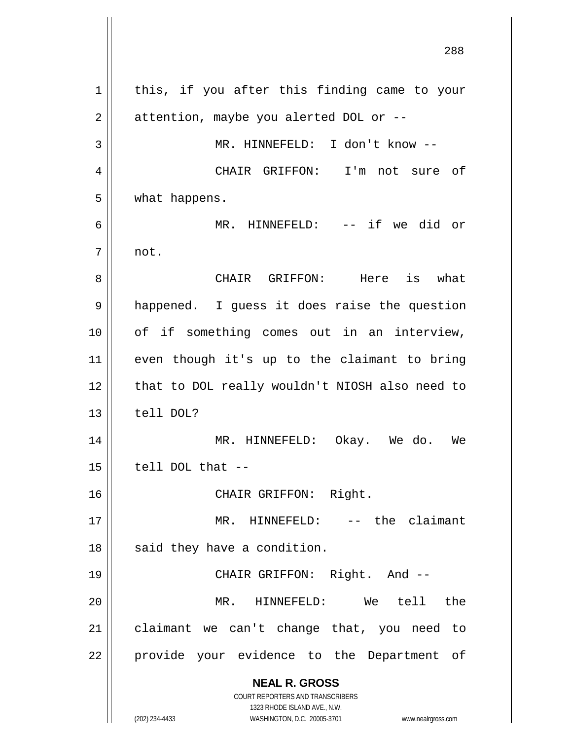**NEAL R. GROSS** COURT REPORTERS AND TRANSCRIBERS 1323 RHODE ISLAND AVE., N.W. (202) 234-4433 WASHINGTON, D.C. 20005-3701 www.nealrgross.com  $1 \parallel$  this, if you after this finding came to your  $2 \parallel$  attention, maybe you alerted DOL or --3 || MR. HINNEFELD: I don't know --4 CHAIR GRIFFON: I'm not sure of 5 what happens. 6 MR. HINNEFELD: -- if we did or  $7 \parallel$  not. 8 CHAIR GRIFFON: Here is what 9 | happened. I guess it does raise the question 10 || of if something comes out in an interview, 11 even though it's up to the claimant to bring 12 || that to DOL really wouldn't NIOSH also need to  $13$   $\parallel$  tell DOL? 14 MR. HINNEFELD: Okay. We do. We  $15$   $\parallel$  tell DOL that  $-$ 16 CHAIR GRIFFON: Right. 17 MR. HINNEFELD: -- the claimant  $18$  || said they have a condition. 19 CHAIR GRIFFON: Right. And -- 20 MR. HINNEFELD: We tell the 21 claimant we can't change that, you need to 22 || provide your evidence to the Department of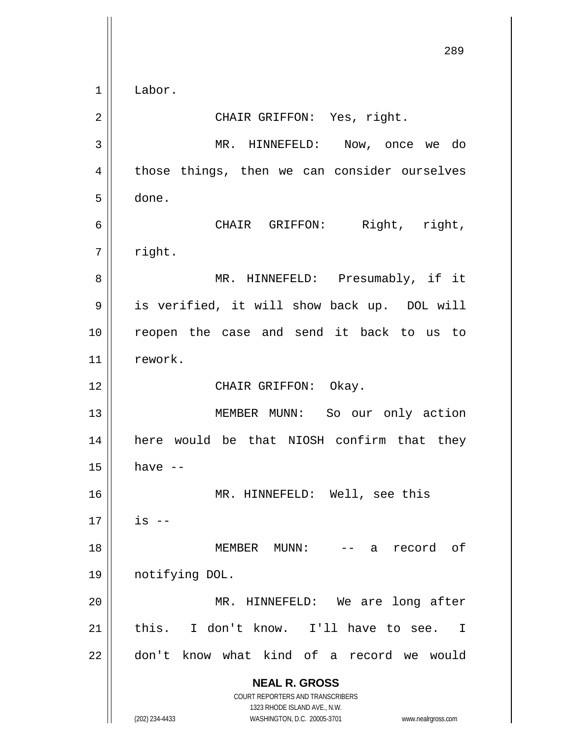**NEAL R. GROSS** COURT REPORTERS AND TRANSCRIBERS 1323 RHODE ISLAND AVE., N.W. (202) 234-4433 WASHINGTON, D.C. 20005-3701 www.nealrgross.com 289 1 Labor. 2 || CHAIR GRIFFON: Yes, right. 3 MR. HINNEFELD: Now, once we do 4 || those things, then we can consider ourselves 5 done. 6 CHAIR GRIFFON: Right, right,  $7 \parallel$  right. 8 MR. HINNEFELD: Presumably, if it 9 || is verified, it will show back up. DOL will 10 || reopen the case and send it back to us to 11 rework. 12 || CHAIR GRIFFON: Okay. 13 || MEMBER MUNN: So our only action 14 here would be that NIOSH confirm that they  $15$  have  $-$ 16 MR. HINNEFELD: Well, see this  $17 \parallel$  is  $-$ 18 MEMBER MUNN: -- a record of 19 notifying DOL. 20 || MR. HINNEFELD: We are long after 21 this. I don't know. I'll have to see. I 22 don't know what kind of a record we would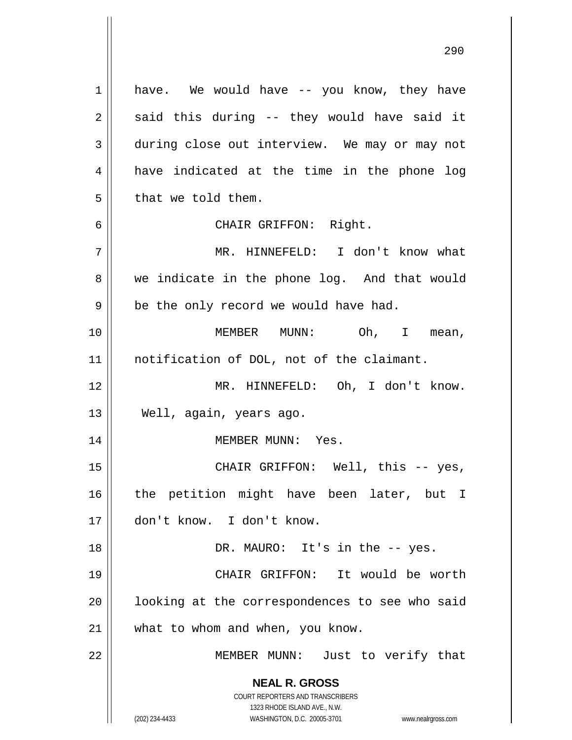**NEAL R. GROSS** COURT REPORTERS AND TRANSCRIBERS 1323 RHODE ISLAND AVE., N.W. (202) 234-4433 WASHINGTON, D.C. 20005-3701 www.nealrgross.com 1 have. We would have -- you know, they have  $2 \parallel$  said this during -- they would have said it 3 during close out interview. We may or may not 4 || have indicated at the time in the phone log  $5 \parallel$  that we told them. 6 CHAIR GRIFFON: Right. 7 MR. HINNEFELD: I don't know what 8 we indicate in the phone log. And that would  $9 \parallel$  be the only record we would have had. 10 MEMBER MUNN: Oh, I mean, 11 notification of DOL, not of the claimant. 12 MR. HINNEFELD: Oh, I don't know. 13 || Well, again, years ago. 14 || MEMBER MUNN: Yes. 15 CHAIR GRIFFON: Well, this -- yes, 16 || the petition might have been later, but I 17 don't know. I don't know. 18 || DR. MAURO: It's in the -- yes. 19 CHAIR GRIFFON: It would be worth 20 || looking at the correspondences to see who said 21 | what to whom and when, you know. 22 || MEMBER MUNN: Just to verify that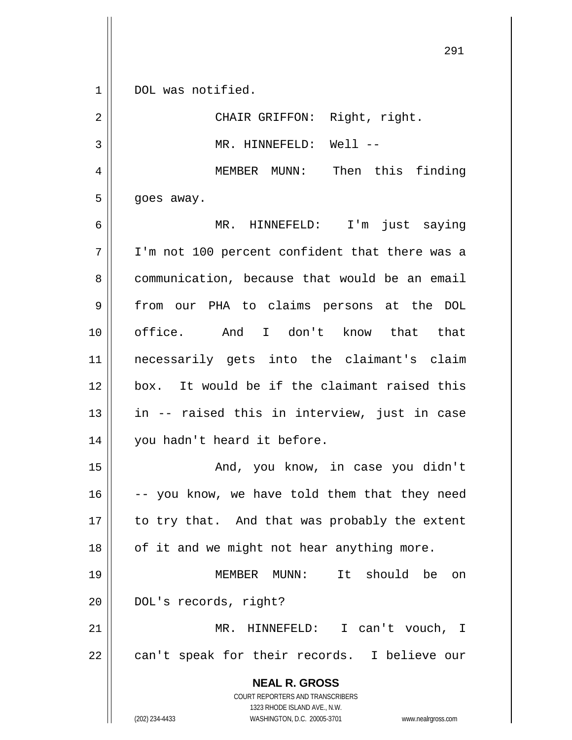1 || DOL was notified.

2 || CHAIR GRIFFON: Right, right. 3 || MR. HINNEFELD: Well --4 MEMBER MUNN: Then this finding  $5 \parallel$  goes away. 6 MR. HINNEFELD: I'm just saying 7 I'm not 100 percent confident that there was a 8 communication, because that would be an email 9 || from our PHA to claims persons at the DOL 10 office. And I don't know that that 11 necessarily gets into the claimant's claim 12 box. It would be if the claimant raised this 13 || in -- raised this in interview, just in case 14 || you hadn't heard it before. 15 And, you know, in case you didn't  $16$   $\vert$  -- you know, we have told them that they need  $17$  | to try that. And that was probably the extent 18 || of it and we might not hear anything more.

19 MEMBER MUNN: It should be on 20 | DOL's records, right? 21 MR. HINNEFELD: I can't vouch, I

22 || can't speak for their records. I believe our

**NEAL R. GROSS** COURT REPORTERS AND TRANSCRIBERS 1323 RHODE ISLAND AVE., N.W.

(202) 234-4433 WASHINGTON, D.C. 20005-3701 www.nealrgross.com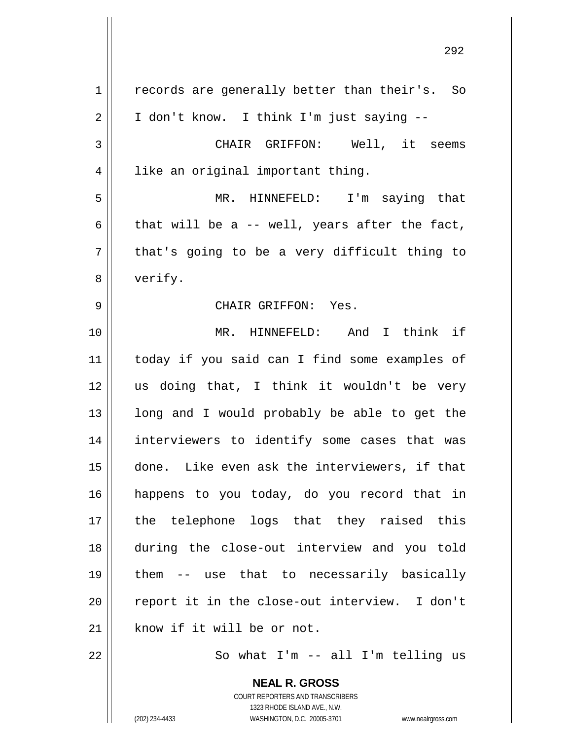| 1              | records are generally better than their's. So |
|----------------|-----------------------------------------------|
| $\overline{2}$ | I don't know. I think I'm just saying --      |
| 3              | CHAIR GRIFFON: Well, it seems                 |
| 4              | like an original important thing.             |
| 5              | MR. HINNEFELD: I'm saying that                |
| 6              | that will be a -- well, years after the fact, |
| 7              | that's going to be a very difficult thing to  |
| 8              | verify.                                       |
| 9              | CHAIR GRIFFON: Yes.                           |
| 10             | MR. HINNEFELD: And I think if                 |
| 11             | today if you said can I find some examples of |
| 12             | us doing that, I think it wouldn't be very    |
| 13             | long and I would probably be able to get the  |
| 14             | interviewers to identify some cases that was  |
| 15             | done. Like even ask the interviewers, if that |
| 16             | happens to you today, do you record that in   |
| 17             | the telephone logs that they raised this      |
| 18             | during the close-out interview and you told   |
| 19             | them -- use that to necessarily basically     |
| 20             | report it in the close-out interview. I don't |
| 21             | know if it will be or not.                    |
| 22             | So what I'm -- all I'm telling us             |
|                | <b>NEAL R. GROSS</b>                          |

 $\mathsf{II}$ 

1323 RHODE ISLAND AVE., N.W. (202) 234-4433 WASHINGTON, D.C. 20005-3701 www.nealrgross.com

COURT REPORTERS AND TRANSCRIBERS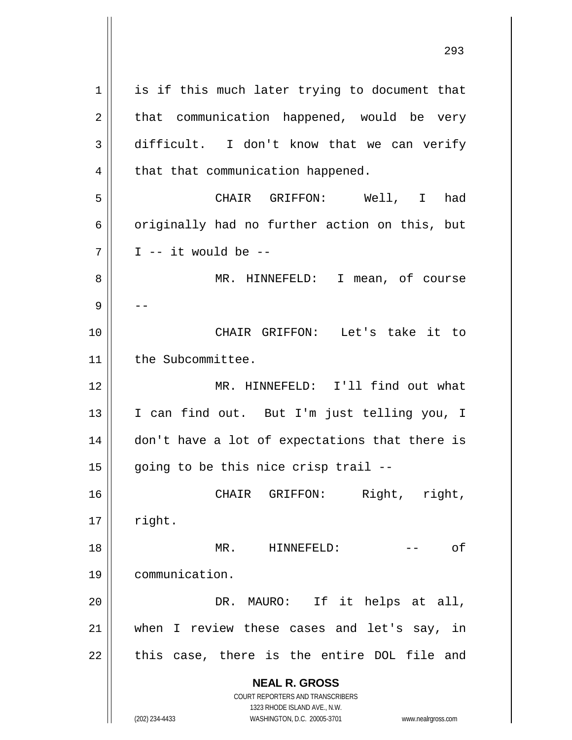**NEAL R. GROSS** COURT REPORTERS AND TRANSCRIBERS 1323 RHODE ISLAND AVE., N.W. 1 || is if this much later trying to document that  $2 \parallel$  that communication happened, would be very 3 difficult. I don't know that we can verify  $4$  | that that communication happened. 5 CHAIR GRIFFON: Well, I had  $6 \parallel$  originally had no further action on this, but  $7 \parallel$  I -- it would be --8 MR. HINNEFELD: I mean, of course 9 | --10 CHAIR GRIFFON: Let's take it to 11 | the Subcommittee. 12 MR. HINNEFELD: I'll find out what 13 || I can find out. But I'm just telling you, I 14 || don't have a lot of expectations that there is  $15$  going to be this nice crisp trail --16 CHAIR GRIFFON: Right, right,  $17$  || right. 18 MR. HINNEFELD: -- of 19 communication. 20 DR. MAURO: If it helps at all, 21 when I review these cases and let's say, in  $22$  || this case, there is the entire DOL file and

(202) 234-4433 WASHINGTON, D.C. 20005-3701 www.nealrgross.com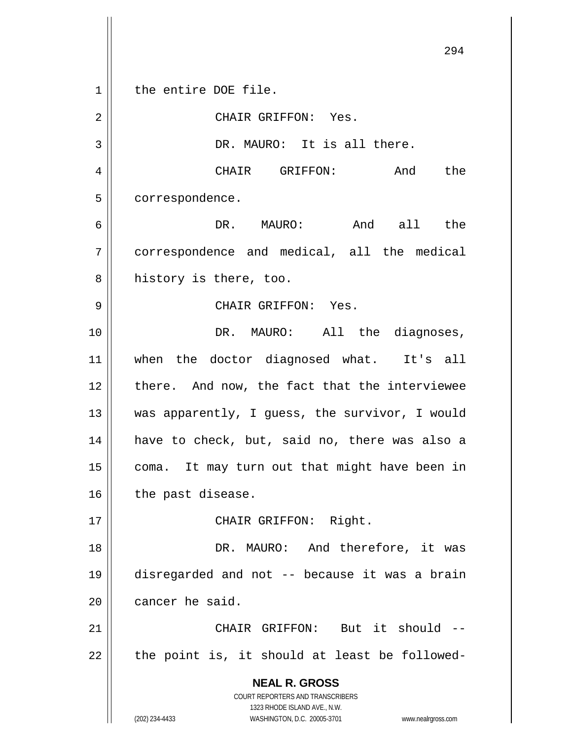**NEAL R. GROSS** COURT REPORTERS AND TRANSCRIBERS 1323 RHODE ISLAND AVE., N.W. (202) 234-4433 WASHINGTON, D.C. 20005-3701 www.nealrgross.com 1 | the entire DOE file. 2 || CHAIR GRIFFON: Yes. 3 || DR. MAURO: It is all there. 4 CHAIR GRIFFON: And the 5 | correspondence. 6 DR. MAURO: And all the 7 correspondence and medical, all the medical  $8$  || history is there, too. 9 CHAIR GRIFFON: Yes. 10 DR. MAURO: All the diagnoses, 11 when the doctor diagnosed what. It's all  $12$  | there. And now, the fact that the interviewee 13 || was apparently, I guess, the survivor, I would 14 || have to check, but, said no, there was also a 15 || coma. It may turn out that might have been in  $16$  | the past disease. 17 || CHAIR GRIFFON: Right. 18 || DR. MAURO: And therefore, it was 19 disregarded and not -- because it was a brain 20 | cancer he said. 21 CHAIR GRIFFON: But it should --  $22$  || the point is, it should at least be followed-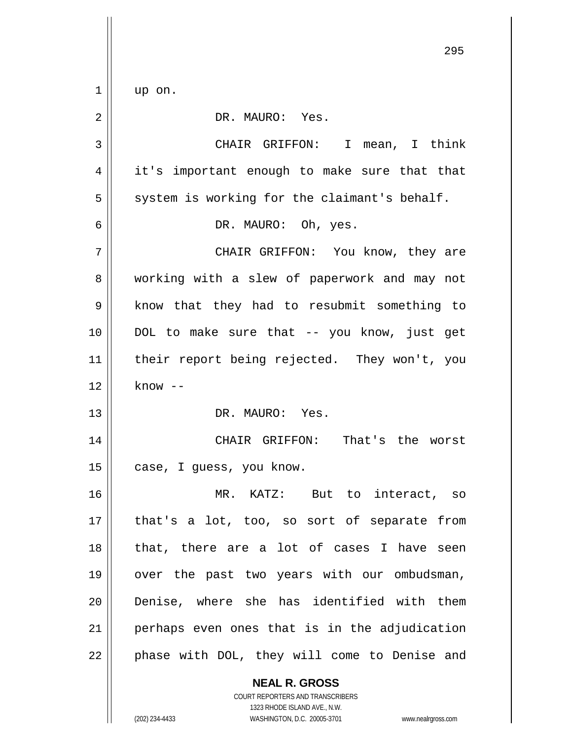$1 \parallel$  up on.

2 || DR. MAURO: Yes. 3 CHAIR GRIFFON: I mean, I think 4 || it's important enough to make sure that that  $5 \parallel$  system is working for the claimant's behalf. 6 DR. MAURO: Oh, yes. 7 CHAIR GRIFFON: You know, they are 8 working with a slew of paperwork and may not 9 || know that they had to resubmit something to 10 DOL to make sure that -- you know, just get 11 || their report being rejected. They won't, you  $12 \parallel$  know  $-$ 13 DR. MAURO: Yes. 14 CHAIR GRIFFON: That's the worst 15 | case, I guess, you know. 16 MR. KATZ: But to interact, so  $17$  || that's a lot, too, so sort of separate from 18 || that, there are a lot of cases I have seen 19 || over the past two years with our ombudsman, 20 Denise, where she has identified with them 21 perhaps even ones that is in the adjudication  $22$  || phase with DOL, they will come to Denise and

> **NEAL R. GROSS** COURT REPORTERS AND TRANSCRIBERS 1323 RHODE ISLAND AVE., N.W. (202) 234-4433 WASHINGTON, D.C. 20005-3701 www.nealrgross.com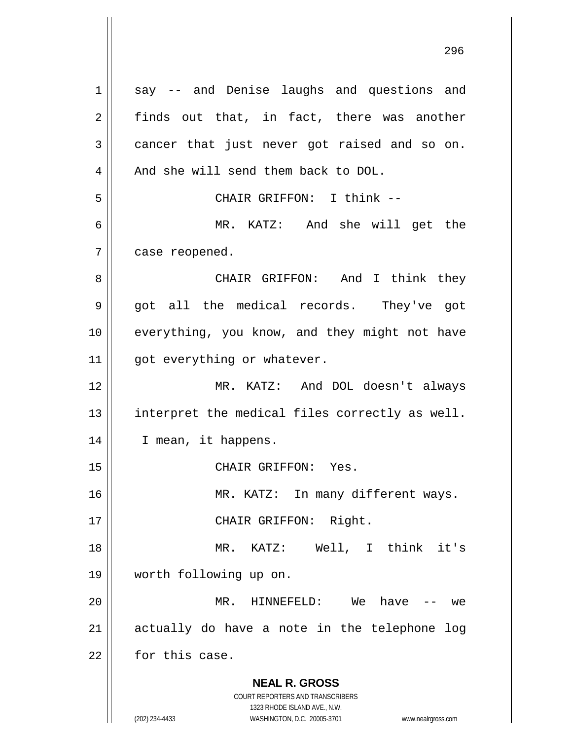**NEAL R. GROSS** COURT REPORTERS AND TRANSCRIBERS 1323 RHODE ISLAND AVE., N.W. (202) 234-4433 WASHINGTON, D.C. 20005-3701 www.nealrgross.com 1 || say -- and Denise laughs and questions and  $2 \parallel$  finds out that, in fact, there was another  $3 \parallel$  cancer that just never got raised and so on. 4 | And she will send them back to DOL. 5 CHAIR GRIFFON: I think -- 6 MR. KATZ: And she will get the  $7 \parallel$  case reopened. 8 CHAIR GRIFFON: And I think they  $9 \parallel$  got all the medical records. They've got 10 || everything, you know, and they might not have  $11$  | got everything or whatever. 12 MR. KATZ: And DOL doesn't always 13 || interpret the medical files correctly as well. 14 | I mean, it happens. 15 || CHAIR GRIFFON: Yes. 16 || MR. KATZ: In many different ways. 17 || CHAIR GRIFFON: Right. 18 MR. KATZ: Well, I think it's 19 worth following up on. 20 MR. HINNEFELD: We have -- we  $21$  actually do have a note in the telephone log 22 **for this case.**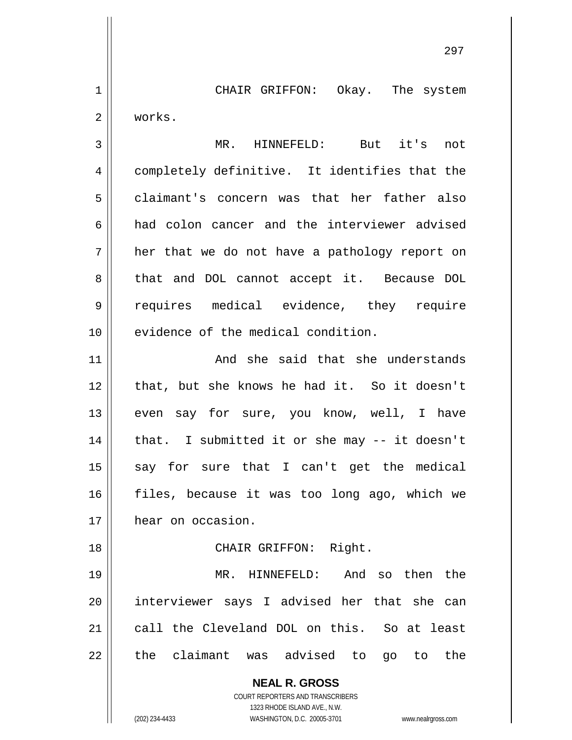1 || CHAIR GRIFFON: Okay. The system 2 works.

3 MR. HINNEFELD: But it's not 4 completely definitive. It identifies that the 5 claimant's concern was that her father also 6 || had colon cancer and the interviewer advised  $7 \parallel$  her that we do not have a pathology report on 8 || that and DOL cannot accept it. Because DOL 9 || requires medical evidence, they require 10 || evidence of the medical condition.

11 || The Said that she understands 12 || that, but she knows he had it. So it doesn't 13 || even say for sure, you know, well, I have  $14$  | that. I submitted it or she may  $-$  it doesn't  $15$  say for sure that I can't get the medical 16 || files, because it was too long ago, which we 17 | hear on occasion.

## 18 || CHAIR GRIFFON: Right.

 MR. HINNEFELD: And so then the interviewer says I advised her that she can call the Cleveland DOL on this. So at least || the claimant was advised to go to the

> **NEAL R. GROSS** COURT REPORTERS AND TRANSCRIBERS

> > 1323 RHODE ISLAND AVE., N.W.

(202) 234-4433 WASHINGTON, D.C. 20005-3701 www.nealrgross.com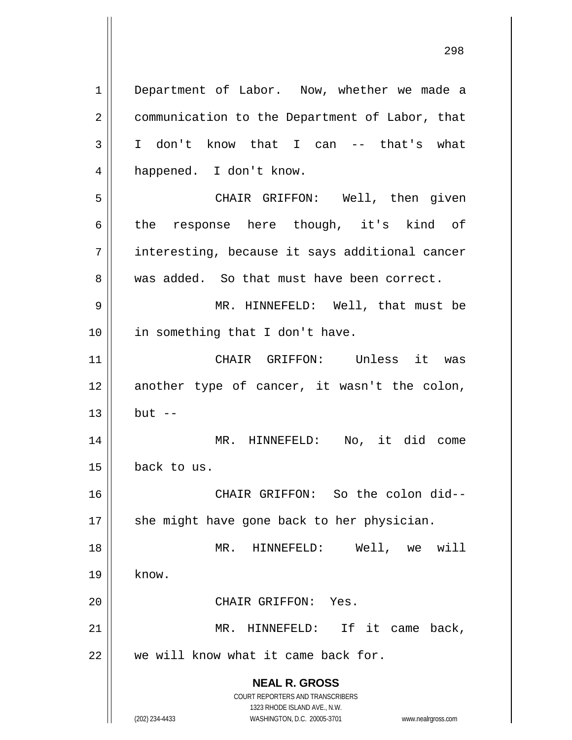**NEAL R. GROSS** COURT REPORTERS AND TRANSCRIBERS 1 | Department of Labor. Now, whether we made a 2 | communication to the Department of Labor, that 3 I don't know that I can -- that's what 4 || happened. I don't know. 5 CHAIR GRIFFON: Well, then given  $6 \parallel$  the response here though, it's kind of 7 || interesting, because it says additional cancer 8 was added. So that must have been correct. 9 MR. HINNEFELD: Well, that must be 10 || in something that I don't have. 11 CHAIR GRIFFON: Unless it was  $12$  another type of cancer, it wasn't the colon,  $13 \parallel$  but  $-$ 14 MR. HINNEFELD: No, it did come 15 back to us. 16 CHAIR GRIFFON: So the colon did--  $17$   $\parallel$  she might have gone back to her physician. 18 MR. HINNEFELD: Well, we will  $19 \parallel$  know. 20 CHAIR GRIFFON: Yes. 21 || MR. HINNEFELD: If it came back, 22 || we will know what it came back for.

1323 RHODE ISLAND AVE., N.W. (202) 234-4433 WASHINGTON, D.C. 20005-3701 www.nealrgross.com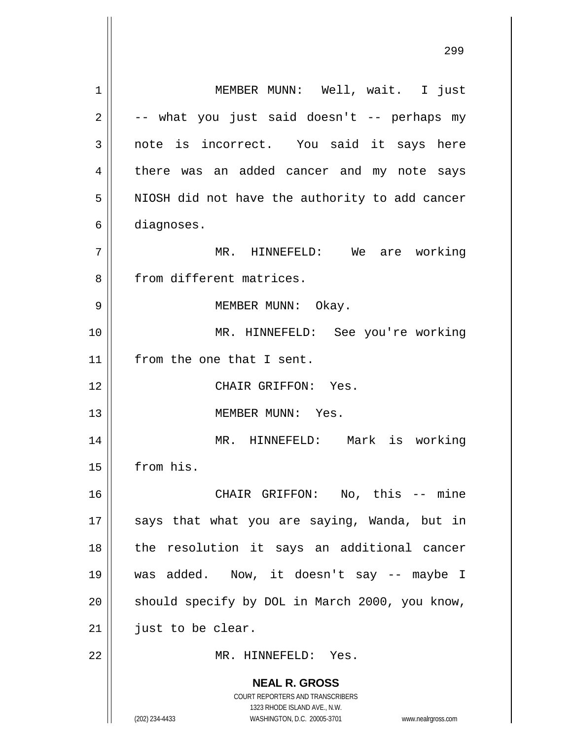**NEAL R. GROSS** COURT REPORTERS AND TRANSCRIBERS 1323 RHODE ISLAND AVE., N.W. (202) 234-4433 WASHINGTON, D.C. 20005-3701 www.nealrgross.com 1 || MEMBER MUNN: Well, wait. I just  $2 \parallel$  -- what you just said doesn't -- perhaps my  $3 \parallel$  note is incorrect. You said it says here 4 there was an added cancer and my note says  $5$  || NIOSH did not have the authority to add cancer 6 diagnoses. 7 MR. HINNEFELD: We are working 8 || from different matrices. 9 || MEMBER MUNN: Okay. 10 MR. HINNEFELD: See you're working 11 | from the one that I sent. 12 CHAIR GRIFFON: Yes. 13 MEMBER MUNN: Yes. 14 MR. HINNEFELD: Mark is working 15 from his. 16 || CHAIR GRIFFON: No, this -- mine 17 || says that what you are saying, Wanda, but in 18 || the resolution it says an additional cancer 19 was added. Now, it doesn't say -- maybe I  $20$  | should specify by DOL in March 2000, you know,  $21$  | just to be clear. 22 MR. HINNEFELD: Yes.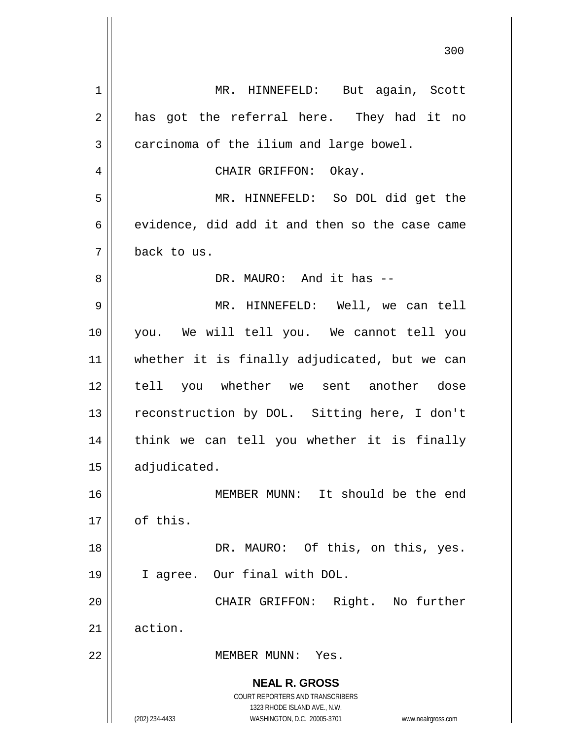**NEAL R. GROSS** COURT REPORTERS AND TRANSCRIBERS 1323 RHODE ISLAND AVE., N.W. (202) 234-4433 WASHINGTON, D.C. 20005-3701 www.nealrgross.com 1 || MR. HINNEFELD: But again, Scott  $2 \parallel$  has got the referral here. They had it no  $3 \parallel$  carcinoma of the ilium and large bowel. 4 CHAIR GRIFFON: Okay. 5 MR. HINNEFELD: So DOL did get the  $6 \parallel$  evidence, did add it and then so the case came 7 back to us. 8 DR. MAURO: And it has -- 9 MR. HINNEFELD: Well, we can tell 10 you. We will tell you. We cannot tell you 11 whether it is finally adjudicated, but we can 12 tell you whether we sent another dose 13 || reconstruction by DOL. Sitting here, I don't 14 || think we can tell you whether it is finally 15 | adjudicated. 16 MEMBER MUNN: It should be the end 17 | of this. 18 || DR. MAURO: Of this, on this, yes. 19 I agree. Our final with DOL. 20 CHAIR GRIFFON: Right. No further 21 action. 22 MEMBER MUNN: Yes.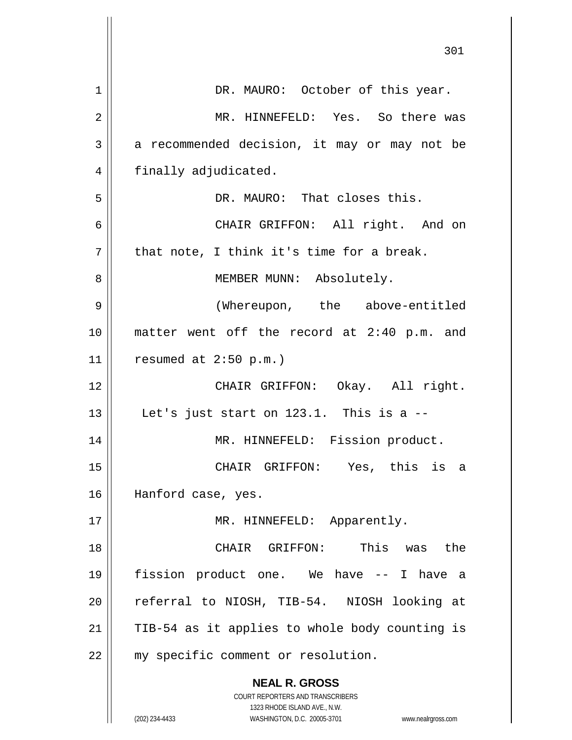|    | 301                                                                 |
|----|---------------------------------------------------------------------|
| 1  | DR. MAURO: October of this year.                                    |
| 2  | MR. HINNEFELD: Yes. So there was                                    |
| 3  | a recommended decision, it may or may not be                        |
| 4  | finally adjudicated.                                                |
| 5  | DR. MAURO: That closes this.                                        |
| 6  | CHAIR GRIFFON: All right. And on                                    |
| 7  | that note, I think it's time for a break.                           |
| 8  | MEMBER MUNN: Absolutely.                                            |
| 9  | (Whereupon, the above-entitled                                      |
| 10 | matter went off the record at 2:40 p.m. and                         |
| 11 | resumed at 2:50 p.m.)                                               |
| 12 | CHAIR GRIFFON: Okay. All right.                                     |
| 13 | Let's just start on 123.1. This is a --                             |
| 14 | MR. HINNEFELD: Fission product.                                     |
| 15 | CHAIR GRIFFON: Yes, this is a                                       |
| 16 | Hanford case, yes.                                                  |
| 17 | MR. HINNEFELD: Apparently.                                          |
| 18 | CHAIR GRIFFON: This was the                                         |
| 19 | fission product one. We have -- I have a                            |
| 20 | referral to NIOSH, TIB-54. NIOSH looking at                         |
| 21 | TIB-54 as it applies to whole body counting is                      |
| 22 | my specific comment or resolution.                                  |
|    | <b>NEAL R. GROSS</b>                                                |
|    | COURT REPORTERS AND TRANSCRIBERS<br>1323 RHODE ISLAND AVE., N.W.    |
|    | (202) 234-4433<br>WASHINGTON, D.C. 20005-3701<br>www.nealrgross.com |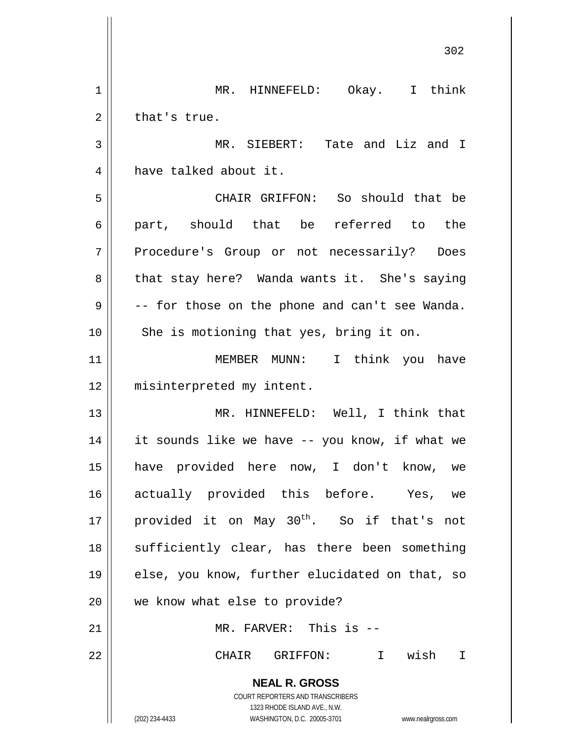**NEAL R. GROSS** COURT REPORTERS AND TRANSCRIBERS 1323 RHODE ISLAND AVE., N.W. (202) 234-4433 WASHINGTON, D.C. 20005-3701 www.nealrgross.com 1 MR. HINNEFELD: Okay. I think  $2 \parallel$  that's true. 3 MR. SIEBERT: Tate and Liz and I 4 have talked about it. 5 CHAIR GRIFFON: So should that be 6 || part, should that be referred to the 7 Procedure's Group or not necessarily? Does 8 || that stay here? Wanda wants it. She's saying  $9 \parallel$  -- for those on the phone and can't see Wanda. 10 || She is motioning that yes, bring it on. 11 || MEMBER MUNN: I think you have 12 || misinterpreted my intent. 13 || MR. HINNEFELD: Well, I think that 14 it sounds like we have -- you know, if what we 15 have provided here now, I don't know, we 16 actually provided this before. Yes, we 17 | provided it on May  $30^{\text{th}}$ . So if that's not 18 || sufficiently clear, has there been something 19 || else, you know, further elucidated on that, so 20 we know what else to provide? 21 || MR. FARVER: This is --22 CHAIR GRIFFON: I wish I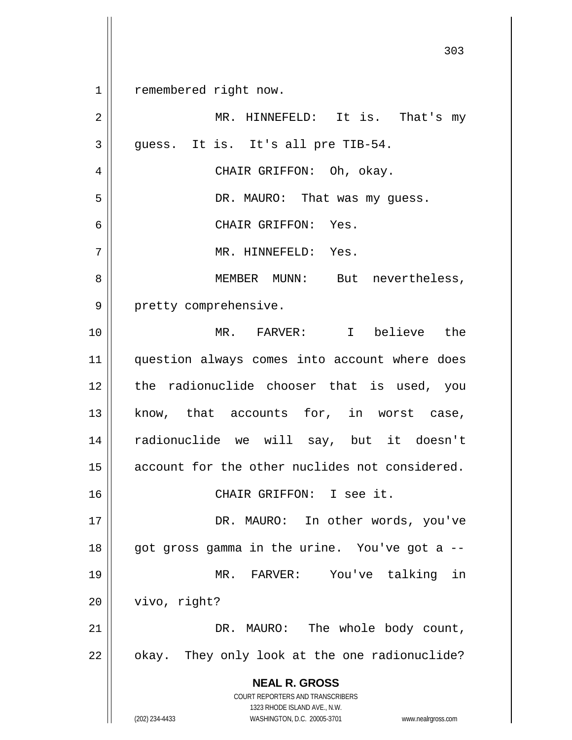**NEAL R. GROSS** COURT REPORTERS AND TRANSCRIBERS 1323 RHODE ISLAND AVE., N.W. (202) 234-4433 WASHINGTON, D.C. 20005-3701 www.nealrgross.com 303 1 | remembered right now. 2 || MR. HINNEFELD: It is. That's my  $3 \parallel$  quess. It is. It's all pre TIB-54. 4 CHAIR GRIFFON: Oh, okay. 5 DR. MAURO: That was my guess. 6 CHAIR GRIFFON: Yes. 7 MR. HINNEFELD: Yes. 8 MEMBER MUNN: But nevertheless, 9 || pretty comprehensive. 10 MR. FARVER: I believe the 11 || question always comes into account where does 12 the radionuclide chooser that is used, you 13 || know, that accounts for, in worst case, 14 radionuclide we will say, but it doesn't 15 | account for the other nuclides not considered. 16 CHAIR GRIFFON: I see it. 17 || DR. MAURO: In other words, you've 18 || got gross gamma in the urine. You've got a --19 MR. FARVER: You've talking in 20 | vivo, right? 21 | DR. MAURO: The whole body count,  $22 \parallel$  okay. They only look at the one radionuclide?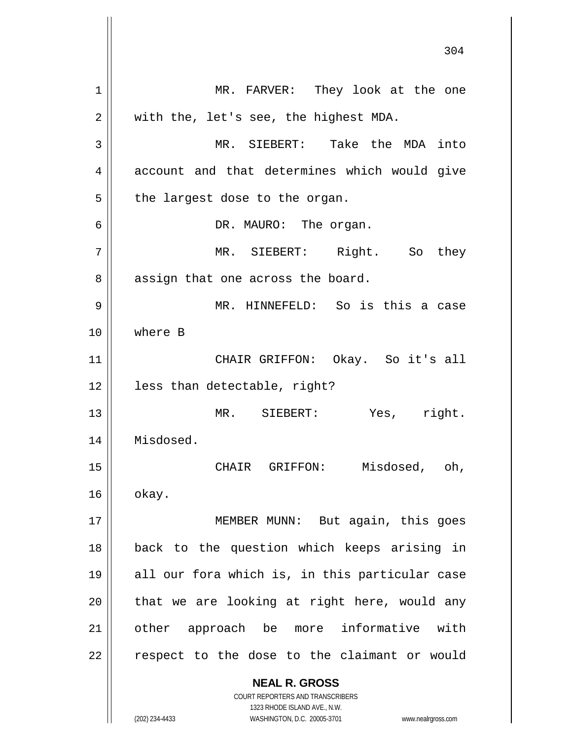**NEAL R. GROSS** COURT REPORTERS AND TRANSCRIBERS 1323 RHODE ISLAND AVE., N.W. 304 1 || MR. FARVER: They look at the one  $2 \parallel$  with the, let's see, the highest MDA. 3 MR. SIEBERT: Take the MDA into 4 account and that determines which would give  $5$  | the largest dose to the organ. 6 DR. MAURO: The organ. 7 MR. SIEBERT: Right. So they 8 || assign that one across the board. 9 MR. HINNEFELD: So is this a case 10 where B 11 CHAIR GRIFFON: Okay. So it's all 12 less than detectable, right? 13 MR. SIEBERT: Yes, right. 14 Misdosed. 15 || CHAIR GRIFFON: Misdosed, oh,  $16 \parallel$  okay. 17 || MEMBER MUNN: But again, this goes 18 back to the question which keeps arising in 19 all our fora which is, in this particular case  $20$  || that we are looking at right here, would any 21 || other approach be more informative with  $22$  | respect to the dose to the claimant or would

(202) 234-4433 WASHINGTON, D.C. 20005-3701 www.nealrgross.com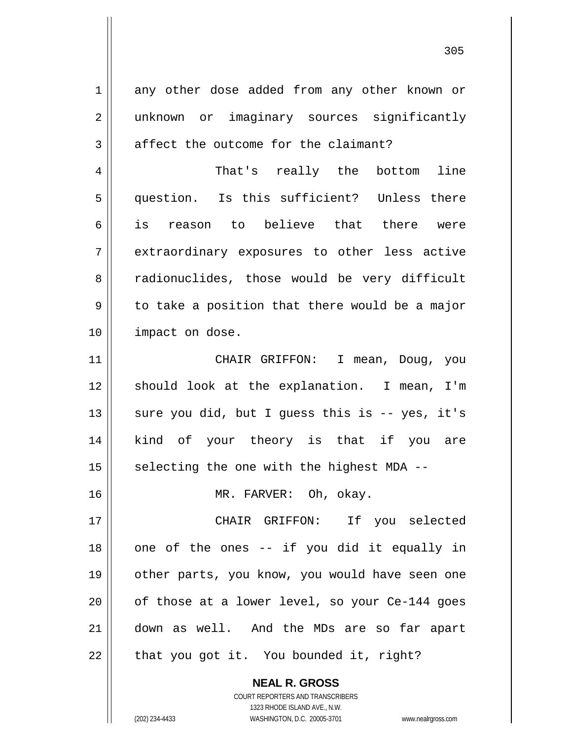| $\mathbf 1$    | any other dose added from any other known or   |
|----------------|------------------------------------------------|
| $\overline{2}$ | unknown or imaginary sources significantly     |
| 3              | affect the outcome for the claimant?           |
|                |                                                |
| $\overline{4}$ | That's really the bottom line                  |
| 5              | question. Is this sufficient? Unless there     |
| 6              | is reason to believe that there were           |
| 7              | extraordinary exposures to other less active   |
| 8              | radionuclides, those would be very difficult   |
| 9              | to take a position that there would be a major |
| 10             | impact on dose.                                |
| 11             | CHAIR GRIFFON: I mean, Doug, you               |
| 12             | should look at the explanation. I mean, I'm    |
| 13             | sure you did, but I guess this is -- yes, it's |
| 14             | kind of your theory is that if you are         |
| 15             | selecting the one with the highest MDA --      |
| 16             | MR. FARVER: Oh, okay.                          |
| 17             | CHAIR GRIFFON: If you selected                 |
| 18             | one of the ones -- if you did it equally in    |
| 19             | other parts, you know, you would have seen one |
| 20             | of those at a lower level, so your Ce-144 goes |
| 21             | down as well. And the MDs are so far apart     |
| 22             | that you got it. You bounded it, right?        |

**NEAL R. GROSS** COURT REPORTERS AND TRANSCRIBERS 1323 RHODE ISLAND AVE., N.W.

(202) 234-4433 WASHINGTON, D.C. 20005-3701 www.nealrgross.com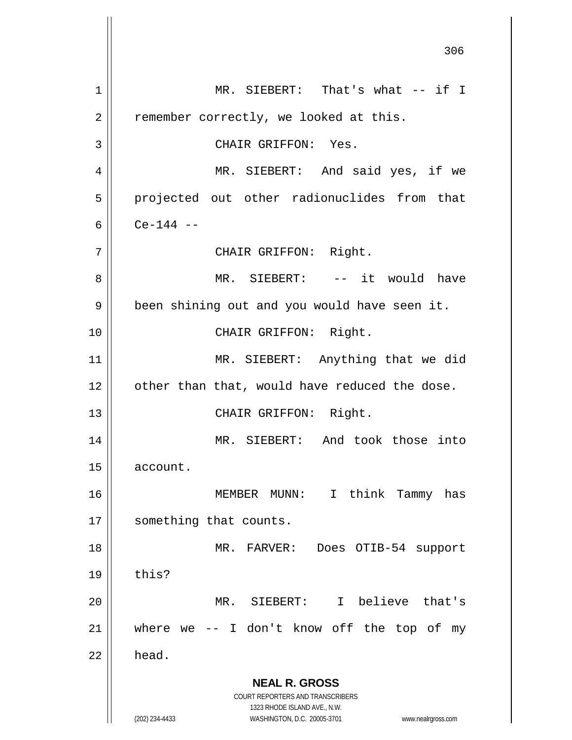**NEAL R. GROSS** COURT REPORTERS AND TRANSCRIBERS 1323 RHODE ISLAND AVE., N.W. (202) 234-4433 WASHINGTON, D.C. 20005-3701 www.nealrgross.com 306 1 || MR. SIEBERT: That's what -- if I  $2 \parallel$  remember correctly, we looked at this. 3 || CHAIR GRIFFON: Yes. 4 || MR. SIEBERT: And said yes, if we 5 || projected out other radionuclides from that 6  $\vert$  Ce-144 --7 || CHAIR GRIFFON: Right. 8 MR. SIEBERT: -- it would have 9 | been shining out and you would have seen it. 10 || CHAIR GRIFFON: Right. 11 || MR. SIEBERT: Anything that we did  $12$  | other than that, would have reduced the dose. 13 || CHAIR GRIFFON: Right. 14 MR. SIEBERT: And took those into 15 account. 16 MEMBER MUNN: I think Tammy has 17 || something that counts. 18 MR. FARVER: Does OTIB-54 support  $19 \parallel$  this? 20 MR. SIEBERT: I believe that's 21  $\parallel$  where we -- I don't know off the top of my  $22 \parallel$  head.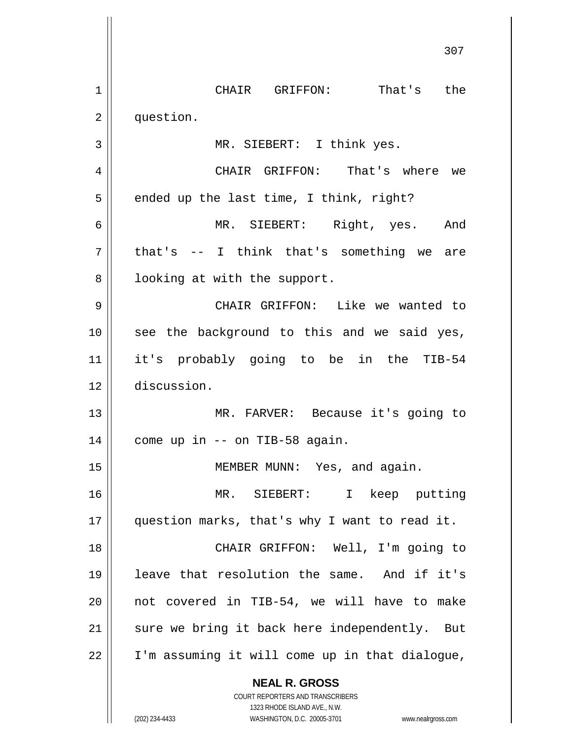|    | 30 T                                                                    |
|----|-------------------------------------------------------------------------|
| 1  | CHAIR GRIFFON: That's the                                               |
| 2  | question.                                                               |
| 3  | MR. SIEBERT: I think yes.                                               |
| 4  | CHAIR GRIFFON: That's where we                                          |
| 5  | ended up the last time, I think, right?                                 |
| 6  | MR. SIEBERT: Right, yes. And                                            |
| 7  | that's -- I think that's something we are                               |
| 8  | looking at with the support.                                            |
| 9  | CHAIR GRIFFON: Like we wanted to                                        |
| 10 | see the background to this and we said yes,                             |
| 11 | it's probably going to be in the TIB-54                                 |
| 12 | discussion.                                                             |
| 13 | MR. FARVER: Because it's going to                                       |
| 14 | come up in -- on TIB-58 again.                                          |
| 15 | MEMBER MUNN: Yes, and again.                                            |
| 16 | MR. SIEBERT:<br>I keep putting                                          |
| 17 | question marks, that's why I want to read it.                           |
| 18 | CHAIR GRIFFON: Well, I'm going to                                       |
| 19 | leave that resolution the same. And if it's                             |
| 20 | not covered in TIB-54, we will have to make                             |
| 21 | sure we bring it back here independently. But                           |
| 22 | I'm assuming it will come up in that dialogue,                          |
|    | <b>NEAL R. GROSS</b>                                                    |
|    | <b>COURT REPORTERS AND TRANSCRIBERS</b><br>1323 RHODE ISLAND AVE., N.W. |
|    | (202) 234-4433<br>WASHINGTON, D.C. 20005-3701<br>www.nealrgross.com     |

 $\overline{\phantom{a}}$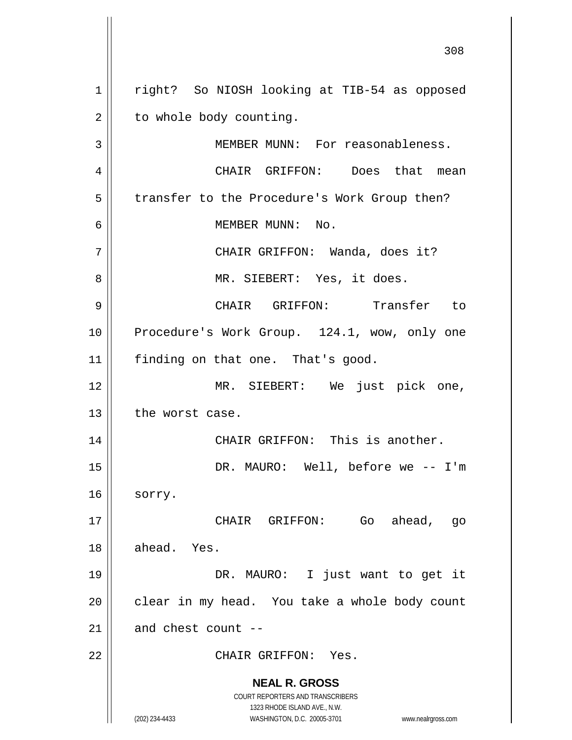**NEAL R. GROSS** COURT REPORTERS AND TRANSCRIBERS 1323 RHODE ISLAND AVE., N.W. (202) 234-4433 WASHINGTON, D.C. 20005-3701 www.nealrgross.com 1 || right? So NIOSH looking at TIB-54 as opposed  $2 \parallel$  to whole body counting. 3 || MEMBER MUNN: For reasonableness. 4 CHAIR GRIFFON: Does that mean 5 | transfer to the Procedure's Work Group then? 6 MEMBER MUNN: No. 7 CHAIR GRIFFON: Wanda, does it? 8 || MR. SIEBERT: Yes, it does. 9 CHAIR GRIFFON: Transfer to 10 || Procedure's Work Group. 124.1, wow, only one 11 | finding on that one. That's good. 12 MR. SIEBERT: We just pick one,  $13$  | the worst case. 14 || CHAIR GRIFFON: This is another. 15 DR. MAURO: Well, before we -- I'm  $16 \parallel$  sorry. 17 CHAIR GRIFFON: Go ahead, go 18 ahead. Yes. 19 DR. MAURO: I just want to get it  $20$  | clear in my head. You take a whole body count  $21$  | and chest count --22 CHAIR GRIFFON: Yes.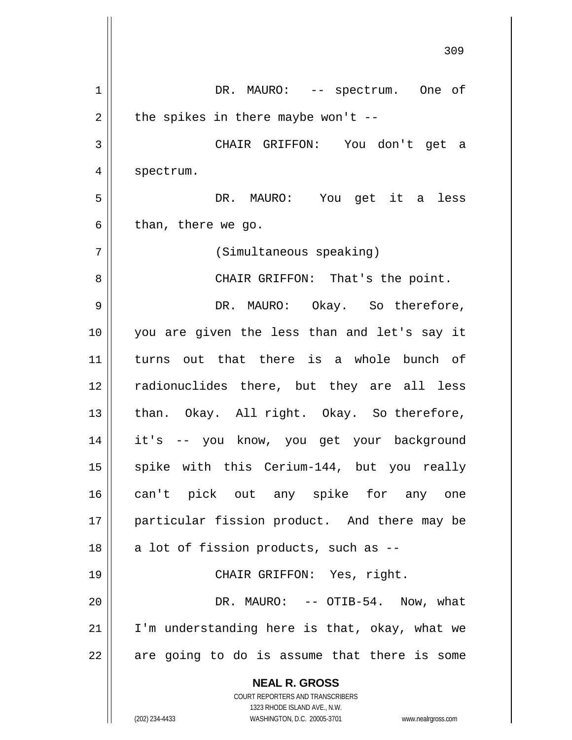**NEAL R. GROSS** COURT REPORTERS AND TRANSCRIBERS 1323 RHODE ISLAND AVE., N.W. 1 || DR. MAURO: -- spectrum. One of  $2 \parallel$  the spikes in there maybe won't --3 CHAIR GRIFFON: You don't get a 4 | spectrum. 5 DR. MAURO: You get it a less  $6 \parallel$  than, there we go. 7 (Simultaneous speaking) 8 CHAIR GRIFFON: That's the point. 9 DR. MAURO: Okay. So therefore, 10 you are given the less than and let's say it 11 turns out that there is a whole bunch of 12 radionuclides there, but they are all less 13 || than. Okay. All right. Okay. So therefore, 14 it's -- you know, you get your background 15 || spike with this Cerium-144, but you really 16 can't pick out any spike for any one 17 particular fission product. And there may be  $18$  || a lot of fission products, such as  $-$ 19 CHAIR GRIFFON: Yes, right. 20 DR. MAURO: -- OTIB-54. Now, what 21 || I'm understanding here is that, okay, what we  $22$  || are going to do is assume that there is some

(202) 234-4433 WASHINGTON, D.C. 20005-3701 www.nealrgross.com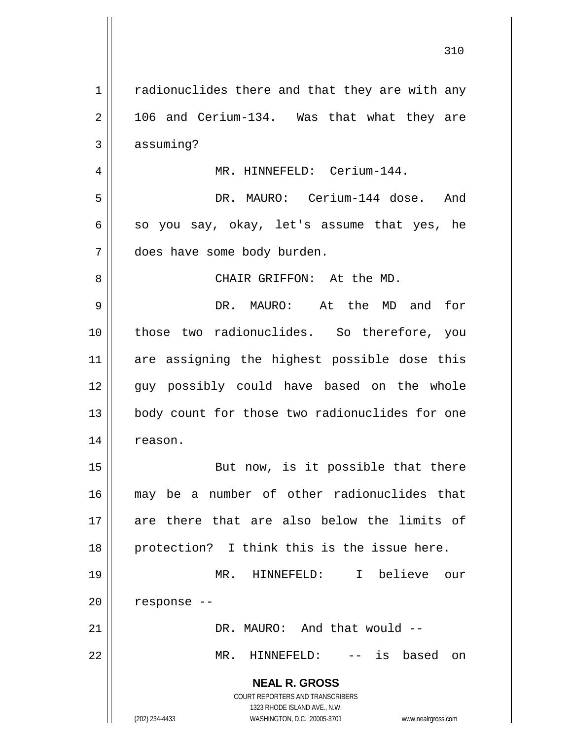**NEAL R. GROSS** COURT REPORTERS AND TRANSCRIBERS 1323 RHODE ISLAND AVE., N.W. (202) 234-4433 WASHINGTON, D.C. 20005-3701 www.nealrgross.com 1 | radionuclides there and that they are with any  $2 \parallel$  106 and Cerium-134. Was that what they are  $3 \parallel$  assuming? 4 | MR. HINNEFELD: Cerium-144. 5 DR. MAURO: Cerium-144 dose. And  $6 \parallel$  so you say, okay, let's assume that yes, he 7 does have some body burden. 8 CHAIR GRIFFON: At the MD. 9 DR. MAURO: At the MD and for 10 those two radionuclides. So therefore, you 11 are assigning the highest possible dose this 12 guy possibly could have based on the whole 13 || body count for those two radionuclides for one 14 | reason. 15 || But now, is it possible that there 16 may be a number of other radionuclides that 17 are there that are also below the limits of 18 protection? I think this is the issue here. 19 MR. HINNEFELD: I believe our  $20$  | response --21 DR. MAURO: And that would -- 22 MR. HINNEFELD: -- is based on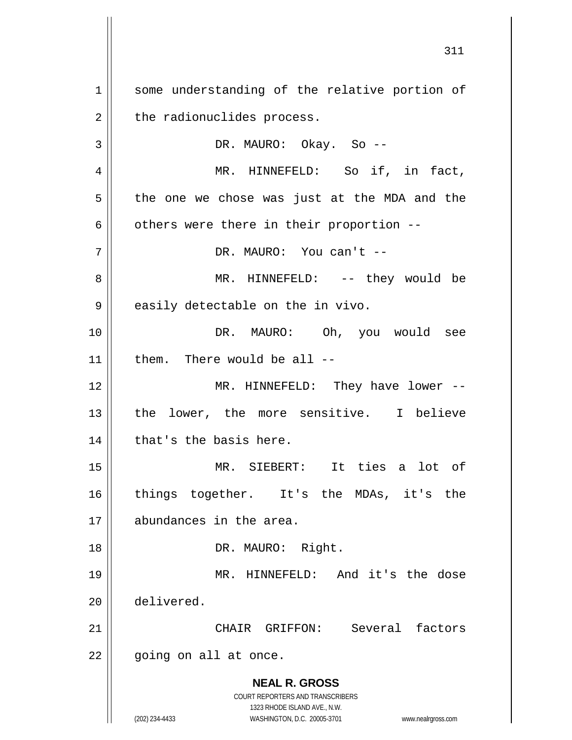**NEAL R. GROSS** COURT REPORTERS AND TRANSCRIBERS 1323 RHODE ISLAND AVE., N.W. (202) 234-4433 WASHINGTON, D.C. 20005-3701 www.nealrgross.com 1 || some understanding of the relative portion of  $2 \parallel$  the radionuclides process. 3 DR. MAURO: Okay. So -- 4 || MR. HINNEFELD: So if, in fact,  $5 \parallel$  the one we chose was just at the MDA and the  $6 \parallel$  others were there in their proportion --7 DR. MAURO: You can't -- 8 MR. HINNEFELD: -- they would be  $9 \parallel$  easily detectable on the in vivo. 10 DR. MAURO: Oh, you would see  $11$  | them. There would be all  $-$ 12 MR. HINNEFELD: They have lower -- 13 || the lower, the more sensitive. I believe  $14$  | that's the basis here. 15 MR. SIEBERT: It ties a lot of 16 || things together. It's the MDAs, it's the 17 abundances in the area. 18 || DR. MAURO: Right. 19 MR. HINNEFELD: And it's the dose 20 delivered. 21 CHAIR GRIFFON: Several factors 22 || going on all at once.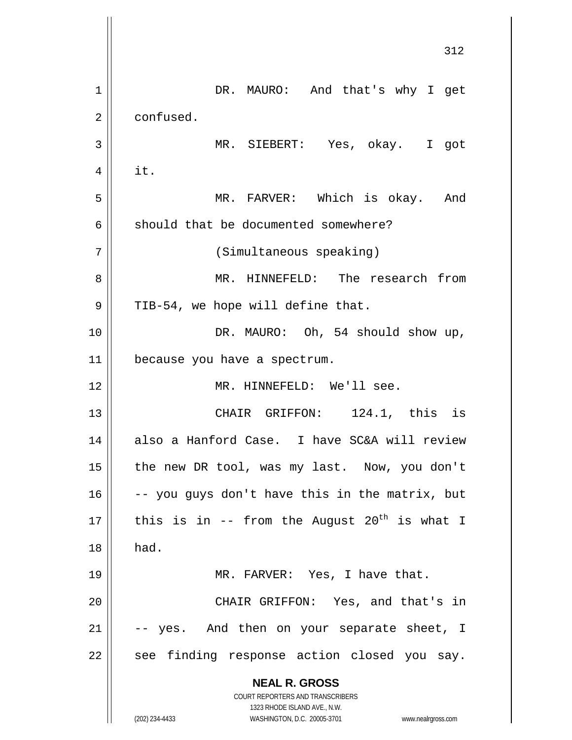**NEAL R. GROSS** COURT REPORTERS AND TRANSCRIBERS 1323 RHODE ISLAND AVE., N.W. (202) 234-4433 WASHINGTON, D.C. 20005-3701 www.nealrgross.com 312 1 || DR. MAURO: And that's why I get 2 | confused. 3 MR. SIEBERT: Yes, okay. I got  $4 \parallel$  it. 5 MR. FARVER: Which is okay. And  $6$  should that be documented somewhere? 7 (Simultaneous speaking) 8 MR. HINNEFELD: The research from  $9 \parallel$  TIB-54, we hope will define that. 10 || DR. MAURO: Oh, 54 should show up, 11 because you have a spectrum. 12 MR. HINNEFELD: We'll see. 13 || CHAIR GRIFFON: 124.1, this is 14 also a Hanford Case. I have SC&A will review 15 || the new DR tool, was my last. Now, you don't  $16$  -- you guys don't have this in the matrix, but 17  $\parallel$  this is in -- from the August 20<sup>th</sup> is what I  $18$  | had. 19 MR. FARVER: Yes, I have that. 20 || CHAIR GRIFFON: Yes, and that's in  $21$   $\vert$  -- yes. And then on your separate sheet, I  $22$  see finding response action closed you say.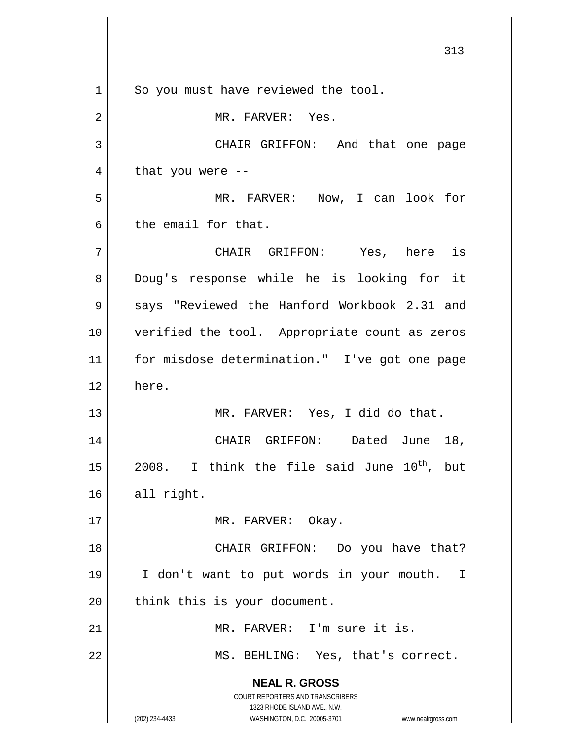**NEAL R. GROSS** COURT REPORTERS AND TRANSCRIBERS 1323 RHODE ISLAND AVE., N.W. (202) 234-4433 WASHINGTON, D.C. 20005-3701 www.nealrgross.com 1 || So you must have reviewed the tool. 2 || MR. FARVER: Yes. 3 CHAIR GRIFFON: And that one page  $4 \parallel$  that you were --5 MR. FARVER: Now, I can look for  $6 \parallel$  the email for that. 7 CHAIR GRIFFON: Yes, here is 8 Doug's response while he is looking for it 9 | says "Reviewed the Hanford Workbook 2.31 and 10 verified the tool. Appropriate count as zeros 11 || for misdose determination." I've got one page 12 here. 13 MR. FARVER: Yes, I did do that. 14 CHAIR GRIFFON: Dated June 18, 15 || 2008. I think the file said June  $10^{th}$ , but  $16$  all right. 17 || MR. FARVER: Okay. 18 || CHAIR GRIFFON: Do you have that? 19 I don't want to put words in your mouth. I  $20$  | think this is your document. 21 MR. FARVER: I'm sure it is. 22 || MS. BEHLING: Yes, that's correct.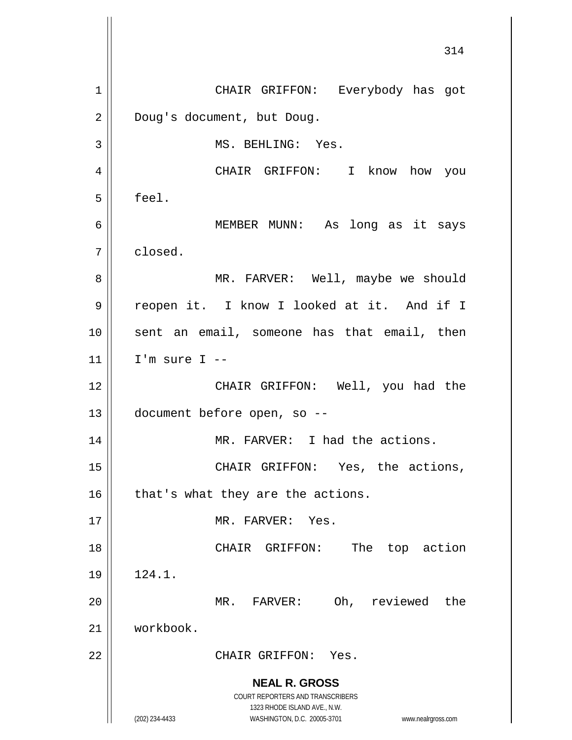**NEAL R. GROSS** COURT REPORTERS AND TRANSCRIBERS 1323 RHODE ISLAND AVE., N.W. (202) 234-4433 WASHINGTON, D.C. 20005-3701 www.nealrgross.com 314 1 CHAIR GRIFFON: Everybody has got 2 | Doug's document, but Doug. 3 || MS. BEHLING: Yes. 4 CHAIR GRIFFON: I know how you  $5 \parallel$  feel. 6 MEMBER MUNN: As long as it says 7 closed. 8 MR. FARVER: Well, maybe we should 9 | reopen it. I know I looked at it. And if I 10 sent an email, someone has that email, then  $11$  | I'm sure I --12 CHAIR GRIFFON: Well, you had the 13 document before open, so -- 14 || MR. FARVER: I had the actions. 15 || CHAIR GRIFFON: Yes, the actions,  $16$  | that's what they are the actions. 17 MR. FARVER: Yes. 18 || CHAIR GRIFFON: The top action 19 124.1. 20 MR. FARVER: Oh, reviewed the 21 workbook. 22 CHAIR GRIFFON: Yes.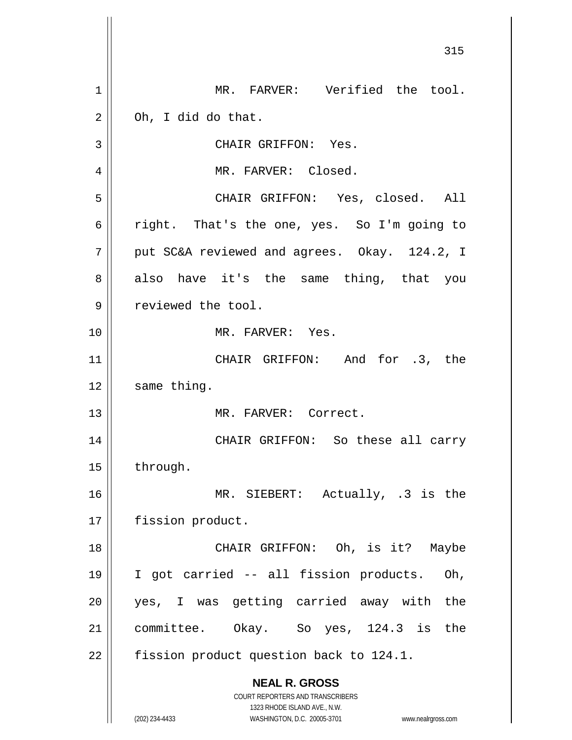**NEAL R. GROSS** COURT REPORTERS AND TRANSCRIBERS 1323 RHODE ISLAND AVE., N.W. (202) 234-4433 WASHINGTON, D.C. 20005-3701 www.nealrgross.com 1 || MR. FARVER: Verified the tool.  $2 \parallel$  Oh, I did do that. 3 || CHAIR GRIFFON: Yes. 4 MR. FARVER: Closed. 5 CHAIR GRIFFON: Yes, closed. All 6 right. That's the one, yes. So I'm going to  $7 \parallel$  put SC&A reviewed and agrees. Okay. 124.2, I 8 also have it's the same thing, that you 9 | reviewed the tool. 10 MR. FARVER: Yes. 11 || CHAIR GRIFFON: And for .3, the  $12$  | same thing. 13 MR. FARVER: Correct. 14 CHAIR GRIFFON: So these all carry 15 through. 16 || MR. SIEBERT: Actually, .3 is the 17 | fission product. 18 CHAIR GRIFFON: Oh, is it? Maybe 19 I got carried -- all fission products. Oh, 20 yes, I was getting carried away with the 21 committee. Okay. So yes, 124.3 is the 22  $\parallel$  fission product question back to 124.1.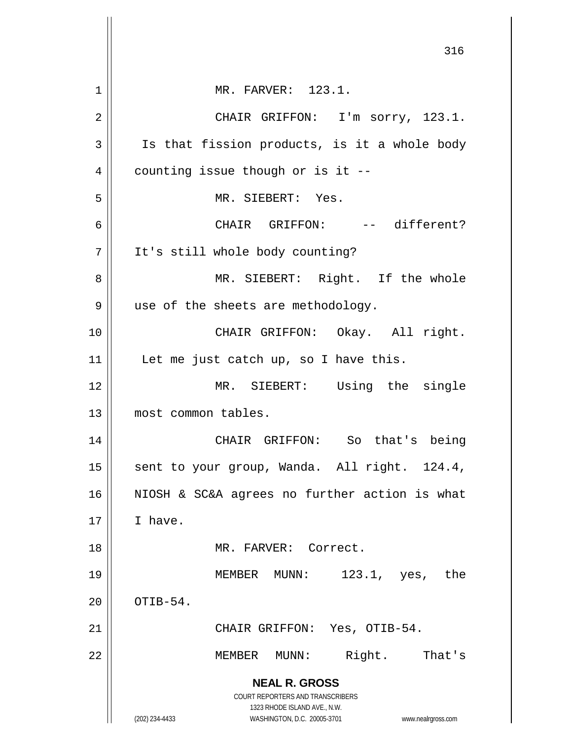|                | 316                                                                 |
|----------------|---------------------------------------------------------------------|
| 1              | MR. FARVER: 123.1.                                                  |
| 2              | CHAIR GRIFFON: I'm sorry, 123.1.                                    |
| 3              | Is that fission products, is it a whole body                        |
| $\overline{4}$ | counting issue though or is it --                                   |
| 5              | MR. SIEBERT: Yes.                                                   |
| 6              | CHAIR GRIFFON: -- different?                                        |
| 7              | It's still whole body counting?                                     |
| 8              | MR. SIEBERT: Right. If the whole                                    |
| 9              | use of the sheets are methodology.                                  |
| 10             | CHAIR GRIFFON: Okay. All right.                                     |
| 11             | Let me just catch up, so I have this.                               |
| 12             | MR. SIEBERT: Using the single                                       |
| 13             | most common tables.                                                 |
| 14             | CHAIR GRIFFON: So that's being                                      |
| 15             | sent to your group, Wanda. All right. 124.4,                        |
| 16             | NIOSH & SC&A agrees no further action is what                       |
| 17             | I have.                                                             |
| 18             | MR. FARVER: Correct.                                                |
| 19             | MEMBER MUNN:<br>123.1, yes, the                                     |
| 20             | OTIB-54.                                                            |
| 21             | CHAIR GRIFFON: Yes, OTIB-54.                                        |
| 22             | Right.<br>MEMBER MUNN:<br>That's                                    |
|                | <b>NEAL R. GROSS</b>                                                |
|                | COURT REPORTERS AND TRANSCRIBERS<br>1323 RHODE ISLAND AVE., N.W.    |
|                | (202) 234-4433<br>WASHINGTON, D.C. 20005-3701<br>www.nealrgross.com |

 $\mathbb{I}$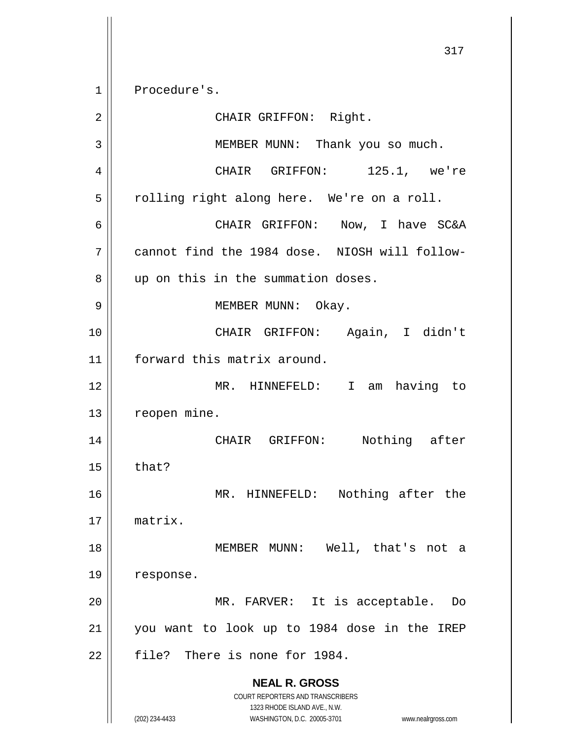1 Procedure's.

**NEAL R. GROSS** COURT REPORTERS AND TRANSCRIBERS 1323 RHODE ISLAND AVE., N.W. (202) 234-4433 WASHINGTON, D.C. 20005-3701 www.nealrgross.com 2 || CHAIR GRIFFON: Right. 3 || MEMBER MUNN: Thank you so much. 4 || CHAIR GRIFFON: 125.1, we're  $5 \parallel$  rolling right along here. We're on a roll. 6 CHAIR GRIFFON: Now, I have SC&A 7 cannot find the 1984 dose. NIOSH will follow-8 || up on this in the summation doses. 9 || MEMBER MUNN: Okay. 10 || CHAIR GRIFFON: Again, I didn't 11 forward this matrix around. 12 MR. HINNEFELD: I am having to 13 | reopen mine. 14 CHAIR GRIFFON: Nothing after  $15$  | that? 16 || MR. HINNEFELD: Nothing after the 17 matrix. 18 || MEMBER MUNN: Well, that's not a 19 | response. 20 || MR. FARVER: It is acceptable. Do 21 you want to look up to 1984 dose in the IREP  $22$  || file? There is none for 1984.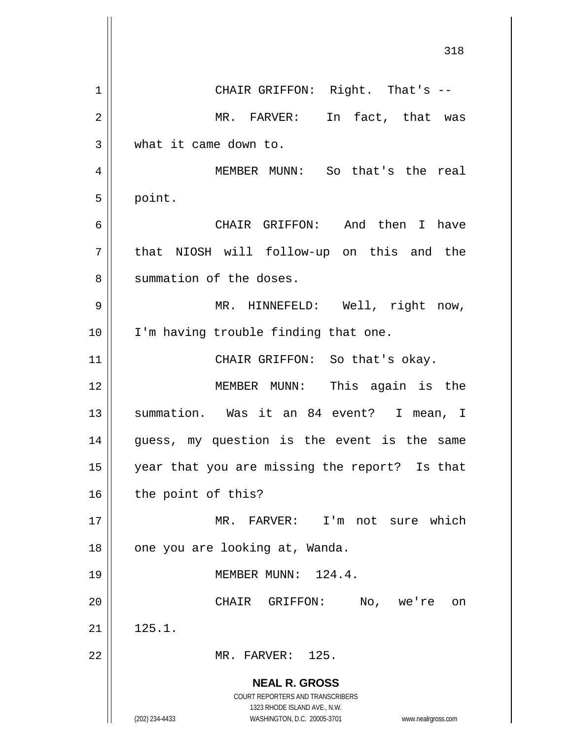|    | 318                                                                                                 |
|----|-----------------------------------------------------------------------------------------------------|
| 1  | CHAIR GRIFFON: Right. That's --                                                                     |
| 2  | In fact, that was<br>MR. FARVER:                                                                    |
| 3  | what it came down to.                                                                               |
| 4  | MEMBER MUNN: So that's the real                                                                     |
| 5  | point.                                                                                              |
| 6  | CHAIR GRIFFON: And then I have                                                                      |
| 7  | that NIOSH will follow-up on this and the                                                           |
| 8  | summation of the doses.                                                                             |
| 9  | MR. HINNEFELD: Well, right now,                                                                     |
| 10 | I'm having trouble finding that one.                                                                |
| 11 | CHAIR GRIFFON: So that's okay.                                                                      |
| 12 | MEMBER MUNN: This again is the                                                                      |
| 13 | summation. Was it an 84 event? I mean, I                                                            |
| 14 | guess, my question is the event is the<br>same                                                      |
| 15 | year that you are missing the report? Is that                                                       |
| 16 | the point of this?                                                                                  |
| 17 | MR. FARVER: I'm not sure which                                                                      |
| 18 | one you are looking at, Wanda.                                                                      |
| 19 | MEMBER MUNN: 124.4.                                                                                 |
| 20 | CHAIR GRIFFON:<br>No,<br>we're<br>on                                                                |
| 21 | 125.1.                                                                                              |
| 22 | MR. FARVER: 125.                                                                                    |
|    | <b>NEAL R. GROSS</b>                                                                                |
|    | COURT REPORTERS AND TRANSCRIBERS                                                                    |
|    | 1323 RHODE ISLAND AVE., N.W.<br>(202) 234-4433<br>WASHINGTON, D.C. 20005-3701<br>www.nealrgross.com |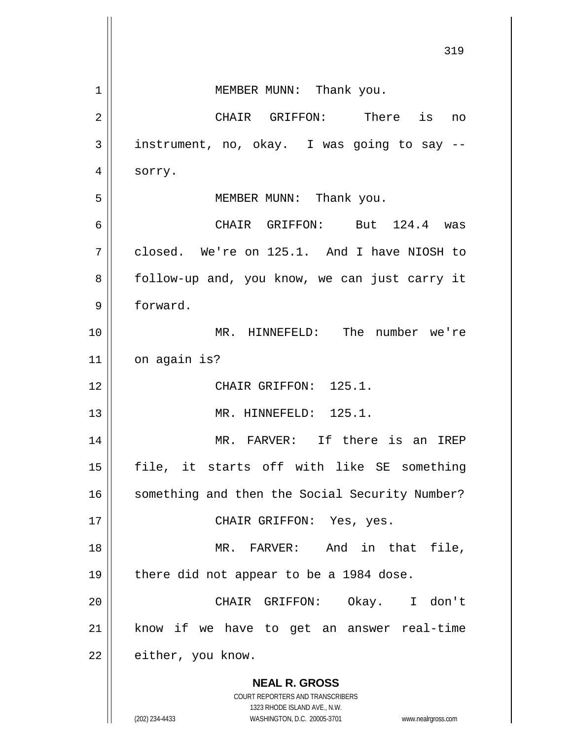|    | 319                                                                                                 |
|----|-----------------------------------------------------------------------------------------------------|
|    |                                                                                                     |
| 1  | MEMBER MUNN: Thank you.                                                                             |
| 2  | CHAIR GRIFFON: There is<br>no                                                                       |
| 3  | instrument, no, okay. I was going to say --                                                         |
| 4  | sorry.                                                                                              |
| 5  | MEMBER MUNN: Thank you.                                                                             |
| 6  | CHAIR GRIFFON: But 124.4 was                                                                        |
| 7  | closed. We're on 125.1. And I have NIOSH to                                                         |
| 8  | follow-up and, you know, we can just carry it                                                       |
| 9  | forward.                                                                                            |
| 10 | MR. HINNEFELD: The number we're                                                                     |
| 11 | on again is?                                                                                        |
| 12 | CHAIR GRIFFON: 125.1.                                                                               |
| 13 | MR. HINNEFELD: 125.1.                                                                               |
| 14 | If there is an<br>MR. FARVER:<br>IREP                                                               |
| 15 | file, it starts off with like SE something                                                          |
| 16 | something and then the Social Security Number?                                                      |
| 17 | CHAIR GRIFFON: Yes, yes.                                                                            |
| 18 | MR. FARVER: And in that file,                                                                       |
| 19 | there did not appear to be a 1984 dose.                                                             |
| 20 | CHAIR GRIFFON: Okay. I don't                                                                        |
| 21 | know if we have to get an answer real-time                                                          |
| 22 | either, you know.                                                                                   |
|    | <b>NEAL R. GROSS</b>                                                                                |
|    | <b>COURT REPORTERS AND TRANSCRIBERS</b>                                                             |
|    | 1323 RHODE ISLAND AVE., N.W.<br>(202) 234-4433<br>WASHINGTON, D.C. 20005-3701<br>www.nealrgross.com |

 $\overline{\mathsf{I}}$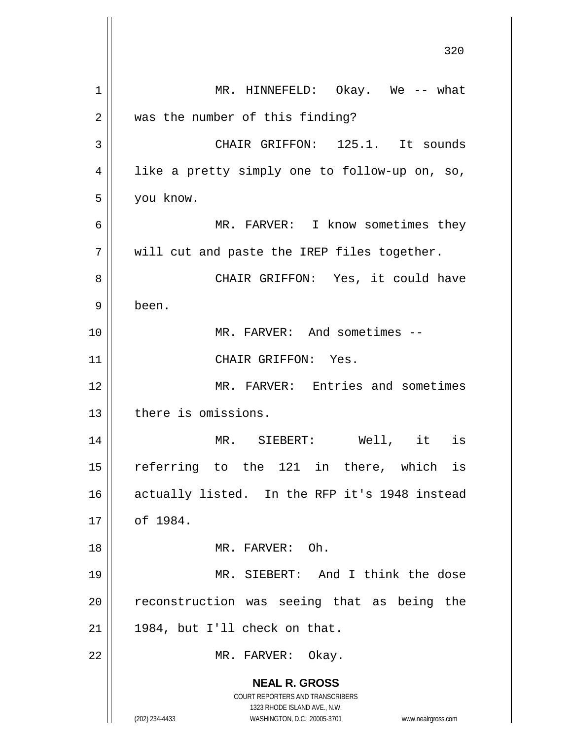|    | ں ے ر                                                                                               |
|----|-----------------------------------------------------------------------------------------------------|
| 1  | MR. HINNEFELD: Okay. We -- what                                                                     |
| 2  | was the number of this finding?                                                                     |
| 3  | CHAIR GRIFFON: 125.1. It sounds                                                                     |
| 4  | like a pretty simply one to follow-up on, so,                                                       |
| 5  | you know.                                                                                           |
| 6  | MR. FARVER: I know sometimes they                                                                   |
| 7  | will cut and paste the IREP files together.                                                         |
| 8  | CHAIR GRIFFON: Yes, it could have                                                                   |
| 9  | been.                                                                                               |
| 10 | MR. FARVER: And sometimes --                                                                        |
| 11 | CHAIR GRIFFON: Yes.                                                                                 |
| 12 | MR. FARVER: Entries and sometimes                                                                   |
| 13 | there is omissions.                                                                                 |
| 14 | MR. SIEBERT: Well, it is                                                                            |
| 15 | referring to the 121 in there, which<br>is                                                          |
| 16 | actually listed. In the RFP it's 1948 instead                                                       |
| 17 | of 1984.                                                                                            |
| 18 | MR. FARVER: Oh.                                                                                     |
| 19 | MR. SIEBERT: And I think the dose                                                                   |
| 20 | reconstruction was seeing that as being the                                                         |
| 21 | 1984, but I'll check on that.                                                                       |
| 22 | MR. FARVER: Okay.                                                                                   |
|    | <b>NEAL R. GROSS</b>                                                                                |
|    | COURT REPORTERS AND TRANSCRIBERS                                                                    |
|    | 1323 RHODE ISLAND AVE., N.W.<br>(202) 234-4433<br>WASHINGTON, D.C. 20005-3701<br>www.nealrgross.com |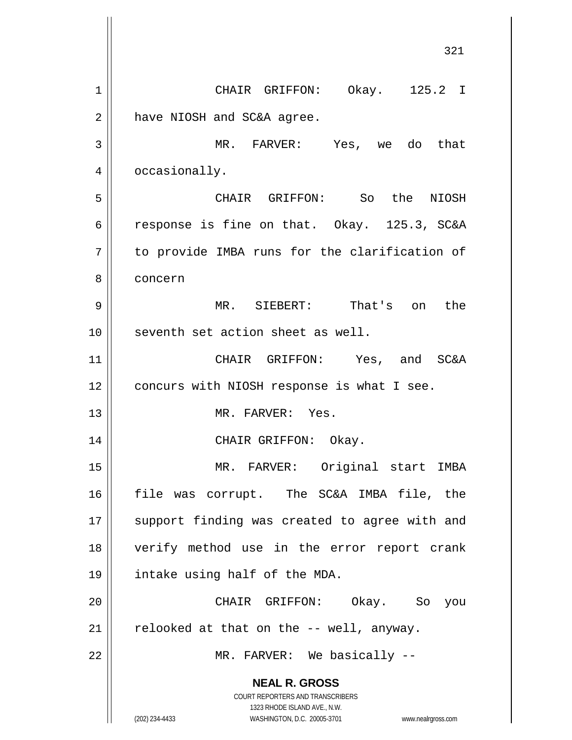**NEAL R. GROSS** COURT REPORTERS AND TRANSCRIBERS 1323 RHODE ISLAND AVE., N.W. (202) 234-4433 WASHINGTON, D.C. 20005-3701 www.nealrgross.com 321 1 CHAIR GRIFFON: Okay. 125.2 I  $2 \parallel$  have NIOSH and SC&A agree. 3 MR. FARVER: Yes, we do that 4 | occasionally. 5 CHAIR GRIFFON: So the NIOSH 6 || response is fine on that. Okay. 125.3, SC&A  $7 \parallel$  to provide IMBA runs for the clarification of 8 concern 9 MR. SIEBERT: That's on the 10 || seventh set action sheet as well. 11 CHAIR GRIFFON: Yes, and SC&A 12 | concurs with NIOSH response is what I see. 13 MR. FARVER: Yes. 14 CHAIR GRIFFON: Okay. 15 MR. FARVER: Original start IMBA 16 file was corrupt. The SC&A IMBA file, the 17 || support finding was created to agree with and 18 verify method use in the error report crank 19 intake using half of the MDA. 20 CHAIR GRIFFON: Okay. So you  $21$  | relooked at that on the  $-$ - well, anyway. 22 || MR. FARVER: We basically --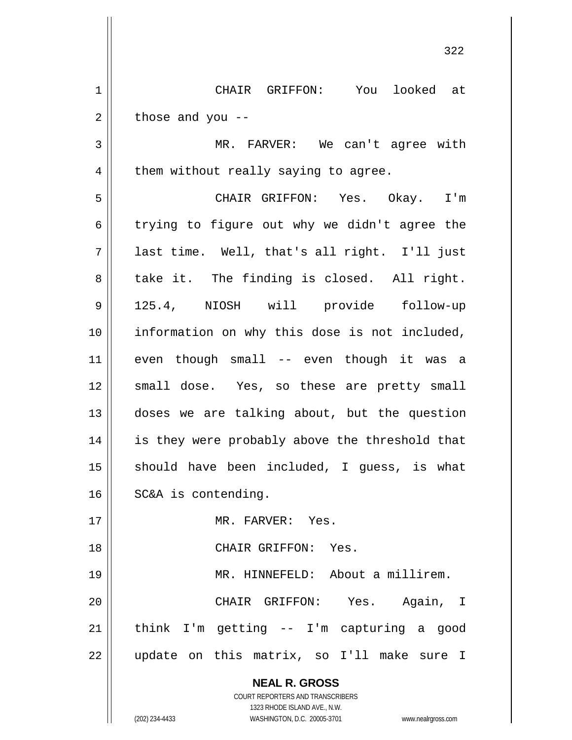1 CHAIR GRIFFON: You looked at  $2 \parallel$  those and you --

3 MR. FARVER: We can't agree with  $4 \parallel$  them without really saying to agree.

5 CHAIR GRIFFON: Yes. Okay. I'm 6 trying to figure out why we didn't agree the 7 last time. Well, that's all right. I'll just  $8 \parallel$  take it. The finding is closed. All right. 9 125.4, NIOSH will provide follow-up 10 information on why this dose is not included, 11 even though small -- even though it was a 12 || small dose. Yes, so these are pretty small 13 doses we are talking about, but the question 14 || is they were probably above the threshold that  $15$  should have been included, I guess, is what 16 | SC&A is contending.

17 MR. FARVER: Yes.

18 CHAIR GRIFFON: Yes.

 MR. HINNEFELD: About a millirem. CHAIR GRIFFON: Yes. Again, I | think I'm getting -- I'm capturing a good 22 || update on this matrix, so I'll make sure I

> **NEAL R. GROSS** COURT REPORTERS AND TRANSCRIBERS 1323 RHODE ISLAND AVE., N.W.

(202) 234-4433 WASHINGTON, D.C. 20005-3701 www.nealrgross.com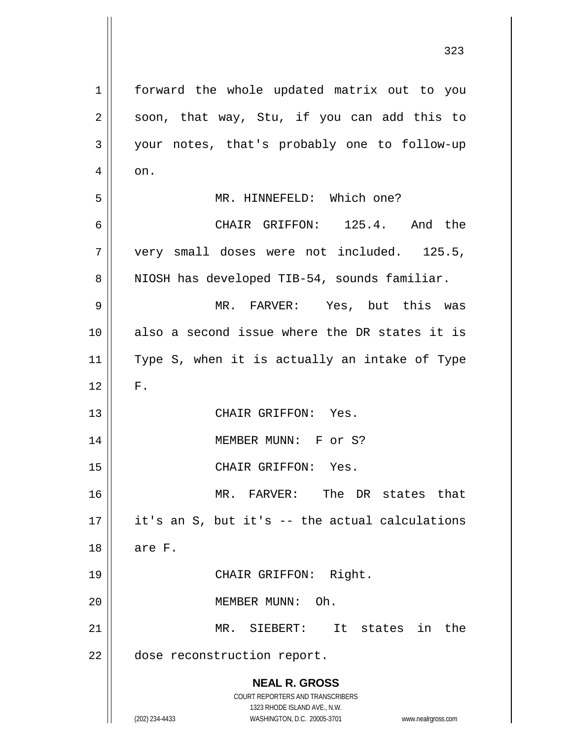| $\mathbf 1$    | forward the whole updated matrix out to you                         |
|----------------|---------------------------------------------------------------------|
| $\overline{2}$ | soon, that way, Stu, if you can add this to                         |
| 3              | your notes, that's probably one to follow-up                        |
| 4              | on.                                                                 |
| 5              | MR. HINNEFELD: Which one?                                           |
| 6              | CHAIR GRIFFON: 125.4. And the                                       |
| 7              | very small doses were not included. 125.5,                          |
| 8              | NIOSH has developed TIB-54, sounds familiar.                        |
| 9              | MR. FARVER: Yes, but this was                                       |
| 10             | also a second issue where the DR states it is                       |
| 11             | Type S, when it is actually an intake of Type                       |
| 12             | ${\bf F}$ .                                                         |
| 13             | CHAIR GRIFFON: Yes.                                                 |
| 14             | MEMBER MUNN: F or S?                                                |
| 15             | CHAIR GRIFFON: Yes.                                                 |
| 16             | MR. FARVER: The DR states that                                      |
| 17             | it's an S, but it's -- the actual calculations                      |
| 18             | are F.                                                              |
| 19             | CHAIR GRIFFON: Right.                                               |
| 20             | MEMBER MUNN: Oh.                                                    |
| 21             | MR. SIEBERT:<br>It states<br>in the                                 |
| 22             | dose reconstruction report.                                         |
|                | <b>NEAL R. GROSS</b>                                                |
|                | COURT REPORTERS AND TRANSCRIBERS                                    |
|                | 1323 RHODE ISLAND AVE., N.W.                                        |
|                | (202) 234-4433<br>WASHINGTON, D.C. 20005-3701<br>www.nealrgross.com |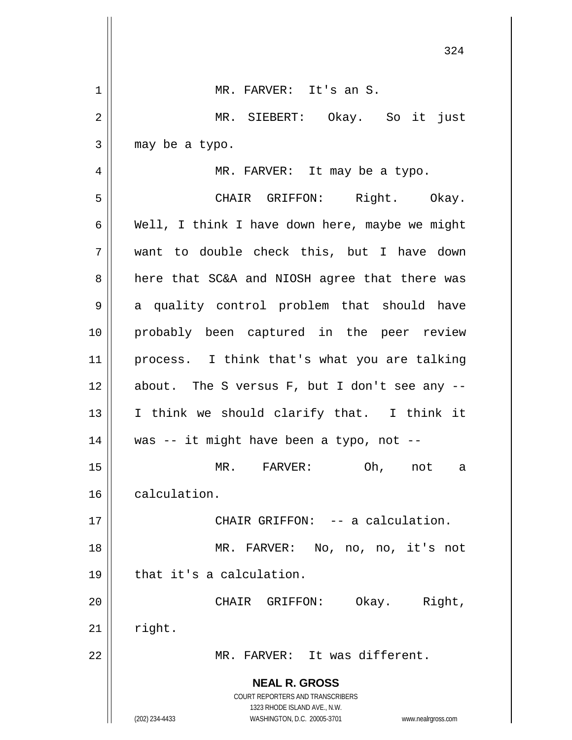|    | 324                                                                                                 |
|----|-----------------------------------------------------------------------------------------------------|
| 1  | MR. FARVER: It's an S.                                                                              |
| 2  | MR. SIEBERT: Okay. So it just                                                                       |
| 3  | may be a typo.                                                                                      |
| 4  | MR. FARVER: It may be a typo.                                                                       |
| 5  | CHAIR GRIFFON: Right. Okay.                                                                         |
| 6  | Well, I think I have down here, maybe we might                                                      |
| 7  | want to double check this, but I have down                                                          |
| 8  | here that SC&A and NIOSH agree that there was                                                       |
| 9  | a quality control problem that should have                                                          |
| 10 | probably been captured in the peer review                                                           |
| 11 | process. I think that's what you are talking                                                        |
| 12 | about. The S versus F, but I don't see any --                                                       |
| 13 | I think we should clarify that. I think it                                                          |
| 14 | was -- it might have been a typo, not --                                                            |
| 15 | Oh,<br>MR.<br>FARVER:<br>not<br>а                                                                   |
| 16 | calculation.                                                                                        |
| 17 | CHAIR GRIFFON: -- a calculation.                                                                    |
| 18 | MR. FARVER:<br>No, no, no, it's not                                                                 |
| 19 | that it's a calculation.                                                                            |
| 20 | Okay.<br>Right,<br>CHAIR<br>GRIFFON:                                                                |
| 21 | right.                                                                                              |
| 22 | MR. FARVER: It was different.                                                                       |
|    | <b>NEAL R. GROSS</b>                                                                                |
|    | COURT REPORTERS AND TRANSCRIBERS                                                                    |
|    | 1323 RHODE ISLAND AVE., N.W.<br>(202) 234-4433<br>WASHINGTON, D.C. 20005-3701<br>www.nealrgross.com |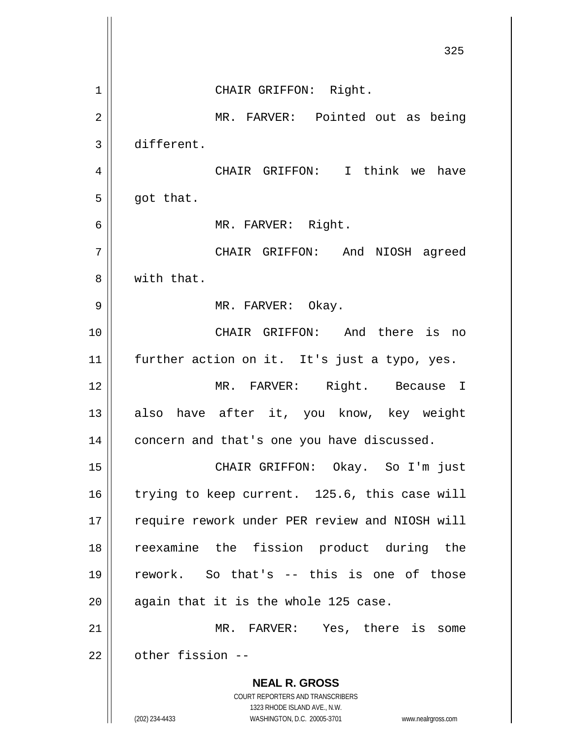|             | 325                                                                                              |
|-------------|--------------------------------------------------------------------------------------------------|
| $\mathbf 1$ | CHAIR GRIFFON: Right.                                                                            |
| 2           | MR. FARVER: Pointed out as being                                                                 |
| 3           | different.                                                                                       |
| 4           | CHAIR GRIFFON: I think we<br>have                                                                |
| 5           | got that.                                                                                        |
| 6           | MR. FARVER: Right.                                                                               |
| 7           | CHAIR GRIFFON:<br>And<br>NIOSH agreed                                                            |
| 8           | with that.                                                                                       |
| 9           | MR. FARVER: Okay.                                                                                |
| 10          | CHAIR GRIFFON: And there is no                                                                   |
| 11          | further action on it. It's just a typo, yes.                                                     |
| 12          | MR. FARVER:<br>Right. Because I                                                                  |
| 13          | have after it, you know, key weight<br>also                                                      |
| 14          | concern and that's one you have discussed.                                                       |
| 15          | CHAIR GRIFFON: Okay. So I'm just                                                                 |
| 16          | trying to keep current. 125.6, this case will                                                    |
| 17          | require rework under PER review and NIOSH will                                                   |
| 18          | reexamine the fission product during the                                                         |
| 19          | rework. So that's -- this is one of those                                                        |
| 20          | again that it is the whole 125 case.                                                             |
| 21          | MR. FARVER: Yes, there is some                                                                   |
| 22          | other fission --                                                                                 |
|             | <b>NEAL R. GROSS</b><br>COURT REPORTERS AND TRANSCRIBERS                                         |
|             | 1323 RHODE ISLAND AVE., N.W.<br>(202) 234-4433<br>WASHINGTON, D.C. 20005-3701 www.nealrgross.com |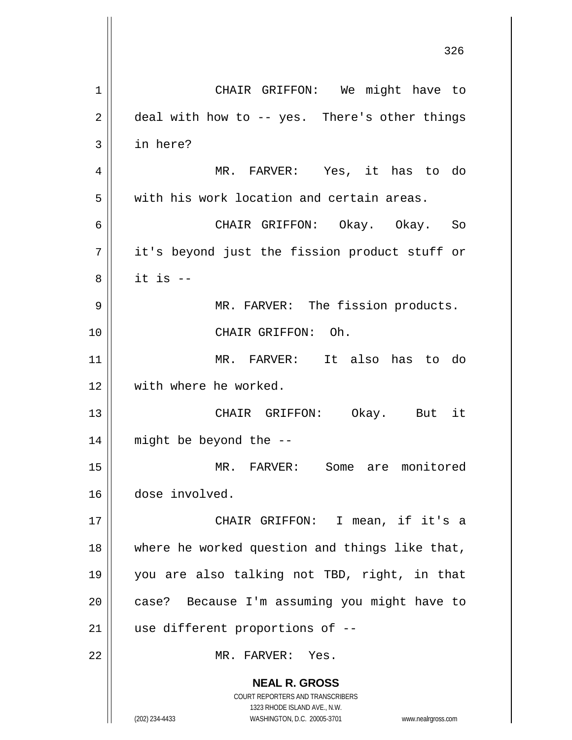**NEAL R. GROSS** COURT REPORTERS AND TRANSCRIBERS 1323 RHODE ISLAND AVE., N.W. (202) 234-4433 WASHINGTON, D.C. 20005-3701 www.nealrgross.com 1 | CHAIR GRIFFON: We might have to  $2 \parallel$  deal with how to -- yes. There's other things 3 in here? 4 MR. FARVER: Yes, it has to do 5 | with his work location and certain areas. 6 CHAIR GRIFFON: Okay. Okay. So 7 || it's beyond just the fission product stuff or  $8 \parallel$  it is  $-$ 9 MR. FARVER: The fission products. 10 CHAIR GRIFFON: Oh. 11 MR. FARVER: It also has to do 12 with where he worked. 13 CHAIR GRIFFON: Okay. But it 14 might be beyond the -- 15 MR. FARVER: Some are monitored 16 dose involved. 17 CHAIR GRIFFON: I mean, if it's a 18 || where he worked question and things like that, 19 you are also talking not TBD, right, in that 20 || case? Because I'm assuming you might have to  $21$  | use different proportions of  $-$ 22 MR. FARVER: Yes.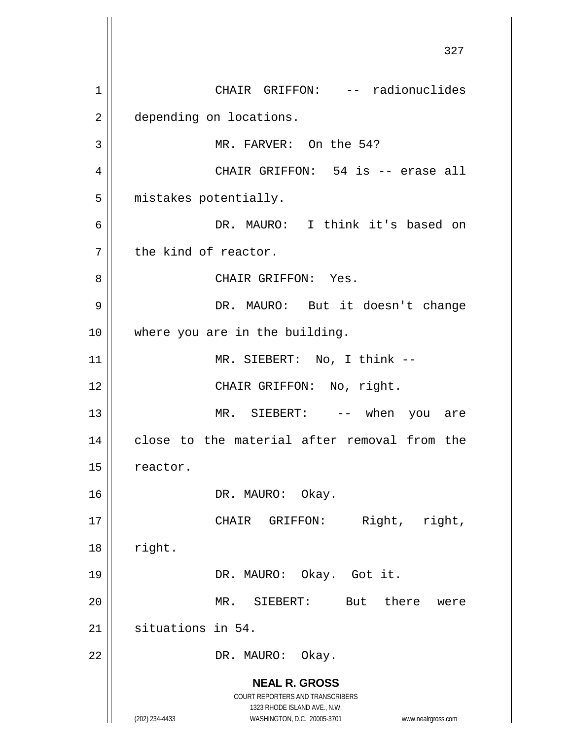**NEAL R. GROSS** COURT REPORTERS AND TRANSCRIBERS 1323 RHODE ISLAND AVE., N.W. (202) 234-4433 WASHINGTON, D.C. 20005-3701 www.nealrgross.com 327 1 CHAIR GRIFFON: -- radionuclides 2 | depending on locations. 3 | MR. FARVER: On the 54? 4 CHAIR GRIFFON: 54 is -- erase all 5 | mistakes potentially. 6 DR. MAURO: I think it's based on  $7$  the kind of reactor. 8 CHAIR GRIFFON: Yes. 9 || DR. MAURO: But it doesn't change 10 || where you are in the building. 11 || MR. SIEBERT: No, I think --12 || CHAIR GRIFFON: No, right. 13 || MR. SIEBERT: -- when you are 14 || close to the material after removal from the 15 | reactor. 16 || DR. MAURO: Okay. 17 || CHAIR GRIFFON: Right, right,  $18$  | right. 19 DR. MAURO: Okay. Got it. 20 MR. SIEBERT: But there were 21 | situations in 54. 22 || DR. MAURO: Okay.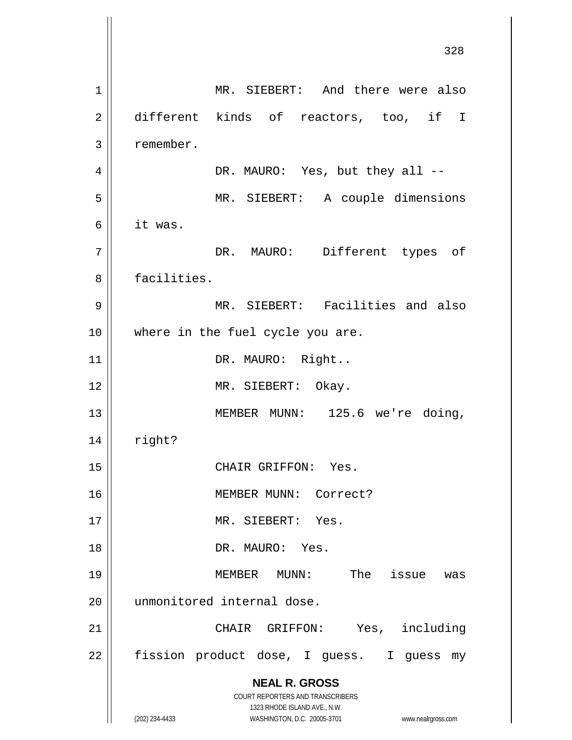**NEAL R. GROSS** COURT REPORTERS AND TRANSCRIBERS 1323 RHODE ISLAND AVE., N.W. (202) 234-4433 WASHINGTON, D.C. 20005-3701 www.nealrgross.com 328 1 | MR. SIEBERT: And there were also 2 different kinds of reactors, too, if I 3 remember. 4 DR. MAURO: Yes, but they all -- 5 MR. SIEBERT: A couple dimensions 6 it was. 7 || DR. MAURO: Different types of 8 || facilities. 9 MR. SIEBERT: Facilities and also 10 || where in the fuel cycle you are. 11 | DR. MAURO: Right.. 12 || MR. SIEBERT: Okay. 13 || MEMBER MUNN: 125.6 we're doing,  $14$  | right? 15 || CHAIR GRIFFON: Yes. 16 MEMBER MUNN: Correct? 17 || MR. SIEBERT: Yes. 18 DR. MAURO: Yes. 19 MEMBER MUNN: The issue was 20 || unmonitored internal dose. 21 || CHAIR GRIFFON: Yes, including 22 | fission product dose, I guess. I guess my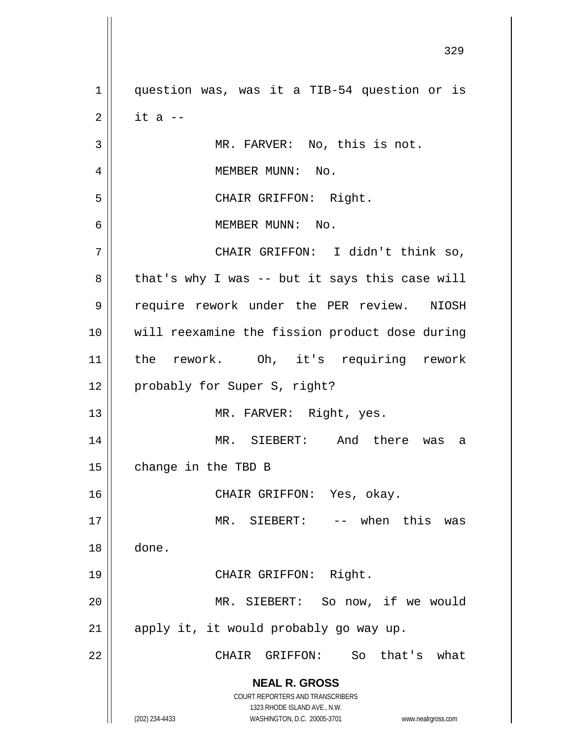**NEAL R. GROSS** COURT REPORTERS AND TRANSCRIBERS 1323 RHODE ISLAND AVE., N.W. (202) 234-4433 WASHINGTON, D.C. 20005-3701 www.nealrgross.com 1 || question was, was it a TIB-54 question or is  $2 \parallel$  it a --3 || MR. FARVER: No, this is not. 4 | MEMBER MUNN: No. 5 || CHAIR GRIFFON: Right. 6 MEMBER MUNN: No. 7 CHAIR GRIFFON: I didn't think so,  $8 \parallel$  that's why I was -- but it says this case will 9 || require rework under the PER review. NIOSH 10 will reexamine the fission product dose during 11 the rework. Oh, it's requiring rework 12 | probably for Super S, right? 13 || MR. FARVER: Right, yes. 14 MR. SIEBERT: And there was a  $15$  | change in the TBD B 16 CHAIR GRIFFON: Yes, okay. 17 MR. SIEBERT: -- when this was 18 done. 19 || CHAIR GRIFFON: Right. 20 MR. SIEBERT: So now, if we would  $21$  || apply it, it would probably go way up. 22 CHAIR GRIFFON: So that's what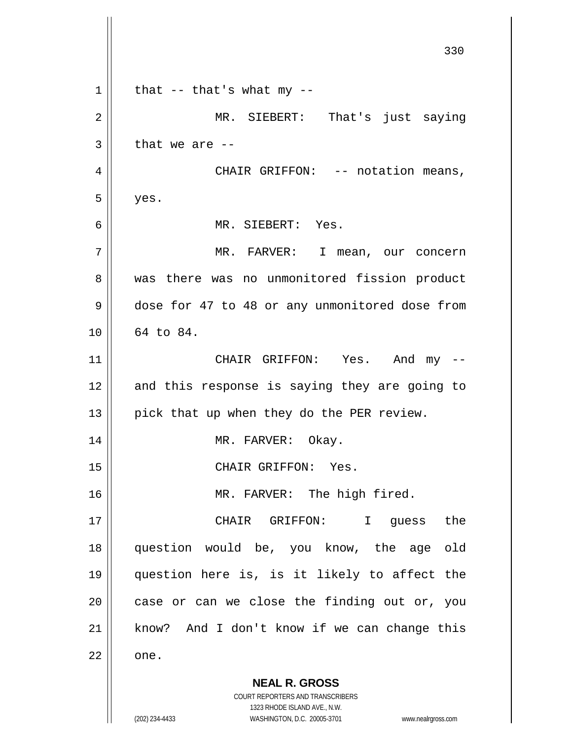**NEAL R. GROSS** COURT REPORTERS AND TRANSCRIBERS 1323 RHODE ISLAND AVE., N.W. (202) 234-4433 WASHINGTON, D.C. 20005-3701 www.nealrgross.com 330  $1 \parallel$  that -- that's what my --2 || MR. SIEBERT: That's just saying  $3 \parallel$  that we are --4 | CHAIR GRIFFON: -- notation means,  $5 \parallel$  yes. 6 MR. SIEBERT: Yes. 7 MR. FARVER: I mean, our concern 8 || was there was no unmonitored fission product 9 dose for 47 to 48 or any unmonitored dose from 10 64 to 84. 11 CHAIR GRIFFON: Yes. And my -- 12 || and this response is saying they are going to 13 || pick that up when they do the PER review. 14 || MR. FARVER: Okay. 15 || CHAIR GRIFFON: Yes. 16 || MR. FARVER: The high fired. 17 CHAIR GRIFFON: I guess the 18 question would be, you know, the age old 19 question here is, is it likely to affect the  $20$  | case or can we close the finding out or, you 21 || know? And I don't know if we can change this  $22 \parallel$  one.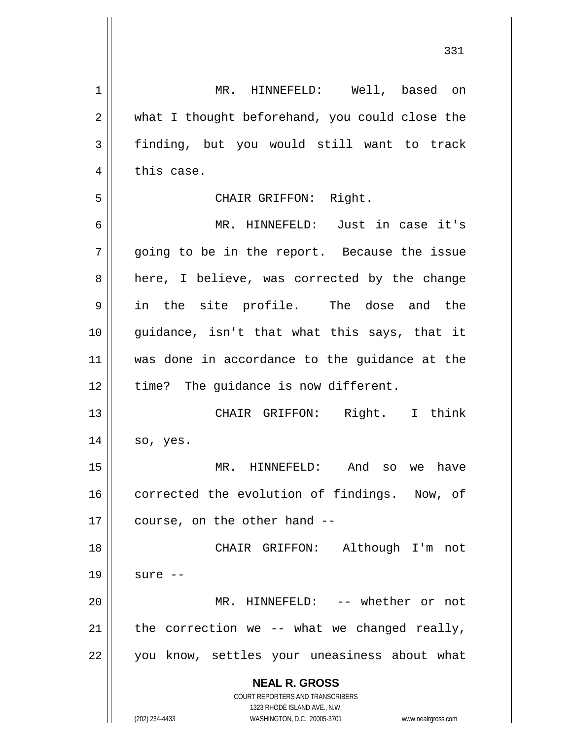| 1              | MR. HINNEFELD: Well, based on                                                                       |
|----------------|-----------------------------------------------------------------------------------------------------|
| $\overline{2}$ | what I thought beforehand, you could close the                                                      |
| 3              | finding, but you would still want to track                                                          |
| 4              | this case.                                                                                          |
| 5              | CHAIR GRIFFON: Right.                                                                               |
| 6              | MR. HINNEFELD: Just in case it's                                                                    |
| 7              | going to be in the report. Because the issue                                                        |
| 8              | here, I believe, was corrected by the change                                                        |
| 9              | in the site profile. The dose and the                                                               |
| 10             | guidance, isn't that what this says, that it                                                        |
| 11             | was done in accordance to the guidance at the                                                       |
| 12             | time? The guidance is now different.                                                                |
| 13             | CHAIR GRIFFON: Right. I think                                                                       |
| 14             | so, yes.                                                                                            |
| 15             | MR. HINNEFELD: And<br>have<br>SO<br>we                                                              |
| 16             | corrected the evolution of findings. Now, of                                                        |
| 17             | course, on the other hand --                                                                        |
| 18             | CHAIR GRIFFON: Although I'm not                                                                     |
| 19             | sure --                                                                                             |
| 20             | MR. HINNEFELD: -- whether or not                                                                    |
|                |                                                                                                     |
| 21             | the correction we -- what we changed really,                                                        |
| 22             | you know, settles your uneasiness about what                                                        |
|                | <b>NEAL R. GROSS</b>                                                                                |
|                | <b>COURT REPORTERS AND TRANSCRIBERS</b>                                                             |
|                | 1323 RHODE ISLAND AVE., N.W.<br>(202) 234-4433<br>WASHINGTON, D.C. 20005-3701<br>www.nealrgross.com |
|                |                                                                                                     |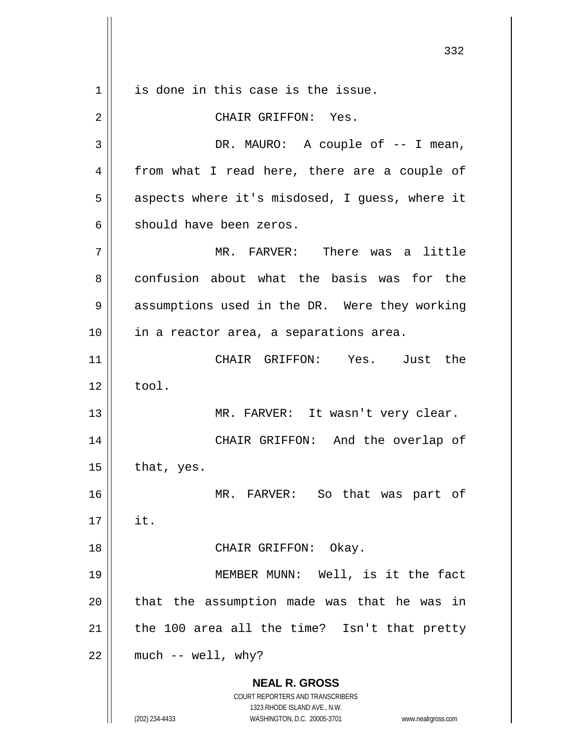**NEAL R. GROSS** COURT REPORTERS AND TRANSCRIBERS 1323 RHODE ISLAND AVE., N.W. (202) 234-4433 WASHINGTON, D.C. 20005-3701 www.nealrgross.com 1 || is done in this case is the issue. 2 CHAIR GRIFFON: Yes. 3 DR. MAURO: A couple of -- I mean, 4 from what I read here, there are a couple of 5 || aspects where it's misdosed, I guess, where it  $6 \parallel$  should have been zeros. 7 MR. FARVER: There was a little 8 confusion about what the basis was for the 9 || assumptions used in the DR. Were they working 10 || in a reactor area, a separations area. 11 CHAIR GRIFFON: Yes. Just the  $12 \parallel$  tool. 13 || MR. FARVER: It wasn't very clear. 14 CHAIR GRIFFON: And the overlap of  $15$  | that, yes. 16 MR. FARVER: So that was part of  $17 \parallel$  it. 18 || CHAIR GRIFFON: Okay. 19 MEMBER MUNN: Well, is it the fact  $20$  || that the assumption made was that he was in  $21$  | the 100 area all the time? Isn't that pretty  $22$  | much -- well, why?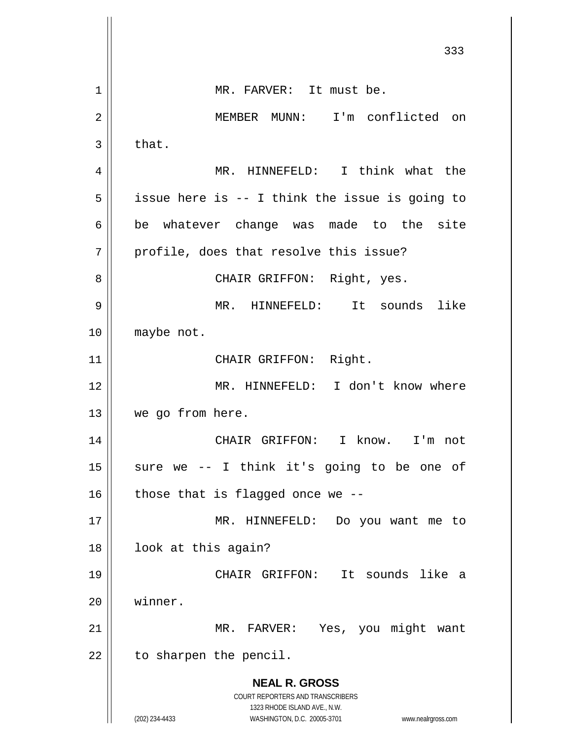**NEAL R. GROSS** COURT REPORTERS AND TRANSCRIBERS 1323 RHODE ISLAND AVE., N.W. (202) 234-4433 WASHINGTON, D.C. 20005-3701 www.nealrgross.com 333 1 | MR. FARVER: It must be. 2 MEMBER MUNN: I'm conflicted on  $3 \parallel$  that. 4 MR. HINNEFELD: I think what the  $5 \parallel$  issue here is -- I think the issue is going to  $6 \parallel$  be whatever change was made to the site  $7$  | profile, does that resolve this issue? 8 CHAIR GRIFFON: Right, yes. 9 MR. HINNEFELD: It sounds like 10 || maybe not. 11 || CHAIR GRIFFON: Right. 12 MR. HINNEFELD: I don't know where 13 | we go from here. 14 CHAIR GRIFFON: I know. I'm not  $15$  sure we -- I think it's going to be one of 16  $\parallel$  those that is flagged once we --17 || MR. HINNEFELD: Do you want me to 18 || look at this again? 19 CHAIR GRIFFON: It sounds like a 20 winner. 21 || MR. FARVER: Yes, you might want  $22$  | to sharpen the pencil.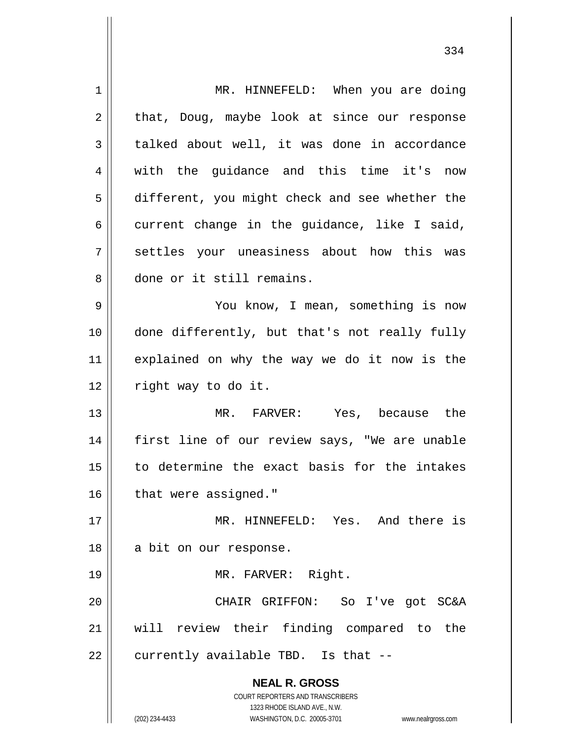**NEAL R. GROSS** COURT REPORTERS AND TRANSCRIBERS 1323 RHODE ISLAND AVE., N.W. (202) 234-4433 WASHINGTON, D.C. 20005-3701 www.nealrgross.com 1 | MR. HINNEFELD: When you are doing  $2 \parallel$  that, Doug, maybe look at since our response  $3 \parallel$  talked about well, it was done in accordance 4 || with the quidance and this time it's now 5 different, you might check and see whether the  $6 \parallel$  current change in the guidance, like I said, 7 settles your uneasiness about how this was 8 done or it still remains. 9 You know, I mean, something is now 10 done differently, but that's not really fully 11 explained on why the way we do it now is the 12 | right way to do it. 13 MR. FARVER: Yes, because the 14 || first line of our review says, "We are unable  $15$  to determine the exact basis for the intakes 16 | that were assigned." 17 MR. HINNEFELD: Yes. And there is 18 || a bit on our response. 19 || MR. FARVER: Right. 20 CHAIR GRIFFON: So I've got SC&A 21 will review their finding compared to the  $22$  || currently available TBD. Is that  $-$ -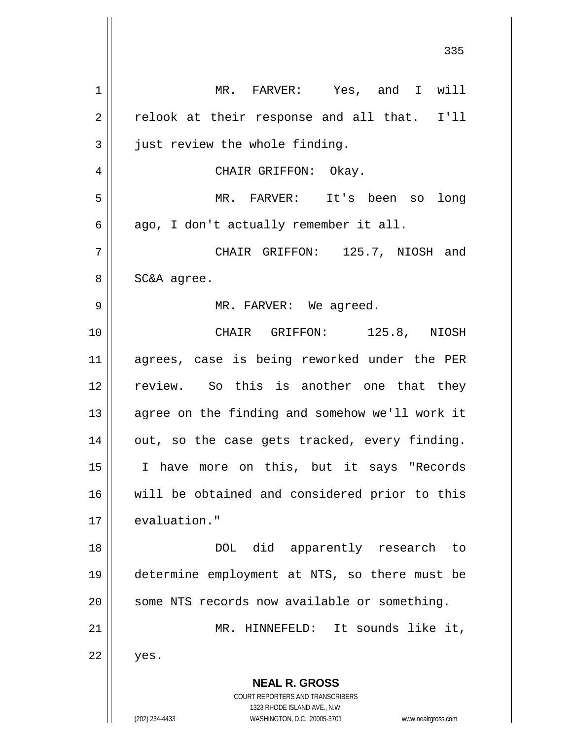**NEAL R. GROSS** COURT REPORTERS AND TRANSCRIBERS 1323 RHODE ISLAND AVE., N.W. (202) 234-4433 WASHINGTON, D.C. 20005-3701 www.nealrgross.com 1 MR. FARVER: Yes, and I will  $2 \parallel$  relook at their response and all that. I'll  $3$  just review the whole finding. 4 CHAIR GRIFFON: Okay. 5 MR. FARVER: It's been so long  $6 \parallel$  ago, I don't actually remember it all. 7 CHAIR GRIFFON: 125.7, NIOSH and  $8 \parallel$  SC&A agree. 9 MR. FARVER: We agreed. 10 CHAIR GRIFFON: 125.8, NIOSH 11 agrees, case is being reworked under the PER 12 review. So this is another one that they 13 || agree on the finding and somehow we'll work it  $14$  | out, so the case gets tracked, every finding. 15 I have more on this, but it says "Records 16 || will be obtained and considered prior to this 17 || evaluation." 18 DOL did apparently research to 19 determine employment at NTS, so there must be 20 || some NTS records now available or something. 21 MR. HINNEFELD: It sounds like it,  $22 \parallel$  yes.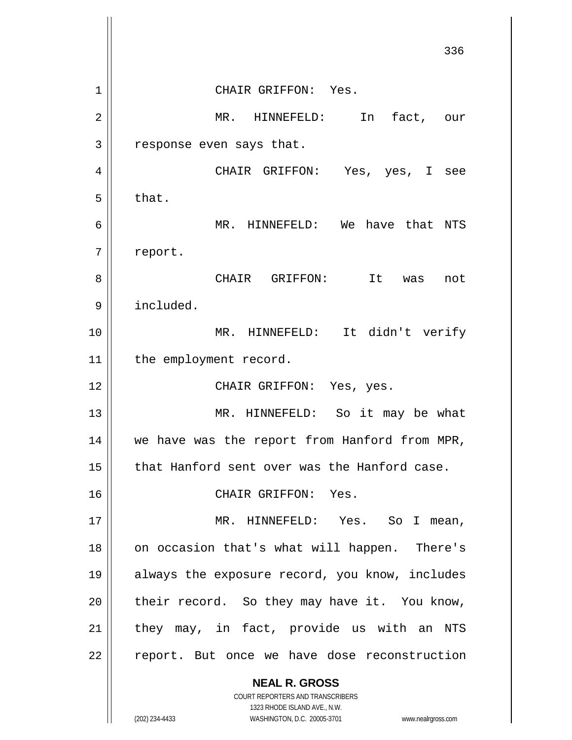**NEAL R. GROSS** COURT REPORTERS AND TRANSCRIBERS 1323 RHODE ISLAND AVE., N.W. 336 1 CHAIR GRIFFON: Yes. 2 MR. HINNEFELD: In fact, our  $3 \parallel$  response even says that. 4 CHAIR GRIFFON: Yes, yes, I see  $5 \parallel$  that. 6 || MR. HINNEFELD: We have that NTS 7 | report. 8 CHAIR GRIFFON: It was not 9 included. 10 MR. HINNEFELD: It didn't verify 11 | the employment record. 12 || CHAIR GRIFFON: Yes, yes. 13 || MR. HINNEFELD: So it may be what 14 || we have was the report from Hanford from MPR, 15 || that Hanford sent over was the Hanford case. 16 || CHAIR GRIFFON: Yes. 17 || MR. HINNEFELD: Yes. So I mean, 18 || on occasion that's what will happen. There's 19 always the exposure record, you know, includes  $20$  | their record. So they may have it. You know,  $21$  they may, in fact, provide us with an NTS  $22$  | report. But once we have dose reconstruction

(202) 234-4433 WASHINGTON, D.C. 20005-3701 www.nealrgross.com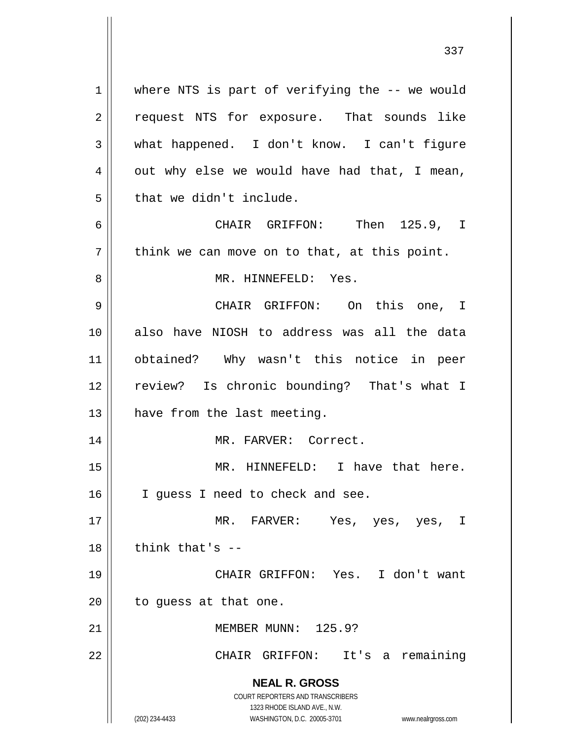**NEAL R. GROSS** COURT REPORTERS AND TRANSCRIBERS 1323 RHODE ISLAND AVE., N.W. 1 || where NTS is part of verifying the -- we would 2 || request NTS for exposure. That sounds like 3 what happened. I don't know. I can't figure  $4 \parallel$  out why else we would have had that, I mean,  $5$  | that we didn't include. 6 CHAIR GRIFFON: Then 125.9, I  $7$  | think we can move on to that, at this point. 8 MR. HINNEFELD: Yes. 9 CHAIR GRIFFON: On this one, I 10 also have NIOSH to address was all the data 11 obtained? Why wasn't this notice in peer 12 || review? Is chronic bounding? That's what I  $13$  | have from the last meeting. 14 MR. FARVER: Correct. 15 || MR. HINNEFELD: I have that here. 16 || I guess I need to check and see. 17 MR. FARVER: Yes, yes, yes, I  $18$   $\parallel$  think that's  $-$ 19 CHAIR GRIFFON: Yes. I don't want  $20$  | to guess at that one. 21 MEMBER MUNN: 125.9? 22 CHAIR GRIFFON: It's a remaining

(202) 234-4433 WASHINGTON, D.C. 20005-3701 www.nealrgross.com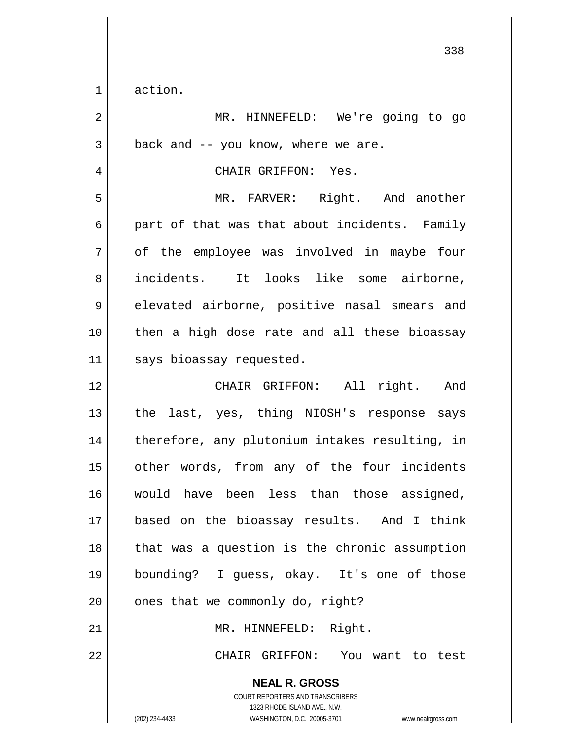$1 \parallel$  action.

| $\overline{2}$ | MR. HINNEFELD: We're going to go                                                                                                                                |
|----------------|-----------------------------------------------------------------------------------------------------------------------------------------------------------------|
| 3              | back and -- you know, where we are.                                                                                                                             |
| 4              | CHAIR GRIFFON: Yes.                                                                                                                                             |
| 5              | MR. FARVER: Right. And another                                                                                                                                  |
| 6              | part of that was that about incidents. Family                                                                                                                   |
| 7              | of the employee was involved in maybe four                                                                                                                      |
| 8              | incidents. It looks like some airborne,                                                                                                                         |
| 9              | elevated airborne, positive nasal smears and                                                                                                                    |
| 10             | then a high dose rate and all these bioassay                                                                                                                    |
| 11             | says bioassay requested.                                                                                                                                        |
| 12             | CHAIR GRIFFON: All right. And                                                                                                                                   |
| 13             | the last, yes, thing NIOSH's response says                                                                                                                      |
| 14             | therefore, any plutonium intakes resulting, in                                                                                                                  |
| 15             | other words, from any of the four incidents                                                                                                                     |
| 16             | would have been less than those assigned,                                                                                                                       |
| 17             | based on the bioassay results. And I think                                                                                                                      |
| 18             | that was a question is the chronic assumption                                                                                                                   |
| 19             | bounding? I guess, okay. It's one of those                                                                                                                      |
| 20             | ones that we commonly do, right?                                                                                                                                |
| 21             | MR. HINNEFELD: Right.                                                                                                                                           |
| 22             | CHAIR GRIFFON: You want to test                                                                                                                                 |
|                | <b>NEAL R. GROSS</b><br>COURT REPORTERS AND TRANSCRIBERS<br>1323 RHODE ISLAND AVE., N.W.<br>(202) 234-4433<br>WASHINGTON, D.C. 20005-3701<br>www.nealrgross.com |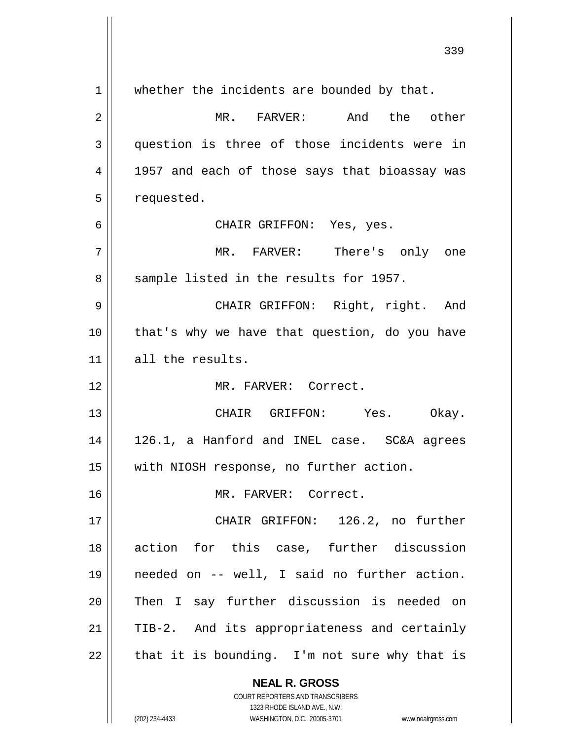**NEAL R. GROSS** COURT REPORTERS AND TRANSCRIBERS 1323 RHODE ISLAND AVE., N.W. 1 || whether the incidents are bounded by that. 2 MR. FARVER: And the other 3 question is three of those incidents were in 4 || 1957 and each of those says that bioassay was 5 | requested. 6 CHAIR GRIFFON: Yes, yes. 7 MR. FARVER: There's only one 8 Sample listed in the results for 1957. 9 CHAIR GRIFFON: Right, right. And 10 || that's why we have that question, do you have 11 all the results. 12 MR. FARVER: Correct. 13 CHAIR GRIFFON: Yes. Okay. 14 126.1, a Hanford and INEL case. SC&A agrees 15 with NIOSH response, no further action. 16 MR. FARVER: Correct. 17 CHAIR GRIFFON: 126.2, no further 18 action for this case, further discussion 19 needed on -- well, I said no further action. 20 Then I say further discussion is needed on  $21$  | TIB-2. And its appropriateness and certainly  $22$  | that it is bounding. I'm not sure why that is

(202) 234-4433 WASHINGTON, D.C. 20005-3701 www.nealrgross.com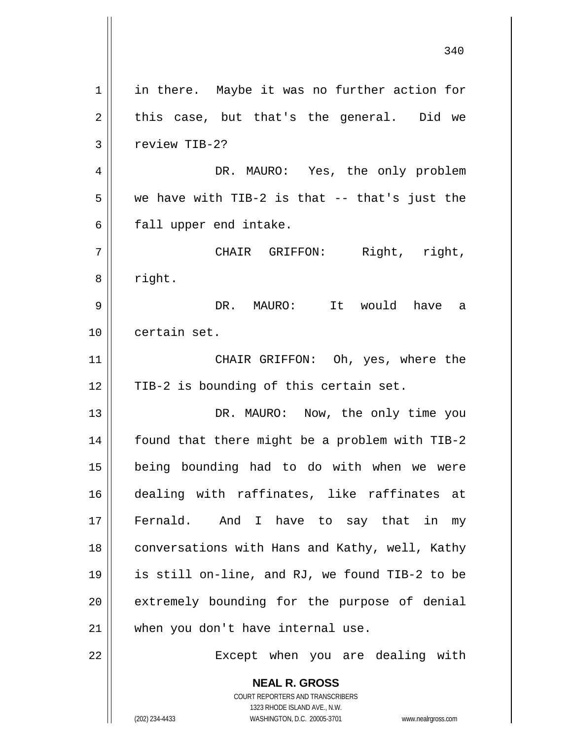**NEAL R. GROSS** COURT REPORTERS AND TRANSCRIBERS 1323 RHODE ISLAND AVE., N.W. 1 || in there. Maybe it was no further action for  $2 \parallel$  this case, but that's the general. Did we 3 | review TIB-2? 4 DR. MAURO: Yes, the only problem  $5 \parallel$  we have with TIB-2 is that -- that's just the  $6 \parallel$  fall upper end intake. 7 CHAIR GRIFFON: Right, right, 8 | right. 9 DR. MAURO: It would have a 10 certain set. 11 || CHAIR GRIFFON: Oh, yes, where the 12 || TIB-2 is bounding of this certain set. 13 || DR. MAURO: Now, the only time you 14 | found that there might be a problem with TIB-2 15 being bounding had to do with when we were 16 dealing with raffinates, like raffinates at 17 || Fernald. And I have to say that in my 18 || conversations with Hans and Kathy, well, Kathy 19 is still on-line, and RJ, we found TIB-2 to be 20 || extremely bounding for the purpose of denial 21 || when you don't have internal use. 22 || Except when you are dealing with

(202) 234-4433 WASHINGTON, D.C. 20005-3701 www.nealrgross.com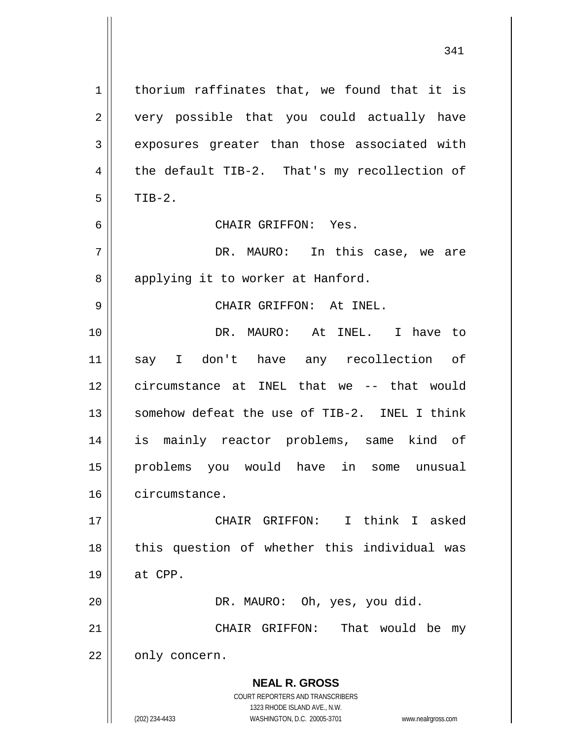**NEAL R. GROSS** COURT REPORTERS AND TRANSCRIBERS 1323 RHODE ISLAND AVE., N.W.  $1 \parallel$  thorium raffinates that, we found that it is 2 || very possible that you could actually have 3 exposures greater than those associated with  $4 \parallel$  the default TIB-2. That's my recollection of  $5 \parallel$  TIB-2. 6 CHAIR GRIFFON: Yes. 7 DR. MAURO: In this case, we are 8 applying it to worker at Hanford. 9 CHAIR GRIFFON: At INEL. 10 DR. MAURO: At INEL. I have to 11 say I don't have any recollection of 12 circumstance at INEL that we -- that would 13 Somehow defeat the use of TIB-2. INEL I think 14 is mainly reactor problems, same kind of 15 problems you would have in some unusual 16 circumstance. 17 CHAIR GRIFFON: I think I asked 18 || this question of whether this individual was  $19 \parallel$  at CPP. 20 | DR. MAURO: Oh, yes, you did. 21 || CHAIR GRIFFON: That would be my  $22$  |  $\circ$  only concern.

(202) 234-4433 WASHINGTON, D.C. 20005-3701 www.nealrgross.com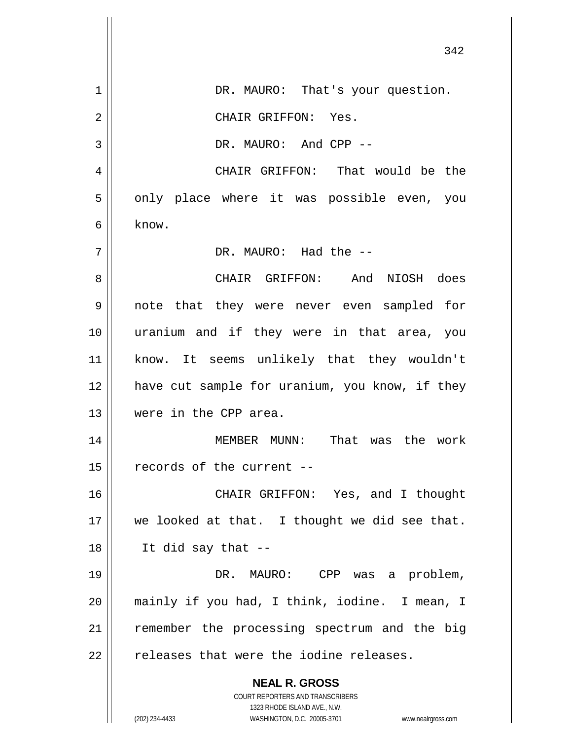|    | 342                                                                 |
|----|---------------------------------------------------------------------|
| 1  | DR. MAURO: That's your question.                                    |
| 2  | CHAIR GRIFFON: Yes.                                                 |
| 3  | DR. MAURO: And CPP --                                               |
| 4  | CHAIR GRIFFON: That would be the                                    |
| 5  | only place where it was possible even, you                          |
| 6  | know.                                                               |
| 7  | DR. MAURO: Had the --                                               |
| 8  | CHAIR GRIFFON: And NIOSH does                                       |
| 9  | note that they were never even sampled for                          |
| 10 | uranium and if they were in that area, you                          |
| 11 | know. It seems unlikely that they wouldn't                          |
| 12 | have cut sample for uranium, you know, if they                      |
| 13 | were in the CPP area.                                               |
| 14 | was the<br>MEMBER MUNN:<br>That<br>work                             |
| 15 | records of the current --                                           |
| 16 | CHAIR GRIFFON: Yes, and I thought                                   |
| 17 | we looked at that. I thought we did see that.                       |
| 18 | It did say that --                                                  |
| 19 | DR. MAURO: CPP<br>was a problem,                                    |
| 20 | mainly if you had, I think, iodine. I mean, I                       |
| 21 | remember the processing spectrum and the big                        |
| 22 | releases that were the iodine releases.                             |
|    | <b>NEAL R. GROSS</b>                                                |
|    | COURT REPORTERS AND TRANSCRIBERS<br>1323 RHODE ISLAND AVE., N.W.    |
|    | (202) 234-4433<br>WASHINGTON, D.C. 20005-3701<br>www.nealrgross.com |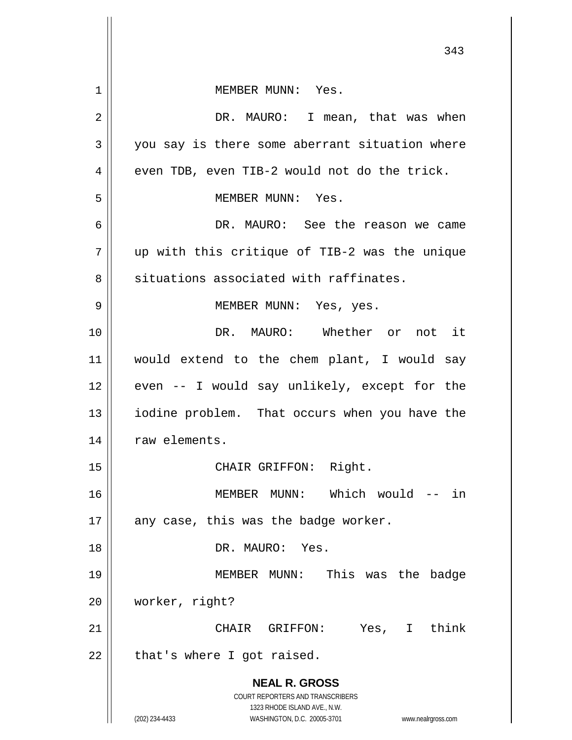**NEAL R. GROSS** COURT REPORTERS AND TRANSCRIBERS 1323 RHODE ISLAND AVE., N.W. (202) 234-4433 WASHINGTON, D.C. 20005-3701 www.nealrgross.com 343 1 MEMBER MUNN: Yes. 2 DR. MAURO: I mean, that was when  $3 \parallel$  you say is there some aberrant situation where  $4 \parallel$  even TDB, even TIB-2 would not do the trick. 5 || MEMBER MUNN: Yes. 6 DR. MAURO: See the reason we came  $7 \parallel$  up with this critique of TIB-2 was the unique 8 || situations associated with raffinates. 9 MEMBER MUNN: Yes, yes. 10 DR. MAURO: Whether or not it 11 would extend to the chem plant, I would say  $12$  | even -- I would say unlikely, except for the 13 || iodine problem. That occurs when you have the 14 | raw elements. 15 || CHAIR GRIFFON: Right. 16 MEMBER MUNN: Which would -- in  $17$  || any case, this was the badge worker. 18 DR. MAURO: Yes. 19 MEMBER MUNN: This was the badge 20 worker, right? 21 CHAIR GRIFFON: Yes, I think  $22$  | that's where I got raised.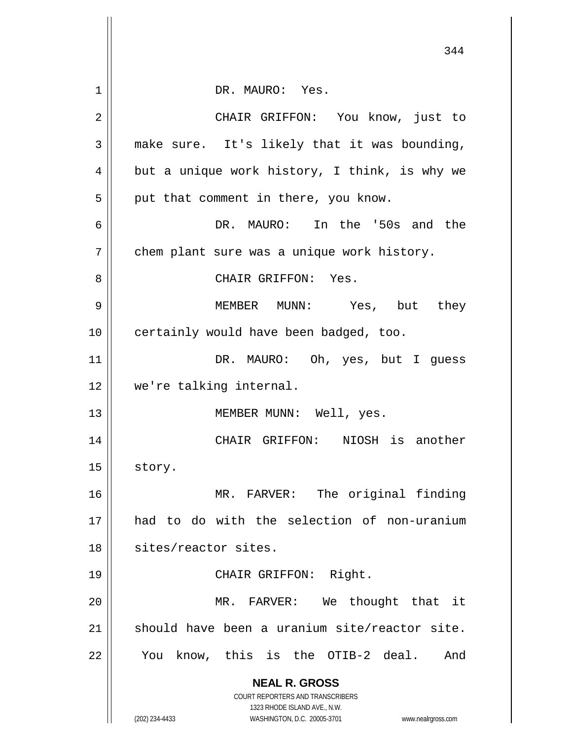|    | 344                                                                                                 |
|----|-----------------------------------------------------------------------------------------------------|
| 1  | DR. MAURO: Yes.                                                                                     |
| 2  | CHAIR GRIFFON: You know, just to                                                                    |
|    |                                                                                                     |
| 3  | make sure. It's likely that it was bounding,                                                        |
| 4  | but a unique work history, I think, is why we                                                       |
| 5  | put that comment in there, you know.                                                                |
| 6  | DR. MAURO: In the '50s and the                                                                      |
| 7  | chem plant sure was a unique work history.                                                          |
| 8  | CHAIR GRIFFON: Yes.                                                                                 |
| 9  | MEMBER MUNN: Yes, but they                                                                          |
| 10 | certainly would have been badged, too.                                                              |
| 11 | DR. MAURO: Oh, yes, but I guess                                                                     |
| 12 | we're talking internal.                                                                             |
| 13 | MEMBER MUNN: Well, yes.                                                                             |
| 14 | CHAIR GRIFFON: NIOSH is another                                                                     |
| 15 | story.                                                                                              |
| 16 | MR. FARVER: The original finding                                                                    |
| 17 | had to do with the selection of non-uranium                                                         |
| 18 | sites/reactor sites.                                                                                |
| 19 | CHAIR GRIFFON: Right.                                                                               |
| 20 | MR. FARVER: We thought that it                                                                      |
| 21 | should have been a uranium site/reactor site.                                                       |
| 22 | know, this is the OTIB-2 deal.<br>And<br>You                                                        |
|    | <b>NEAL R. GROSS</b>                                                                                |
|    | COURT REPORTERS AND TRANSCRIBERS                                                                    |
|    | 1323 RHODE ISLAND AVE., N.W.<br>(202) 234-4433<br>WASHINGTON, D.C. 20005-3701<br>www.nealrgross.com |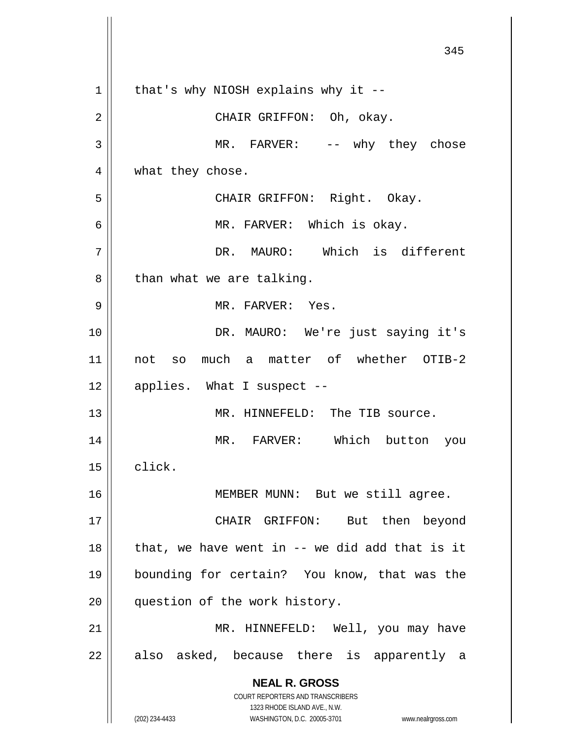**NEAL R. GROSS** COURT REPORTERS AND TRANSCRIBERS 1323 RHODE ISLAND AVE., N.W. (202) 234-4433 WASHINGTON, D.C. 20005-3701 www.nealrgross.com 345  $1 \parallel$  that's why NIOSH explains why it --2 CHAIR GRIFFON: Oh, okay. 3 || MR. FARVER: -- why they chose 4 || what they chose. 5 CHAIR GRIFFON: Right. Okay. 6 MR. FARVER: Which is okay. 7 DR. MAURO: Which is different  $8 \parallel$  than what we are talking. 9 MR. FARVER: Yes. 10 || DR. MAURO: We're just saying it's 11 not so much a matter of whether OTIB-2  $12 \parallel$  applies. What I suspect --13 MR. HINNEFELD: The TIB source. 14 MR. FARVER: Which button you 15 | click. 16 || MEMBER MUNN: But we still agree. 17 || CHAIR GRIFFON: But then beyond  $18$  || that, we have went in -- we did add that is it 19 bounding for certain? You know, that was the 20 || question of the work history. 21 || MR. HINNEFELD: Well, you may have  $22$  || also asked, because there is apparently a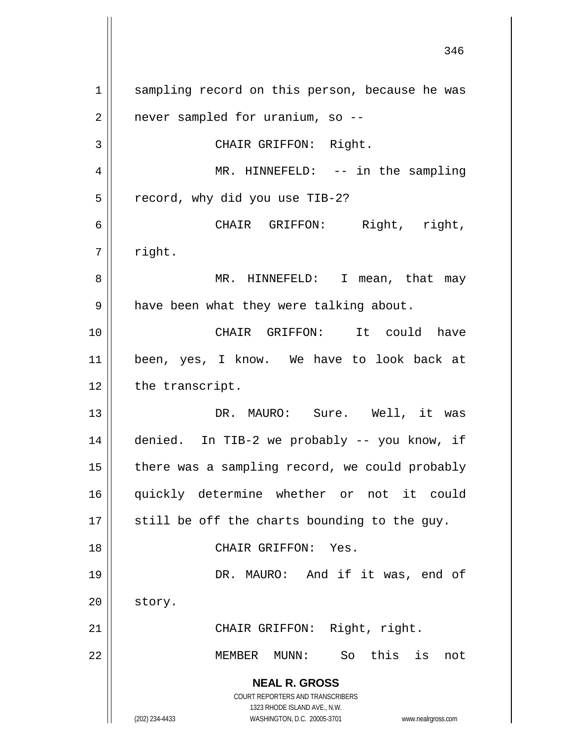**NEAL R. GROSS** COURT REPORTERS AND TRANSCRIBERS 1323 RHODE ISLAND AVE., N.W. (202) 234-4433 WASHINGTON, D.C. 20005-3701 www.nealrgross.com 1 || sampling record on this person, because he was  $2 \parallel$  never sampled for uranium, so --3 || CHAIR GRIFFON: Right. 4 MR. HINNEFELD: -- in the sampling 5 | record, why did you use TIB-2? 6 CHAIR GRIFFON: Right, right,  $7 \parallel$  right. 8 MR. HINNEFELD: I mean, that may  $9 \parallel$  have been what they were talking about. 10 CHAIR GRIFFON: It could have 11 been, yes, I know. We have to look back at  $12$  | the transcript. 13 DR. MAURO: Sure. Well, it was 14 denied. In TIB-2 we probably -- you know, if  $15$  | there was a sampling record, we could probably 16 quickly determine whether or not it could  $17$   $\parallel$  still be off the charts bounding to the guy. 18 CHAIR GRIFFON: Yes. 19 DR. MAURO: And if it was, end of 20 | story. 21 || CHAIR GRIFFON: Right, right. 22 MEMBER MUNN: So this is not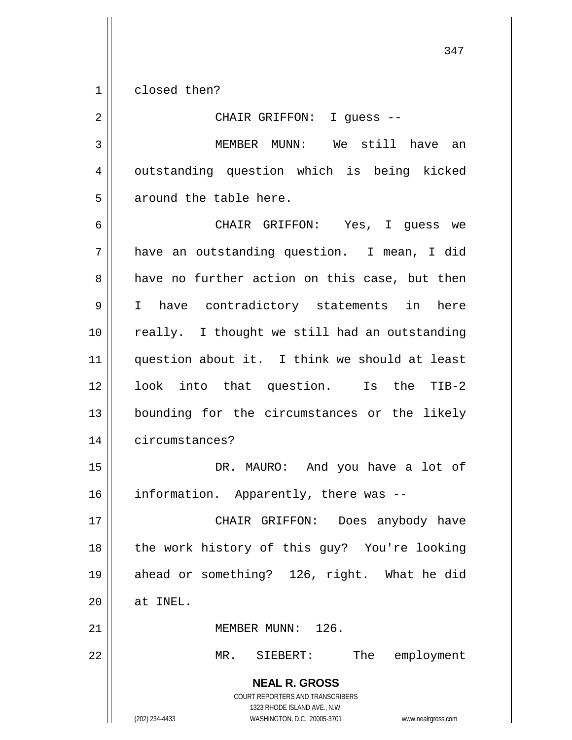1 closed then?

2 CHAIR GRIFFON: I guess -- 3 MEMBER MUNN: We still have an 4 || outstanding question which is being kicked 5 || around the table here.

 CHAIR GRIFFON: Yes, I guess we have an outstanding question. I mean, I did  $8 \parallel$  have no further action on this case, but then I have contradictory statements in here 10 || really. I thought we still had an outstanding 11 || question about it. I think we should at least look into that question. Is the TIB-2 bounding for the circumstances or the likely circumstances?

15 DR. MAURO: And you have a lot of 16 | information. Apparently, there was --

 CHAIR GRIFFON: Does anybody have 18 || the work history of this guy? You're looking ahead or something? 126, right. What he did | at INEL.

21 | MEMBER MUNN: 126.

22 MR. SIEBERT: The employment

**NEAL R. GROSS** COURT REPORTERS AND TRANSCRIBERS 1323 RHODE ISLAND AVE., N.W. (202) 234-4433 WASHINGTON, D.C. 20005-3701 www.nealrgross.com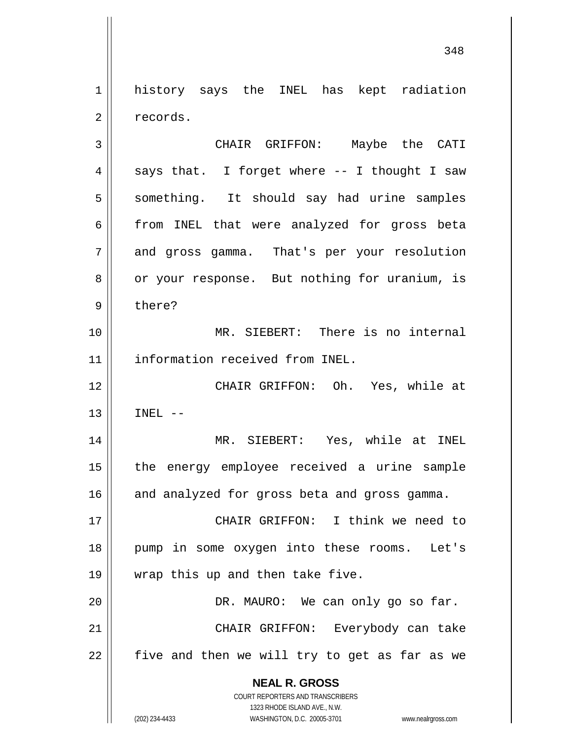1 || history says the INEL has kept radiation 2 | records.

3 CHAIR GRIFFON: Maybe the CATI  $4 \parallel$  says that. I forget where -- I thought I saw 5 || something. It should say had urine samples 6 from INEL that were analyzed for gross beta 7 and gross gamma. That's per your resolution 8 | or your response. But nothing for uranium, is 9 bere? 10 MR. SIEBERT: There is no internal 11 | information received from INEL. 12 CHAIR GRIFFON: Oh. Yes, while at  $13$   $\parallel$  INEL  $-$ 14 MR. SIEBERT: Yes, while at INEL 15 || the energy employee received a urine sample  $16$  and analyzed for gross beta and gross gamma. 17 CHAIR GRIFFON: I think we need to 18 pump in some oxygen into these rooms. Let's 19 || wrap this up and then take five.

20 DR. MAURO: We can only go so far. 21 CHAIR GRIFFON: Everybody can take  $22$  five and then we will try to get as far as we

> **NEAL R. GROSS** COURT REPORTERS AND TRANSCRIBERS

> > 1323 RHODE ISLAND AVE., N.W.

(202) 234-4433 WASHINGTON, D.C. 20005-3701 www.nealrgross.com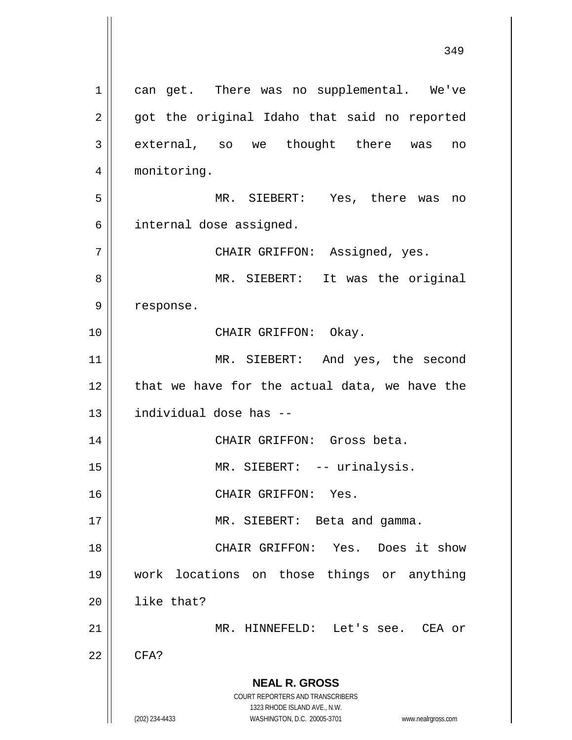**NEAL R. GROSS** COURT REPORTERS AND TRANSCRIBERS 1323 RHODE ISLAND AVE., N.W. (202) 234-4433 WASHINGTON, D.C. 20005-3701 www.nealrgross.com 1 || can get. There was no supplemental. We've  $2 \parallel$  got the original Idaho that said no reported 3 external, so we thought there was no 4 | monitoring. 5 MR. SIEBERT: Yes, there was no 6 | internal dose assigned. 7 CHAIR GRIFFON: Assigned, yes. 8 MR. SIEBERT: It was the original 9 | response. 10 || CHAIR GRIFFON: Okay. 11 || MR. SIEBERT: And yes, the second  $12$  | that we have for the actual data, we have the 13 individual dose has -- 14 CHAIR GRIFFON: Gross beta. 15 || MR. SIEBERT: -- urinalysis. 16 CHAIR GRIFFON: Yes. 17 || MR. SIEBERT: Beta and gamma. 18 CHAIR GRIFFON: Yes. Does it show 19 work locations on those things or anything  $20$  | like that? 21 MR. HINNEFELD: Let's see. CEA or  $22$   $\parallel$  CFA?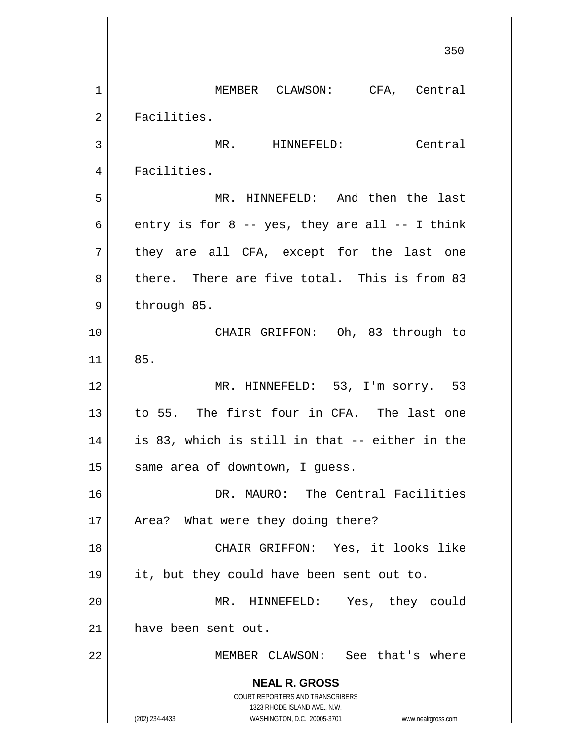**NEAL R. GROSS** COURT REPORTERS AND TRANSCRIBERS 1323 RHODE ISLAND AVE., N.W. (202) 234-4433 WASHINGTON, D.C. 20005-3701 www.nealrgross.com 350 1 | MEMBER CLAWSON: CFA, Central 2 | Facilities. 3 | MR. HINNEFELD: Central 4 | Facilities. 5 MR. HINNEFELD: And then the last 6 entry is for 8 -- yes, they are all -- I think  $7$  they are all CFA, except for the last one 8 there. There are five total. This is from 83  $9 \parallel$  through 85. 10 || CHAIR GRIFFON: Oh, 83 through to  $11$   $85.$ 12 MR. HINNEFELD: 53, I'm sorry. 53 13 to 55. The first four in CFA. The last one  $14$  || is 83, which is still in that  $-$  either in the  $15$  same area of downtown, I guess. 16 DR. MAURO: The Central Facilities 17 || Area? What were they doing there? 18 CHAIR GRIFFON: Yes, it looks like 19 it, but they could have been sent out to. 20 MR. HINNEFELD: Yes, they could 21 | have been sent out. 22 MEMBER CLAWSON: See that's where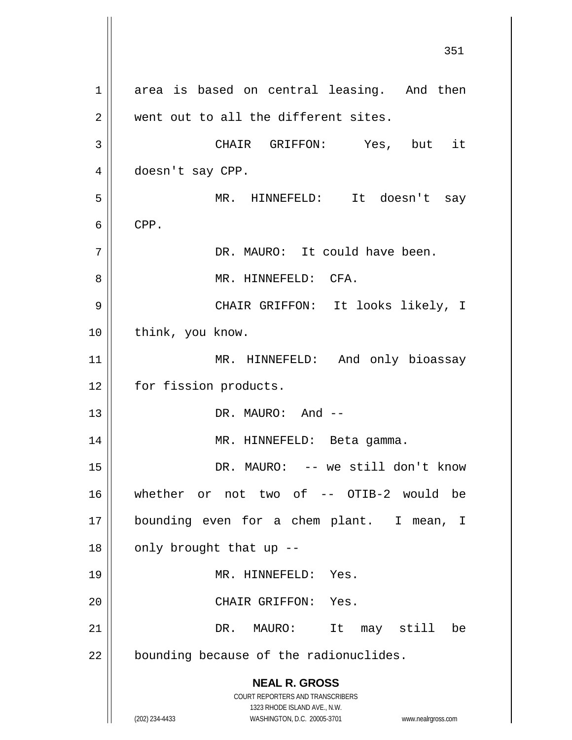**NEAL R. GROSS** COURT REPORTERS AND TRANSCRIBERS 1323 RHODE ISLAND AVE., N.W. (202) 234-4433 WASHINGTON, D.C. 20005-3701 www.nealrgross.com 351 1 area is based on central leasing. And then  $2 \parallel$  went out to all the different sites. 3 CHAIR GRIFFON: Yes, but it 4 doesn't say CPP. 5 MR. HINNEFELD: It doesn't say  $6 \parallel$  CPP. 7 || DR. MAURO: It could have been. 8 MR. HINNEFELD: CFA. 9 CHAIR GRIFFON: It looks likely, I 10 | think, you know. 11 || MR. HINNEFELD: And only bioassay 12 | for fission products. 13 || DR. MAURO: And --14 || MR. HINNEFELD: Beta gamma. 15 || DR. MAURO: -- we still don't know 16 whether or not two of -- OTIB-2 would be 17 bounding even for a chem plant. I mean, I  $18$  || only brought that up --19 MR. HINNEFELD: Yes. 20 || CHAIR GRIFFON: Yes. 21 DR. MAURO: It may still be  $22$  | bounding because of the radionuclides.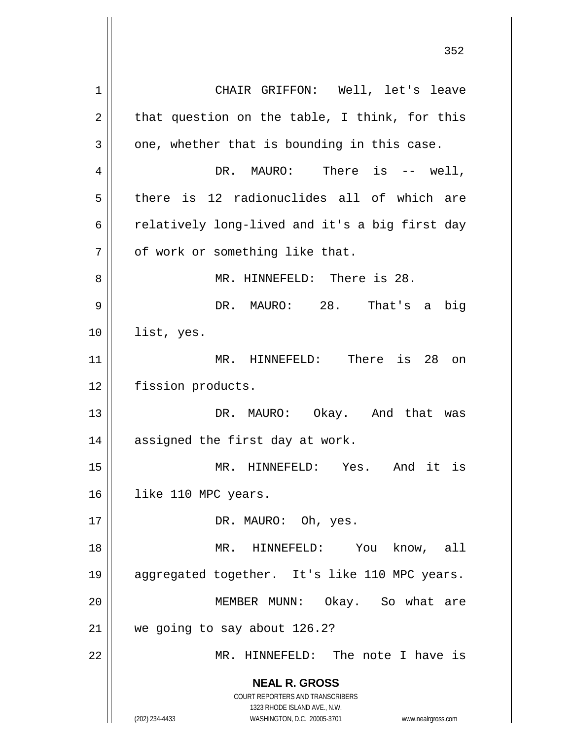**NEAL R. GROSS** COURT REPORTERS AND TRANSCRIBERS 1323 RHODE ISLAND AVE., N.W. (202) 234-4433 WASHINGTON, D.C. 20005-3701 www.nealrgross.com 1 CHAIR GRIFFON: Well, let's leave  $2 \parallel$  that question on the table, I think, for this  $3 \parallel$  one, whether that is bounding in this case.  $4 \parallel$  DR. MAURO: There is  $-$  well,  $5 \parallel$  there is 12 radionuclides all of which are 6  $\parallel$  relatively long-lived and it's a big first day  $7$  |  $\sigma$  of work or something like that. 8 MR. HINNEFELD: There is 28. 9 DR. MAURO: 28. That's a big 10 list, yes. 11 || MR. HINNEFELD: There is 28 on 12 | fission products. 13 DR. MAURO: Okay. And that was  $14$  | assigned the first day at work. 15 MR. HINNEFELD: Yes. And it is 16 || like 110 MPC years. 17 || DR. MAURO: Oh, yes. 18 MR. HINNEFELD: You know, all 19 aggregated together. It's like 110 MPC years. 20 MEMBER MUNN: Okay. So what are 21 | we going to say about 126.2? 22 MR. HINNEFELD: The note I have is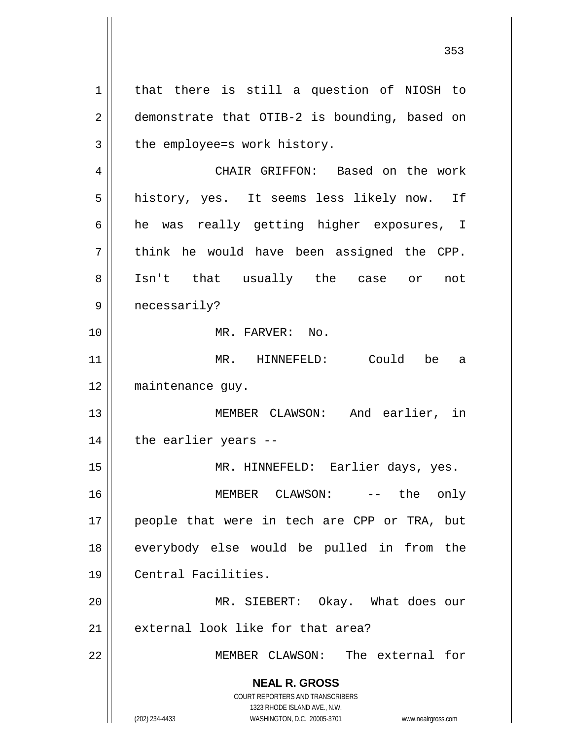**NEAL R. GROSS** COURT REPORTERS AND TRANSCRIBERS 1323 RHODE ISLAND AVE., N.W. (202) 234-4433 WASHINGTON, D.C. 20005-3701 www.nealrgross.com 1 | that there is still a question of NIOSH to 2 | demonstrate that OTIB-2 is bounding, based on  $3 \parallel$  the employee=s work history. 4 CHAIR GRIFFON: Based on the work 5 | history, yes. It seems less likely now. If 6 he was really getting higher exposures, I  $7 \parallel$  think he would have been assigned the CPP. 8 || Isn't that usually the case or not 9 || necessarily? 10 MR. FARVER: No. 11 MR. HINNEFELD: Could be a 12 maintenance guy. 13 MEMBER CLAWSON: And earlier, in  $14$  || the earlier years --15 MR. HINNEFELD: Earlier days, yes. 16 MEMBER CLAWSON: -- the only 17 || people that were in tech are CPP or TRA, but 18 everybody else would be pulled in from the 19 Central Facilities. 20 MR. SIEBERT: Okay. What does our  $21$  | external look like for that area? 22 MEMBER CLAWSON: The external for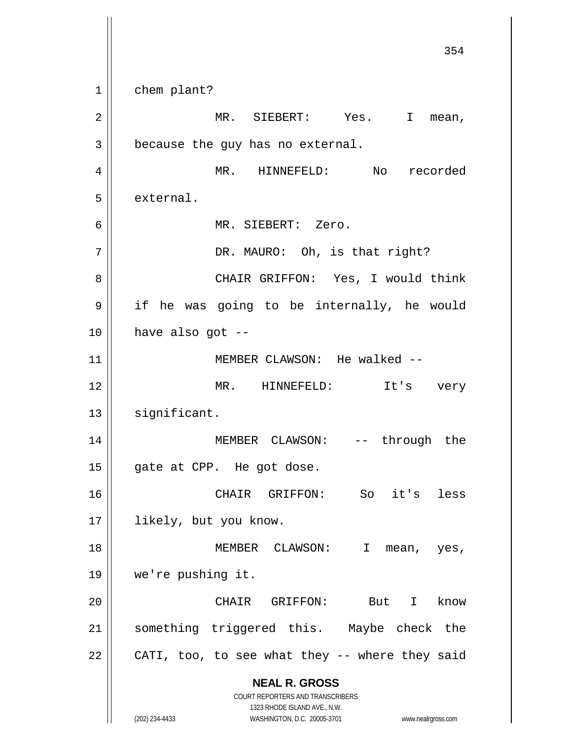**NEAL R. GROSS** COURT REPORTERS AND TRANSCRIBERS 1323 RHODE ISLAND AVE., N.W. (202) 234-4433 WASHINGTON, D.C. 20005-3701 www.nealrgross.com 354 1 chem plant? 2 MR. SIEBERT: Yes. I mean,  $3 \parallel$  because the guy has no external. 4 | MR. HINNEFELD: No recorded  $5$  | external. 6 MR. SIEBERT: Zero. 7 || DR. MAURO: Oh, is that right? 8 CHAIR GRIFFON: Yes, I would think 9 | if he was going to be internally, he would  $10$  || have also got --11 || MEMBER CLAWSON: He walked --12 MR. HINNEFELD: It's very  $13$  significant. 14 MEMBER CLAWSON: -- through the 15 || gate at CPP. He got dose. 16 CHAIR GRIFFON: So it's less 17 || likely, but you know. 18 || MEMBER CLAWSON: I mean, yes, 19 we're pushing it. 20 CHAIR GRIFFON: But I know 21 || something triggered this. Maybe check the  $22$  | CATI, too, to see what they -- where they said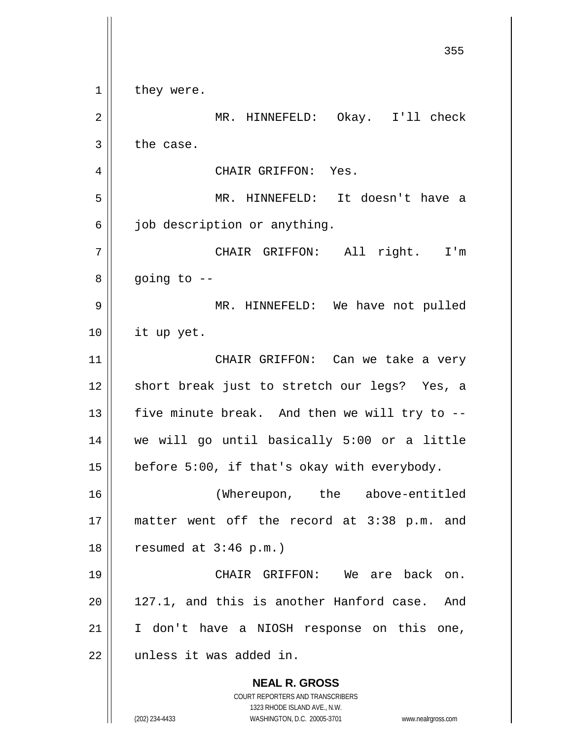**NEAL R. GROSS** COURT REPORTERS AND TRANSCRIBERS 1323 RHODE ISLAND AVE., N.W. (202) 234-4433 WASHINGTON, D.C. 20005-3701 www.nealrgross.com  $1 \parallel$  they were. 2 MR. HINNEFELD: Okay. I'll check  $3 \parallel$  the case. 4 | CHAIR GRIFFON: Yes. 5 MR. HINNEFELD: It doesn't have a  $6 \parallel$  job description or anything. 7 CHAIR GRIFFON: All right. I'm  $8 \parallel$  going to  $-$ 9 MR. HINNEFELD: We have not pulled 10 it up yet. 11 || CHAIR GRIFFON: Can we take a very 12 || short break just to stretch our legs? Yes, a 13  $\parallel$  five minute break. And then we will try to --14 we will go until basically 5:00 or a little 15  $\vert$  before 5:00, if that's okay with everybody. 16 (Whereupon, the above-entitled 17 matter went off the record at 3:38 p.m. and  $18$  | resumed at  $3:46$  p.m.) 19 CHAIR GRIFFON: We are back on. 20 || 127.1, and this is another Hanford case. And 21 || I don't have a NIOSH response on this one, 22 | unless it was added in.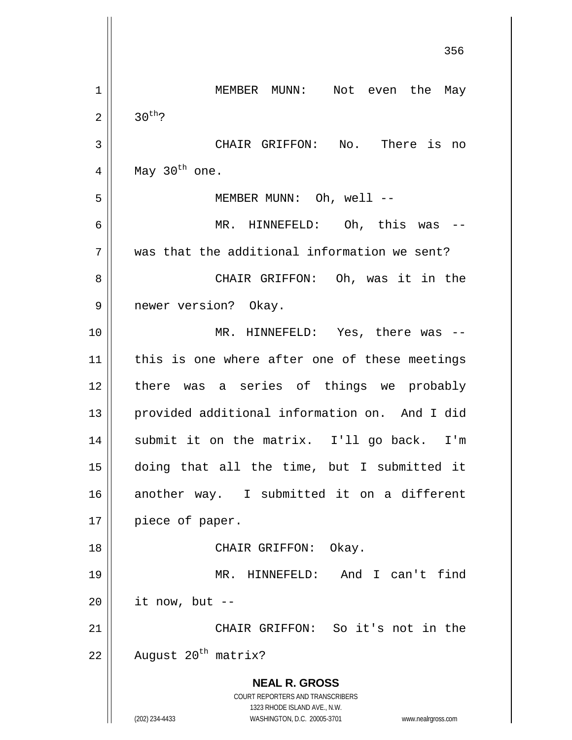|    | 350                                                                 |
|----|---------------------------------------------------------------------|
| 1  | MEMBER MUNN: Not even the May                                       |
| 2  | $30^{th}$ ?                                                         |
| 3  | CHAIR GRIFFON: No. There is no                                      |
| 4  | May 30 <sup>th</sup> one.                                           |
| 5  | MEMBER MUNN: Oh, well --                                            |
| 6  | MR. HINNEFELD: Oh, this was                                         |
| 7  | was that the additional information we sent?                        |
| 8  | CHAIR GRIFFON: Oh, was it in the                                    |
| 9  | newer version? Okay.                                                |
| 10 | MR. HINNEFELD: Yes, there was                                       |
| 11 | this is one where after one of these meetings                       |
| 12 | there was a series of things we probably                            |
| 13 | provided additional information on. And I did                       |
| 14 | submit it on the matrix. I'll go back. I'm                          |
| 15 | doing that all the time, but I submitted it                         |
| 16 | another way. I submitted it on a different                          |
| 17 | piece of paper.                                                     |
| 18 | CHAIR GRIFFON: Okay.                                                |
| 19 | MR. HINNEFELD: And I can't find                                     |
| 20 | it now, but --                                                      |
| 21 | CHAIR GRIFFON: So it's not in the                                   |
| 22 | August 20 <sup>th</sup> matrix?                                     |
|    | <b>NEAL R. GROSS</b>                                                |
|    | COURT REPORTERS AND TRANSCRIBERS<br>1323 RHODE ISLAND AVE., N.W.    |
|    | (202) 234-4433<br>WASHINGTON, D.C. 20005-3701<br>www.nealrgross.com |

 $\mathsf{I}$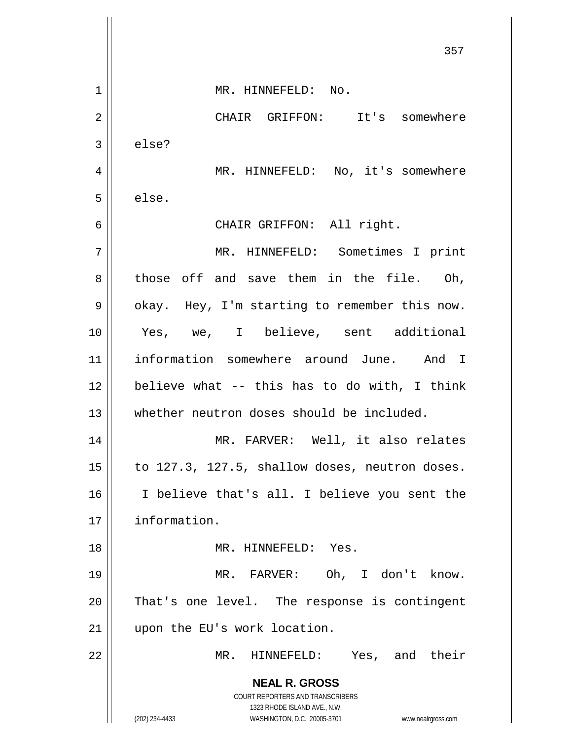**NEAL R. GROSS** COURT REPORTERS AND TRANSCRIBERS 1323 RHODE ISLAND AVE., N.W. (202) 234-4433 WASHINGTON, D.C. 20005-3701 www.nealrgross.com 357 1 || MR. HINNEFELD: No. 2 CHAIR GRIFFON: It's somewhere  $3 \parallel$  else? 4 | MR. HINNEFELD: No, it's somewhere  $5 \parallel$  else. 6 || CHAIR GRIFFON: All right. 7 MR. HINNEFELD: Sometimes I print  $8 \parallel$  those off and save them in the file. Oh,  $9 \parallel$  okay. Hey, I'm starting to remember this now. 10 Yes, we, I believe, sent additional 11 information somewhere around June. And I  $12$  believe what -- this has to do with, I think 13 whether neutron doses should be included. 14 MR. FARVER: Well, it also relates 15  $\vert$  to 127.3, 127.5, shallow doses, neutron doses. 16 I believe that's all. I believe you sent the 17 information. 18 MR. HINNEFELD: Yes. 19 MR. FARVER: Oh, I don't know.  $20$  || That's one level. The response is contingent 21 || upon the EU's work location. 22 MR. HINNEFELD: Yes, and their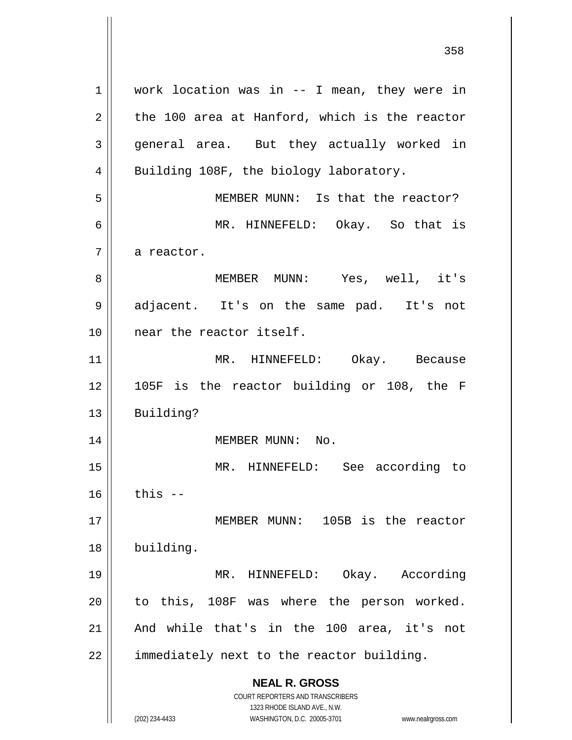**NEAL R. GROSS** COURT REPORTERS AND TRANSCRIBERS 1323 RHODE ISLAND AVE., N.W. (202) 234-4433 WASHINGTON, D.C. 20005-3701 www.nealrgross.com 1 || work location was in -- I mean, they were in  $2 \parallel$  the 100 area at Hanford, which is the reactor 3 general area. But they actually worked in 4 || Building 108F, the biology laboratory. 5 MEMBER MUNN: Is that the reactor? 6 MR. HINNEFELD: Okay. So that is  $7 \parallel$  a reactor. 8 MEMBER MUNN: Yes, well, it's 9 || adjacent. It's on the same pad. It's not 10 near the reactor itself. 11 || MR. HINNEFELD: Okay. Because 12 105F is the reactor building or 108, the F 13 Building? 14 || MEMBER MUNN: No. 15 MR. HINNEFELD: See according to  $16$  this  $-$ 17 || MEMBER MUNN: 105B is the reactor 18 building. 19 MR. HINNEFELD: Okay. According  $20$  || to this, 108F was where the person worked. 21  $\parallel$  And while that's in the 100 area, it's not  $22$  || immediately next to the reactor building.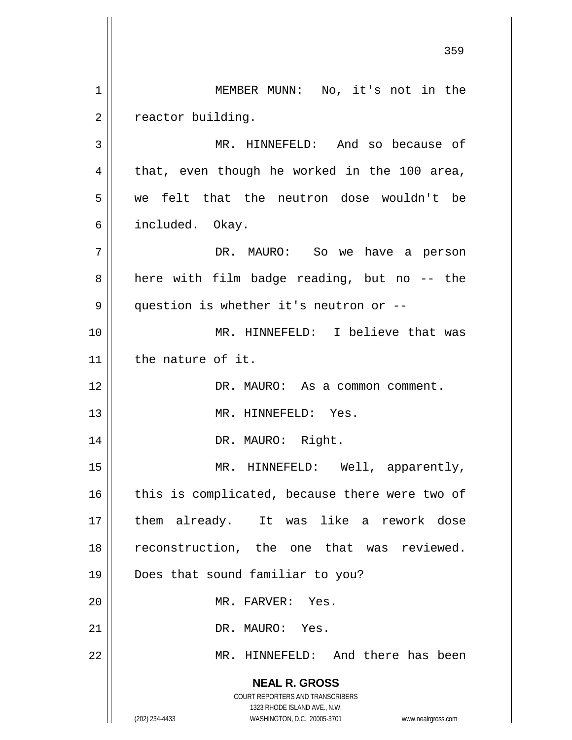**NEAL R. GROSS** COURT REPORTERS AND TRANSCRIBERS 1323 RHODE ISLAND AVE., N.W. (202) 234-4433 WASHINGTON, D.C. 20005-3701 www.nealrgross.com 359 1 || MEMBER MUNN: No, it's not in the 2 | reactor building. 3 || MR. HINNEFELD: And so because of  $4 \parallel$  that, even though he worked in the 100 area, 5 we felt that the neutron dose wouldn't be 6 || included. Okay. 7 DR. MAURO: So we have a person  $8 \parallel$  here with film badge reading, but no -- the 9 | question is whether it's neutron or --10 MR. HINNEFELD: I believe that was 11 the nature of it. 12 DR. MAURO: As a common comment. 13 || MR. HINNEFELD: Yes. 14 || DR. MAURO: Right. 15 || MR. HINNEFELD: Well, apparently,  $16$  | this is complicated, because there were two of 17 them already. It was like a rework dose 18 || reconstruction, the one that was reviewed. 19 Does that sound familiar to you? 20 MR. FARVER: Yes. 21 || DR. MAURO: Yes. 22 MR. HINNEFELD: And there has been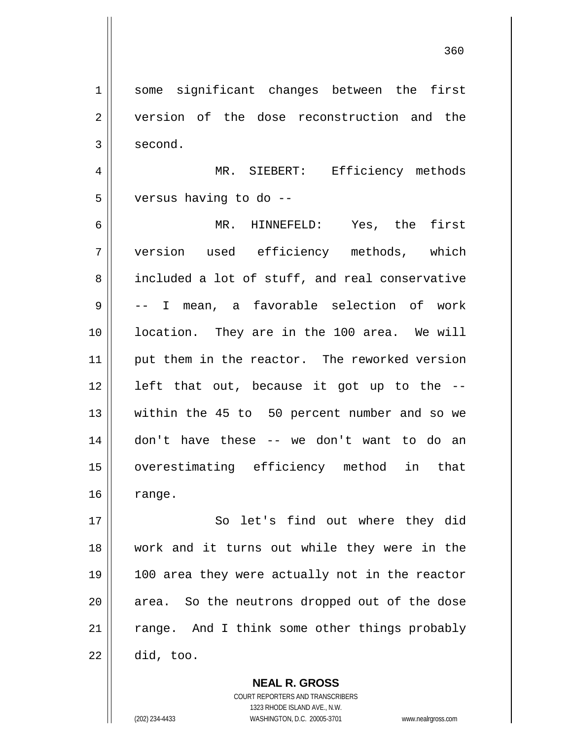360

1 || some significant changes between the first 2 version of the dose reconstruction and the  $3 \mid$  second. 4 MR. SIEBERT: Efficiency methods 5 | versus having to do --6 MR. HINNEFELD: Yes, the first 7 version used efficiency methods, which 8 included a lot of stuff, and real conservative 9 -- I mean, a favorable selection of work 10 || location. They are in the 100 area. We will 11 || put them in the reactor. The reworked version  $12$  | left that out, because it got up to the  $-$ -13 || within the 45 to 50 percent number and so we 14 don't have these -- we don't want to do an 15 overestimating efficiency method in that  $16 \parallel$  range. 17 || So let's find out where they did 18 work and it turns out while they were in the 19 100 area they were actually not in the reactor  $20$  || area. So the neutrons dropped out of the dose  $21$   $\parallel$  range. And I think some other things probably

 $22 \parallel$  did, too.

**NEAL R. GROSS** COURT REPORTERS AND TRANSCRIBERS

1323 RHODE ISLAND AVE., N.W.

(202) 234-4433 WASHINGTON, D.C. 20005-3701 www.nealrgross.com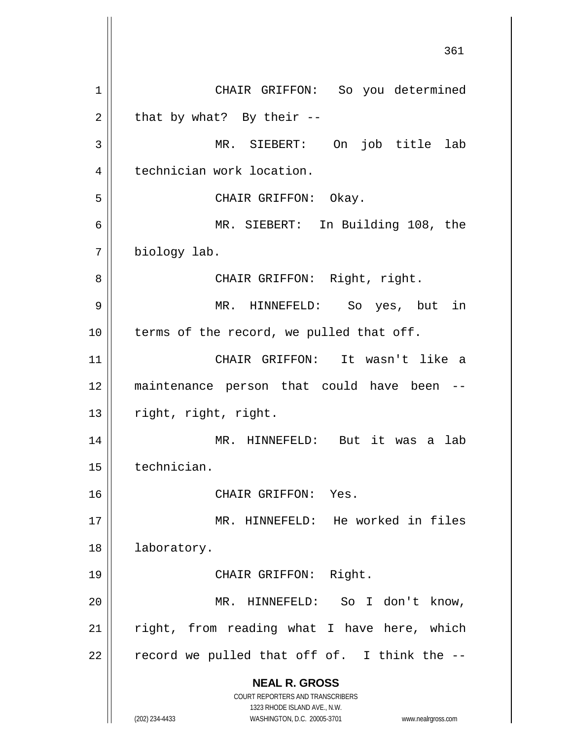**NEAL R. GROSS** COURT REPORTERS AND TRANSCRIBERS 1323 RHODE ISLAND AVE., N.W. (202) 234-4433 WASHINGTON, D.C. 20005-3701 www.nealrgross.com 1 | CHAIR GRIFFON: So you determined  $2 \parallel$  that by what? By their --3 MR. SIEBERT: On job title lab 4 | technician work location. 5 CHAIR GRIFFON: Okay. 6 MR. SIEBERT: In Building 108, the 7 biology lab. 8 || CHAIR GRIFFON: Right, right. 9 MR. HINNEFELD: So yes, but in 10 || terms of the record, we pulled that off. 11 CHAIR GRIFFON: It wasn't like a 12 maintenance person that could have been -- 13 | right, right, right. 14 MR. HINNEFELD: But it was a lab 15 technician. 16 CHAIR GRIFFON: Yes. 17 MR. HINNEFELD: He worked in files 18 | laboratory. 19 || CHAIR GRIFFON: Right. 20 MR. HINNEFELD: So I don't know,  $21$  right, from reading what I have here, which  $22$  | record we pulled that off of. I think the  $-$ -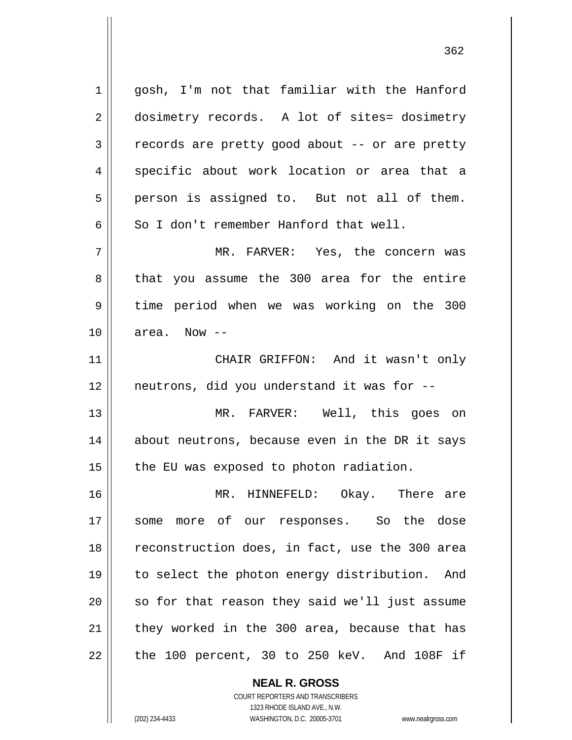1 gosh, I'm not that familiar with the Hanford 2 dosimetry records. A lot of sites= dosimetry  $3 \parallel$  records are pretty good about -- or are pretty 4 || specific about work location or area that a  $5 \parallel$  person is assigned to. But not all of them. 6  $\parallel$  So I don't remember Hanford that well. 7 MR. FARVER: Yes, the concern was 8 || that you assume the 300 area for the entire 9 time period when we was working on the 300  $10$  | area. Now  $-$ 11 CHAIR GRIFFON: And it wasn't only 12 neutrons, did you understand it was for -- 13 MR. FARVER: Well, this goes on 14 || about neutrons, because even in the DR it says  $15$  | the EU was exposed to photon radiation. 16 MR. HINNEFELD: Okay. There are 17 || some more of our responses. So the dose 18 || reconstruction does, in fact, use the 300 area 19 to select the photon energy distribution. And  $20$  || so for that reason they said we'll just assume  $21$  | they worked in the 300 area, because that has  $22$  | the 100 percent, 30 to 250 keV. And 108F if

> **NEAL R. GROSS** COURT REPORTERS AND TRANSCRIBERS

> > 1323 RHODE ISLAND AVE., N.W.

(202) 234-4433 WASHINGTON, D.C. 20005-3701 www.nealrgross.com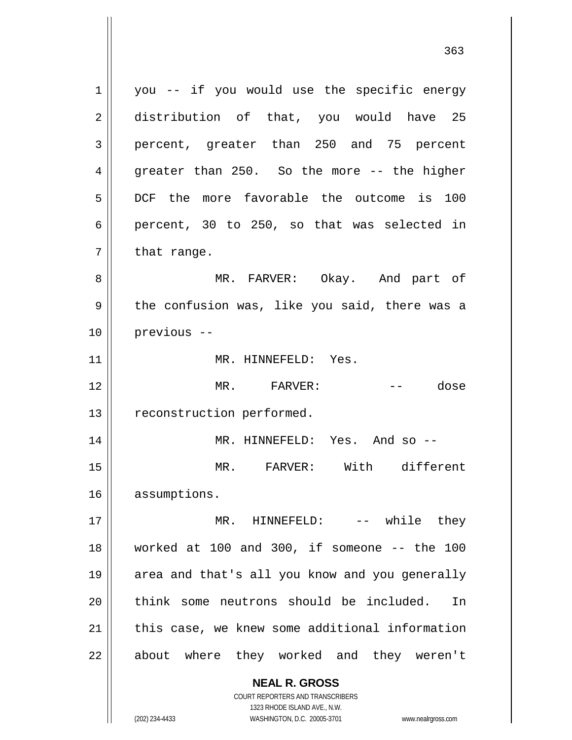**NEAL R. GROSS** COURT REPORTERS AND TRANSCRIBERS  $1 \parallel$  you -- if you would use the specific energy 2 distribution of that, you would have 25 3 percent, greater than 250 and 75 percent  $4 \parallel$  greater than 250. So the more -- the higher 5 DCF the more favorable the outcome is 100 6 percent, 30 to 250, so that was selected in  $7 \parallel$  that range. 8 MR. FARVER: Okay. And part of  $9 \parallel$  the confusion was, like you said, there was a 10 previous -- 11 || MR. HINNEFELD: Yes. 12 MR. FARVER: -- dose 13 | reconstruction performed. 14 MR. HINNEFELD: Yes. And so -- 15 MR. FARVER: With different 16 assumptions. 17 MR. HINNEFELD: -- while they 18 worked at 100 and 300, if someone -- the 100 19 area and that's all you know and you generally 20 think some neutrons should be included. In  $21$  | this case, we knew some additional information 22 || about where they worked and they weren't

1323 RHODE ISLAND AVE., N.W.

(202) 234-4433 WASHINGTON, D.C. 20005-3701 www.nealrgross.com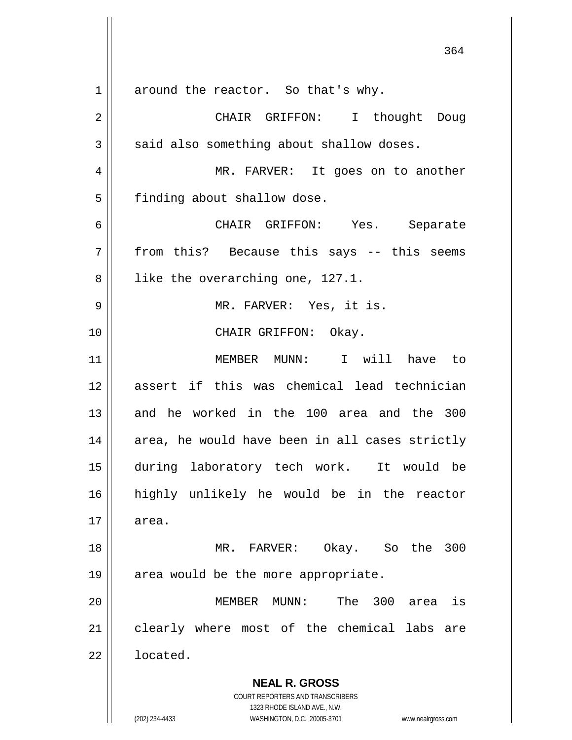**NEAL R. GROSS** COURT REPORTERS AND TRANSCRIBERS 1323 RHODE ISLAND AVE., N.W. (202) 234-4433 WASHINGTON, D.C. 20005-3701 www.nealrgross.com 1 around the reactor. So that's why. 2 CHAIR GRIFFON: I thought Doug  $3 \parallel$  said also something about shallow doses. 4 MR. FARVER: It goes on to another 5 | finding about shallow dose. 6 CHAIR GRIFFON: Yes. Separate  $7 \parallel$  from this? Because this says -- this seems 8 || like the overarching one, 127.1. 9 MR. FARVER: Yes, it is. 10 || CHAIR GRIFFON: Okay. 11 MEMBER MUNN: I will have to 12 assert if this was chemical lead technician 13 and he worked in the 100 area and the 300  $14$  || area, he would have been in all cases strictly 15 during laboratory tech work. It would be 16 highly unlikely he would be in the reactor  $17 \parallel$  area. 18 MR. FARVER: Okay. So the 300 19  $\parallel$  area would be the more appropriate. 20 MEMBER MUNN: The 300 area is 21 || clearly where most of the chemical labs are 22 **l** located.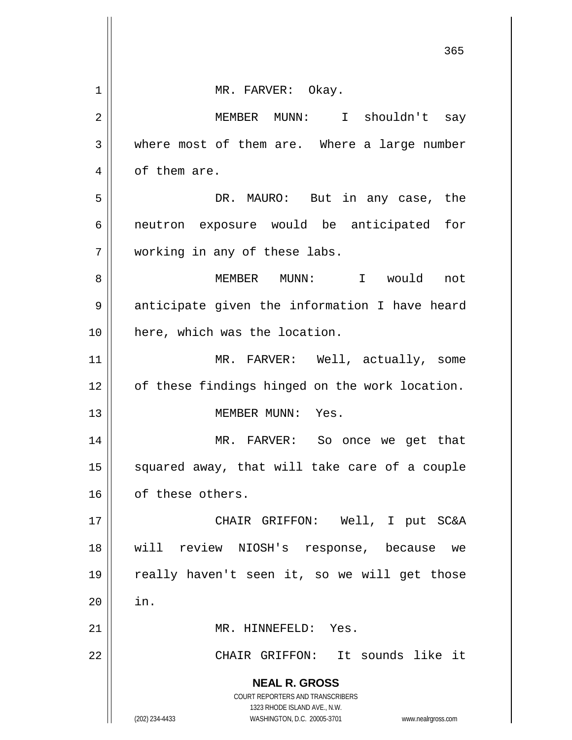|    | 365                                                                                                                                                             |
|----|-----------------------------------------------------------------------------------------------------------------------------------------------------------------|
| 1  | MR. FARVER: Okay.                                                                                                                                               |
| 2  | MEMBER MUNN: I shouldn't say                                                                                                                                    |
| 3  | where most of them are. Where a large number                                                                                                                    |
| 4  | of them are.                                                                                                                                                    |
| 5  | DR. MAURO: But in any case, the                                                                                                                                 |
| 6  | neutron exposure would be anticipated for                                                                                                                       |
| 7  | working in any of these labs.                                                                                                                                   |
| 8  | MEMBER MUNN: I would not                                                                                                                                        |
| 9  | anticipate given the information I have heard                                                                                                                   |
| 10 | here, which was the location.                                                                                                                                   |
| 11 | MR. FARVER: Well, actually, some                                                                                                                                |
| 12 | of these findings hinged on the work location.                                                                                                                  |
| 13 | MEMBER MUNN: Yes.                                                                                                                                               |
| 14 | MR. FARVER:<br>So once we get that                                                                                                                              |
| 15 | squared away, that will take care of a couple                                                                                                                   |
| 16 | of these others.                                                                                                                                                |
| 17 | CHAIR GRIFFON: Well, I put SC&A                                                                                                                                 |
| 18 | will review NIOSH's response, because<br>we                                                                                                                     |
| 19 | really haven't seen it, so we will get those                                                                                                                    |
| 20 | in.                                                                                                                                                             |
| 21 | MR. HINNEFELD: Yes.                                                                                                                                             |
| 22 | CHAIR GRIFFON: It sounds like it                                                                                                                                |
|    | <b>NEAL R. GROSS</b><br>COURT REPORTERS AND TRANSCRIBERS<br>1323 RHODE ISLAND AVE., N.W.<br>(202) 234-4433<br>WASHINGTON, D.C. 20005-3701<br>www.nealrgross.com |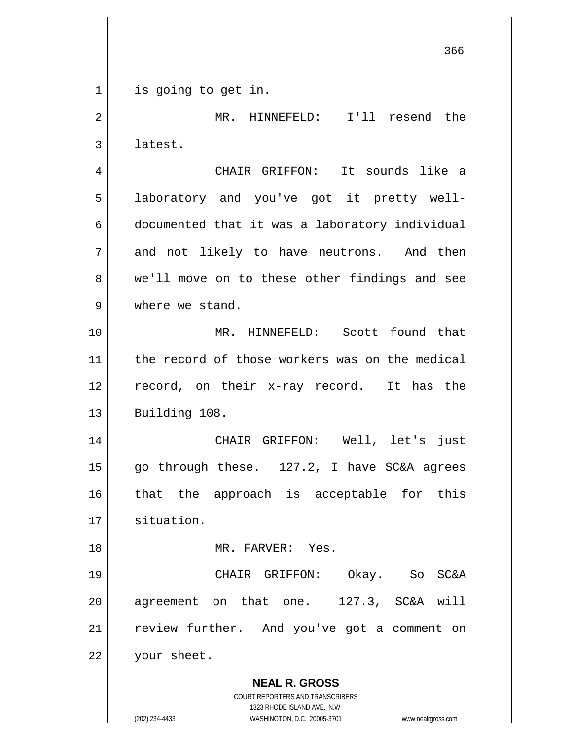**NEAL R. GROSS** COURT REPORTERS AND TRANSCRIBERS 1323 RHODE ISLAND AVE., N.W. (202) 234-4433 WASHINGTON, D.C. 20005-3701 www.nealrgross.com 366 1 || is going to get in. 2 || MR. HINNEFELD: I'll resend the 3 latest. 4 CHAIR GRIFFON: It sounds like a 5 || laboratory and you've got it pretty well-6 documented that it was a laboratory individual  $7 \parallel$  and not likely to have neutrons. And then 8 we'll move on to these other findings and see 9 Where we stand. 10 MR. HINNEFELD: Scott found that 11 | the record of those workers was on the medical 12 record, on their x-ray record. It has the  $13$  | Building 108. 14 CHAIR GRIFFON: Well, let's just 15  $\parallel$  go through these. 127.2, I have SC&A agrees 16 || that the approach is acceptable for this 17 | situation. 18 MR. FARVER: Yes. 19 CHAIR GRIFFON: Okay. So SC&A 20 agreement on that one. 127.3, SC&A will 21 || review further. And you've got a comment on 22 | your sheet.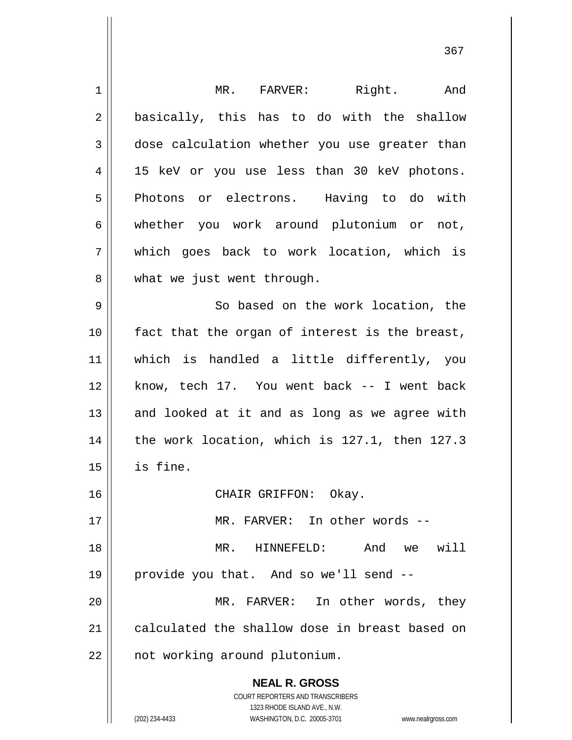| 1  | MR. FARVER: Right. And                                              |
|----|---------------------------------------------------------------------|
| 2  | basically, this has to do with the shallow                          |
| 3  | dose calculation whether you use greater than                       |
| 4  | 15 keV or you use less than 30 keV photons.                         |
| 5  | Photons or electrons. Having to do with                             |
| 6  | whether you work around plutonium or not,                           |
| 7  | which goes back to work location, which is                          |
| 8  | what we just went through.                                          |
| 9  | So based on the work location, the                                  |
| 10 | fact that the organ of interest is the breast,                      |
| 11 | which is handled a little differently, you                          |
| 12 | know, tech 17. You went back -- I went back                         |
| 13 | and looked at it and as long as we agree with                       |
| 14 | the work location, which is 127.1, then 127.3                       |
| 15 | is fine.                                                            |
| 16 | CHAIR GRIFFON:<br>Okay.                                             |
| 17 | MR. FARVER: In other words --                                       |
| 18 | And we will<br>MR.<br>HINNEFELD:                                    |
| 19 | provide you that. And so we'll send --                              |
|    | MR. FARVER: In other words, they                                    |
| 20 |                                                                     |
| 21 | calculated the shallow dose in breast based on                      |
| 22 | not working around plutonium.                                       |
|    | <b>NEAL R. GROSS</b>                                                |
|    | COURT REPORTERS AND TRANSCRIBERS                                    |
|    | 1323 RHODE ISLAND AVE., N.W.                                        |
|    | (202) 234-4433<br>WASHINGTON, D.C. 20005-3701<br>www.nealrgross.com |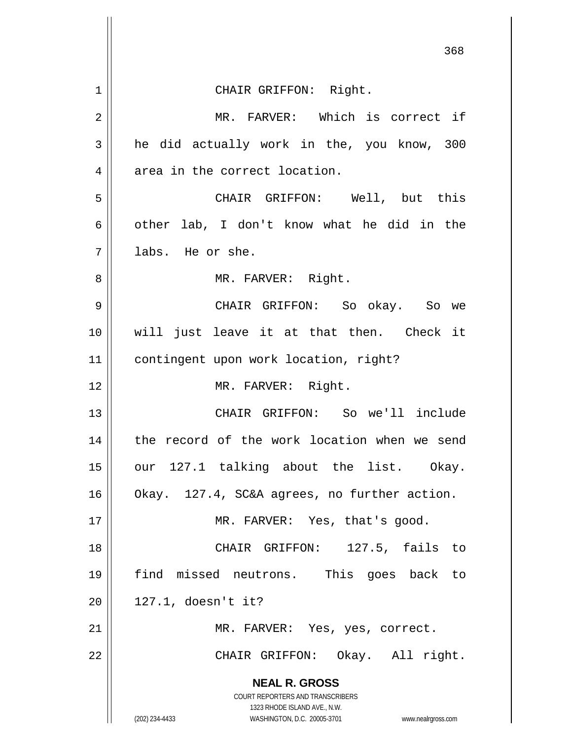|    | 368                                                                                                 |
|----|-----------------------------------------------------------------------------------------------------|
| 1  | CHAIR GRIFFON: Right.                                                                               |
| 2  | MR. FARVER: Which is correct if                                                                     |
| 3  | he did actually work in the, you know, 300                                                          |
| 4  | area in the correct location.                                                                       |
| 5  | CHAIR GRIFFON: Well, but this                                                                       |
| 6  | other lab, I don't know what he did in the                                                          |
| 7  | labs. He or she.                                                                                    |
| 8  | MR. FARVER: Right.                                                                                  |
| 9  | CHAIR GRIFFON: So okay. So we                                                                       |
| 10 | will just leave it at that then. Check it                                                           |
| 11 | contingent upon work location, right?                                                               |
| 12 | MR. FARVER: Right.                                                                                  |
| 13 | CHAIR GRIFFON: So we'll include                                                                     |
| 14 | record of the work location when we send<br>the                                                     |
| 15 | our 127.1 talking about the list. Okay.                                                             |
| 16 | Okay. 127.4, SC&A agrees, no further action.                                                        |
| 17 | MR. FARVER: Yes, that's good.                                                                       |
| 18 | CHAIR GRIFFON: 127.5, fails to                                                                      |
| 19 | find missed neutrons. This goes back to                                                             |
| 20 | $127.1$ , doesn't it?                                                                               |
| 21 | MR. FARVER: Yes, yes, correct.                                                                      |
| 22 | CHAIR GRIFFON: Okay. All right.                                                                     |
|    | <b>NEAL R. GROSS</b>                                                                                |
|    | COURT REPORTERS AND TRANSCRIBERS                                                                    |
|    | 1323 RHODE ISLAND AVE., N.W.<br>(202) 234-4433<br>WASHINGTON, D.C. 20005-3701<br>www.nealrgross.com |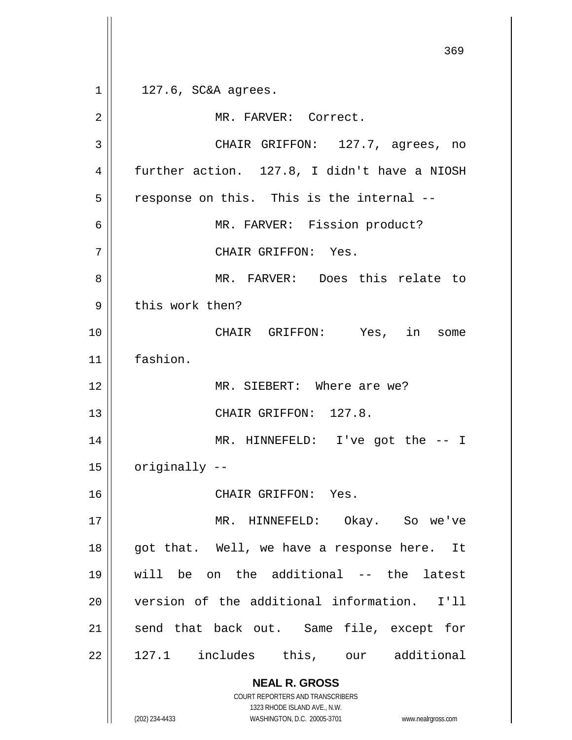**NEAL R. GROSS** COURT REPORTERS AND TRANSCRIBERS 1323 RHODE ISLAND AVE., N.W. 369  $1 \parallel 127.6$ , SC&A agrees. 2 | MR. FARVER: Correct. 3 CHAIR GRIFFON: 127.7, agrees, no 4 | further action. 127.8, I didn't have a NIOSH  $5$  response on this. This is the internal --6 || MR. FARVER: Fission product? 7 CHAIR GRIFFON: Yes. 8 MR. FARVER: Does this relate to  $9$  | this work then? 10 CHAIR GRIFFON: Yes, in some 11 fashion. 12 MR. SIEBERT: Where are we? 13 || CHAIR GRIFFON: 127.8. 14 MR. HINNEFELD: I've got the -- I  $15$  | originally  $-$ 16 CHAIR GRIFFON: Yes. 17 || MR. HINNEFELD: Okay. So we've 18 || got that. Well, we have a response here. It 19 will be on the additional -- the latest 20 version of the additional information. I'll 21 || send that back out. Same file, except for  $22 \parallel$  127.1 includes this, our additional

(202) 234-4433 WASHINGTON, D.C. 20005-3701 www.nealrgross.com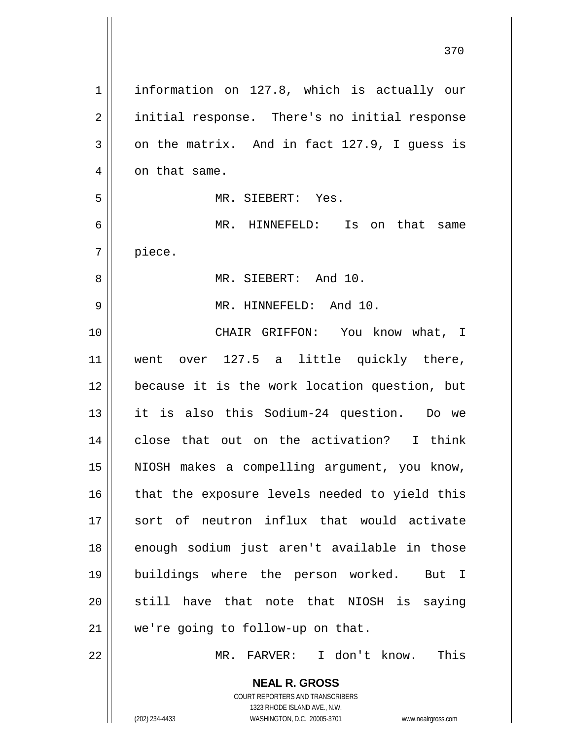| $\mathbf 1$ | information on 127.8, which is actually our                                                         |
|-------------|-----------------------------------------------------------------------------------------------------|
| 2           | initial response. There's no initial response                                                       |
| 3           | on the matrix. And in fact 127.9, I guess is                                                        |
| 4           | on that same.                                                                                       |
| 5           | MR. SIEBERT: Yes.                                                                                   |
| 6           | MR. HINNEFELD: Is on that same                                                                      |
| 7           | piece.                                                                                              |
| 8           | MR. SIEBERT: And 10.                                                                                |
| 9           | MR. HINNEFELD: And 10.                                                                              |
| 10          | CHAIR GRIFFON: You know what, I                                                                     |
| 11          | went over 127.5 a little quickly there,                                                             |
| 12          | because it is the work location question, but                                                       |
| 13          | it is also this Sodium-24 question. Do we                                                           |
|             |                                                                                                     |
| 14          | close that out on the activation? I think                                                           |
| 15          | NIOSH makes a compelling argument, you know,                                                        |
| 16          | that the exposure levels needed to yield this                                                       |
| 17          | sort of neutron influx that would activate                                                          |
| 18          | enough sodium just aren't available in those                                                        |
| 19          | buildings where the person worked. But I                                                            |
| 20          | still have that note that NIOSH is saying                                                           |
| 21          | we're going to follow-up on that.                                                                   |
| 22          | MR. FARVER: I don't know.<br>This                                                                   |
|             | <b>NEAL R. GROSS</b>                                                                                |
|             | <b>COURT REPORTERS AND TRANSCRIBERS</b>                                                             |
|             | 1323 RHODE ISLAND AVE., N.W.<br>(202) 234-4433<br>WASHINGTON, D.C. 20005-3701<br>www.nealrgross.com |
|             |                                                                                                     |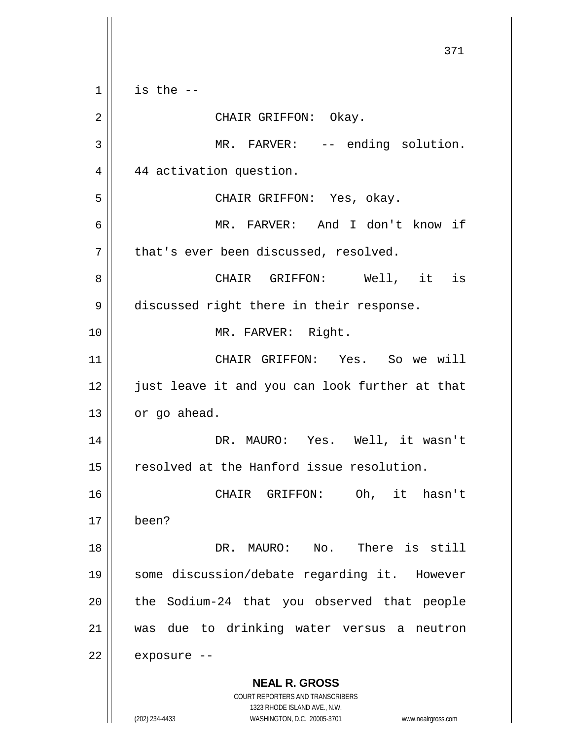**NEAL R. GROSS** COURT REPORTERS AND TRANSCRIBERS 1323 RHODE ISLAND AVE., N.W. (202) 234-4433 WASHINGTON, D.C. 20005-3701 www.nealrgross.com 371  $1 \parallel$  is the --2 CHAIR GRIFFON: Okay. 3 || MR. FARVER: -- ending solution. 4 4 44 activation question. 5 CHAIR GRIFFON: Yes, okay. 6 MR. FARVER: And I don't know if  $7$  | that's ever been discussed, resolved. 8 CHAIR GRIFFON: Well, it is 9 | discussed right there in their response. 10 || MR. FARVER: Right. 11 CHAIR GRIFFON: Yes. So we will 12 || just leave it and you can look further at that  $13$  | or go ahead. 14 DR. MAURO: Yes. Well, it wasn't 15 | resolved at the Hanford issue resolution. 16 CHAIR GRIFFON: Oh, it hasn't 17 been? 18 || The Contract DR. MAURO: No. There is still 19 some discussion/debate regarding it. However  $20$  || the Sodium-24 that you observed that people 21 was due to drinking water versus a neutron  $22$  | exposure --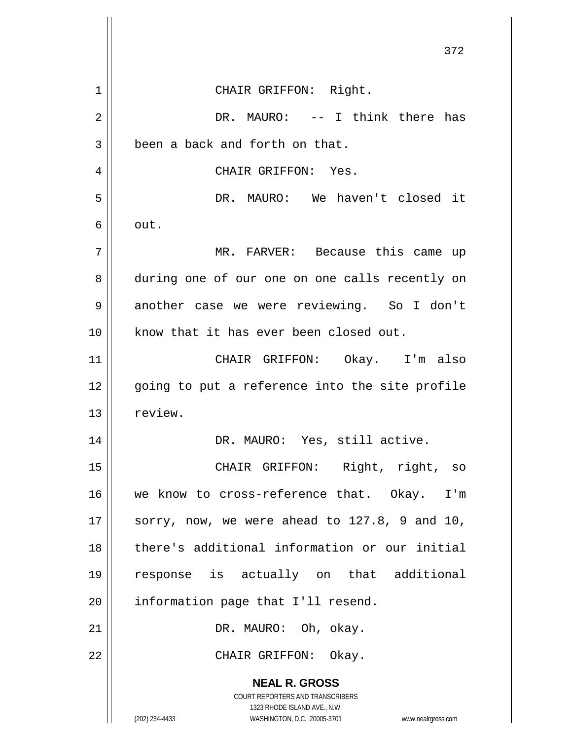|             | 372                                                                                                 |
|-------------|-----------------------------------------------------------------------------------------------------|
|             |                                                                                                     |
| $\mathbf 1$ | CHAIR GRIFFON: Right.                                                                               |
| 2           | DR. MAURO: -- I think there has                                                                     |
| 3           | been a back and forth on that.                                                                      |
| 4           | CHAIR GRIFFON: Yes.                                                                                 |
| 5           | DR. MAURO: We haven't closed it                                                                     |
| 6           | out.                                                                                                |
| 7           | MR. FARVER: Because this came up                                                                    |
| 8           | during one of our one on one calls recently on                                                      |
| 9           | another case we were reviewing. So I don't                                                          |
| 10          | know that it has ever been closed out.                                                              |
| 11          | CHAIR GRIFFON: Okay. I'm also                                                                       |
| 12          | going to put a reference into the site profile                                                      |
| 13          | review.                                                                                             |
| 14          | DR. MAURO: Yes, still active.                                                                       |
| 15          | CHAIR GRIFFON: Right, right, so                                                                     |
| 16          | we know to cross-reference that. Okay. I'm                                                          |
| 17          | sorry, now, we were ahead to 127.8, 9 and 10,                                                       |
| 18          | there's additional information or our initial                                                       |
| 19          | response is actually on that additional                                                             |
| 20          | information page that I'll resend.                                                                  |
| 21          | DR. MAURO: Oh, okay.                                                                                |
| 22          | CHAIR GRIFFON: Okay.                                                                                |
|             | <b>NEAL R. GROSS</b>                                                                                |
|             | COURT REPORTERS AND TRANSCRIBERS                                                                    |
|             | 1323 RHODE ISLAND AVE., N.W.<br>(202) 234-4433<br>WASHINGTON, D.C. 20005-3701<br>www.nealrgross.com |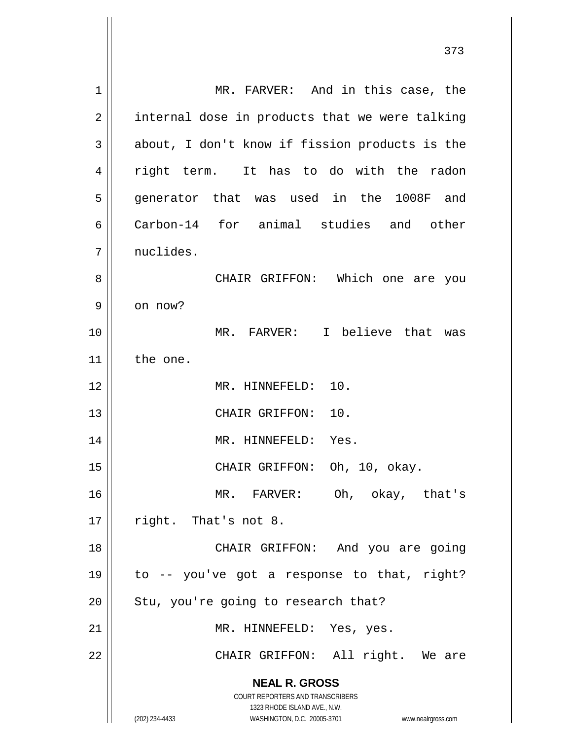**NEAL R. GROSS** COURT REPORTERS AND TRANSCRIBERS 1323 RHODE ISLAND AVE., N.W. (202) 234-4433 WASHINGTON, D.C. 20005-3701 www.nealrgross.com 1 || MR. FARVER: And in this case, the  $2 \parallel$  internal dose in products that we were talking  $3 \parallel$  about, I don't know if fission products is the 4 fight term. It has to do with the radon 5 generator that was used in the 1008F and 6 Carbon-14 for animal studies and other 7 | nuclides. 8 CHAIR GRIFFON: Which one are you  $9 \parallel$  on now? 10 MR. FARVER: I believe that was 11 | the one. 12 MR. HINNEFELD: 10. 13 || CHAIR GRIFFON: 10. 14 || MR. HINNEFELD: Yes. 15 CHAIR GRIFFON: Oh, 10, okay. 16 MR. FARVER: Oh, okay, that's  $17$  | right. That's not 8. 18 || CHAIR GRIFFON: And you are going 19  $\parallel$  to -- you've got a response to that, right?  $20$  | Stu, you're going to research that? 21 || MR. HINNEFELD: Yes, yes. 22 || CHAIR GRIFFON: All right. We are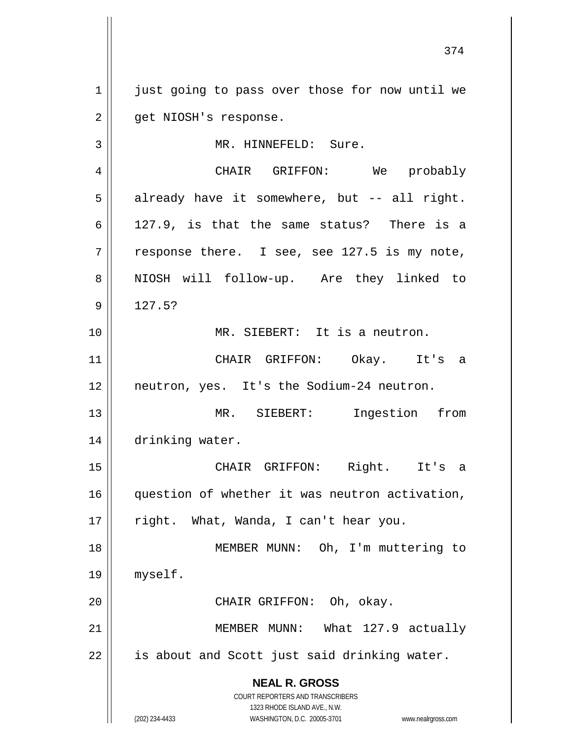**NEAL R. GROSS** COURT REPORTERS AND TRANSCRIBERS 1323 RHODE ISLAND AVE., N.W. (202) 234-4433 WASHINGTON, D.C. 20005-3701 www.nealrgross.com 1 just going to pass over those for now until we 2 | get NIOSH's response. 3 | MR. HINNEFELD: Sure. 4 CHAIR GRIFFON: We probably  $5 \parallel$  already have it somewhere, but -- all right. 6  $\vert$  127.9, is that the same status? There is a  $7 \parallel$  response there. I see, see 127.5 is my note, 8 || NIOSH will follow-up. Are they linked to  $9 \parallel 127.5?$ 10 MR. SIEBERT: It is a neutron. 11 CHAIR GRIFFON: Okay. It's a 12 neutron, yes. It's the Sodium-24 neutron. 13 MR. SIEBERT: Ingestion from 14 | drinking water. 15 CHAIR GRIFFON: Right. It's a 16 question of whether it was neutron activation, 17 || right. What, Wanda, I can't hear you. 18 MEMBER MUNN: Oh, I'm muttering to 19 myself. 20 || CHAIR GRIFFON: Oh, okay. 21 || MEMBER MUNN: What 127.9 actually  $22$  | is about and Scott just said drinking water.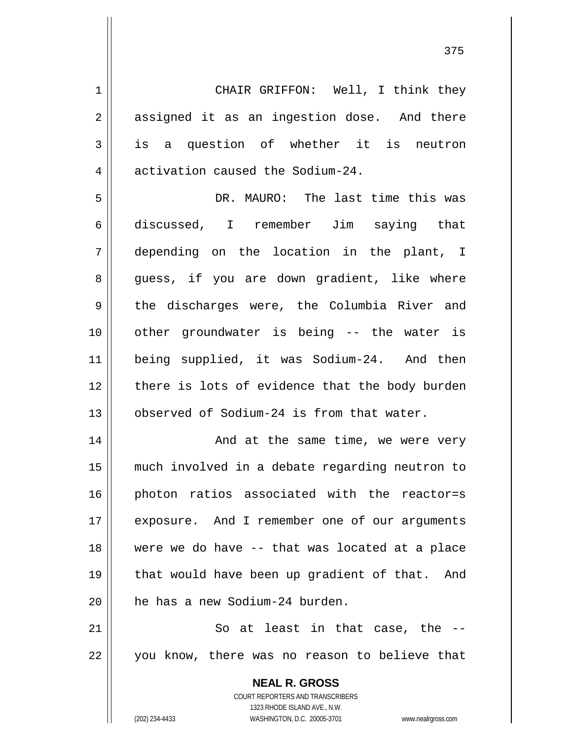1 CHAIR GRIFFON: Well, I think they 2 assigned it as an ingestion dose. And there  $3 \parallel$  is a question of whether it is neutron 4 | activation caused the Sodium-24.

 DR. MAURO: The last time this was discussed, I remember Jim saying that depending on the location in the plant, I 8 || guess, if you are down gradient, like where 9 the discharges were, the Columbia River and other groundwater is being -- the water is being supplied, it was Sodium-24. And then | there is lots of evidence that the body burden 13 | observed of Sodium-24 is from that water.

14 || And at the same time, we were very 15 much involved in a debate regarding neutron to 16 || photon ratios associated with the reactor=s 17 || exposure. And I remember one of our arguments 18 || were we do have -- that was located at a place 19 || that would have been up gradient of that. And  $20$  | he has a new Sodium-24 burden.

 $21$   $\parallel$  So at least in that case, the  $-$ 22 || you know, there was no reason to believe that

> **NEAL R. GROSS** COURT REPORTERS AND TRANSCRIBERS 1323 RHODE ISLAND AVE., N.W. (202) 234-4433 WASHINGTON, D.C. 20005-3701 www.nealrgross.com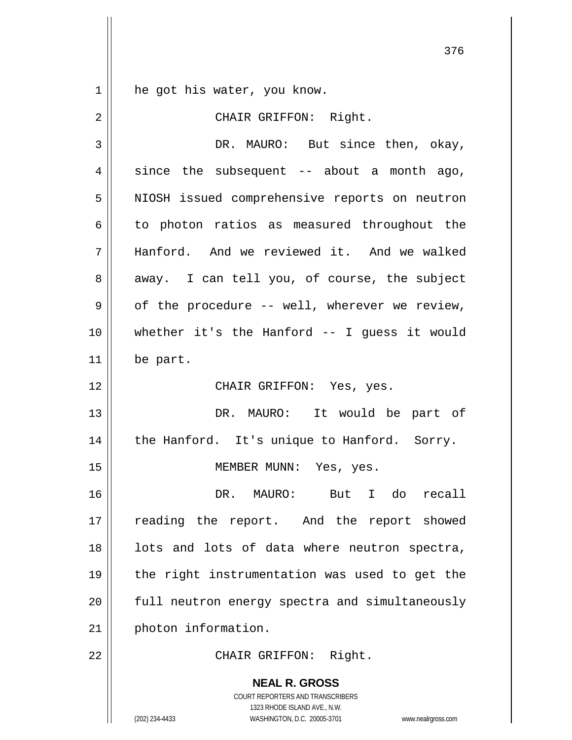**NEAL R. GROSS** 1 || he got his water, you know. 2 || CHAIR GRIFFON: Right. 3 DR. MAURO: But since then, okay,  $4 \parallel$  since the subsequent -- about a month ago, 5 | NIOSH issued comprehensive reports on neutron  $6 \parallel$  to photon ratios as measured throughout the 7 Hanford. And we reviewed it. And we walked  $8 \parallel$  away. I can tell you, of course, the subject  $9 \parallel$  of the procedure -- well, wherever we review, 10 whether it's the Hanford -- I guess it would  $11$  be part. 12 CHAIR GRIFFON: Yes, yes. 13 || DR. MAURO: It would be part of 14 || the Hanford. It's unique to Hanford. Sorry. 15 || MEMBER MUNN: Yes, yes. 16 DR. MAURO: But I do recall 17 || reading the report. And the report showed  $18$  || lots and lots of data where neutron spectra, 19 the right instrumentation was used to get the 20 || full neutron energy spectra and simultaneously 21 | photon information. 22 || CHAIR GRIFFON: Right.

> COURT REPORTERS AND TRANSCRIBERS 1323 RHODE ISLAND AVE., N.W.

(202) 234-4433 WASHINGTON, D.C. 20005-3701 www.nealrgross.com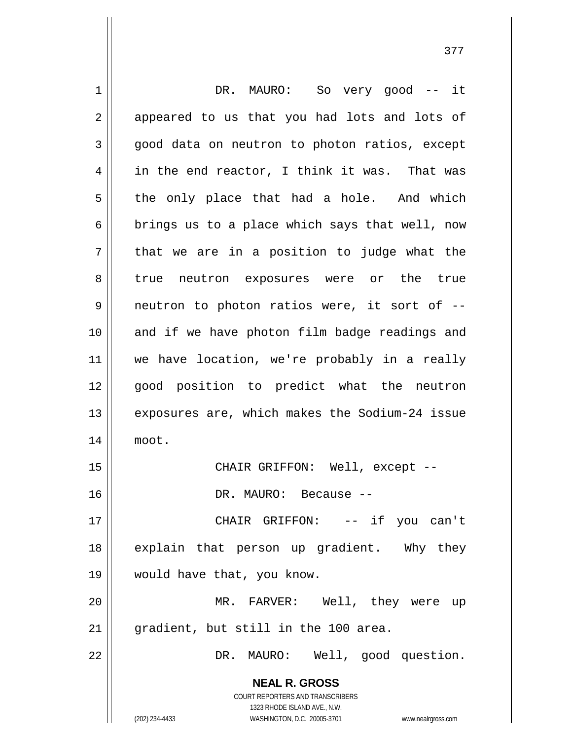| $\mathbf 1$ | DR. MAURO: So very good -- it                                       |
|-------------|---------------------------------------------------------------------|
| 2           | appeared to us that you had lots and lots of                        |
| 3           | good data on neutron to photon ratios, except                       |
| 4           | in the end reactor, I think it was. That was                        |
| 5           | the only place that had a hole. And which                           |
| 6           | brings us to a place which says that well, now                      |
| 7           | that we are in a position to judge what the                         |
| 8           | true neutron exposures were or the true                             |
| 9           | neutron to photon ratios were, it sort of --                        |
| 10          | and if we have photon film badge readings and                       |
| 11          | we have location, we're probably in a really                        |
| 12          | good position to predict what the neutron                           |
| 13          | exposures are, which makes the Sodium-24 issue                      |
| 14          | moot.                                                               |
| 15          | CHAIR GRIFFON: Well, except --                                      |
| 16          | DR. MAURO: Because                                                  |
| 17          | CHAIR GRIFFON: -- if you can't                                      |
| 18          | explain that person up gradient. Why they                           |
| 19          | would have that, you know.                                          |
| 20          | MR. FARVER: Well, they were up                                      |
| 21          | gradient, but still in the 100 area.                                |
| 22          | DR. MAURO: Well, good question.                                     |
|             | <b>NEAL R. GROSS</b>                                                |
|             | COURT REPORTERS AND TRANSCRIBERS                                    |
|             | 1323 RHODE ISLAND AVE., N.W.                                        |
|             | (202) 234-4433<br>WASHINGTON, D.C. 20005-3701<br>www.nealrgross.com |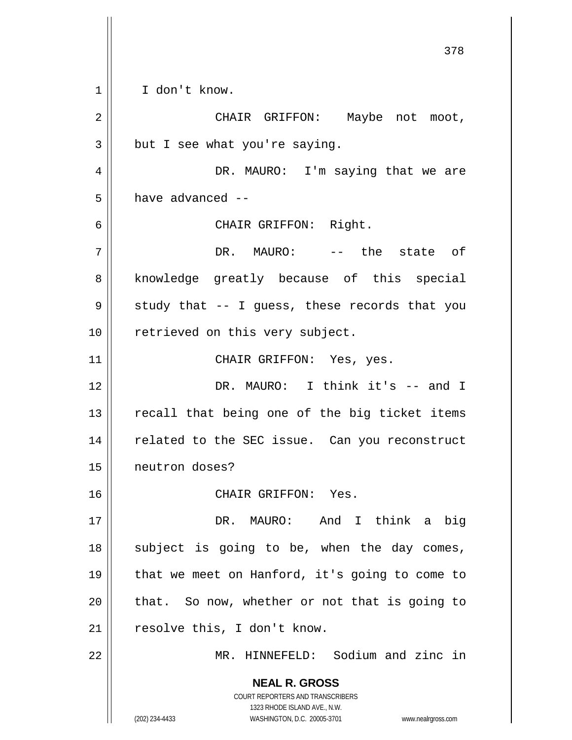**NEAL R. GROSS** COURT REPORTERS AND TRANSCRIBERS 1323 RHODE ISLAND AVE., N.W. (202) 234-4433 WASHINGTON, D.C. 20005-3701 www.nealrgross.com 378 1 I don't know. 2 || CHAIR GRIFFON: Maybe not moot,  $3 \parallel$  but I see what you're saying. 4 DR. MAURO: I'm saying that we are  $5 \parallel$  have advanced --6 CHAIR GRIFFON: Right. 7 DR. MAURO: -- the state of 8 || knowledge greatly because of this special  $9 \parallel$  study that -- I guess, these records that you 10 || retrieved on this very subject. 11 || CHAIR GRIFFON: Yes, yes. 12 DR. MAURO: I think it's -- and I  $13$  recall that being one of the big ticket items 14 || related to the SEC issue. Can you reconstruct 15 neutron doses? 16 CHAIR GRIFFON: Yes. 17 DR. MAURO: And I think a big  $18$  subject is going to be, when the day comes, 19 || that we meet on Hanford, it's going to come to  $20$  || that. So now, whether or not that is going to 21 || resolve this, I don't know. 22 MR. HINNEFELD: Sodium and zinc in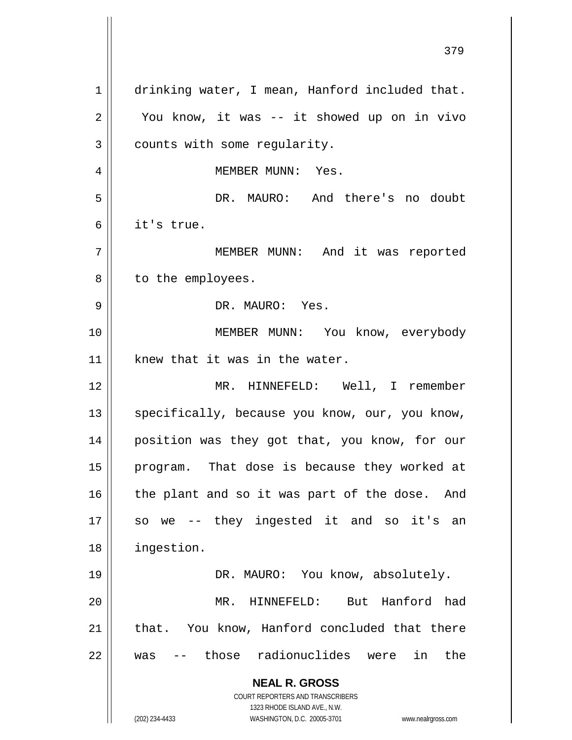**NEAL R. GROSS** COURT REPORTERS AND TRANSCRIBERS 1323 RHODE ISLAND AVE., N.W. (202) 234-4433 WASHINGTON, D.C. 20005-3701 www.nealrgross.com 1 drinking water, I mean, Hanford included that. 2 || You know, it was -- it showed up on in vivo  $3$  | counts with some reqularity. 4 MEMBER MUNN: Yes. 5 DR. MAURO: And there's no doubt 6 it's true. 7 || MEMBER MUNN: And it was reported 8 || to the employees. 9 DR. MAURO: Yes. 10 || MEMBER MUNN: You know, everybody  $11$  knew that it was in the water. 12 || MR. HINNEFELD: Well, I remember 13 || specifically, because you know, our, you know, 14 || position was they got that, you know, for our 15 || program. That dose is because they worked at  $16$  the plant and so it was part of the dose. And 17 so we -- they ingested it and so it's an 18 ingestion. 19 DR. MAURO: You know, absolutely. 20 MR. HINNEFELD: But Hanford had 21 || that. You know, Hanford concluded that there 22 was -- those radionuclides were in the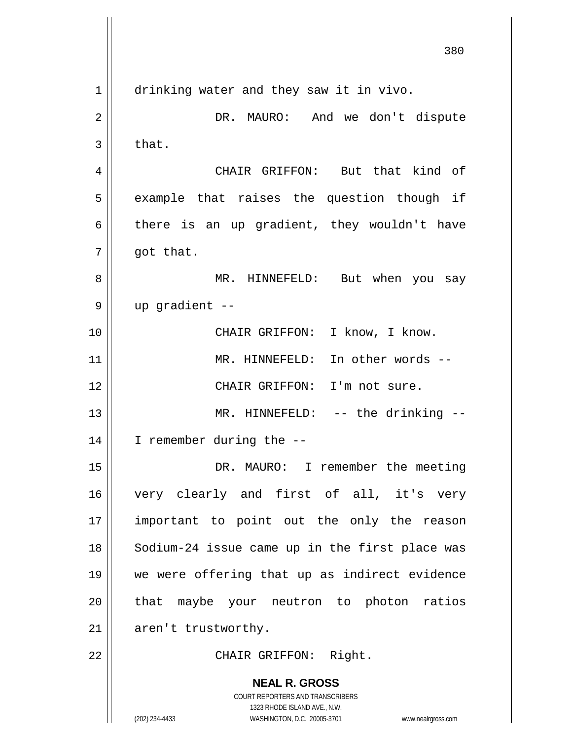**NEAL R. GROSS** COURT REPORTERS AND TRANSCRIBERS 1323 RHODE ISLAND AVE., N.W. (202) 234-4433 WASHINGTON, D.C. 20005-3701 www.nealrgross.com 380 1 drinking water and they saw it in vivo. 2 DR. MAURO: And we don't dispute  $3 \parallel$  that. 4 CHAIR GRIFFON: But that kind of  $5$  example that raises the question though if 6 there is an up gradient, they wouldn't have  $7 \parallel$  got that. 8 MR. HINNEFELD: But when you say  $9 \parallel$  up gradient --10 || CHAIR GRIFFON: I know, I know. 11 MR. HINNEFELD: In other words -- 12 CHAIR GRIFFON: I'm not sure. 13 || MR. HINNEFELD: -- the drinking --14 I remember during the -- 15 || DR. MAURO: I remember the meeting 16 very clearly and first of all, it's very 17 important to point out the only the reason 18 || Sodium-24 issue came up in the first place was 19 we were offering that up as indirect evidence 20 || that maybe your neutron to photon ratios  $21$  | aren't trustworthy. 22 || CHAIR GRIFFON: Right.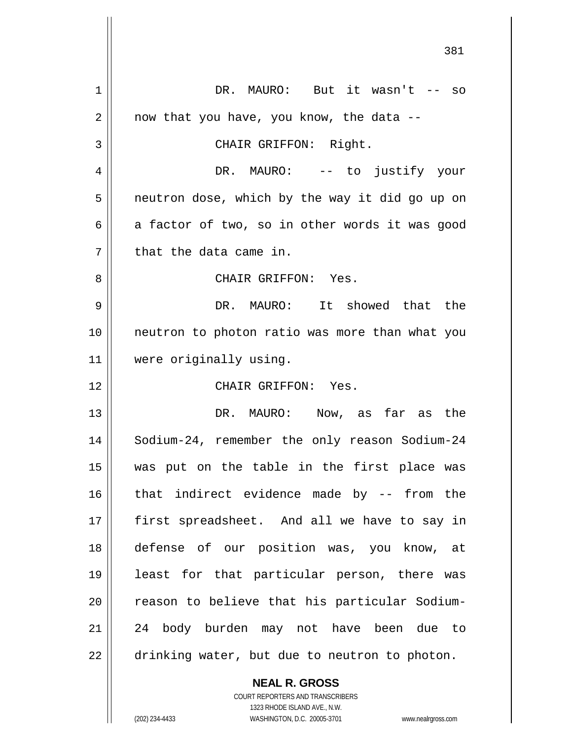**NEAL R. GROSS** DR. MAURO: But it wasn't -- so  $2 \parallel$  now that you have, you know, the data --3 || CHAIR GRIFFON: Right. DR. MAURO: -- to justify your  $5 \parallel$  neutron dose, which by the way it did go up on  $6 \parallel$  a factor of two, so in other words it was good || that the data came in. CHAIR GRIFFON: Yes. DR. MAURO: It showed that the neutron to photon ratio was more than what you were originally using. CHAIR GRIFFON: Yes. DR. MAURO: Now, as far as the 14 | Sodium-24, remember the only reason Sodium-24 was put on the table in the first place was that indirect evidence made by -- from the 17 || first spreadsheet. And all we have to say in defense of our position was, you know, at least for that particular person, there was 20 || reason to believe that his particular Sodium- 24 body burden may not have been due to 22 | drinking water, but due to neutron to photon.

> COURT REPORTERS AND TRANSCRIBERS 1323 RHODE ISLAND AVE., N.W. (202) 234-4433 WASHINGTON, D.C. 20005-3701 www.nealrgross.com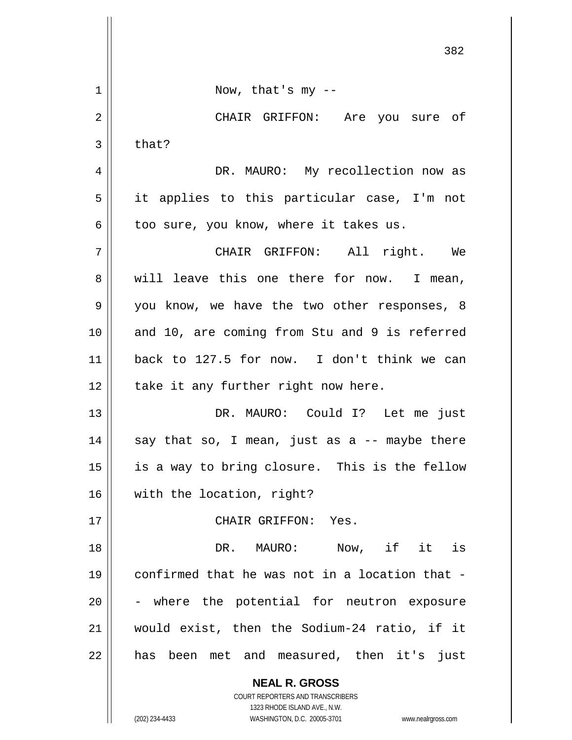|    | 382                                                                           |
|----|-------------------------------------------------------------------------------|
| 1  | Now, that's $my - -$                                                          |
| 2  | CHAIR GRIFFON: Are you sure of                                                |
| 3  | that?                                                                         |
| 4  | DR. MAURO: My recollection now as                                             |
| 5  | it applies to this particular case, I'm not                                   |
| 6  | too sure, you know, where it takes us.                                        |
| 7  | CHAIR GRIFFON: All right. We                                                  |
| 8  | will leave this one there for now. I mean,                                    |
| 9  | you know, we have the two other responses, 8                                  |
| 10 | and 10, are coming from Stu and 9 is referred                                 |
| 11 | back to 127.5 for now. I don't think we can                                   |
| 12 | take it any further right now here.                                           |
| 13 | DR. MAURO: Could I? Let me just                                               |
| 14 | say that so, I mean, just as a -- maybe there                                 |
| 15 | is a way to bring closure. This is the fellow                                 |
| 16 | with the location, right?                                                     |
| 17 | CHAIR GRIFFON: Yes.                                                           |
| 18 | Now, if it is<br>DR. MAURO:                                                   |
| 19 | confirmed that he was not in a location that -                                |
| 20 | - where the potential for neutron exposure                                    |
| 21 | would exist, then the Sodium-24 ratio, if it                                  |
| 22 | has been met and measured, then it's just                                     |
|    | <b>NEAL R. GROSS</b><br><b>COURT REPORTERS AND TRANSCRIBERS</b>               |
|    | 1323 RHODE ISLAND AVE., N.W.<br>(202) 234-4433<br>WASHINGTON, D.C. 20005-3701 |
|    | www.nealrgross.com                                                            |

 $\overline{\phantom{a}}$ 

 $\mathbb{I}$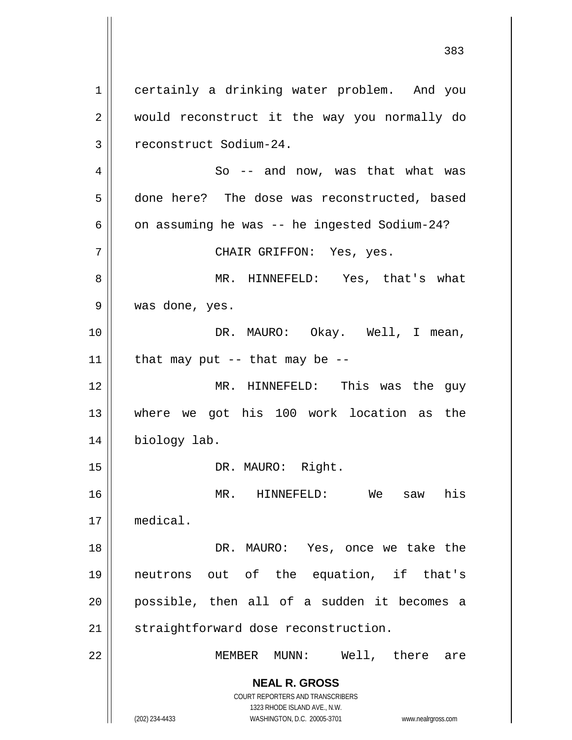**NEAL R. GROSS** COURT REPORTERS AND TRANSCRIBERS 1323 RHODE ISLAND AVE., N.W. (202) 234-4433 WASHINGTON, D.C. 20005-3701 www.nealrgross.com 1 certainly a drinking water problem. And you 2 || would reconstruct it the way you normally do 3 | reconstruct Sodium-24.  $4 \parallel$  So -- and now, was that what was 5 done here? The dose was reconstructed, based  $6 \parallel$  on assuming he was -- he ingested Sodium-24? 7 CHAIR GRIFFON: Yes, yes. 8 MR. HINNEFELD: Yes, that's what 9 was done, yes. 10 DR. MAURO: Okay. Well, I mean,  $11$  | that may put -- that may be --12 || MR. HINNEFELD: This was the guy 13 where we got his 100 work location as the 14 | biology lab. 15 || DR. MAURO: Right. 16 MR. HINNEFELD: We saw his 17 medical. 18 DR. MAURO: Yes, once we take the 19 neutrons out of the equation, if that's 20 possible, then all of a sudden it becomes a 21 | straightforward dose reconstruction. 22 MEMBER MUNN: Well, there are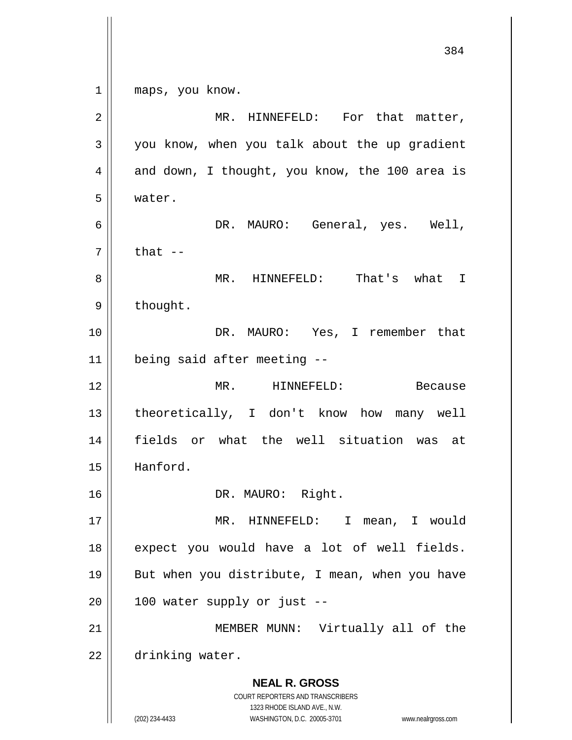**NEAL R. GROSS** COURT REPORTERS AND TRANSCRIBERS 1323 RHODE ISLAND AVE., N.W. (202) 234-4433 WASHINGTON, D.C. 20005-3701 www.nealrgross.com 384 1 || maps, you know. 2 | MR. HINNEFELD: For that matter,  $3 \parallel$  you know, when you talk about the up gradient  $4 \parallel$  and down, I thought, you know, the 100 area is 5 water. 6 DR. MAURO: General, yes. Well,  $7 \parallel$  that  $-$ 8 MR. HINNEFELD: That's what I  $9 \parallel$  thought. 10 DR. MAURO: Yes, I remember that 11 being said after meeting -- 12 MR. HINNEFELD: Because 13 || theoretically, I don't know how many well 14 fields or what the well situation was at 15 Hanford. 16 || DR. MAURO: Right. 17 MR. HINNEFELD: I mean, I would  $18$  expect you would have a lot of well fields. 19 || But when you distribute, I mean, when you have  $20$  | 100 water supply or just --21 || MEMBER MUNN: Virtually all of the 22 | drinking water.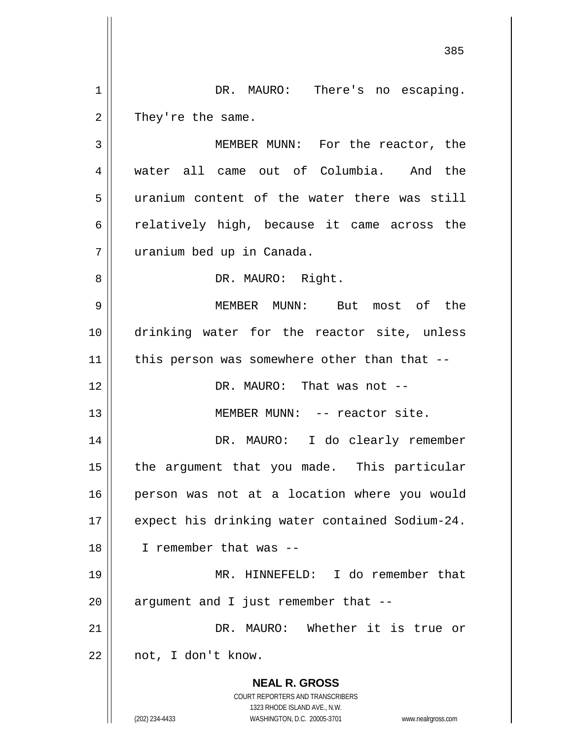1 || DR. MAURO: There's no escaping.  $2 \parallel$  They're the same.

 MEMBER MUNN: For the reactor, the water all came out of Columbia. And the uranium content of the water there was still  $6 \parallel$  relatively high, because it came across the uranium bed up in Canada.

8 || DR. MAURO: Right.

9 MEMBER MUNN: But most of the 10 drinking water for the reactor site, unless  $11$  | this person was somewhere other than that --

12 DR. MAURO: That was not --

13 MEMBER MUNN: -- reactor site.

14 DR. MAURO: I do clearly remember 15 || the argument that you made. This particular 16 person was not at a location where you would 17 || expect his drinking water contained Sodium-24. 18 I remember that was --

19 MR. HINNEFELD: I do remember that  $20$  || argument and I just remember that  $-$ 

21 || DR. MAURO: Whether it is true or  $22$  || not, I don't know.

> **NEAL R. GROSS** COURT REPORTERS AND TRANSCRIBERS 1323 RHODE ISLAND AVE., N.W.

(202) 234-4433 WASHINGTON, D.C. 20005-3701 www.nealrgross.com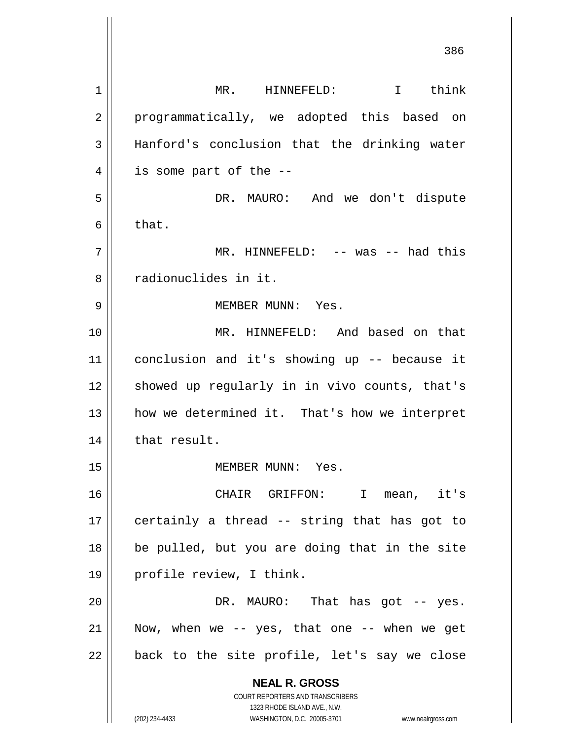**NEAL R. GROSS** COURT REPORTERS AND TRANSCRIBERS 1323 RHODE ISLAND AVE., N.W. (202) 234-4433 WASHINGTON, D.C. 20005-3701 www.nealrgross.com 386 1 | MR. HINNEFELD: I think 2 || programmatically, we adopted this based on 3 || Hanford's conclusion that the drinking water  $4 \parallel$  is some part of the  $-$ 5 DR. MAURO: And we don't dispute  $6 \parallel$  that. 7 MR. HINNEFELD: -- was -- had this 8 | Tradionuclides in it. 9 MEMBER MUNN: Yes. 10 MR. HINNEFELD: And based on that 11 conclusion and it's showing up -- because it 12 || showed up regularly in in vivo counts, that's 13 || how we determined it. That's how we interpret  $14$  | that result. 15 || MEMBER MUNN: Yes. 16 CHAIR GRIFFON: I mean, it's 17  $\parallel$  certainly a thread -- string that has got to 18 be pulled, but you are doing that in the site 19 profile review, I think. 20 DR. MAURO: That has got -- yes. 21 Now, when we -- yes, that one -- when we get  $22$  || back to the site profile, let's say we close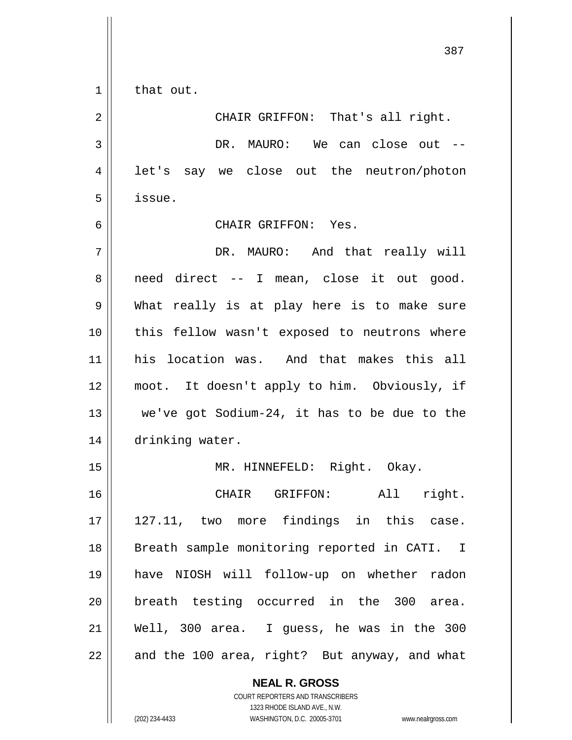$1 \parallel$  that out.

**NEAL R. GROSS** 2 || CHAIR GRIFFON: That's all right. 3 DR. MAURO: We can close out -- 4 || let's say we close out the neutron/photon  $5 \parallel$  issue. 6 CHAIR GRIFFON: Yes. 7 DR. MAURO: And that really will 8 || need direct -- I mean, close it out good. 9 What really is at play here is to make sure 10 || this fellow wasn't exposed to neutrons where 11 his location was. And that makes this all 12 moot. It doesn't apply to him. Obviously, if 13  $\parallel$  we've got Sodium-24, it has to be due to the 14 | drinking water. 15 || MR. HINNEFELD: Right. Okay. 16 CHAIR GRIFFON: All right. 17 || 127.11, two more findings in this case. 18 || Breath sample monitoring reported in CATI. I 19 have NIOSH will follow-up on whether radon 20 breath testing occurred in the 300 area. 21 Well, 300 area. I guess, he was in the 300 22  $\parallel$  and the 100 area, right? But anyway, and what

COURT REPORTERS AND TRANSCRIBERS 1323 RHODE ISLAND AVE., N.W. (202) 234-4433 WASHINGTON, D.C. 20005-3701 www.nealrgross.com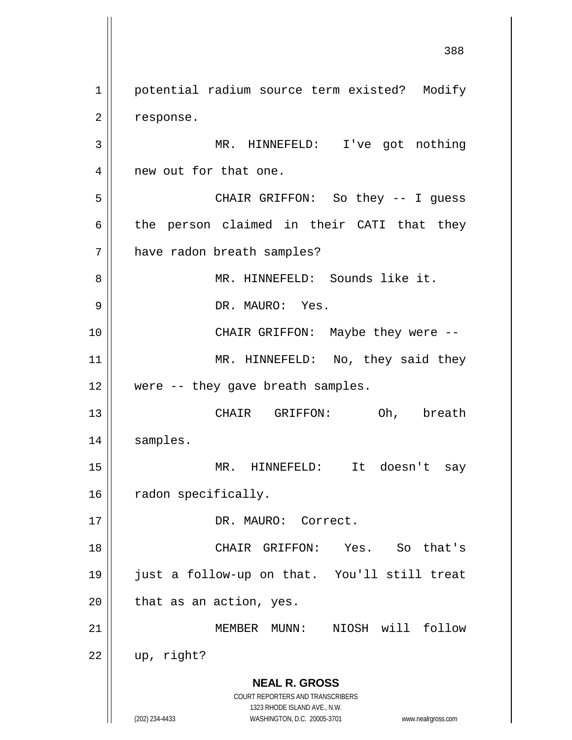**NEAL R. GROSS** COURT REPORTERS AND TRANSCRIBERS 1323 RHODE ISLAND AVE., N.W. (202) 234-4433 WASHINGTON, D.C. 20005-3701 www.nealrgross.com 1 | potential radium source term existed? Modify  $2 \parallel$  response. 3 || MR. HINNEFELD: I've got nothing 4 || new out for that one. 5 CHAIR GRIFFON: So they -- I guess  $6 \parallel$  the person claimed in their CATI that they 7 | have radon breath samples? 8 MR. HINNEFELD: Sounds like it. 9 || DR. MAURO: Yes. 10 CHAIR GRIFFON: Maybe they were -- 11 || MR. HINNEFELD: No, they said they 12 || were -- they gave breath samples. 13 CHAIR GRIFFON: Oh, breath 14 samples. 15 MR. HINNEFELD: It doesn't say 16 | radon specifically. 17 || DR. MAURO: Correct. 18 CHAIR GRIFFON: Yes. So that's 19 just a follow-up on that. You'll still treat  $20$  | that as an action, yes. 21 MEMBER MUNN: NIOSH will follow  $22$  | up, right?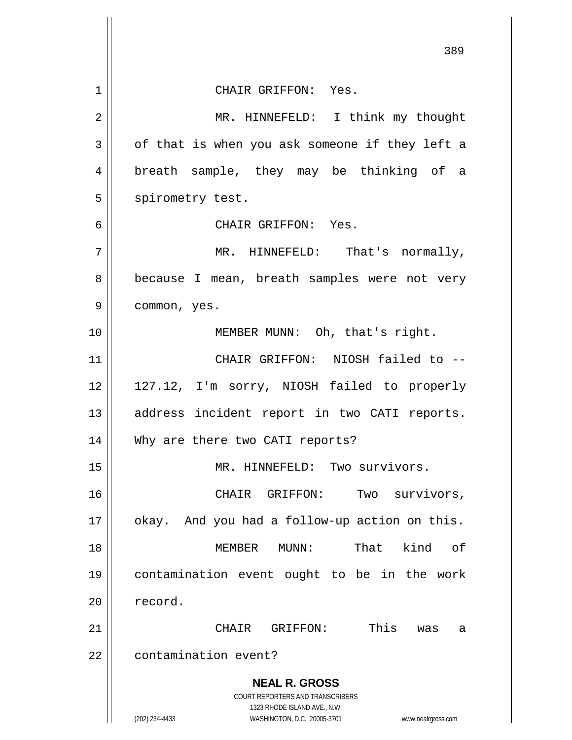|                | 389                                                                 |
|----------------|---------------------------------------------------------------------|
| 1              | CHAIR GRIFFON: Yes.                                                 |
| 2              | MR. HINNEFELD: I think my thought                                   |
| 3              | of that is when you ask someone if they left a                      |
| $\overline{4}$ | breath sample, they may be thinking of a                            |
| 5              | spirometry test.                                                    |
| 6              | CHAIR GRIFFON: Yes.                                                 |
| 7              | MR. HINNEFELD: That's normally,                                     |
| 8              | because I mean, breath samples were not very                        |
| 9              | common, yes.                                                        |
| 10             | MEMBER MUNN: Oh, that's right.                                      |
| 11             | CHAIR GRIFFON: NIOSH failed to --                                   |
| 12             | 127.12, I'm sorry, NIOSH failed to properly                         |
| 13             | address incident report in two CATI reports.                        |
| 14             | Why are there two CATI reports?                                     |
| 15             | MR. HINNEFELD: Two survivors.                                       |
| 16             | Two survivors,<br>CHAIR GRIFFON:                                    |
| 17             | okay. And you had a follow-up action on this.                       |
| 18             | kind<br>MEMBER MUNN:<br>That<br>оf                                  |
| 19             | contamination event ought to be in the work                         |
| 20             | record.                                                             |
| 21             | This<br>CHAIR<br>GRIFFON:<br>was<br>a                               |
| 22             | contamination event?                                                |
|                | <b>NEAL R. GROSS</b>                                                |
|                | COURT REPORTERS AND TRANSCRIBERS<br>1323 RHODE ISLAND AVE., N.W.    |
|                | (202) 234-4433<br>WASHINGTON, D.C. 20005-3701<br>www.nealrgross.com |

 $\mathbb{I}$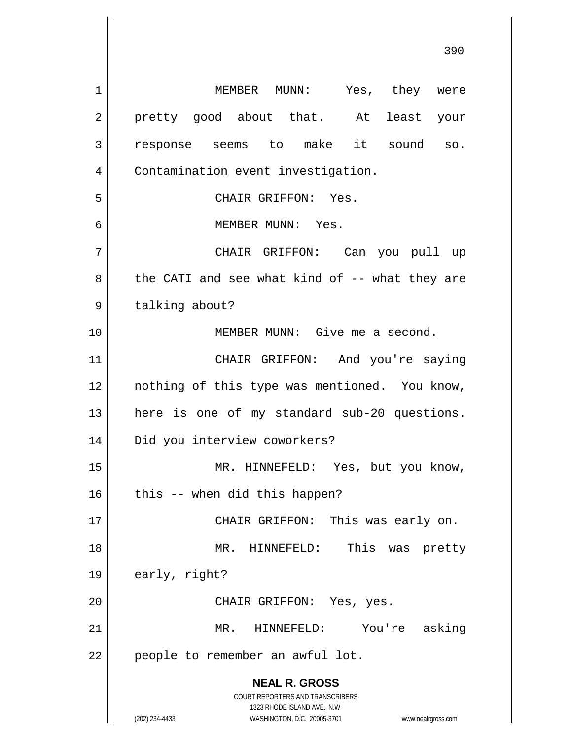**NEAL R. GROSS** COURT REPORTERS AND TRANSCRIBERS 1323 RHODE ISLAND AVE., N.W. (202) 234-4433 WASHINGTON, D.C. 20005-3701 www.nealrgross.com 390 1 MEMBER MUNN: Yes, they were 2 || pretty good about that. At least your 3 response seems to make it sound so. 4 | Contamination event investigation. 5 CHAIR GRIFFON: Yes. 6 MEMBER MUNN: Yes. 7 CHAIR GRIFFON: Can you pull up  $8 \parallel$  the CATI and see what kind of -- what they are 9 | talking about? 10 MEMBER MUNN: Give me a second. 11 || CHAIR GRIFFON: And you're saying 12 || nothing of this type was mentioned. You know, 13 || here is one of my standard sub-20 questions. 14 || Did you interview coworkers? 15 || MR. HINNEFELD: Yes, but you know,  $16$  | this -- when did this happen? 17 || CHAIR GRIFFON: This was early on. 18 MR. HINNEFELD: This was pretty  $19 \parallel$  early, right? 20 || CHAIR GRIFFON: Yes, yes. 21 MR. HINNEFELD: You're asking 22 || people to remember an awful lot.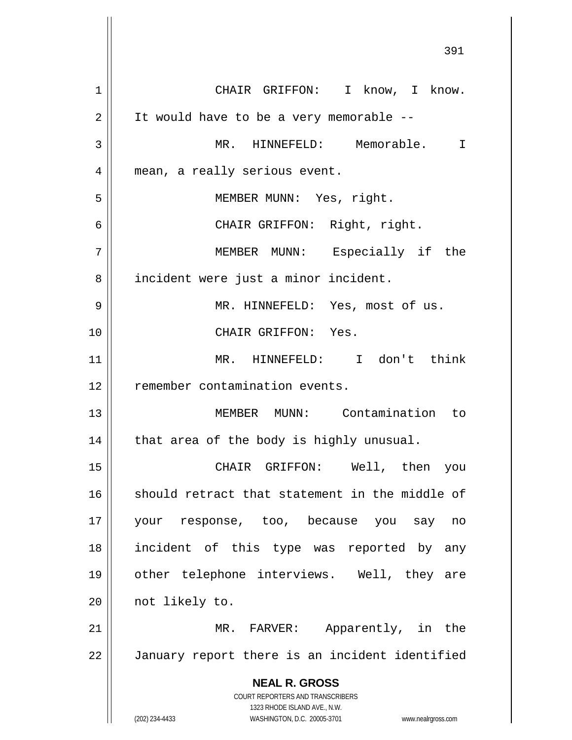**NEAL R. GROSS** COURT REPORTERS AND TRANSCRIBERS 1323 RHODE ISLAND AVE., N.W. (202) 234-4433 WASHINGTON, D.C. 20005-3701 www.nealrgross.com 1 CHAIR GRIFFON: I know, I know.  $2 \parallel$  It would have to be a very memorable --3 MR. HINNEFELD: Memorable. I 4 || mean, a really serious event. 5 MEMBER MUNN: Yes, right. 6 CHAIR GRIFFON: Right, right. 7 MEMBER MUNN: Especially if the 8 | incident were just a minor incident. 9 MR. HINNEFELD: Yes, most of us. 10 CHAIR GRIFFON: Yes. 11 MR. HINNEFELD: I don't think 12 | remember contamination events. 13 MEMBER MUNN: Contamination to  $14$  | that area of the body is highly unusual. 15 CHAIR GRIFFON: Well, then you 16 || should retract that statement in the middle of 17 your response, too, because you say no 18 incident of this type was reported by any 19 other telephone interviews. Well, they are 20 | not likely to. 21 || MR. FARVER: Apparently, in the 22 January report there is an incident identified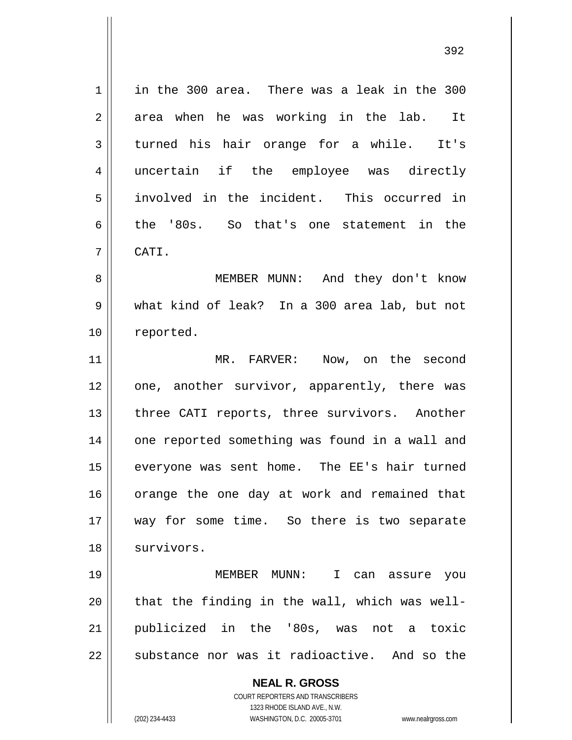1 || in the 300 area. There was a leak in the 300  $2 \parallel$  area when he was working in the lab. It 3 turned his hair orange for a while. It's 4 uncertain if the employee was directly 5 involved in the incident. This occurred in 6 the '80s. So that's one statement in the 7 CATI.

8 MEMBER MUNN: And they don't know 9 what kind of leak? In a 300 area lab, but not 10 | reported.

11 MR. FARVER: Now, on the second 12 || one, another survivor, apparently, there was 13 || three CATI reports, three survivors. Another 14 || one reported something was found in a wall and 15 || everyone was sent home. The EE's hair turned 16 || orange the one day at work and remained that 17 || way for some time. So there is two separate 18 | survivors.

 MEMBER MUNN: I can assure you || that the finding in the wall, which was well- publicized in the '80s, was not a toxic 22 || substance nor was it radioactive. And so the

**NEAL R. GROSS**

COURT REPORTERS AND TRANSCRIBERS 1323 RHODE ISLAND AVE., N.W. (202) 234-4433 WASHINGTON, D.C. 20005-3701 www.nealrgross.com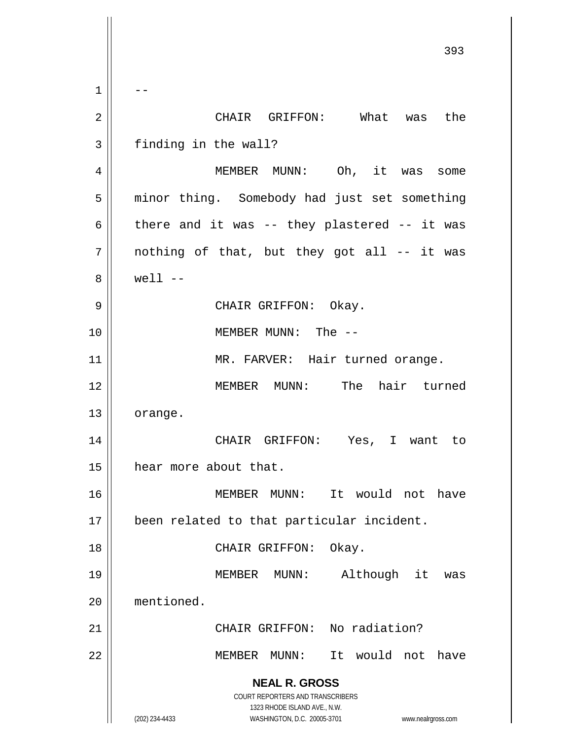**NEAL R. GROSS** COURT REPORTERS AND TRANSCRIBERS 1323 RHODE ISLAND AVE., N.W. (202) 234-4433 WASHINGTON, D.C. 20005-3701 www.nealrgross.com 393  $1 \parallel - -$ 2 CHAIR GRIFFON: What was the 3 | finding in the wall? 4 | MEMBER MUNN: Oh, it was some 5 | minor thing. Somebody had just set something 6  $\parallel$  there and it was -- they plastered -- it was  $7$  | nothing of that, but they got all -- it was  $8 \parallel$  well  $-$ 9 CHAIR GRIFFON: Okay. 10 || MEMBER MUNN: The --11 || MR. FARVER: Hair turned orange. 12 MEMBER MUNN: The hair turned 13 orange. 14 || CHAIR GRIFFON: Yes, I want to 15 | hear more about that. 16 MEMBER MUNN: It would not have 17 been related to that particular incident. 18 || CHAIR GRIFFON: Okay. 19 MEMBER MUNN: Although it was 20 mentioned. 21 || CHAIR GRIFFON: No radiation? 22 MEMBER MUNN: It would not have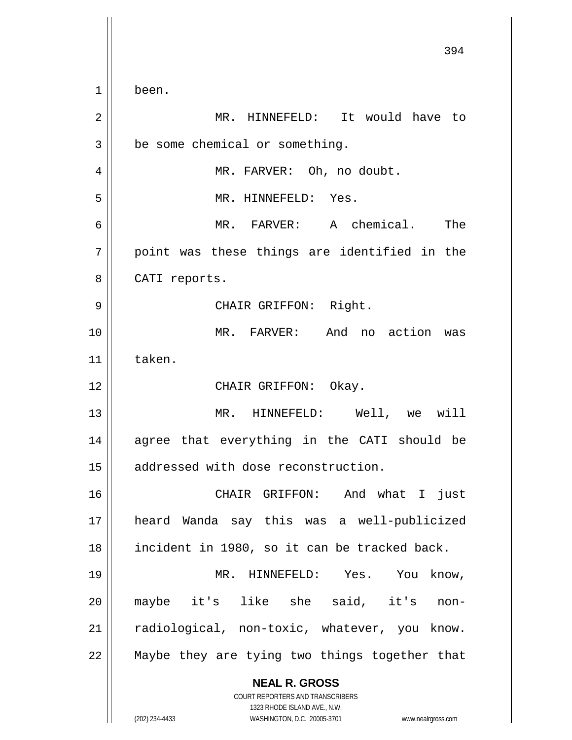|                | 394                                                                                                                                                             |
|----------------|-----------------------------------------------------------------------------------------------------------------------------------------------------------------|
| $\mathbf 1$    | been.                                                                                                                                                           |
| $\overline{2}$ | MR. HINNEFELD: It would have to                                                                                                                                 |
| 3              | be some chemical or something.                                                                                                                                  |
| 4              | MR. FARVER: Oh, no doubt.                                                                                                                                       |
| 5              | MR. HINNEFELD: Yes.                                                                                                                                             |
| 6              | MR. FARVER: A chemical. The                                                                                                                                     |
| 7              | point was these things are identified in the                                                                                                                    |
| 8              | CATI reports.                                                                                                                                                   |
| 9              | CHAIR GRIFFON: Right.                                                                                                                                           |
| 10             | MR. FARVER: And no action was                                                                                                                                   |
| 11             | taken.                                                                                                                                                          |
| 12             | CHAIR GRIFFON: Okay.                                                                                                                                            |
| 13             | MR. HINNEFELD: Well, we will                                                                                                                                    |
| 14             | agree that everything in the CATI should be                                                                                                                     |
| 15             | addressed with dose reconstruction.                                                                                                                             |
| 16             | CHAIR GRIFFON: And what I<br>just                                                                                                                               |
| 17             | heard Wanda say this was a well-publicized                                                                                                                      |
| 18             | incident in 1980, so it can be tracked back.                                                                                                                    |
| 19             | MR. HINNEFELD: Yes. You<br>know,                                                                                                                                |
| 20             | maybe it's like she said, it's<br>non-                                                                                                                          |
| 21             | radiological, non-toxic, whatever, you know.                                                                                                                    |
| 22             | Maybe they are tying two things together that                                                                                                                   |
|                | <b>NEAL R. GROSS</b><br>COURT REPORTERS AND TRANSCRIBERS<br>1323 RHODE ISLAND AVE., N.W.<br>(202) 234-4433<br>WASHINGTON, D.C. 20005-3701<br>www.nealrgross.com |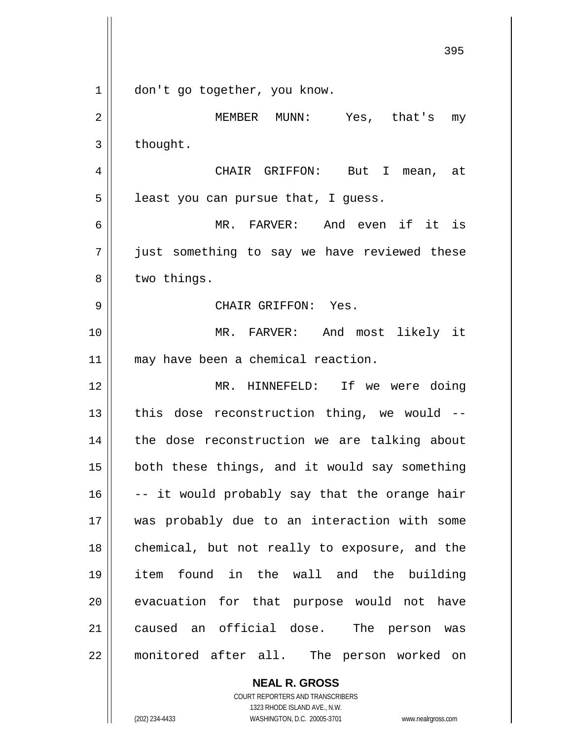|    | 395                                           |
|----|-----------------------------------------------|
| 1  | don't go together, you know.                  |
| 2  | MEMBER MUNN: Yes, that's<br>my                |
| 3  | thought.                                      |
| 4  | CHAIR GRIFFON: But I mean, at                 |
| 5  | least you can pursue that, I guess.           |
| 6  | MR. FARVER: And even if<br>it is              |
| 7  | just something to say we have reviewed these  |
| 8  | two things.                                   |
| 9  | CHAIR GRIFFON: Yes.                           |
| 10 | MR. FARVER: And most likely it                |
| 11 | may have been a chemical reaction.            |
| 12 | MR. HINNEFELD: If we were doing               |
| 13 | this dose reconstruction thing, we would --   |
| 14 | the dose reconstruction we are talking about  |
| 15 | both these things, and it would say something |
| 16 | -- it would probably say that the orange hair |
| 17 | was probably due to an interaction with some  |
| 18 | chemical, but not really to exposure, and the |
| 19 | item found in the wall and the building       |
| 20 | evacuation for that purpose would not have    |
| 21 | caused an official dose. The person was       |
| 22 | monitored after all. The person worked on     |

COURT REPORTERS AND TRANSCRIBERS 1323 RHODE ISLAND AVE., N.W. (202) 234-4433 WASHINGTON, D.C. 20005-3701 www.nealrgross.com

**NEAL R. GROSS**

 $\mathbf{I}$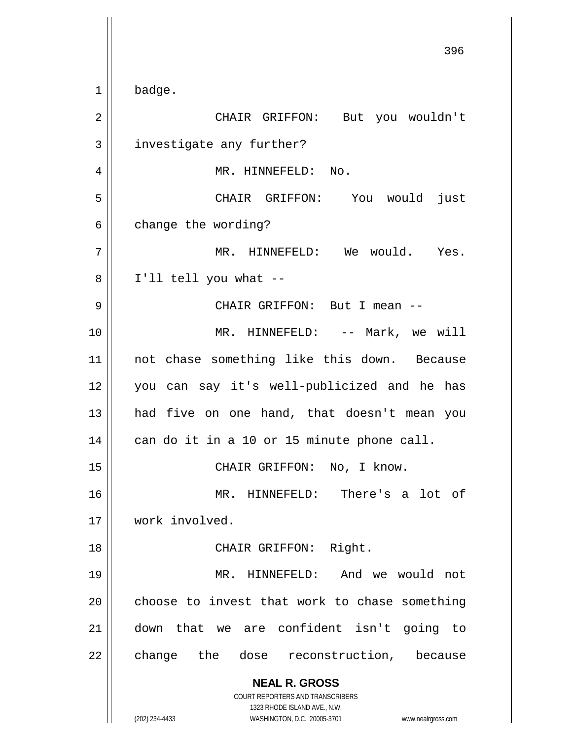**NEAL R. GROSS** COURT REPORTERS AND TRANSCRIBERS 1323 RHODE ISLAND AVE., N.W. (202) 234-4433 WASHINGTON, D.C. 20005-3701 www.nealrgross.com 396  $1 \parallel$  badge. 2 CHAIR GRIFFON: But you wouldn't 3 | investigate any further? 4 MR. HINNEFELD: No. 5 CHAIR GRIFFON: You would just  $6 \parallel$  change the wording? 7 MR. HINNEFELD: We would. Yes.  $8 \parallel$  I'll tell you what --9 CHAIR GRIFFON: But I mean -- 10 MR. HINNEFELD: -- Mark, we will 11 not chase something like this down. Because 12 you can say it's well-publicized and he has 13 || had five on one hand, that doesn't mean you  $14$  can do it in a 10 or 15 minute phone call. 15 || CHAIR GRIFFON: No, I know. 16 MR. HINNEFELD: There's a lot of 17 work involved. 18 || CHAIR GRIFFON: Right. 19 MR. HINNEFELD: And we would not  $20$  choose to invest that work to chase something 21 down that we are confident isn't going to 22 || change the dose reconstruction, because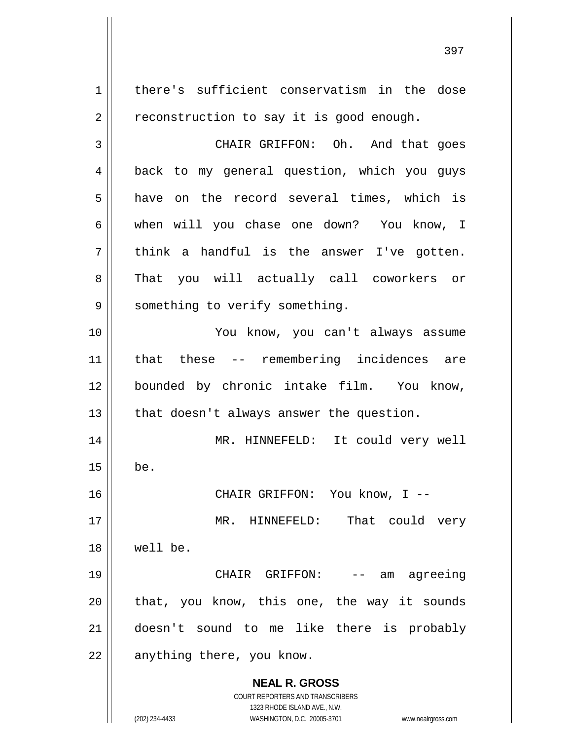**NEAL R. GROSS** COURT REPORTERS AND TRANSCRIBERS 1323 RHODE ISLAND AVE., N.W. (202) 234-4433 WASHINGTON, D.C. 20005-3701 www.nealrgross.com 1 | there's sufficient conservatism in the dose  $2 \parallel$  reconstruction to say it is good enough. 3 CHAIR GRIFFON: Oh. And that goes 4 || back to my general question, which you guys  $5 \parallel$  have on the record several times, which is 6 when will you chase one down? You know, I  $7 \parallel$  think a handful is the answer I've gotten. 8 That you will actually call coworkers or 9 | something to verify something. 10 You know, you can't always assume 11 that these -- remembering incidences are 12 bounded by chronic intake film. You know,  $13$  | that doesn't always answer the question. 14 MR. HINNEFELD: It could very well  $15 \parallel$  be. 16 CHAIR GRIFFON: You know, I -- 17 || MR. HINNEFELD: That could very 18 well be. 19 CHAIR GRIFFON: -- am agreeing  $20$  || that, you know, this one, the way it sounds 21 doesn't sound to me like there is probably  $22$  | anything there, you know.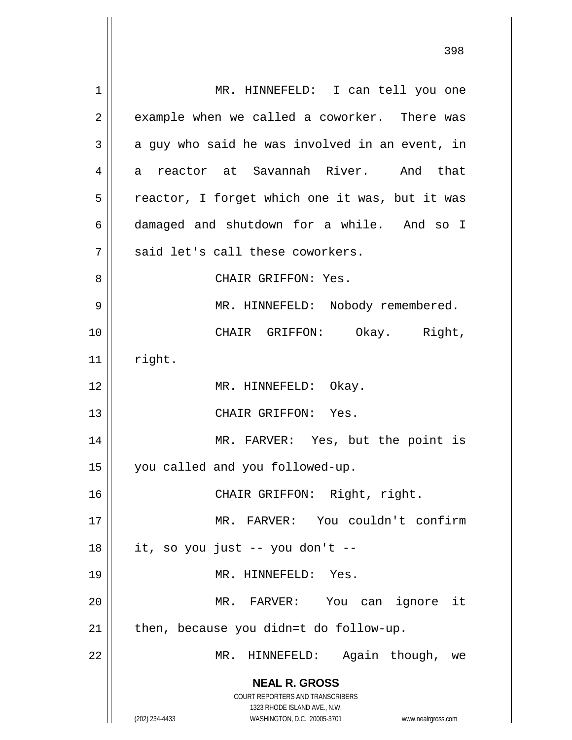**NEAL R. GROSS** COURT REPORTERS AND TRANSCRIBERS 1323 RHODE ISLAND AVE., N.W. (202) 234-4433 WASHINGTON, D.C. 20005-3701 www.nealrgross.com 1 || MR. HINNEFELD: I can tell you one  $2 \parallel$  example when we called a coworker. There was  $3 \parallel$  a guy who said he was involved in an event, in 4 a reactor at Savannah River. And that  $5 \parallel$  reactor, I forget which one it was, but it was 6 damaged and shutdown for a while. And so I  $7||$  said let's call these coworkers. 8 CHAIR GRIFFON: Yes. 9 || MR. HINNEFELD: Nobody remembered. 10 CHAIR GRIFFON: Okay. Right,  $11$  right. 12 || MR. HINNEFELD: Okay. 13 CHAIR GRIFFON: Yes. 14 MR. FARVER: Yes, but the point is 15 | you called and you followed-up. 16 || CHAIR GRIFFON: Right, right. 17 MR. FARVER: You couldn't confirm  $18$  || it, so you just -- you don't --19 MR. HINNEFELD: Yes. 20 MR. FARVER: You can ignore it  $21$  | then, because you didn=t do follow-up. 22 MR. HINNEFELD: Again though, we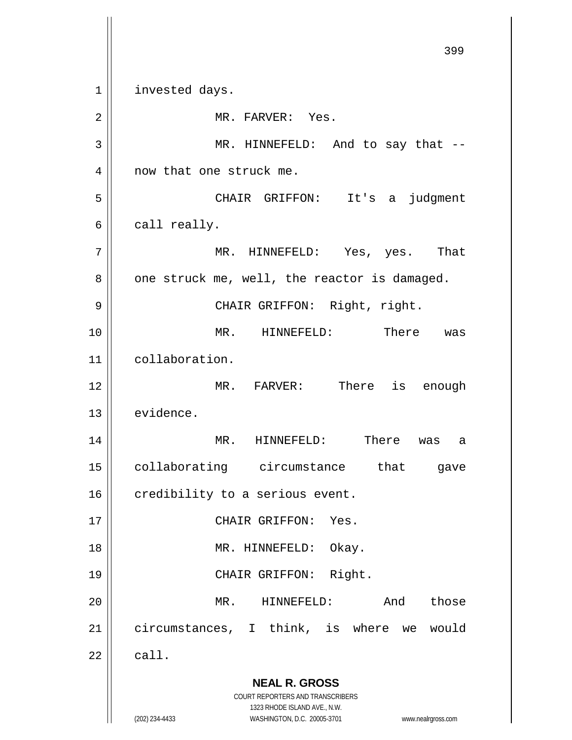**NEAL R. GROSS** COURT REPORTERS AND TRANSCRIBERS 1323 RHODE ISLAND AVE., N.W. (202) 234-4433 WASHINGTON, D.C. 20005-3701 www.nealrgross.com 399 1 || invested days. 2 || MR. FARVER: Yes. 3 || MR. HINNEFELD: And to say that --4 || now that one struck me. 5 CHAIR GRIFFON: It's a judgment  $6 \parallel$  call really. 7 MR. HINNEFELD: Yes, yes. That  $8 \parallel$  one struck me, well, the reactor is damaged. 9 CHAIR GRIFFON: Right, right. 10 MR. HINNEFELD: There was 11 | collaboration. 12 || MR. FARVER: There is enough 13 evidence. 14 MR. HINNEFELD: There was a 15 collaborating circumstance that gave  $16$  credibility to a serious event. 17 || CHAIR GRIFFON: Yes. 18 || MR. HINNEFELD: Okay. 19 || CHAIR GRIFFON: Right. 20 MR. HINNEFELD: And those 21 || circumstances, I think, is where we would  $22 \parallel$  call.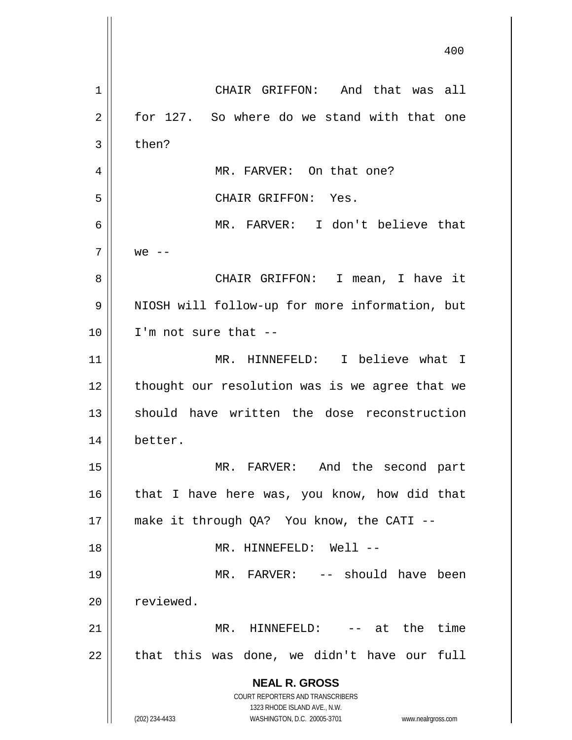**NEAL R. GROSS** COURT REPORTERS AND TRANSCRIBERS 1323 RHODE ISLAND AVE., N.W. (202) 234-4433 WASHINGTON, D.C. 20005-3701 www.nealrgross.com 400 1 CHAIR GRIFFON: And that was all  $2 \parallel$  for 127. So where do we stand with that one  $3 \parallel$  then? 4 MR. FARVER: On that one? 5 CHAIR GRIFFON: Yes. 6 MR. FARVER: I don't believe that  $7 \parallel$  we  $-$ 8 CHAIR GRIFFON: I mean, I have it 9 || NIOSH will follow-up for more information, but  $10$  | I'm not sure that  $-$ 11 MR. HINNEFELD: I believe what I 12 || thought our resolution was is we agree that we 13 should have written the dose reconstruction 14 better. 15 MR. FARVER: And the second part  $16$  | that I have here was, you know, how did that 17 make it through QA? You know, the CATI -- 18 || MR. HINNEFELD: Well --19 MR. FARVER: -- should have been 20 reviewed. 21 MR. HINNEFELD: -- at the time  $22$  || that this was done, we didn't have our full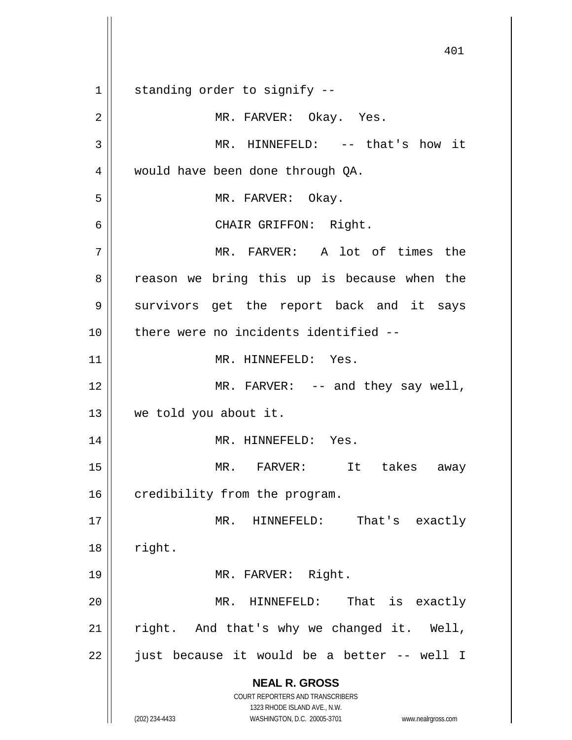**NEAL R. GROSS** COURT REPORTERS AND TRANSCRIBERS 1323 RHODE ISLAND AVE., N.W. (202) 234-4433 WASHINGTON, D.C. 20005-3701 www.nealrgross.com 401  $1$  standing order to signify --2 MR. FARVER: Okay. Yes. 3 MR. HINNEFELD: -- that's how it 4 | would have been done through QA. 5 || MR. FARVER: Okay. 6 CHAIR GRIFFON: Right. 7 || MR. FARVER: A lot of times the 8 || reason we bring this up is because when the 9 || survivors get the report back and it says 10 || there were no incidents identified --11 || MR. HINNEFELD: Yes. 12 || MR. FARVER: -- and they say well, 13 we told you about it. 14 || MR. HINNEFELD: Yes. 15 MR. FARVER: It takes away  $16$  credibility from the program. 17 MR. HINNEFELD: That's exactly  $18$  | right. 19 || MR. FARVER: Right. 20 MR. HINNEFELD: That is exactly  $21$  right. And that's why we changed it. Well,  $22$  || just because it would be a better -- well I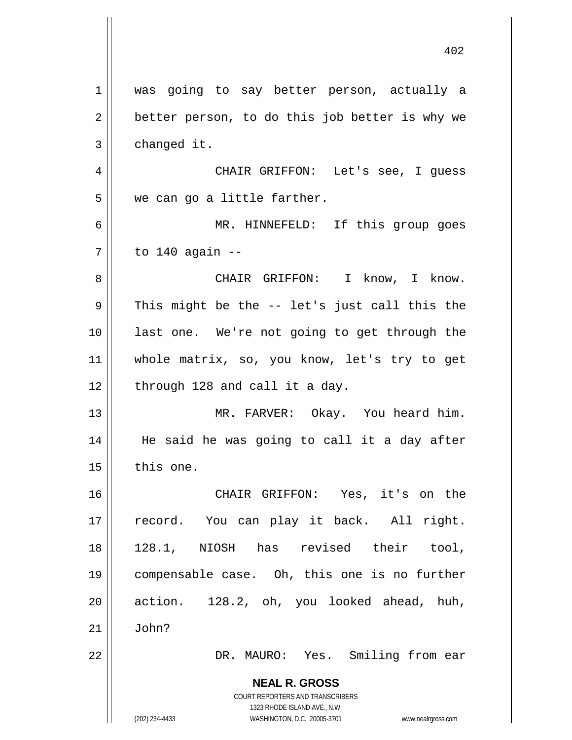**NEAL R. GROSS** COURT REPORTERS AND TRANSCRIBERS 1323 RHODE ISLAND AVE., N.W. (202) 234-4433 WASHINGTON, D.C. 20005-3701 www.nealrgross.com 1 || was going to say better person, actually a  $2 \parallel$  better person, to do this job better is why we  $3 \parallel$  changed it. 4 CHAIR GRIFFON: Let's see, I guess 5 || we can go a little farther. 6 MR. HINNEFELD: If this group goes 7 to 140 again -- 8 CHAIR GRIFFON: I know, I know.  $9 \parallel$  This might be the -- let's just call this the 10 last one. We're not going to get through the 11 whole matrix, so, you know, let's try to get  $12$  | through 128 and call it a day. 13 MR. FARVER: Okay. You heard him. 14 || He said he was going to call it a day after  $15$  this one. 16 CHAIR GRIFFON: Yes, it's on the 17 || record. You can play it back. All right. 18 128.1, NIOSH has revised their tool, 19 compensable case. Oh, this one is no further  $20$  || action. 128.2, oh, you looked ahead, huh,  $21$  | John? 22 DR. MAURO: Yes. Smiling from ear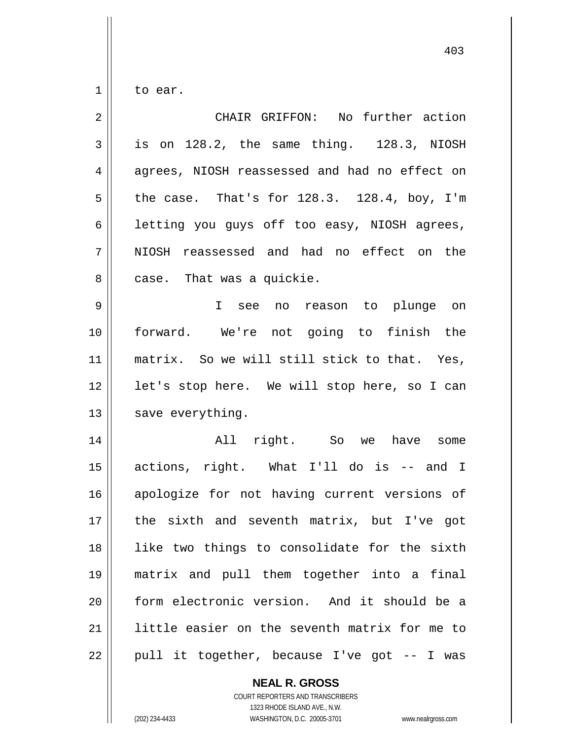$1 \parallel$  to ear.

| $\overline{2}$ | CHAIR GRIFFON: No further action                  |
|----------------|---------------------------------------------------|
| 3              | is on 128.2, the same thing. 128.3, NIOSH         |
| 4              | agrees, NIOSH reassessed and had no effect on     |
| 5              | the case. That's for $128.3$ . $128.4$ , boy, I'm |
| 6              | letting you guys off too easy, NIOSH agrees,      |
| 7              | NIOSH reassessed and had no effect on the         |
| 8              | case. That was a quickie.                         |
| 9              | I see no reason to plunge on                      |
| 10             | forward. We're not going to finish the            |
| 11             | matrix. So we will still stick to that. Yes,      |
| 12             | let's stop here. We will stop here, so I can      |
| 13             | save everything.                                  |
| 14             | All right. So we have some                        |
| 15             | actions, right. What I'll do is -- and I          |
| 16             | apologize for not having current versions of      |
| 17             | the sixth and seventh matrix, but I've got        |
| 18             | like two things to consolidate for the sixth      |
| 19             | matrix and pull them together into a final        |
| 20             | form electronic version. And it should be a       |
| 21             | little easier on the seventh matrix for me to     |
| 22             | pull it together, because I've got -- I was       |

## **NEAL R. GROSS**

COURT REPORTERS AND TRANSCRIBERS 1323 RHODE ISLAND AVE., N.W. (202) 234-4433 WASHINGTON, D.C. 20005-3701 www.nealrgross.com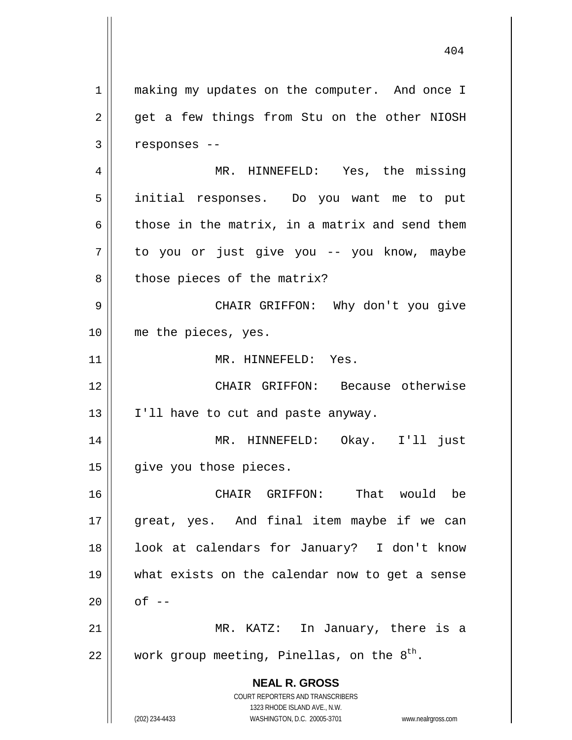**NEAL R. GROSS** COURT REPORTERS AND TRANSCRIBERS 1323 RHODE ISLAND AVE., N.W. 1 || making my updates on the computer. And once I  $2 \parallel$  get a few things from Stu on the other NIOSH  $3 \parallel$  responses --4 MR. HINNEFELD: Yes, the missing 5 initial responses. Do you want me to put 6 those in the matrix, in a matrix and send them 7 || to you or just give you -- you know, maybe  $8 \parallel$  those pieces of the matrix? 9 CHAIR GRIFFON: Why don't you give 10 || me the pieces, yes. 11 || MR. HINNEFELD: Yes. 12 CHAIR GRIFFON: Because otherwise 13 || I'll have to cut and paste anyway. 14 MR. HINNEFELD: Okay. I'll just 15 | give you those pieces. 16 CHAIR GRIFFON: That would be 17 || great, yes. And final item maybe if we can 18 || look at calendars for January? I don't know 19 what exists on the calendar now to get a sense  $20 \parallel$  of  $-$ 21 MR. KATZ: In January, there is a 22  $\parallel$  work group meeting, Pinellas, on the  $8^{\text{th}}$ .

(202) 234-4433 WASHINGTON, D.C. 20005-3701 www.nealrgross.com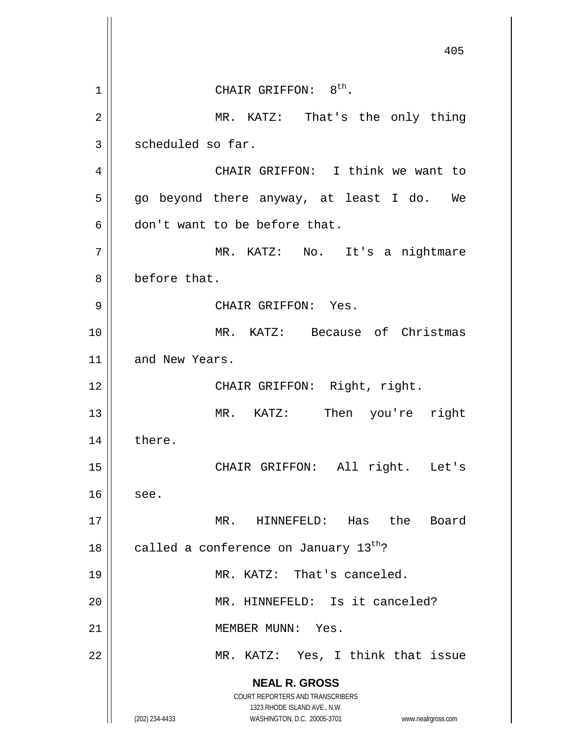**NEAL R. GROSS** COURT REPORTERS AND TRANSCRIBERS 1323 RHODE ISLAND AVE., N.W. (202) 234-4433 WASHINGTON, D.C. 20005-3701 www.nealrgross.com 405  $1$  | CHAIR GRIFFON:  $8<sup>th</sup>$ . 2 || MR. KATZ: That's the only thing 3 | scheduled so far. 4 CHAIR GRIFFON: I think we want to  $5 \parallel$  go beyond there anyway, at least I do. We 6 don't want to be before that. 7 MR. KATZ: No. It's a nightmare 8 before that. 9 CHAIR GRIFFON: Yes. 10 MR. KATZ: Because of Christmas 11 and New Years. 12 || CHAIR GRIFFON: Right, right. 13 || MR. KATZ: Then you're right 14 || there. 15 || CHAIR GRIFFON: All right. Let's  $16$  see. 17 MR. HINNEFELD: Has the Board 18  $\parallel$  called a conference on January 13<sup>th</sup>? 19 || MR. KATZ: That's canceled. 20 || MR. HINNEFELD: Is it canceled? 21 | MEMBER MUNN: Yes. 22 || MR. KATZ: Yes, I think that issue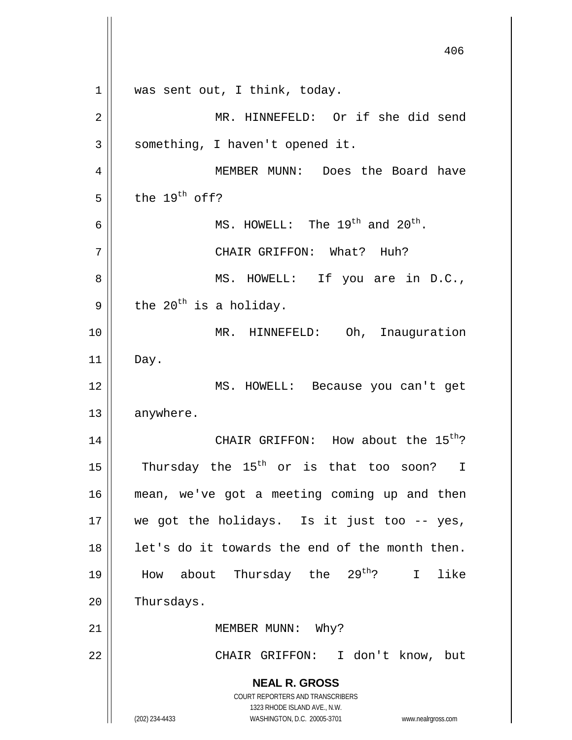**NEAL R. GROSS** COURT REPORTERS AND TRANSCRIBERS 1323 RHODE ISLAND AVE., N.W. (202) 234-4433 WASHINGTON, D.C. 20005-3701 www.nealrgross.com 406 1 || was sent out, I think, today. 2 || MR. HINNEFELD: Or if she did send  $3 \parallel$  something, I haven't opened it. 4 MEMBER MUNN: Does the Board have  $5 \parallel$  the 19<sup>th</sup> off? 6  $\parallel$  MS. HOWELL: The 19<sup>th</sup> and 20<sup>th</sup>. 7 CHAIR GRIFFON: What? Huh? 8 || MS. HOWELL: If you are in D.C., 9 the 20<sup>th</sup> is a holiday. 10 || MR. HINNEFELD: Oh, Inauguration 11 Day. 12 MS. HOWELL: Because you can't get 13 | anywhere. 14  $\parallel$  CHAIR GRIFFON: How about the 15<sup>th</sup>? 15  $\parallel$  Thursday the 15<sup>th</sup> or is that too soon? I 16 mean, we've got a meeting coming up and then  $17$  we got the holidays. Is it just too -- yes,  $18$  || let's do it towards the end of the month then. 19 || How about Thursday the  $29^{th}$ ? I like 20 | Thursdays. 21 || MEMBER MUNN: Why? 22 CHAIR GRIFFON: I don't know, but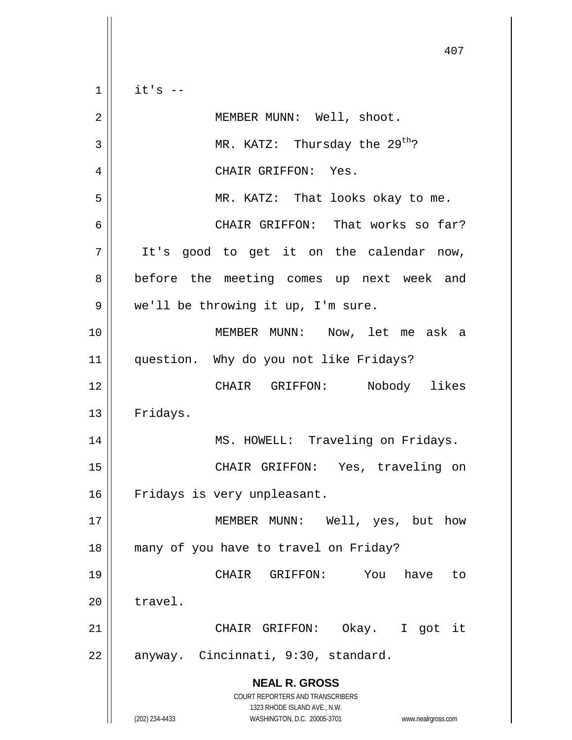$1 \parallel$  it's --

| $\overline{2}$ | MEMBER MUNN: Well, shoot.                                                                                                                                       |
|----------------|-----------------------------------------------------------------------------------------------------------------------------------------------------------------|
| 3              | MR. KATZ: Thursday the $29^{th}$ ?                                                                                                                              |
| 4              | CHAIR GRIFFON: Yes.                                                                                                                                             |
| 5              | MR. KATZ: That looks okay to me.                                                                                                                                |
| 6              | CHAIR GRIFFON: That works so far?                                                                                                                               |
| 7              | It's good to get it on the calendar now,                                                                                                                        |
| 8              | before the meeting comes up next week and                                                                                                                       |
| 9              | we'll be throwing it up, I'm sure.                                                                                                                              |
| 10             | MEMBER MUNN: Now, let me ask a                                                                                                                                  |
| 11             | question. Why do you not like Fridays?                                                                                                                          |
| 12             | Nobody likes<br>CHAIR GRIFFON:                                                                                                                                  |
| 13             | Fridays.                                                                                                                                                        |
| 14             | MS. HOWELL: Traveling on Fridays.                                                                                                                               |
| 15             | CHAIR GRIFFON: Yes, traveling on                                                                                                                                |
| 16             | Fridays is very unpleasant.                                                                                                                                     |
| 17             | MEMBER MUNN:<br>Well, yes, but how                                                                                                                              |
| 18             | many of you have to travel on Friday?                                                                                                                           |
| 19             | CHAIR<br>GRIFFON:<br>You<br>have<br>to                                                                                                                          |
| 20             | travel.                                                                                                                                                         |
| 21             | CHAIR GRIFFON:<br>Okay. I got it                                                                                                                                |
| 22             | anyway. Cincinnati, 9:30, standard.                                                                                                                             |
|                | <b>NEAL R. GROSS</b><br>COURT REPORTERS AND TRANSCRIBERS<br>1323 RHODE ISLAND AVE., N.W.<br>(202) 234-4433<br>WASHINGTON, D.C. 20005-3701<br>www.nealrgross.com |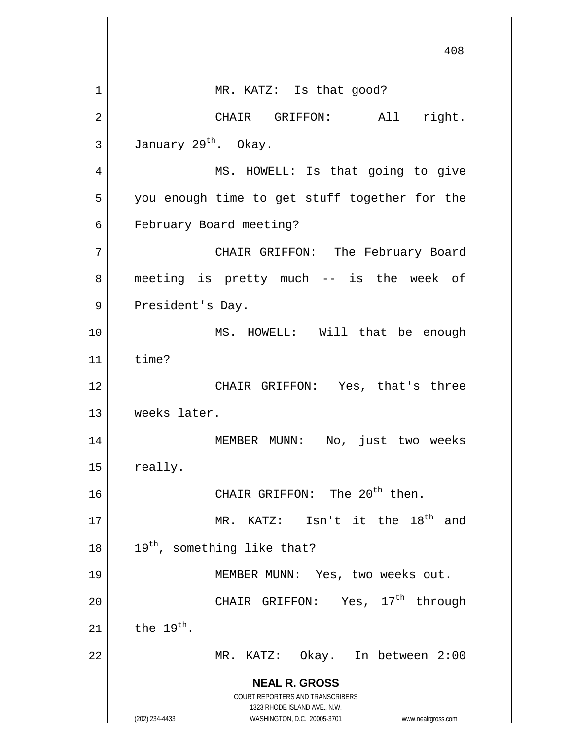**NEAL R. GROSS** COURT REPORTERS AND TRANSCRIBERS 1323 RHODE ISLAND AVE., N.W. (202) 234-4433 WASHINGTON, D.C. 20005-3701 www.nealrgross.com 408 1 || MR. KATZ: Is that good? 2 || CHAIR GRIFFON: All right.  $3 \parallel$  January 29<sup>th</sup>. Okay. 4 || MS. HOWELL: Is that going to give 5 || you enough time to get stuff together for the 6 | February Board meeting? 7 CHAIR GRIFFON: The February Board 8 || meeting is pretty much -- is the week of 9 || President's Day. 10 || MS. HOWELL: Will that be enough  $11$   $\parallel$  time? 12 || CHAIR GRIFFON: Yes, that's three 13 weeks later. 14 || MEMBER MUNN: No, just two weeks 15 really. 16  $\parallel$  CHAIR GRIFFON: The 20<sup>th</sup> then. 17  $\parallel$  MR. KATZ: Isn't it the 18<sup>th</sup> and  $18$  | 19<sup>th</sup>, something like that? 19 || MEMBER MUNN: Yes, two weeks out. 20  $\parallel$  CHAIR GRIFFON: Yes,  $17^{th}$  through 21  $\parallel$  the 19<sup>th</sup>. 22 MR. KATZ: Okay. In between 2:00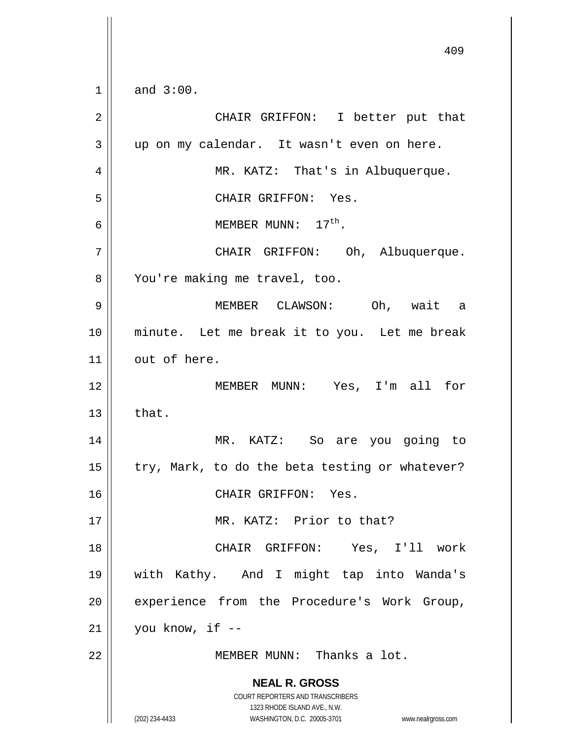**NEAL R. GROSS** COURT REPORTERS AND TRANSCRIBERS 1323 RHODE ISLAND AVE., N.W. (202) 234-4433 WASHINGTON, D.C. 20005-3701 www.nealrgross.com 409  $1 \parallel$  and  $3:00$ . 2 CHAIR GRIFFON: I better put that 3 up on my calendar. It wasn't even on here. 4 MR. KATZ: That's in Albuquerque. 5 CHAIR GRIFFON: Yes. 6  $\vert$  MEMBER MUNN:  $17^{\text{th}}$ . 7 CHAIR GRIFFON: Oh, Albuquerque. 8 || You're making me travel, too. 9 MEMBER CLAWSON: Oh, wait a 10 minute. Let me break it to you. Let me break 11 | out of here. 12 MEMBER MUNN: Yes, I'm all for  $13 \parallel$  that. 14 MR. KATZ: So are you going to 15  $\parallel$  try, Mark, to do the beta testing or whatever? 16 CHAIR GRIFFON: Yes. 17 MR. KATZ: Prior to that? 18 CHAIR GRIFFON: Yes, I'll work 19 with Kathy. And I might tap into Wanda's 20 | experience from the Procedure's Work Group,  $21$  | vou know, if  $-$ 22 MEMBER MUNN: Thanks a lot.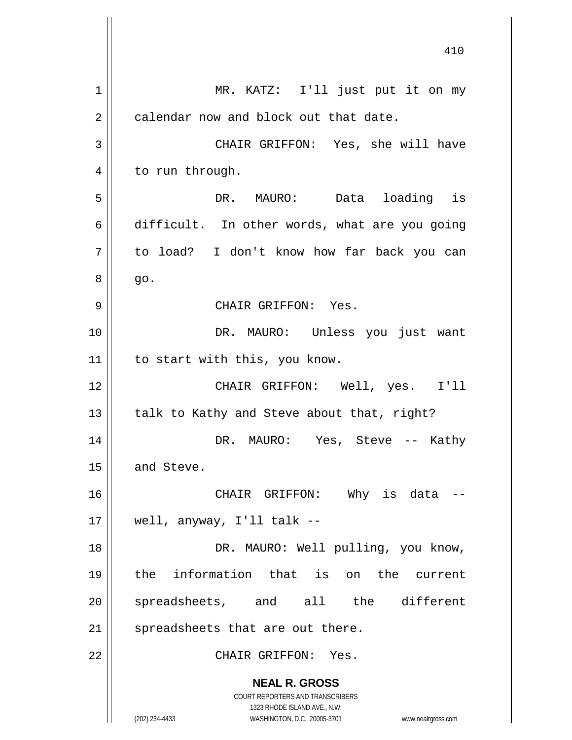**NEAL R. GROSS** COURT REPORTERS AND TRANSCRIBERS 1323 RHODE ISLAND AVE., N.W. (202) 234-4433 WASHINGTON, D.C. 20005-3701 www.nealrgross.com 1 || MR. KATZ: I'll just put it on my  $2 \parallel$  calendar now and block out that date. 3 CHAIR GRIFFON: Yes, she will have 4 | to run through. 5 DR. MAURO: Data loading is  $6 \parallel$  difficult. In other words, what are you going 7 to load? I don't know how far back you can  $8 \parallel$  go. 9 CHAIR GRIFFON: Yes. 10 DR. MAURO: Unless you just want 11 | to start with this, you know. 12 CHAIR GRIFFON: Well, yes. I'll 13  $\parallel$  talk to Kathy and Steve about that, right? 14 DR. MAURO: Yes, Steve -- Kathy  $15$  and Steve. 16 CHAIR GRIFFON: Why is data --  $17 \parallel$  well, anyway, I'll talk --18 || DR. MAURO: Well pulling, you know, 19 the information that is on the current 20 || spreadsheets, and all the different  $21$  spreadsheets that are out there. 22 CHAIR GRIFFON: Yes.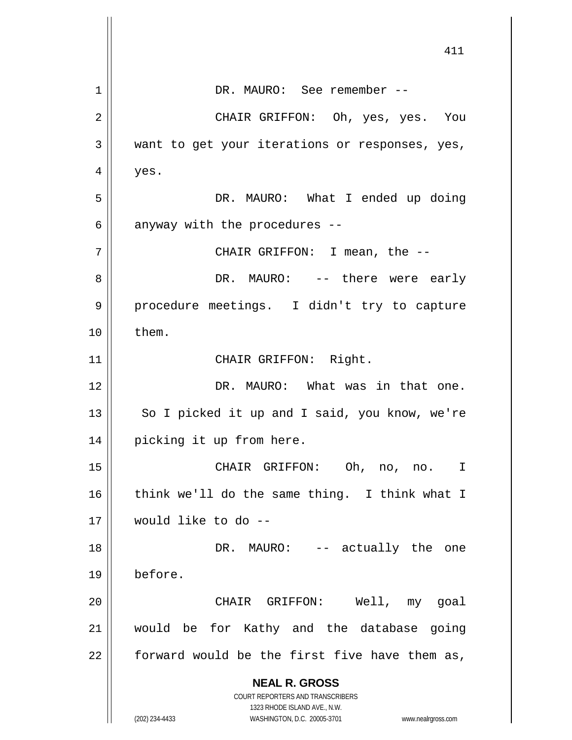|    | 411                                                                 |
|----|---------------------------------------------------------------------|
| 1  | DR. MAURO: See remember --                                          |
| 2  | CHAIR GRIFFON: Oh, yes, yes. You                                    |
| 3  | want to get your iterations or responses, yes,                      |
| 4  | yes.                                                                |
| 5  | DR. MAURO: What I ended up doing                                    |
| 6  | anyway with the procedures --                                       |
| 7  | CHAIR GRIFFON: I mean, the --                                       |
| 8  | DR. MAURO: -- there were early                                      |
| 9  | procedure meetings. I didn't try to capture                         |
| 10 | them.                                                               |
| 11 | CHAIR GRIFFON: Right.                                               |
| 12 | DR. MAURO: What was in that one.                                    |
| 13 | So I picked it up and I said, you know, we're                       |
| 14 | picking it up from here.                                            |
| 15 | CHAIR GRIFFON: Oh, no, no.<br>I                                     |
| 16 | think we'll do the same thing. I think what I                       |
| 17 | would like to do --                                                 |
| 18 | DR. MAURO: -- actually the one                                      |
| 19 | before.                                                             |
| 20 | CHAIR GRIFFON: Well, my goal                                        |
| 21 | would be for Kathy and the database going                           |
| 22 | forward would be the first five have them as,                       |
|    | <b>NEAL R. GROSS</b>                                                |
|    | COURT REPORTERS AND TRANSCRIBERS<br>1323 RHODE ISLAND AVE., N.W.    |
|    | (202) 234-4433<br>WASHINGTON, D.C. 20005-3701<br>www.nealrgross.com |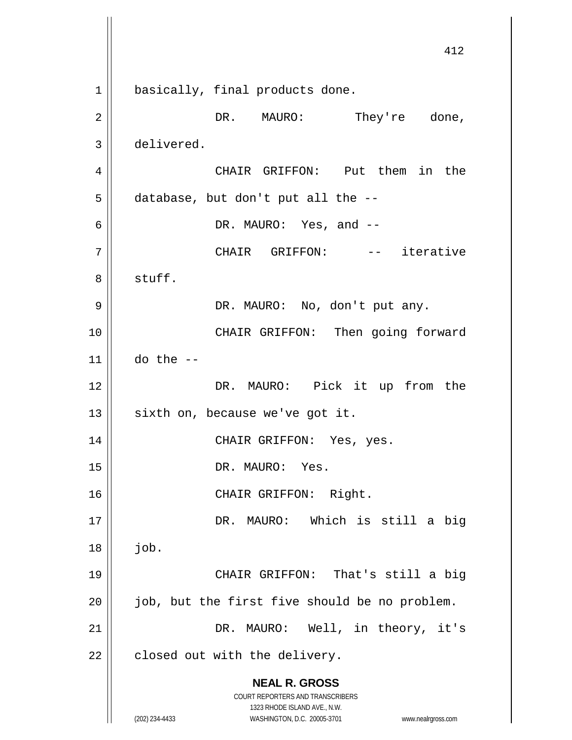**NEAL R. GROSS** COURT REPORTERS AND TRANSCRIBERS 1323 RHODE ISLAND AVE., N.W. (202) 234-4433 WASHINGTON, D.C. 20005-3701 www.nealrgross.com 412 1 || basically, final products done. 2 DR. MAURO: They're done, 3 delivered. 4 CHAIR GRIFFON: Put them in the  $5 \parallel$  database, but don't put all the -- $6 \parallel$  DR. MAURO: Yes, and  $-$ 7 || CHAIR GRIFFON: -- iterative 8 | stuff. 9 || DR. MAURO: No, don't put any. 10 || CHAIR GRIFFON: Then going forward  $11$  do the  $-$ 12 || DR. MAURO: Pick it up from the  $13$  sixth on, because we've got it. 14 || CHAIR GRIFFON: Yes, yes. 15 || DR. MAURO: Yes. 16 || CHAIR GRIFFON: Right. 17 || DR. MAURO: Which is still a big  $18 \parallel$  job. 19 CHAIR GRIFFON: That's still a big  $20$  || job, but the first five should be no problem. 21 || DR. MAURO: Well, in theory, it's  $22$  | closed out with the delivery.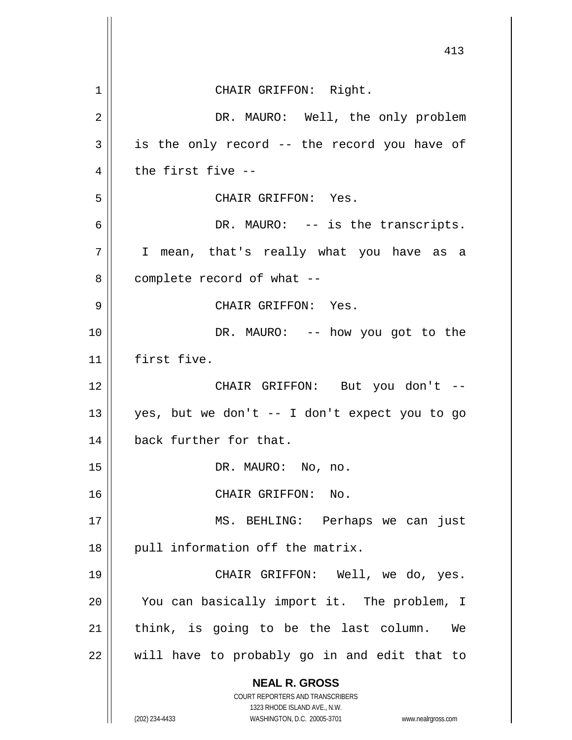**NEAL R. GROSS** COURT REPORTERS AND TRANSCRIBERS 1323 RHODE ISLAND AVE., N.W. (202) 234-4433 WASHINGTON, D.C. 20005-3701 www.nealrgross.com 413 1 || CHAIR GRIFFON: Right. 2 DR. MAURO: Well, the only problem  $3 \parallel$  is the only record -- the record you have of  $4 \parallel$  the first five --5 CHAIR GRIFFON: Yes. 6 DR. MAURO: -- is the transcripts. 7 || I mean, that's really what you have as a  $8 \parallel$  complete record of what --9 CHAIR GRIFFON: Yes. 10 DR. MAURO: -- how you got to the 11 first five. 12 CHAIR GRIFFON: But you don't -- 13  $\parallel$  yes, but we don't -- I don't expect you to go 14 || back further for that. 15 || DR. MAURO: No, no. 16 || CHAIR GRIFFON: No. 17 MS. BEHLING: Perhaps we can just  $18$  || pull information off the matrix. 19 CHAIR GRIFFON: Well, we do, yes. 20 || You can basically import it. The problem, I  $21$  think, is going to be the last column. We  $22$  || will have to probably go in and edit that to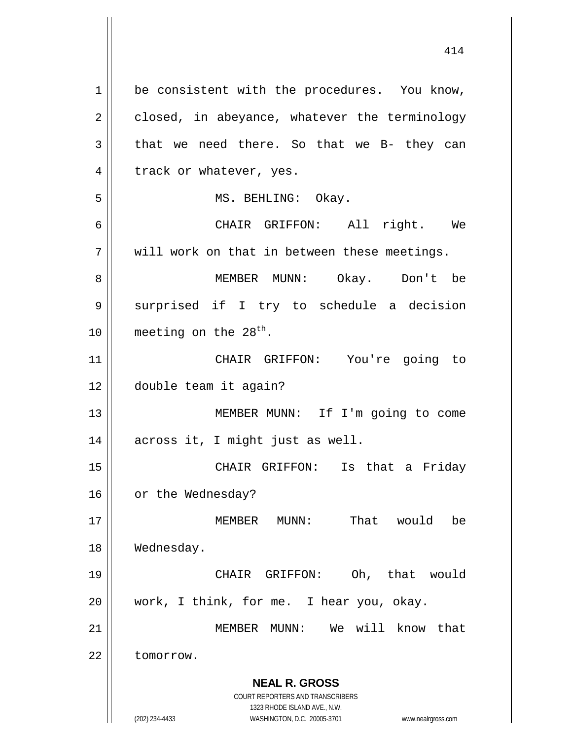**NEAL R. GROSS** COURT REPORTERS AND TRANSCRIBERS 1323 RHODE ISLAND AVE., N.W. (202) 234-4433 WASHINGTON, D.C. 20005-3701 www.nealrgross.com 1 || be consistent with the procedures. You know,  $2 \parallel$  closed, in abeyance, whatever the terminology  $3 \parallel$  that we need there. So that we B- they can 4 | track or whatever, yes. 5 || MS. BEHLING: Okay. 6 CHAIR GRIFFON: All right. We  $7 \parallel$  will work on that in between these meetings. 8 MEMBER MUNN: Okay. Don't be 9 || surprised if I try to schedule a decision 10  $\parallel$  meeting on the 28<sup>th</sup>. 11 CHAIR GRIFFON: You're going to 12 double team it again? 13 || MEMBER MUNN: If I'm going to come 14 || across it, I might just as well. 15 CHAIR GRIFFON: Is that a Friday 16 | or the Wednesday? 17 MEMBER MUNN: That would be 18 | Wednesday. 19 CHAIR GRIFFON: Oh, that would 20 || work, I think, for me. I hear you, okay. 21 MEMBER MUNN: We will know that 22 | tomorrow.